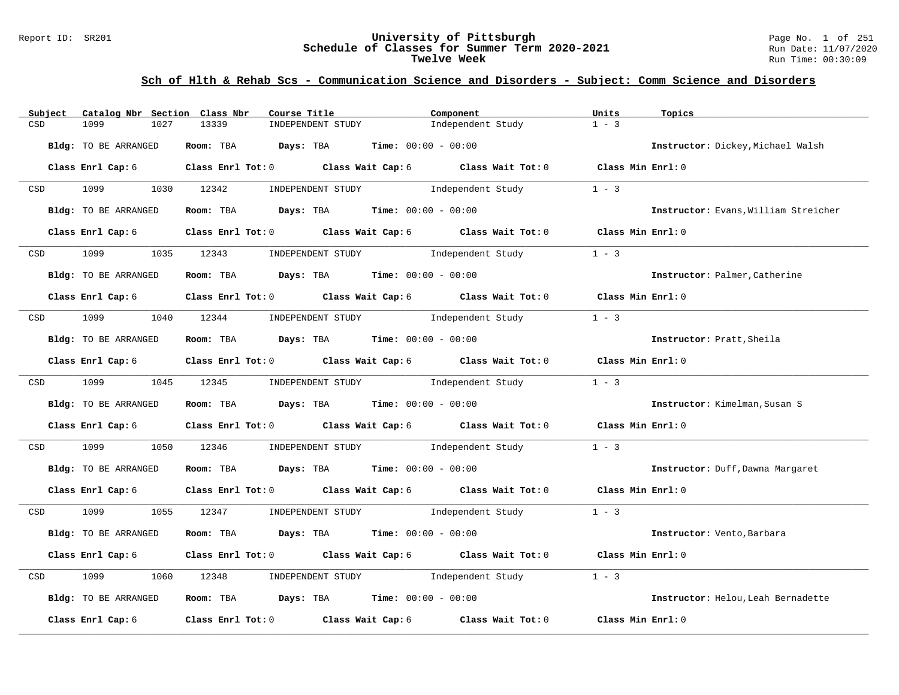### Report ID: SR201 **University of Pittsburgh** Page No. 1 of 251 **Schedule of Classes for Summer Term 2020-2021** Run Date: 11/07/2020 **Twelve Week** Run Time: 00:30:09

| Subject          | Catalog Nbr Section Class Nbr | Course Title                                   | Component                                                                                          | Units             | Topics                               |
|------------------|-------------------------------|------------------------------------------------|----------------------------------------------------------------------------------------------------|-------------------|--------------------------------------|
| CSD              | 1099<br>1027                  | 13339<br>INDEPENDENT STUDY                     | Independent Study                                                                                  | $1 - 3$           |                                      |
|                  | Bldg: TO BE ARRANGED          | Room: TBA Days: TBA                            | <b>Time:</b> $00:00 - 00:00$                                                                       |                   | Instructor: Dickey, Michael Walsh    |
|                  | Class Enrl Cap: 6             |                                                | Class Enrl Tot: 0 Class Wait Cap: 6 Class Wait Tot: 0 Class Min Enrl: 0                            |                   |                                      |
| CSD              | 1099                          | 1030 12342<br>INDEPENDENT STUDY                | Independent Study                                                                                  | $1 - 3$           |                                      |
|                  | Bldg: TO BE ARRANGED          | Room: TBA $Days:$ TBA $Time: 00:00 - 00:00$    |                                                                                                    |                   | Instructor: Evans, William Streicher |
|                  | Class Enrl Cap: 6             |                                                | Class Enrl Tot: 0 Class Wait Cap: 6 Class Wait Tot: 0                                              | Class Min Enrl: 0 |                                      |
| CSD              | 1099                          | 1035 12343                                     | INDEPENDENT STUDY 1ndependent Study                                                                | $1 - 3$           |                                      |
|                  | Bldg: TO BE ARRANGED          | Room: TBA $Days:$ TBA $Time: 00:00 - 00:00$    |                                                                                                    |                   | Instructor: Palmer, Catherine        |
|                  | Class Enrl Cap: 6             |                                                | Class Enrl Tot: 0 Class Wait Cap: 6 Class Wait Tot: 0 Class Min Enrl: 0                            |                   |                                      |
|                  | CSD 1099                      | 1040 12344                                     | INDEPENDENT STUDY 1ndependent Study                                                                | $1 - 3$           |                                      |
|                  | Bldg: TO BE ARRANGED          | Room: TBA $Days:$ TBA $Time: 00:00 - 00:00$    |                                                                                                    |                   | Instructor: Pratt, Sheila            |
|                  | Class Enrl Cap: 6             |                                                | Class Enrl Tot: 0 Class Wait Cap: 6 Class Wait Tot: 0 Class Min Enrl: 0                            |                   |                                      |
|                  | CSD 1099 1045 12345           |                                                | INDEPENDENT STUDY 1ndependent Study                                                                | $1 - 3$           |                                      |
|                  | Bldg: TO BE ARRANGED          | Room: TBA $Days:$ TBA $Time: 00:00 - 00:00$    |                                                                                                    |                   | Instructor: Kimelman, Susan S        |
|                  | Class Enrl Cap: 6             |                                                | Class Enrl Tot: 0 Class Wait Cap: 6 Class Wait Tot: 0                                              | Class Min Enrl: 0 |                                      |
| CSD              | 1099<br>1050                  | 12346                                          | INDEPENDENT STUDY 1ndependent Study                                                                | $1 - 3$           |                                      |
|                  | Bldg: TO BE ARRANGED          | Room: TBA $Days:$ TBA $Time: 00:00 - 00:00$    |                                                                                                    |                   | Instructor: Duff, Dawna Margaret     |
|                  | Class Enrl Cap: 6             |                                                | Class Enrl Tot: 0 Class Wait Cap: 6 Class Wait Tot: 0 Class Min Enrl: 0                            |                   |                                      |
| CSD <sub>c</sub> | 1099 700                      | 1055 12347 INDEPENDENT STUDY Independent Study |                                                                                                    | $1 - 3$           |                                      |
|                  | Bldg: TO BE ARRANGED          | Room: TBA $Days:$ TBA $Time: 00:00 - 00:00$    |                                                                                                    |                   | Instructor: Vento, Barbara           |
|                  | Class Enrl Cap: 6             |                                                | Class Enrl Tot: 0 $\qquad$ Class Wait Cap: 6 $\qquad$ Class Wait Tot: 0 $\qquad$ Class Min Enrl: 0 |                   |                                      |
| CSD              | 1099<br>1060                  | INDEPENDENT STUDY<br>12348                     | Independent Study                                                                                  | $1 - 3$           |                                      |
|                  | Bldg: TO BE ARRANGED          | Room: TBA $Days:$ TBA Time: $00:00 - 00:00$    |                                                                                                    |                   | Instructor: Helou, Leah Bernadette   |
|                  | Class Enrl Cap: 6             | Class Enrl Tot: 0 Class Wait Cap: 6            | Class Wait Tot: 0                                                                                  | Class Min Enrl: 0 |                                      |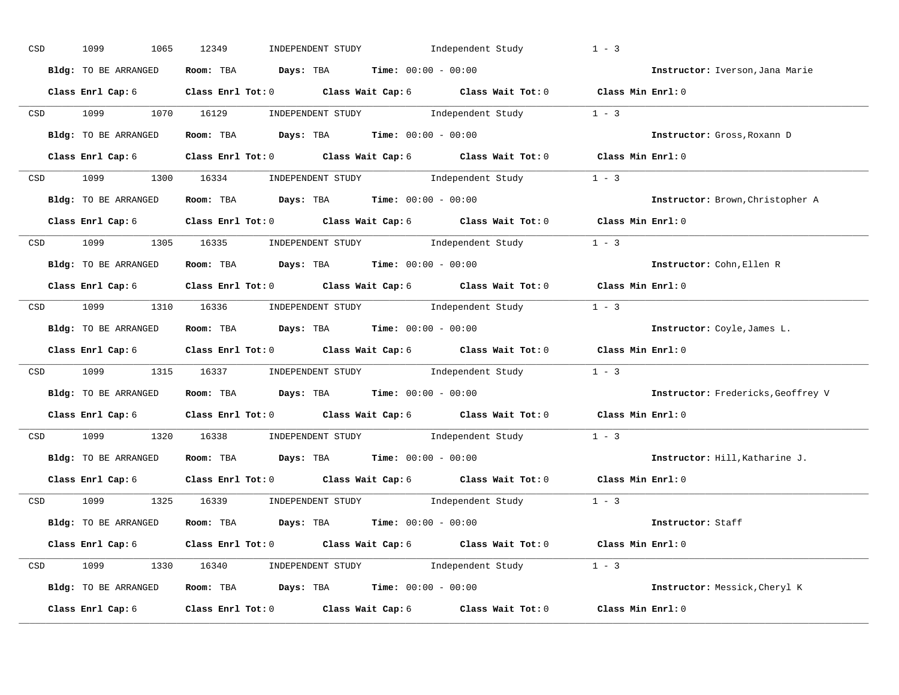| CSD | 1099<br>1065         | 12349<br>INDEPENDENT STUDY Independent Study                                                                                                                                                                                                                                                                                                                                                                                                                                                                                                                    | $1 - 3$                                   |
|-----|----------------------|-----------------------------------------------------------------------------------------------------------------------------------------------------------------------------------------------------------------------------------------------------------------------------------------------------------------------------------------------------------------------------------------------------------------------------------------------------------------------------------------------------------------------------------------------------------------|-------------------------------------------|
|     | Bldg: TO BE ARRANGED | Room: TBA $Days:$ TBA $Time: 00:00 - 00:00$                                                                                                                                                                                                                                                                                                                                                                                                                                                                                                                     | Instructor: Iverson, Jana Marie           |
|     |                      | Class Enrl Cap: 6 Class Enrl Tot: 0 Class Wait Cap: 6 Class Wait Tot: 0 Class Min Enrl: 0                                                                                                                                                                                                                                                                                                                                                                                                                                                                       |                                           |
|     | CSD 1099 1070 16129  | $\begin{minipage}[c]{0.9\linewidth} \textbf{INDEX} & \textbf{STUDY} \\ \textbf{Index} & \textbf{Index} \\ \textbf{Index} & \textbf{Index} \\ \textbf{Index} & \textbf{Index} \\ \textbf{Index} & \textbf{Index} \\ \textbf{Index} & \textbf{Index} \\ \textbf{Index} & \textbf{Index} \\ \textbf{Index} & \textbf{Index} \\ \textbf{Index} & \textbf{Index} \\ \textbf{Index} & \textbf{Index} \\ \textbf{Index} & \textbf{Index} \\ \textbf{Index} & \textbf{Index} \\ \textbf{Index} & \textbf{Index} \\ \textbf{Index} & \textbf{Index} \\ \textbf{Index} &$ |                                           |
|     | Bldg: TO BE ARRANGED | Room: TBA $\rule{1em}{0.15mm}$ Days: TBA Time: $00:00 - 00:00$                                                                                                                                                                                                                                                                                                                                                                                                                                                                                                  | Instructor: Gross, Roxann D               |
|     |                      | Class Enrl Cap: 6 Class Enrl Tot: 0 Class Wait Cap: 6 Class Wait Tot: 0 Class Min Enrl: 0                                                                                                                                                                                                                                                                                                                                                                                                                                                                       |                                           |
|     |                      | CSD 1099 1300 16334 INDEPENDENT STUDY Independent Study 1 - 3                                                                                                                                                                                                                                                                                                                                                                                                                                                                                                   |                                           |
|     |                      | Bldg: TO BE ARRANGED Room: TBA Days: TBA Time: 00:00 - 00:00                                                                                                                                                                                                                                                                                                                                                                                                                                                                                                    | Instructor: Brown, Christopher A          |
|     |                      | Class Enrl Cap: 6 Class Enrl Tot: 0 Class Wait Cap: 6 Class Wait Tot: 0 Class Min Enrl: 0                                                                                                                                                                                                                                                                                                                                                                                                                                                                       |                                           |
|     |                      | CSD 1099 1305 16335 INDEPENDENT STUDY Independent Study 1 - 3                                                                                                                                                                                                                                                                                                                                                                                                                                                                                                   |                                           |
|     | Bldg: TO BE ARRANGED | Room: TBA $\rule{1em}{0.15mm}$ Days: TBA Time: $00:00 - 00:00$                                                                                                                                                                                                                                                                                                                                                                                                                                                                                                  | Instructor: Cohn, Ellen R                 |
|     |                      | Class Enrl Cap: 6 Class Enrl Tot: 0 Class Wait Cap: 6 Class Wait Tot: 0 Class Min Enrl: 0                                                                                                                                                                                                                                                                                                                                                                                                                                                                       |                                           |
|     |                      | CSD 1099 1310 16336 INDEPENDENT STUDY Independent Study 1 - 3                                                                                                                                                                                                                                                                                                                                                                                                                                                                                                   |                                           |
|     |                      | Bldg: TO BE ARRANGED Room: TBA Days: TBA Time: 00:00 - 00:00                                                                                                                                                                                                                                                                                                                                                                                                                                                                                                    | Instructor: Coyle, James L.               |
|     |                      | Class Enrl Cap: 6 Class Enrl Tot: 0 Class Wait Cap: 6 Class Wait Tot: 0 Class Min Enrl: 0                                                                                                                                                                                                                                                                                                                                                                                                                                                                       |                                           |
|     |                      | CSD 1099 1315 16337 INDEPENDENT STUDY Independent Study 1 - 3                                                                                                                                                                                                                                                                                                                                                                                                                                                                                                   |                                           |
|     |                      | Bldg: TO BE ARRANGED Room: TBA Days: TBA Time: 00:00 - 00:00                                                                                                                                                                                                                                                                                                                                                                                                                                                                                                    | <b>Instructor:</b> Fredericks, Geoffrey V |
|     |                      | Class Enrl Cap: 6 $\qquad$ Class Enrl Tot: 0 $\qquad$ Class Wait Cap: 6 $\qquad$ Class Wait Tot: 0                                                                                                                                                                                                                                                                                                                                                                                                                                                              | Class Min Enrl: 0                         |
| CSD |                      | 1099 1320 16338 INDEPENDENT STUDY Independent Study 1 - 3                                                                                                                                                                                                                                                                                                                                                                                                                                                                                                       |                                           |
|     | Bldg: TO BE ARRANGED | <b>Room:</b> TBA $Days: TBA$ <b>Time:</b> $00:00 - 00:00$                                                                                                                                                                                                                                                                                                                                                                                                                                                                                                       | Instructor: Hill, Katharine J.            |
|     |                      | Class Enrl Cap: 6 Class Enrl Tot: 0 Class Wait Cap: 6 Class Wait Tot: 0                                                                                                                                                                                                                                                                                                                                                                                                                                                                                         | Class Min Enrl: 0                         |
|     | CSD 1099             | 1325 16339 INDEPENDENT STUDY Independent Study 1 - 3                                                                                                                                                                                                                                                                                                                                                                                                                                                                                                            |                                           |
|     | Bldg: TO BE ARRANGED | Room: TBA $Days: TBA$ Time: $00:00 - 00:00$                                                                                                                                                                                                                                                                                                                                                                                                                                                                                                                     | Instructor: Staff                         |
|     |                      | Class Enrl Cap: 6 Class Enrl Tot: 0 Class Wait Cap: 6 Class Wait Tot: 0 Class Min Enrl: 0                                                                                                                                                                                                                                                                                                                                                                                                                                                                       |                                           |
|     |                      | CSD 1099 1330 16340 INDEPENDENT STUDY Independent Study 1 - 3                                                                                                                                                                                                                                                                                                                                                                                                                                                                                                   |                                           |
|     |                      | Bldg: TO BE ARRANGED ROOM: TBA Days: TBA Time: $00:00 - 00:00$                                                                                                                                                                                                                                                                                                                                                                                                                                                                                                  | Instructor: Messick, Cheryl K             |
|     | Class Enrl Cap: 6    | Class Enrl Tot: $0$ Class Wait Cap: $6$ Class Wait Tot: $0$                                                                                                                                                                                                                                                                                                                                                                                                                                                                                                     | Class Min Enrl: 0                         |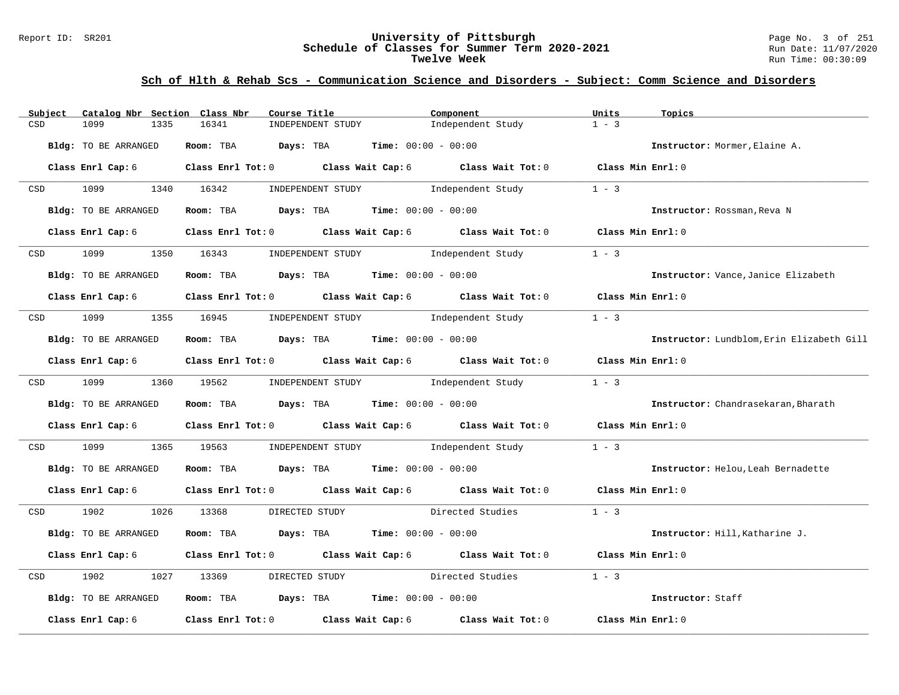### Report ID: SR201 **University of Pittsburgh** Page No. 3 of 251 **Schedule of Classes for Summer Term 2020-2021** Run Date: 11/07/2020 **Twelve Week** Run Time: 00:30:09

| Subject    | Catalog Nbr Section Class Nbr | Course Title                                                                                                                  |                                     | Component                           | Units             | Topics                                    |
|------------|-------------------------------|-------------------------------------------------------------------------------------------------------------------------------|-------------------------------------|-------------------------------------|-------------------|-------------------------------------------|
| CSD        | 1099<br>1335                  | 16341                                                                                                                         | INDEPENDENT STUDY                   | Independent Study                   | $1 - 3$           |                                           |
|            | Bldg: TO BE ARRANGED          | Room: TBA $Days:$ TBA $Time: 00:00 - 00:00$                                                                                   |                                     |                                     |                   | Instructor: Mormer, Elaine A.             |
|            |                               | Class Enrl Cap: 6 $\qquad$ Class Enrl Tot: 0 $\qquad$ Class Wait Cap: 6 $\qquad$ Class Wait Tot: 0 $\qquad$ Class Min Enrl: 0 |                                     |                                     |                   |                                           |
| CSD        | 1099                          | 1340 16342                                                                                                                    | INDEPENDENT STUDY 1ndependent Study |                                     | $1 - 3$           |                                           |
|            | Bldg: TO BE ARRANGED          | Room: TBA $Days:$ TBA $Time: 00:00 - 00:00$                                                                                   |                                     |                                     |                   | Instructor: Rossman, Reva N               |
|            | Class Enrl Cap: 6             | Class Enrl Tot: $0$ Class Wait Cap: $6$ Class Wait Tot: $0$ Class Min Enrl: $0$                                               |                                     |                                     |                   |                                           |
| CSD        | 1099                          | 1350 16343                                                                                                                    | INDEPENDENT STUDY                   | Independent Study                   | $1 - 3$           |                                           |
|            | Bldg: TO BE ARRANGED          | Room: TBA $Days:$ TBA $Time: 00:00 - 00:00$                                                                                   |                                     |                                     |                   | Instructor: Vance, Janice Elizabeth       |
|            |                               | Class Enrl Cap: 6 Class Enrl Tot: 0 Class Wait Cap: 6 Class Wait Tot: 0 Class Min Enrl: 0                                     |                                     |                                     |                   |                                           |
| CSD        | 1099 700                      | 1355 16945                                                                                                                    | INDEPENDENT STUDY 1ndependent Study |                                     | $1 - 3$           |                                           |
|            | Bldg: TO BE ARRANGED          | Room: TBA $Days: TBA$ Time: $00:00 - 00:00$                                                                                   |                                     |                                     |                   | Instructor: Lundblom, Erin Elizabeth Gill |
|            |                               | Class Enrl Cap: 6 $\qquad$ Class Enrl Tot: 0 $\qquad$ Class Wait Cap: 6 $\qquad$ Class Wait Tot: 0 $\qquad$ Class Min Enrl: 0 |                                     |                                     |                   |                                           |
|            | CSD 1099                      | 1360 19562                                                                                                                    | INDEPENDENT STUDY 1ndependent Study |                                     | $1 - 3$           |                                           |
|            | Bldg: TO BE ARRANGED          | Room: TBA $\rule{1em}{0.15mm}$ Days: TBA Time: $00:00 - 00:00$                                                                |                                     |                                     |                   | Instructor: Chandrasekaran, Bharath       |
|            |                               | Class Enrl Cap: 6 $\qquad$ Class Enrl Tot: 0 $\qquad$ Class Wait Cap: 6 $\qquad$ Class Wait Tot: 0 $\qquad$ Class Min Enrl: 0 |                                     |                                     |                   |                                           |
| CSD        | 1099                          | 1365 19563                                                                                                                    |                                     | INDEPENDENT STUDY 1ndependent Study | $1 - 3$           |                                           |
|            | Bldg: TO BE ARRANGED          | Room: TBA $Days:$ TBA $Time: 00:00 - 00:00$                                                                                   |                                     |                                     |                   | Instructor: Helou, Leah Bernadette        |
|            | Class Enrl Cap: 6             | Class Enrl Tot: 0 Class Wait Cap: 6 Class Wait Tot: 0 Class Min Enrl: 0                                                       |                                     |                                     |                   |                                           |
| <b>CSD</b> | 1902 1903                     | 1026 13368<br>DIRECTED STUDY                                                                                                  |                                     | Directed Studies                    | $1 - 3$           |                                           |
|            | Bldg: TO BE ARRANGED          | Room: TBA $Days:$ TBA $Time: 00:00 - 00:00$                                                                                   |                                     |                                     |                   | Instructor: Hill, Katharine J.            |
|            |                               | Class Enrl Cap: 6 Class Enrl Tot: 0 Class Wait Cap: 6 Class Wait Tot: 0                                                       |                                     |                                     | Class Min Enrl: 0 |                                           |
| CSD        | 1902<br>1027                  | 13369<br>DIRECTED STUDY                                                                                                       |                                     | Directed Studies                    | $1 - 3$           |                                           |
|            | Bldg: TO BE ARRANGED          | Room: TBA $Days:$ TBA $Time: 00:00 - 00:00$                                                                                   |                                     |                                     |                   | Instructor: Staff                         |
|            | Class Enrl Cap: 6             | Class Enrl Tot: 0 $\qquad$ Class Wait Cap: 6 $\qquad$ Class Wait Tot: 0 $\qquad$ Class Min Enrl: 0                            |                                     |                                     |                   |                                           |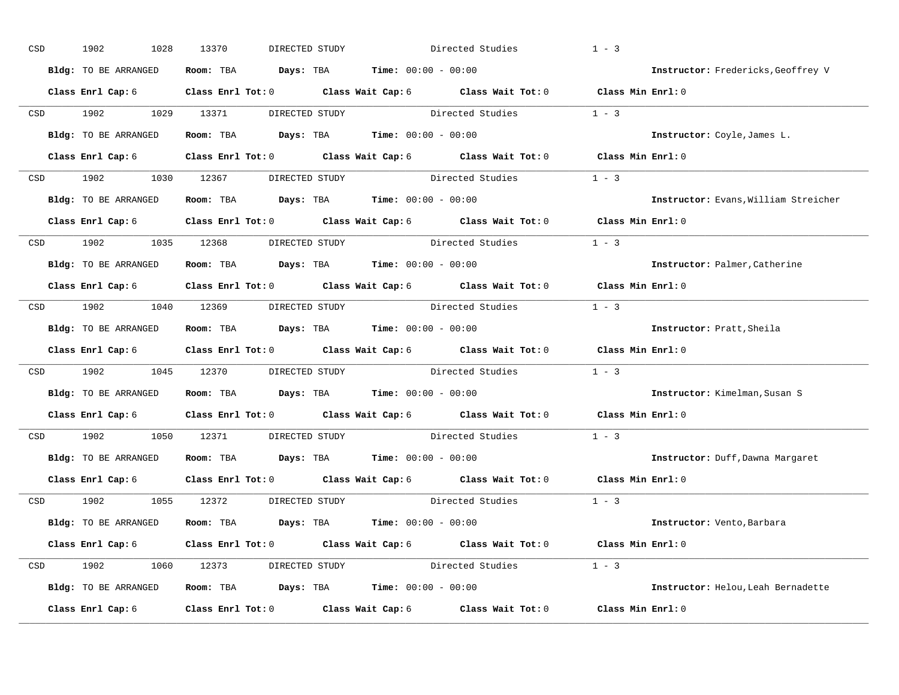| $_{\tt CSD}$ | 1902<br>1028         | 13370<br>DIRECTED STUDY                               |                                               | Directed Studies                                                                                   | $1 - 3$                              |
|--------------|----------------------|-------------------------------------------------------|-----------------------------------------------|----------------------------------------------------------------------------------------------------|--------------------------------------|
|              | Bldg: TO BE ARRANGED | Room: TBA                                             | <b>Time:</b> $00:00 - 00:00$<br>Days: TBA     |                                                                                                    | Instructor: Fredericks, Geoffrey V   |
|              | Class Enrl Cap: 6    |                                                       |                                               | Class Enrl Tot: $0$ Class Wait Cap: $6$ Class Wait Tot: $0$ Class Min Enrl: $0$                    |                                      |
| CSD          | 1902<br>1029         | 13371                                                 | DIRECTED STUDY                                | Directed Studies                                                                                   | $1 - 3$                              |
|              | Bldg: TO BE ARRANGED | Room: TBA                                             | <b>Days:</b> TBA <b>Time:</b> $00:00 - 00:00$ |                                                                                                    | Instructor: Coyle, James L.          |
|              | Class Enrl Cap: 6    |                                                       |                                               | Class Enrl Tot: 0 Class Wait Cap: 6 Class Wait Tot: 0                                              | Class Min Enrl: 0                    |
| CSD          | 1902<br>1030         | 12367                                                 |                                               | DIRECTED STUDY Directed Studies 1 - 3                                                              |                                      |
|              | Bldg: TO BE ARRANGED | Room: TBA                                             | $\texttt{Days:}$ TBA Time: $00:00 - 00:00$    |                                                                                                    | Instructor: Evans, William Streicher |
|              | Class Enrl Cap: 6    | Class Enrl Tot: 0 Class Wait Cap: 6 Class Wait Tot: 0 |                                               |                                                                                                    | $Class$ Min $Enr1:0$                 |
| CSD          | 1902<br>1035         | 12368                                                 | DIRECTED STUDY                                | Directed Studies                                                                                   | $1 - 3$                              |
|              | Bldg: TO BE ARRANGED | Room: TBA                                             | <b>Days:</b> TBA <b>Time:</b> $00:00 - 00:00$ |                                                                                                    | Instructor: Palmer, Catherine        |
|              | Class Enrl Cap: 6    | Class Enrl Tot: 0 Class Wait Cap: 6 Class Wait Tot: 0 |                                               |                                                                                                    | Class Min Enrl: 0                    |
| CSD          | 1902<br>1040         | 12369                                                 |                                               | DIRECTED STUDY Directed Studies                                                                    | $1 - 3$                              |
|              | Bldg: TO BE ARRANGED | Room: TBA                                             | <b>Days:</b> TBA <b>Time:</b> $00:00 - 00:00$ |                                                                                                    | Instructor: Pratt, Sheila            |
|              | Class Enrl Cap: 6    | Class Enrl Tot: 0 Class Wait Cap: 6 Class Wait Tot: 0 |                                               |                                                                                                    | Class Min Enrl: 0                    |
| CSD          | 1902<br>1045         | 12370                                                 | DIRECTED STUDY Directed Studies               |                                                                                                    | $1 - 3$                              |
|              | Bldg: TO BE ARRANGED | Room: TBA                                             | <b>Days:</b> TBA <b>Time:</b> $00:00 - 00:00$ |                                                                                                    | Instructor: Kimelman, Susan S        |
|              | Class Enrl Cap: 6    | Class Enrl Tot: 0 Class Wait Cap: 6 Class Wait Tot: 0 |                                               |                                                                                                    | Class Min Enrl: 0                    |
| CSD          | 1902<br>1050         | 12371                                                 | DIRECTED STUDY                                | Directed Studies                                                                                   | $1 - 3$                              |
|              | Bldg: TO BE ARRANGED | Room: TBA                                             | <b>Days:</b> TBA <b>Time:</b> $00:00 - 00:00$ |                                                                                                    | Instructor: Duff, Dawna Margaret     |
|              | Class Enrl Cap: 6    | Class Enrl Tot: 0 Class Wait Cap: 6 Class Wait Tot: 0 |                                               |                                                                                                    | Class Min Enrl: 0                    |
| CSD          | 1902<br>1055         | 12372                                                 | DIRECTED STUDY                                | Directed Studies                                                                                   | $1 - 3$                              |
|              | Bldg: TO BE ARRANGED | Room: TBA                                             | <b>Days:</b> TBA <b>Time:</b> $00:00 - 00:00$ |                                                                                                    | Instructor: Vento, Barbara           |
|              | Class Enrl Cap: 6    |                                                       |                                               | Class Enrl Tot: 0 $\qquad$ Class Wait Cap: 6 $\qquad$ Class Wait Tot: 0 $\qquad$ Class Min Enrl: 0 |                                      |
| CSD          | 1902<br>1060         | 12373                                                 |                                               | DIRECTED STUDY Directed Studies 1 - 3                                                              |                                      |
|              | Bldg: TO BE ARRANGED | Room: TBA                                             | <b>Days:</b> TBA <b>Time:</b> $00:00 - 00:00$ |                                                                                                    | Instructor: Helou, Leah Bernadette   |
|              | Class Enrl Cap: 6    | Class Enrl Tot: 0                                     | Class Wait Cap: 6                             | Class Wait Tot: 0                                                                                  | Class Min Enrl: 0                    |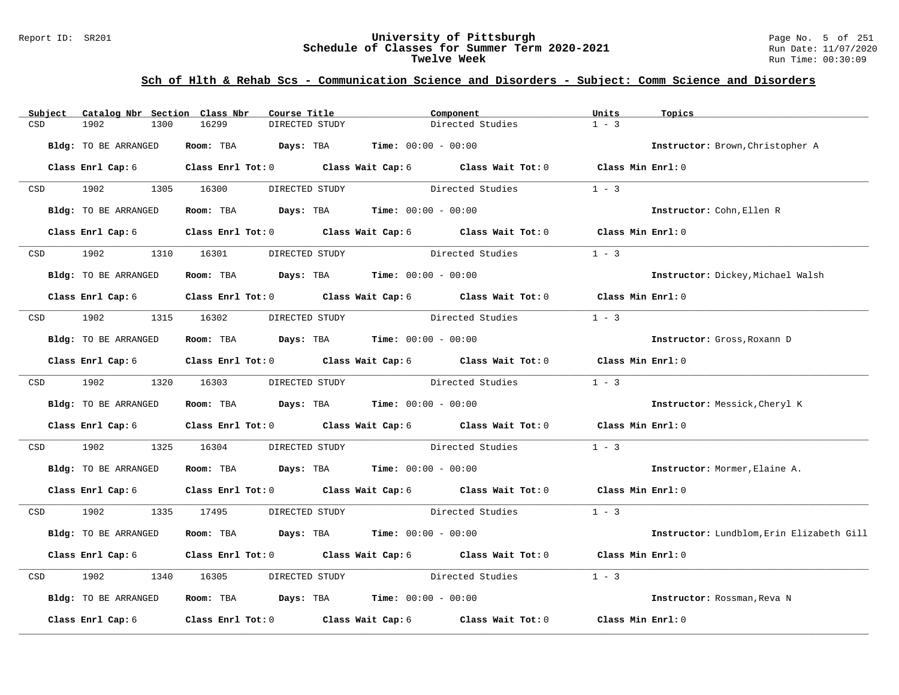#### Report ID: SR201 **University of Pittsburgh** Page No. 5 of 251 **Schedule of Classes for Summer Term 2020-2021** Run Date: 11/07/2020 **Twelve Week** Run Time: 00:30:09

| Subject    | Catalog Nbr Section Class Nbr | Course Title                                                                             | Component                                                                                          | Units<br>Topics                           |
|------------|-------------------------------|------------------------------------------------------------------------------------------|----------------------------------------------------------------------------------------------------|-------------------------------------------|
| CSD        | 1902<br>1300                  | 16299<br>DIRECTED STUDY                                                                  | Directed Studies                                                                                   | $1 - 3$                                   |
|            | Bldg: TO BE ARRANGED          | Room: TBA $Days: TBA$ Time: $00:00 - 00:00$                                              |                                                                                                    | Instructor: Brown, Christopher A          |
|            |                               |                                                                                          | Class Enrl Cap: 6 Class Enrl Tot: 0 Class Wait Cap: 6 Class Wait Tot: 0 Class Min Enrl: 0          |                                           |
|            | CSD 1902                      | 1305 16300<br>DIRECTED STUDY                                                             | Directed Studies                                                                                   | $1 - 3$                                   |
|            | Bldg: TO BE ARRANGED          | Room: TBA $Days: TBA$ Time: $00:00 - 00:00$                                              |                                                                                                    | Instructor: Cohn, Ellen R                 |
|            | Class Enrl Cap: 6             |                                                                                          | Class Enrl Tot: 0 Class Wait Cap: 6 Class Wait Tot: 0                                              | Class Min Enrl: 0                         |
| <b>CSD</b> | 1902                          | 1310 16301<br>DIRECTED STUDY                                                             | Directed Studies                                                                                   | $1 - 3$                                   |
|            | Bldg: TO BE ARRANGED          | Room: TBA $Days:$ TBA $Time: 00:00 - 00:00$                                              |                                                                                                    | Instructor: Dickey, Michael Walsh         |
|            |                               |                                                                                          | Class Enrl Cap: 6 Class Enrl Tot: 0 Class Wait Cap: 6 Class Wait Tot: 0                            | Class Min Enrl: 0                         |
| CSD        | 1902 1315 16302               |                                                                                          | DIRECTED STUDY Directed Studies                                                                    | $1 - 3$                                   |
|            | Bldg: TO BE ARRANGED          | Room: TBA $Days:$ TBA $Time: 00:00 - 00:00$                                              |                                                                                                    | Instructor: Gross, Roxann D               |
|            | Class Enrl Cap: 6             |                                                                                          | Class Enrl Tot: 0 $\qquad$ Class Wait Cap: 6 $\qquad$ Class Wait Tot: 0 $\qquad$ Class Min Enrl: 0 |                                           |
|            | CSD 1902                      | 1320 16303                                                                               | DIRECTED STUDY Directed Studies                                                                    | $1 - 3$                                   |
|            | Bldg: TO BE ARRANGED          | Room: TBA $\rule{1em}{0.15mm}$ Days: TBA $\rule{1.15mm}]{0.15mm}$ Time: $0.000 - 0.0000$ |                                                                                                    | Instructor: Messick, Cheryl K             |
|            | Class Enrl Cap: 6             |                                                                                          | Class Enrl Tot: 0 Class Wait Cap: 6 Class Wait Tot: 0 Class Min Enrl: 0                            |                                           |
| CSD        | 1902                          | 1325 16304                                                                               | DIRECTED STUDY Directed Studies                                                                    | $1 - 3$                                   |
|            | Bldg: TO BE ARRANGED          | Room: TBA $Days:$ TBA $Time: 00:00 - 00:00$                                              |                                                                                                    | Instructor: Mormer, Elaine A.             |
|            | Class Enrl Cap: 6             |                                                                                          | Class Enrl Tot: 0 Class Wait Cap: 6 Class Wait Tot: 0 Class Min Enrl: 0                            |                                           |
|            | CSD 1902                      | 1335 17495<br>DIRECTED STUDY                                                             | Directed Studies                                                                                   | $1 - 3$                                   |
|            | Bldg: TO BE ARRANGED          | Room: TBA $Days:$ TBA $Time: 00:00 - 00:00$                                              |                                                                                                    | Instructor: Lundblom, Erin Elizabeth Gill |
|            |                               |                                                                                          | Class Enrl Cap: 6 Class Enrl Tot: 0 Class Wait Cap: 6 Class Wait Tot: 0                            | Class Min Enrl: 0                         |
| CSD        | 1902<br>1340                  | 16305                                                                                    | Directed Studies<br>DIRECTED STUDY                                                                 | $1 - 3$                                   |
|            | Bldg: TO BE ARRANGED          | Room: TBA $Days:$ TBA $Time: 00:00 - 00:00$                                              |                                                                                                    | Instructor: Rossman, Reva N               |
|            | Class Enrl Cap: 6             |                                                                                          | Class Enrl Tot: 0 Class Wait Cap: 6 Class Wait Tot: 0                                              | Class Min Enrl: 0                         |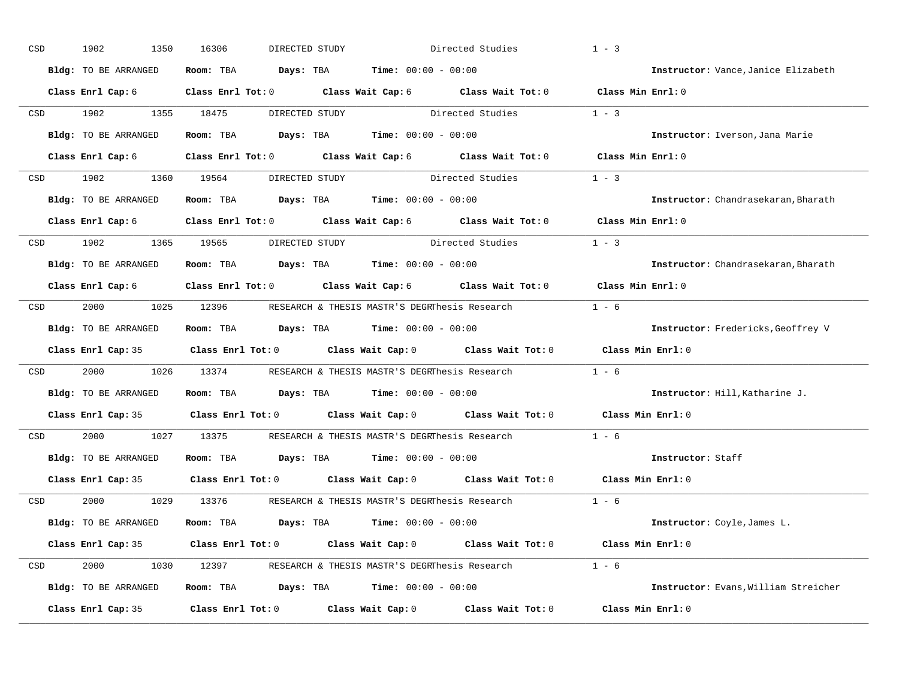| CSD | 1902<br>1350                | 16306     | DIRECTED STUDY                                                           | Directed Studies                                                                                   | $1 - 3$                              |
|-----|-----------------------------|-----------|--------------------------------------------------------------------------|----------------------------------------------------------------------------------------------------|--------------------------------------|
|     | Bldg: TO BE ARRANGED        | Room: TBA | <b>Days:</b> TBA <b>Time:</b> $00:00 - 00:00$                            |                                                                                                    | Instructor: Vance, Janice Elizabeth  |
|     | Class Enrl Cap: 6           |           |                                                                          | Class Enrl Tot: $0$ Class Wait Cap: $6$ Class Wait Tot: $0$ Class Min Enrl: $0$                    |                                      |
| CSD | 1902<br>1355                | 18475     |                                                                          | DIRECTED STUDY Directed Studies                                                                    | $1 - 3$                              |
|     | Bldg: TO BE ARRANGED        | Room: TBA | <b>Days:</b> TBA <b>Time:</b> $00:00 - 00:00$                            |                                                                                                    | Instructor: Iverson, Jana Marie      |
|     | Class Enrl Cap: 6           |           |                                                                          | Class Enrl Tot: 0 $\qquad$ Class Wait Cap: 6 $\qquad$ Class Wait Tot: 0 $\qquad$ Class Min Enrl: 0 |                                      |
| CSD | 1902<br>1360                | 19564     | DIRECTED STUDY Directed Studies                                          |                                                                                                    | $1 - 3$                              |
|     | Bldg: TO BE ARRANGED        | Room: TBA | <b>Days:</b> TBA <b>Time:</b> $00:00 - 00:00$                            |                                                                                                    | Instructor: Chandrasekaran, Bharath  |
|     | Class Enrl Cap: 6           |           | Class Enrl Tot: 0 $\qquad$ Class Wait Cap: 6 $\qquad$ Class Wait Tot: 0  |                                                                                                    | Class Min $Enr1:0$                   |
| CSD | 1902<br>1365                | 19565     | DIRECTED STUDY                                                           | Directed Studies                                                                                   | $1 - 3$                              |
|     | <b>Bldg:</b> TO BE ARRANGED | Room: TBA | <b>Days:</b> TBA <b>Time:</b> $00:00 - 00:00$                            |                                                                                                    | Instructor: Chandrasekaran, Bharath  |
|     | Class Enrl Cap: 6           |           | Class Enrl Tot: 0 Class Wait Cap: 6 Class Wait Tot: 0                    |                                                                                                    | Class Min Enrl: 0                    |
| CSD | 2000<br>1025                | 12396     | RESEARCH & THESIS MASTR'S DEGRThesis Research                            |                                                                                                    | $1 - 6$                              |
|     | Bldg: TO BE ARRANGED        | Room: TBA | <b>Days:</b> TBA <b>Time:</b> $00:00 - 00:00$                            |                                                                                                    | Instructor: Fredericks, Geoffrey V   |
|     |                             |           | Class Enrl Cap: 35 Class Enrl Tot: 0 Class Wait Cap: 0 Class Wait Tot: 0 |                                                                                                    | Class Min Enrl: 0                    |
| CSD | 2000<br>1026                | 13374     | RESEARCH & THESIS MASTR'S DEGRINES S Research                            |                                                                                                    | $1 - 6$                              |
|     | Bldg: TO BE ARRANGED        | Room: TBA | <b>Days:</b> TBA <b>Time:</b> $00:00 - 00:00$                            |                                                                                                    | Instructor: Hill, Katharine J.       |
|     |                             |           | Class Enrl Cap: 35 Class Enrl Tot: 0 Class Wait Cap: 0 Class Wait Tot: 0 |                                                                                                    | Class Min Enrl: 0                    |
| CSD | 2000<br>1027                | 13375     | RESEARCH & THESIS MASTR'S DEGRIPesis Research                            |                                                                                                    | $1 - 6$                              |
|     | Bldg: TO BE ARRANGED        | Room: TBA | <b>Days:</b> TBA <b>Time:</b> $00:00 - 00:00$                            |                                                                                                    | Instructor: Staff                    |
|     |                             |           | Class Enrl Cap: 35 Class Enrl Tot: 0 Class Wait Cap: 0 Class Wait Tot: 0 |                                                                                                    | Class Min Enrl: 0                    |
| CSD | 2000<br>1029                | 13376     | RESEARCH & THESIS MASTR'S DEGRThesis Research                            |                                                                                                    | $1 - 6$                              |
|     | Bldg: TO BE ARRANGED        | Room: TBA | <b>Days:</b> TBA <b>Time:</b> $00:00 - 00:00$                            |                                                                                                    | Instructor: Coyle, James L.          |
|     | Class Enrl Cap: 35          |           |                                                                          | Class Enrl Tot: 0 $\qquad$ Class Wait Cap: 0 $\qquad$ Class Wait Tot: 0 $\qquad$ Class Min Enrl: 0 |                                      |
| CSD | 2000<br>1030                | 12397     |                                                                          | RESEARCH & THESIS MASTR'S DEGRThesis Research 1 - 6                                                |                                      |
|     | Bldg: TO BE ARRANGED        | Room: TBA | <b>Days:</b> TBA <b>Time:</b> $00:00 - 00:00$                            |                                                                                                    | Instructor: Evans, William Streicher |
|     |                             |           |                                                                          |                                                                                                    |                                      |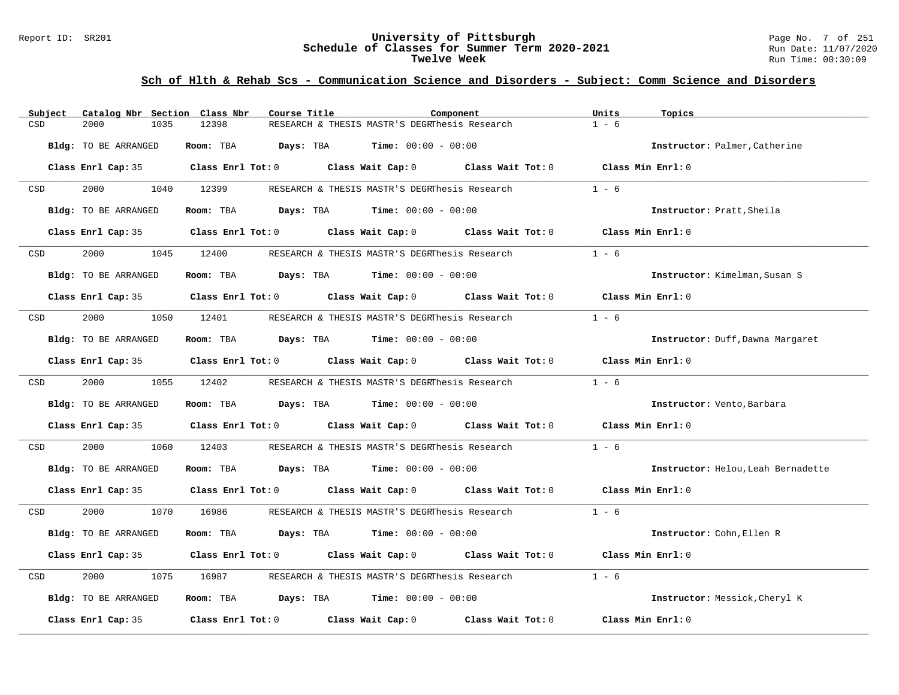### Report ID: SR201 **University of Pittsburgh** Page No. 7 of 251 **Schedule of Classes for Summer Term 2020-2021** Run Date: 11/07/2020 **Twelve Week** Run Time: 00:30:09

| Subject | Catalog Nbr Section Class Nbr | Course Title                                                                                        |                                               | Component | Units<br>Topics                    |  |
|---------|-------------------------------|-----------------------------------------------------------------------------------------------------|-----------------------------------------------|-----------|------------------------------------|--|
| CSD     | 2000<br>1035                  | 12398                                                                                               | RESEARCH & THESIS MASTR'S DEGRThesis Research |           | $1 - 6$                            |  |
|         | Bldg: TO BE ARRANGED          | Room: TBA                                                                                           | <b>Days:</b> TBA <b>Time:</b> $00:00 - 00:00$ |           | Instructor: Palmer, Catherine      |  |
|         |                               | Class Enrl Cap: 35 $\,$ Class Enrl Tot: 0 $\,$ Class Wait Cap: 0 $\,$ Class Wait Tot: 0 $\,$        |                                               |           | Class Min Enrl: 0                  |  |
| CSD     | 2000                          | 1040 12399                                                                                          | RESEARCH & THESIS MASTR'S DEGRThesis Research |           | $1 - 6$                            |  |
|         | Bldg: TO BE ARRANGED          | Room: TBA $Days:$ TBA $Time: 00:00 - 00:00$                                                         |                                               |           | Instructor: Pratt, Sheila          |  |
|         |                               | Class Enrl Cap: 35 Class Enrl Tot: 0 Class Wait Cap: 0 Class Wait Tot: 0 Class Min Enrl: 0          |                                               |           |                                    |  |
| CSD     | 2000 000                      | 1045 12400                                                                                          | RESEARCH & THESIS MASTR'S DEGRThesis Research |           | $1 - 6$                            |  |
|         | Bldg: TO BE ARRANGED          | Room: TBA $Days:$ TBA $Time: 00:00 - 00:00$                                                         |                                               |           | Instructor: Kimelman, Susan S      |  |
|         |                               | Class Enrl Cap: 35 $\qquad$ Class Enrl Tot: 0 $\qquad$ Class Wait Cap: 0 $\qquad$ Class Wait Tot: 0 |                                               |           | Class Min Enrl: 0                  |  |
| CSD     | 2000<br>1050                  | 12401                                                                                               | RESEARCH & THESIS MASTR'S DEGRThesis Research |           | $1 - 6$                            |  |
|         | Bldg: TO BE ARRANGED          | Room: TBA $\rule{1em}{0.15mm}$ Days: TBA $\qquad$ Time: $00:00 - 00:00$                             |                                               |           | Instructor: Duff, Dawna Margaret   |  |
|         |                               | Class Enrl Cap: 35 Class Enrl Tot: 0 Class Wait Cap: 0 Class Wait Tot: 0 Class Min Enrl: 0          |                                               |           |                                    |  |
| CSD     | 2000 000                      | 1055 12402                                                                                          | RESEARCH & THESIS MASTR'S DEGRThesis Research |           | $1 - 6$                            |  |
|         | Bldg: TO BE ARRANGED          | Room: TBA $Days:$ TBA $Time: 00:00 - 00:00$                                                         |                                               |           | Instructor: Vento, Barbara         |  |
|         |                               | Class Enrl Cap: 35 Class Enrl Tot: 0 Class Wait Cap: 0 Class Wait Tot: 0 Class Min Enrl: 0          |                                               |           |                                    |  |
| CSD     | 2000<br>1060                  | 12403                                                                                               | RESEARCH & THESIS MASTR'S DEGRThesis Research |           | $1 - 6$                            |  |
|         | Bldg: TO BE ARRANGED          | Room: TBA $Days:$ TBA $Time: 00:00 - 00:00$                                                         |                                               |           | Instructor: Helou, Leah Bernadette |  |
|         |                               | Class Enrl Cap: 35 Class Enrl Tot: 0 Class Wait Cap: 0 Class Wait Tot: 0 Class Min Enrl: 0          |                                               |           |                                    |  |
| CSD     | 2000 000                      | 1070 16986                                                                                          | RESEARCH & THESIS MASTR'S DEGRThesis Research |           | $1 - 6$                            |  |
|         | Bldg: TO BE ARRANGED          | Room: TBA $Days:$ TBA $Time: 00:00 - 00:00$                                                         |                                               |           | Instructor: Cohn, Ellen R          |  |
|         |                               | Class Enrl Cap: 35 Class Enrl Tot: 0 Class Wait Cap: 0 Class Wait Tot: 0 Class Min Enrl: 0          |                                               |           |                                    |  |
| CSD     | 2000<br>1075                  | 16987                                                                                               | RESEARCH & THESIS MASTR'S DEGRThesis Research |           | $1 - 6$                            |  |
|         | Bldg: TO BE ARRANGED          | Room: TBA $Days:$ TBA $Time: 00:00 - 00:00$                                                         |                                               |           | Instructor: Messick, Cheryl K      |  |
|         | Class Enrl Cap: 35            | Class Enrl Tot: $0$ Class Wait Cap: $0$ Class Wait Tot: $0$                                         |                                               |           | Class Min Enrl: 0                  |  |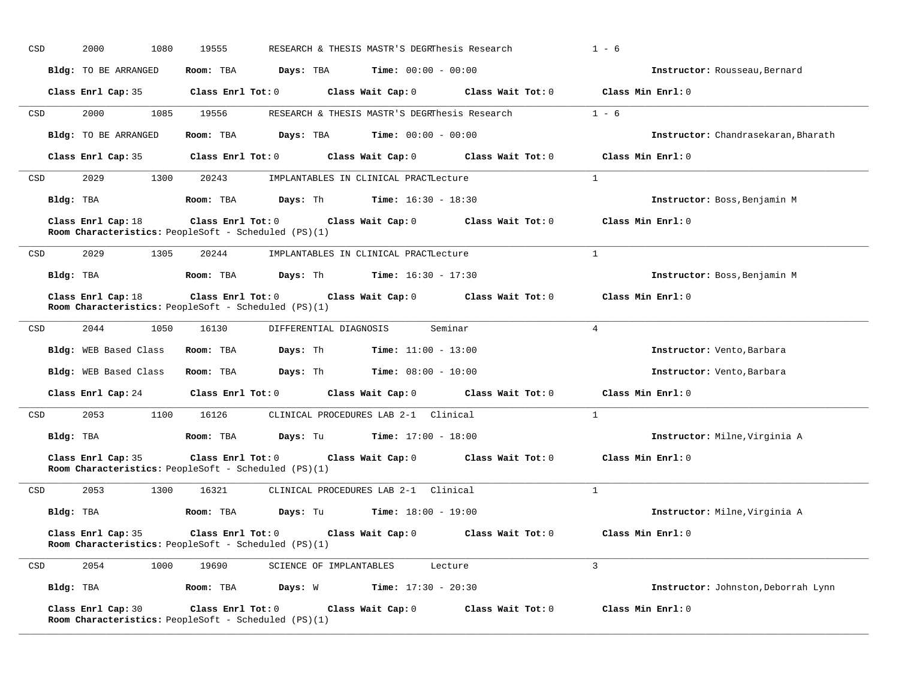| CSD | 2000<br>1080          | 19555                                                                                                                                   | RESEARCH & THESIS MASTR'S DEGRIDesis Research | $1 - 6$                             |
|-----|-----------------------|-----------------------------------------------------------------------------------------------------------------------------------------|-----------------------------------------------|-------------------------------------|
|     | Bldg: TO BE ARRANGED  | <b>Days:</b> TBA <b>Time:</b> $00:00 - 00:00$<br>Room: TBA                                                                              |                                               | Instructor: Rousseau, Bernard       |
|     |                       | Class Enrl Cap: 35 Class Enrl Tot: 0 Class Wait Cap: 0 Class Wait Tot: 0 Class Min Enrl: 0                                              |                                               |                                     |
| CSD | 2000<br>1085          | 19556                                                                                                                                   | RESEARCH & THESIS MASTR'S DEGRThesis Research | $1 - 6$                             |
|     | Bldg: TO BE ARRANGED  | Room: TBA<br>Days: TBA                                                                                                                  | <b>Time:</b> $00:00 - 00:00$                  | Instructor: Chandrasekaran, Bharath |
|     |                       | Class Enrl Cap: 35 Class Enrl Tot: 0 Class Wait Cap: 0 Class Wait Tot: 0 Class Min Enrl: 0                                              |                                               |                                     |
| CSD | 2029                  | 1300 20243<br>IMPLANTABLES IN CLINICAL PRACTLecture                                                                                     |                                               | 1                                   |
|     |                       | Bldg: TBA                   Room: TBA         Days: Th         Time: 16:30 - 18:30                                                      |                                               | Instructor: Boss, Benjamin M        |
|     | Class Enrl Cap: 18    | Class Enrl Tot: 0<br>Room Characteristics: PeopleSoft - Scheduled (PS)(1)                                                               | Class Wait Cap: $0$ Class Wait Tot: $0$       | Class Min Enrl: 0                   |
| CSD | 2029<br>1305          | 20244 IMPLANTABLES IN CLINICAL PRACTLecture                                                                                             |                                               | $\mathbf{1}$                        |
|     | Bldg: TBA             | <b>Room:</b> TBA $\qquad \qquad$ <b>Days:</b> Th $\qquad \qquad$ <b>Time:</b> 16:30 - 17:30                                             |                                               | Instructor: Boss, Benjamin M        |
|     | Class Enrl Cap: 18    | Class Enrl Tot: $0$ Class Wait Cap: $0$ Class Wait Tot: $0$ Class Min Enrl: $0$<br>Room Characteristics: PeopleSoft - Scheduled (PS)(1) |                                               |                                     |
| CSD | 2044<br>1050          | 16130<br>DIFFERENTIAL DIAGNOSIS                                                                                                         | Seminar                                       | $\overline{4}$                      |
|     | Bldg: WEB Based Class | <b>Days:</b> Th <b>Time:</b> $11:00 - 13:00$<br>Room: TBA                                                                               |                                               | Instructor: Vento, Barbara          |
|     | Bldg: WEB Based Class | <b>Room:</b> TBA <b>Days:</b> Th <b>Time:</b> $08:00 - 10:00$                                                                           |                                               | Instructor: Vento, Barbara          |
|     |                       | Class Enrl Cap: 24 Class Enrl Tot: 0 Class Wait Cap: 0 Class Wait Tot: 0 Class Min Enrl: 0                                              |                                               |                                     |
| CSD | 2053                  | 1100 16126 CLINICAL PROCEDURES LAB 2-1 Clinical                                                                                         |                                               | <sup>1</sup>                        |
|     | Bldg: TBA             | <b>Room:</b> TBA <b>Days:</b> Tu <b>Time:</b> $17:00 - 18:00$                                                                           |                                               | Instructor: Milne, Virginia A       |
|     | Class Enrl Cap: 35    | Class Enrl Tot: 0 Class Wait Cap: 0 Class Wait Tot: 0 Class Min Enrl: 0<br>Room Characteristics: PeopleSoft - Scheduled (PS)(1)         |                                               |                                     |
| CSD | 2053<br>1300          | 16321 CLINICAL PROCEDURES LAB 2-1 Clinical                                                                                              |                                               | $\mathbf{1}$                        |
|     |                       | $Bldq$ : TBA $Room$ : TBA $Days$ : Tu $Time$ : 18:00 - 19:00                                                                            |                                               | Instructor: Milne, Virginia A       |
|     | Class Enrl Cap: 35    | Class Enrl Tot: 0<br>Room Characteristics: PeopleSoft - Scheduled (PS)(1)                                                               | Class Wait Cap: 0 Class Wait Tot: 0           | Class Min Enrl: 0                   |
| CSD | 2054<br>1000          | 19690<br>SCIENCE OF IMPLANTABLES                                                                                                        | Lecture                                       | $\mathbf{3}$                        |
|     |                       | Bldg: TBA                       Room: TBA          Days: W            Time: 17:30 - 20:30                                               |                                               | Instructor: Johnston, Deborrah Lynn |
|     | Class Enrl Cap: 30    | Class Enrl Tot: 0<br>Class Wait Cap: 0<br>Room Characteristics: PeopleSoft - Scheduled (PS)(1)                                          | Class Wait Tot: 0                             | Class Min Enrl: 0                   |

**\_\_\_\_\_\_\_\_\_\_\_\_\_\_\_\_\_\_\_\_\_\_\_\_\_\_\_\_\_\_\_\_\_\_\_\_\_\_\_\_\_\_\_\_\_\_\_\_\_\_\_\_\_\_\_\_\_\_\_\_\_\_\_\_\_\_\_\_\_\_\_\_\_\_\_\_\_\_\_\_\_\_\_\_\_\_\_\_\_\_\_\_\_\_\_\_\_\_\_\_\_\_\_\_\_\_\_\_\_\_\_\_\_\_\_\_\_\_\_\_\_\_\_\_\_\_\_\_\_\_\_\_\_\_\_\_\_\_\_\_\_\_\_\_\_\_\_\_\_\_\_\_\_\_\_\_**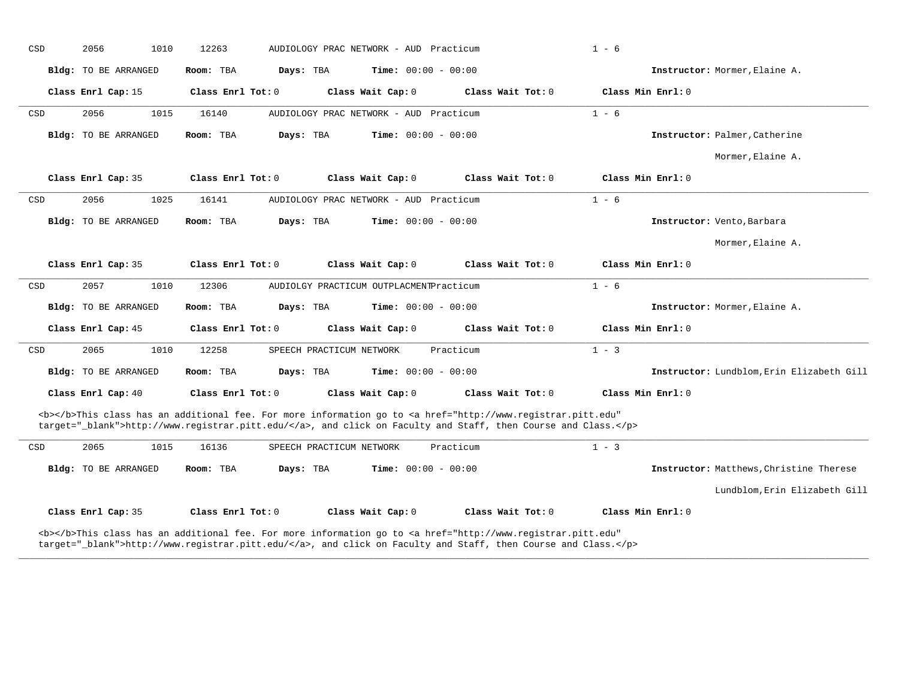| CSD | 2056<br>1010                | 12263                                                                                                                                                                                                                              | AUDIOLOGY PRAC NETWORK - AUD Practicum  |                   | $1 - 6$           |                                           |
|-----|-----------------------------|------------------------------------------------------------------------------------------------------------------------------------------------------------------------------------------------------------------------------------|-----------------------------------------|-------------------|-------------------|-------------------------------------------|
|     | Bldg: TO BE ARRANGED        | Room: TBA<br>Days: TBA                                                                                                                                                                                                             | <b>Time:</b> $00:00 - 00:00$            |                   |                   | Instructor: Mormer, Elaine A.             |
|     | Class Enrl Cap: 15          | Class Enrl Tot: 0                                                                                                                                                                                                                  | Class Wait Cap: 0                       | Class Wait Tot: 0 | Class Min Enrl: 0 |                                           |
| CSD | 2056<br>1015                | 16140                                                                                                                                                                                                                              | AUDIOLOGY PRAC NETWORK - AUD Practicum  |                   | $1 - 6$           |                                           |
|     | <b>Bldg:</b> TO BE ARRANGED | Days: TBA<br>Room: TBA                                                                                                                                                                                                             | <b>Time:</b> $00:00 - 00:00$            |                   |                   | Instructor: Palmer, Catherine             |
|     |                             |                                                                                                                                                                                                                                    |                                         |                   |                   | Mormer, Elaine A.                         |
|     | Class Enrl Cap: 35          | Class Enrl Tot: 0                                                                                                                                                                                                                  | Class Wait Cap: 0                       | Class Wait Tot: 0 | Class Min Enrl: 0 |                                           |
| CSD | 2056<br>1025                | 16141                                                                                                                                                                                                                              | AUDIOLOGY PRAC NETWORK - AUD Practicum  |                   | $1 - 6$           |                                           |
|     | Bldg: TO BE ARRANGED        | Room: TBA<br>Days: TBA                                                                                                                                                                                                             | Time: $00:00 - 00:00$                   |                   |                   | Instructor: Vento, Barbara                |
|     |                             |                                                                                                                                                                                                                                    |                                         |                   |                   | Mormer, Elaine A.                         |
|     | Class Enrl Cap: 35          | Class Enrl Tot: 0                                                                                                                                                                                                                  | Class Wait Cap: 0                       | Class Wait Tot: 0 | Class Min Enrl: 0 |                                           |
| CSD | 2057<br>1010                | 12306                                                                                                                                                                                                                              | AUDIOLGY PRACTICUM OUTPLACMENTPracticum |                   | $1 - 6$           |                                           |
|     | Bldg: TO BE ARRANGED        | Days: TBA<br>Room: TBA                                                                                                                                                                                                             | <b>Time:</b> $00:00 - 00:00$            |                   |                   | Instructor: Mormer, Elaine A.             |
|     | Class Enrl Cap: 45          | Class Enrl Tot: 0                                                                                                                                                                                                                  | Class Wait Cap: 0                       | Class Wait Tot: 0 | Class Min Enrl: 0 |                                           |
| CSD | 2065<br>1010                | 12258                                                                                                                                                                                                                              | SPEECH PRACTICUM NETWORK                | Practicum         | $1 - 3$           |                                           |
|     | Bldg: TO BE ARRANGED        | Room: TBA<br>Days: TBA                                                                                                                                                                                                             | <b>Time:</b> $00:00 - 00:00$            |                   |                   | Instructor: Lundblom, Erin Elizabeth Gill |
|     | Class Enrl Cap: 40          | Class Enrl Tot: 0                                                                                                                                                                                                                  | Class Wait Cap: 0                       | Class Wait Tot: 0 | Class Min Enrl: 0 |                                           |
|     |                             | <b></b> This class has an additional fee. For more information go to <a <br="" href="http://www.registrar.pitt.edu">target="_blank"&gt;http://www.registrar.pitt.edu/</a> , and click on Faculty and Staff, then Course and Class. |                                         |                   |                   |                                           |
| CSD | 2065<br>1015                | 16136                                                                                                                                                                                                                              | SPEECH PRACTICUM NETWORK                | Practicum         | $1 - 3$           |                                           |
|     | Bldg: TO BE ARRANGED        | Days: TBA<br>Room: TBA                                                                                                                                                                                                             | <b>Time:</b> $00:00 - 00:00$            |                   |                   | Instructor: Matthews, Christine Therese   |
|     |                             |                                                                                                                                                                                                                                    |                                         |                   |                   | Lundblom, Erin Elizabeth Gill             |
|     | Class Enrl Cap: 35          | Class Enrl Tot: 0                                                                                                                                                                                                                  | Class Wait Cap: 0                       | Class Wait Tot: 0 | Class Min Enrl: 0 |                                           |
|     |                             | <b></b> This class has an additional fee. For more information go to <a <br="" href="http://www.registrar.pitt.edu">target="_blank"&gt;http://www.registrar.pitt.edu/</a> , and click on Faculty and Staff, then Course and Class. |                                         |                   |                   |                                           |

**\_\_\_\_\_\_\_\_\_\_\_\_\_\_\_\_\_\_\_\_\_\_\_\_\_\_\_\_\_\_\_\_\_\_\_\_\_\_\_\_\_\_\_\_\_\_\_\_\_\_\_\_\_\_\_\_\_\_\_\_\_\_\_\_\_\_\_\_\_\_\_\_\_\_\_\_\_\_\_\_\_\_\_\_\_\_\_\_\_\_\_\_\_\_\_\_\_\_\_\_\_\_\_\_\_\_\_\_\_\_\_\_\_\_\_\_\_\_\_\_\_\_\_\_\_\_\_\_\_\_\_\_\_\_\_\_\_\_\_\_\_\_\_\_\_\_\_\_\_\_\_\_\_\_\_\_**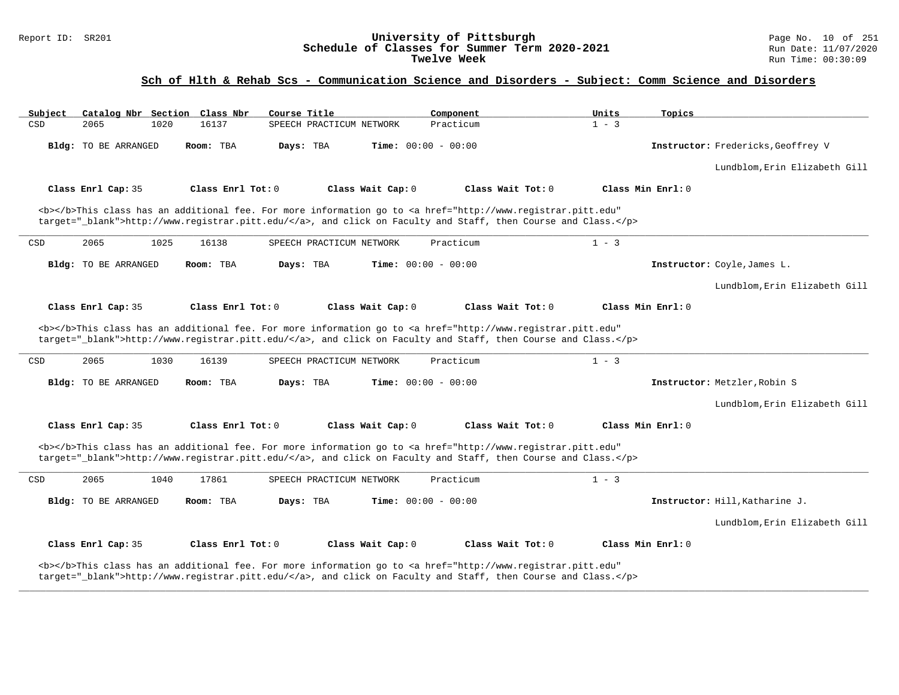### Report ID: SR201 **University of Pittsburgh** Page No. 10 of 251 **Schedule of Classes for Summer Term 2020-2021** Run Date: 11/07/2020 **Twelve Week** Run Time: 00:30:09

### **Sch of Hlth & Rehab Scs - Communication Science and Disorders - Subject: Comm Science and Disorders**

| Subject |                      |      | Catalog Nbr Section Class Nbr | Course Title |                          |                   | Component                    |                                                                                                                                                                                                                                    | Units   | Topics            |                                    |
|---------|----------------------|------|-------------------------------|--------------|--------------------------|-------------------|------------------------------|------------------------------------------------------------------------------------------------------------------------------------------------------------------------------------------------------------------------------------|---------|-------------------|------------------------------------|
| CSD     | 2065                 | 1020 | 16137                         |              | SPEECH PRACTICUM NETWORK |                   | Practicum                    |                                                                                                                                                                                                                                    | $1 - 3$ |                   |                                    |
|         | Bldg: TO BE ARRANGED |      | Room: TBA                     | Days: TBA    |                          |                   | <b>Time:</b> $00:00 - 00:00$ |                                                                                                                                                                                                                                    |         |                   | Instructor: Fredericks, Geoffrey V |
|         |                      |      |                               |              |                          |                   |                              |                                                                                                                                                                                                                                    |         |                   | Lundblom, Erin Elizabeth Gill      |
|         | Class Enrl Cap: 35   |      | Class Enrl Tot: 0             |              |                          | Class Wait Cap: 0 |                              | Class Wait Tot: 0                                                                                                                                                                                                                  |         | Class Min Enrl: 0 |                                    |
|         |                      |      |                               |              |                          |                   |                              | <b></b> This class has an additional fee. For more information go to <a <br="" href="http://www.registrar.pitt.edu">target=" blank"&gt;http://www.registrar.pitt.edu/</a> , and click on Faculty and Staff, then Course and Class. |         |                   |                                    |
| CSD     | 2065                 | 1025 | 16138                         |              | SPEECH PRACTICUM NETWORK |                   | Practicum                    |                                                                                                                                                                                                                                    | $1 - 3$ |                   |                                    |
|         | Bldg: TO BE ARRANGED |      | Room: TBA                     | Days: TBA    |                          |                   | <b>Time:</b> $00:00 - 00:00$ |                                                                                                                                                                                                                                    |         |                   | Instructor: Coyle, James L.        |
|         |                      |      |                               |              |                          |                   |                              |                                                                                                                                                                                                                                    |         |                   | Lundblom, Erin Elizabeth Gill      |
|         | Class Enrl Cap: 35   |      | Class Enrl Tot: 0             |              |                          | Class Wait Cap: 0 |                              | Class Wait Tot: 0                                                                                                                                                                                                                  |         | Class Min Enrl: 0 |                                    |
|         |                      |      |                               |              |                          |                   |                              | <b></b> This class has an additional fee. For more information go to <a <br="" href="http://www.registrar.pitt.edu">target="_blank"&gt;http://www.registrar.pitt.edu/</a> , and click on Faculty and Staff, then Course and Class. |         |                   |                                    |
| CSD     | 2065                 | 1030 | 16139                         |              | SPEECH PRACTICUM NETWORK |                   | Practicum                    |                                                                                                                                                                                                                                    | $1 - 3$ |                   |                                    |
|         | Bldg: TO BE ARRANGED |      | Room: TBA                     | Days: TBA    |                          |                   | Time: $00:00 - 00:00$        |                                                                                                                                                                                                                                    |         |                   | Instructor: Metzler, Robin S       |
|         |                      |      |                               |              |                          |                   |                              |                                                                                                                                                                                                                                    |         |                   | Lundblom, Erin Elizabeth Gill      |
|         | Class Enrl Cap: 35   |      | Class Enrl Tot: 0             |              |                          | Class Wait Cap: 0 |                              | Class Wait Tot: 0                                                                                                                                                                                                                  |         | Class Min Enrl: 0 |                                    |
|         |                      |      |                               |              |                          |                   |                              | <b></b> This class has an additional fee. For more information go to <a <br="" href="http://www.registrar.pitt.edu">target="_blank"&gt;http://www.registrar.pitt.edu/</a> , and click on Faculty and Staff, then Course and Class. |         |                   |                                    |
| CSD     | 2065                 | 1040 | 17861                         |              | SPEECH PRACTICUM NETWORK |                   | Practicum                    |                                                                                                                                                                                                                                    | $1 - 3$ |                   |                                    |
|         | Bldg: TO BE ARRANGED |      | Room: TBA                     | Days: TBA    |                          |                   | <b>Time:</b> $00:00 - 00:00$ |                                                                                                                                                                                                                                    |         |                   | Instructor: Hill, Katharine J.     |
|         |                      |      |                               |              |                          |                   |                              |                                                                                                                                                                                                                                    |         |                   | Lundblom, Erin Elizabeth Gill      |
|         | Class Enrl Cap: 35   |      | Class Enrl Tot: 0             |              |                          | Class Wait Cap: 0 |                              | Class Wait Tot: 0                                                                                                                                                                                                                  |         | Class Min Enrl: 0 |                                    |
|         |                      |      |                               |              |                          |                   |                              | <b></b> This class has an additional fee. For more information go to <a <br="" href="http://www.registrar.pitt.edu">target="_blank"&gt;http://www.registrar.pitt.edu/</a> , and click on Faculty and Staff, then Course and Class. |         |                   |                                    |

**\_\_\_\_\_\_\_\_\_\_\_\_\_\_\_\_\_\_\_\_\_\_\_\_\_\_\_\_\_\_\_\_\_\_\_\_\_\_\_\_\_\_\_\_\_\_\_\_\_\_\_\_\_\_\_\_\_\_\_\_\_\_\_\_\_\_\_\_\_\_\_\_\_\_\_\_\_\_\_\_\_\_\_\_\_\_\_\_\_\_\_\_\_\_\_\_\_\_\_\_\_\_\_\_\_\_\_\_\_\_\_\_\_\_\_\_\_\_\_\_\_\_\_\_\_\_\_\_\_\_\_\_\_\_\_\_\_\_\_\_\_\_\_\_\_\_\_\_\_\_\_\_\_\_\_\_**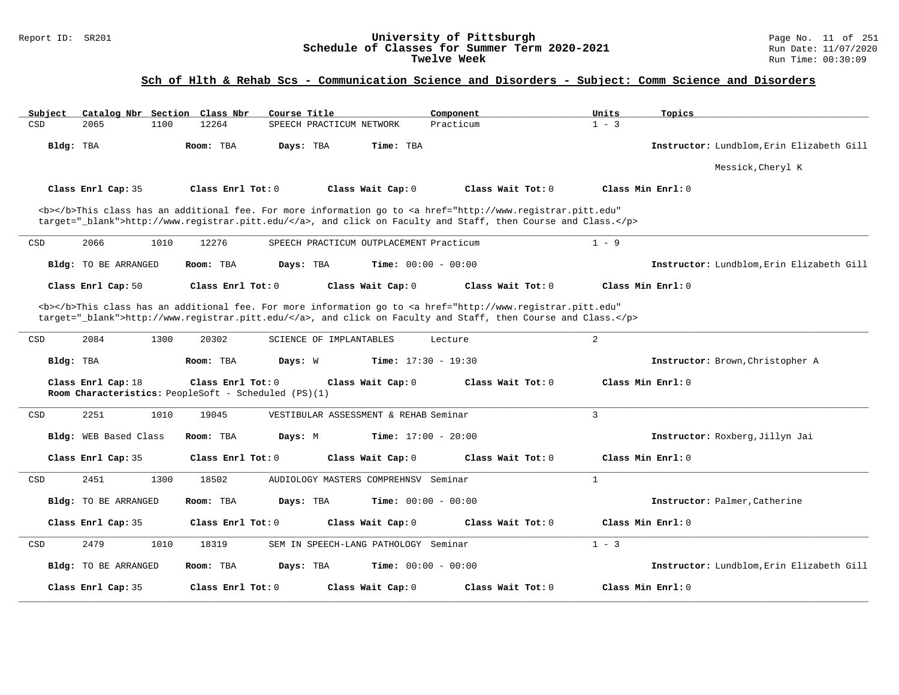### Report ID: SR201 **University of Pittsburgh** Page No. 11 of 251 **Schedule of Classes for Summer Term 2020-2021** Run Date: 11/07/2020 **Twelve Week** Run Time: 00:30:09

| Subject |                                                                            |      | Catalog Nbr Section Class Nbr | Course Title |                          |                                         | Component                                                                                                                                                                                                                          | Units          | Topics              |                                           |
|---------|----------------------------------------------------------------------------|------|-------------------------------|--------------|--------------------------|-----------------------------------------|------------------------------------------------------------------------------------------------------------------------------------------------------------------------------------------------------------------------------------|----------------|---------------------|-------------------------------------------|
| CSD     | 2065                                                                       | 1100 | 12264                         |              | SPEECH PRACTICUM NETWORK |                                         | Practicum                                                                                                                                                                                                                          | $1 - 3$        |                     |                                           |
|         | Bldg: TBA                                                                  |      | Room: TBA                     | Days: TBA    |                          | Time: TBA                               |                                                                                                                                                                                                                                    |                |                     | Instructor: Lundblom, Erin Elizabeth Gill |
|         |                                                                            |      |                               |              |                          |                                         |                                                                                                                                                                                                                                    |                |                     | Messick, Cheryl K                         |
|         | Class Enrl Cap: 35                                                         |      | Class Enrl Tot: 0             |              |                          | Class Wait Cap: 0                       | Class Wait Tot: 0                                                                                                                                                                                                                  |                | Class Min Enrl: 0   |                                           |
|         |                                                                            |      |                               |              |                          |                                         | <b></b> This class has an additional fee. For more information go to <a <br="" href="http://www.registrar.pitt.edu">target="_blank"&gt;http://www.registrar.pitt.edu/</a> , and click on Faculty and Staff, then Course and Class. |                |                     |                                           |
| CSD     | 2066                                                                       | 1010 | 12276                         |              |                          | SPEECH PRACTICUM OUTPLACEMENT Practicum |                                                                                                                                                                                                                                    | $1 - 9$        |                     |                                           |
|         | <b>Bldg:</b> TO BE ARRANGED                                                |      | Room: TBA                     | Days: TBA    |                          | <b>Time:</b> $00:00 - 00:00$            |                                                                                                                                                                                                                                    |                |                     | Instructor: Lundblom, Erin Elizabeth Gill |
|         | Class Enrl Cap: 50                                                         |      | Class Enrl Tot: $0$           |              |                          | Class Wait Cap: 0                       | Class Wait Tot: 0                                                                                                                                                                                                                  |                | Class Min $Enrl: 0$ |                                           |
|         |                                                                            |      |                               |              |                          |                                         | <b></b> This class has an additional fee. For more information go to <a <br="" href="http://www.registrar.pitt.edu">target="_blank"&gt;http://www.registrar.pitt.edu/</a> , and click on Faculty and Staff, then Course and Class. |                |                     |                                           |
| CSD     | 2084                                                                       | 1300 | 20302                         |              | SCIENCE OF IMPLANTABLES  |                                         | Lecture                                                                                                                                                                                                                            | 2              |                     |                                           |
|         | Bldg: TBA                                                                  |      | Room: TBA                     | Days: W      |                          | Time: $17:30 - 19:30$                   |                                                                                                                                                                                                                                    |                |                     | Instructor: Brown, Christopher A          |
|         | Class Enrl Cap: 18<br>Room Characteristics: PeopleSoft - Scheduled (PS)(1) |      | Class Enrl Tot: 0             |              |                          | Class Wait Cap: 0                       | Class Wait Tot: 0                                                                                                                                                                                                                  |                | Class Min Enrl: 0   |                                           |
| CSD     | 2251                                                                       | 1010 | 19045                         |              |                          | VESTIBULAR ASSESSMENT & REHAB Seminar   |                                                                                                                                                                                                                                    | $\overline{3}$ |                     |                                           |
|         | Bldg: WEB Based Class                                                      |      | Room: TBA                     | Days: M      |                          | Time: $17:00 - 20:00$                   |                                                                                                                                                                                                                                    |                |                     | Instructor: Roxberg, Jillyn Jai           |
|         | Class Enrl Cap: 35                                                         |      | Class Enrl Tot: 0             |              |                          | Class Wait Cap: 0                       | Class Wait Tot: 0                                                                                                                                                                                                                  |                | Class Min Enrl: 0   |                                           |
| CSD     | 2451                                                                       | 1300 | 18502                         |              |                          | AUDIOLOGY MASTERS COMPREHNSV Seminar    |                                                                                                                                                                                                                                    | 1              |                     |                                           |
|         | Bldg: TO BE ARRANGED                                                       |      | Room: TBA                     | Days: TBA    |                          | <b>Time:</b> $00:00 - 00:00$            |                                                                                                                                                                                                                                    |                |                     | Instructor: Palmer, Catherine             |
|         | Class Enrl Cap: 35                                                         |      | Class Enrl Tot: 0             |              |                          | Class Wait Cap: 0                       | Class Wait Tot: 0                                                                                                                                                                                                                  |                | Class Min Enrl: 0   |                                           |
| CSD     | 2479                                                                       | 1010 | 18319                         |              |                          | SEM IN SPEECH-LANG PATHOLOGY Seminar    |                                                                                                                                                                                                                                    | $1 - 3$        |                     |                                           |
|         | <b>Bldg:</b> TO BE ARRANGED                                                |      | Room: TBA                     | Days: TBA    |                          | <b>Time:</b> $00:00 - 00:00$            |                                                                                                                                                                                                                                    |                |                     | Instructor: Lundblom, Erin Elizabeth Gill |
|         | Class Enrl Cap: 35                                                         |      | $Class$ $Enr1$ $Tot: 0$       |              |                          | Class Wait Cap: 0                       | Class Wait $Tot: 0$                                                                                                                                                                                                                |                | Class Min Enrl: 0   |                                           |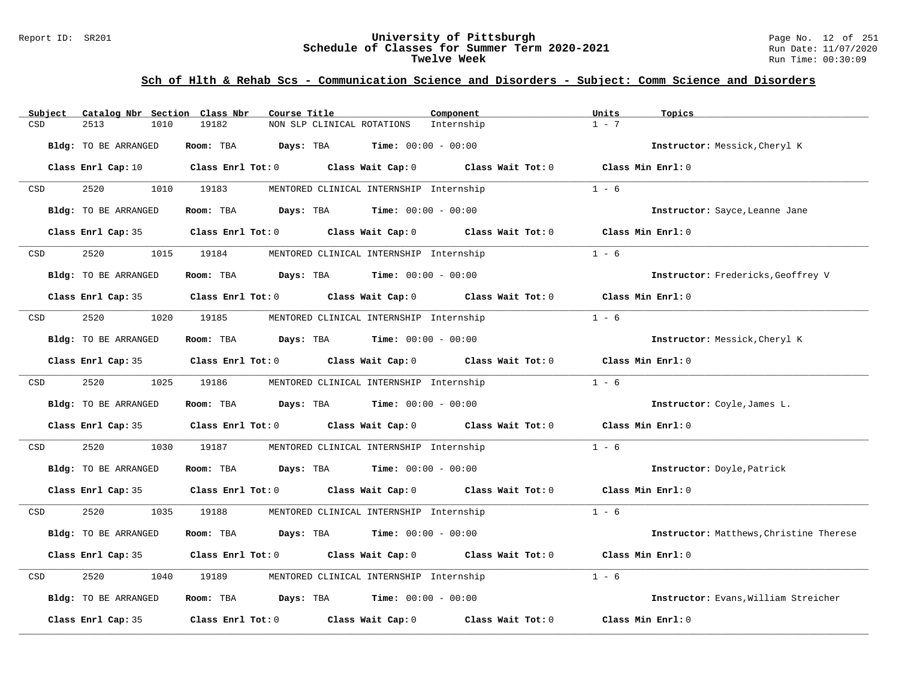### Report ID: SR201 **University of Pittsburgh** Page No. 12 of 251 **Schedule of Classes for Summer Term 2020-2021** Run Date: 11/07/2020 **Twelve Week** Run Time: 00:30:09

| Subject<br>Catalog Nbr Section Class Nbr | Component<br>Course Title                                    | Units<br>Topics                         |
|------------------------------------------|--------------------------------------------------------------|-----------------------------------------|
| CSD<br>2513<br>1010                      | 19182<br>NON SLP CLINICAL ROTATIONS<br>Internship            | $1 - 7$                                 |
| Bldg: TO BE ARRANGED                     | Room: TBA<br>Days: TBA<br><b>Time:</b> $00:00 - 00:00$       | Instructor: Messick, Cheryl K           |
| Class Enrl Cap: 10                       | Class Enrl Tot: $0$ Class Wait Cap: $0$ Class Wait Tot: $0$  | Class Min Enrl: 0                       |
| 2520<br>CSD<br>1010                      | 19183<br>MENTORED CLINICAL INTERNSHIP Internship             | $1 - 6$                                 |
| Bldg: TO BE ARRANGED                     | <b>Days:</b> TBA <b>Time:</b> $00:00 - 00:00$<br>Room: TBA   | Instructor: Sayce, Leanne Jane          |
| Class Enrl Cap: 35                       | Class Enrl Tot: 0 Class Wait Cap: 0                          | Class Wait Tot: 0<br>Class Min Enrl: 0  |
| 2520<br>1015<br>CSD                      | 19184<br>MENTORED CLINICAL INTERNSHIP Internship             | $1 - 6$                                 |
| Bldg: TO BE ARRANGED                     | <b>Time:</b> $00:00 - 00:00$<br>Room: TBA<br>Days: TBA       | Instructor: Fredericks, Geoffrey V      |
| Class Enrl Cap: 35                       | Class Enrl Tot: $0$ Class Wait Cap: $0$ Class Wait Tot: $0$  | Class Min Enrl: 0                       |
| 2520<br>1020<br>CSD                      | 19185<br>MENTORED CLINICAL INTERNSHIP Internship             | $1 - 6$                                 |
| Bldg: TO BE ARRANGED                     | Room: TBA<br><b>Days:</b> TBA <b>Time:</b> $00:00 - 00:00$   | Instructor: Messick, Cheryl K           |
| Class Enrl Cap: 35                       | Class Enrl Tot: 0 Class Wait Cap: 0                          | Class Min Enrl: 0<br>Class Wait Tot: 0  |
| 1025<br>2520<br>CSD                      | 19186<br>MENTORED CLINICAL INTERNSHIP Internship             | $1 - 6$                                 |
| Bldg: TO BE ARRANGED                     | <b>Days:</b> TBA <b>Time:</b> $00:00 - 00:00$<br>Room: TBA   | Instructor: Coyle, James L.             |
| Class Enrl Cap: 35                       | Class Enrl Tot: 0 Class Wait Cap: 0 Class Wait Tot: 0        | Class Min Enrl: 0                       |
| 2520<br>CSD<br>1030                      | 19187<br>MENTORED CLINICAL INTERNSHIP Internship             | $1 - 6$                                 |
| Bldg: TO BE ARRANGED                     | <b>Days:</b> TBA <b>Time:</b> $00:00 - 00:00$<br>Room: TBA   | Instructor: Doyle, Patrick              |
| Class Enrl Cap: 35                       | Class Enrl Tot: $0$ Class Wait Cap: $0$ Class Wait Tot: $0$  | Class Min Enrl: 0                       |
| 2520<br>1035<br>CSD                      | 19188<br>MENTORED CLINICAL INTERNSHIP Internship             | $1 - 6$                                 |
| Bldg: TO BE ARRANGED                     | Room: TBA<br>Days: TBA<br><b>Time:</b> $00:00 - 00:00$       | Instructor: Matthews, Christine Therese |
| Class Enrl Cap: 35                       | Class Wait Cap: $0$ Class Wait Tot: $0$<br>Class Enrl Tot: 0 | Class Min Enrl: 0                       |
| 2520<br>1040<br>CSD                      | 19189<br>MENTORED CLINICAL INTERNSHIP Internship             | $1 - 6$                                 |
| Bldg: TO BE ARRANGED                     | <b>Days:</b> TBA <b>Time:</b> $00:00 - 00:00$<br>Room: TBA   | Instructor: Evans, William Streicher    |
| Class Enrl Cap: 35                       | Class Enrl Tot: 0 Class Wait Cap: 0                          | Class Wait Tot: 0<br>Class Min Enrl: 0  |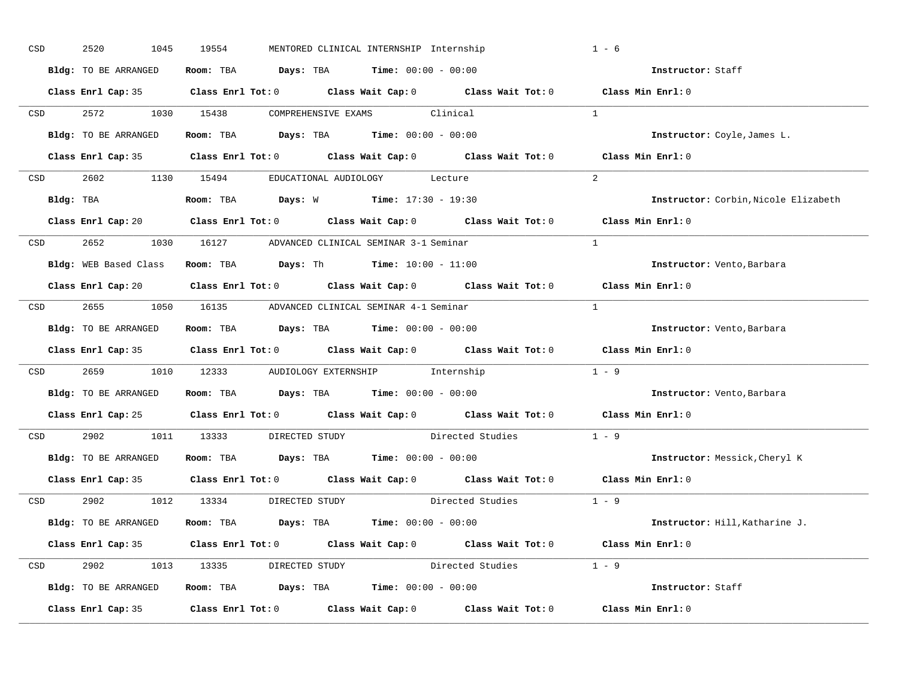| CSD              | 2520<br>1045         | 19554<br>MENTORED CLINICAL INTERNSHIP Internship                                           | $1 - 6$                              |
|------------------|----------------------|--------------------------------------------------------------------------------------------|--------------------------------------|
|                  | Bldg: TO BE ARRANGED | Room: TBA $Days:$ TBA $Time: 00:00 - 00:00$                                                | Instructor: Staff                    |
|                  |                      | Class Enrl Cap: 35 Class Enrl Tot: 0 Class Wait Cap: 0 Class Wait Tot: 0 Class Min Enrl: 0 |                                      |
|                  |                      | CSD 2572 1030 15438 COMPREHENSIVE EXAMS Clinical                                           | $\mathbf{1}$                         |
|                  |                      | Bldg: TO BE ARRANGED Room: TBA Days: TBA Time: 00:00 - 00:00                               | Instructor: Coyle, James L.          |
|                  |                      | Class Enrl Cap: 35 Class Enrl Tot: 0 Class Wait Cap: 0 Class Wait Tot: 0 Class Min Enrl: 0 |                                      |
|                  |                      | CSD 2602 1130 15494 EDUCATIONAL AUDIOLOGY Lecture                                          | 2                                    |
|                  |                      |                                                                                            | Instructor: Corbin, Nicole Elizabeth |
|                  |                      | Class Enrl Cap: 20 Class Enrl Tot: 0 Class Wait Cap: 0 Class Wait Tot: 0 Class Min Enrl: 0 |                                      |
|                  |                      | CSD 2652 1030 16127 ADVANCED CLINICAL SEMINAR 3-1 Seminar                                  | $\frac{1}{2}$                        |
|                  |                      | Bldg: WEB Based Class Room: TBA Days: Th Time: 10:00 - 11:00                               | Instructor: Vento, Barbara           |
|                  |                      | Class Enrl Cap: 20 Class Enrl Tot: 0 Class Wait Cap: 0 Class Wait Tot: 0 Class Min Enrl: 0 |                                      |
|                  |                      | CSD 2655 1050 16135 ADVANCED CLINICAL SEMINAR 4-1 Seminar                                  | $\overline{1}$                       |
|                  | Bldg: TO BE ARRANGED | Room: TBA $Days:$ TBA Time: $00:00 - 00:00$                                                | Instructor: Vento, Barbara           |
|                  |                      | Class Enrl Cap: 35 Class Enrl Tot: 0 Class Wait Cap: 0 Class Wait Tot: 0 Class Min Enrl: 0 |                                      |
| CSD <sub>c</sub> |                      | 2659 1010 12333 AUDIOLOGY EXTERNSHIP Internship                                            | $1 - 9$                              |
|                  |                      | Bldg: TO BE ARRANGED Room: TBA Days: TBA Time: 00:00 - 00:00                               | <b>Instructor:</b> Vento, Barbara    |
|                  |                      |                                                                                            |                                      |
|                  |                      | Class Enrl Cap: 25 Class Enrl Tot: 0 Class Wait Cap: 0 Class Wait Tot: 0 Class Min Enrl: 0 |                                      |
| CSD              |                      | 2902 1011 13333 DIRECTED STUDY Directed Studies                                            | $1 - 9$                              |
|                  | Bldg: TO BE ARRANGED | Room: TBA $Days:$ TBA $Time:$ 00:00 - 00:00                                                | Instructor: Messick, Cheryl K        |
|                  |                      | Class Enrl Cap: 35 Class Enrl Tot: 0 Class Wait Cap: 0 Class Wait Tot: 0 Class Min Enrl: 0 |                                      |
|                  |                      | Directed Studies 1 - 9<br>CSD 2902 1012 13334 DIRECTED STUDY                               |                                      |
|                  |                      | Bldg: TO BE ARRANGED Room: TBA Days: TBA Time: 00:00 - 00:00                               | Instructor: Hill, Katharine J.       |
|                  |                      | Class Enrl Cap: 35 Class Enrl Tot: 0 Class Wait Cap: 0 Class Wait Tot: 0 Class Min Enrl: 0 |                                      |
|                  |                      | CSD 2902 1013 13335 DIRECTED STUDY Directed Studies 1 - 9                                  |                                      |
|                  |                      | Bldg: TO BE ARRANGED Room: TBA Days: TBA Time: 00:00 - 00:00                               | Instructor: Staff                    |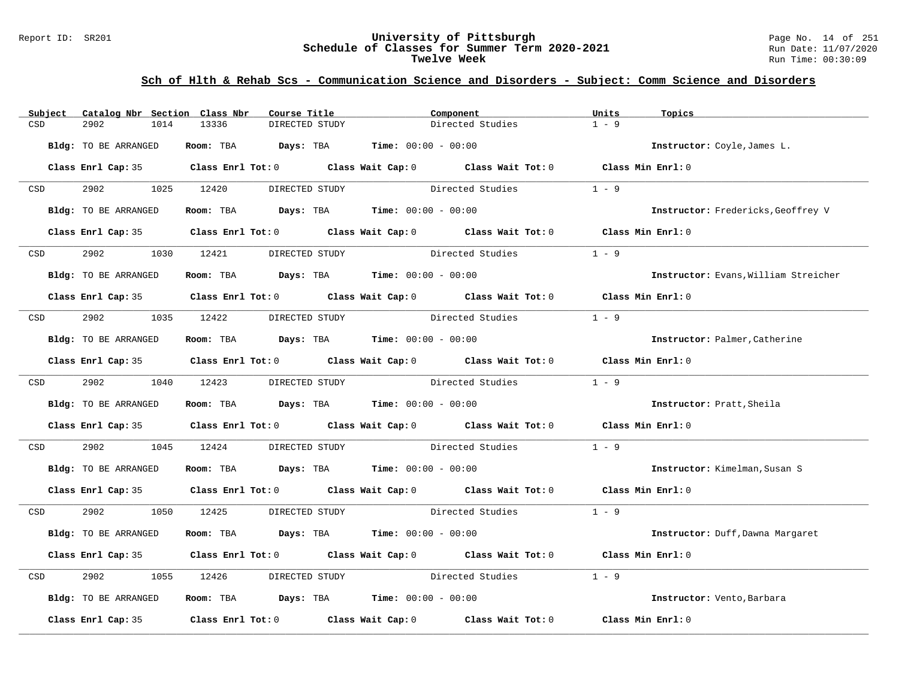#### Report ID: SR201 **University of Pittsburgh** Page No. 14 of 251 **Schedule of Classes for Summer Term 2020-2021** Run Date: 11/07/2020 **Twelve Week** Run Time: 00:30:09

| Subject          | Catalog Nbr Section Class Nbr | Course Title                                                                               |                | Component                       |                                 | Units             | Topics                               |
|------------------|-------------------------------|--------------------------------------------------------------------------------------------|----------------|---------------------------------|---------------------------------|-------------------|--------------------------------------|
| CSD              | 2902<br>1014                  | 13336<br>DIRECTED STUDY                                                                    |                |                                 | Directed Studies                | $1 - 9$           |                                      |
|                  | Bldg: TO BE ARRANGED          | Room: TBA Days: TBA                                                                        |                | <b>Time:</b> $00:00 - 00:00$    |                                 |                   | Instructor: Coyle, James L.          |
|                  |                               | Class Enrl Cap: 35 Class Enrl Tot: 0 Class Wait Cap: 0 Class Wait Tot: 0 Class Min Enrl: 0 |                |                                 |                                 |                   |                                      |
| CSD <sub>c</sub> | 2902                          | 1025 12420<br>DIRECTED STUDY                                                               |                |                                 | Directed Studies                | $1 - 9$           |                                      |
|                  | Bldg: TO BE ARRANGED          | Room: TBA $Days:$ TBA $Time: 00:00 - 00:00$                                                |                |                                 |                                 |                   | Instructor: Fredericks, Geoffrey V   |
|                  |                               | Class Enrl Cap: 35 Class Enrl Tot: 0 Class Wait Cap: 0 Class Wait Tot: 0 Class Min Enrl: 0 |                |                                 |                                 |                   |                                      |
| <b>CSD</b>       | 2902                          | 1030 12421                                                                                 | DIRECTED STUDY |                                 | Directed Studies                | $1 - 9$           |                                      |
|                  | Bldg: TO BE ARRANGED          | Room: TBA $\rule{1em}{0.15mm}$ Days: TBA $\rule{1em}{0.15mm}$ Time: $00:00 - 00:00$        |                |                                 |                                 |                   | Instructor: Evans, William Streicher |
|                  |                               | Class Enrl Cap: 35 Class Enrl Tot: 0 Class Wait Cap: 0 Class Wait Tot: 0 Class Min Enrl: 0 |                |                                 |                                 |                   |                                      |
|                  | CSD 2902                      | 1035 12422 DIRECTED STUDY Directed Studies                                                 |                |                                 |                                 | $1 - 9$           |                                      |
|                  | Bldg: TO BE ARRANGED          | Room: TBA $Days:$ TBA $Time: 00:00 - 00:00$                                                |                |                                 |                                 |                   | Instructor: Palmer, Catherine        |
|                  |                               | Class Enrl Cap: 35 Class Enrl Tot: 0 Class Wait Cap: 0 Class Wait Tot: 0 Class Min Enrl: 0 |                |                                 |                                 |                   |                                      |
|                  | CSD 2902                      | 1040 12423                                                                                 | DIRECTED STUDY |                                 | Directed Studies 1 - 9          |                   |                                      |
|                  | Bldg: TO BE ARRANGED          | Room: TBA $\rule{1em}{0.15mm}$ Days: TBA $\rule{1.5mm}{0.15mm}$ Time: $00:00 - 00:00$      |                |                                 |                                 |                   | Instructor: Pratt, Sheila            |
|                  |                               | Class Enrl Cap: 35 Class Enrl Tot: 0 Class Wait Cap: 0 Class Wait Tot: 0 Class Min Enrl: 0 |                |                                 |                                 |                   |                                      |
| CSD              | 2902<br>1045                  | 12424                                                                                      |                | DIRECTED STUDY Directed Studies |                                 | $1 - 9$           |                                      |
|                  | Bldg: TO BE ARRANGED          | Room: TBA $Days:$ TBA $Time: 00:00 - 00:00$                                                |                |                                 |                                 |                   | Instructor: Kimelman, Susan S        |
|                  |                               | Class Enrl Cap: 35 Class Enrl Tot: 0 Class Wait Cap: 0 Class Wait Tot: 0 Class Min Enrl: 0 |                |                                 |                                 |                   |                                      |
| CSD              | 2902 200                      | 1050 12425                                                                                 | DIRECTED STUDY |                                 | Directed Studies 1 - 9          |                   |                                      |
|                  | Bldg: TO BE ARRANGED          | Room: TBA $Days:$ TBA $Time: 00:00 - 00:00$                                                |                |                                 |                                 |                   | Instructor: Duff, Dawna Margaret     |
|                  |                               | Class Enrl Cap: 35 Class Enrl Tot: 0 Class Wait Cap: 0 Class Wait Tot: 0                   |                |                                 |                                 | Class Min Enrl: 0 |                                      |
| CSD              | 2902<br>1055                  | 12426                                                                                      |                |                                 | DIRECTED STUDY Directed Studies | $1 - 9$           |                                      |
|                  | Bldg: TO BE ARRANGED          | Room: TBA $Days: TBA$ Time: $00:00 - 00:00$                                                |                |                                 |                                 |                   | Instructor: Vento, Barbara           |
|                  | Class Enrl Cap: 35            | Class Enrl Tot: $0$ Class Wait Cap: $0$ Class Wait Tot: $0$                                |                |                                 |                                 | Class Min Enrl: 0 |                                      |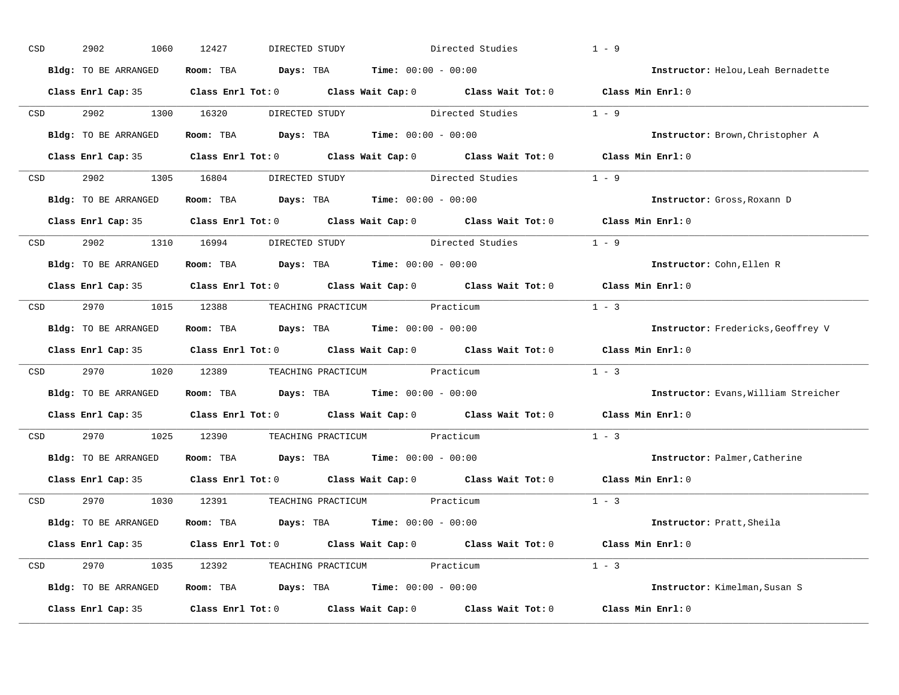| CSD |                  | 2902<br>1060         | 12427<br>DIRECTED STUDY                                                                    |                                 | Directed Studies | $1 - 9$                              |
|-----|------------------|----------------------|--------------------------------------------------------------------------------------------|---------------------------------|------------------|--------------------------------------|
|     |                  | Bldg: TO BE ARRANGED | Room: TBA $Days:$ TBA $Time: 00:00 - 00:00$                                                |                                 |                  | Instructor: Helou, Leah Bernadette   |
|     |                  |                      | Class Enrl Cap: 35 Class Enrl Tot: 0 Class Wait Cap: 0 Class Wait Tot: 0 Class Min Enrl: 0 |                                 |                  |                                      |
|     | <b>CSD</b>       | 2902 1300 16320      |                                                                                            | DIRECTED STUDY Directed Studies |                  | $1 - 9$                              |
|     |                  | Bldg: TO BE ARRANGED | Room: TBA $Days:$ TBA Time: $00:00 - 00:00$                                                |                                 |                  | Instructor: Brown, Christopher A     |
|     |                  |                      | Class Enrl Cap: 35 Class Enrl Tot: 0 Class Wait Cap: 0 Class Wait Tot: 0 Class Min Enrl: 0 |                                 |                  |                                      |
|     |                  |                      | CSD 2902 1305 16804 DIRECTED STUDY Directed Studies 1 - 9                                  |                                 |                  |                                      |
|     |                  | Bldg: TO BE ARRANGED | Room: TBA $Days:$ TBA $Time: 00:00 - 00:00$                                                |                                 |                  | Instructor: Gross, Roxann D          |
|     |                  |                      | Class Enrl Cap: 35 Class Enrl Tot: 0 Class Wait Cap: 0 Class Wait Tot: 0 Class Min Enrl: 0 |                                 |                  |                                      |
|     |                  |                      | CSD 2902 1310 16994 DIRECTED STUDY                                                         | Directed Studies                | $1 - 9$          |                                      |
|     |                  | Bldg: TO BE ARRANGED | Room: TBA $Days:$ TBA $Time: 00:00 - 00:00$                                                |                                 |                  | Instructor: Cohn, Ellen R            |
|     |                  |                      | Class Enrl Cap: 35 Class Enrl Tot: 0 Class Wait Cap: 0 Class Wait Tot: 0 Class Min Enrl: 0 |                                 |                  |                                      |
|     |                  |                      | CSD 2970 1015 12388 TEACHING PRACTICUM Practicum                                           |                                 |                  | $1 - 3$                              |
|     |                  | Bldg: TO BE ARRANGED | Room: TBA $Days:$ TBA $Time: 00:00 - 00:00$                                                |                                 |                  | Instructor: Fredericks, Geoffrey V   |
|     |                  |                      | Class Enrl Cap: 35 Class Enrl Tot: 0 Class Wait Cap: 0 Class Wait Tot: 0 Class Min Enrl: 0 |                                 |                  |                                      |
|     | CSD <sub>c</sub> |                      | 2970 1020 12389 TEACHING PRACTICUM Practicum                                               |                                 |                  | $1 - 3$                              |
|     |                  | Bldg: TO BE ARRANGED | Room: TBA $Days:$ TBA $Time: 00:00 - 00:00$                                                |                                 |                  | Instructor: Evans, William Streicher |
|     |                  |                      | Class Enrl Cap: 35 Class Enrl Tot: 0 Class Wait Cap: 0 Class Wait Tot: 0                   |                                 |                  | Class Min Enrl: 0                    |
|     | CSD              |                      | 2970 1025 12390 TEACHING PRACTICUM Practicum                                               |                                 |                  | $1 - 3$                              |
|     |                  |                      | Bldg: TO BE ARRANGED Room: TBA Days: TBA Time: 00:00 - 00:00                               |                                 |                  | Instructor: Palmer, Catherine        |
|     |                  |                      | Class Enrl Cap: 35 Class Enrl Tot: 0 Class Wait Cap: 0 Class Wait Tot: 0                   |                                 |                  | Class Min Enrl: 0                    |
|     |                  |                      | CSD 2970 1030 12391 TEACHING PRACTICUM Practicum                                           |                                 |                  | $1 - 3$                              |
|     |                  | Bldg: TO BE ARRANGED | Room: TBA $Days:$ TBA $Time: 00:00 - 00:00$                                                |                                 |                  | Instructor: Pratt, Sheila            |
|     |                  |                      | Class Enrl Cap: 35 Class Enrl Tot: 0 Class Wait Cap: 0 Class Wait Tot: 0 Class Min Enrl: 0 |                                 |                  |                                      |
|     |                  |                      | CSD 2970 1035 12392 TEACHING PRACTICUM Practicum                                           |                                 |                  | $1 - 3$                              |
|     |                  | Bldg: TO BE ARRANGED | Room: TBA $Days:$ TBA $Time: 00:00 - 00:00$                                                |                                 |                  | Instructor: Kimelman, Susan S        |
|     |                  | Class Enrl Cap: 35   | Class Enrl Tot: $0$ Class Wait Cap: $0$ Class Wait Tot: $0$ Class Min Enrl: $0$            |                                 |                  |                                      |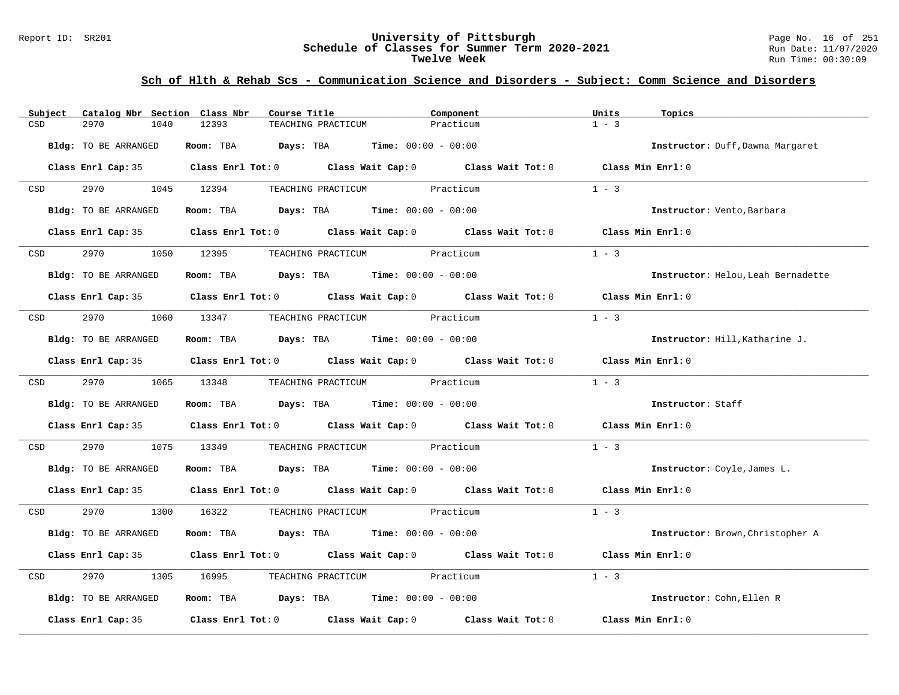### Report ID: SR201 **University of Pittsburgh** Page No. 16 of 251 **Schedule of Classes for Summer Term 2020-2021** Run Date: 11/07/2020 **Twelve Week** Run Time: 00:30:09

| Subject              | Catalog Nbr Section Class Nbr | Course Title                                                                               |                              | Component | Units<br>Topics |                                    |
|----------------------|-------------------------------|--------------------------------------------------------------------------------------------|------------------------------|-----------|-----------------|------------------------------------|
| CSD<br>2970          | 12393<br>1040                 | TEACHING PRACTICUM                                                                         |                              | Practicum | $1 - 3$         |                                    |
| Bldg: TO BE ARRANGED |                               | Room: TBA $Days:$ TBA $Time: 00:00 - 00:00$                                                |                              |           |                 | Instructor: Duff, Dawna Margaret   |
|                      |                               | Class Enrl Cap: 35 Class Enrl Tot: 0 Class Wait Cap: 0 Class Wait Tot: 0 Class Min Enrl: 0 |                              |           |                 |                                    |
| <b>CSD</b>           | 2970 1045 12394               |                                                                                            | TEACHING PRACTICUM Practicum |           | $1 - 3$         |                                    |
| Bldg: TO BE ARRANGED |                               | Room: TBA $\rule{1em}{0.15mm}$ Days: TBA $\rule{1.5mm}{0.15mm}$ Time: $00:00 - 00:00$      |                              |           |                 | Instructor: Vento, Barbara         |
|                      |                               | Class Enrl Cap: 35 Class Enrl Tot: 0 Class Wait Cap: 0 Class Wait Tot: 0 Class Min Enrl: 0 |                              |           |                 |                                    |
| CSD <sub>c</sub>     | 2970 1050 12395               |                                                                                            | TEACHING PRACTICUM Practicum |           | $1 - 3$         |                                    |
| Bldg: TO BE ARRANGED |                               | Room: TBA $\rule{1em}{0.15mm}$ Days: TBA $\rule{1.5mm}{0.15mm}$ Time: $00:00 - 00:00$      |                              |           |                 | Instructor: Helou, Leah Bernadette |
|                      |                               | Class Enrl Cap: 35 Class Enrl Tot: 0 Class Wait Cap: 0 Class Wait Tot: 0 Class Min Enrl: 0 |                              |           |                 |                                    |
| 2970<br>CSD          | 1060 13347                    |                                                                                            | TEACHING PRACTICUM Practicum |           | $1 - 3$         |                                    |
| Bldg: TO BE ARRANGED |                               | Room: TBA $\rule{1em}{0.15mm}$ Days: TBA Time: $00:00 - 00:00$                             |                              |           |                 | Instructor: Hill, Katharine J.     |
|                      |                               | Class Enrl Cap: 35 Class Enrl Tot: 0 Class Wait Cap: 0 Class Wait Tot: 0 Class Min Enrl: 0 |                              |           |                 |                                    |
| <b>CSD</b>           | 2970 1065 13348               |                                                                                            | TEACHING PRACTICUM Practicum |           | $1 - 3$         |                                    |
| Bldg: TO BE ARRANGED |                               | Room: TBA $Days:$ TBA $Time: 00:00 - 00:00$                                                |                              |           |                 | Instructor: Staff                  |
|                      |                               | Class Enrl Cap: 35 Class Enrl Tot: 0 Class Wait Cap: 0 Class Wait Tot: 0 Class Min Enrl: 0 |                              |           |                 |                                    |
| 2970<br>CSD          |                               | 1075 13349 TEACHING PRACTICUM Practicum                                                    |                              |           | $1 - 3$         |                                    |
| Bldg: TO BE ARRANGED |                               | Room: TBA $Days:$ TBA $Time: 00:00 - 00:00$                                                |                              |           |                 | Instructor: Coyle, James L.        |
|                      |                               | Class Enrl Cap: 35 Class Enrl Tot: 0 Class Wait Cap: 0 Class Wait Tot: 0 Class Min Enrl: 0 |                              |           |                 |                                    |
| <b>CSD</b>           |                               | 2970 1300 16322 TEACHING PRACTICUM Practicum                                               |                              |           | $1 - 3$         |                                    |
| Bldg: TO BE ARRANGED |                               | Room: TBA $Days:$ TBA $Time: 00:00 - 00:00$                                                |                              |           |                 | Instructor: Brown, Christopher A   |
|                      |                               | Class Enrl Cap: 35 Class Enrl Tot: 0 Class Wait Cap: 0 Class Wait Tot: 0 Class Min Enrl: 0 |                              |           |                 |                                    |
| 2970<br>CSD          | 1305                          | 16995 TEACHING PRACTICUM Practicum                                                         |                              |           | $1 - 3$         |                                    |
| Bldg: TO BE ARRANGED |                               | Room: TBA $Days:$ TBA $Time: 00:00 - 00:00$                                                |                              |           |                 | Instructor: Cohn, Ellen R          |
|                      |                               | Class Enrl Cap: 35 Class Enrl Tot: 0 Class Wait Cap: 0 Class Wait Tot: 0 Class Min Enrl: 0 |                              |           |                 |                                    |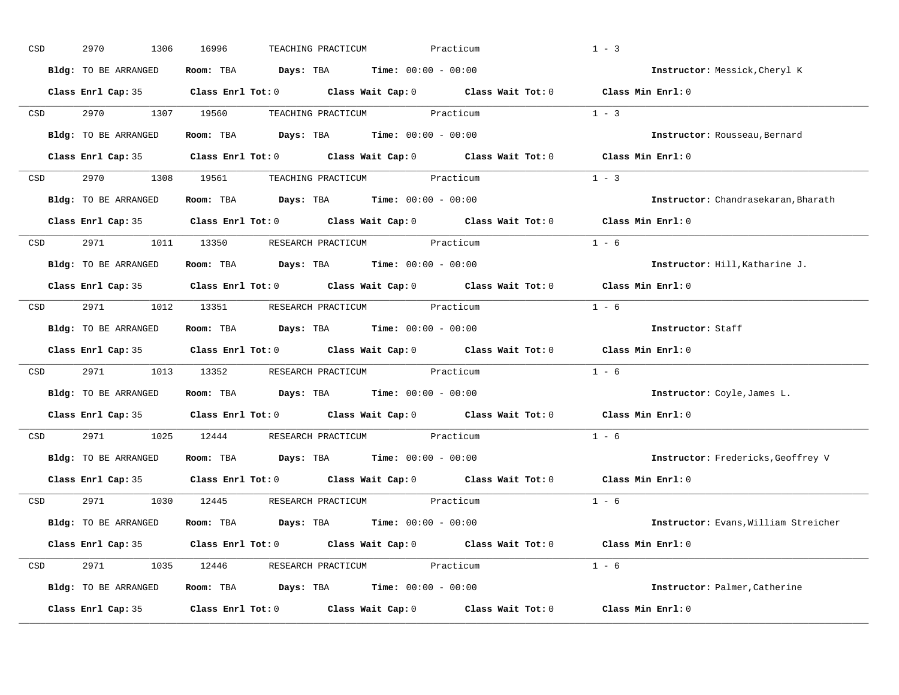| CSD |                  | 2970<br>1306         | 16996<br>TEACHING PRACTICUM                                                                | Practicum | $1 - 3$                              |
|-----|------------------|----------------------|--------------------------------------------------------------------------------------------|-----------|--------------------------------------|
|     |                  | Bldg: TO BE ARRANGED | Room: TBA $Days:$ TBA $Time: 00:00 - 00:00$                                                |           | Instructor: Messick, Cheryl K        |
|     |                  |                      | Class Enrl Cap: 35 Class Enrl Tot: 0 Class Wait Cap: 0 Class Wait Tot: 0 Class Min Enrl: 0 |           |                                      |
|     | <b>CSD</b>       |                      | 2970 1307 19560 TEACHING PRACTICUM Practicum                                               |           | $1 - 3$                              |
|     |                  | Bldg: TO BE ARRANGED | Room: TBA $Days:$ TBA Time: $00:00 - 00:00$                                                |           | Instructor: Rousseau, Bernard        |
|     |                  |                      | Class Enrl Cap: 35 Class Enrl Tot: 0 Class Wait Cap: 0 Class Wait Tot: 0 Class Min Enrl: 0 |           |                                      |
|     |                  |                      | CSD 2970 1308 19561 TEACHING PRACTICUM Practicum                                           |           | $1 - 3$                              |
|     |                  | Bldg: TO BE ARRANGED | Room: TBA $Days:$ TBA $Time: 00:00 - 00:00$                                                |           | Instructor: Chandrasekaran, Bharath  |
|     |                  |                      | Class Enrl Cap: 35 Class Enrl Tot: 0 Class Wait Cap: 0 Class Wait Tot: 0                   |           | Class Min Enrl: 0                    |
|     | CSD <sub>2</sub> |                      | 2971 1011 13350 RESEARCH PRACTICUM Practicum                                               |           | $1 - 6$                              |
|     |                  | Bldg: TO BE ARRANGED | Room: TBA $Days: TBA$ Time: $00:00 - 00:00$                                                |           | Instructor: Hill, Katharine J.       |
|     |                  |                      | Class Enrl Cap: 35 Class Enrl Tot: 0 Class Wait Cap: 0 Class Wait Tot: 0                   |           | Class Min Enrl: 0                    |
|     |                  |                      | CSD 2971 1012 13351 RESEARCH PRACTICUM Practicum                                           |           | $1 - 6$                              |
|     |                  | Bldg: TO BE ARRANGED | Room: TBA $Days:$ TBA $Time: 00:00 - 00:00$                                                |           | Instructor: Staff                    |
|     |                  |                      | Class Enrl Cap: 35 Class Enrl Tot: 0 Class Wait Cap: 0 Class Wait Tot: 0                   |           | Class Min Enrl: 0                    |
|     | CSD <sub>c</sub> |                      | 2971 1013 13352 RESEARCH PRACTICUM Practicum                                               |           | $1 - 6$                              |
|     |                  | Bldg: TO BE ARRANGED | Room: TBA $Days:$ TBA $Time: 00:00 - 00:00$                                                |           | Instructor: Coyle, James L.          |
|     |                  |                      | Class Enrl Cap: 35 Class Enrl Tot: 0 Class Wait Cap: 0 Class Wait Tot: 0                   |           | Class Min Enrl: 0                    |
|     | CSD              |                      | 2971 1025 12444 RESEARCH PRACTICUM Practicum                                               |           | $1 - 6$                              |
|     |                  |                      | Bldg: TO BE ARRANGED Room: TBA Days: TBA Time: 00:00 - 00:00                               |           | Instructor: Fredericks, Geoffrey V   |
|     |                  |                      | Class Enrl Cap: 35 Class Enrl Tot: 0 Class Wait Cap: 0 Class Wait Tot: 0                   |           | Class Min Enrl: 0                    |
|     |                  |                      | CSD 2971 1030 12445 RESEARCH PRACTICUM Practicum                                           |           | $1 - 6$                              |
|     |                  | Bldg: TO BE ARRANGED | Room: TBA $Days:$ TBA $Time: 00:00 - 00:00$                                                |           | Instructor: Evans, William Streicher |
|     |                  |                      | Class Enrl Cap: 35 Class Enrl Tot: 0 Class Wait Cap: 0 Class Wait Tot: 0 Class Min Enrl: 0 |           |                                      |
|     |                  |                      | CSD 2971 1035 12446 RESEARCH PRACTICUM Practicum                                           |           | $1 - 6$                              |
|     |                  | Bldg: TO BE ARRANGED | Room: TBA $Days: TBA$ Time: $00:00 - 00:00$                                                |           | Instructor: Palmer, Catherine        |
|     |                  | Class Enrl Cap: 35   | Class Enrl Tot: $0$ Class Wait Cap: $0$ Class Wait Tot: $0$                                |           | Class Min Enrl: 0                    |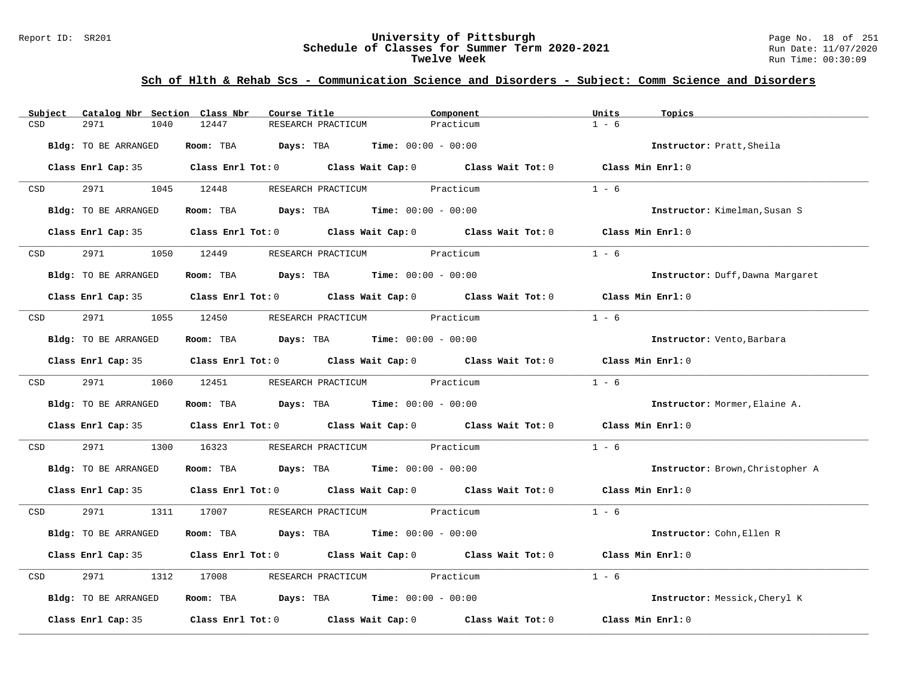### Report ID: SR201 **University of Pittsburgh** Page No. 18 of 251 **Schedule of Classes for Summer Term 2020-2021** Run Date: 11/07/2020 **Twelve Week** Run Time: 00:30:09

| Subject          | Catalog Nbr Section Class Nbr | Course Title                                                                               | Component | Units<br>Topics                  |
|------------------|-------------------------------|--------------------------------------------------------------------------------------------|-----------|----------------------------------|
| CSD              | 2971<br>1040                  | 12447<br>RESEARCH PRACTICUM                                                                | Practicum | $1 - 6$                          |
|                  | Bldg: TO BE ARRANGED          | Room: TBA $Days:$ TBA $Time: 00:00 - 00:00$                                                |           | Instructor: Pratt, Sheila        |
|                  |                               | Class Enrl Cap: 35 Class Enrl Tot: 0 Class Wait Cap: 0 Class Wait Tot: 0 Class Min Enrl: 0 |           |                                  |
| CSD <sub>c</sub> |                               | 2971 1045 12448 RESEARCH PRACTICUM Practicum                                               |           | $1 - 6$                          |
|                  | Bldg: TO BE ARRANGED          | Room: TBA $Days:$ TBA $Time: 00:00 - 00:00$                                                |           | Instructor: Kimelman, Susan S    |
|                  |                               | Class Enrl Cap: 35 Class Enrl Tot: 0 Class Wait Cap: 0 Class Wait Tot: 0 Class Min Enrl: 0 |           |                                  |
| <b>CSD</b>       | 2971 200                      | 1050 12449<br>RESEARCH PRACTICUM Practicum                                                 |           | $1 - 6$                          |
|                  | Bldg: TO BE ARRANGED          | Room: TBA $Days:$ TBA $Time: 00:00 - 00:00$                                                |           | Instructor: Duff, Dawna Margaret |
|                  |                               | Class Enrl Cap: 35 Class Enrl Tot: 0 Class Wait Cap: 0 Class Wait Tot: 0 Class Min Enrl: 0 |           |                                  |
| CSD              |                               | 2971 1055 12450 RESEARCH PRACTICUM Practicum                                               |           | $1 - 6$                          |
|                  | Bldg: TO BE ARRANGED          | Room: TBA $Days:$ TBA $Time: 00:00 - 00:00$                                                |           | Instructor: Vento, Barbara       |
|                  |                               | Class Enrl Cap: 35 Class Enrl Tot: 0 Class Wait Cap: 0 Class Wait Tot: 0 Class Min Enrl: 0 |           |                                  |
|                  | CSD 2971 1060 12451           | RESEARCH PRACTICUM Practicum                                                               |           | $1 - 6$                          |
|                  | Bldg: TO BE ARRANGED          | Room: TBA $Days:$ TBA $Time: 00:00 - 00:00$                                                |           | Instructor: Mormer, Elaine A.    |
|                  |                               | Class Enrl Cap: 35 Class Enrl Tot: 0 Class Wait Cap: 0 Class Wait Tot: 0 Class Min Enrl: 0 |           |                                  |
| CSD              | 2971                          | 1300 16323<br>RESEARCH PRACTICUM Practicum                                                 |           | $1 - 6$                          |
|                  | Bldg: TO BE ARRANGED          | Room: TBA $Days:$ TBA $Time: 00:00 - 00:00$                                                |           | Instructor: Brown, Christopher A |
|                  |                               | Class Enrl Cap: 35 Class Enrl Tot: 0 Class Wait Cap: 0 Class Wait Tot: 0 Class Min Enrl: 0 |           |                                  |
| <b>CSD</b>       |                               | 2971 1311 17007 RESEARCH PRACTICUM Practicum                                               |           | $1 - 6$                          |
|                  | Bldg: TO BE ARRANGED          | Room: TBA $Days:$ TBA $Time: 00:00 - 00:00$                                                |           | Instructor: Cohn, Ellen R        |
|                  |                               | Class Enrl Cap: 35 Class Enrl Tot: 0 Class Wait Cap: 0 Class Wait Tot: 0 Class Min Enrl: 0 |           |                                  |
| CSD              | 2971<br>1312                  | RESEARCH PRACTICUM Practicum<br>17008                                                      |           | $1 - 6$                          |
|                  | Bldg: TO BE ARRANGED          | Room: TBA $Days:$ TBA $Time: 00:00 - 00:00$                                                |           | Instructor: Messick, Cheryl K    |
|                  |                               | Class Enrl Cap: 35 Class Enrl Tot: 0 Class Wait Cap: 0 Class Wait Tot: 0 Class Min Enrl: 0 |           |                                  |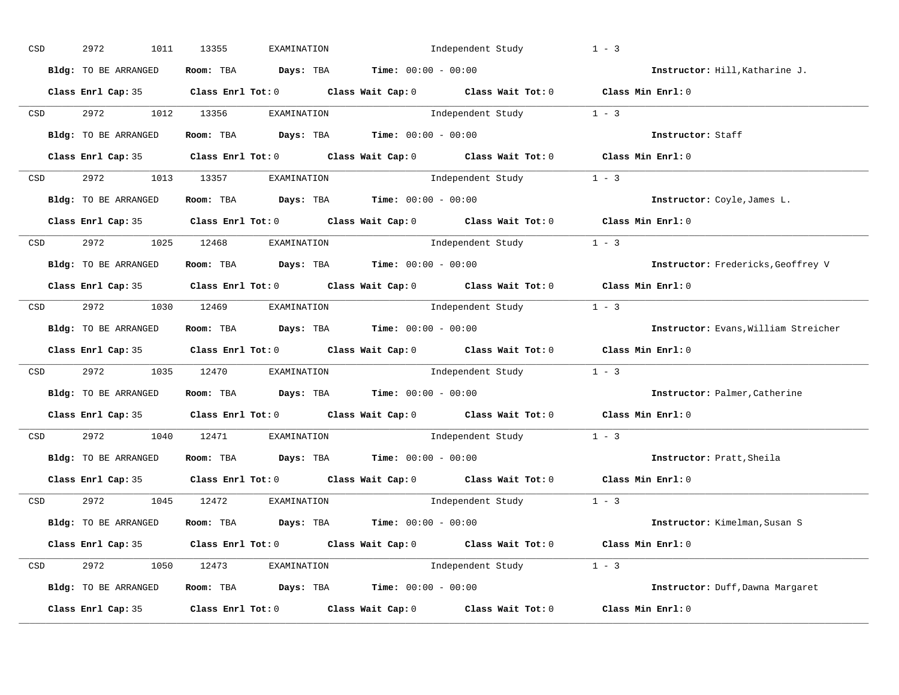| CSD |                  | 2972<br>1011         | 13355<br>EXAMINATION                          | Independent Study                                                                                   | $1 - 3$                              |
|-----|------------------|----------------------|-----------------------------------------------|-----------------------------------------------------------------------------------------------------|--------------------------------------|
|     |                  | Bldg: TO BE ARRANGED | Room: TBA $Days:$ TBA $Time: 00:00 - 00:00$   |                                                                                                     | Instructor: Hill, Katharine J.       |
|     |                  |                      |                                               | Class Enrl Cap: 35 Class Enrl Tot: 0 Class Wait Cap: 0 Class Wait Tot: 0 Class Min Enrl: 0          |                                      |
|     | CSD              | 2972 1012 13356      | EXAMINATION                                   | Independent Study 1 - 3                                                                             |                                      |
|     |                  | Bldg: TO BE ARRANGED | Room: TBA $Days:$ TBA $Time: 00:00 - 00:00$   |                                                                                                     | Instructor: Staff                    |
|     |                  |                      |                                               | Class Enrl Cap: 35 Class Enrl Tot: 0 Class Wait Cap: 0 Class Wait Tot: 0 Class Min Enrl: 0          |                                      |
|     |                  |                      | CSD 2972 1013 13357 EXAMINATION               | Independent Study 1 - 3                                                                             |                                      |
|     |                  | Bldg: TO BE ARRANGED | Room: TBA $Days:$ TBA $Time: 00:00 - 00:00$   |                                                                                                     | Instructor: Coyle, James L.          |
|     |                  |                      |                                               | Class Enrl Cap: 35 Class Enrl Tot: 0 Class Wait Cap: 0 Class Wait Tot: 0 Class Min Enrl: 0          |                                      |
|     | <b>CSD</b>       |                      | 2972 1025 12468 EXAMINATION                   | Independent Study 1 - 3                                                                             |                                      |
|     |                  | Bldg: TO BE ARRANGED | Room: TBA $Days:$ TBA $Time: 00:00 - 00:00$   |                                                                                                     | Instructor: Fredericks, Geoffrey V   |
|     |                  |                      |                                               | Class Enrl Cap: 35 Class Enrl Tot: 0 Class Wait Cap: 0 Class Wait Tot: 0 Class Min Enrl: 0          |                                      |
|     |                  |                      | CSD 2972 1030 12469 EXAMINATION               | Independent Study 1 - 3                                                                             |                                      |
|     |                  | Bldg: TO BE ARRANGED | Room: TBA $Days:$ TBA $Time:$ $00:00 - 00:00$ |                                                                                                     | Instructor: Evans, William Streicher |
|     |                  |                      |                                               | Class Enrl Cap: 35 Class Enrl Tot: 0 Class Wait Cap: 0 Class Wait Tot: 0 Class Min Enrl: 0          |                                      |
|     | CSD <sub>c</sub> |                      |                                               | 2972 1035 12470 EXAMINATION Independent Study 1 - 3                                                 |                                      |
|     |                  | Bldg: TO BE ARRANGED | Room: TBA $Days:$ TBA Time: $00:00 - 00:00$   |                                                                                                     | Instructor: Palmer, Catherine        |
|     |                  |                      |                                               | Class Enrl Cap: 35 $\qquad$ Class Enrl Tot: 0 $\qquad$ Class Wait Cap: 0 $\qquad$ Class Wait Tot: 0 | Class Min Enrl: 0                    |
|     | <b>CSD</b>       | 2972 1040 12471      | EXAMINATION                                   | Independent Study 1 - 3                                                                             |                                      |
|     |                  | Bldg: TO BE ARRANGED | Room: TBA $Days: TBA$ Time: $00:00 - 00:00$   |                                                                                                     | Instructor: Pratt, Sheila            |
|     |                  | Class Enrl Cap: 35   |                                               | Class Enrl Tot: $0$ Class Wait Cap: $0$ Class Wait Tot: $0$                                         | Class Min Enrl: 0                    |
|     |                  |                      | CSD 2972 1045 12472 EXAMINATION               | Independent Study 1 - 3                                                                             |                                      |
|     |                  | Bldg: TO BE ARRANGED | Room: TBA $Days:$ TBA $Time: 00:00 - 00:00$   |                                                                                                     | Instructor: Kimelman, Susan S        |
|     |                  |                      |                                               | Class Enrl Cap: 35 Class Enrl Tot: 0 Class Wait Cap: 0 Class Wait Tot: 0 Class Min Enrl: 0          |                                      |
|     |                  |                      | CSD 2972 1050 12473 EXAMINATION               | Independent Study 1 - 3                                                                             |                                      |
|     |                  | Bldg: TO BE ARRANGED |                                               | Room: TBA $Days:$ TBA $Time: 00:00 - 00:00$                                                         | Instructor: Duff, Dawna Margaret     |
|     |                  | Class Enrl Cap: 35   |                                               | Class Enrl Tot: $0$ Class Wait Cap: $0$ Class Wait Tot: $0$                                         | Class Min Enrl: 0                    |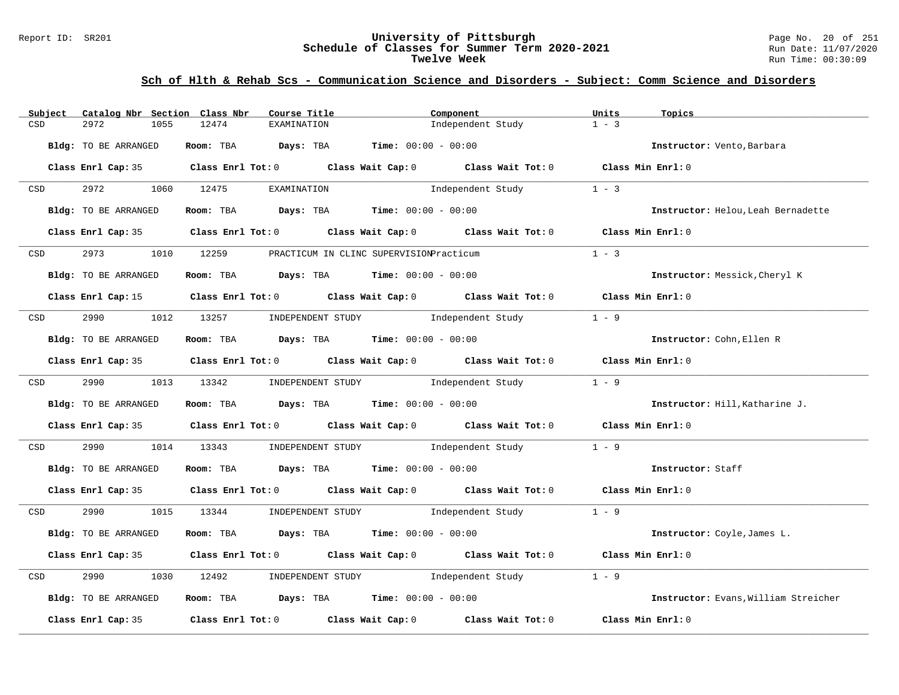#### Report ID: SR201 **University of Pittsburgh** Page No. 20 of 251 **Schedule of Classes for Summer Term 2020-2021** Run Date: 11/07/2020 **Twelve Week** Run Time: 00:30:09

| Subject                                                                                                         | Catalog Nbr Section Class Nbr | Course Title                                | Component                                                                                  | Units<br>Topics                      |
|-----------------------------------------------------------------------------------------------------------------|-------------------------------|---------------------------------------------|--------------------------------------------------------------------------------------------|--------------------------------------|
| CSD                                                                                                             | 2972<br>1055                  | 12474<br>EXAMINATION                        | Independent Study                                                                          | $1 - 3$                              |
|                                                                                                                 |                               |                                             |                                                                                            |                                      |
|                                                                                                                 | Bldg: TO BE ARRANGED          | Room: TBA $Days:$ TBA $Time: 00:00 - 00:00$ |                                                                                            | Instructor: Vento, Barbara           |
|                                                                                                                 |                               |                                             |                                                                                            |                                      |
|                                                                                                                 |                               |                                             | Class Enrl Cap: 35 Class Enrl Tot: 0 Class Wait Cap: 0 Class Wait Tot: 0 Class Min Enrl: 0 |                                      |
|                                                                                                                 | 2972 1060 12475               |                                             |                                                                                            | $1 - 3$                              |
| <b>CSD</b>                                                                                                      |                               | EXAMINATION                                 | Independent Study                                                                          |                                      |
|                                                                                                                 | Bldg: TO BE ARRANGED          | Room: TBA $Days:$ TBA $Time: 00:00 - 00:00$ |                                                                                            | Instructor: Helou, Leah Bernadette   |
|                                                                                                                 |                               |                                             |                                                                                            |                                      |
|                                                                                                                 |                               |                                             | Class Enrl Cap: 35 Class Enrl Tot: 0 Class Wait Cap: 0 Class Wait Tot: 0 Class Min Enrl: 0 |                                      |
|                                                                                                                 |                               |                                             |                                                                                            |                                      |
| CSD                                                                                                             | 2973                          | 1010 12259                                  | PRACTICUM IN CLINC SUPERVISIONPracticum                                                    | $1 - 3$                              |
|                                                                                                                 |                               |                                             |                                                                                            |                                      |
|                                                                                                                 | Bldg: TO BE ARRANGED          | Room: TBA $Days:$ TBA $Time: 00:00 - 00:00$ |                                                                                            | Instructor: Messick, Cheryl K        |
|                                                                                                                 |                               |                                             |                                                                                            |                                      |
|                                                                                                                 |                               |                                             | Class Enrl Cap: 15 Class Enrl Tot: 0 Class Wait Cap: 0 Class Wait Tot: 0 Class Min Enrl: 0 |                                      |
|                                                                                                                 |                               |                                             |                                                                                            |                                      |
| CSD                                                                                                             | 2990 70                       | 1012 13257                                  | INDEPENDENT STUDY 1ndependent Study                                                        | $1 - 9$                              |
|                                                                                                                 | Bldg: TO BE ARRANGED          | Room: TBA $Days:$ TBA $Time: 00:00 - 00:00$ |                                                                                            | Instructor: Cohn, Ellen R            |
|                                                                                                                 |                               |                                             |                                                                                            |                                      |
|                                                                                                                 |                               |                                             | Class Enrl Cap: 35 Class Enrl Tot: 0 Class Wait Cap: 0 Class Wait Tot: 0 Class Min Enrl: 0 |                                      |
|                                                                                                                 |                               |                                             |                                                                                            |                                      |
| CSD and the control of the control of the control of the control of the control of the control of the control o |                               |                                             | 2990 1013 13342 INDEPENDENT STUDY Independent Study                                        | $1 - 9$                              |
|                                                                                                                 |                               |                                             |                                                                                            |                                      |
|                                                                                                                 | Bldg: TO BE ARRANGED          | Room: TBA $Days:$ TBA Time: $00:00 - 00:00$ |                                                                                            | Instructor: Hill, Katharine J.       |
|                                                                                                                 |                               |                                             |                                                                                            |                                      |
|                                                                                                                 |                               |                                             | Class Enrl Cap: 35 Class Enrl Tot: 0 Class Wait Cap: 0 Class Wait Tot: 0 Class Min Enrl: 0 |                                      |
| CSD                                                                                                             | 2990                          |                                             | 1014 13343 INDEPENDENT STUDY Independent Study                                             | $1 - 9$                              |
|                                                                                                                 |                               |                                             |                                                                                            |                                      |
|                                                                                                                 | Bldg: TO BE ARRANGED          | Room: TBA $Days:$ TBA $Time: 00:00 - 00:00$ |                                                                                            | Instructor: Staff                    |
|                                                                                                                 |                               |                                             |                                                                                            |                                      |
|                                                                                                                 |                               |                                             | Class Enrl Cap: 35 Class Enrl Tot: 0 Class Wait Cap: 0 Class Wait Tot: 0 Class Min Enrl: 0 |                                      |
|                                                                                                                 |                               |                                             |                                                                                            |                                      |
| <b>CSD</b>                                                                                                      |                               |                                             | 2990 1015 13344 INDEPENDENT STUDY Independent Study 1 - 9                                  |                                      |
|                                                                                                                 |                               |                                             |                                                                                            |                                      |
|                                                                                                                 | Bldg: TO BE ARRANGED          | Room: TBA $Days:$ TBA $Time: 00:00 - 00:00$ |                                                                                            | Instructor: Coyle, James L.          |
|                                                                                                                 |                               |                                             |                                                                                            |                                      |
|                                                                                                                 |                               |                                             | Class Enrl Cap: 35 Class Enrl Tot: 0 Class Wait Cap: 0 Class Wait Tot: 0 Class Min Enrl: 0 |                                      |
| CSD                                                                                                             | 2990<br>1030                  | 12492                                       | INDEPENDENT STUDY 1ndependent Study                                                        | $1 - 9$                              |
|                                                                                                                 |                               |                                             |                                                                                            |                                      |
|                                                                                                                 | Bldg: TO BE ARRANGED          | Room: TBA $Days:$ TBA $Time: 00:00 - 00:00$ |                                                                                            | Instructor: Evans, William Streicher |
|                                                                                                                 |                               |                                             |                                                                                            |                                      |
|                                                                                                                 |                               |                                             | Class Enrl Cap: 35 $\hbox{Class Enrl Tot:0}$ Class Wait Cap: 0 $\hbox{Class Rait Tot:0}$   | Class Min Enrl: 0                    |
|                                                                                                                 |                               |                                             |                                                                                            |                                      |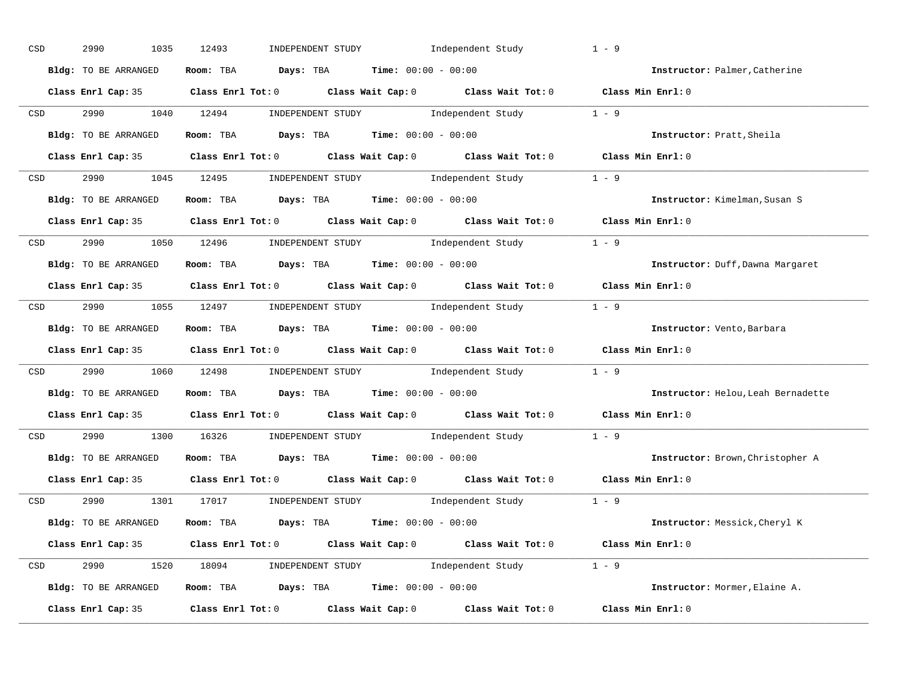| CSD              | 2990<br>1035         | 12493<br>INDEPENDENT STUDY                                                                 | Independent Study | $1 - 9$                            |
|------------------|----------------------|--------------------------------------------------------------------------------------------|-------------------|------------------------------------|
|                  | Bldg: TO BE ARRANGED | Room: TBA $Days:$ TBA $Time: 00:00 - 00:00$                                                |                   | Instructor: Palmer, Catherine      |
|                  |                      | Class Enrl Cap: 35 Class Enrl Tot: 0 Class Wait Cap: 0 Class Wait Tot: 0 Class Min Enrl: 0 |                   |                                    |
|                  |                      | CSD 2990 1040 12494 INDEPENDENT STUDY Independent Study 1 - 9                              |                   |                                    |
|                  | Bldg: TO BE ARRANGED | Room: TBA $Days:$ TBA $Time: 00:00 - 00:00$                                                |                   | Instructor: Pratt, Sheila          |
|                  |                      | Class Enrl Cap: 35 Class Enrl Tot: 0 Class Wait Cap: 0 Class Wait Tot: 0 Class Min Enrl: 0 |                   |                                    |
|                  |                      | CSD 2990 1045 12495 INDEPENDENT STUDY Independent Study 1 - 9                              |                   |                                    |
|                  |                      | Bldg: TO BE ARRANGED Room: TBA Days: TBA Time: 00:00 - 00:00                               |                   | Instructor: Kimelman, Susan S      |
|                  |                      | Class Enrl Cap: 35 Class Enrl Tot: 0 Class Wait Cap: 0 Class Wait Tot: 0 Class Min Enrl: 0 |                   |                                    |
| <b>CSD</b>       |                      | 2990 1050 12496 INDEPENDENT STUDY Independent Study 1 - 9                                  |                   |                                    |
|                  | Bldg: TO BE ARRANGED | Room: TBA $Days:$ TBA $Time: 00:00 - 00:00$                                                |                   | Instructor: Duff, Dawna Margaret   |
|                  |                      | Class Enrl Cap: 35 Class Enrl Tot: 0 Class Wait Cap: 0 Class Wait Tot: 0 Class Min Enrl: 0 |                   |                                    |
|                  |                      | CSD 2990 1055 12497 INDEPENDENT STUDY Independent Study 1 - 9                              |                   |                                    |
|                  | Bldg: TO BE ARRANGED | Room: TBA $Days:$ TBA $Time:$ $00:00 - 00:00$                                              |                   | Instructor: Vento, Barbara         |
|                  |                      | Class Enrl Cap: 35 Class Enrl Tot: 0 Class Wait Cap: 0 Class Wait Tot: 0 Class Min Enrl: 0 |                   |                                    |
| CSD <sub>c</sub> |                      | 2990 1060 12498 INDEPENDENT STUDY Independent Study 1 - 9                                  |                   |                                    |
|                  | Bldg: TO BE ARRANGED | Room: TBA $Days:$ TBA $Time: 00:00 - 00:00$                                                |                   | Instructor: Helou, Leah Bernadette |
|                  |                      | Class Enrl Cap: 35 Class Enrl Tot: 0 Class Wait Cap: 0 Class Wait Tot: 0 Class Min Enrl: 0 |                   |                                    |
| CSD              |                      | 2990 1300 16326 INDEPENDENT STUDY Independent Study 1 - 9                                  |                   |                                    |
|                  | Bldg: TO BE ARRANGED | Room: TBA $Days:$ TBA $Time: 00:00 - 00:00$                                                |                   | Instructor: Brown, Christopher A   |
|                  | Class Enrl Cap: 35   | Class Enrl Tot: $0$ Class Wait Cap: $0$ Class Wait Tot: $0$                                |                   | Class Min Enrl: 0                  |
|                  |                      | CSD 2990 1301 17017 INDEPENDENT STUDY Independent Study 1 - 9                              |                   |                                    |
|                  | Bldg: TO BE ARRANGED | Room: TBA $\rule{1em}{0.15mm}$ Days: TBA Time: $00:00 - 00:00$                             |                   | Instructor: Messick, Cheryl K      |
|                  |                      | Class Enrl Cap: 35 Class Enrl Tot: 0 Class Wait Cap: 0 Class Wait Tot: 0 Class Min Enrl: 0 |                   |                                    |
|                  |                      | CSD 2990 1520 18094 INDEPENDENT STUDY Independent Study 1 - 9                              |                   |                                    |
|                  | Bldg: TO BE ARRANGED | Room: TBA $\rule{1em}{0.15mm}$ Days: TBA $\qquad$ Time: $00:00 - 00:00$                    |                   | Instructor: Mormer, Elaine A.      |
|                  |                      | Class Enrl Cap: 35 Class Enrl Tot: 0 Class Wait Cap: 0 Class Wait Tot: 0 Class Min Enrl: 0 |                   |                                    |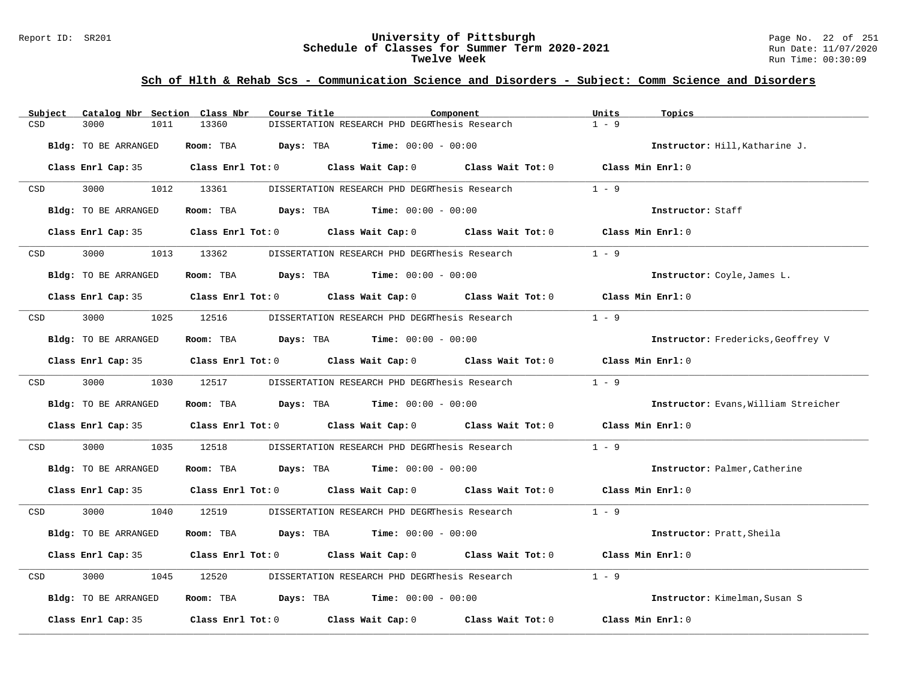### Report ID: SR201 **University of Pittsburgh** Page No. 22 of 251 **Schedule of Classes for Summer Term 2020-2021** Run Date: 11/07/2020 **Twelve Week** Run Time: 00:30:09

| Subject    | Catalog Nbr Section Class Nbr |            | Course Title                                                                                        | Component | Units<br>Topics                      |  |
|------------|-------------------------------|------------|-----------------------------------------------------------------------------------------------------|-----------|--------------------------------------|--|
| CSD        | 3000<br>1011                  | 13360      | DISSERTATION RESEARCH PHD DEGRThesis Research                                                       |           | $1 - 9$                              |  |
|            | Bldg: TO BE ARRANGED          |            | Room: TBA $Days:$ TBA $Time: 00:00 - 00:00$                                                         |           | Instructor: Hill, Katharine J.       |  |
|            |                               |            | Class Enrl Cap: 35 $\qquad$ Class Enrl Tot: 0 $\qquad$ Class Wait Cap: 0 $\qquad$ Class Wait Tot: 0 |           | Class Min Enrl: 0                    |  |
| CSD        | 3000 000                      | 1012 13361 | DISSERTATION RESEARCH PHD DEGRThesis Research                                                       |           | $1 - 9$                              |  |
|            | Bldg: TO BE ARRANGED          |            | Room: TBA $Days:$ TBA $Time: 00:00 - 00:00$                                                         |           | Instructor: Staff                    |  |
|            |                               |            | Class Enrl Cap: 35 Class Enrl Tot: 0 Class Wait Cap: 0 Class Wait Tot: 0 Class Min Enrl: 0          |           |                                      |  |
| <b>CSD</b> | 3000 000                      | 1013 13362 | DISSERTATION RESEARCH PHD DEGRThesis Research                                                       |           | $1 - 9$                              |  |
|            | Bldg: TO BE ARRANGED          |            | Room: TBA $Days:$ TBA $Time: 00:00 - 00:00$                                                         |           | Instructor: Coyle, James L.          |  |
|            |                               |            | Class Enrl Cap: 35 Class Enrl Tot: 0 Class Wait Cap: 0 Class Wait Tot: 0 Class Min Enrl: 0          |           |                                      |  |
| CSD        | 3000                          | 1025 12516 | DISSERTATION RESEARCH PHD DEGRThesis Research                                                       |           | $1 - 9$                              |  |
|            | Bldg: TO BE ARRANGED          |            | Room: TBA $\rule{1em}{0.15mm}$ Days: TBA Time: $00:00 - 00:00$                                      |           | Instructor: Fredericks, Geoffrey V   |  |
|            |                               |            | Class Enrl Cap: 35 Class Enrl Tot: 0 Class Wait Cap: 0 Class Wait Tot: 0 Class Min Enrl: 0          |           |                                      |  |
| CSD        | 3000 000                      | 1030 12517 | DISSERTATION RESEARCH PHD DEGRThesis Research 1 - 9                                                 |           |                                      |  |
|            | Bldg: TO BE ARRANGED          |            | Room: TBA $Days:$ TBA $Time: 00:00 - 00:00$                                                         |           | Instructor: Evans, William Streicher |  |
|            |                               |            | Class Enrl Cap: 35 Class Enrl Tot: 0 Class Wait Cap: 0 Class Wait Tot: 0 Class Min Enrl: 0          |           |                                      |  |
| CSD        | 3000<br>1035                  | 12518      | DISSERTATION RESEARCH PHD DEGRThesis Research                                                       |           | $1 - 9$                              |  |
|            | Bldg: TO BE ARRANGED          |            | Room: TBA $Days:$ TBA $Time: 00:00 - 00:00$                                                         |           | Instructor: Palmer, Catherine        |  |
|            |                               |            | Class Enrl Cap: 35 Class Enrl Tot: 0 Class Wait Cap: 0 Class Wait Tot: 0 Class Min Enrl: 0          |           |                                      |  |
| CSD        | 3000 000                      | 1040 12519 | DISSERTATION RESEARCH PHD DEGRThesis Research 1 - 9                                                 |           |                                      |  |
|            | Bldg: TO BE ARRANGED          |            | Room: TBA $Days:$ TBA $Time: 00:00 - 00:00$                                                         |           | Instructor: Pratt, Sheila            |  |
|            |                               |            | Class Enrl Cap: 35 Class Enrl Tot: 0 Class Wait Cap: 0 Class Wait Tot: 0 Class Min Enrl: 0          |           |                                      |  |
| CSD        | 3000<br>1045                  | 12520      | DISSERTATION RESEARCH PHD DEGRThesis Research                                                       |           | $1 - 9$                              |  |
|            | Bldg: TO BE ARRANGED          |            | Room: TBA $Days:$ TBA $Time: 00:00 - 00:00$                                                         |           | Instructor: Kimelman, Susan S        |  |
|            | Class Enrl Cap: 35            |            | Class Enrl Tot: 0 Class Wait Cap: 0 Class Wait Tot: 0                                               |           | Class Min Enrl: 0                    |  |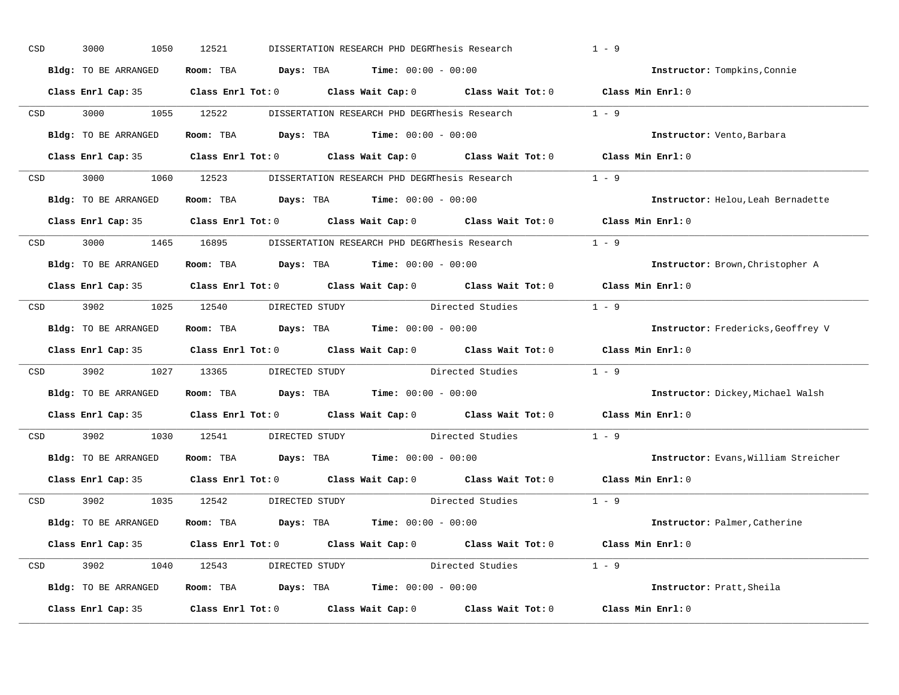| CSD |            | 3000<br>1050         | 12521                              | DISSERTATION RESEARCH PHD DEGRThesis Research                                                       |                        | $1 - 9$                              |
|-----|------------|----------------------|------------------------------------|-----------------------------------------------------------------------------------------------------|------------------------|--------------------------------------|
|     |            | Bldg: TO BE ARRANGED |                                    | Room: TBA $\rule{1em}{0.15mm}$ Days: TBA $\rule{1.15mm}]{0.15mm}$ Time: $0.000 - 0.0000$            |                        | Instructor: Tompkins, Connie         |
|     |            |                      |                                    | Class Enrl Cap: 35 Class Enrl Tot: 0 Class Wait Cap: 0 Class Wait Tot: 0 Class Min Enrl: 0          |                        |                                      |
|     |            | CSD 3000 1055 12522  |                                    | DISSERTATION RESEARCH PHD DEGRThesis Research 1 - 9                                                 |                        |                                      |
|     |            | Bldg: TO BE ARRANGED |                                    | Room: TBA $\rule{1em}{0.15mm}$ Days: TBA $\rule{1.15mm}]{0.15mm}$ Time: $0.000 - 0.0000$            |                        | Instructor: Vento, Barbara           |
|     |            |                      |                                    | Class Enrl Cap: 35 Class Enrl Tot: 0 Class Wait Cap: 0 Class Wait Tot: 0 Class Min Enrl: 0          |                        |                                      |
|     |            |                      |                                    | CSD 3000 1060 12523 DISSERTATION RESEARCH PHD DEGRThesis Research 1 - 9                             |                        |                                      |
|     |            | Bldg: TO BE ARRANGED |                                    | <b>Room:</b> TBA $Days: TBA$ <b>Time:</b> $00:00 - 00:00$                                           |                        | Instructor: Helou, Leah Bernadette   |
|     |            |                      |                                    | Class Enrl Cap: 35 $\qquad$ Class Enrl Tot: 0 $\qquad$ Class Wait Cap: 0 $\qquad$ Class Wait Tot: 0 |                        | $Class$ Min $Enr1:0$                 |
|     |            |                      |                                    | CSD 3000 1465 16895 DISSERTATION RESEARCH PHD DEGRThesis Research 1 - 9                             |                        |                                      |
|     |            | Bldg: TO BE ARRANGED |                                    | Room: TBA Days: TBA Time: $00:00 - 00:00$                                                           |                        | Instructor: Brown, Christopher A     |
|     |            |                      |                                    | Class Enrl Cap: 35 Class Enrl Tot: 0 Class Wait Cap: 0 Class Wait Tot: 0 Class Min Enrl: 0          |                        |                                      |
|     |            |                      | CSD 3902 1025 12540 DIRECTED STUDY |                                                                                                     | Directed Studies 1 - 9 |                                      |
|     |            | Bldg: TO BE ARRANGED |                                    | Room: TBA $\rule{1em}{0.15mm}$ Days: TBA $\rule{1.5mm}{0.15mm}$ Time: $00:00 - 00:00$               |                        | Instructor: Fredericks, Geoffrey V   |
|     |            |                      |                                    | Class Enrl Cap: 35 Class Enrl Tot: 0 Class Wait Cap: 0 Class Wait Tot: 0 Class Min Enrl: 0          |                        |                                      |
| CSD |            |                      |                                    | 3902 1027 13365 DIRECTED STUDY Directed Studies                                                     |                        | $1 - 9$                              |
|     |            | Bldg: TO BE ARRANGED |                                    | Room: TBA $\rule{1em}{0.15mm}$ Days: TBA Time: $00:00 - 00:00$                                      |                        | Instructor: Dickey, Michael Walsh    |
|     |            |                      |                                    | Class Enrl Cap: 35 Class Enrl Tot: 0 Class Wait Cap: 0 Class Wait Tot: 0                            |                        | Class Min Enrl: 0                    |
|     | <b>CSD</b> |                      | 3902 1030 12541 DIRECTED STUDY     |                                                                                                     | Directed Studies       | $1 - 9$                              |
|     |            | Bldg: TO BE ARRANGED |                                    | Room: TBA $Days:$ TBA $Time: 00:00 - 00:00$                                                         |                        | Instructor: Evans, William Streicher |
|     |            | Class Enrl Cap: 35   |                                    | Class Enrl Tot: $0$ Class Wait Cap: $0$ Class Wait Tot: $0$                                         |                        | Class Min Enrl: 0                    |
|     |            |                      | CSD 3902 1035 12542 DIRECTED STUDY |                                                                                                     | Directed Studies 1 - 9 |                                      |
|     |            | Bldg: TO BE ARRANGED |                                    | Room: TBA $Days:$ TBA $Time: 00:00 - 00:00$                                                         |                        | Instructor: Palmer, Catherine        |
|     |            |                      |                                    | Class Enrl Cap: 35 Class Enrl Tot: 0 Class Wait Cap: 0 Class Wait Tot: 0 Class Min Enrl: 0          |                        |                                      |
|     |            |                      |                                    | CSD 3902 1040 12543 DIRECTED STUDY Directed Studies 1 - 9                                           |                        |                                      |
|     |            | Bldg: TO BE ARRANGED |                                    | Room: TBA $Days:$ TBA $Time: 00:00 - 00:00$                                                         |                        | Instructor: Pratt, Sheila            |
|     |            | Class Enrl Cap: 35   |                                    | Class Enrl Tot: $0$ Class Wait Cap: $0$ Class Wait Tot: $0$                                         |                        | Class Min Enrl: 0                    |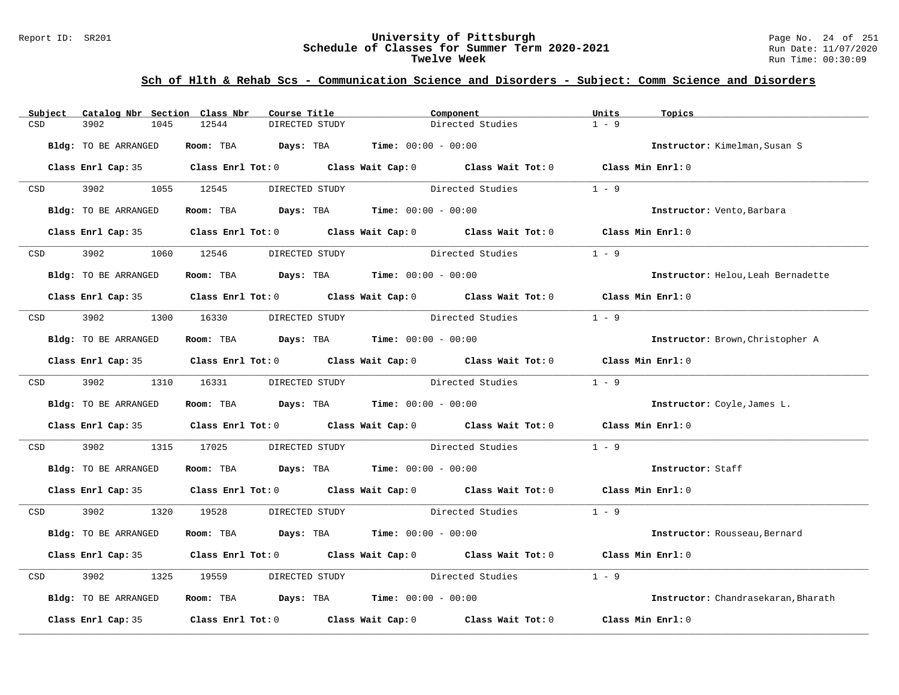#### Report ID: SR201 **University of Pittsburgh** Page No. 24 of 251 **Schedule of Classes for Summer Term 2020-2021** Run Date: 11/07/2020 **Twelve Week** Run Time: 00:30:09

| Subject                                                                                                         | Catalog Nbr Section Class Nbr | Course Title                                                   | Component                                                                                  | Units<br>Topics                     |
|-----------------------------------------------------------------------------------------------------------------|-------------------------------|----------------------------------------------------------------|--------------------------------------------------------------------------------------------|-------------------------------------|
| CSD                                                                                                             | 3902<br>1045                  | 12544<br>DIRECTED STUDY                                        | Directed Studies                                                                           | $1 - 9$                             |
|                                                                                                                 | Bldg: TO BE ARRANGED          | Room: TBA $Days:$ TBA $Time: 00:00 - 00:00$                    |                                                                                            | Instructor: Kimelman, Susan S       |
|                                                                                                                 |                               |                                                                | Class Enrl Cap: 35 Class Enrl Tot: 0 Class Wait Cap: 0 Class Wait Tot: 0 Class Min Enrl: 0 |                                     |
| CSD and the control of the control of the control of the control of the control of the control of the control o | 3902 1055 12545               | DIRECTED STUDY                                                 | Directed Studies                                                                           | $1 - 9$                             |
|                                                                                                                 | Bldg: TO BE ARRANGED          | Room: TBA $Days:$ TBA $Time: 00:00 - 00:00$                    |                                                                                            | Instructor: Vento, Barbara          |
|                                                                                                                 |                               |                                                                | Class Enrl Cap: 35 Class Enrl Tot: 0 Class Wait Cap: 0 Class Wait Tot: 0 Class Min Enrl: 0 |                                     |
| <b>CSD</b>                                                                                                      | 3902                          | 1060 12546<br>DIRECTED STUDY                                   | Directed Studies                                                                           | $1 - 9$                             |
|                                                                                                                 | Bldg: TO BE ARRANGED          | Room: TBA $\rule{1em}{0.15mm}$ Days: TBA Time: $00:00 - 00:00$ |                                                                                            | Instructor: Helou, Leah Bernadette  |
|                                                                                                                 |                               |                                                                | Class Enrl Cap: 35 Class Enrl Tot: 0 Class Wait Cap: 0 Class Wait Tot: 0 Class Min Enrl: 0 |                                     |
| CSD <sub>c</sub>                                                                                                |                               | 3902 1300 16330 DIRECTED STUDY                                 | Directed Studies                                                                           | $1 - 9$                             |
|                                                                                                                 | Bldg: TO BE ARRANGED          | Room: TBA $Days:$ TBA $Time: 00:00 - 00:00$                    |                                                                                            | Instructor: Brown, Christopher A    |
|                                                                                                                 |                               |                                                                | Class Enrl Cap: 35 Class Enrl Tot: 0 Class Wait Cap: 0 Class Wait Tot: 0 Class Min Enrl: 0 |                                     |
|                                                                                                                 | CSD 3902 1310 16331           | DIRECTED STUDY                                                 | Directed Studies 1 - 9                                                                     |                                     |
|                                                                                                                 | Bldg: TO BE ARRANGED          | Room: TBA $Days:$ TBA $Time: 00:00 - 00:00$                    |                                                                                            | Instructor: Coyle, James L.         |
|                                                                                                                 |                               |                                                                | Class Enrl Cap: 35 Class Enrl Tot: 0 Class Wait Cap: 0 Class Wait Tot: 0 Class Min Enrl: 0 |                                     |
| CSD                                                                                                             | 3902                          | 1315 17025                                                     | DIRECTED STUDY Directed Studies                                                            | $1 - 9$                             |
|                                                                                                                 | Bldg: TO BE ARRANGED          | Room: TBA $Days:$ TBA $Time: 00:00 - 00:00$                    |                                                                                            | Instructor: Staff                   |
|                                                                                                                 |                               |                                                                | Class Enrl Cap: 35 Class Enrl Tot: 0 Class Wait Cap: 0 Class Wait Tot: 0 Class Min Enrl: 0 |                                     |
| <b>CSD</b>                                                                                                      | 3902 1320 19528               |                                                                | DIRECTED STUDY Directed Studies 1 - 9                                                      |                                     |
|                                                                                                                 | Bldg: TO BE ARRANGED          | Room: TBA $Days:$ TBA $Time: 00:00 - 00:00$                    |                                                                                            | Instructor: Rousseau, Bernard       |
|                                                                                                                 |                               |                                                                | Class Enrl Cap: 35 Class Enrl Tot: 0 Class Wait Cap: 0 Class Wait Tot: 0 Class Min Enrl: 0 |                                     |
| CSD                                                                                                             | 3902<br>1325                  | 19559                                                          | DIRECTED STUDY Directed Studies                                                            | $1 - 9$                             |
|                                                                                                                 | Bldg: TO BE ARRANGED          | Room: TBA $Days:$ TBA $Time: 00:00 - 00:00$                    |                                                                                            | Instructor: Chandrasekaran, Bharath |
|                                                                                                                 |                               |                                                                | Class Enrl Cap: 35 Class Enrl Tot: 0 Class Wait Cap: 0 Class Wait Tot: 0 Class Min Enrl: 0 |                                     |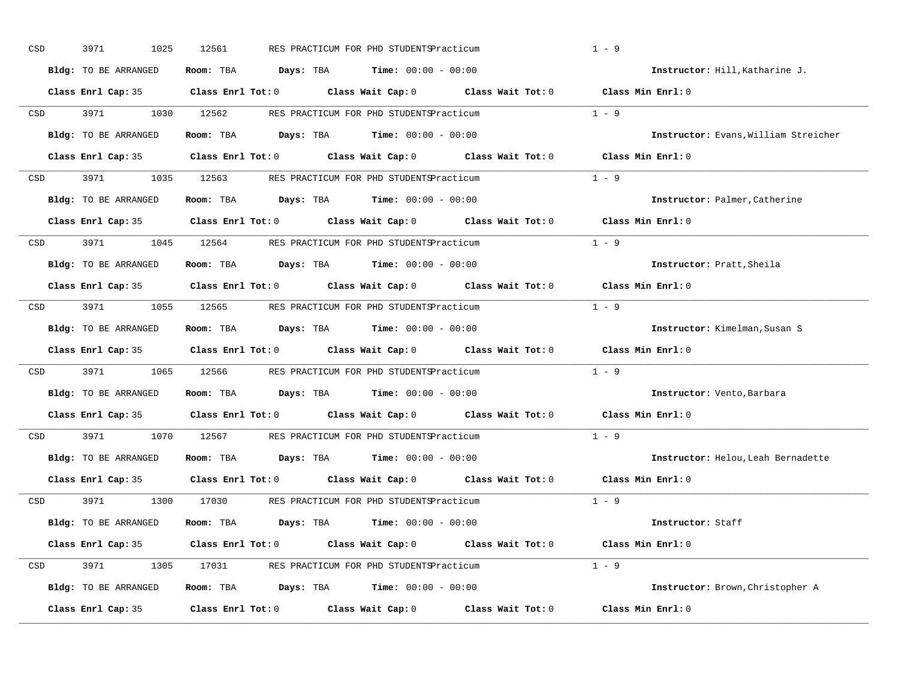| 3971<br>1025      | 12561                                                                                                                                                                   |                                                                                              | $1 - 9$                                                                                                                                                                                                                                                                                                                                                                                                                                                                                                                                                                                                                                                                                                                                                                                                                                                                                                                                                                                                                                                                                                                                                                                                                                                                                                                                                                                                                                                                                                                                                                                                                                                                                                                                                                                                                                         |
|-------------------|-------------------------------------------------------------------------------------------------------------------------------------------------------------------------|----------------------------------------------------------------------------------------------|-------------------------------------------------------------------------------------------------------------------------------------------------------------------------------------------------------------------------------------------------------------------------------------------------------------------------------------------------------------------------------------------------------------------------------------------------------------------------------------------------------------------------------------------------------------------------------------------------------------------------------------------------------------------------------------------------------------------------------------------------------------------------------------------------------------------------------------------------------------------------------------------------------------------------------------------------------------------------------------------------------------------------------------------------------------------------------------------------------------------------------------------------------------------------------------------------------------------------------------------------------------------------------------------------------------------------------------------------------------------------------------------------------------------------------------------------------------------------------------------------------------------------------------------------------------------------------------------------------------------------------------------------------------------------------------------------------------------------------------------------------------------------------------------------------------------------------------------------|
|                   |                                                                                                                                                                         |                                                                                              | Instructor: Hill, Katharine J.                                                                                                                                                                                                                                                                                                                                                                                                                                                                                                                                                                                                                                                                                                                                                                                                                                                                                                                                                                                                                                                                                                                                                                                                                                                                                                                                                                                                                                                                                                                                                                                                                                                                                                                                                                                                                  |
|                   |                                                                                                                                                                         |                                                                                              |                                                                                                                                                                                                                                                                                                                                                                                                                                                                                                                                                                                                                                                                                                                                                                                                                                                                                                                                                                                                                                                                                                                                                                                                                                                                                                                                                                                                                                                                                                                                                                                                                                                                                                                                                                                                                                                 |
|                   |                                                                                                                                                                         |                                                                                              | $1 - 9$                                                                                                                                                                                                                                                                                                                                                                                                                                                                                                                                                                                                                                                                                                                                                                                                                                                                                                                                                                                                                                                                                                                                                                                                                                                                                                                                                                                                                                                                                                                                                                                                                                                                                                                                                                                                                                         |
|                   |                                                                                                                                                                         |                                                                                              | Instructor: Evans, William Streicher                                                                                                                                                                                                                                                                                                                                                                                                                                                                                                                                                                                                                                                                                                                                                                                                                                                                                                                                                                                                                                                                                                                                                                                                                                                                                                                                                                                                                                                                                                                                                                                                                                                                                                                                                                                                            |
|                   |                                                                                                                                                                         |                                                                                              |                                                                                                                                                                                                                                                                                                                                                                                                                                                                                                                                                                                                                                                                                                                                                                                                                                                                                                                                                                                                                                                                                                                                                                                                                                                                                                                                                                                                                                                                                                                                                                                                                                                                                                                                                                                                                                                 |
|                   |                                                                                                                                                                         |                                                                                              | $1 - 9$                                                                                                                                                                                                                                                                                                                                                                                                                                                                                                                                                                                                                                                                                                                                                                                                                                                                                                                                                                                                                                                                                                                                                                                                                                                                                                                                                                                                                                                                                                                                                                                                                                                                                                                                                                                                                                         |
|                   |                                                                                                                                                                         |                                                                                              | Instructor: Palmer, Catherine                                                                                                                                                                                                                                                                                                                                                                                                                                                                                                                                                                                                                                                                                                                                                                                                                                                                                                                                                                                                                                                                                                                                                                                                                                                                                                                                                                                                                                                                                                                                                                                                                                                                                                                                                                                                                   |
|                   |                                                                                                                                                                         |                                                                                              | Class Min Enrl: 0                                                                                                                                                                                                                                                                                                                                                                                                                                                                                                                                                                                                                                                                                                                                                                                                                                                                                                                                                                                                                                                                                                                                                                                                                                                                                                                                                                                                                                                                                                                                                                                                                                                                                                                                                                                                                               |
|                   |                                                                                                                                                                         |                                                                                              | $1 - 9$                                                                                                                                                                                                                                                                                                                                                                                                                                                                                                                                                                                                                                                                                                                                                                                                                                                                                                                                                                                                                                                                                                                                                                                                                                                                                                                                                                                                                                                                                                                                                                                                                                                                                                                                                                                                                                         |
|                   |                                                                                                                                                                         |                                                                                              | Instructor: Pratt, Sheila                                                                                                                                                                                                                                                                                                                                                                                                                                                                                                                                                                                                                                                                                                                                                                                                                                                                                                                                                                                                                                                                                                                                                                                                                                                                                                                                                                                                                                                                                                                                                                                                                                                                                                                                                                                                                       |
|                   |                                                                                                                                                                         |                                                                                              | Class Min Enrl: 0                                                                                                                                                                                                                                                                                                                                                                                                                                                                                                                                                                                                                                                                                                                                                                                                                                                                                                                                                                                                                                                                                                                                                                                                                                                                                                                                                                                                                                                                                                                                                                                                                                                                                                                                                                                                                               |
|                   |                                                                                                                                                                         |                                                                                              | $1 - 9$                                                                                                                                                                                                                                                                                                                                                                                                                                                                                                                                                                                                                                                                                                                                                                                                                                                                                                                                                                                                                                                                                                                                                                                                                                                                                                                                                                                                                                                                                                                                                                                                                                                                                                                                                                                                                                         |
|                   |                                                                                                                                                                         |                                                                                              | Instructor: Kimelman, Susan S                                                                                                                                                                                                                                                                                                                                                                                                                                                                                                                                                                                                                                                                                                                                                                                                                                                                                                                                                                                                                                                                                                                                                                                                                                                                                                                                                                                                                                                                                                                                                                                                                                                                                                                                                                                                                   |
|                   |                                                                                                                                                                         |                                                                                              | Class Min Enrl: 0                                                                                                                                                                                                                                                                                                                                                                                                                                                                                                                                                                                                                                                                                                                                                                                                                                                                                                                                                                                                                                                                                                                                                                                                                                                                                                                                                                                                                                                                                                                                                                                                                                                                                                                                                                                                                               |
| 3971 3971         |                                                                                                                                                                         |                                                                                              | $1 - 9$                                                                                                                                                                                                                                                                                                                                                                                                                                                                                                                                                                                                                                                                                                                                                                                                                                                                                                                                                                                                                                                                                                                                                                                                                                                                                                                                                                                                                                                                                                                                                                                                                                                                                                                                                                                                                                         |
|                   |                                                                                                                                                                         |                                                                                              | Instructor: Vento, Barbara                                                                                                                                                                                                                                                                                                                                                                                                                                                                                                                                                                                                                                                                                                                                                                                                                                                                                                                                                                                                                                                                                                                                                                                                                                                                                                                                                                                                                                                                                                                                                                                                                                                                                                                                                                                                                      |
|                   |                                                                                                                                                                         |                                                                                              | $Class$ Min $Enrl: 0$                                                                                                                                                                                                                                                                                                                                                                                                                                                                                                                                                                                                                                                                                                                                                                                                                                                                                                                                                                                                                                                                                                                                                                                                                                                                                                                                                                                                                                                                                                                                                                                                                                                                                                                                                                                                                           |
| 3971 3971         |                                                                                                                                                                         |                                                                                              | $1 - 9$                                                                                                                                                                                                                                                                                                                                                                                                                                                                                                                                                                                                                                                                                                                                                                                                                                                                                                                                                                                                                                                                                                                                                                                                                                                                                                                                                                                                                                                                                                                                                                                                                                                                                                                                                                                                                                         |
|                   |                                                                                                                                                                         |                                                                                              | Instructor: Helou, Leah Bernadette                                                                                                                                                                                                                                                                                                                                                                                                                                                                                                                                                                                                                                                                                                                                                                                                                                                                                                                                                                                                                                                                                                                                                                                                                                                                                                                                                                                                                                                                                                                                                                                                                                                                                                                                                                                                              |
|                   |                                                                                                                                                                         |                                                                                              | Class Min Enrl: 0                                                                                                                                                                                                                                                                                                                                                                                                                                                                                                                                                                                                                                                                                                                                                                                                                                                                                                                                                                                                                                                                                                                                                                                                                                                                                                                                                                                                                                                                                                                                                                                                                                                                                                                                                                                                                               |
|                   |                                                                                                                                                                         |                                                                                              | $1 - 9$                                                                                                                                                                                                                                                                                                                                                                                                                                                                                                                                                                                                                                                                                                                                                                                                                                                                                                                                                                                                                                                                                                                                                                                                                                                                                                                                                                                                                                                                                                                                                                                                                                                                                                                                                                                                                                         |
|                   |                                                                                                                                                                         |                                                                                              | Instructor: Staff                                                                                                                                                                                                                                                                                                                                                                                                                                                                                                                                                                                                                                                                                                                                                                                                                                                                                                                                                                                                                                                                                                                                                                                                                                                                                                                                                                                                                                                                                                                                                                                                                                                                                                                                                                                                                               |
|                   |                                                                                                                                                                         |                                                                                              |                                                                                                                                                                                                                                                                                                                                                                                                                                                                                                                                                                                                                                                                                                                                                                                                                                                                                                                                                                                                                                                                                                                                                                                                                                                                                                                                                                                                                                                                                                                                                                                                                                                                                                                                                                                                                                                 |
|                   |                                                                                                                                                                         |                                                                                              | $1 - 9$                                                                                                                                                                                                                                                                                                                                                                                                                                                                                                                                                                                                                                                                                                                                                                                                                                                                                                                                                                                                                                                                                                                                                                                                                                                                                                                                                                                                                                                                                                                                                                                                                                                                                                                                                                                                                                         |
|                   |                                                                                                                                                                         |                                                                                              | Instructor: Brown, Christopher A                                                                                                                                                                                                                                                                                                                                                                                                                                                                                                                                                                                                                                                                                                                                                                                                                                                                                                                                                                                                                                                                                                                                                                                                                                                                                                                                                                                                                                                                                                                                                                                                                                                                                                                                                                                                                |
|                   |                                                                                                                                                                         |                                                                                              | Class Min Enrl: 0                                                                                                                                                                                                                                                                                                                                                                                                                                                                                                                                                                                                                                                                                                                                                                                                                                                                                                                                                                                                                                                                                                                                                                                                                                                                                                                                                                                                                                                                                                                                                                                                                                                                                                                                                                                                                               |
| CSD<br>CSD<br>CSD | Bldg: TO BE ARRANGED<br>Bldg: TO BE ARRANGED<br>Bldg: TO BE ARRANGED<br>CSD<br>Bldg: TO BE ARRANGED<br>Class Enrl Cap: 35<br>Bldg: TO BE ARRANGED<br>Class Enrl Cap: 35 | Bldg: TO BE ARRANGED<br>Bldg: TO BE ARRANGED<br>Bldg: TO BE ARRANGED<br>Bldg: TO BE ARRANGED | RES PRACTICUM FOR PHD STUDENTSPracticum<br>Room: TBA $\rule{1em}{0.15mm}$ Days: TBA $\rule{1.15mm}]{0.15mm}$ Time: $0.000 - 0.0000$<br>Class Enrl Cap: 35 Class Enrl Tot: 0 Class Wait Cap: 0 Class Wait Tot: 0 Class Min Enrl: 0<br>CSD 3971 1030 12562 RES PRACTICUM FOR PHD STUDENTSPracticum<br>Room: TBA $Days:$ TBA $Time: 00:00 - 00:00$<br>Class Enrl Cap: 35 Class Enrl Tot: 0 Class Wait Cap: 0 Class Wait Tot: 0 Class Min Enrl: 0<br>CSD 3971 1035 12563 RES PRACTICUM FOR PHD STUDENTSPracticum<br>Room: TBA $Days:$ TBA $Time:$ $00:00 - 00:00$<br>Class Enrl Cap: 35 $\qquad$ Class Enrl Tot: 0 $\qquad$ Class Wait Cap: 0 $\qquad$ Class Wait Tot: 0<br>CSD 3971 1045 12564 RES PRACTICUM FOR PHD STUDENTSPracticum<br>Room: TBA $\rule{1em}{0.15mm}$ Days: TBA $\rule{1.15mm}]{0.15mm}$ Time: $0.000 - 0.0000$<br>Class Enrl Cap: 35 Class Enrl Tot: 0 Class Wait Cap: 0 Class Wait Tot: 0<br>3971 1055 12565 RES PRACTICUM FOR PHD STUDENTSPracticum<br>Room: TBA $Days:$ TBA $Time: 00:00 - 00:00$<br>Class Enrl Cap: 35 Class Enrl Tot: 0 Class Wait Cap: 0 Class Wait Tot: 0<br>1065 12566 RES PRACTICUM FOR PHD STUDENTSPracticum<br>Room: TBA $Days:$ TBA $Time: 00:00 - 00:00$<br>Class Enrl Cap: 35 Class Enrl Tot: 0 Class Wait Cap: 0 Class Wait Tot: 0<br>1070 12567 RES PRACTICUM FOR PHD STUDENTSPracticum<br>Room: TBA $Days:$ TBA $Time: 00:00 - 00:00$<br>Class Enrl Tot: $0$ Class Wait Cap: $0$ Class Wait Tot: $0$<br>CSD 3971 1300 17030 RES PRACTICUM FOR PHD STUDENTSPracticum<br>Room: TBA $Days:$ TBA $Time: 00:00 - 00:00$<br>Class Enrl Cap: 35 Class Enrl Tot: 0 Class Wait Cap: 0 Class Wait Tot: 0 Class Min Enrl: 0<br>CSD 3971 1305 17031 RES PRACTICUM FOR PHD STUDENTSPracticum<br>Room: TBA $Days:$ TBA $Time: 00:00 - 00:00$<br>Class Enrl Tot: $0$ Class Wait Cap: $0$ Class Wait Tot: $0$ |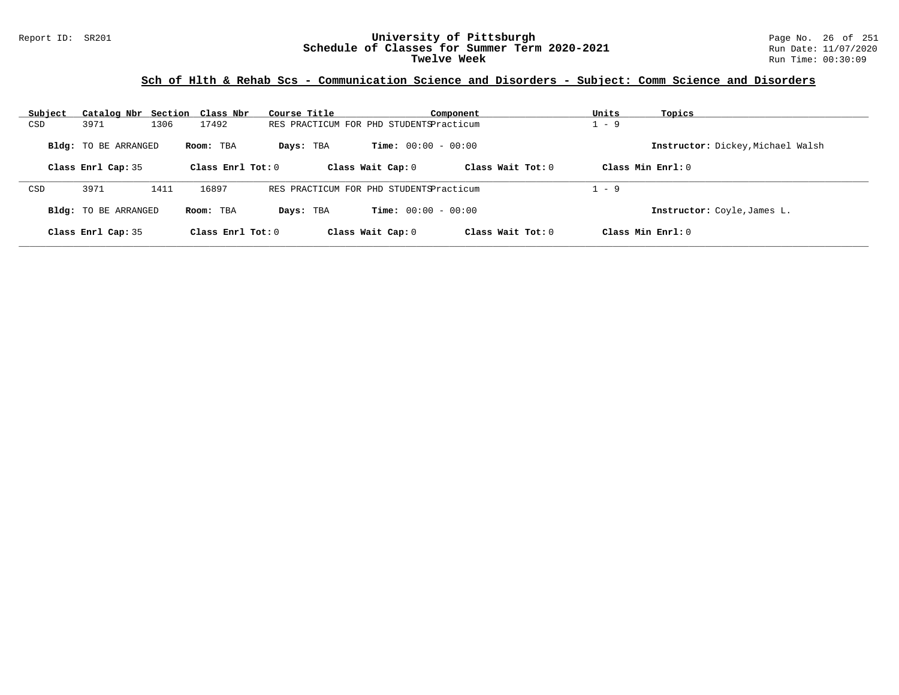### Report ID: SR201 **University of Pittsburgh** Page No. 26 of 251 **Schedule of Classes for Summer Term 2020-2021** Run Date: 11/07/2020 **Twelve Week** Run Time: 00:30:09

| Subject | Catalog Nbr Section Class Nbr |      |                     | Course Title |                                         | Component           | Units | Topics                            |
|---------|-------------------------------|------|---------------------|--------------|-----------------------------------------|---------------------|-------|-----------------------------------|
| CSD     | 3971                          | 1306 | 17492               |              | RES PRACTICUM FOR PHD STUDENTSPracticum |                     | $-9$  |                                   |
|         | <b>Bldg:</b> TO BE ARRANGED   |      | Room: TBA           | Days: TBA    | <b>Time:</b> $00:00 - 00:00$            |                     |       | Instructor: Dickey, Michael Walsh |
|         | Class Enrl Cap: 35            |      | Class Enrl Tot: $0$ |              | Class Wait Cap: 0                       | Class Wait $Tot: 0$ |       | $Class Min Ernst: 0$              |
| CSD     | 3971                          | 1411 | 16897               |              | RES PRACTICUM FOR PHD STUDENTSPracticum |                     | $-9$  |                                   |
|         | <b>Bldg:</b> TO BE ARRANGED   |      | Room: TBA           | Days: TBA    | <b>Time:</b> $00:00 - 00:00$            |                     |       | Instructor: Coyle, James L.       |
|         | Class Enrl Cap: 35            |      | Class Enrl Tot: $0$ |              | Class Wait Cap: 0                       | Class Wait $Tot: 0$ |       | $Class Min Ernst: 0$              |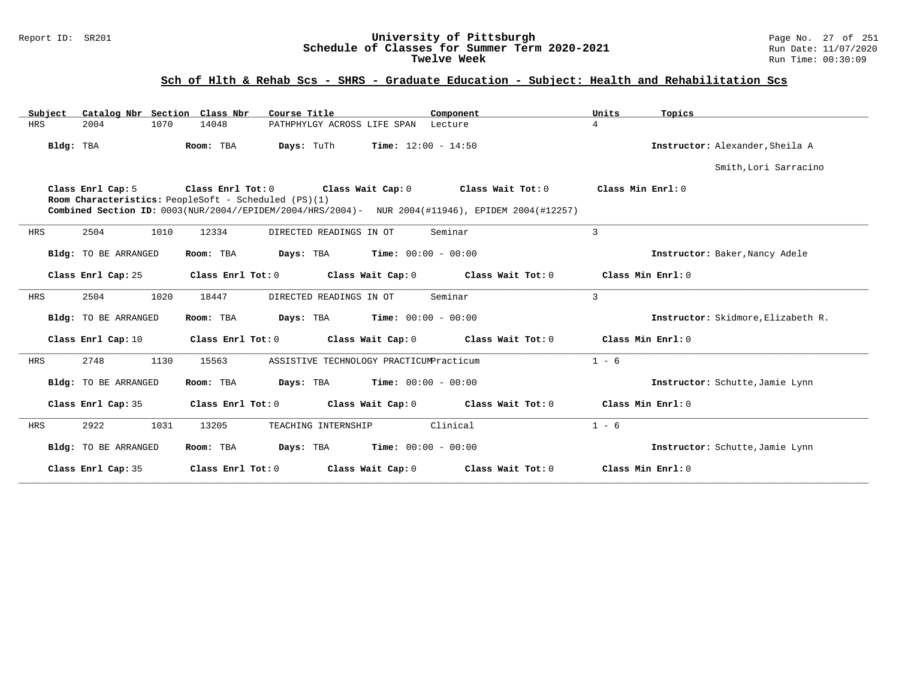### Report ID: SR201 **University of Pittsburgh** Page No. 27 of 251 **Schedule of Classes for Summer Term 2020-2021** Run Date: 11/07/2020 **Twelve Week** Run Time: 00:30:09

# **Sch of Hlth & Rehab Scs - SHRS - Graduate Education - Subject: Health and Rehabilitation Scs**

| Catalog Nbr Section Class Nbr<br>Subject | Course Title                                                                                                                                                                                    | Component         | Units<br>Topics                    |
|------------------------------------------|-------------------------------------------------------------------------------------------------------------------------------------------------------------------------------------------------|-------------------|------------------------------------|
| HRS<br>2004<br>1070                      | 14048<br>PATHPHYLGY ACROSS LIFE SPAN Lecture                                                                                                                                                    |                   | $\overline{4}$                     |
| Bldg: TBA                                | <b>Time:</b> $12:00 - 14:50$<br>Room: TBA<br>Days: TuTh                                                                                                                                         |                   | Instructor: Alexander, Sheila A    |
|                                          |                                                                                                                                                                                                 |                   | Smith, Lori Sarracino              |
| Class Enrl Cap: 5                        | Class Enrl Tot: 0 Class Wait Cap: 0<br>Room Characteristics: PeopleSoft - Scheduled (PS)(1)<br>Combined Section ID: 0003(NUR/2004//EPIDEM/2004/HRS/2004)- NUR 2004(#11946), EPIDEM 2004(#12257) | Class Wait Tot: 0 | Class Min $Enrl: 0$                |
| 2504<br>1010<br>HRS                      | 12334<br>DIRECTED READINGS IN OT                                                                                                                                                                | Seminar           | 3                                  |
| <b>Bldg:</b> TO BE ARRANGED              | <b>Days:</b> TBA <b>Time:</b> $00:00 - 00:00$<br>Room: TBA                                                                                                                                      |                   | Instructor: Baker, Nancy Adele     |
| Class Enrl Cap: 25                       | Class Enrl Tot: 0<br>Class Wait Cap: 0                                                                                                                                                          | Class Wait Tot: 0 | Class Min Enrl: 0                  |
| 1020<br>2504<br>HRS                      | 18447<br>DIRECTED READINGS IN OT                                                                                                                                                                | Seminar           | 3                                  |
| Bldg: TO BE ARRANGED                     | <b>Days:</b> TBA <b>Time:</b> $00:00 - 00:00$<br>Room: TBA                                                                                                                                      |                   | Instructor: Skidmore, Elizabeth R. |
| Class Enrl Cap: 10                       | Class Enrl Tot: $0$ Class Wait Cap: $0$ Class Wait Tot: $0$                                                                                                                                     |                   | Class Min Enrl: 0                  |
| 1130<br>2748<br>HRS                      | 15563<br>ASSISTIVE TECHNOLOGY PRACTICUMPracticum                                                                                                                                                |                   | $1 - 6$                            |
| Bldg: TO BE ARRANGED                     | <b>Days:</b> TBA <b>Time:</b> $00:00 - 00:00$<br>Room: TBA                                                                                                                                      |                   | Instructor: Schutte, Jamie Lynn    |
| Class Enrl Cap: 35                       | Class Wait Cap: $0$ Class Wait Tot: $0$<br>Class Enrl Tot: 0                                                                                                                                    |                   | Class Min Enrl: 0                  |
| 2922<br>1031<br>HRS                      | 13205<br>TEACHING INTERNSHIP                                                                                                                                                                    | Clinical          | $1 - 6$                            |
| Bldg: TO BE ARRANGED                     | $Days: TBA$ $Time: 00:00 - 00:00$<br>Room: TBA                                                                                                                                                  |                   | Instructor: Schutte, Jamie Lynn    |
| Class Enrl Cap: 35                       | Class Enrl Tot: 0<br>Class Wait Cap: 0                                                                                                                                                          | Class Wait Tot: 0 | Class Min Enrl: 0                  |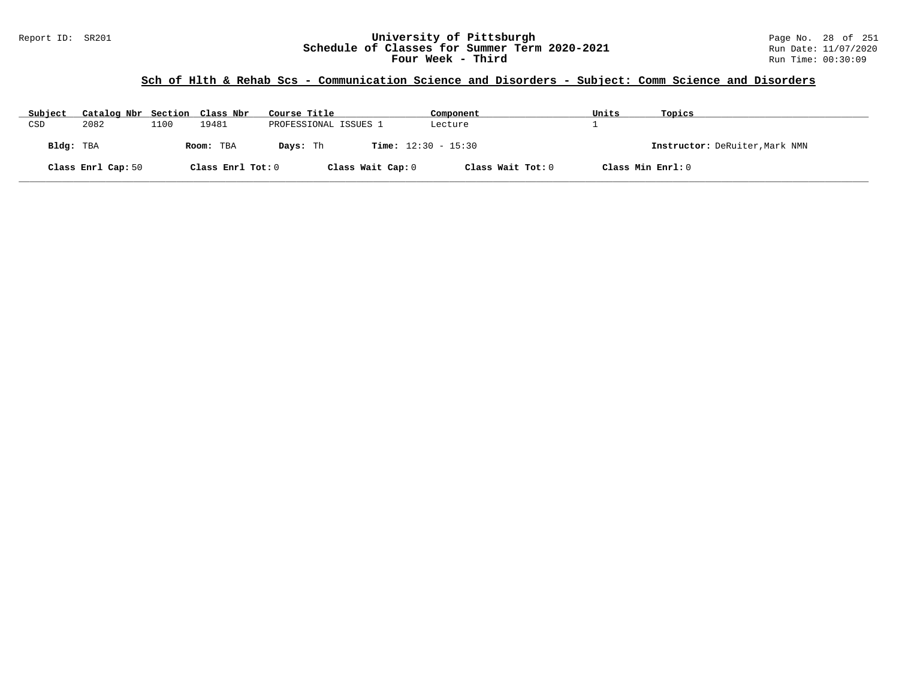### Report ID: SR201 **University of Pittsburgh** Page No. 28 of 251 **Schedule of Classes for Summer Term 2020-2021** Run Date: 11/07/2020 **Four Week - Third Run Time: 00:30:09** Run Time: 00:30:09

| Subject   | Catalog Nbr Section Class Nbr |      |                   | Course Title                             | Component         | Units             | Topics                         |
|-----------|-------------------------------|------|-------------------|------------------------------------------|-------------------|-------------------|--------------------------------|
| CSD       | 2082                          | 1100 | 19481             | PROFESSIONAL ISSUES 1                    | Lecture           |                   |                                |
| Bldg: TBA |                               |      | Room: TBA         | <b>Time:</b> $12:30 - 15:30$<br>Davs: Th |                   |                   | Instructor: DeRuiter, Mark NMN |
|           | Class Enrl Cap: 50            |      | Class Enrl Tot: 0 | Class Wait Cap: 0                        | Class Wait Tot: 0 | Class Min Enrl: 0 |                                |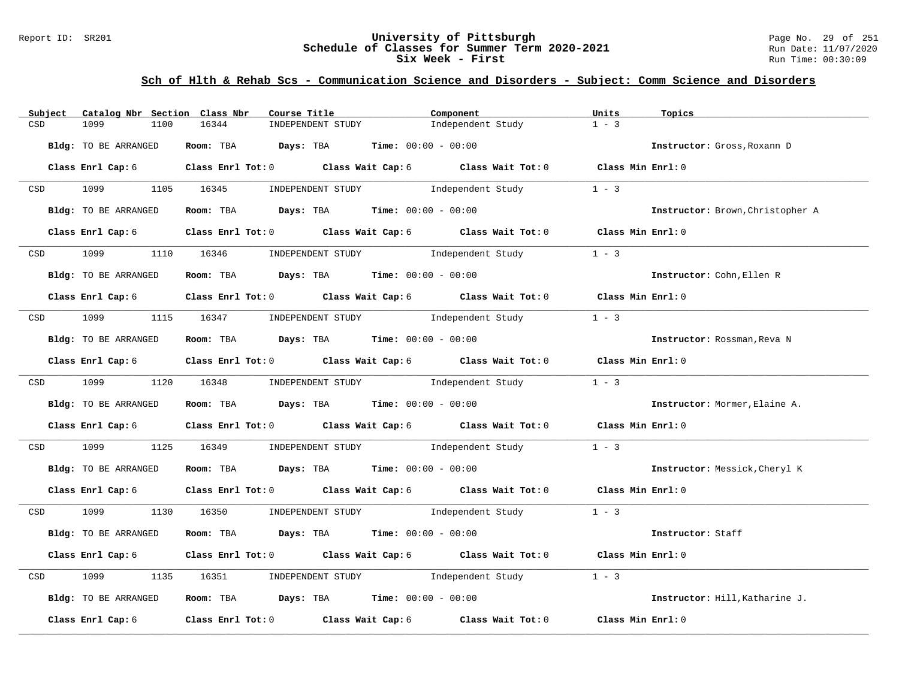### Report ID: SR201 **University of Pittsburgh** Page No. 29 of 251 **Schedule of Classes for Summer Term 2020-2021** Run Date: 11/07/2020 **Six Week - First Run Time: 00:30:09**

| Subject              | Catalog Nbr Section Class Nbr | Course Title                                                 |                                     | Component                                                                                                                    | Units             | Topics                           |
|----------------------|-------------------------------|--------------------------------------------------------------|-------------------------------------|------------------------------------------------------------------------------------------------------------------------------|-------------------|----------------------------------|
| 1099<br>CSD          | 1100                          | 16344                                                        | INDEPENDENT STUDY                   | Independent Study                                                                                                            | $1 - 3$           |                                  |
| Bldg: TO BE ARRANGED |                               | Room: TBA $Days:$ TBA $Time: 00:00 - 00:00$                  |                                     |                                                                                                                              |                   | Instructor: Gross, Roxann D      |
|                      | Class Enrl Cap: 6             |                                                              |                                     | Class Enrl Tot: 0 Class Wait Cap: 6 Class Wait Tot: 0 Class Min Enrl: 0                                                      |                   |                                  |
| CSD 1099             |                               | 1105 16345                                                   | INDEPENDENT STUDY                   | Independent Study                                                                                                            | $1 - 3$           |                                  |
| Bldg: TO BE ARRANGED |                               | Room: TBA $Days:$ TBA $Time:$ 00:00 - 00:00                  |                                     |                                                                                                                              |                   | Instructor: Brown, Christopher A |
|                      |                               |                                                              |                                     | Class Enrl Cap: 6 $\qquad$ Class Enrl Tot: 0 $\qquad$ Class Wait Cap: 6 $\qquad$ Class Wait Tot: 0                           | Class Min Enrl: 0 |                                  |
| <b>CSD</b>           | 1099 700                      | 1110 16346                                                   | INDEPENDENT STUDY 1ndependent Study |                                                                                                                              | $1 - 3$           |                                  |
| Bldg: TO BE ARRANGED |                               | Room: TBA $Days:$ TBA $Time: 00:00 - 00:00$                  |                                     |                                                                                                                              |                   | Instructor: Cohn, Ellen R        |
|                      |                               |                                                              |                                     | Class Enrl Cap: 6 Class Enrl Tot: 0 Class Wait Cap: 6 Class Wait Tot: 0 Class Min Enrl: 0                                    |                   |                                  |
| CSD 1099             |                               | 1115 16347 INDEPENDENT STUDY Independent Study               |                                     |                                                                                                                              | $1 - 3$           |                                  |
| Bldg: TO BE ARRANGED |                               | Room: TBA $Days: TBA$ Time: $00:00 - 00:00$                  |                                     |                                                                                                                              |                   | Instructor: Rossman, Reva N      |
|                      |                               |                                                              |                                     | Class Enrl Cap: 6 Class Enrl Tot: 0 Class Wait Cap: 6 Class Wait Tot: 0 Class Min Enrl: 0                                    |                   |                                  |
|                      | CSD 1099 1120 16348           |                                                              |                                     | $\begin{minipage}[c]{0.9\linewidth} \textbf{INDEX} & \textbf{STUDY} \\ \textbf{Independent Study} & 1 - 3 \\ \end{minipage}$ |                   |                                  |
| Bldg: TO BE ARRANGED |                               | Room: TBA $Days: TBA$ Time: $00:00 - 00:00$                  |                                     |                                                                                                                              |                   | Instructor: Mormer, Elaine A.    |
|                      |                               |                                                              |                                     | Class Enrl Cap: 6 Class Enrl Tot: 0 Class Wait Cap: 6 Class Wait Tot: 0 Class Min Enrl: 0                                    |                   |                                  |
| 1099<br>CSD          | 1125 16349                    |                                                              | INDEPENDENT STUDY 1ndependent Study |                                                                                                                              | $1 - 3$           |                                  |
| Bldg: TO BE ARRANGED |                               | <b>Room:</b> TBA <b>Days:</b> TBA <b>Time:</b> 00:00 - 00:00 |                                     |                                                                                                                              |                   | Instructor: Messick, Cheryl K    |
|                      |                               |                                                              |                                     | Class Enrl Cap: 6 Class Enrl Tot: 0 Class Wait Cap: 6 Class Wait Tot: 0 Class Min Enrl: 0                                    |                   |                                  |
| CSD 1099             |                               | 1130 16350 INDEPENDENT STUDY Independent Study               |                                     | $1 - 3$                                                                                                                      |                   |                                  |
| Bldg: TO BE ARRANGED |                               | Room: TBA $Days:$ TBA $Time: 00:00 - 00:00$                  |                                     |                                                                                                                              |                   | Instructor: Staff                |
|                      | Class Enrl Cap: 6             |                                                              |                                     | Class Enrl Tot: 0 $\qquad$ Class Wait Cap: 6 $\qquad$ Class Wait Tot: 0 $\qquad$ Class Min Enrl: 0                           |                   |                                  |
| 1099<br>CSD          |                               | 1135 16351                                                   | INDEPENDENT STUDY 1ndependent Study |                                                                                                                              | $1 - 3$           |                                  |
| Bldg: TO BE ARRANGED |                               | Room: TBA $Days:$ TBA $Time: 00:00 - 00:00$                  |                                     |                                                                                                                              |                   | Instructor: Hill, Katharine J.   |
| Class Enrl Cap: 6    |                               |                                                              |                                     | Class Enrl Tot: 0 Class Wait Cap: 6 Class Wait Tot: 0 Class Min Enrl: 0                                                      |                   |                                  |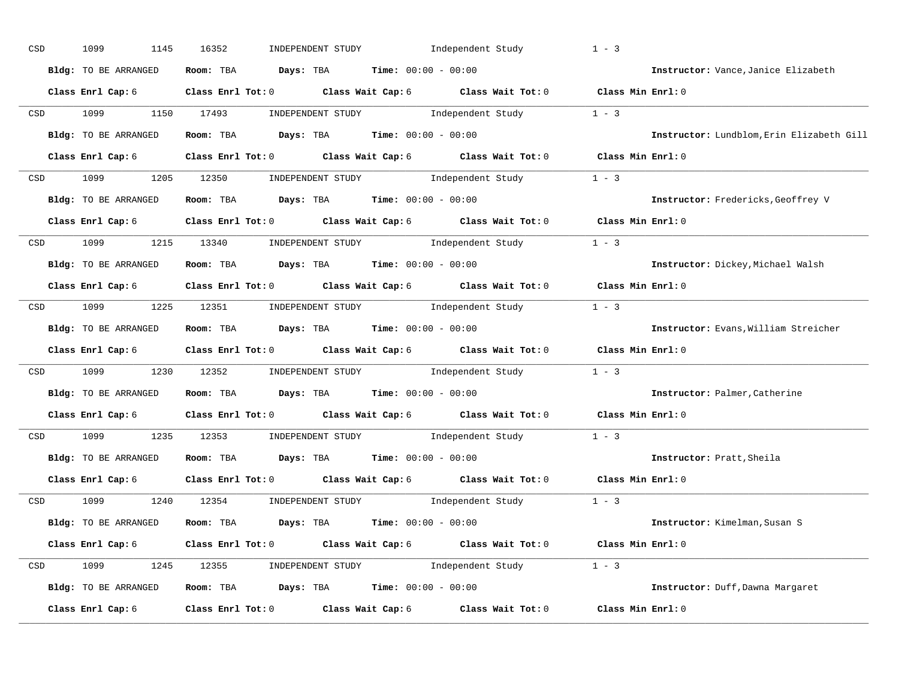| $_{\tt CSD}$ | 1099<br>1145         | 16352<br>INDEPENDENT STUDY                  | Independent Study                                                                                  | $1 - 3$                                   |
|--------------|----------------------|---------------------------------------------|----------------------------------------------------------------------------------------------------|-------------------------------------------|
|              | Bldg: TO BE ARRANGED | Room: TBA                                   | $\texttt{Days:}$ TBA $\texttt{Time:}$ 00:00 - 00:00                                                | Instructor: Vance, Janice Elizabeth       |
|              | Class Enrl Cap: 6    |                                             | Class Enrl Tot: 0 $\qquad$ Class Wait Cap: 6 $\qquad$ Class Wait Tot: 0 $\qquad$ Class Min Enrl: 0 |                                           |
| CSD          | 1099                 | 1150 17493                                  | INDEPENDENT STUDY 1ndependent Study                                                                | $1 - 3$                                   |
|              | Bldg: TO BE ARRANGED | Room: TBA                                   | $Days: TBA$ Time: $00:00 - 00:00$                                                                  | Instructor: Lundblom, Erin Elizabeth Gill |
|              | Class Enrl Cap: 6    |                                             | Class Enrl Tot: 0 Class Wait Cap: 6 Class Wait Tot: 0 Class Min Enrl: 0                            |                                           |
| CSD          | 1099                 | 1205 12350                                  | INDEPENDENT STUDY 1 - 3                                                                            |                                           |
|              | Bldg: TO BE ARRANGED | Room: TBA $Days:$ TBA $Time: 00:00 - 00:00$ |                                                                                                    | Instructor: Fredericks, Geoffrey V        |
|              | Class Enrl Cap: 6    |                                             | Class Enrl Tot: $0$ Class Wait Cap: $6$ Class Wait Tot: $0$                                        | Class Min Enrl: 0                         |
|              | CSD 1099             | 1215 13340                                  | INDEPENDENT STUDY 1ndependent Study                                                                | $1 - 3$                                   |
|              | Bldg: TO BE ARRANGED | Room: TBA                                   | $\texttt{Davis:}$ TBA $\texttt{Time:}$ 00:00 - 00:00                                               | Instructor: Dickey, Michael Walsh         |
|              | Class Enrl Cap: 6    |                                             | Class Enrl Tot: 0 Class Wait Cap: 6 Class Wait Tot: 0                                              | Class Min Enrl: 0                         |
|              | CSD 1099 1225 12351  |                                             | INDEPENDENT STUDY 1 - 3                                                                            |                                           |
|              | Bldg: TO BE ARRANGED | Room: TBA                                   | $\texttt{Days:}$ TBA $\texttt{Time:}$ 00:00 - 00:00                                                | Instructor: Evans, William Streicher      |
|              | Class Enrl Cap: 6    |                                             | Class Enrl Tot: 0 Class Wait Cap: 6 Class Wait Tot: 0                                              | Class Min Enrl: 0                         |
| CSD          | 1099<br>1230         | 12352                                       | INDEPENDENT STUDY Independent Study                                                                | $1 - 3$                                   |
|              | Bldg: TO BE ARRANGED | Room: TBA                                   | <b>Days:</b> TBA <b>Time:</b> $00:00 - 00:00$                                                      | Instructor: Palmer, Catherine             |
|              |                      |                                             | Class Enrl Cap: 6 Class Enrl Tot: 0 Class Wait Cap: 6 Class Wait Tot: 0                            | Class Min Enrl: 0                         |
| CSD          | 1099<br>1235         | 12353                                       | INDEPENDENT STUDY Independent Study                                                                | $1 - 3$                                   |
|              | Bldg: TO BE ARRANGED | Room: TBA $Days: TBA$ Time: $00:00 - 00:00$ |                                                                                                    | Instructor: Pratt, Sheila                 |
|              | Class Enrl Cap: 6    |                                             | Class Enrl Tot: 0 Class Wait Cap: 6 Class Wait Tot: 0                                              | Class Min Enrl: 0                         |
| CSD          | 1099                 | 1240 12354                                  | INDEPENDENT STUDY 1 - 3                                                                            |                                           |
|              | Bldg: TO BE ARRANGED | Room: TBA $Days:$ TBA $Time: 00:00 - 00:00$ |                                                                                                    | Instructor: Kimelman, Susan S             |
|              | Class Enrl Cap: 6    |                                             | Class Enrl Tot: 0 Class Wait Cap: 6 Class Wait Tot: 0 Class Min Enrl: 0                            |                                           |
| CSD          | 1099                 | 1245 12355                                  | INDEPENDENT STUDY 1 - 3                                                                            |                                           |
|              | Bldg: TO BE ARRANGED |                                             | Room: TBA $Days:$ TBA $Time:$ $00:00 - 00:00$                                                      | Instructor: Duff, Dawna Margaret          |
|              | Class Enrl Cap: 6    | Class Enrl Tot: 0 Class Wait Cap: 6         | Class Wait Tot: 0                                                                                  | Class Min Enrl: 0                         |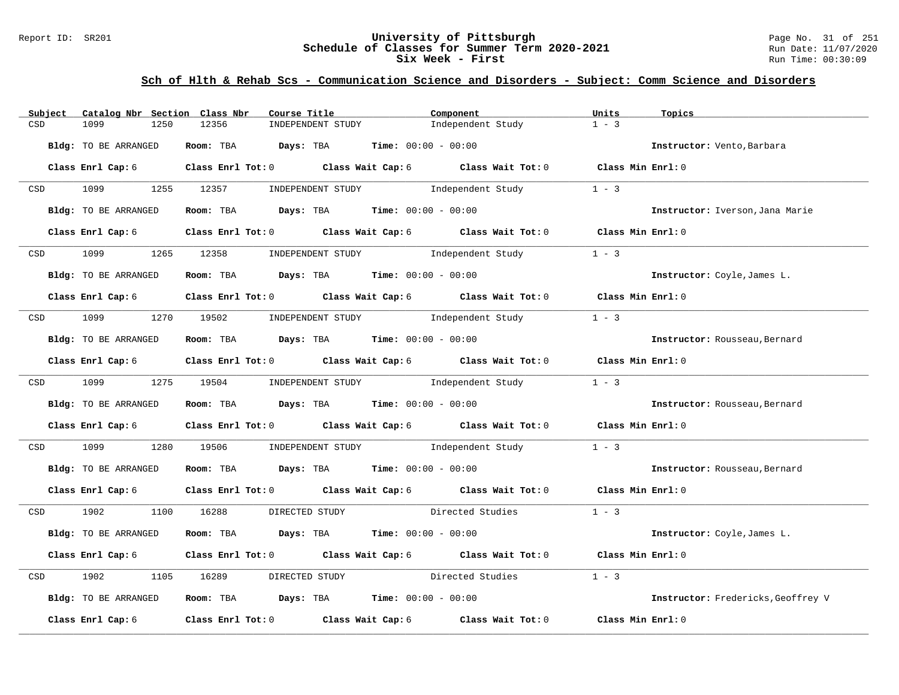### Report ID: SR201 **University of Pittsburgh** Page No. 31 of 251 **Schedule of Classes for Summer Term 2020-2021** Run Date: 11/07/2020 **Six Week - First Run Time: 00:30:09**

| Subject           | Catalog Nbr Section Class Nbr | Course Title                                          |                                     | Component                                                                                                                    | Units             | Topics                             |
|-------------------|-------------------------------|-------------------------------------------------------|-------------------------------------|------------------------------------------------------------------------------------------------------------------------------|-------------------|------------------------------------|
| CSD<br>1099       | 1250                          | 12356                                                 | INDEPENDENT STUDY                   | Independent Study                                                                                                            | $1 - 3$           |                                    |
|                   | Bldg: TO BE ARRANGED          | Room: TBA $Days:$ TBA $Time: 00:00 - 00:00$           |                                     |                                                                                                                              |                   | Instructor: Vento, Barbara         |
|                   | Class Enrl Cap: 6             |                                                       |                                     | Class Enrl Tot: 0 Class Wait Cap: 6 Class Wait Tot: 0 Class Min Enrl: 0                                                      |                   |                                    |
| CSD 1099          |                               | 1255 12357                                            | INDEPENDENT STUDY                   | Independent Study                                                                                                            | $1 - 3$           |                                    |
|                   | Bldg: TO BE ARRANGED          | Room: TBA $Days:$ TBA $Time: 00:00 - 00:00$           |                                     |                                                                                                                              |                   | Instructor: Iverson, Jana Marie    |
|                   |                               |                                                       |                                     | Class Enrl Cap: 6 $\qquad$ Class Enrl Tot: 0 $\qquad$ Class Wait Cap: 6 $\qquad$ Class Wait Tot: 0                           | Class Min Enrl: 0 |                                    |
| <b>CSD</b>        | 1099 700                      | 1265 12358                                            | INDEPENDENT STUDY 1ndependent Study |                                                                                                                              | $1 - 3$           |                                    |
|                   | Bldg: TO BE ARRANGED          | Room: TBA $Days:$ TBA $Time: 00:00 - 00:00$           |                                     |                                                                                                                              |                   | Instructor: Coyle, James L.        |
|                   |                               |                                                       |                                     | Class Enrl Cap: 6 Class Enrl Tot: 0 Class Wait Cap: 6 Class Wait Tot: 0 Class Min Enrl: 0                                    |                   |                                    |
|                   |                               | CSD 1099 1270 19502                                   | INDEPENDENT STUDY 1ndependent Study |                                                                                                                              | $1 - 3$           |                                    |
|                   | Bldg: TO BE ARRANGED          | Room: TBA $Days: TBA$ Time: $00:00 - 00:00$           |                                     |                                                                                                                              |                   | Instructor: Rousseau, Bernard      |
|                   |                               |                                                       |                                     | Class Enrl Cap: 6 $\qquad$ Class Enrl Tot: 0 $\qquad$ Class Wait Cap: 6 $\qquad$ Class Wait Tot: 0                           | Class Min Enrl: 0 |                                    |
|                   |                               | CSD 1099 1275 19504                                   |                                     | $\begin{minipage}[c]{0.9\linewidth} \textbf{INDEX} & \textbf{STUDY} \\ \textbf{Independent Study} & 1 - 3 \\ \end{minipage}$ |                   |                                    |
|                   | Bldg: TO BE ARRANGED          | Room: TBA $Days:$ TBA $Time: 00:00 - 00:00$           |                                     |                                                                                                                              |                   | Instructor: Rousseau, Bernard      |
|                   |                               |                                                       |                                     | Class Enrl Cap: 6 Class Enrl Tot: 0 Class Wait Cap: 6 Class Wait Tot: 0 Class Min Enrl: 0                                    |                   |                                    |
| 1099<br>CSD       |                               | 1280 19506                                            | INDEPENDENT STUDY 1ndependent Study |                                                                                                                              | $1 - 3$           |                                    |
|                   | Bldg: TO BE ARRANGED          | Room: TBA $Days:$ TBA $Time: 00:00 - 00:00$           |                                     |                                                                                                                              |                   | Instructor: Rousseau, Bernard      |
|                   |                               |                                                       |                                     | Class Enrl Cap: 6 Class Enrl Tot: 0 Class Wait Cap: 6 Class Wait Tot: 0 Class Min Enrl: 0                                    |                   |                                    |
| CSD 1902          |                               | 1100 16288<br>DIRECTED STUDY                          |                                     | Directed Studies                                                                                                             | $1 - 3$           |                                    |
|                   | Bldg: TO BE ARRANGED          | Room: TBA $Days:$ TBA $Time: 00:00 - 00:00$           |                                     |                                                                                                                              |                   | Instructor: Coyle, James L.        |
|                   | Class Enrl Cap: 6             | Class Enrl Tot: 0 Class Wait Cap: 6 Class Wait Tot: 0 |                                     |                                                                                                                              | Class Min Enrl: 0 |                                    |
| 1902<br>CSD       | 1105                          | 16289<br>DIRECTED STUDY                               |                                     | Directed Studies                                                                                                             | $1 - 3$           |                                    |
|                   | Bldg: TO BE ARRANGED          | Room: TBA $Days:$ TBA $Time: 00:00 - 00:00$           |                                     |                                                                                                                              |                   | Instructor: Fredericks, Geoffrey V |
| Class Enrl Cap: 6 |                               |                                                       |                                     | Class Enrl Tot: 0 $\qquad$ Class Wait Cap: 6 $\qquad$ Class Wait Tot: 0 $\qquad$ Class Min Enrl: 0                           |                   |                                    |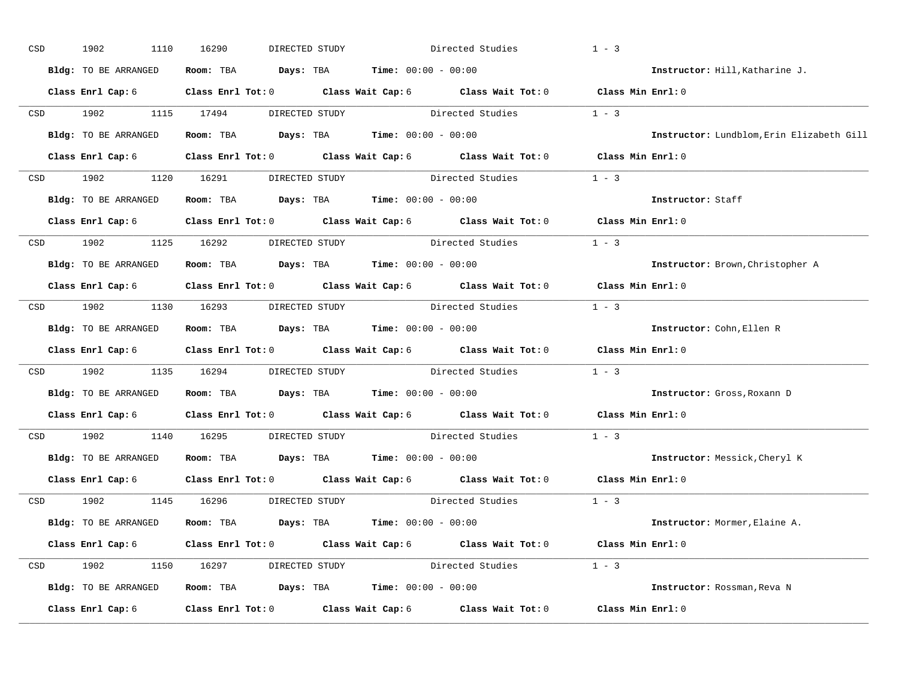| $_{\tt CSD}$ | 1902<br>1110         | 16290<br>DIRECTED STUDY                                                                   | Directed Studies                                                                                   | $1 - 3$           |                                           |
|--------------|----------------------|-------------------------------------------------------------------------------------------|----------------------------------------------------------------------------------------------------|-------------------|-------------------------------------------|
|              | Bldg: TO BE ARRANGED | Room: TBA $\rule{1em}{0.15mm}$ Days: TBA $\rule{1.15mm}]{0.15mm}$ Time: $0.000 - 0.0000$  |                                                                                                    |                   | Instructor: Hill, Katharine J.            |
|              |                      | Class Enrl Cap: 6 Class Enrl Tot: 0 Class Wait Cap: 6 Class Wait Tot: 0 Class Min Enrl: 0 |                                                                                                    |                   |                                           |
| CSD          | 1902                 | 1115 17494<br>DIRECTED STUDY                                                              | Directed Studies                                                                                   | $1 - 3$           |                                           |
|              | Bldg: TO BE ARRANGED | Room: TBA $Days: TBA$ Time: $00:00 - 00:00$                                               |                                                                                                    |                   | Instructor: Lundblom, Erin Elizabeth Gill |
|              | Class Enrl Cap: 6    |                                                                                           | Class Enrl Tot: 0 $\qquad$ Class Wait Cap: 6 $\qquad$ Class Wait Tot: 0 $\qquad$ Class Min Enrl: 0 |                   |                                           |
| CSD          |                      | 1902 1120 16291 DIRECTED STUDY Directed Studies 1 - 3                                     |                                                                                                    |                   |                                           |
|              | Bldg: TO BE ARRANGED | Room: TBA $\rule{1em}{0.15mm}$ Days: TBA Time: $00:00 - 00:00$                            |                                                                                                    |                   | Instructor: Staff                         |
|              | Class Enrl Cap: 6    |                                                                                           | Class Enrl Tot: 0 $\qquad$ Class Wait Cap: 6 $\qquad$ Class Wait Tot: 0                            | Class Min Enrl: 0 |                                           |
|              | CSD 1902             | 1125 16292                                                                                | DIRECTED STUDY Directed Studies                                                                    | $1 - 3$           |                                           |
|              | Bldg: TO BE ARRANGED | Room: TBA $Days:$ TBA $Time: 00:00 - 00:00$                                               |                                                                                                    |                   | Instructor: Brown, Christopher A          |
|              | Class Enrl Cap: 6    |                                                                                           | Class Enrl Tot: 0 Class Wait Cap: 6 Class Wait Tot: 0                                              | Class Min Enrl: 0 |                                           |
|              | CSD 1902             | 1130 16293                                                                                | DIRECTED STUDY Directed Studies                                                                    | $1 - 3$           |                                           |
|              | Bldg: TO BE ARRANGED | Room: TBA $Days: TBA$ Time: $00:00 - 00:00$                                               |                                                                                                    |                   | Instructor: Cohn, Ellen R                 |
|              |                      | Class Enrl Cap: 6 Class Enrl Tot: 0 Class Wait Cap: 6 Class Wait Tot: 0                   |                                                                                                    | Class Min Enrl: 0 |                                           |
| CSD          | 1902<br>1135         | 16294                                                                                     | DIRECTED STUDY Directed Studies                                                                    | $1 - 3$           |                                           |
|              | Bldg: TO BE ARRANGED | <b>Room:</b> TBA $\qquad \qquad$ Days: TBA $\qquad \qquad$ Time: $00:00 - 00:00$          |                                                                                                    |                   | Instructor: Gross, Roxann D               |
|              |                      | Class Enrl Cap: 6 Class Enrl Tot: 0 Class Wait Cap: 6 Class Wait Tot: 0                   |                                                                                                    | Class Min Enrl: 0 |                                           |
| CSD          | 1902<br>1140         | 16295                                                                                     | DIRECTED STUDY Directed Studies                                                                    | $1 - 3$           |                                           |
|              | Bldg: TO BE ARRANGED | Room: TBA $Days: TBA$ Time: $00:00 - 00:00$                                               |                                                                                                    |                   | Instructor: Messick, Cheryl K             |
|              | Class Enrl Cap: 6    |                                                                                           | Class Enrl Tot: 0 Class Wait Cap: 6 Class Wait Tot: 0                                              | Class Min Enrl: 0 |                                           |
| CSD          | 1902                 | 1145 16296<br>DIRECTED STUDY                                                              | Directed Studies                                                                                   | $1 - 3$           |                                           |
|              | Bldg: TO BE ARRANGED | Room: TBA $Days:$ TBA $Time: 00:00 - 00:00$                                               |                                                                                                    |                   | Instructor: Mormer, Elaine A.             |
|              | Class Enrl Cap: 6    |                                                                                           | Class Enrl Tot: 0 $\qquad$ Class Wait Cap: 6 $\qquad$ Class Wait Tot: 0 $\qquad$ Class Min Enrl: 0 |                   |                                           |
| CSD          | 1902                 | 1150 16297 DIRECTED STUDY Directed Studies 1 - 3                                          |                                                                                                    |                   |                                           |
|              | Bldg: TO BE ARRANGED | Room: TBA $Days:$ TBA $Time: 00:00 - 00:00$                                               |                                                                                                    |                   | Instructor: Rossman, Reva N               |
|              | Class Enrl Cap: 6    | Class Enrl Tot: 0 Class Wait Cap: 6                                                       | Class Wait Tot: 0                                                                                  | Class Min Enrl: 0 |                                           |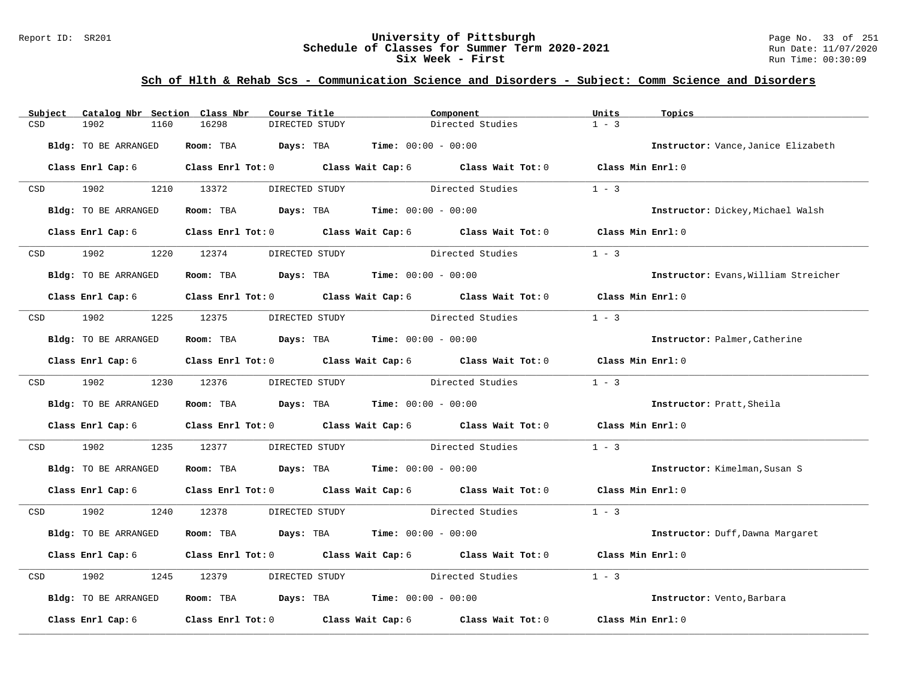### Report ID: SR201 **1988 Chedule of Classes for Summer Term 2020-2021** Page No. 33 of 251 Page No. 33 of 251 **Schedule of Classes for Summer Term 2020-2021** Run Date: 11/07/2020 **Schedule of Classes for Summer Term 2020-2021** Run Date: 11/07/2021<br>**Six Week - First** Run Time: 00:30:09 Six Week - First

| Subject     | Catalog Nbr Section Class Nbr | Course Title                 |                                                                                          | Component        | Units             | Topics                               |
|-------------|-------------------------------|------------------------------|------------------------------------------------------------------------------------------|------------------|-------------------|--------------------------------------|
| CSD         | 1902<br>1160                  | 16298<br>DIRECTED STUDY      |                                                                                          | Directed Studies | $1 - 3$           |                                      |
|             | <b>Bldg:</b> TO BE ARRANGED   | Days: TBA<br>Room: TBA       | <b>Time:</b> $00:00 - 00:00$                                                             |                  |                   | Instructor: Vance, Janice Elizabeth  |
|             | Class Enrl Cap: 6             |                              | Class Enrl Tot: 0 Class Wait Cap: 6 Class Wait Tot: 0 Class Min Enrl: 0                  |                  |                   |                                      |
| CSD         | 1902                          | 1210 13372<br>DIRECTED STUDY |                                                                                          | Directed Studies | $1 - 3$           |                                      |
|             | Bldg: TO BE ARRANGED          | Room: TBA                    | <b>Days:</b> TBA <b>Time:</b> $00:00 - 00:00$                                            |                  |                   | Instructor: Dickey, Michael Walsh    |
|             | Class Enrl Cap: 6             |                              | Class Enrl Tot: 0 Class Wait Cap: 6 Class Wait Tot: 0                                    |                  | Class Min Enrl: 0 |                                      |
| CSD         | 1902                          | 1220 12374<br>DIRECTED STUDY |                                                                                          | Directed Studies | $1 - 3$           |                                      |
|             | Bldg: TO BE ARRANGED          |                              | Room: TBA $Days:$ TBA $Time: 00:00 - 00:00$                                              |                  |                   | Instructor: Evans, William Streicher |
|             | Class Enrl Cap: 6             |                              | Class Enrl Tot: 0 Class Wait Cap: 6 Class Wait Tot: 0 Class Min Enrl: 0                  |                  |                   |                                      |
| 1902<br>CSD |                               | 1225 12375                   | DIRECTED STUDY Directed Studies                                                          |                  | $1 - 3$           |                                      |
|             | Bldg: TO BE ARRANGED          |                              | Room: TBA $Days:$ TBA $Time: 00:00 - 00:00$                                              |                  |                   | Instructor: Palmer, Catherine        |
|             | Class Enrl Cap: 6             |                              | Class Enrl Tot: 0 Class Wait Cap: 6 Class Wait Tot: 0                                    |                  | Class Min Enrl: 0 |                                      |
| CSD 1902    |                               | 1230 12376                   | DIRECTED STUDY                                                                           | Directed Studies | $1 - 3$           |                                      |
|             | Bldg: TO BE ARRANGED          |                              | Room: TBA $\rule{1em}{0.15mm}$ Days: TBA $\rule{1.15mm}]{0.15mm}$ Time: $0.000 - 0.0000$ |                  |                   | Instructor: Pratt, Sheila            |
|             | Class Enrl Cap: 6             |                              | Class Enrl Tot: 0 Class Wait Cap: 6 Class Wait Tot: 0                                    |                  | Class Min Enrl: 0 |                                      |
| CSD         | 1902<br>1235                  | 12377<br>DIRECTED STUDY      |                                                                                          | Directed Studies | $1 - 3$           |                                      |
|             | Bldg: TO BE ARRANGED          |                              | Room: TBA $Days:$ TBA $Time: 00:00 - 00:00$                                              |                  |                   | Instructor: Kimelman, Susan S        |
|             | Class Enrl Cap: 6             |                              | Class Enrl Tot: 0 Class Wait Cap: 6 Class Wait Tot: 0 Class Min Enrl: 0                  |                  |                   |                                      |
| CSD         | 1902                          | 1240 12378<br>DIRECTED STUDY |                                                                                          | Directed Studies | $1 - 3$           |                                      |
|             | Bldg: TO BE ARRANGED          |                              | Room: TBA $Days:$ TBA $Time: 00:00 - 00:00$                                              |                  |                   | Instructor: Duff, Dawna Margaret     |
|             | Class Enrl Cap: 6             |                              | Class Enrl Tot: 0 Class Wait Cap: 6 Class Wait Tot: 0                                    |                  | Class Min Enrl: 0 |                                      |
| CSD         | 1902<br>1245                  | 12379<br>DIRECTED STUDY      |                                                                                          | Directed Studies | $1 - 3$           |                                      |
|             | Bldg: TO BE ARRANGED          |                              | Room: TBA $Days:$ TBA Time: $00:00 - 00:00$                                              |                  |                   | Instructor: Vento, Barbara           |
|             | Class Enrl Cap: 6             |                              | Class Enrl Tot: 0 Class Wait Cap: 6 Class Wait Tot: 0                                    |                  | Class Min Enrl: 0 |                                      |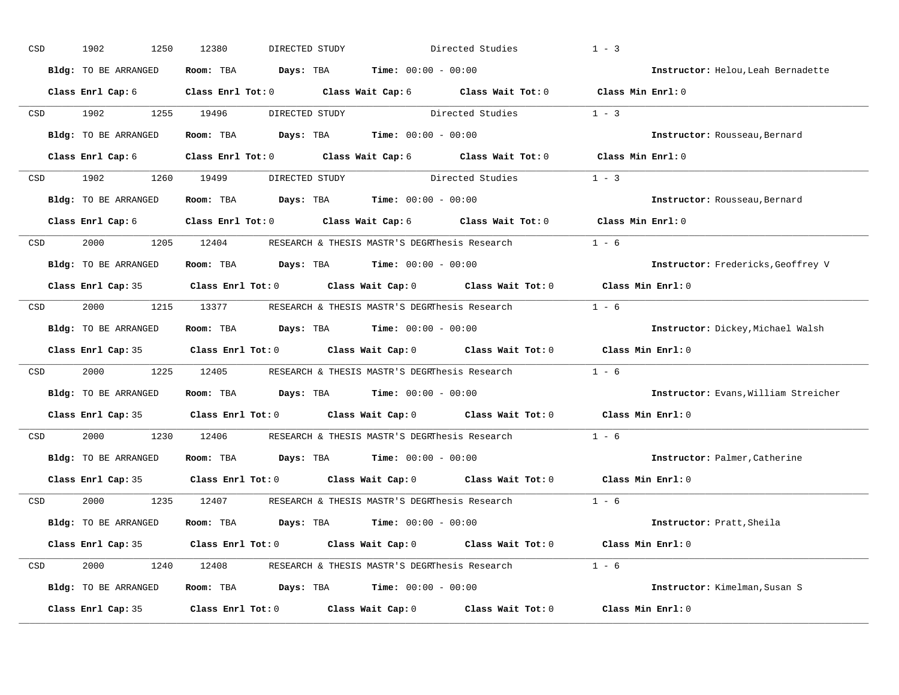| CSD |                                                                                                                 | 1902<br>1250         | 12380<br>DIRECTED STUDY                                                               | Directed Studies                                                                           | $1 - 3$                              |
|-----|-----------------------------------------------------------------------------------------------------------------|----------------------|---------------------------------------------------------------------------------------|--------------------------------------------------------------------------------------------|--------------------------------------|
|     |                                                                                                                 | Bldg: TO BE ARRANGED | Room: TBA $\rule{1em}{0.15mm}$ Days: TBA $\rule{1.5mm}{0.15mm}$ Time: $00:00 - 00:00$ |                                                                                            | Instructor: Helou, Leah Bernadette   |
|     |                                                                                                                 | Class Enrl Cap: 6    |                                                                                       | Class Enrl Tot: 0 Class Wait Cap: 6 Class Wait Tot: 0 Class Min Enrl: 0                    |                                      |
|     |                                                                                                                 | CSD 1902             | 1255 19496                                                                            | DIRECTED STUDY Directed Studies                                                            | $1 - 3$                              |
|     |                                                                                                                 | Bldg: TO BE ARRANGED | Room: TBA $Days:$ TBA $Time: 00:00 - 00:00$                                           |                                                                                            | Instructor: Rousseau, Bernard        |
|     |                                                                                                                 |                      |                                                                                       | Class Enrl Cap: 6 Class Enrl Tot: 0 Class Wait Cap: 6 Class Wait Tot: 0 Class Min Enrl: 0  |                                      |
| CSD |                                                                                                                 | 1902 1260 19499      |                                                                                       | DIRECTED STUDY Directed Studies 1 - 3                                                      |                                      |
|     |                                                                                                                 | Bldg: TO BE ARRANGED | Room: TBA $Days:$ TBA $Time: 00:00 - 00:00$                                           |                                                                                            | Instructor: Rousseau, Bernard        |
|     |                                                                                                                 |                      | Class Enrl Cap: 6 (Class Enrl Tot: 0 (Class Wait Cap: 6 (Class Wait Tot: 0            |                                                                                            | Class Min Enrl: 0                    |
| CSD |                                                                                                                 |                      |                                                                                       | 2000 1205 12404 RESEARCH & THESIS MASTR'S DEGRThesis Research                              | $1 - 6$                              |
|     |                                                                                                                 | Bldg: TO BE ARRANGED | Room: TBA $Days:$ TBA $Time: 00:00 - 00:00$                                           |                                                                                            | Instructor: Fredericks, Geoffrey V   |
|     |                                                                                                                 |                      | Class Enrl Cap: 35 Class Enrl Tot: 0 Class Wait Cap: 0 Class Wait Tot: 0              |                                                                                            | Class Min Enrl: 0                    |
| CSD |                                                                                                                 |                      | 2000 1215 13377 RESEARCH & THESIS MASTR'S DEGRThesis Research                         |                                                                                            | $1 - 6$                              |
|     |                                                                                                                 | Bldg: TO BE ARRANGED | Room: TBA $Days:$ TBA $Time: 00:00 - 00:00$                                           |                                                                                            | Instructor: Dickey, Michael Walsh    |
|     |                                                                                                                 |                      |                                                                                       | Class Enrl Cap: 35 Class Enrl Tot: 0 Class Wait Cap: 0 Class Wait Tot: 0 Class Min Enrl: 0 |                                      |
| CSD |                                                                                                                 | 2000                 | 1225 12405 RESEARCH & THESIS MASTR'S DEGRThesis Research                              |                                                                                            | $1 - 6$                              |
|     |                                                                                                                 | Bldg: TO BE ARRANGED | Room: TBA $Days:$ TBA $Time: 00:00 - 00:00$                                           |                                                                                            | Instructor: Evans, William Streicher |
|     |                                                                                                                 |                      | Class Enrl Cap: 35 Class Enrl Tot: 0 Class Wait Cap: 0 Class Wait Tot: 0              |                                                                                            | Class Min Enrl: 0                    |
|     | CSD <sub>c</sub>                                                                                                | 2000 100             | 1230 12406 RESEARCH & THESIS MASTR'S DEGRThesis Research                              |                                                                                            | $1 - 6$                              |
|     |                                                                                                                 | Bldg: TO BE ARRANGED | Room: TBA $Days:$ TBA $Time: 00:00 - 00:00$                                           |                                                                                            | Instructor: Palmer, Catherine        |
|     |                                                                                                                 | Class Enrl Cap: 35   | Class Enrl Tot: 0 $\qquad$ Class Wait Cap: 0 $\qquad$ Class Wait Tot: 0               |                                                                                            | $Class$ Min $Enrl: 0$                |
|     | CSD and the control of the control of the control of the control of the control of the control of the control o |                      | 2000 1235 12407 RESEARCH & THESIS MASTR'S DEGRThesis Research                         | $1 - 6$                                                                                    |                                      |
|     |                                                                                                                 | Bldg: TO BE ARRANGED | Room: TBA $Days:$ TBA $Time: 00:00 - 00:00$                                           |                                                                                            | Instructor: Pratt, Sheila            |
|     |                                                                                                                 |                      |                                                                                       | Class Enrl Cap: 35 Class Enrl Tot: 0 Class Wait Cap: 0 Class Wait Tot: 0 Class Min Enrl: 0 |                                      |
| CSD |                                                                                                                 |                      |                                                                                       | 2000 1240 12408 RESEARCH & THESIS MASTR'S DEGRThesis Research 1 - 6                        |                                      |
|     |                                                                                                                 | Bldg: TO BE ARRANGED | Room: TBA $Days: TBA$ Time: $00:00 - 00:00$                                           |                                                                                            | Instructor: Kimelman, Susan S        |
|     |                                                                                                                 | Class Enrl Cap: 35   |                                                                                       | Class Enrl Tot: $0$ Class Wait Cap: $0$ Class Wait Tot: $0$                                | Class Min Enrl: 0                    |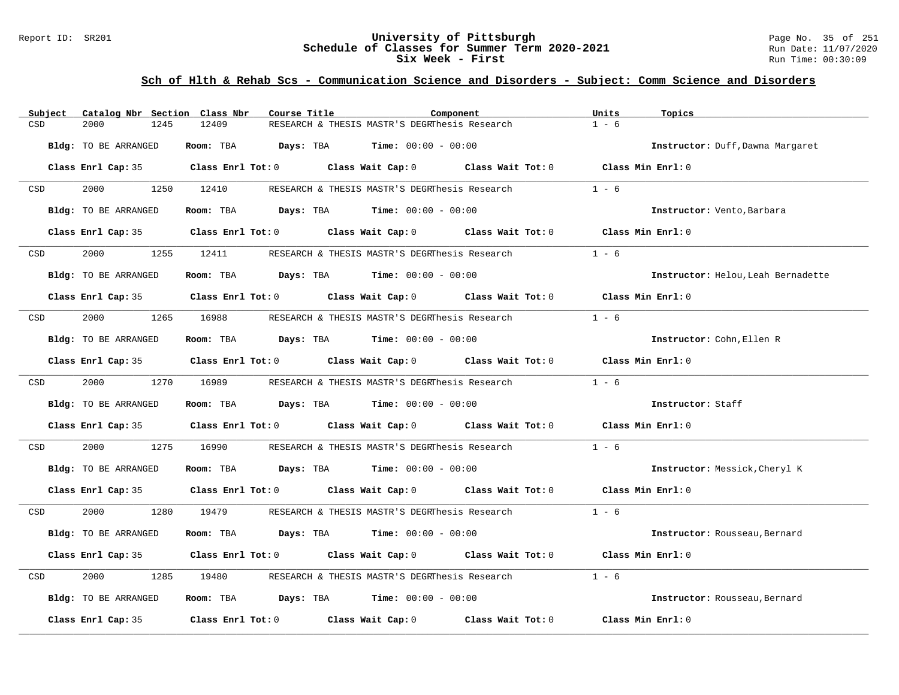### Report ID: SR201 **University of Pittsburgh** Page No. 35 of 251 **Schedule of Classes for Summer Term 2020-2021** Run Date: 11/07/2020 **Six Week - First Run Time: 00:30:09**

| Subject                                                                                                         | Catalog Nbr Section Class Nbr | Course Title                                                                               | Component                                             | Units<br>Topics                    |
|-----------------------------------------------------------------------------------------------------------------|-------------------------------|--------------------------------------------------------------------------------------------|-------------------------------------------------------|------------------------------------|
| CSD                                                                                                             | 2000<br>1245                  | 12409                                                                                      | RESEARCH & THESIS MASTR'S DEGRINES S Research         | $1 - 6$                            |
|                                                                                                                 | Bldg: TO BE ARRANGED          | Room: TBA $Days:$ TBA $Time: 00:00 - 00:00$                                                |                                                       | Instructor: Duff, Dawna Margaret   |
|                                                                                                                 |                               | Class Enrl Cap: 35 Class Enrl Tot: 0 Class Wait Cap: 0 Class Wait Tot: 0 Class Min Enrl: 0 |                                                       |                                    |
| CSD                                                                                                             | 2000 000                      | 1250 12410                                                                                 | RESEARCH & THESIS MASTR'S DEGRThesis Research         | $1 - 6$                            |
|                                                                                                                 | Bldg: TO BE ARRANGED          | Room: TBA $Days: TBA$ Time: $00:00 - 00:00$                                                |                                                       | Instructor: Vento, Barbara         |
|                                                                                                                 |                               | Class Enrl Cap: 35 Class Enrl Tot: 0 Class Wait Cap: 0 Class Wait Tot: 0 Class Min Enrl: 0 |                                                       |                                    |
| CSD <sub>c</sub>                                                                                                | 2000                          | 1255 12411                                                                                 | RESEARCH & THESIS MASTR'S DEGRThesis Research         | $1 - 6$                            |
|                                                                                                                 | Bldg: TO BE ARRANGED          | Room: TBA $\rule{1em}{0.15mm}$ Days: TBA $\rule{1.5mm}{0.15mm}$ Time: $00:00 - 00:00$      |                                                       | Instructor: Helou, Leah Bernadette |
|                                                                                                                 |                               | Class Enrl Cap: 35 Class Enrl Tot: 0 Class Wait Cap: 0 Class Wait Tot: 0 Class Min Enrl: 0 |                                                       |                                    |
| CSD                                                                                                             | 2000                          | 1265 16988                                                                                 | RESEARCH & THESIS MASTR'S DEGRThesis Research         | $1 - 6$                            |
|                                                                                                                 | Bldg: TO BE ARRANGED          | Room: TBA $Days:$ TBA $Time: 00:00 - 00:00$                                                |                                                       | Instructor: Cohn, Ellen R          |
|                                                                                                                 |                               | Class Enrl Cap: 35 Class Enrl Tot: 0 Class Wait Cap: 0 Class Wait Tot: 0 Class Min Enrl: 0 |                                                       |                                    |
| CSD and the control of the control of the control of the control of the control of the control of the control o | 2000 1270 16989               |                                                                                            | RESEARCH & THESIS MASTR'S DEGRThesis Research $1 - 6$ |                                    |
|                                                                                                                 | Bldg: TO BE ARRANGED          | Room: TBA $Days:$ TBA $Time: 00:00 - 00:00$                                                |                                                       | Instructor: Staff                  |
|                                                                                                                 |                               | Class Enrl Cap: 35 Class Enrl Tot: 0 Class Wait Cap: 0 Class Wait Tot: 0 Class Min Enrl: 0 |                                                       |                                    |
| CSD                                                                                                             | 2000<br>1275                  | 16990                                                                                      | RESEARCH & THESIS MASTR'S DEGRThesis Research         | $1 - 6$                            |
|                                                                                                                 | Bldg: TO BE ARRANGED          | Room: TBA $Days:$ TBA $Time: 00:00 - 00:00$                                                |                                                       | Instructor: Messick, Cheryl K      |
|                                                                                                                 |                               | Class Enrl Cap: 35 Class Enrl Tot: 0 Class Wait Cap: 0 Class Wait Tot: 0 Class Min Enrl: 0 |                                                       |                                    |
| CSD                                                                                                             | 2000 000                      | 1280 19479                                                                                 | RESEARCH & THESIS MASTR'S DEGRThesis Research 1 - 6   |                                    |
|                                                                                                                 | Bldg: TO BE ARRANGED          | Room: TBA $Days:$ TBA $Time: 00:00 - 00:00$                                                |                                                       | Instructor: Rousseau, Bernard      |
|                                                                                                                 |                               | Class Enrl Cap: 35 Class Enrl Tot: 0 Class Wait Cap: 0 Class Wait Tot: 0 Class Min Enrl: 0 |                                                       |                                    |
| CSD                                                                                                             | 2000<br>1285                  | 19480                                                                                      | RESEARCH & THESIS MASTR'S DEGRINesis Research         | $1 - 6$                            |
|                                                                                                                 | Bldg: TO BE ARRANGED          | Room: TBA $Days:$ TBA $Time: 00:00 - 00:00$                                                |                                                       | Instructor: Rousseau, Bernard      |
|                                                                                                                 | Class Enrl Cap: 35            | Class Enrl Tot: 0 Class Wait Cap: 0 Class Wait Tot: 0                                      |                                                       | Class Min Enrl: 0                  |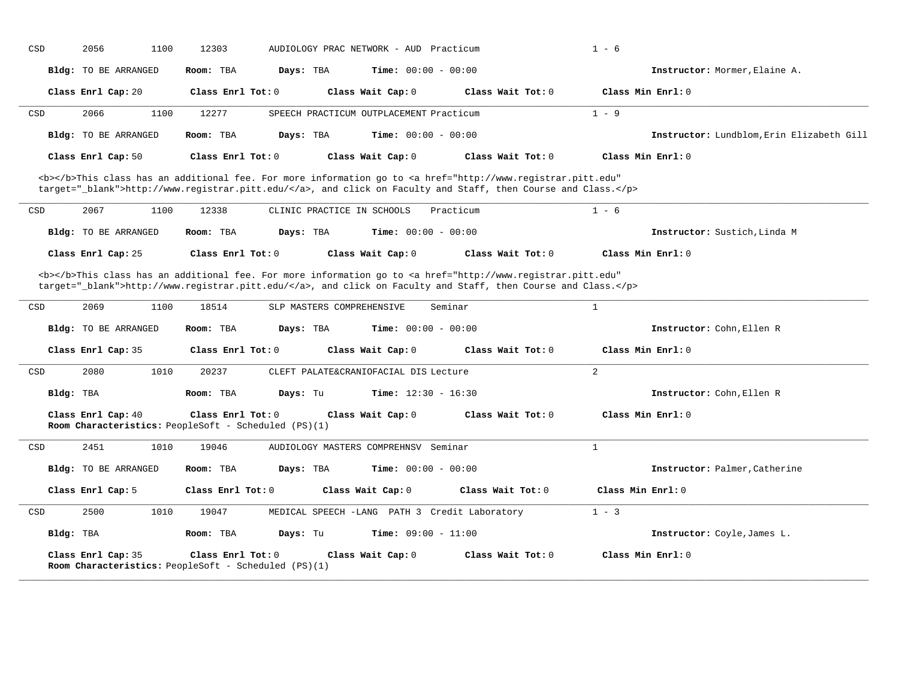| CSD       | 2056<br>1100                | 12303                                                                                                                                                                                                                              | AUDIOLOGY PRAC NETWORK - AUD Practicum        | $1 - 6$                                |                                           |
|-----------|-----------------------------|------------------------------------------------------------------------------------------------------------------------------------------------------------------------------------------------------------------------------------|-----------------------------------------------|----------------------------------------|-------------------------------------------|
|           | <b>Bldg:</b> TO BE ARRANGED | Room: TBA<br>Days: TBA                                                                                                                                                                                                             | <b>Time:</b> $00:00 - 00:00$                  |                                        | Instructor: Mormer, Elaine A.             |
|           | Class Enrl Cap: 20          | Class Enrl Tot: 0                                                                                                                                                                                                                  | Class Wait Cap: 0                             | Class Wait Tot: 0                      | Class Min Enrl: 0                         |
| CSD       | 2066<br>1100                | 12277                                                                                                                                                                                                                              | SPEECH PRACTICUM OUTPLACEMENT Practicum       | $1 - 9$                                |                                           |
|           | <b>Bldg:</b> TO BE ARRANGED | Days: TBA<br>Room: TBA                                                                                                                                                                                                             | <b>Time:</b> $00:00 - 00:00$                  |                                        | Instructor: Lundblom, Erin Elizabeth Gill |
|           | Class Enrl Cap: 50          | Class Enrl Tot: 0                                                                                                                                                                                                                  | Class Wait Cap: 0                             | Class Wait Tot: 0                      | Class Min Enrl: 0                         |
|           |                             | <b></b> This class has an additional fee. For more information go to <a <br="" href="http://www.registrar.pitt.edu">target="_blank"&gt;http://www.registrar.pitt.edu/</a> , and click on Faculty and Staff, then Course and Class. |                                               |                                        |                                           |
| CSD       | 2067<br>1100                | 12338<br>CLINIC PRACTICE IN SCHOOLS                                                                                                                                                                                                | Practicum                                     | $1 - 6$                                |                                           |
|           | Bldg: TO BE ARRANGED        | Room: TBA<br>Days: TBA                                                                                                                                                                                                             | Time: $00:00 - 00:00$                         |                                        | Instructor: Sustich, Linda M              |
|           | Class Enrl Cap: 25          | Class Enrl Tot: 0                                                                                                                                                                                                                  | Class Wait Cap: 0                             | Class Wait Tot: 0                      | Class Min Enrl: 0                         |
|           |                             | <b></b> This class has an additional fee. For more information go to <a <br="" href="http://www.registrar.pitt.edu">target="_blank"&gt;http://www.registrar.pitt.edu/</a> , and click on Faculty and Staff, then Course and Class. |                                               |                                        |                                           |
| CSD       | 2069<br>1100                | 18514<br>SLP MASTERS COMPREHENSIVE                                                                                                                                                                                                 | Seminar                                       | $\mathbf{1}$                           |                                           |
|           | Bldg: TO BE ARRANGED        | Room: TBA<br>Days: TBA                                                                                                                                                                                                             | <b>Time:</b> $00:00 - 00:00$                  |                                        | Instructor: Cohn, Ellen R                 |
|           | Class Enrl Cap: 35          | Class Enrl Tot: 0                                                                                                                                                                                                                  | Class Wait Cap: 0                             | Class Wait Tot: 0                      | Class Min Enrl: 0                         |
| CSD       | 2080<br>1010                | 20237                                                                                                                                                                                                                              | CLEFT PALATE&CRANIOFACIAL DIS Lecture         | 2                                      |                                           |
| Bldg: TBA |                             | Room: TBA<br>Days: Tu                                                                                                                                                                                                              | <b>Time:</b> $12:30 - 16:30$                  |                                        | Instructor: Cohn, Ellen R                 |
|           | Class Enrl Cap: 40          | Class Enrl Tot: 0<br>Room Characteristics: PeopleSoft - Scheduled (PS)(1)                                                                                                                                                          | Class Wait Cap: 0                             | Class Wait Tot: 0                      | Class Min Enrl: 0                         |
| CSD       | 2451<br>1010                | 19046                                                                                                                                                                                                                              | AUDIOLOGY MASTERS COMPREHNSV Seminar          | $\mathbf{1}$                           |                                           |
|           | Bldg: TO BE ARRANGED        | Days: TBA<br>Room: TBA                                                                                                                                                                                                             | <b>Time:</b> $00:00 - 00:00$                  |                                        | Instructor: Palmer, Catherine             |
|           | Class Enrl Cap: 5           | Class Enrl Tot: 0                                                                                                                                                                                                                  | Class Wait Cap: 0                             | Class Min Enrl: 0<br>Class Wait Tot: 0 |                                           |
| CSD       | 2500<br>1010                | 19047                                                                                                                                                                                                                              | MEDICAL SPEECH -LANG PATH 3 Credit Laboratory | $1 - 3$                                |                                           |
| Bldg: TBA |                             | Room: TBA<br>Days: Tu                                                                                                                                                                                                              | Time: $09:00 - 11:00$                         |                                        | Instructor: Coyle, James L.               |
|           | Class Enrl Cap: 35          | Class Enrl Tot: 0<br>Room Characteristics: PeopleSoft - Scheduled (PS)(1)                                                                                                                                                          | Class Wait Cap: 0                             | Class Wait Tot: 0                      | Class Min Enrl: 0                         |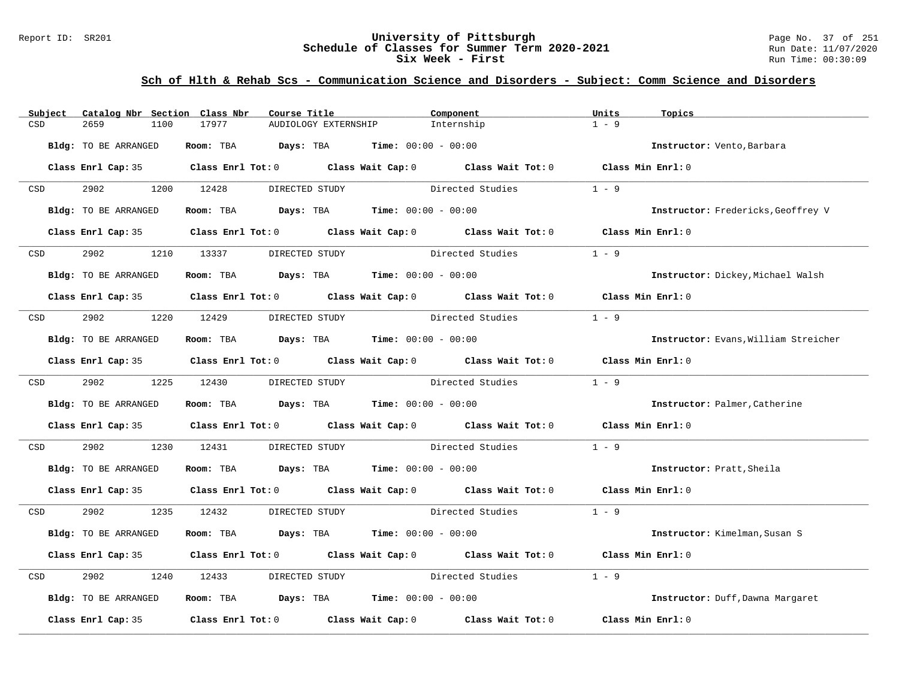#### Report ID: SR201 **University of Pittsburgh University of Pittsburgh** Page No. 37 of 251 **Schedule of Classes for Summer Term 2020-2021** Run Date: 11/07/2020 **Schedule of Classes for Summer Term 2020-2021** Run Date: 11/07/2021<br>**Six Week - First** Run Time: 00:30:09 **Six Week - First**

| Catalog Nbr Section Class Nbr<br>Subject | Course Title                                                                               | Component                       | Units<br>Topics                      |
|------------------------------------------|--------------------------------------------------------------------------------------------|---------------------------------|--------------------------------------|
| CSD<br>2659<br>1100                      | 17977<br>AUDIOLOGY EXTERNSHIP                                                              | Internship                      | $1 - 9$                              |
| Bldg: TO BE ARRANGED                     | Room: TBA $Days:$ TBA $Time: 00:00 - 00:00$                                                |                                 | Instructor: Vento, Barbara           |
|                                          | Class Enrl Cap: 35 Class Enrl Tot: 0 Class Wait Cap: 0 Class Wait Tot: 0 Class Min Enrl: 0 |                                 |                                      |
| 2902 200<br><b>CSD</b>                   | 1200 12428<br>DIRECTED STUDY                                                               | Directed Studies                | $1 - 9$                              |
| Bldg: TO BE ARRANGED                     | Room: TBA $Days:$ TBA $Time: 00:00 - 00:00$                                                |                                 | Instructor: Fredericks, Geoffrey V   |
|                                          | Class Enrl Cap: 35 Class Enrl Tot: 0 Class Wait Cap: 0 Class Wait Tot: 0                   |                                 | Class Min Enrl: 0                    |
| 2902<br>CSD                              | 1210 13337<br>DIRECTED STUDY                                                               | Directed Studies                | $1 - 9$                              |
| Bldg: TO BE ARRANGED                     | Room: TBA $\rule{1em}{0.15mm}$ Days: TBA Time: $00:00 - 00:00$                             |                                 | Instructor: Dickey, Michael Walsh    |
|                                          | Class Enrl Cap: 35 Class Enrl Tot: 0 Class Wait Cap: 0 Class Wait Tot: 0 Class Min Enrl: 0 |                                 |                                      |
| CSD 2902                                 | 1220 12429                                                                                 | DIRECTED STUDY Directed Studies | $1 - 9$                              |
| Bldg: TO BE ARRANGED                     | Room: TBA $Days:$ TBA $Time: 00:00 - 00:00$                                                |                                 | Instructor: Evans, William Streicher |
|                                          | Class Enrl Cap: 35 Class Enrl Tot: 0 Class Wait Cap: 0 Class Wait Tot: 0 Class Min Enrl: 0 |                                 |                                      |
| CSD 2902 1225 12430                      | DIRECTED STUDY                                                                             | Directed Studies                | $1 - 9$                              |
| Bldg: TO BE ARRANGED                     | Room: TBA $Days: TBA$ Time: $00:00 - 00:00$                                                |                                 | Instructor: Palmer, Catherine        |
|                                          | Class Enrl Cap: 35 Class Enrl Tot: 0 Class Wait Cap: 0 Class Wait Tot: 0 Class Min Enrl: 0 |                                 |                                      |
| 2902<br>1230<br>CSD                      | 12431                                                                                      | DIRECTED STUDY Directed Studies | $1 - 9$                              |
| Bldg: TO BE ARRANGED                     | Room: TBA $Days:$ TBA $Time: 00:00 - 00:00$                                                |                                 | Instructor: Pratt, Sheila            |
|                                          | Class Enrl Cap: 35 Class Enrl Tot: 0 Class Wait Cap: 0 Class Wait Tot: 0 Class Min Enrl: 0 |                                 |                                      |
| 2902<br>CSD                              | 1235 12432<br>DIRECTED STUDY                                                               | Directed Studies                | $1 - 9$                              |
| Bldg: TO BE ARRANGED                     | Room: TBA $Days:$ TBA $Time: 00:00 - 00:00$                                                |                                 | Instructor: Kimelman, Susan S        |
|                                          | Class Enrl Cap: 35 Class Enrl Tot: 0 Class Wait Cap: 0 Class Wait Tot: 0 Class Min Enrl: 0 |                                 |                                      |
| 2902<br>CSD                              | 1240 12433                                                                                 | DIRECTED STUDY Directed Studies | $1 - 9$                              |
| Bldg: TO BE ARRANGED                     | Room: TBA $Days:$ TBA $Time: 00:00 - 00:00$                                                |                                 | Instructor: Duff, Dawna Margaret     |
| Class Enrl Cap: 35                       | Class Enrl Tot: $0$ Class Wait Cap: $0$ Class Wait Tot: $0$                                |                                 | Class Min Enrl: 0                    |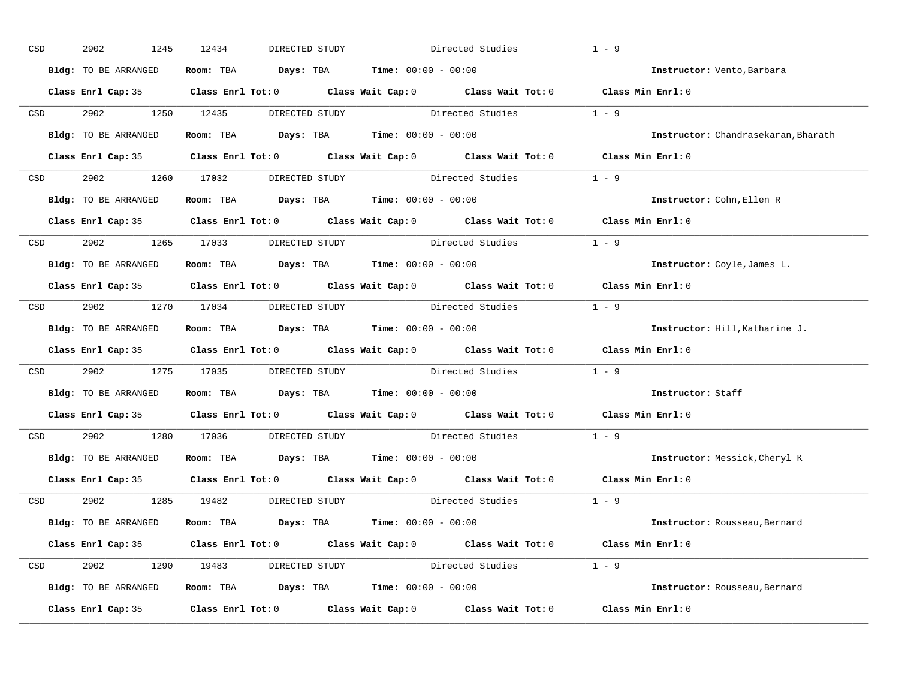| CSD |                  | 2902<br>1245         | 12434<br>DIRECTED STUDY                                                                 | Directed Studies                                                                                    | $1 - 9$                             |
|-----|------------------|----------------------|-----------------------------------------------------------------------------------------|-----------------------------------------------------------------------------------------------------|-------------------------------------|
|     |                  | Bldg: TO BE ARRANGED | Room: TBA $Days:$ TBA $Time: 00:00 - 00:00$                                             |                                                                                                     | Instructor: Vento, Barbara          |
|     |                  |                      |                                                                                         | Class Enrl Cap: 35 Class Enrl Tot: 0 Class Wait Cap: 0 Class Wait Tot: 0 Class Min Enrl: 0          |                                     |
|     |                  | CSD 2902 1250 12435  |                                                                                         | DIRECTED STUDY Directed Studies 1 - 9                                                               |                                     |
|     |                  | Bldg: TO BE ARRANGED | Room: TBA $Days:$ TBA Time: $00:00 - 00:00$                                             |                                                                                                     | Instructor: Chandrasekaran, Bharath |
|     |                  |                      |                                                                                         | Class Enrl Cap: 35 Class Enrl Tot: 0 Class Wait Cap: 0 Class Wait Tot: 0 Class Min Enrl: 0          |                                     |
|     |                  |                      |                                                                                         | CSD 2902 1260 17032 DIRECTED STUDY Directed Studies 1 - 9                                           |                                     |
|     |                  |                      | Bldg: TO BE ARRANGED Room: TBA Days: TBA Time: 00:00 - 00:00                            |                                                                                                     | Instructor: Cohn, Ellen R           |
|     |                  |                      |                                                                                         | Class Enrl Cap: 35 Class Enrl Tot: 0 Class Wait Cap: 0 Class Wait Tot: 0 Class Min Enrl: 0          |                                     |
|     |                  |                      | CSD 2902 1265 17033 DIRECTED STUDY                                                      | Directed Studies                                                                                    | $1 - 9$                             |
|     |                  | Bldg: TO BE ARRANGED | Room: TBA $Days:$ TBA $Time: 00:00 - 00:00$                                             |                                                                                                     | Instructor: Coyle, James L.         |
|     |                  |                      |                                                                                         | Class Enrl Cap: 35 Class Enrl Tot: 0 Class Wait Cap: 0 Class Wait Tot: 0 Class Min Enrl: 0          |                                     |
|     |                  |                      |                                                                                         | CSD 2902 1270 17034 DIRECTED STUDY Directed Studies 1 - 9                                           |                                     |
|     |                  | Bldg: TO BE ARRANGED | Room: TBA $Days:$ TBA $Time: 00:00 - 00:00$                                             |                                                                                                     | Instructor: Hill, Katharine J.      |
|     |                  |                      |                                                                                         | Class Enrl Cap: 35 Class Enrl Tot: 0 Class Wait Cap: 0 Class Wait Tot: 0 Class Min Enrl: 0          |                                     |
|     | CSD <sub>c</sub> |                      |                                                                                         | 2902 1275 17035 DIRECTED STUDY Directed Studies 1 - 9                                               |                                     |
|     |                  | Bldg: TO BE ARRANGED | Room: TBA $Days:$ TBA $Time: 00:00 - 00:00$                                             |                                                                                                     | Instructor: Staff                   |
|     |                  |                      |                                                                                         | Class Enrl Cap: 35 $\qquad$ Class Enrl Tot: 0 $\qquad$ Class Wait Cap: 0 $\qquad$ Class Wait Tot: 0 | Class Min Enrl: 0                   |
|     | CSD              |                      |                                                                                         | 2902 1280 17036 DIRECTED STUDY Directed Studies                                                     | $1 - 9$                             |
|     |                  |                      | Bldg: TO BE ARRANGED Room: TBA Days: TBA Time: 00:00 - 00:00                            |                                                                                                     | Instructor: Messick, Cheryl K       |
|     |                  |                      |                                                                                         | Class Enrl Cap: 35 $\qquad$ Class Enrl Tot: 0 $\qquad$ Class Wait Cap: 0 $\qquad$ Class Wait Tot: 0 | Class Min Enrl: 0                   |
|     |                  |                      | CSD 2902 1285 19482 DIRECTED STUDY                                                      | Directed Studies 1 - 9                                                                              |                                     |
|     |                  | Bldg: TO BE ARRANGED | Room: TBA $\rule{1em}{0.15mm}$ Days: TBA $\rule{1.15mm}]{0.15mm}$ Time: $0.000 - 0.000$ |                                                                                                     | Instructor: Rousseau, Bernard       |
|     |                  |                      |                                                                                         | Class Enrl Cap: 35 Class Enrl Tot: 0 Class Wait Cap: 0 Class Wait Tot: 0 Class Min Enrl: 0          |                                     |
|     |                  |                      |                                                                                         | CSD 2902 1290 19483 DIRECTED STUDY Directed Studies 1 - 9                                           |                                     |
|     |                  | Bldg: TO BE ARRANGED | Room: TBA $Days:$ TBA $Time: 00:00 - 00:00$                                             |                                                                                                     | Instructor: Rousseau, Bernard       |
|     |                  |                      |                                                                                         | Class Enrl Cap: 35 Class Enrl Tot: 0 Class Wait Cap: 0 Class Wait Tot: 0 Class Min Enrl: 0          |                                     |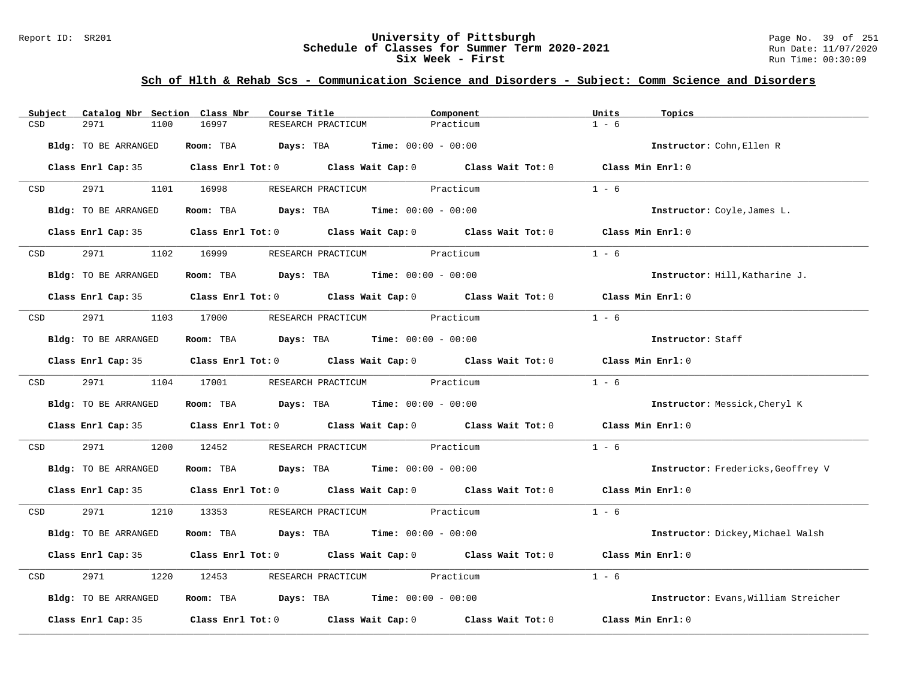#### Report ID: SR201 **University of Pittsburgh** Page No. 39 of 251 **Schedule of Classes for Summer Term 2020-2021** Run Date: 11/07/2020 **Six Week - First Run Time: 00:30:09**

| Catalog Nbr Section Class Nbr<br>Subject | Course Title                                                                               | Component | Units<br>Topics                      |
|------------------------------------------|--------------------------------------------------------------------------------------------|-----------|--------------------------------------|
| CSD<br>2971<br>1100                      | 16997<br>RESEARCH PRACTICUM                                                                | Practicum | $1 - 6$                              |
| Bldg: TO BE ARRANGED                     | Room: TBA $Days: TBA$ Time: $00:00 - 00:00$                                                |           | Instructor: Cohn, Ellen R            |
|                                          | Class Enrl Cap: 35 Class Enrl Tot: 0 Class Wait Cap: 0 Class Wait Tot: 0 Class Min Enrl: 0 |           |                                      |
| 2971 1101 16998<br><b>CSD</b>            | RESEARCH PRACTICUM Practicum                                                               |           | $1 - 6$                              |
| Bldg: TO BE ARRANGED                     | Room: TBA $Days:$ TBA $Time: 00:00 - 00:00$                                                |           | Instructor: Coyle, James L.          |
|                                          | Class Enrl Cap: 35 Class Enrl Tot: 0 Class Wait Cap: 0 Class Wait Tot: 0 Class Min Enrl: 0 |           |                                      |
| 2971 2002<br>CSD                         | 1102 16999<br>RESEARCH PRACTICUM Practicum                                                 |           | $1 - 6$                              |
| Bldg: TO BE ARRANGED                     | Room: TBA $\rule{1em}{0.15mm}$ Days: TBA Time: $00:00 - 00:00$                             |           | Instructor: Hill, Katharine J.       |
|                                          | Class Enrl Cap: 35 Class Enrl Tot: 0 Class Wait Cap: 0 Class Wait Tot: 0 Class Min Enrl: 0 |           |                                      |
| CSD                                      | 2971 1103 17000 RESEARCH PRACTICUM Practicum                                               |           | $1 - 6$                              |
| Bldg: TO BE ARRANGED                     | Room: TBA $Days:$ TBA $Time: 00:00 - 00:00$                                                |           | Instructor: Staff                    |
|                                          | Class Enrl Cap: 35 Class Enrl Tot: 0 Class Wait Cap: 0 Class Wait Tot: 0 Class Min Enrl: 0 |           |                                      |
|                                          | CSD 2971 1104 17001 RESEARCH PRACTICUM Practicum                                           |           | $1 - 6$                              |
| Bldg: TO BE ARRANGED                     | Room: TBA $\rule{1em}{0.15mm}$ Days: TBA $\rule{1.15mm}]{0.15mm}$ Time: $0.000 - 0.0000$   |           | Instructor: Messick, Cheryl K        |
|                                          | Class Enrl Cap: 35 Class Enrl Tot: 0 Class Wait Cap: 0 Class Wait Tot: 0 Class Min Enrl: 0 |           |                                      |
| 2971<br>CSD                              | 1200 12452 RESEARCH PRACTICUM Practicum                                                    |           | $1 - 6$                              |
| Bldg: TO BE ARRANGED                     | Room: TBA $Days:$ TBA $Time: 00:00 - 00:00$                                                |           | Instructor: Fredericks, Geoffrey V   |
|                                          | Class Enrl Cap: 35 Class Enrl Tot: 0 Class Wait Cap: 0 Class Wait Tot: 0 Class Min Enrl: 0 |           |                                      |
| <b>CSD</b>                               | 2971 1210 13353 RESEARCH PRACTICUM Practicum                                               |           | $1 - 6$                              |
| Bldg: TO BE ARRANGED                     | Room: TBA $Days:$ TBA $Time: 00:00 - 00:00$                                                |           | Instructor: Dickey, Michael Walsh    |
|                                          | Class Enrl Cap: 35 Class Enrl Tot: 0 Class Wait Cap: 0 Class Wait Tot: 0 Class Min Enrl: 0 |           |                                      |
| 2971<br>CSD                              | 1220 12453 RESEARCH PRACTICUM Practicum                                                    |           | $1 - 6$                              |
| Bldg: TO BE ARRANGED                     | Room: TBA $\rule{1em}{0.15mm}$ Days: TBA Time: $00:00 - 00:00$                             |           | Instructor: Evans, William Streicher |
|                                          | Class Enrl Cap: 35 Class Enrl Tot: 0 Class Wait Cap: 0 Class Wait Tot: 0 Class Min Enrl: 0 |           |                                      |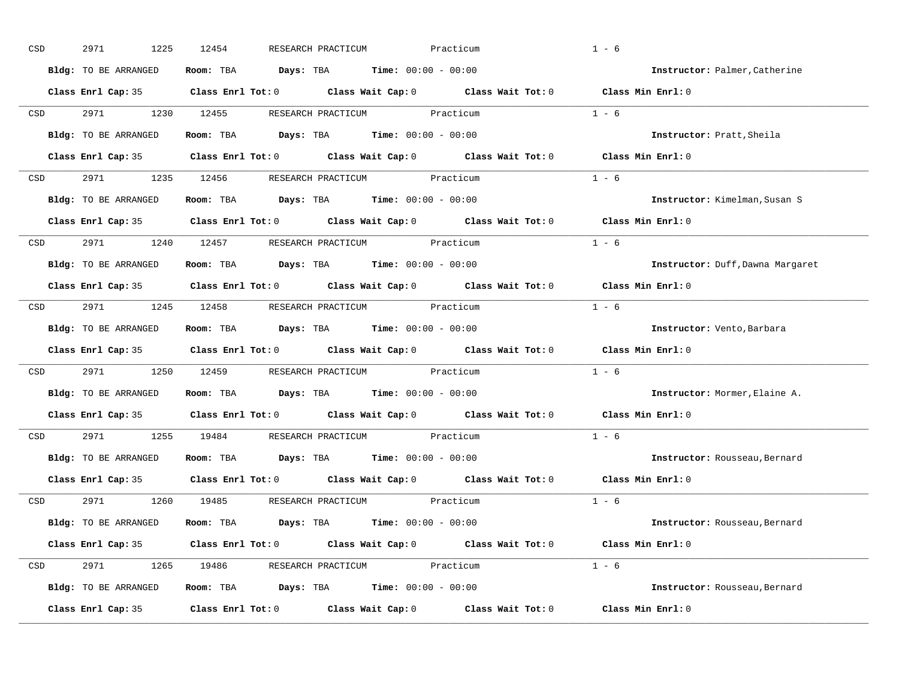| CSD |                  | 2971<br>1225         | 12454<br>RESEARCH PRACTICUM                                                                         | Practicum | $1 - 6$                          |
|-----|------------------|----------------------|-----------------------------------------------------------------------------------------------------|-----------|----------------------------------|
|     |                  | Bldg: TO BE ARRANGED | Room: TBA $Days:$ TBA $Time: 00:00 - 00:00$                                                         |           | Instructor: Palmer, Catherine    |
|     |                  |                      | Class Enrl Cap: 35 Class Enrl Tot: 0 Class Wait Cap: 0 Class Wait Tot: 0 Class Min Enrl: 0          |           |                                  |
|     | <b>CSD</b>       |                      | 2971 1230 12455 RESEARCH PRACTICUM Practicum                                                        |           | $1 - 6$                          |
|     |                  | Bldg: TO BE ARRANGED | Room: TBA $Days:$ TBA Time: $00:00 - 00:00$                                                         |           | Instructor: Pratt, Sheila        |
|     |                  |                      | Class Enrl Cap: 35 Class Enrl Tot: 0 Class Wait Cap: 0 Class Wait Tot: 0 Class Min Enrl: 0          |           |                                  |
|     |                  |                      | CSD 2971 1235 12456 RESEARCH PRACTICUM Practicum                                                    |           | $1 - 6$                          |
|     |                  |                      | Bldg: TO BE ARRANGED Room: TBA Days: TBA Time: 00:00 - 00:00                                        |           | Instructor: Kimelman, Susan S    |
|     |                  |                      | Class Enrl Cap: 35 $\qquad$ Class Enrl Tot: 0 $\qquad$ Class Wait Cap: 0 $\qquad$ Class Wait Tot: 0 |           | Class Min Enrl: 0                |
|     | CSD              |                      | 2971 1240 12457 RESEARCH PRACTICUM Practicum                                                        |           | $1 - 6$                          |
|     |                  | Bldg: TO BE ARRANGED | Room: TBA $Days:$ TBA $Time: 00:00 - 00:00$                                                         |           | Instructor: Duff, Dawna Margaret |
|     |                  |                      | Class Enrl Cap: 35 Class Enrl Tot: 0 Class Wait Cap: 0 Class Wait Tot: 0 Class Min Enrl: 0          |           |                                  |
|     |                  |                      | CSD 2971 1245 12458 RESEARCH PRACTICUM Practicum                                                    |           | $1 - 6$                          |
|     |                  | Bldg: TO BE ARRANGED | Room: TBA $Days:$ TBA $Time: 00:00 - 00:00$                                                         |           | Instructor: Vento, Barbara       |
|     |                  |                      | Class Enrl Cap: 35 Class Enrl Tot: 0 Class Wait Cap: 0 Class Wait Tot: 0 Class Min Enrl: 0          |           |                                  |
|     | CSD <sub>c</sub> |                      | 2971 1250 12459 RESEARCH PRACTICUM Practicum                                                        |           | $1 - 6$                          |
|     |                  | Bldg: TO BE ARRANGED | Room: TBA $Days:$ TBA $Time: 00:00 - 00:00$                                                         |           | Instructor: Mormer, Elaine A.    |
|     |                  |                      | Class Enrl Cap: 35 Class Enrl Tot: 0 Class Wait Cap: 0 Class Wait Tot: 0                            |           | Class Min Enrl: 0                |
|     | CSD              |                      | 2971 1255 19484 RESEARCH PRACTICUM Practicum                                                        |           | $1 - 6$                          |
|     |                  |                      | Bldg: TO BE ARRANGED Room: TBA Days: TBA Time: 00:00 - 00:00                                        |           | Instructor: Rousseau, Bernard    |
|     |                  |                      | Class Enrl Cap: 35 $\qquad$ Class Enrl Tot: 0 $\qquad$ Class Wait Cap: 0 $\qquad$ Class Wait Tot: 0 |           | Class Min Enrl: 0                |
|     |                  |                      | CSD 2971 1260 19485 RESEARCH PRACTICUM Practicum                                                    |           | $1 - 6$                          |
|     |                  | Bldg: TO BE ARRANGED | Room: TBA $Days:$ TBA $Time: 00:00 - 00:00$                                                         |           | Instructor: Rousseau, Bernard    |
|     |                  |                      | Class Enrl Cap: 35 Class Enrl Tot: 0 Class Wait Cap: 0 Class Wait Tot: 0 Class Min Enrl: 0          |           |                                  |
|     |                  |                      | CSD 2971 1265 19486 RESEARCH PRACTICUM Practicum                                                    |           | $1 - 6$                          |
|     |                  | Bldg: TO BE ARRANGED | Room: TBA $Days:$ TBA $Time: 00:00 - 00:00$                                                         |           | Instructor: Rousseau, Bernard    |
|     |                  | Class Enrl Cap: 35   | Class Enrl Tot: $0$ Class Wait Cap: $0$ Class Wait Tot: $0$ Class Min Enrl: $0$                     |           |                                  |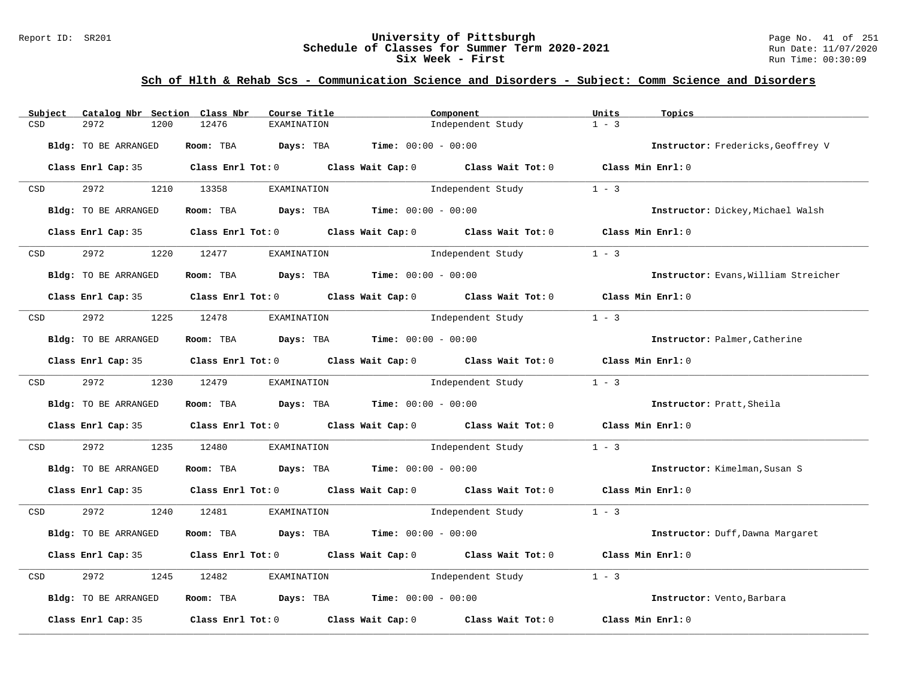#### Report ID: SR201 **University of Pittsburgh** Page No. 41 of 251 **Schedule of Classes for Summer Term 2020-2021** Run Date: 11/07/2020 **Six Week - First Run Time: 00:30:09**

| Catalog Nbr Section Class Nbr<br>Subject | Course Title                                                                          | Component                                                                                  | Units<br>Topics                      |
|------------------------------------------|---------------------------------------------------------------------------------------|--------------------------------------------------------------------------------------------|--------------------------------------|
| 2972<br>1200<br>CSD                      | 12476<br>EXAMINATION                                                                  | Independent Study                                                                          | $1 - 3$                              |
| <b>Bldg:</b> TO BE ARRANGED              | Room: TBA $Days:$ TBA $Time: 00:00 - 00:00$                                           |                                                                                            | Instructor: Fredericks, Geoffrey V   |
| Class Enrl Cap: 35                       |                                                                                       | Class Enrl Tot: 0 Class Wait Cap: 0 Class Wait Tot: 0 Class Min Enrl: 0                    |                                      |
| 2972<br>CSD                              | 1210 13358<br>EXAMINATION                                                             | Independent Study 1 - 3                                                                    |                                      |
| Bldg: TO BE ARRANGED                     | Room: TBA $Days:$ TBA $Time: 00:00 - 00:00$                                           |                                                                                            | Instructor: Dickey, Michael Walsh    |
| Class Enrl Cap: 35                       |                                                                                       | Class Enrl Tot: $0$ Class Wait Cap: $0$ Class Wait Tot: $0$ Class Min Enrl: $0$            |                                      |
| 2972<br>CSD<br>1220                      | 12477<br>EXAMINATION                                                                  | Independent Study                                                                          | $1 - 3$                              |
| Bldg: TO BE ARRANGED                     | Room: TBA $Days:$ TBA $Time: 00:00 - 00:00$                                           |                                                                                            | Instructor: Evans, William Streicher |
|                                          |                                                                                       | Class Enrl Cap: 35 Class Enrl Tot: 0 Class Wait Cap: 0 Class Wait Tot: 0 Class Min Enrl: 0 |                                      |
| 2972<br>CSD                              | 1225 12478<br>EXAMINATION                                                             | Independent Study                                                                          | $1 - 3$                              |
| Bldg: TO BE ARRANGED                     | Room: TBA $Days:$ TBA $Time: 00:00 - 00:00$                                           |                                                                                            | Instructor: Palmer, Catherine        |
|                                          |                                                                                       | Class Enrl Cap: 35 Class Enrl Tot: 0 Class Wait Cap: 0 Class Wait Tot: 0 Class Min Enrl: 0 |                                      |
| 2972<br>CSD                              | 1230 12479<br>EXAMINATION                                                             | Independent Study                                                                          | $1 - 3$                              |
| Bldg: TO BE ARRANGED                     | Room: TBA $\rule{1em}{0.15mm}$ Days: TBA $\rule{1.5mm}{0.15mm}$ Time: $00:00 - 00:00$ |                                                                                            | Instructor: Pratt, Sheila            |
|                                          |                                                                                       | Class Enrl Cap: 35 Class Enrl Tot: 0 Class Wait Cap: 0 Class Wait Tot: 0 Class Min Enrl: 0 |                                      |
| 2972<br>1235<br>CSD                      | 12480                                                                                 | EXAMINATION Independent Study                                                              | $1 - 3$                              |
| Bldg: TO BE ARRANGED                     | Room: TBA $Days:$ TBA $Time: 00:00 - 00:00$                                           |                                                                                            | Instructor: Kimelman, Susan S        |
|                                          |                                                                                       | Class Enrl Cap: 35 Class Enrl Tot: 0 Class Wait Cap: 0 Class Wait Tot: 0 Class Min Enrl: 0 |                                      |
| 2972<br><b>CSD</b>                       | 1240 12481<br>EXAMINATION                                                             | Independent Study 1 - 3                                                                    |                                      |
| Bldg: TO BE ARRANGED                     | Room: TBA $Days:$ TBA $Time: 00:00 - 00:00$                                           |                                                                                            | Instructor: Duff, Dawna Margaret     |
| Class Enrl Cap: 35                       |                                                                                       | Class Enrl Tot: 0 Class Wait Cap: 0 Class Wait Tot: 0 Class Min Enrl: 0                    |                                      |
| 2972<br>1245<br>CSD                      | 12482<br>EXAMINATION                                                                  | Independent Study                                                                          | $1 - 3$                              |
| Bldg: TO BE ARRANGED                     | Room: TBA $Days:$ TBA $Time: 00:00 - 00:00$                                           |                                                                                            | Instructor: Vento, Barbara           |
| Class Enrl Cap: 35                       | Class Enrl Tot: 0 Class Wait Cap: 0                                                   | Class Wait Tot: 0                                                                          | Class Min Enrl: 0                    |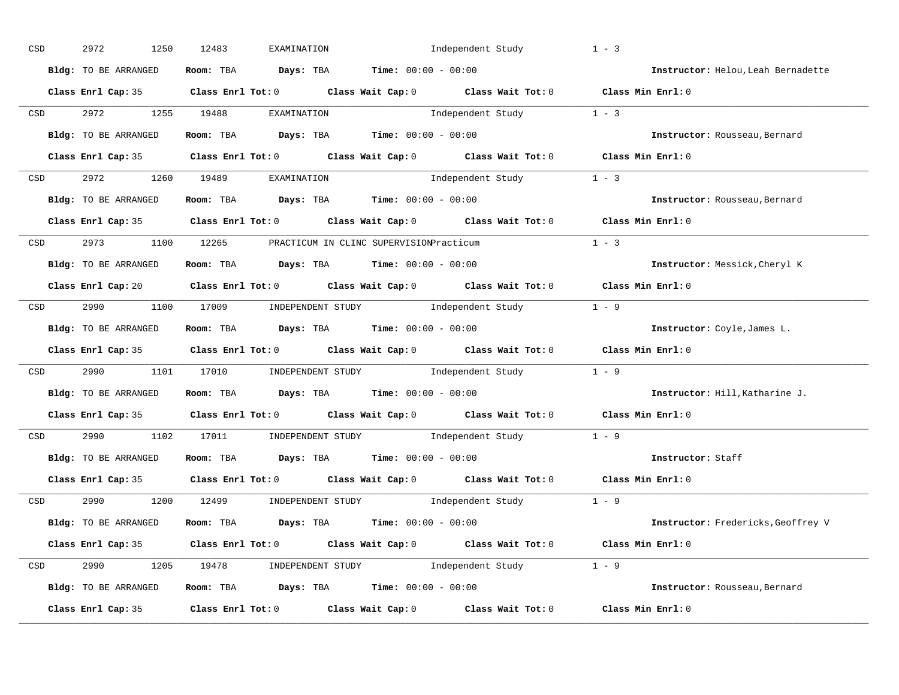| CSD |                  | 2972<br>1250         | 12483<br>EXAMINATION                                         | Independent Study                                                                                   | $1 - 3$                            |
|-----|------------------|----------------------|--------------------------------------------------------------|-----------------------------------------------------------------------------------------------------|------------------------------------|
|     |                  | Bldg: TO BE ARRANGED | Room: TBA $Days:$ TBA $Time: 00:00 - 00:00$                  |                                                                                                     | Instructor: Helou, Leah Bernadette |
|     |                  |                      |                                                              | Class Enrl Cap: 35 Class Enrl Tot: 0 Class Wait Cap: 0 Class Wait Tot: 0 Class Min Enrl: 0          |                                    |
|     |                  | CSD 2972 1255 19488  | EXAMINATION                                                  | Independent Study 1 - 3                                                                             |                                    |
|     |                  | Bldg: TO BE ARRANGED | Room: TBA $Days:$ TBA $Time: 00:00 - 00:00$                  |                                                                                                     | Instructor: Rousseau, Bernard      |
|     |                  |                      |                                                              | Class Enrl Cap: 35 Class Enrl Tot: 0 Class Wait Cap: 0 Class Wait Tot: 0 Class Min Enrl: 0          |                                    |
|     |                  |                      | CSD 2972 1260 19489 EXAMINATION                              | Independent Study 1 - 3                                                                             |                                    |
|     |                  |                      | Bldg: TO BE ARRANGED ROOM: TBA Days: TBA Time: 00:00 - 00:00 |                                                                                                     | Instructor: Rousseau, Bernard      |
|     |                  |                      |                                                              | Class Enrl Cap: 35 $\qquad$ Class Enrl Tot: 0 $\qquad$ Class Wait Cap: 0 $\qquad$ Class Wait Tot: 0 | Class Min Enrl: 0                  |
|     |                  |                      | CSD 2973 1100 12265 PRACTICUM IN CLINC SUPERVISIONPracticum  |                                                                                                     | $1 - 3$                            |
|     |                  | Bldg: TO BE ARRANGED | Room: TBA $Days:$ TBA $Time: 00:00 - 00:00$                  |                                                                                                     | Instructor: Messick, Cheryl K      |
|     |                  |                      |                                                              | Class Enrl Cap: 20 Class Enrl Tot: 0 Class Wait Cap: 0 Class Wait Tot: 0 Class Min Enrl: 0          |                                    |
|     |                  |                      |                                                              | CSD 2990 1100 17009 INDEPENDENT STUDY Independent Study 1 - 9                                       |                                    |
|     |                  | Bldg: TO BE ARRANGED | Room: TBA $Days:$ TBA $Time:$ $00:00 - 00:00$                |                                                                                                     | Instructor: Coyle, James L.        |
|     |                  |                      |                                                              | Class Enrl Cap: 35 Class Enrl Tot: 0 Class Wait Cap: 0 Class Wait Tot: 0 Class Min Enrl: 0          |                                    |
|     | CSD <sub>c</sub> |                      |                                                              | 2990 1101 17010 INDEPENDENT STUDY Independent Study 1 - 9                                           |                                    |
|     |                  | Bldg: TO BE ARRANGED | Room: TBA $Days:$ TBA $Time: 00:00 - 00:00$                  |                                                                                                     | Instructor: Hill, Katharine J.     |
|     |                  |                      |                                                              | Class Enrl Cap: 35 $\qquad$ Class Enrl Tot: 0 $\qquad$ Class Wait Cap: 0 $\qquad$ Class Wait Tot: 0 | Class Min Enrl: 0                  |
|     | CSD              |                      |                                                              | 2990 1102 17011 INDEPENDENT STUDY Independent Study 1 - 9                                           |                                    |
|     |                  | Bldg: TO BE ARRANGED | Room: TBA $Days:$ TBA Time: $00:00 - 00:00$                  |                                                                                                     | Instructor: Staff                  |
|     |                  | Class Enrl Cap: 35   |                                                              | Class Enrl Tot: $0$ Class Wait Cap: $0$ Class Wait Tot: $0$                                         | Class Min Enrl: 0                  |
|     |                  |                      |                                                              | CSD 2990 1200 12499 INDEPENDENT STUDY Independent Study 1 - 9                                       |                                    |
|     |                  | Bldg: TO BE ARRANGED | Room: TBA $Days:$ TBA $Time: 00:00 - 00:00$                  |                                                                                                     | Instructor: Fredericks, Geoffrey V |
|     |                  |                      |                                                              | Class Enrl Cap: 35 Class Enrl Tot: 0 Class Wait Cap: 0 Class Wait Tot: 0 Class Min Enrl: 0          |                                    |
|     |                  |                      |                                                              | CSD 2990 1205 19478 INDEPENDENT STUDY Independent Study 1 - 9                                       |                                    |
|     |                  | Bldg: TO BE ARRANGED |                                                              | <b>Room:</b> TBA <b>Days:</b> TBA <b>Time:</b> 00:00 - 00:00                                        | Instructor: Rousseau, Bernard      |
|     |                  | Class Enrl Cap: 35   |                                                              | Class Enrl Tot: $0$ Class Wait Cap: $0$ Class Wait Tot: $0$ Class Min Enrl: $0$                     |                                    |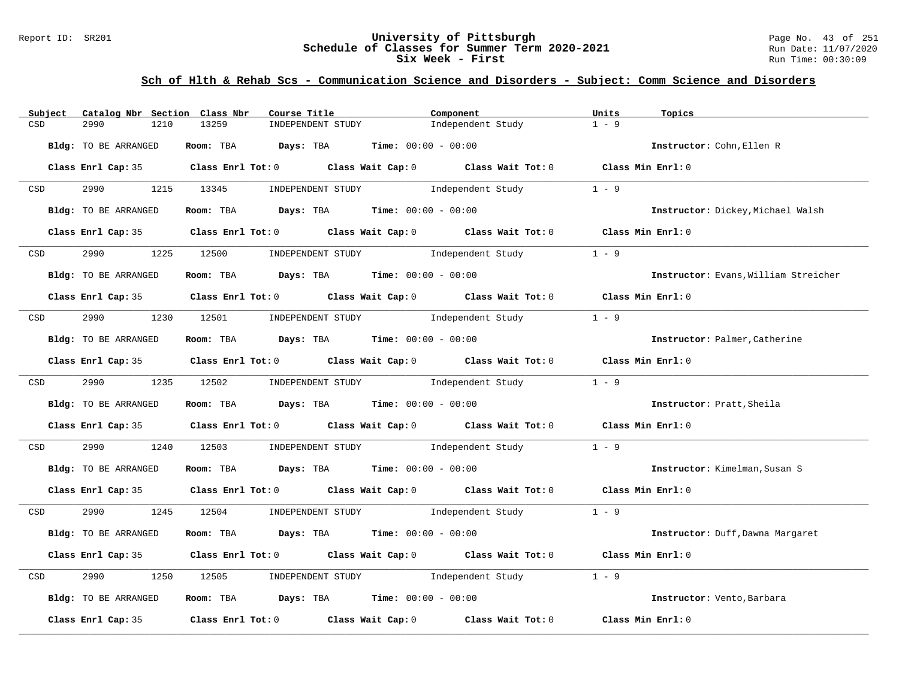#### Report ID: SR201 **University of Pittsburgh** Page No. 43 of 251 **Schedule of Classes for Summer Term 2020-2021** Run Date: 11/07/2020 **Six Week - First Run Time: 00:30:09**

| Subject    | Catalog Nbr Section Class Nbr | Course Title                                | Component                                                                                  | Units<br>Topics                      |
|------------|-------------------------------|---------------------------------------------|--------------------------------------------------------------------------------------------|--------------------------------------|
| CSD        | 2990<br>1210                  | 13259<br>INDEPENDENT STUDY                  | Independent Study                                                                          | $1 - 9$                              |
|            | Bldg: TO BE ARRANGED          | Room: TBA Days: TBA                         | <b>Time:</b> $00:00 - 00:00$                                                               | Instructor: Cohn, Ellen R            |
|            |                               |                                             | Class Enrl Cap: 35 Class Enrl Tot: 0 Class Wait Cap: 0 Class Wait Tot: 0 Class Min Enrl: 0 |                                      |
| <b>CSD</b> | 2990 72                       | 1215 13345<br>INDEPENDENT STUDY             | Independent Study                                                                          | $1 - 9$                              |
|            | Bldg: TO BE ARRANGED          | Room: TBA $Days:$ TBA $Time: 00:00 - 00:00$ |                                                                                            | Instructor: Dickey, Michael Walsh    |
|            |                               |                                             | Class Enrl Cap: 35 Class Enrl Tot: 0 Class Wait Cap: 0 Class Wait Tot: 0 Class Min Enrl: 0 |                                      |
| <b>CSD</b> | 2990                          | 1225 12500                                  | INDEPENDENT STUDY 1ndependent Study                                                        | $1 - 9$                              |
|            | Bldg: TO BE ARRANGED          | Room: TBA $Days:$ TBA $Time: 00:00 - 00:00$ |                                                                                            | Instructor: Evans, William Streicher |
|            |                               |                                             | Class Enrl Cap: 35 Class Enrl Tot: 0 Class Wait Cap: 0 Class Wait Tot: 0 Class Min Enrl: 0 |                                      |
|            | CSD 2990                      |                                             | 1230 12501 INDEPENDENT STUDY Independent Study                                             | $1 - 9$                              |
|            | Bldg: TO BE ARRANGED          | Room: TBA $Days:$ TBA $Time: 00:00 - 00:00$ |                                                                                            | Instructor: Palmer, Catherine        |
|            |                               |                                             | Class Enrl Cap: 35 Class Enrl Tot: 0 Class Wait Cap: 0 Class Wait Tot: 0 Class Min Enrl: 0 |                                      |
|            | CSD 2990                      | 1235 12502                                  | INDEPENDENT STUDY 1ndependent Study                                                        | $1 - 9$                              |
|            | Bldg: TO BE ARRANGED          | Room: TBA $Days:$ TBA $Time: 00:00 - 00:00$ |                                                                                            | Instructor: Pratt, Sheila            |
|            |                               |                                             | Class Enrl Cap: 35 Class Enrl Tot: 0 Class Wait Cap: 0 Class Wait Tot: 0 Class Min Enrl: 0 |                                      |
| CSD        | 2990<br>1240                  | 12503                                       | INDEPENDENT STUDY 1ndependent Study                                                        | $1 - 9$                              |
|            | Bldg: TO BE ARRANGED          | Room: TBA $Days:$ TBA $Time: 00:00 - 00:00$ |                                                                                            | Instructor: Kimelman, Susan S        |
|            |                               |                                             | Class Enrl Cap: 35 Class Enrl Tot: 0 Class Wait Cap: 0 Class Wait Tot: 0 Class Min Enrl: 0 |                                      |
| CSD        | 2990 700                      |                                             | 1245 12504 INDEPENDENT STUDY Independent Study 1 - 9                                       |                                      |
|            | Bldg: TO BE ARRANGED          | Room: TBA $Days:$ TBA $Time: 00:00 - 00:00$ |                                                                                            | Instructor: Duff, Dawna Margaret     |
|            |                               |                                             | Class Enrl Cap: 35 Class Enrl Tot: 0 Class Wait Cap: 0 Class Wait Tot: 0 Class Min Enrl: 0 |                                      |
| CSD        | 2990<br>1250                  | 12505                                       | INDEPENDENT STUDY 1ndependent Study                                                        | $1 - 9$                              |
|            | Bldg: TO BE ARRANGED          | Room: TBA $Days:$ TBA $Time: 00:00 - 00:00$ |                                                                                            | Instructor: Vento, Barbara           |
|            | Class Enrl Cap: 35            |                                             | Class Enrl Tot: 0 $\qquad$ Class Wait Cap: 0 $\qquad$ Class Wait Tot: 0                    | Class Min Enrl: 0                    |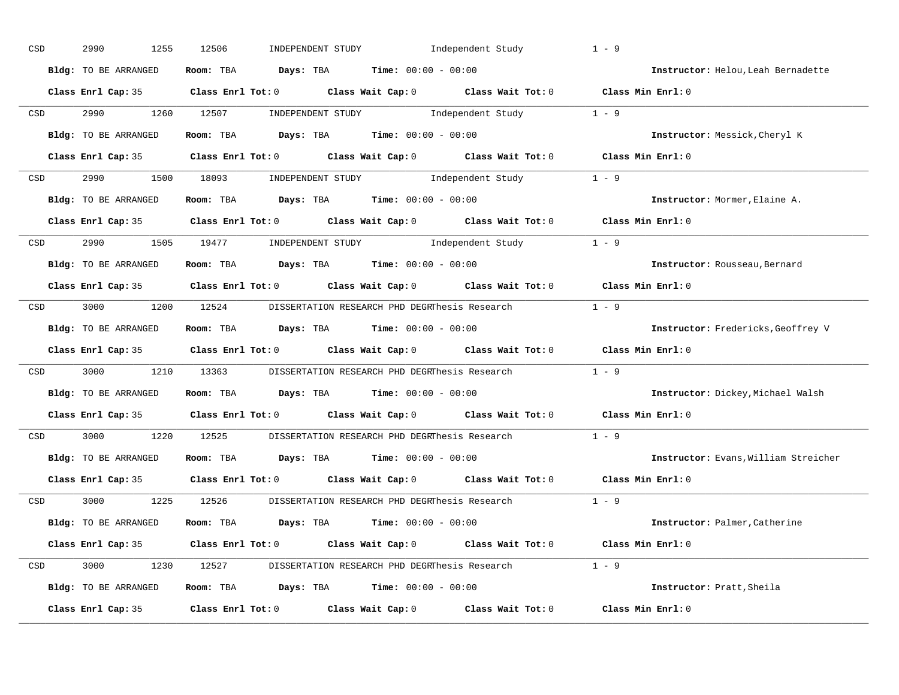| CSD |                                                                                                                 | 2990<br>1255         | 12506<br>INDEPENDENT STUDY                                                                 | Independent Study       | $1 - 9$                              |
|-----|-----------------------------------------------------------------------------------------------------------------|----------------------|--------------------------------------------------------------------------------------------|-------------------------|--------------------------------------|
|     |                                                                                                                 | Bldg: TO BE ARRANGED | Room: TBA $Days:$ TBA $Time: 00:00 - 00:00$                                                |                         | Instructor: Helou, Leah Bernadette   |
|     |                                                                                                                 |                      | Class Enrl Cap: 35 Class Enrl Tot: 0 Class Wait Cap: 0 Class Wait Tot: 0 Class Min Enrl: 0 |                         |                                      |
|     | CSD                                                                                                             | 2990 1260 12507      |                                                                                            | INDEPENDENT STUDY 1 - 9 |                                      |
|     |                                                                                                                 | Bldg: TO BE ARRANGED | Room: TBA $Days:$ TBA $Time: 00:00 - 00:00$                                                |                         | Instructor: Messick, Cheryl K        |
|     |                                                                                                                 |                      | Class Enrl Cap: 35 Class Enrl Tot: 0 Class Wait Cap: 0 Class Wait Tot: 0 Class Min Enrl: 0 |                         |                                      |
|     |                                                                                                                 |                      | CSD 2990 1500 18093 INDEPENDENT STUDY Independent Study 1 - 9                              |                         |                                      |
|     |                                                                                                                 | Bldg: TO BE ARRANGED | Room: TBA $Days:$ TBA $Time: 00:00 - 00:00$                                                |                         | Instructor: Mormer, Elaine A.        |
|     |                                                                                                                 |                      | Class Enrl Cap: 35 Class Enrl Tot: 0 Class Wait Cap: 0 Class Wait Tot: 0 Class Min Enrl: 0 |                         |                                      |
|     | CSD and the control of the control of the control of the control of the control of the control of the control o |                      | 2990 1505 19477 INDEPENDENT STUDY Independent Study 1 - 9                                  |                         |                                      |
|     |                                                                                                                 | Bldg: TO BE ARRANGED | Room: TBA $Days:$ TBA $Time: 00:00 - 00:00$                                                |                         | Instructor: Rousseau, Bernard        |
|     |                                                                                                                 |                      | Class Enrl Cap: 35 Class Enrl Tot: 0 Class Wait Cap: 0 Class Wait Tot: 0 Class Min Enrl: 0 |                         |                                      |
|     | CSD <sub>c</sub>                                                                                                |                      | 3000 1200 12524 DISSERTATION RESEARCH PHD DEGRThesis Research 1 - 9                        |                         |                                      |
|     |                                                                                                                 | Bldg: TO BE ARRANGED | Room: TBA $Days:$ TBA $Time: 00:00 - 00:00$                                                |                         | Instructor: Fredericks, Geoffrey V   |
|     |                                                                                                                 |                      | Class Enrl Cap: 35 Class Enrl Tot: 0 Class Wait Cap: 0 Class Wait Tot: 0 Class Min Enrl: 0 |                         |                                      |
|     | CSD <sub>c</sub>                                                                                                |                      | 3000 1210 13363 DISSERTATION RESEARCH PHD DEGRThesis Research                              |                         | $1 - 9$                              |
|     |                                                                                                                 | Bldg: TO BE ARRANGED | Room: TBA $Days:$ TBA $Time: 00:00 - 00:00$                                                |                         | Instructor: Dickey, Michael Walsh    |
|     |                                                                                                                 |                      | Class Enrl Cap: 35 Class Enrl Tot: 0 Class Wait Cap: 0 Class Wait Tot: 0                   |                         | Class Min Enrl: 0                    |
|     | CSD                                                                                                             | 3000 000             | 1220 12525<br>DISSERTATION RESEARCH PHD DEGRThesis Research                                |                         | $1 - 9$                              |
|     |                                                                                                                 | Bldg: TO BE ARRANGED | Room: TBA $Days:$ TBA $Time: 00:00 - 00:00$                                                |                         | Instructor: Evans, William Streicher |
|     |                                                                                                                 |                      | Class Enrl Cap: 35 Class Enrl Tot: 0 Class Wait Cap: 0 Class Wait Tot: 0                   |                         | Class Min Enrl: 0                    |
|     |                                                                                                                 | CSD 3000 1225 12526  | DISSERTATION RESEARCH PHD DEGRThesis Research                                              |                         | $1 - 9$                              |
|     |                                                                                                                 | Bldg: TO BE ARRANGED | Room: TBA $Days:$ TBA $Time: 00:00 - 00:00$                                                |                         | Instructor: Palmer, Catherine        |
|     |                                                                                                                 |                      | Class Enrl Cap: 35 Class Enrl Tot: 0 Class Wait Cap: 0 Class Wait Tot: 0 Class Min Enrl: 0 |                         |                                      |
|     |                                                                                                                 |                      | CSD 3000 1230 12527 DISSERTATION RESEARCH PHD DEGRThesis Research 1 - 9                    |                         |                                      |
|     |                                                                                                                 | Bldg: TO BE ARRANGED | Room: TBA $Days:$ TBA $Time: 00:00 - 00:00$                                                |                         | Instructor: Pratt, Sheila            |
|     |                                                                                                                 | Class Enrl Cap: 35   | $Class$ $Enrl$ $Tot: 0$ $Class$ $Wait$ $Cans$ $Class$ $Wait$ $Tot: 0$                      |                         | Class Min Enrl: 0                    |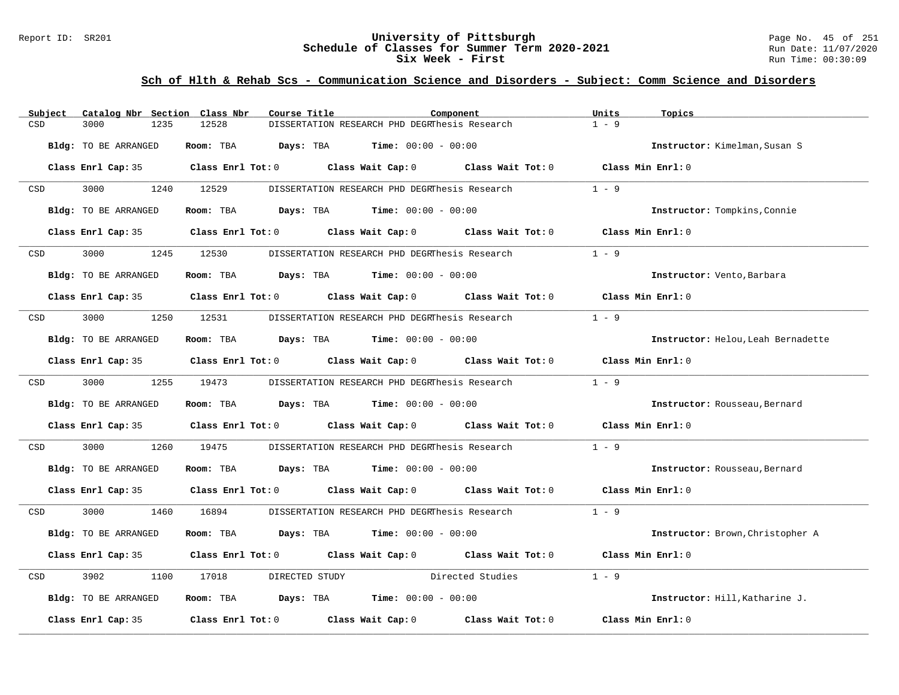#### Report ID: SR201 **University of Pittsburgh** Page No. 45 of 251 **Schedule of Classes for Summer Term 2020-2021** Run Date: 11/07/2020 **Six Week - First Run Time: 00:30:09**

| Subject | Catalog Nbr Section Class Nbr | Course Title                                                                                        | Component                                     |                  | Units<br>Topics                    |
|---------|-------------------------------|-----------------------------------------------------------------------------------------------------|-----------------------------------------------|------------------|------------------------------------|
| CSD     | 3000<br>1235                  | 12528                                                                                               | DISSERTATION RESEARCH PHD DEGRThesis Research |                  | $1 - 9$                            |
|         | Bldg: TO BE ARRANGED          | Room: TBA                                                                                           | <b>Days:</b> TBA <b>Time:</b> $00:00 - 00:00$ |                  | Instructor: Kimelman, Susan S      |
|         |                               | Class Enrl Cap: 35 $\qquad$ Class Enrl Tot: 0 $\qquad$ Class Wait Cap: 0 $\qquad$ Class Wait Tot: 0 |                                               |                  | Class Min Enrl: 0                  |
| CSD     | 3000                          | 1240 12529                                                                                          | DISSERTATION RESEARCH PHD DEGRThesis Research |                  | $1 - 9$                            |
|         | Bldg: TO BE ARRANGED          | Room: TBA $\rule{1em}{0.15mm}$ Days: TBA $\rule{1.15mm}]{0.15mm}$ Time: $00:00 - 00:00$             |                                               |                  | Instructor: Tompkins, Connie       |
|         | Class Enrl Cap: 35            | Class Enrl Tot: $0$ Class Wait Cap: $0$ Class Wait Tot: $0$                                         |                                               |                  | Class Min Enrl: 0                  |
| CSD     | 3000<br>1245                  | 12530                                                                                               | DISSERTATION RESEARCH PHD DEGRThesis Research |                  | $1 - 9$                            |
|         | Bldg: TO BE ARRANGED          | Room: TBA $Days:$ TBA $Time: 00:00 - 00:00$                                                         |                                               |                  | Instructor: Vento, Barbara         |
|         |                               | Class Enrl Cap: 35 Class Enrl Tot: 0 Class Wait Cap: 0 Class Wait Tot: 0                            |                                               |                  | Class Min Enrl: 0                  |
| CSD     | 3000<br>1250                  | 12531                                                                                               | DISSERTATION RESEARCH PHD DEGRThesis Research |                  | $1 - 9$                            |
|         | Bldg: TO BE ARRANGED          | Room: TBA $Days:$ TBA $Time: 00:00 - 00:00$                                                         |                                               |                  | Instructor: Helou, Leah Bernadette |
|         |                               | Class Enrl Cap: 35 Class Enrl Tot: 0 Class Wait Cap: 0 Class Wait Tot: 0 Class Min Enrl: 0          |                                               |                  |                                    |
| CSD     | 3000 000                      | 1255 19473                                                                                          | DISSERTATION RESEARCH PHD DEGRThesis Research |                  | $1 - 9$                            |
|         | Bldg: TO BE ARRANGED          | Room: TBA                                                                                           | <b>Days:</b> TBA <b>Time:</b> $00:00 - 00:00$ |                  | Instructor: Rousseau, Bernard      |
|         |                               | Class Enrl Cap: 35 Class Enrl Tot: 0 Class Wait Cap: 0 Class Wait Tot: 0 Class Min Enrl: 0          |                                               |                  |                                    |
| CSD     | 3000<br>1260                  | 19475                                                                                               | DISSERTATION RESEARCH PHD DEGRThesis Research |                  | $1 - 9$                            |
|         | Bldg: TO BE ARRANGED          | Room: TBA $\rule{1em}{0.15mm}$ Days: TBA $\rule{1.15mm}]{0.15mm}$ Time: $0.000 - 0.0000$            |                                               |                  | Instructor: Rousseau, Bernard      |
|         |                               | Class Enrl Cap: 35 Class Enrl Tot: 0 Class Wait Cap: 0 Class Wait Tot: 0 Class Min Enrl: 0          |                                               |                  |                                    |
| CSD     | 3000                          | 1460 16894                                                                                          | DISSERTATION RESEARCH PHD DEGRThesis Research |                  | $1 - 9$                            |
|         | Bldg: TO BE ARRANGED          | Room: TBA $Days:$ TBA $Time: 00:00 - 00:00$                                                         |                                               |                  | Instructor: Brown, Christopher A   |
|         |                               | Class Enrl Cap: 35 Class Enrl Tot: 0 Class Wait Cap: 0 Class Wait Tot: 0                            |                                               |                  | Class Min Enrl: 0                  |
| CSD     | 3902<br>1100                  | 17018<br>DIRECTED STUDY                                                                             |                                               | Directed Studies | $1 - 9$                            |
|         | Bldg: TO BE ARRANGED          | Room: TBA $\rule{1em}{0.15mm}$ Days: TBA Time: $00:00 - 00:00$                                      |                                               |                  | Instructor: Hill, Katharine J.     |
|         | Class Enrl Cap: 35            | Class Enrl Tot: $0$ Class Wait Cap: $0$ Class Wait Tot: $0$                                         |                                               |                  | Class Min Enrl: 0                  |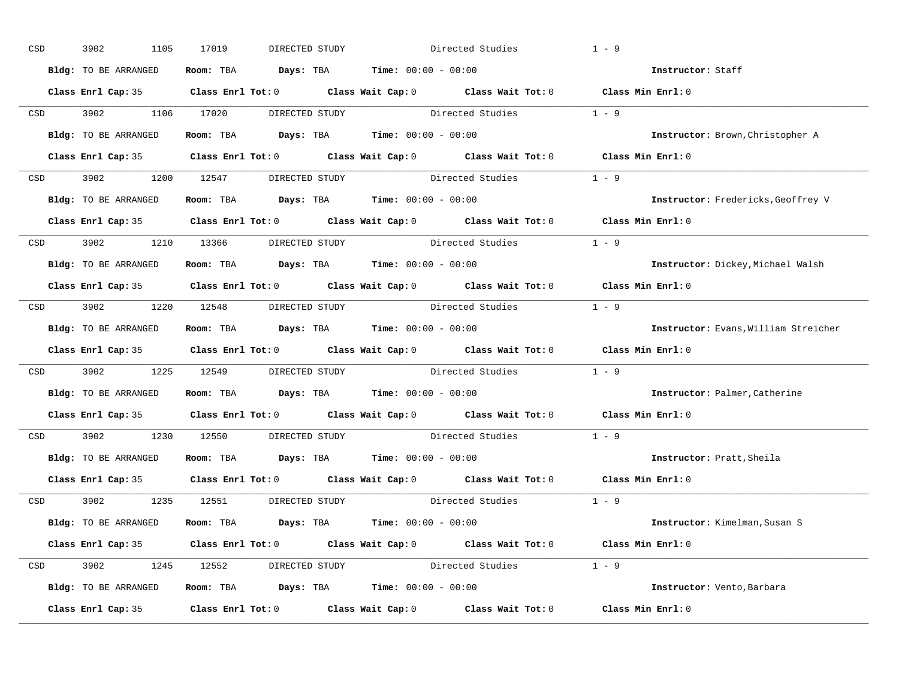| CSD |                  | 3902<br>1105         | 17019<br>DIRECTED STUDY                                                                 | Directed Studies                                                                                    | $1 - 9$                              |
|-----|------------------|----------------------|-----------------------------------------------------------------------------------------|-----------------------------------------------------------------------------------------------------|--------------------------------------|
|     |                  | Bldg: TO BE ARRANGED | Room: TBA $Days:$ TBA $Time: 00:00 - 00:00$                                             |                                                                                                     | Instructor: Staff                    |
|     |                  |                      |                                                                                         | Class Enrl Cap: 35 Class Enrl Tot: 0 Class Wait Cap: 0 Class Wait Tot: 0 Class Min Enrl: 0          |                                      |
|     |                  |                      |                                                                                         | CSD 3902 1106 17020 DIRECTED STUDY Directed Studies 1 - 9                                           |                                      |
|     |                  | Bldg: TO BE ARRANGED | Room: TBA $Days:$ TBA Time: $00:00 - 00:00$                                             |                                                                                                     | Instructor: Brown, Christopher A     |
|     |                  |                      |                                                                                         | Class Enrl Cap: 35 Class Enrl Tot: 0 Class Wait Cap: 0 Class Wait Tot: 0 Class Min Enrl: 0          |                                      |
|     |                  |                      |                                                                                         | CSD 3902 1200 12547 DIRECTED STUDY Directed Studies 1 - 9                                           |                                      |
|     |                  |                      | Bldg: TO BE ARRANGED Room: TBA Days: TBA Time: 00:00 - 00:00                            |                                                                                                     | Instructor: Fredericks, Geoffrey V   |
|     |                  |                      |                                                                                         | Class Enrl Cap: 35 Class Enrl Tot: 0 Class Wait Cap: 0 Class Wait Tot: 0 Class Min Enrl: 0          |                                      |
|     |                  |                      | CSD 3902 1210 13366 DIRECTED STUDY                                                      | Directed Studies                                                                                    | $1 - 9$                              |
|     |                  | Bldg: TO BE ARRANGED | Room: TBA $\rule{1em}{0.15mm}$ Days: TBA $\rule{1.15mm}]{0.15mm}$ Time: $0.000 - 0.000$ |                                                                                                     | Instructor: Dickey, Michael Walsh    |
|     |                  |                      |                                                                                         | Class Enrl Cap: 35 Class Enrl Tot: 0 Class Wait Cap: 0 Class Wait Tot: 0 Class Min Enrl: 0          |                                      |
|     |                  |                      |                                                                                         | CSD 3902 1220 12548 DIRECTED STUDY Directed Studies 1 - 9                                           |                                      |
|     |                  | Bldg: TO BE ARRANGED | Room: TBA $Days:$ TBA $Time: 00:00 - 00:00$                                             |                                                                                                     | Instructor: Evans, William Streicher |
|     |                  |                      |                                                                                         | Class Enrl Cap: 35 Class Enrl Tot: 0 Class Wait Cap: 0 Class Wait Tot: 0 Class Min Enrl: 0          |                                      |
|     | CSD <sub>c</sub> |                      |                                                                                         | 3902 1225 12549 DIRECTED STUDY Directed Studies 1 - 9                                               |                                      |
|     |                  | Bldg: TO BE ARRANGED | Room: TBA $Days:$ TBA $Time: 00:00 - 00:00$                                             |                                                                                                     | Instructor: Palmer, Catherine        |
|     |                  |                      |                                                                                         | Class Enrl Cap: 35 $\qquad$ Class Enrl Tot: 0 $\qquad$ Class Wait Cap: 0 $\qquad$ Class Wait Tot: 0 | Class Min $Enr1:0$                   |
|     | CSD              |                      |                                                                                         | 3902 1230 12550 DIRECTED STUDY Directed Studies                                                     | $1 - 9$                              |
|     |                  |                      | Bldg: TO BE ARRANGED Room: TBA Days: TBA Time: 00:00 - 00:00                            |                                                                                                     | Instructor: Pratt, Sheila            |
|     |                  |                      |                                                                                         | Class Enrl Cap: 35 Class Enrl Tot: 0 Class Wait Cap: 0 Class Wait Tot: 0                            | Class Min Enrl: 0                    |
|     |                  |                      | CSD 3902 1235 12551 DIRECTED STUDY                                                      | Directed Studies 1 - 9                                                                              |                                      |
|     |                  | Bldg: TO BE ARRANGED | Room: TBA $Days:$ TBA $Time: 00:00 - 00:00$                                             |                                                                                                     | Instructor: Kimelman, Susan S        |
|     |                  |                      |                                                                                         | Class Enrl Cap: 35 Class Enrl Tot: 0 Class Wait Cap: 0 Class Wait Tot: 0 Class Min Enrl: 0          |                                      |
|     |                  |                      |                                                                                         | CSD 3902 1245 12552 DIRECTED STUDY Directed Studies 1 - 9                                           |                                      |
|     |                  | Bldg: TO BE ARRANGED | Room: TBA $Days:$ TBA $Time: 00:00 - 00:00$                                             |                                                                                                     | Instructor: Vento, Barbara           |
|     |                  |                      |                                                                                         | Class Enrl Cap: 35 Class Enrl Tot: 0 Class Wait Cap: 0 Class Wait Tot: 0 Class Min Enrl: 0          |                                      |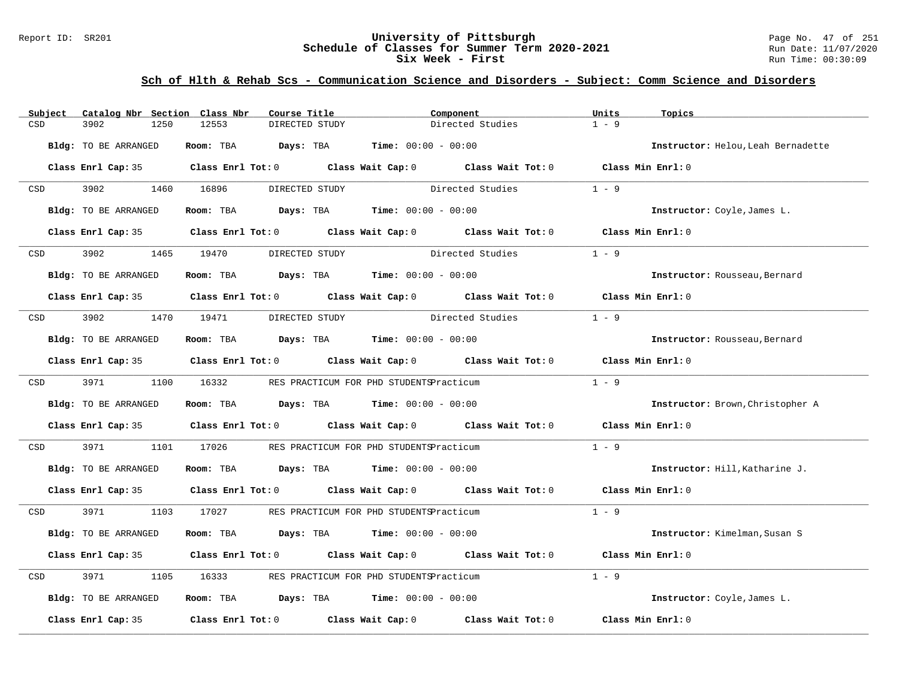#### Report ID: SR201 **1988 Chedule of Classes for Summer Term 2020-2021** Page No. 47 of 251 **Schedule of Classes for Summer Term 2020-2021** Run Date: 11/07/2020 **Schedule of Classes for Summer Term 2020-2021** Run Date: 11/07/2021<br>Six Week - First Run Time: 00:30:09 **Six Week - First**

| Subject    | Catalog Nbr Section Class Nbr | Course Title                 | Component                                                                                           |                  | Units<br>Topics                    |  |
|------------|-------------------------------|------------------------------|-----------------------------------------------------------------------------------------------------|------------------|------------------------------------|--|
| CSD        | 3902<br>1250                  | 12553<br>DIRECTED STUDY      |                                                                                                     | Directed Studies | $1 - 9$                            |  |
|            | <b>Bldg:</b> TO BE ARRANGED   | Room: TBA<br>Days: TBA       | <b>Time:</b> $00:00 - 00:00$                                                                        |                  | Instructor: Helou, Leah Bernadette |  |
|            |                               |                              | Class Enrl Cap: 35 Class Enrl Tot: 0 Class Wait Cap: 0 Class Wait Tot: 0 Class Min Enrl: 0          |                  |                                    |  |
| CSD        | 3902                          | 1460 16896<br>DIRECTED STUDY |                                                                                                     | Directed Studies | $1 - 9$                            |  |
|            | Bldg: TO BE ARRANGED          |                              | Room: TBA $Days: TBA$ Time: $00:00 - 00:00$                                                         |                  | Instructor: Coyle, James L.        |  |
|            | Class Enrl Cap: 35            |                              | Class Enrl Tot: 0 Class Wait Cap: 0 Class Wait Tot: 0 Class Min Enrl: 0                             |                  |                                    |  |
| CSD        | 3902                          | 1465 19470<br>DIRECTED STUDY |                                                                                                     | Directed Studies | $1 - 9$                            |  |
|            | Bldg: TO BE ARRANGED          |                              | Room: TBA $Days:$ TBA $Time: 00:00 - 00:00$                                                         |                  | Instructor: Rousseau, Bernard      |  |
|            |                               |                              | Class Enrl Cap: 35 $\qquad$ Class Enrl Tot: 0 $\qquad$ Class Wait Cap: 0 $\qquad$ Class Wait Tot: 0 |                  | Class Min Enrl: 0                  |  |
| CSD        | 3902                          | 1470 19471                   | DIRECTED STUDY Directed Studies                                                                     |                  | $1 - 9$                            |  |
|            | Bldg: TO BE ARRANGED          |                              | Room: TBA $Days:$ TBA $Time: 00:00 - 00:00$                                                         |                  | Instructor: Rousseau, Bernard      |  |
|            |                               |                              | Class Enrl Cap: 35 Class Enrl Tot: 0 Class Wait Cap: 0 Class Wait Tot: 0 Class Min Enrl: 0          |                  |                                    |  |
| <b>CSD</b> | 3971 397                      | 1100 16332                   | RES PRACTICUM FOR PHD STUDENTSPracticum                                                             |                  | $1 - 9$                            |  |
|            | Bldg: TO BE ARRANGED          |                              | Room: TBA $Days:$ TBA $Time: 00:00 - 00:00$                                                         |                  | Instructor: Brown, Christopher A   |  |
|            |                               |                              | Class Enrl Cap: 35 Class Enrl Tot: 0 Class Wait Cap: 0 Class Wait Tot: 0                            |                  | Class Min Enrl: 0                  |  |
| CSD        | 3971<br>1101                  | 17026                        | RES PRACTICUM FOR PHD STUDENTSPracticum                                                             |                  | $1 - 9$                            |  |
|            | Bldg: TO BE ARRANGED          |                              | Room: TBA $Days:$ TBA $Time: 00:00 - 00:00$                                                         |                  | Instructor: Hill, Katharine J.     |  |
|            |                               |                              | Class Enrl Cap: 35 Class Enrl Tot: 0 Class Wait Cap: 0 Class Wait Tot: 0 Class Min Enrl: 0          |                  |                                    |  |
| CSD        | 3971 399                      | 1103 17027                   | RES PRACTICUM FOR PHD STUDENTSPracticum                                                             |                  | $1 - 9$                            |  |
|            | Bldg: TO BE ARRANGED          |                              | Room: TBA $Days:$ TBA $Time: 00:00 - 00:00$                                                         |                  | Instructor: Kimelman, Susan S      |  |
|            |                               |                              | Class Enrl Cap: 35 Class Enrl Tot: 0 Class Wait Cap: 0 Class Wait Tot: 0                            |                  | Class Min Enrl: 0                  |  |
| CSD        | 3971<br>1105                  | 16333                        | RES PRACTICUM FOR PHD STUDENTSPracticum                                                             |                  | $1 - 9$                            |  |
|            | Bldg: TO BE ARRANGED          |                              | Room: TBA $\rule{1em}{0.15mm}$ Days: TBA $\rule{1.15mm}]{0.15mm}$ Time: $0.000 - 0.0000$            |                  | Instructor: Coyle, James L.        |  |
|            | Class Enrl Cap: 35            |                              | Class Enrl Tot: $0$ Class Wait Cap: $0$ Class Wait Tot: $0$                                         |                  | Class Min Enrl: 0                  |  |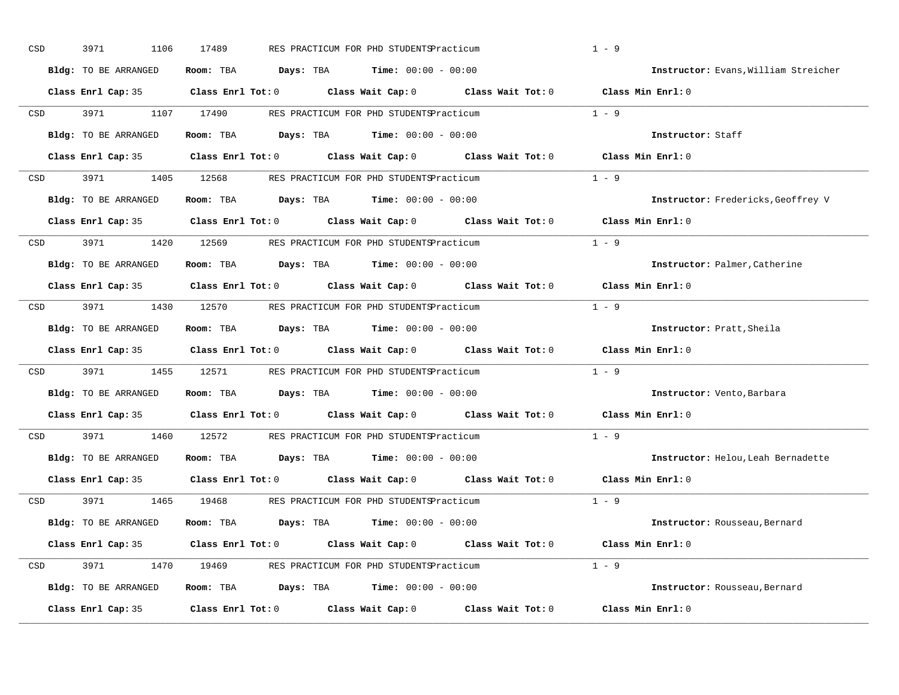| CSD | 3971<br>1106                | 17489                                | RES PRACTICUM FOR PHD STUDENTSPracticum                                                             |                                                             | $1 - 9$                              |
|-----|-----------------------------|--------------------------------------|-----------------------------------------------------------------------------------------------------|-------------------------------------------------------------|--------------------------------------|
|     | Bldg: TO BE ARRANGED        | Room: TBA                            | <b>Days:</b> TBA <b>Time:</b> $00:00 - 00:00$                                                       |                                                             | Instructor: Evans, William Streicher |
|     | Class Enrl Cap: 35          | $Class$ $Enrl$ $Tot: 0$              |                                                                                                     | Class Wait Cap: $0$ Class Wait Tot: $0$ Class Min Enrl: $0$ |                                      |
| CSD | 3971<br>1107                | 17490                                | RES PRACTICUM FOR PHD STUDENTSPracticum                                                             |                                                             | $1 - 9$                              |
|     | Bldg: TO BE ARRANGED        | Room: TBA                            | Days: TBA<br>$Time: 00:00 - 00:00$                                                                  |                                                             | Instructor: Staff                    |
|     | Class Enrl Cap: 35          |                                      | Class Enrl Tot: 0 Class Wait Cap: 0 Class Wait Tot: 0 Class Min Enrl: 0                             |                                                             |                                      |
| CSD | 3971<br>1405                | 12568                                | RES PRACTICUM FOR PHD STUDENTSPracticum                                                             |                                                             | $1 - 9$                              |
|     | Bldg: TO BE ARRANGED        | Room: TBA                            | <b>Days:</b> TBA <b>Time:</b> $00:00 - 00:00$                                                       |                                                             | Instructor: Fredericks, Geoffrey V   |
|     |                             |                                      | Class Enrl Cap: 35 $\qquad$ Class Enrl Tot: 0 $\qquad$ Class Wait Cap: 0 $\qquad$ Class Wait Tot: 0 |                                                             | Class Min Enrl: 0                    |
| CSD | 3971 399<br>1420            | 12569                                | RES PRACTICUM FOR PHD STUDENTSPracticum                                                             |                                                             | $1 - 9$                              |
|     | <b>Bldg:</b> TO BE ARRANGED | Room: TBA                            | <b>Days:</b> TBA <b>Time:</b> $00:00 - 00:00$                                                       |                                                             | Instructor: Palmer, Catherine        |
|     |                             | Class Enrl Cap: 35 Class Enrl Tot: 0 | Class Wait Cap: 0 Class Wait Tot: 0                                                                 |                                                             | Class Min Enrl: 0                    |
| CSD | 3971 1430                   |                                      | 12570 RES PRACTICUM FOR PHD STUDENTSPracticum                                                       |                                                             | $1 - 9$                              |
|     | Bldg: TO BE ARRANGED        | Room: TBA                            | <b>Days:</b> TBA <b>Time:</b> $00:00 - 00:00$                                                       |                                                             | Instructor: Pratt, Sheila            |
|     |                             |                                      | Class Enrl Cap: 35 Class Enrl Tot: 0 Class Wait Cap: 0 Class Wait Tot: 0                            |                                                             | Class Min Enrl: 0                    |
| CSD | 3971<br>1455                |                                      | 12571 RES PRACTICUM FOR PHD STUDENTSPracticum                                                       |                                                             | $1 - 9$                              |
|     | Bldg: TO BE ARRANGED        | Room: TBA                            | <b>Days:</b> TBA <b>Time:</b> $00:00 - 00:00$                                                       |                                                             | Instructor: Vento, Barbara           |
|     |                             |                                      | Class Enrl Cap: 35 Class Enrl Tot: 0 Class Wait Cap: 0 Class Wait Tot: 0                            |                                                             | Class Min Enrl: 0                    |
| CSD | 3971<br>1460                | 12572                                | RES PRACTICUM FOR PHD STUDENTSPracticum                                                             |                                                             | $1 - 9$                              |
|     | Bldg: TO BE ARRANGED        | Room: TBA                            | <b>Days:</b> TBA <b>Time:</b> $00:00 - 00:00$                                                       |                                                             | Instructor: Helou, Leah Bernadette   |
|     |                             |                                      | Class Enrl Cap: 35 Class Enrl Tot: 0 Class Wait Cap: 0 Class Wait Tot: 0                            |                                                             | Class Min Enrl: 0                    |
| CSD | 3971<br>1465                | 19468                                | RES PRACTICUM FOR PHD STUDENTSPracticum                                                             |                                                             | $1 - 9$                              |
|     | Bldg: TO BE ARRANGED        | Room: TBA                            | <b>Days:</b> TBA <b>Time:</b> $00:00 - 00:00$                                                       |                                                             | Instructor: Rousseau, Bernard        |
|     |                             |                                      | Class Enrl Cap: 35 Class Enrl Tot: 0 Class Wait Cap: 0 Class Wait Tot: 0 Class Min Enrl: 0          |                                                             |                                      |
| CSD | 3971<br>1470                |                                      | 19469 RES PRACTICUM FOR PHD STUDENTSPracticum                                                       |                                                             | $1 - 9$                              |
|     |                             |                                      |                                                                                                     |                                                             |                                      |
|     | Bldg: TO BE ARRANGED        |                                      | Room: TBA $Days:$ TBA $Time: 00:00 - 00:00$                                                         |                                                             | Instructor: Rousseau, Bernard        |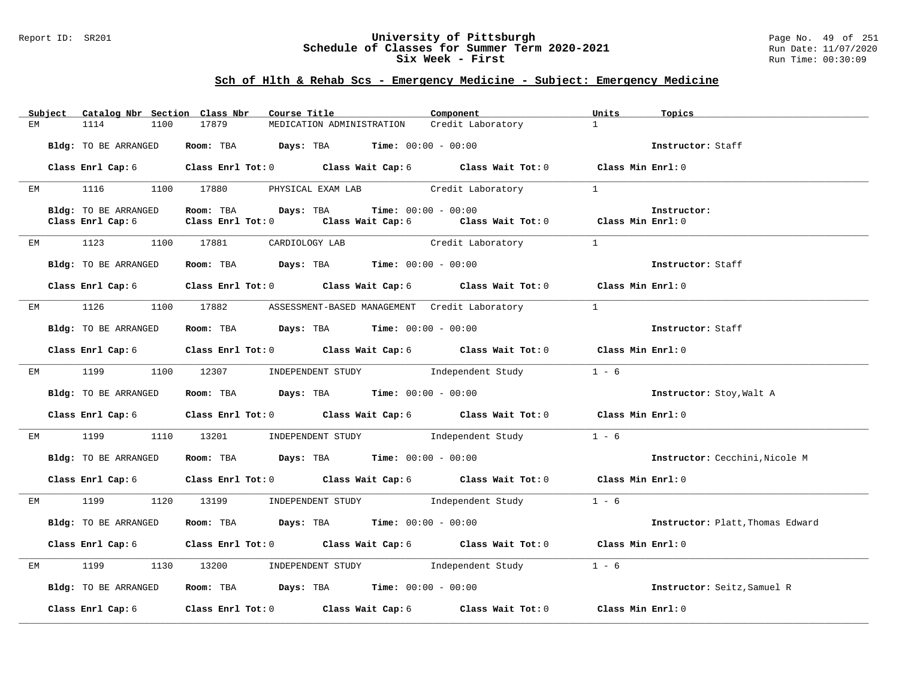#### Report ID: SR201 **University of Pittsburgh** Page No. 49 of 251 **Schedule of Classes for Summer Term 2020-2021** Run Date: 11/07/2020 **Six Week - First Run Time: 00:30:09** Run Time: 00:30:09

# **Sch of Hlth & Rehab Scs - Emergency Medicine - Subject: Emergency Medicine**

|    | Subject |                      |      | Catalog Nbr Section Class Nbr | Course Title <b>Course I</b>                                   | Component                                                                                                                     | Units         | Topics                           |
|----|---------|----------------------|------|-------------------------------|----------------------------------------------------------------|-------------------------------------------------------------------------------------------------------------------------------|---------------|----------------------------------|
| EМ |         | 1114                 | 1100 | 17879                         | MEDICATION ADMINISTRATION                                      | Credit Laboratory                                                                                                             | 1             |                                  |
|    |         | Bldg: TO BE ARRANGED |      |                               | Room: TBA $Days:$ TBA $Time: 00:00 - 00:00$                    |                                                                                                                               |               | Instructor: Staff                |
|    |         |                      |      |                               |                                                                | Class Enrl Cap: 6 Class Enrl Tot: 0 Class Wait Cap: 6 Class Wait Tot: 0 Class Min Enrl: 0                                     |               |                                  |
|    |         |                      |      |                               |                                                                | EM 1116 1100 17880 PHYSICAL EXAM LAB Credit Laboratory                                                                        | $\frac{1}{2}$ |                                  |
|    |         | Bldg: TO BE ARRANGED |      |                               | Room: TBA $Days:$ TBA $Time: 00:00 - 00:00$                    |                                                                                                                               |               | Instructor:                      |
|    |         | Class Enrl Cap: 6    |      |                               |                                                                | Class Enrl Tot: 0 $\qquad$ Class Wait Cap: 6 $\qquad$ Class Wait Tot: 0 $\qquad$ Class Min Enrl: 0                            |               |                                  |
|    |         |                      |      | EM 1123 1100 17881            |                                                                | CARDIOLOGY LAB Credit Laboratory 1                                                                                            |               |                                  |
|    |         | Bldg: TO BE ARRANGED |      |                               | Room: TBA $Days:$ TBA Time: $00:00 - 00:00$                    |                                                                                                                               |               | Instructor: Staff                |
|    |         |                      |      |                               |                                                                | Class Enrl Cap: 6 Class Enrl Tot: 0 Class Wait Cap: 6 Class Wait Tot: 0 Class Min Enrl: 0                                     |               |                                  |
|    |         |                      |      |                               |                                                                | EM 1126 1100 17882 ASSESSMENT-BASED MANAGEMENT Credit Laboratory                                                              | $\mathbf{1}$  |                                  |
|    |         | Bldg: TO BE ARRANGED |      |                               | Room: TBA $Days:$ TBA $Time:$ $00:00 - 00:00$                  |                                                                                                                               |               | Instructor: Staff                |
|    |         |                      |      |                               |                                                                | Class Enrl Cap: 6 Class Enrl Tot: 0 Class Wait Cap: 6 Class Wait Tot: 0 Class Min Enrl: 0                                     |               |                                  |
|    |         | EM 1199              |      |                               |                                                                | 1100 12307 INDEPENDENT STUDY Independent Study                                                                                | $1 - 6$       |                                  |
|    |         | Bldg: TO BE ARRANGED |      |                               | Room: TBA $\rule{1em}{0.15mm}$ Days: TBA Time: $00:00 - 00:00$ |                                                                                                                               |               | Instructor: Stoy, Walt A         |
|    |         |                      |      |                               |                                                                | Class Enrl Cap: 6 Class Enrl Tot: 0 Class Wait Cap: 6 Class Wait Tot: 0 Class Min Enrl: 0                                     |               |                                  |
|    |         |                      |      |                               |                                                                | EM 1199 1110 13201 INDEPENDENT STUDY Independent Study 1 - 6                                                                  |               |                                  |
|    |         | Bldg: TO BE ARRANGED |      |                               | Room: TBA $Days:$ TBA Time: $00:00 - 00:00$                    |                                                                                                                               |               | Instructor: Cecchini, Nicole M   |
|    |         |                      |      |                               |                                                                | Class Enrl Cap: 6 Class Enrl Tot: 0 Class Wait Cap: 6 Class Wait Tot: 0 Class Min Enrl: 0                                     |               |                                  |
|    |         |                      |      |                               |                                                                | EM 1199 1120 13199 INDEPENDENT STUDY Independent Study                                                                        | $1 - 6$       |                                  |
|    |         | Bldg: TO BE ARRANGED |      |                               |                                                                | <b>ROOM: TBA Days: TBA Time:</b> 00:00 - 00:00                                                                                |               | Instructor: Platt, Thomas Edward |
|    |         |                      |      |                               |                                                                | Class Enrl Cap: 6 Class Enrl Tot: 0 Class Wait Cap: 6 Class Wait Tot: 0 Class Min Enrl: 0                                     |               |                                  |
|    |         | EM 1199              |      |                               |                                                                | 1130 13200 INDEPENDENT STUDY Independent Study                                                                                | $1 - 6$       |                                  |
|    |         | Bldg: TO BE ARRANGED |      |                               | Room: TBA $Days:$ TBA $Time: 00:00 - 00:00$                    |                                                                                                                               |               | Instructor: Seitz, Samuel R      |
|    |         |                      |      |                               |                                                                | Class Enrl Cap: 6 $\qquad$ Class Enrl Tot: 0 $\qquad$ Class Wait Cap: 6 $\qquad$ Class Wait Tot: 0 $\qquad$ Class Min Enrl: 0 |               |                                  |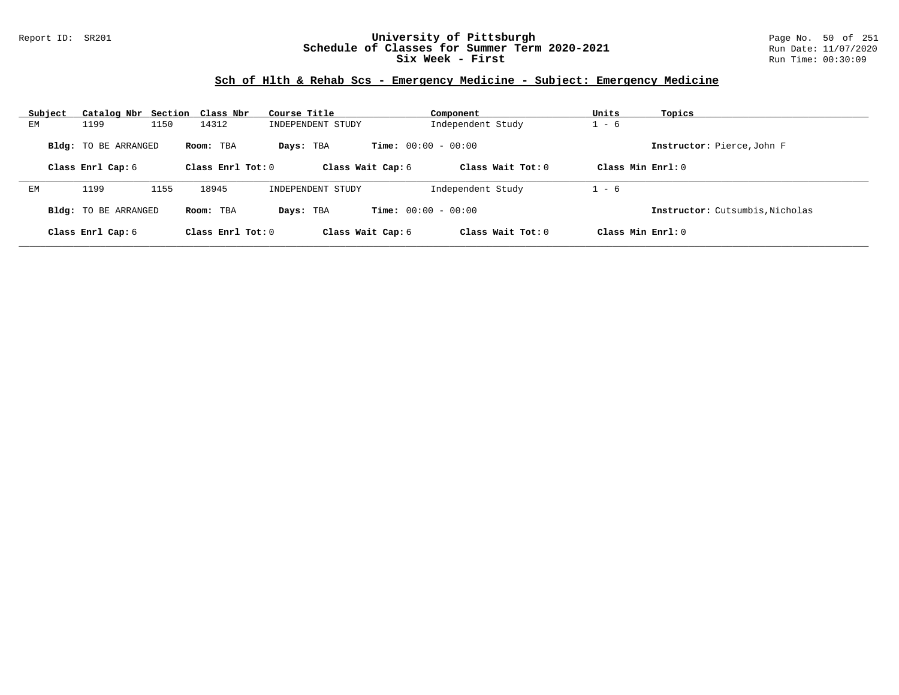### Report ID: SR201 **University of Pittsburgh** Page No. 50 of 251 **Schedule of Classes for Summer Term 2020-2021** Run Date: 11/07/2020 **Six Week - First Run Time: 00:30:09** Run Time: 00:30:09

### **Sch of Hlth & Rehab Scs - Emergency Medicine - Subject: Emergency Medicine**

| Subject | Catalog Nbr                 |      | Section Class Nbr   | Course Title      |                              | Component           | Units               | Topics                          |
|---------|-----------------------------|------|---------------------|-------------------|------------------------------|---------------------|---------------------|---------------------------------|
| EМ      | 1199                        | 1150 | 14312               | INDEPENDENT STUDY |                              | Independent Study   | $1 - 6$             |                                 |
|         | Bldg: TO BE ARRANGED        |      | Room: TBA           | Days: TBA         | <b>Time:</b> $00:00 - 00:00$ |                     |                     | Instructor: Pierce, John F      |
|         | Class Enrl Cap: 6           |      | Class Enrl Tot: $0$ | Class Wait Cap: 6 |                              | Class Wait Tot: $0$ | Class Min $Enrl: 0$ |                                 |
|         |                             |      |                     |                   |                              |                     |                     |                                 |
| EМ      | 1199                        | 1155 | 18945               | INDEPENDENT STUDY |                              | Independent Study   | $1 - 6$             |                                 |
|         | <b>Bldg:</b> TO BE ARRANGED |      | Room: TBA           | Days: TBA         | <b>Time:</b> $00:00 - 00:00$ |                     |                     | Instructor: Cutsumbis, Nicholas |
|         | Class Enrl Cap: 6           |      | Class Enrl Tot: $0$ | Class Wait Cap: 6 |                              | Class Wait Tot: $0$ | Class Min $Enrl: 0$ |                                 |
|         |                             |      |                     |                   |                              |                     |                     |                                 |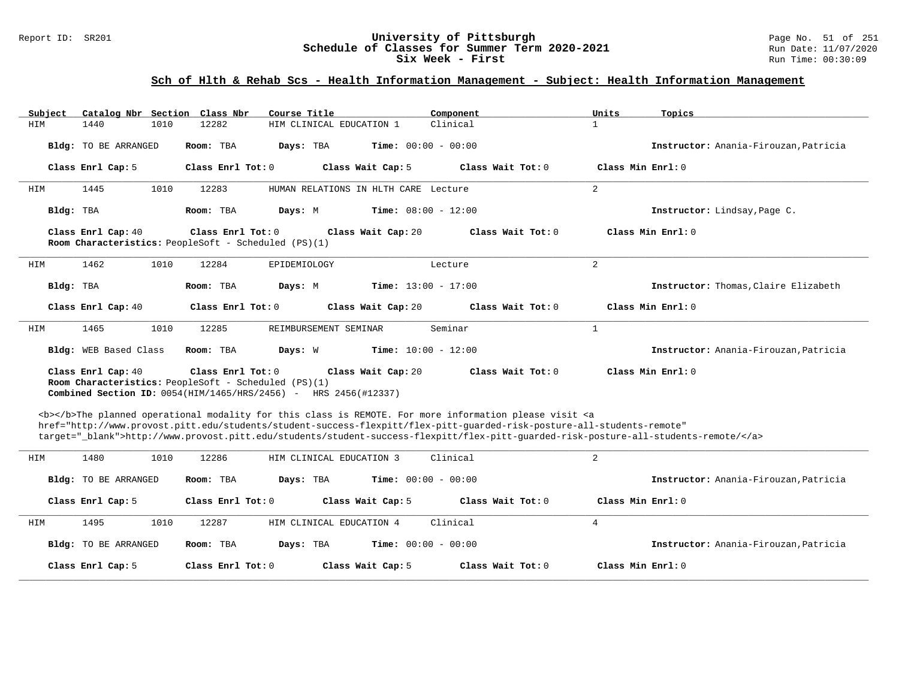#### Report ID: SR201 **University of Pittsburgh University of Pittsburgh** Page No. 51 of 251 **Chedule of Classes for Summer Term 2020-2021** Run Date: 11/07/2020 **Schedule of Classes for Summer Term 2020-2021** Run Date: 11/07/2021<br>Six Week - First Run Time: 00:30:09 **Six Week - First**

# **Sch of Hlth & Rehab Scs - Health Information Management - Subject: Health Information Management**

| Catalog Nbr Section Class Nbr<br>Subject | Course Title                                                                                                                                                                                                                                                                                                                                                                       | Component                  | Units<br>Topics                       |
|------------------------------------------|------------------------------------------------------------------------------------------------------------------------------------------------------------------------------------------------------------------------------------------------------------------------------------------------------------------------------------------------------------------------------------|----------------------------|---------------------------------------|
| HIM<br>1440<br>1010                      | 12282<br>HIM CLINICAL EDUCATION 1                                                                                                                                                                                                                                                                                                                                                  | Clinical<br>$\mathbf{1}$   |                                       |
| Bldg: TO BE ARRANGED                     | Days: TBA<br><b>Time:</b> $00:00 - 00:00$<br>Room: TBA                                                                                                                                                                                                                                                                                                                             |                            | Instructor: Anania-Firouzan, Patricia |
| Class Enrl Cap: 5                        | Class Enrl Tot: 0<br>Class Wait Cap: 5                                                                                                                                                                                                                                                                                                                                             | Class Wait Tot: 0          | Class Min Enrl: 0                     |
| 1445<br>1010<br>HIM                      | 12283<br>HUMAN RELATIONS IN HLTH CARE Lecture                                                                                                                                                                                                                                                                                                                                      | 2                          |                                       |
| Bldg: TBA                                | Room: TBA<br><b>Time:</b> $08:00 - 12:00$<br>Days: M                                                                                                                                                                                                                                                                                                                               |                            | Instructor: Lindsay, Page C.          |
| Class Enrl Cap: 40                       | Class Enrl Tot: 0<br>Class Wait Cap: 20<br>Room Characteristics: PeopleSoft - Scheduled (PS)(1)                                                                                                                                                                                                                                                                                    | Class Wait Tot: 0          | Class Min Enrl: 0                     |
| 1462<br>1010<br>HIM                      | 12284<br>EPIDEMIOLOGY                                                                                                                                                                                                                                                                                                                                                              | 2<br>Lecture               |                                       |
| Bldg: TBA                                | <b>Time:</b> $13:00 - 17:00$<br>Room: TBA<br>Days: M                                                                                                                                                                                                                                                                                                                               |                            | Instructor: Thomas, Claire Elizabeth  |
| Class Enrl Cap: 40                       | Class Enrl Tot: 0<br>Class Wait Cap: 20                                                                                                                                                                                                                                                                                                                                            | Class Wait Tot: 0          | Class Min Enrl: 0                     |
| 1465<br>1010<br>HIM                      | 12285<br>REIMBURSEMENT SEMINAR                                                                                                                                                                                                                                                                                                                                                     | Seminar<br>$\mathbf{1}$    |                                       |
| Bldg: WEB Based Class                    | <b>Time:</b> $10:00 - 12:00$<br>Room: TBA<br>Days: W                                                                                                                                                                                                                                                                                                                               |                            | Instructor: Anania-Firouzan, Patricia |
| Class Enrl Cap: 40                       | Class Enrl Tot: 0<br>Class Wait Cap: 20<br>Room Characteristics: PeopleSoft - Scheduled (PS)(1)<br><b>Combined Section ID:</b> $0054(HIM/1465/HRS/2456)$ - HRS $2456(H12337)$                                                                                                                                                                                                      | Class Wait Tot: $0$        | Class Min Enrl: 0                     |
|                                          | <b></b> The planned operational modality for this class is REMOTE. For more information please visit <a<br>href="http://www.provost.pitt.edu/students/student-success-flexpitt/flex-pitt-quarded-risk-posture-all-students-remote"<br/>target="_blank"&gt;http://www.provost.pitt.edu/students/student-success-flexpitt/flex-pitt-guarded-risk-posture-all-students-remote/</a<br> |                            |                                       |
| 1480<br>1010<br>HIM                      | 12286<br>HIM CLINICAL EDUCATION 3                                                                                                                                                                                                                                                                                                                                                  | 2<br>Clinical              |                                       |
| Bldg: TO BE ARRANGED                     | Days: TBA<br><b>Time:</b> $00:00 - 00:00$<br>Room: TBA                                                                                                                                                                                                                                                                                                                             |                            | Instructor: Anania-Firouzan, Patricia |
| Class Enrl Cap: 5                        | Class Enrl Tot: 0<br>Class Wait Cap: 5                                                                                                                                                                                                                                                                                                                                             | Class Wait Tot: 0          | Class Min Enrl: 0                     |
| HIM<br>1495<br>1010                      | HIM CLINICAL EDUCATION 4<br>12287                                                                                                                                                                                                                                                                                                                                                  | Clinical<br>$\overline{4}$ |                                       |
| Bldg: TO BE ARRANGED                     | Room: TBA<br>Days: TBA<br><b>Time:</b> $00:00 - 00:00$                                                                                                                                                                                                                                                                                                                             |                            | Instructor: Anania-Firouzan, Patricia |
| Class Enrl Cap: 5                        | Class Enrl Tot: 0<br>Class Wait Cap: 5                                                                                                                                                                                                                                                                                                                                             | Class Wait Tot: 0          | Class Min Enrl: 0                     |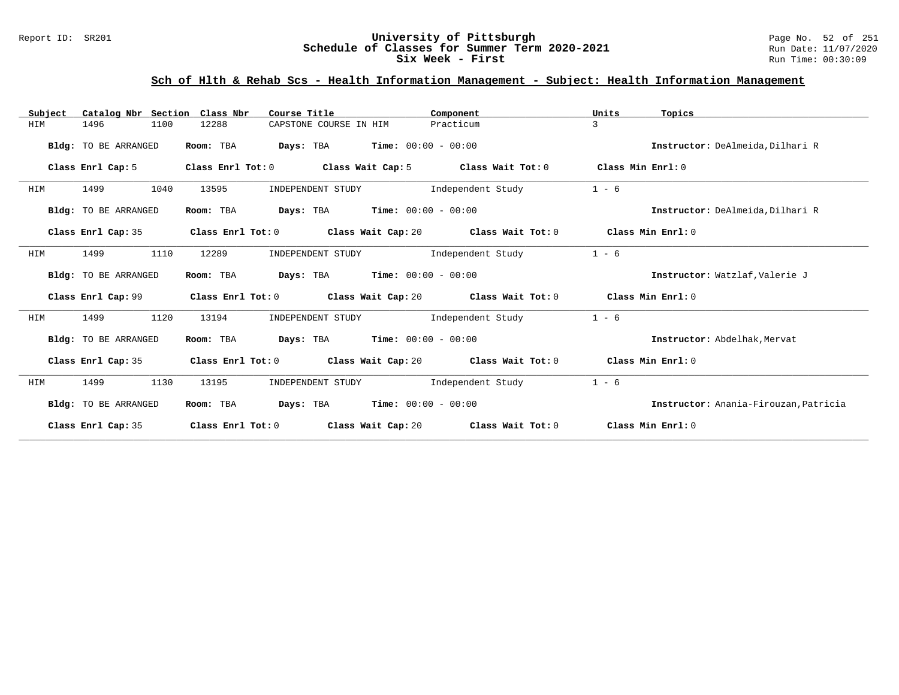#### Report ID: SR201 **University of Pittsburgh University of Pittsburgh** Page No. 52 of 251 **Chedule of Classes for Summer Term 2020-2021** Run Date: 11/07/2020 **Schedule of Classes for Summer Term 2020-2021** Run Date: 11/07/2021<br>**Six Week - First** Run Time: 00:30:09 **Six Week - First**

# **Sch of Hlth & Rehab Scs - Health Information Management - Subject: Health Information Management**

| Catalog Nbr Section Class Nbr<br>Subject | Course Title                    | Component                                                                        | Units<br>Topics                       |
|------------------------------------------|---------------------------------|----------------------------------------------------------------------------------|---------------------------------------|
| 1496<br>1100<br>HIM                      | 12288<br>CAPSTONE COURSE IN HIM | Practicum                                                                        | 3                                     |
| Bldg: TO BE ARRANGED                     | Room: TBA                       | <b>Days:</b> TBA <b>Time:</b> $00:00 - 00:00$                                    | Instructor: DeAlmeida, Dilhari R      |
| Class Enrl Cap: 5                        | Class Enrl Tot: 0               | Class Wait Cap: 5 Class Wait Tot: 0                                              | Class Min Enrl: 0                     |
| 1499<br>1040<br>HIM                      | INDEPENDENT STUDY<br>13595      | Independent Study                                                                | $1 - 6$                               |
| Bldg: TO BE ARRANGED                     | Room: TBA                       | <b>Days:</b> TBA <b>Time:</b> $00:00 - 00:00$                                    | Instructor: DeAlmeida, Dilhari R      |
| Class Enrl Cap: 35                       |                                 | Class Enrl Tot: $0$ Class Wait Cap: $20$ Class Wait Tot: $0$                     | Class Min Enrl: 0                     |
| 1110<br>HIM<br>1499                      | 12289<br>INDEPENDENT STUDY      | Independent Study                                                                | $1 - 6$                               |
| Bldg: TO BE ARRANGED                     | Room: TBA                       | <b>Days:</b> TBA <b>Time:</b> $00:00 - 00:00$                                    | Instructor: Watzlaf, Valerie J        |
| Class Enrl Cap: 99                       |                                 | Class Enrl Tot: $0$ Class Wait Cap: $20$ Class Wait Tot: $0$ Class Min Enrl: $0$ |                                       |
| 1120<br>1499<br>HIM                      | 13194<br>INDEPENDENT STUDY      | Independent Study                                                                | $1 - 6$                               |
| Bldg: TO BE ARRANGED                     | Room: TBA                       | $\texttt{Davis:}$ TBA $\texttt{Time:}$ 00:00 - 00:00                             | Instructor: Abdelhak, Mervat          |
| Class Enrl Cap: 35                       |                                 | Class Enrl Tot: $0$ Class Wait Cap: $20$ Class Wait Tot: $0$                     | Class Min Enrl: 0                     |
| HIM<br>1499<br>1130                      | 13195<br>INDEPENDENT STUDY      | Independent Study                                                                | $1 - 6$                               |
| Bldg: TO BE ARRANGED                     | Room: TBA                       | <b>Days:</b> TBA <b>Time:</b> $00:00 - 00:00$                                    | Instructor: Anania-Firouzan, Patricia |
| Class Enrl Cap: 35                       | Class Enrl Tot: 0               | Class Wait Cap: 20 Class Wait Tot: 0                                             | Class Min Enrl: 0                     |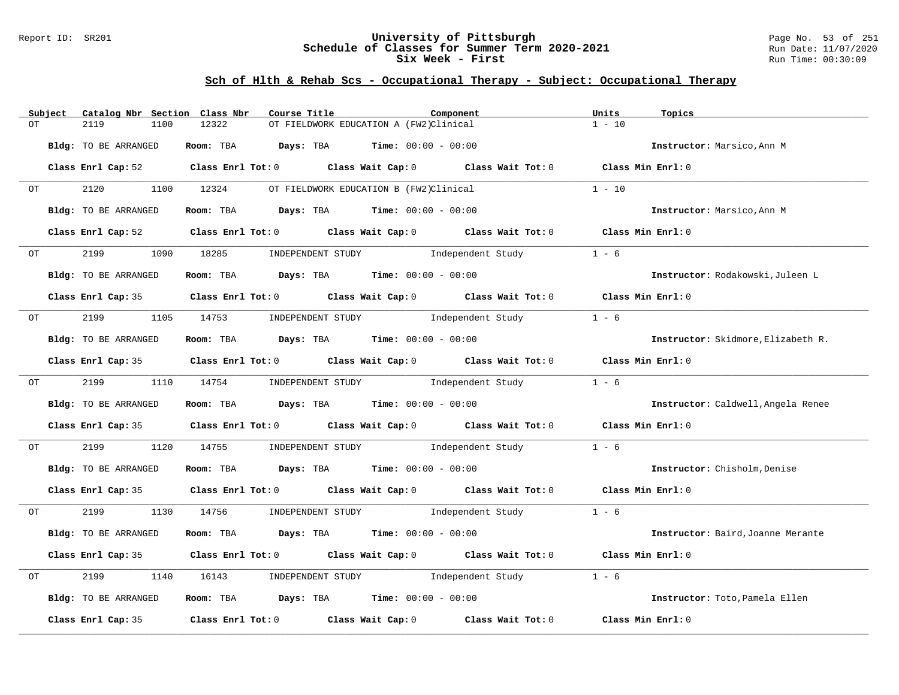### Report ID: SR201 **University of Pittsburgh** Page No. 53 of 251 **Schedule of Classes for Summer Term 2020-2021** Run Date: 11/07/2020 **Six Week - First Run Time: 00:30:09** Run Time: 00:30:09

# **Sch of Hlth & Rehab Scs - Occupational Therapy - Subject: Occupational Therapy**

|    | Subject                                                                                                        | Catalog Nbr Section Class Nbr | Course Title |                                                                                            | Component | Units<br>Topics                    |  |
|----|----------------------------------------------------------------------------------------------------------------|-------------------------------|--------------|--------------------------------------------------------------------------------------------|-----------|------------------------------------|--|
| OT |                                                                                                                | 2119<br>1100                  | 12322        | OT FIELDWORK EDUCATION A (FW2)Clinical                                                     |           | $1 - 10$                           |  |
|    |                                                                                                                | Bldg: TO BE ARRANGED          |              | Room: TBA $Days:$ TBA $Time: 00:00 - 00:00$                                                |           | Instructor: Marsico, Ann M         |  |
|    |                                                                                                                |                               |              | Class Enrl Cap: 52 Class Enrl Tot: 0 Class Wait Cap: 0 Class Wait Tot: 0 Class Min Enrl: 0 |           |                                    |  |
| OT |                                                                                                                | 2120                          | 1100 12324   | OT FIELDWORK EDUCATION B (FW2)Clinical                                                     |           | $1 - 10$                           |  |
|    |                                                                                                                | Bldg: TO BE ARRANGED          |              | Room: TBA $Days: TBA$ Time: $00:00 - 00:00$                                                |           | Instructor: Marsico, Ann M         |  |
|    |                                                                                                                |                               |              | Class Enrl Cap: 52 (class Enrl Tot: 0 (class Wait Cap: 0 (class Wait Tot: 0 $\sim$         |           | Class Min Enrl: 0                  |  |
|    | OT                                                                                                             | 2199<br>1090                  |              | 18285        INDEPENDENT STUDY                Independent Study                            |           | $1 - 6$                            |  |
|    |                                                                                                                | Bldg: TO BE ARRANGED          |              | Room: TBA $Days:$ TBA $Time: 00:00 - 00:00$                                                |           | Instructor: Rodakowski, Juleen L   |  |
|    |                                                                                                                |                               |              | Class Enrl Cap: 35 Class Enrl Tot: 0 Class Wait Cap: 0 Class Wait Tot: 0 Class Min Enrl: 0 |           |                                    |  |
| OT |                                                                                                                | 2199 1105                     |              | 14753 INDEPENDENT STUDY 1ndependent Study                                                  |           | $1 - 6$                            |  |
|    |                                                                                                                | Bldg: TO BE ARRANGED          |              | Room: TBA $Days:$ TBA $Time: 00:00 - 00:00$                                                |           | Instructor: Skidmore, Elizabeth R. |  |
|    |                                                                                                                |                               |              | Class Enrl Cap: 35 Class Enrl Tot: 0 Class Wait Cap: 0 Class Wait Tot: 0 Class Min Enrl: 0 |           |                                    |  |
|    | OT THE STATE OF THE STATE OF THE STATE OF THE STATE OF THE STATE OF THE STATE OF THE STATE OF THE STATE OF THE |                               |              | 2199 1110 14754 INDEPENDENT STUDY Independent Study                                        |           | $1 - 6$                            |  |
|    |                                                                                                                | Bldg: TO BE ARRANGED          |              | Room: TBA $Days: TBA$ Time: $00:00 - 00:00$                                                |           | Instructor: Caldwell, Angela Renee |  |
|    |                                                                                                                |                               |              | Class Enrl Cap: 35 Class Enrl Tot: 0 Class Wait Cap: 0 Class Wait Tot: 0 Class Min Enrl: 0 |           |                                    |  |
| OT |                                                                                                                | 2199<br>1120                  | 14755        | INDEPENDENT STUDY 1ndependent Study                                                        |           | $1 - 6$                            |  |
|    |                                                                                                                | Bldg: TO BE ARRANGED          |              | Room: TBA $\rule{1em}{0.15mm}$ Days: TBA Time: $00:00 - 00:00$                             |           | Instructor: Chisholm, Denise       |  |
|    |                                                                                                                |                               |              | Class Enrl Cap: 35 Class Enrl Tot: 0 Class Wait Cap: 0 Class Wait Tot: 0 Class Min Enrl: 0 |           |                                    |  |
| OT |                                                                                                                |                               |              | 2199 1130 14756 INDEPENDENT STUDY Independent Study 1 - 6                                  |           |                                    |  |
|    |                                                                                                                | Bldg: TO BE ARRANGED          |              | Room: TBA $Days: TBA$ Time: $00:00 - 00:00$                                                |           | Instructor: Baird, Joanne Merante  |  |
|    |                                                                                                                |                               |              | Class Enrl Cap: 35 Class Enrl Tot: 0 Class Wait Cap: 0 Class Wait Tot: 0 Class Min Enrl: 0 |           |                                    |  |
| OT |                                                                                                                | 2199<br>1140                  | 16143        | INDEPENDENT STUDY 1ndependent Study                                                        |           | $1 - 6$                            |  |
|    |                                                                                                                | Bldg: TO BE ARRANGED          |              | Room: TBA $Days:$ TBA $Time:$ $00:00 - 00:00$                                              |           | Instructor: Toto, Pamela Ellen     |  |
|    |                                                                                                                | Class Enrl Cap: 35            |              | Class Enrl Tot: 0 Class Wait Cap: 0 Class Wait Tot: 0                                      |           | Class Min Enrl: 0                  |  |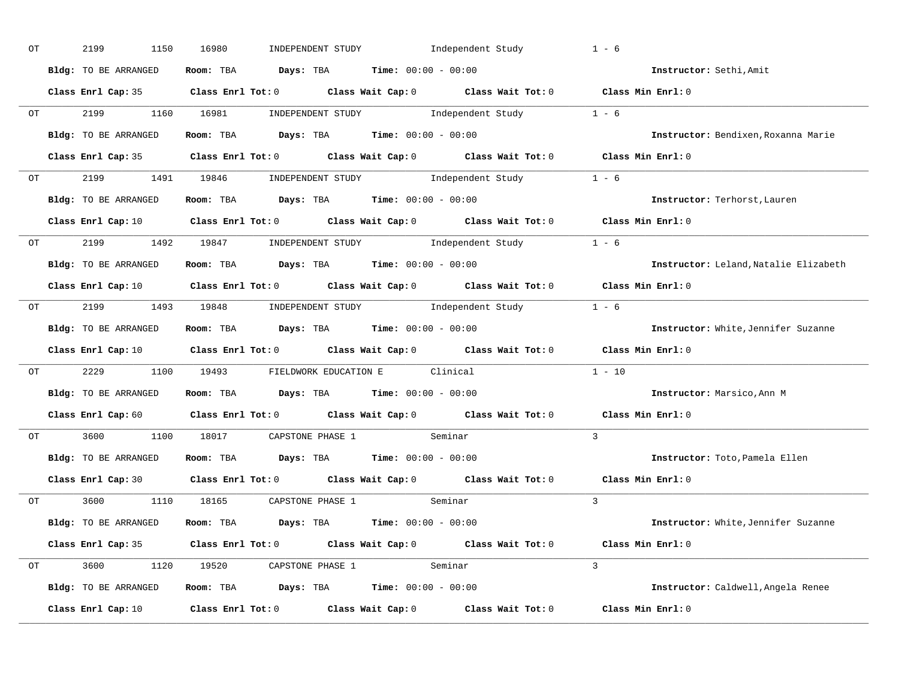| ОT | 2199<br>1150         | 16980<br>INDEPENDENT STUDY Independent Study                                                                                   | $1 - 6$                                    |
|----|----------------------|--------------------------------------------------------------------------------------------------------------------------------|--------------------------------------------|
|    | Bldg: TO BE ARRANGED | Room: TBA $Days:$ TBA $Time: 00:00 - 00:00$                                                                                    | Instructor: Sethi, Amit                    |
|    |                      | Class Enrl Cap: 35 Class Enrl Tot: 0 Class Wait Cap: 0 Class Wait Tot: 0 Class Min Enrl: 0                                     |                                            |
|    |                      | OT 2199 1160 16981 INDEPENDENT STUDY Independent Study 1 - 6                                                                   |                                            |
|    | Bldg: TO BE ARRANGED | Room: TBA $\rule{1em}{0.15mm}$ Days: TBA Time: $00:00 - 00:00$                                                                 | Instructor: Bendixen, Roxanna Marie        |
|    |                      | Class Enrl Cap: 35 Class Enrl Tot: 0 Class Wait Cap: 0 Class Wait Tot: 0 Class Min Enrl: 0                                     |                                            |
|    |                      | OT 2199 1491 19846 INDEPENDENT STUDY Independent Study 1 - 6                                                                   |                                            |
|    |                      | Bldg: TO BE ARRANGED ROOM: TBA Days: TBA Time: 00:00 - 00:00                                                                   | Instructor: Terhorst, Lauren               |
|    |                      | Class Enrl Cap: 10 Class Enrl Tot: 0 Class Wait Cap: 0 Class Wait Tot: 0 Class Min Enrl: 0                                     |                                            |
|    |                      | OT 2199 1492 19847 INDEPENDENT STUDY Independent Study 1 - 6                                                                   |                                            |
|    | Bldg: TO BE ARRANGED | Room: TBA $\rule{1em}{0.15mm}$ Days: TBA $\rule{1.5mm}{0.15mm}$ Time: $00:00 - 00:00$                                          | Instructor: Leland, Natalie Elizabeth      |
|    |                      | Class Enrl Cap: 10 $\qquad$ Class Enrl Tot: 0 $\qquad$ Class Wait Cap: 0 $\qquad$ Class Wait Tot: 0 $\qquad$ Class Min Enrl: 0 |                                            |
|    |                      | OT 2199 1493 19848 INDEPENDENT STUDY Independent Study 1 - 6                                                                   |                                            |
|    | Bldg: TO BE ARRANGED | Room: TBA $\rule{1em}{0.15mm}$ Days: TBA Time: $00:00 - 00:00$                                                                 | <b>Instructor:</b> White, Jennifer Suzanne |
|    |                      | Class Enrl Cap: 10 $\qquad$ Class Enrl Tot: 0 $\qquad$ Class Wait Cap: 0 $\qquad$ Class Wait Tot: 0 $\qquad$ Class Min Enrl: 0 |                                            |
|    |                      | OT 2229 1100 19493 FIELDWORK EDUCATION E Clinical                                                                              | $1 - 10$                                   |
|    | Bldg: TO BE ARRANGED | Room: TBA $Days:$ TBA $Time: 00:00 - 00:00$                                                                                    | Instructor: Marsico, Ann M                 |
|    |                      | Class Enrl Cap: 60 $\qquad$ Class Enrl Tot: 0 $\qquad$ Class Wait Cap: 0 $\qquad$ Class Wait Tot: 0                            | Class Min Enrl: 0                          |
|    |                      | OT 3600 1100 18017 CAPSTONE PHASE 1 Seminar                                                                                    | $\overline{3}$                             |
|    | Bldg: TO BE ARRANGED | Room: TBA $Days:$ TBA $Time: 00:00 - 00:00$                                                                                    | Instructor: Toto, Pamela Ellen             |
|    | Class Enrl Cap: 30   | Class Enrl Tot: $0$ Class Wait Cap: $0$ Class Wait Tot: $0$                                                                    | Class Min Enrl: 0                          |
|    |                      | OT 3600 1110 18165 CAPSTONE PHASE 1<br>seminar) Seminar                                                                        | $\mathcal{R}$                              |
|    | Bldg: TO BE ARRANGED | Room: TBA $Days:$ TBA $Time: 00:00 - 00:00$                                                                                    | <b>Instructor:</b> White, Jennifer Suzanne |
|    |                      | Class Enrl Cap: 35 Class Enrl Tot: 0 Class Wait Cap: 0 Class Wait Tot: 0 Class Min Enrl: 0                                     |                                            |
|    |                      | OT 3600 1120 19520 CAPSTONE PHASE 1 Seminar                                                                                    | $\mathcal{L}$                              |
|    | Bldg: TO BE ARRANGED | Room: TBA $Days:$ TBA $Time: 00:00 - 00:00$                                                                                    | Instructor: Caldwell, Angela Renee         |
|    | Class Enrl Cap: 10   | Class Enrl Tot: $0$ Class Wait Cap: $0$ Class Wait Tot: $0$ Class Min Enrl: $0$                                                |                                            |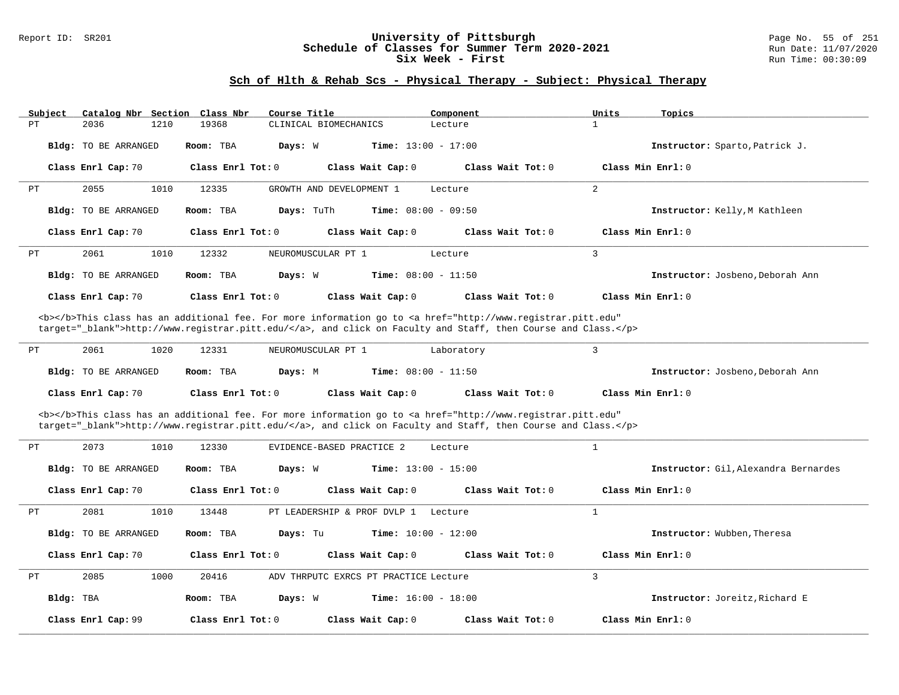#### Report ID: SR201 **University of Pittsburgh University of Pittsburgh** Page No. 55 of 251 **Schedule of Classes for Summer Term 2020-2021** Run Date: 11/07/2020 **Schedule of Classes for Summer Term 2020-2021** Run Date: 11/07/2021<br>Six Week - First Run Time: 00:30:09 **Six Week - First**

### **Sch of Hlth & Rehab Scs - Physical Therapy - Subject: Physical Therapy**

| Subject | Catalog Nbr Section Class Nbr |                       | Course Title             | Component                                                                                                                                                                                                                          | Units<br>Topics                  |
|---------|-------------------------------|-----------------------|--------------------------|------------------------------------------------------------------------------------------------------------------------------------------------------------------------------------------------------------------------------------|----------------------------------|
| PT      | 1210<br>2036                  | 19368                 | CLINICAL BIOMECHANICS    | Lecture                                                                                                                                                                                                                            |                                  |
|         | <b>Bldg:</b> TO BE ARRANGED   | Room: TBA             | Days: W                  | <b>Time:</b> $13:00 - 17:00$                                                                                                                                                                                                       | Instructor: Sparto, Patrick J.   |
|         | Class Enrl Cap: 70            | Class Enrl Tot: $0$   | Class Wait Cap: 0        | Class Wait Tot: 0                                                                                                                                                                                                                  | Class Min Enrl: 0                |
| PT      | 1010<br>2055                  | 12335                 | GROWTH AND DEVELOPMENT 1 | Lecture                                                                                                                                                                                                                            | 2                                |
|         | <b>Bldg:</b> TO BE ARRANGED   | Room: TBA             | Days: TuTh               | <b>Time:</b> $08:00 - 09:50$                                                                                                                                                                                                       | Instructor: Kelly, M Kathleen    |
|         | Class Enrl Cap: 70            | Class Enrl Tot: 0     | Class Wait Cap: 0        | Class Wait Tot: 0                                                                                                                                                                                                                  | Class Min Enrl: 0                |
| PT      | 1010<br>2061                  | 12332                 | NEUROMUSCULAR PT 1       | Lecture                                                                                                                                                                                                                            | 3                                |
|         | Bldg: TO BE ARRANGED          | Room: TBA             | Days: W                  | <b>Time:</b> $08:00 - 11:50$                                                                                                                                                                                                       | Instructor: Josbeno, Deborah Ann |
|         | Class Enrl Cap: 70            | Class $Enrl$ Tot: $0$ | Class Wait Cap: 0        | Class Wait Tot: 0                                                                                                                                                                                                                  | Class Min $Enrl: 0$              |
|         |                               |                       |                          | <b></b> This class has an additional fee. For more information go to <a <br="" href="http://www.registrar.pitt.edu">target="_blank"&gt;http://www.registrar.pitt.edu/</a> , and click on Faculty and Staff, then Course and Class. |                                  |
| PT      | 2061<br>1020                  | 12331                 | NEUROMUSCULAR PT 1       | Laboratory                                                                                                                                                                                                                         | 3                                |

| Bldg: TO BE ARRANGED | Room: TBA<br>Days: M | <b>Time:</b> $08:00 - 11:50$ |                   | Instructor: Josbeno, Deborah Ann |
|----------------------|----------------------|------------------------------|-------------------|----------------------------------|
| Class Enrl Cap: 70   | Class Enrl Tot: 0    | Class Wait Cap: 0            | Class Wait Tot: 0 | Class Min Enrl: 0                |

<b></b>This class has an additional fee. For more information go to <a href="http://www.registrar.pitt.edu" target="\_blank">http://www.registrar.pitt.edu/</a>, and click on Faculty and Staff, then Course and Class.</p>

| PT |           | 2073<br>1010                | 12330               | EVIDENCE-BASED PRACTICE 2                | Lecture           |                                     |
|----|-----------|-----------------------------|---------------------|------------------------------------------|-------------------|-------------------------------------|
|    |           | <b>Bldg:</b> TO BE ARRANGED | Room: TBA           | <b>Time:</b> $13:00 - 15:00$<br>Days: W  |                   | Instructor: Gil.Alexandra Bernardes |
|    |           | Class Enrl Cap: 70          | Class Enrl Tot: $0$ | Class Wait Cap: 0                        | Class Wait Tot: 0 | Class Min $Enrl: 0$                 |
| PT |           | 2081<br>1010                | 13448               | PT LEADERSHIP & PROF DVLP 1              | Lecture           |                                     |
|    |           | <b>Bldg:</b> TO BE ARRANGED | Room: TBA           | <b>Time:</b> $10:00 - 12:00$<br>Days: Tu |                   | Instructor: Wubben, Theresa         |
|    |           | Class Enrl Cap: 70          | Class Enrl Tot: $0$ | Class Wait Cap: 0                        | Class Wait Tot: 0 | Class Min $Enrl: 0$                 |
| PT |           | 2085<br>1000                | 20416               | ADV THRPUTC EXRCS PT PRACTICE Lecture    |                   | 3                                   |
|    | Bldg: TBA |                             | Room: TBA           | <b>Time:</b> $16:00 - 18:00$<br>Days: W  |                   | Instructor: Joreitz, Richard E      |
|    |           | Class Enrl Cap: 99          | Class Enrl Tot: $0$ | Class Wait Cap: 0                        | Class Wait Tot: 0 | Class Min Enrl: 0                   |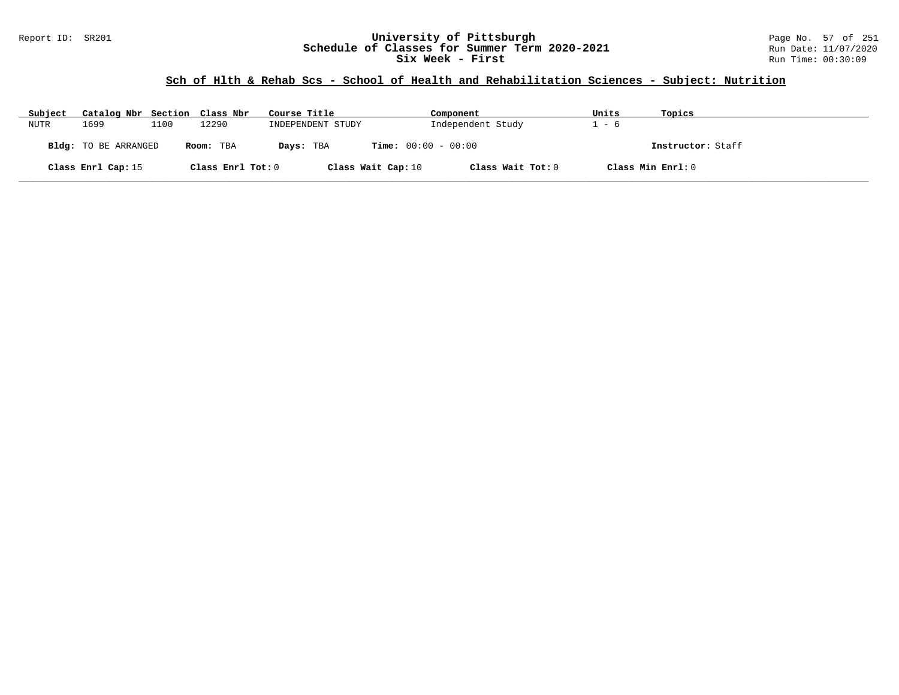#### Report ID: SR201 **University of Pittsburgh** Page No. 57 of 251 **Schedule of Classes for Summer Term 2020-2021** Run Date: 11/07/2020 **Six Week - First Run Time: 00:30:09**

### **Sch of Hlth & Rehab Scs - School of Health and Rehabilitation Sciences - Subject: Nutrition**

| Subject | Catalog Nbr Section Class Nbr |      |                   | Course Title       | Component                    | Units | Topics            |
|---------|-------------------------------|------|-------------------|--------------------|------------------------------|-------|-------------------|
| NUTR    | 1699                          | 1100 | 12290             | INDEPENDENT STUDY  | Independent Study            | - 6   |                   |
|         | <b>Bldg:</b> TO BE ARRANGED   |      | Room: TBA         | Days: TBA          | <b>Time:</b> $00:00 - 00:00$ |       | Instructor: Staff |
|         | Class Enrl Cap: 15            |      | Class Enrl Tot: 0 | Class Wait Cap: 10 | Class Wait Tot: 0            |       | Class Min Enrl: 0 |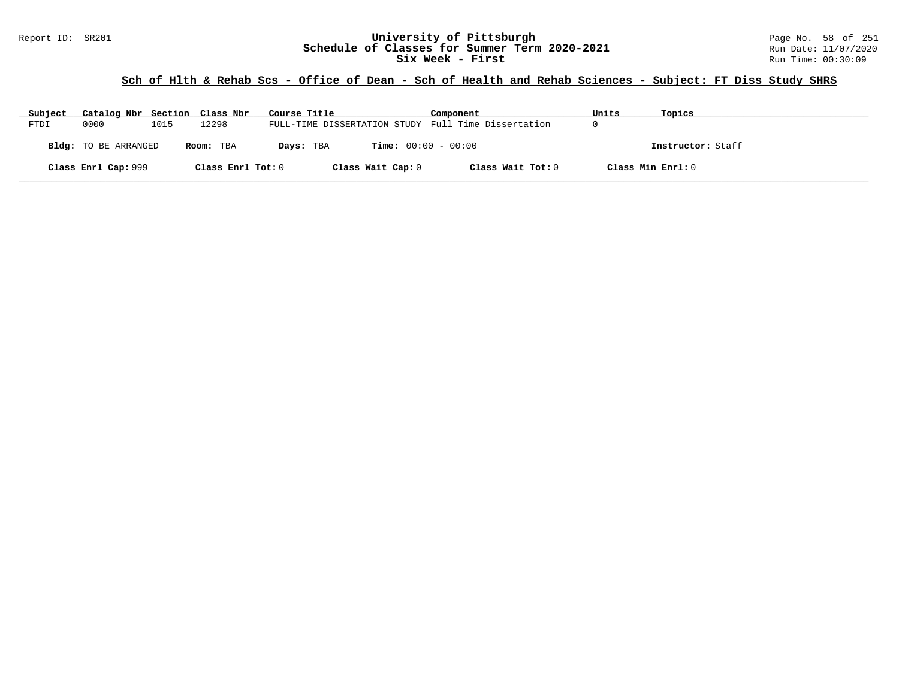#### Report ID: SR201 **University of Pittsburgh University of Pittsburgh** Page No. 58 of 251 **Chedule of Classes for Summer Term 2020-2021** Run Date: 11/07/2020 **Schedule of Classes for Summer Term 2020-2021** Run Date: 11/07/2021<br>**Six Week - First** Run Time: 00:30:09 **Six Week - First**

### **Sch of Hlth & Rehab Scs - Office of Dean - Sch of Health and Rehab Sciences - Subject: FT Diss Study SHRS**

| Subject | Catalog Nbr Section Class Nbr |      |                   | Course Title                                        | Component                    | Units             | Topics            |
|---------|-------------------------------|------|-------------------|-----------------------------------------------------|------------------------------|-------------------|-------------------|
| FTDI    | 0000                          | 1015 | 12298             | FULL-TIME DISSERTATION STUDY Full Time Dissertation |                              |                   |                   |
|         | Bldg: TO BE ARRANGED          |      | Room: TBA         | Days: TBA                                           | <b>Time:</b> $00:00 - 00:00$ |                   | Instructor: Staff |
|         | Class Enrl Cap: 999           |      | Class Enrl Tot: 0 | Class Wait Cap: 0                                   | Class Wait Tot: 0            | Class Min Enrl: 0 |                   |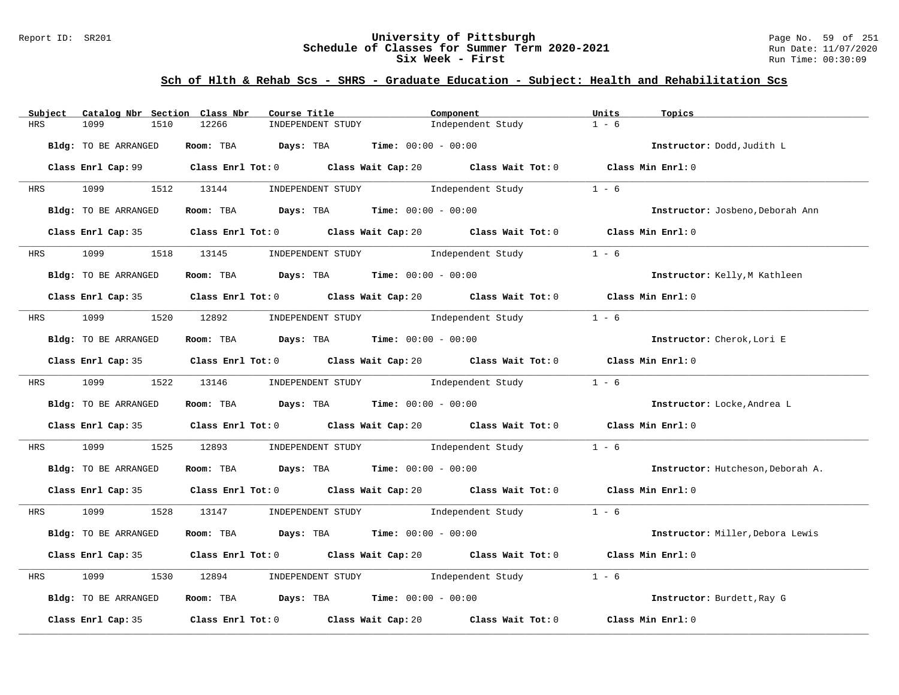### Report ID: SR201 **University of Pittsburgh** Page No. 59 of 251 **Schedule of Classes for Summer Term 2020-2021** Run Date: 11/07/2020 **Six Week - First Run Time: 00:30:09** Run Time: 00:30:09

| Catalog Nbr Section Class Nbr<br>Subject | Course Title                                                                                | Component                               | Units<br>Topics                   |
|------------------------------------------|---------------------------------------------------------------------------------------------|-----------------------------------------|-----------------------------------|
| <b>HRS</b><br>1099<br>1510               | 12266<br>INDEPENDENT STUDY                                                                  | Independent Study                       | $1 - 6$                           |
| Bldg: TO BE ARRANGED                     | Room: TBA $Days:$ TBA $Time: 00:00 - 00:00$                                                 |                                         | Instructor: Dodd, Judith L        |
|                                          | Class Enrl Cap: 99 Class Enrl Tot: 0 Class Wait Cap: 20 Class Wait Tot: 0 Class Min Enrl: 0 |                                         |                                   |
| HRS 1099 1512 13144                      | INDEPENDENT STUDY 1ndependent Study                                                         |                                         | $1 - 6$                           |
| Bldg: TO BE ARRANGED                     | Room: TBA $\rule{1em}{0.15mm}$ Days: TBA $\rule{1.5mm}{0.15mm}$ Time: $00:00 - 00:00$       |                                         | Instructor: Josbeno, Deborah Ann  |
|                                          | Class Enrl Cap: 35 Class Enrl Tot: 0 Class Wait Cap: 20 Class Wait Tot: 0 Class Min Enrl: 0 |                                         |                                   |
|                                          | HRS 1099 1518 13145 INDEPENDENT STUDY Independent Study                                     |                                         | $1 - 6$                           |
| Bldg: TO BE ARRANGED                     | Room: TBA $\rule{1em}{0.15mm}$ Days: TBA $\rule{1.15mm}]{0.15mm}$ Time: $0.000 - 0.000$     |                                         | Instructor: Kelly, M Kathleen     |
|                                          | Class Enrl Cap: 35 Class Enrl Tot: 0 Class Wait Cap: 20 Class Wait Tot: 0 Class Min Enrl: 0 |                                         |                                   |
|                                          | HRS 1099 1520 12892 INDEPENDENT STUDY Independent Study                                     |                                         | $1 - 6$                           |
| Bldg: TO BE ARRANGED                     | Room: TBA $Days:$ TBA $Time:$ 00:00 - 00:00                                                 |                                         | Instructor: Cherok, Lori E        |
|                                          | Class Enrl Cap: 35 Class Enrl Tot: 0 Class Wait Cap: 20 Class Wait Tot: 0 Class Min Enrl: 0 |                                         |                                   |
|                                          | HRS 1099 1522 13146 INDEPENDENT STUDY Independent Study                                     |                                         | $1 - 6$                           |
| Bldg: TO BE ARRANGED                     | Room: TBA $Days:$ TBA $Time: 00:00 - 00:00$                                                 |                                         | Instructor: Locke, Andrea L       |
|                                          | Class Enrl Cap: 35 Class Enrl Tot: 0 Class Wait Cap: 20 Class Wait Tot: 0 Class Min Enrl: 0 |                                         |                                   |
| 1099<br>HRS                              | 1525 12893 INDEPENDENT STUDY 1ndependent Study                                              |                                         | $1 - 6$                           |
| Bldg: TO BE ARRANGED                     | Room: TBA $Days:$ TBA $Time: 00:00 - 00:00$                                                 |                                         | Instructor: Hutcheson, Deborah A. |
|                                          | Class Enrl Cap: 35 Class Enrl Tot: 0 Class Wait Cap: 20 Class Wait Tot: 0 Class Min Enrl: 0 |                                         |                                   |
|                                          | HRS 1099 1528 13147 INDEPENDENT STUDY Independent Study 1 - 6                               |                                         |                                   |
| Bldg: TO BE ARRANGED                     | Room: TBA $Days:$ TBA $Time: 00:00 - 00:00$                                                 |                                         | Instructor: Miller, Debora Lewis  |
|                                          | Class Enrl Cap: 35 Class Enrl Tot: 0 Class Wait Cap: 20 Class Wait Tot: 0 Class Min Enrl: 0 |                                         |                                   |
| 1099<br>1530<br>HRS                      | 12894 INDEPENDENT STUDY Independent Study                                                   |                                         | $1 - 6$                           |
| Bldg: TO BE ARRANGED                     | Room: TBA $\rule{1em}{0.15mm}$ Days: TBA $\rule{1.15mm}]{0.15mm}$ Time: $00:00 - 00:00$     |                                         | Instructor: Burdett, Ray G        |
| Class Enrl Cap: 35                       | Class Enrl Tot: 0 Class Wait Cap: 20                                                        | Class Wait Tot: $0$ $Class Min Enrl: 0$ |                                   |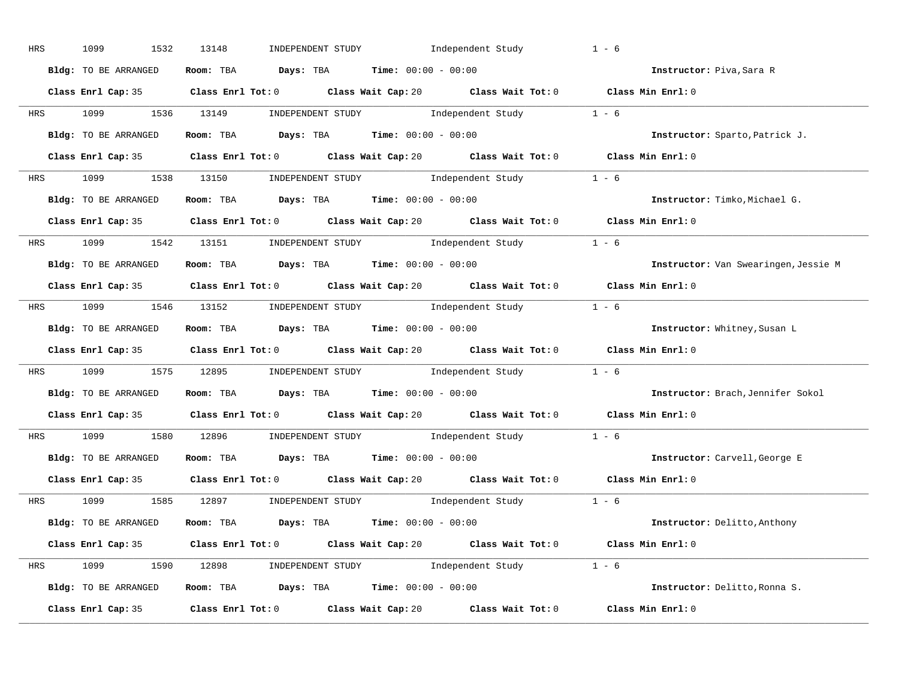| HRS | 1099<br>1532         | INDEPENDENT STUDY Independent Study<br>13148                                                | $1 - 6$                              |
|-----|----------------------|---------------------------------------------------------------------------------------------|--------------------------------------|
|     | Bldg: TO BE ARRANGED | Room: TBA $Days:$ TBA $Time: 00:00 - 00:00$                                                 | Instructor: Piva, Sara R             |
|     |                      | Class Enrl Cap: 35 Class Enrl Tot: 0 Class Wait Cap: 20 Class Wait Tot: 0 Class Min Enrl: 0 |                                      |
|     |                      | HRS 1099 1536 13149 INDEPENDENT STUDY Independent Study 1 - 6                               |                                      |
|     | Bldg: TO BE ARRANGED | Room: TBA $Days:$ TBA $Time: 00:00 - 00:00$                                                 | Instructor: Sparto, Patrick J.       |
|     |                      | Class Enrl Cap: 35 Class Enrl Tot: 0 Class Wait Cap: 20 Class Wait Tot: 0 Class Min Enrl: 0 |                                      |
|     |                      | HRS 1099 1538 13150 INDEPENDENT STUDY Independent Study 1 - 6                               |                                      |
|     |                      | Bldg: TO BE ARRANGED ROOM: TBA Days: TBA Time: 00:00 - 00:00                                | Instructor: Timko, Michael G.        |
|     |                      | Class Enrl Cap: 35 Class Enrl Tot: 0 Class Wait Cap: 20 Class Wait Tot: 0 Class Min Enrl: 0 |                                      |
|     |                      | HRS 1099 1542 13151 INDEPENDENT STUDY Independent Study 1 - 6                               |                                      |
|     | Bldg: TO BE ARRANGED | Room: TBA $Days:$ TBA Time: $00:00 - 00:00$                                                 | Instructor: Van Swearingen, Jessie M |
|     |                      | Class Enrl Cap: 35 Class Enrl Tot: 0 Class Wait Cap: 20 Class Wait Tot: 0 Class Min Enrl: 0 |                                      |
|     |                      | HRS 1099 1546 13152 INDEPENDENT STUDY Independent Study 1 - 6                               |                                      |
|     | Bldg: TO BE ARRANGED | Room: TBA $\rule{1em}{0.15mm}$ Days: TBA Time: $00:00 - 00:00$                              | Instructor: Whitney, Susan L         |
|     |                      | Class Enrl Cap: 35 Class Enrl Tot: 0 Class Wait Cap: 20 Class Wait Tot: 0 Class Min Enrl: 0 |                                      |
|     |                      | HRS 1099 1575 12895 INDEPENDENT STUDY Independent Study 1 - 6                               |                                      |
|     | Bldg: TO BE ARRANGED | Room: TBA $\rule{1em}{0.15mm}$ Days: TBA Time: $00:00 - 00:00$                              | Instructor: Brach, Jennifer Sokol    |
|     |                      | Class Enrl Cap: 35 Class Enrl Tot: 0 Class Wait Cap: 20 Class Wait Tot: 0 Class Min Enrl: 0 |                                      |
|     |                      | HRS 1099 1580 12896 INDEPENDENT STUDY Independent Study 1 - 6                               |                                      |
|     | Bldg: TO BE ARRANGED | Room: TBA $\rule{1em}{0.15mm}$ Days: TBA $\rule{1.5mm}{0.15mm}$ Time: $00:00 - 00:00$       | Instructor: Carvell, George E        |
|     |                      | Class Enrl Cap: 35 Class Enrl Tot: 0 Class Wait Cap: 20 Class Wait Tot: 0 Class Min Enrl: 0 |                                      |
|     |                      | HRS 1099 1585 12897 INDEPENDENT STUDY Independent Study 1 - 6                               |                                      |
|     | Bldg: TO BE ARRANGED | Room: TBA $Days:$ TBA $Time: 00:00 - 00:00$                                                 | Instructor: Delitto, Anthony         |
|     |                      | Class Enrl Cap: 35 Class Enrl Tot: 0 Class Wait Cap: 20 Class Wait Tot: 0 Class Min Enrl: 0 |                                      |
|     |                      | HRS 1099 1590 12898 INDEPENDENT STUDY Independent Study 1 - 6                               |                                      |
|     | Bldg: TO BE ARRANGED | Room: TBA $Days: TBA$ Time: $00:00 - 00:00$                                                 | Instructor: Delitto, Ronna S.        |
|     |                      | Class Enrl Cap: 35 Class Enrl Tot: 0 Class Wait Cap: 20 Class Wait Tot: 0                   | Class Min Enrl: 0                    |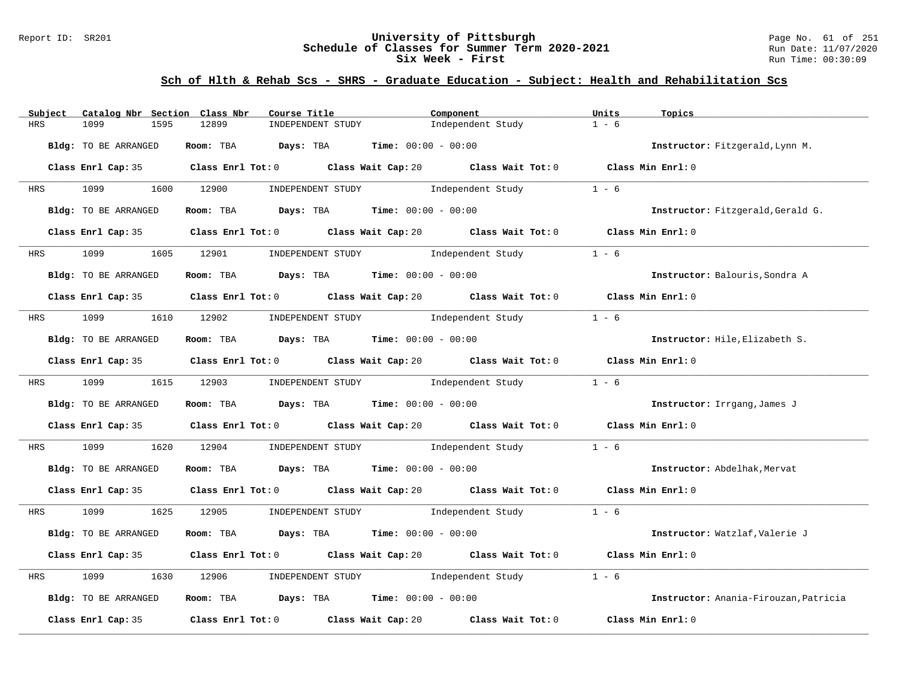### Report ID: SR201 **University of Pittsburgh** Page No. 61 of 251 **Schedule of Classes for Summer Term 2020-2021** Run Date: 11/07/2020 **Six Week - First Run Time: 00:30:09** Run Time: 00:30:09

| Subject                     | Catalog Nbr Section Class Nbr | Course Title                                                                            | Component                                                                                                                    | Units<br>Topics                       |  |
|-----------------------------|-------------------------------|-----------------------------------------------------------------------------------------|------------------------------------------------------------------------------------------------------------------------------|---------------------------------------|--|
| HRS<br>1099                 | 1595<br>12899                 | INDEPENDENT STUDY                                                                       | Independent Study                                                                                                            | $1 - 6$                               |  |
| <b>Bldg:</b> TO BE ARRANGED |                               | Room: TBA $Days:$ TBA $Time: 00:00 - 00:00$                                             |                                                                                                                              | Instructor: Fitzgerald, Lynn M.       |  |
|                             |                               |                                                                                         | Class Enrl Cap: 35 Class Enrl Tot: 0 Class Wait Cap: 20 Class Wait Tot: 0 Class Min Enrl: 0                                  |                                       |  |
| HRS 1099                    | 1600 12900                    |                                                                                         | INDEPENDENT STUDY Independent Study                                                                                          | $1 - 6$                               |  |
| Bldg: TO BE ARRANGED        |                               | Room: TBA $\rule{1em}{0.15mm}$ Days: TBA $\rule{1.15mm}]{0.15mm}$ Time: $0.000 - 0.000$ |                                                                                                                              | Instructor: Fitzgerald, Gerald G.     |  |
|                             |                               |                                                                                         | Class Enrl Cap: 35 Class Enrl Tot: 0 Class Wait Cap: 20 Class Wait Tot: 0 Class Min Enrl: 0                                  |                                       |  |
| 1099 700<br><b>HRS</b>      | 1605 12901                    |                                                                                         | INDEPENDENT STUDY The Independent Study                                                                                      | $1 - 6$                               |  |
| Bldg: TO BE ARRANGED        |                               | Room: TBA $Days:$ TBA $Time: 00:00 - 00:00$                                             |                                                                                                                              | Instructor: Balouris, Sondra A        |  |
|                             |                               |                                                                                         | Class Enrl Cap: 35 Class Enrl Tot: 0 Class Wait Cap: 20 Class Wait Tot: 0 Class Min Enrl: 0                                  |                                       |  |
| HRS 1099                    | 1610 12902                    |                                                                                         | INDEPENDENT STUDY The Independent Study                                                                                      | $1 - 6$                               |  |
| Bldg: TO BE ARRANGED        |                               | Room: TBA $\rule{1em}{0.15mm}$ Days: TBA $\rule{1.5mm}{0.15mm}$ Time: $00:00 - 00:00$   |                                                                                                                              | Instructor: Hile, Elizabeth S.        |  |
|                             |                               |                                                                                         | Class Enrl Cap: 35 Class Enrl Tot: 0 Class Wait Cap: 20 Class Wait Tot: 0 Class Min Enrl: 0                                  |                                       |  |
| 1099<br><b>HRS</b>          | 1615 12903                    |                                                                                         | $\begin{minipage}[c]{0.9\linewidth} \textbf{INDEX} & \textbf{STUDY} \\ \textbf{Independent Study} & 1 - 6 \\ \end{minipage}$ |                                       |  |
| Bldg: TO BE ARRANGED        |                               | Room: TBA $Days:$ TBA $Time: 00:00 - 00:00$                                             |                                                                                                                              | Instructor: Irrgang, James J          |  |
|                             |                               |                                                                                         | Class Enrl Cap: 35 Class Enrl Tot: 0 Class Wait Cap: 20 Class Wait Tot: 0 Class Min Enrl: 0                                  |                                       |  |
| HRS<br>1099                 | 1620<br>12904                 |                                                                                         | INDEPENDENT STUDY 1ndependent Study                                                                                          | $1 - 6$                               |  |
| Bldg: TO BE ARRANGED        |                               | Room: TBA $Days:$ TBA $Time: 00:00 - 00:00$                                             |                                                                                                                              | Instructor: Abdelhak, Mervat          |  |
|                             |                               |                                                                                         | Class Enrl Cap: 35 Class Enrl Tot: 0 Class Wait Cap: 20 Class Wait Tot: 0 Class Min Enrl: 0                                  |                                       |  |
| HRS                         |                               |                                                                                         | 1099 1625 12905 INDEPENDENT STUDY Independent Study 1 - 6                                                                    |                                       |  |
| Bldg: TO BE ARRANGED        |                               | Room: TBA $Days:$ TBA $Time: 00:00 - 00:00$                                             |                                                                                                                              | Instructor: Watzlaf, Valerie J        |  |
|                             |                               |                                                                                         | Class Enrl Cap: 35 Class Enrl Tot: 0 Class Wait Cap: 20 Class Wait Tot: 0 Class Min Enrl: 0                                  |                                       |  |
| HRS<br>1099                 | 1630<br>12906                 |                                                                                         | INDEPENDENT STUDY The Independent Study                                                                                      | $1 - 6$                               |  |
| Bldg: TO BE ARRANGED        |                               | Room: TBA $Days: TBA$ Time: $00:00 - 00:00$                                             |                                                                                                                              | Instructor: Anania-Firouzan, Patricia |  |
| Class Enrl Cap: 35          |                               | Class Enrl Tot: 0 Class Wait Cap: 20                                                    | Class Wait Tot: 0                                                                                                            | Class Min Enrl: 0                     |  |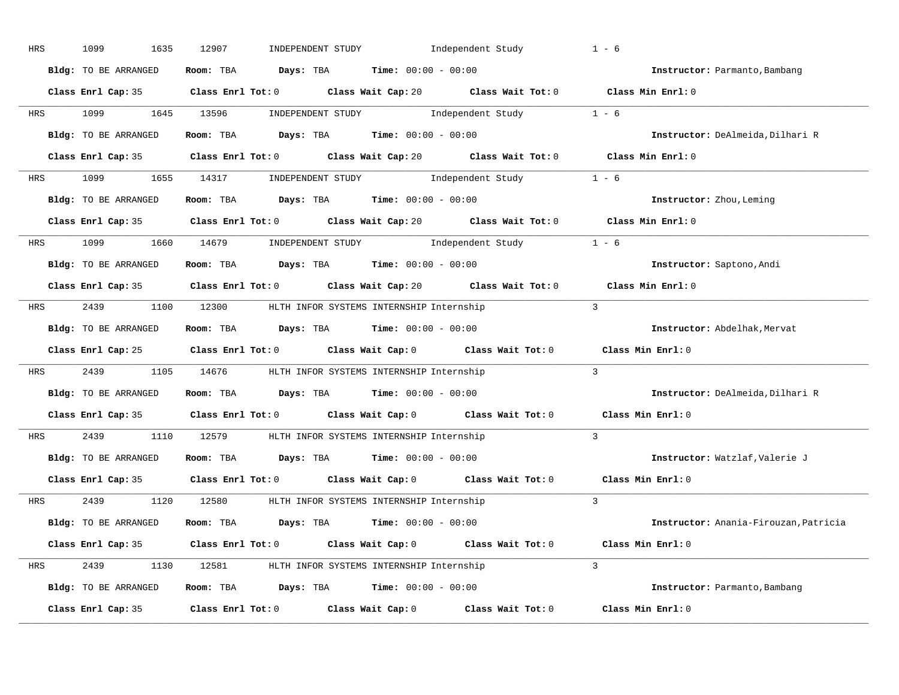| HRS        | 1099<br>1635         | 12907<br>INDEPENDENT STUDY                                                                                                                                                                                                                                                                                                                                                                                                                                                                                                                                      | Independent Study | $1 - 6$                               |
|------------|----------------------|-----------------------------------------------------------------------------------------------------------------------------------------------------------------------------------------------------------------------------------------------------------------------------------------------------------------------------------------------------------------------------------------------------------------------------------------------------------------------------------------------------------------------------------------------------------------|-------------------|---------------------------------------|
|            | Bldg: TO BE ARRANGED | Room: TBA $Days:$ TBA $Time: 00:00 - 00:00$                                                                                                                                                                                                                                                                                                                                                                                                                                                                                                                     |                   | Instructor: Parmanto, Bambang         |
|            |                      | Class Enrl Cap: 35 Class Enrl Tot: 0 Class Wait Cap: 20 Class Wait Tot: 0 Class Min Enrl: 0                                                                                                                                                                                                                                                                                                                                                                                                                                                                     |                   |                                       |
|            | HRS 1099 1645 13596  | $\begin{minipage}[c]{0.9\linewidth} \textbf{INDEX} & \textbf{STUDY} \\ \textbf{Index} & \textbf{Index} \\ \textbf{Index} & \textbf{Index} \\ \textbf{Index} & \textbf{Index} \\ \textbf{Index} & \textbf{Index} \\ \textbf{Index} & \textbf{Index} \\ \textbf{Index} & \textbf{Index} \\ \textbf{Index} & \textbf{Index} \\ \textbf{Index} & \textbf{Index} \\ \textbf{Index} & \textbf{Index} \\ \textbf{Index} & \textbf{Index} \\ \textbf{Index} & \textbf{Index} \\ \textbf{Index} & \textbf{Index} \\ \textbf{Index} & \textbf{Index} \\ \textbf{Index} &$ |                   |                                       |
|            | Bldg: TO BE ARRANGED | Room: TBA $Days:$ TBA Time: $00:00 - 00:00$                                                                                                                                                                                                                                                                                                                                                                                                                                                                                                                     |                   | Instructor: DeAlmeida, Dilhari R      |
|            |                      | Class Enrl Cap: 35 Class Enrl Tot: 0 Class Wait Cap: 20 Class Wait Tot: 0 Class Min Enrl: 0                                                                                                                                                                                                                                                                                                                                                                                                                                                                     |                   |                                       |
| HRS        |                      | 1099 1655 14317 INDEPENDENT STUDY Independent Study 1 - 6                                                                                                                                                                                                                                                                                                                                                                                                                                                                                                       |                   |                                       |
|            | Bldg: TO BE ARRANGED | Room: TBA $Days:$ TBA $Time: 00:00 - 00:00$                                                                                                                                                                                                                                                                                                                                                                                                                                                                                                                     |                   | Instructor: Zhou, Leming              |
|            |                      | Class Enrl Cap: 35 Class Enrl Tot: 0 Class Wait Cap: 20 Class Wait Tot: 0 Class Min Enrl: 0                                                                                                                                                                                                                                                                                                                                                                                                                                                                     |                   |                                       |
|            |                      | HRS 1099 1660 14679 INDEPENDENT STUDY Independent Study 1 - 6                                                                                                                                                                                                                                                                                                                                                                                                                                                                                                   |                   |                                       |
|            | Bldg: TO BE ARRANGED | Room: TBA $Days:$ TBA $Time: 00:00 - 00:00$                                                                                                                                                                                                                                                                                                                                                                                                                                                                                                                     |                   | Instructor: Saptono, Andi             |
|            |                      | Class Enrl Cap: 35 Class Enrl Tot: 0 Class Wait Cap: 20 Class Wait Tot: 0                                                                                                                                                                                                                                                                                                                                                                                                                                                                                       |                   | Class Min Enrl: 0                     |
| HRS        |                      | 2439 1100 12300 HLTH INFOR SYSTEMS INTERNSHIP Internship                                                                                                                                                                                                                                                                                                                                                                                                                                                                                                        |                   | $\overline{3}$                        |
|            | Bldg: TO BE ARRANGED | Room: TBA $Days: TBA$ Time: $00:00 - 00:00$                                                                                                                                                                                                                                                                                                                                                                                                                                                                                                                     |                   | Instructor: Abdelhak, Mervat          |
|            |                      | Class Enrl Cap: 25 Class Enrl Tot: 0 Class Wait Cap: 0 Class Wait Tot: 0 Class Min Enrl: 0                                                                                                                                                                                                                                                                                                                                                                                                                                                                      |                   |                                       |
| HRS        |                      | 2439 1105 14676 HLTH INFOR SYSTEMS INTERNSHIP Internship                                                                                                                                                                                                                                                                                                                                                                                                                                                                                                        |                   | $\overline{3}$                        |
|            | Bldg: TO BE ARRANGED | Room: TBA $Days:$ TBA $Time: 00:00 - 00:00$                                                                                                                                                                                                                                                                                                                                                                                                                                                                                                                     |                   | Instructor: DeAlmeida, Dilhari R      |
|            |                      | Class Enrl Cap: 35 Class Enrl Tot: 0 Class Wait Cap: 0 Class Wait Tot: 0                                                                                                                                                                                                                                                                                                                                                                                                                                                                                        |                   | Class Min Enrl: 0                     |
| <b>HRS</b> | 2439                 | 1110 12579 HLTH INFOR SYSTEMS INTERNSHIP Internship                                                                                                                                                                                                                                                                                                                                                                                                                                                                                                             |                   | $\overline{3}$                        |
|            | Bldg: TO BE ARRANGED | Room: TBA $Days:$ TBA Time: $00:00 - 00:00$                                                                                                                                                                                                                                                                                                                                                                                                                                                                                                                     |                   | Instructor: Watzlaf, Valerie J        |
|            |                      | Class Enrl Cap: 35 Class Enrl Tot: 0 Class Wait Cap: 0 Class Wait Tot: 0                                                                                                                                                                                                                                                                                                                                                                                                                                                                                        |                   | Class Min Enrl: 0                     |
|            |                      | HRS 2439 1120 12580 HLTH INFOR SYSTEMS INTERNSHIP Internship                                                                                                                                                                                                                                                                                                                                                                                                                                                                                                    |                   | $\mathcal{L}$                         |
|            | Bldg: TO BE ARRANGED | Room: TBA $Days:$ TBA $Time: 00:00 - 00:00$                                                                                                                                                                                                                                                                                                                                                                                                                                                                                                                     |                   | Instructor: Anania-Firouzan, Patricia |
|            |                      | Class Enrl Cap: 35 Class Enrl Tot: 0 Class Wait Cap: 0 Class Wait Tot: 0 Class Min Enrl: 0                                                                                                                                                                                                                                                                                                                                                                                                                                                                      |                   |                                       |
| HRS        |                      | 2439 1130 12581 HLTH INFOR SYSTEMS INTERNSHIP Internship                                                                                                                                                                                                                                                                                                                                                                                                                                                                                                        |                   | $\mathcal{L}$                         |
|            | Bldg: TO BE ARRANGED | Room: TBA $Days:$ TBA $Time: 00:00 - 00:00$                                                                                                                                                                                                                                                                                                                                                                                                                                                                                                                     |                   | Instructor: Parmanto, Bambang         |
|            | Class Enrl Cap: 35   | $Class$ $Enrl$ $Tot: 0$ $Class$ $Wait$ $Cap: 0$ $Class$ $Wait$ $Tot: 0$                                                                                                                                                                                                                                                                                                                                                                                                                                                                                         |                   | Class Min Enrl: 0                     |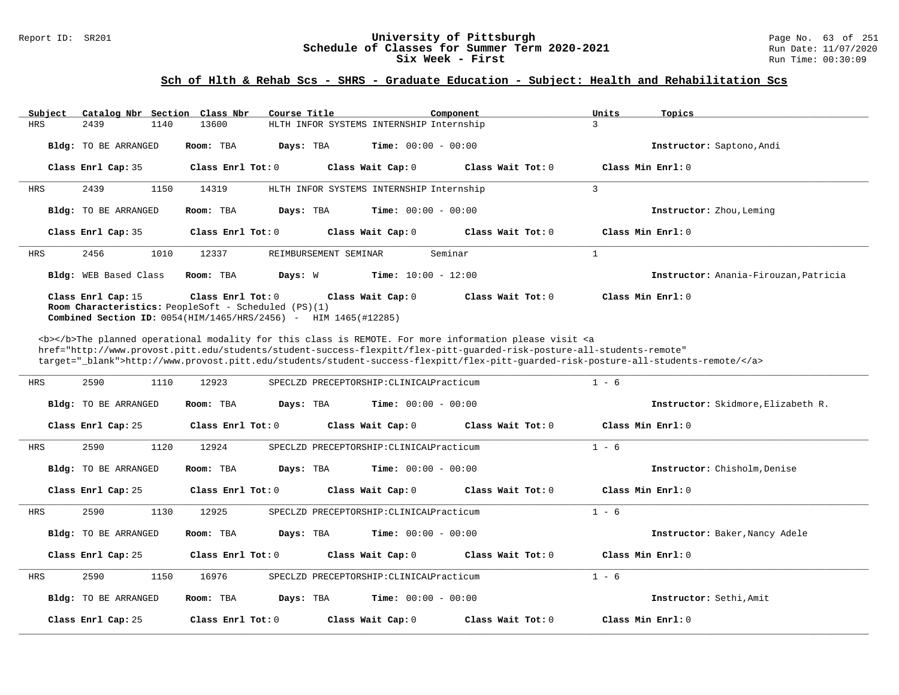# Report ID: SR201 **1988 Constrained Building Constrained Building Constrained Building Constrained Building Const<br>
Schedule of Classes for Summer Term 2020-2021 1997/2020 Run Date: 11/07/2020** Schedule of Classes for Summer Term 2020-2021<br>Six Week - First

### **Sch of Hlth & Rehab Scs - SHRS - Graduate Education - Subject: Health and Rehabilitation Scs**

| Subject | Catalog Nbr Section Class Nbr                                                                                                         |                   | Course Title                             |                              | Component         | Units | Topics                                |
|---------|---------------------------------------------------------------------------------------------------------------------------------------|-------------------|------------------------------------------|------------------------------|-------------------|-------|---------------------------------------|
| HRS     | 1140<br>2439                                                                                                                          | 13600             | HLTH INFOR SYSTEMS INTERNSHIP Internship |                              |                   | 3     |                                       |
|         | Bldg: TO BE ARRANGED                                                                                                                  | Room: TBA         | Days: TBA                                | <b>Time:</b> $00:00 - 00:00$ |                   |       | Instructor: Saptono, Andi             |
|         | Class Enrl Cap: 35                                                                                                                    | Class Enrl Tot: 0 |                                          | Class Wait Cap: 0            | Class Wait Tot: 0 |       | Class Min Enrl: 0                     |
| HRS     | 2439<br>1150                                                                                                                          | 14319             | HLTH INFOR SYSTEMS INTERNSHIP Internship |                              |                   | 3     |                                       |
|         | Bldg: TO BE ARRANGED                                                                                                                  | Room: TBA         | Days: TBA                                | <b>Time:</b> $00:00 - 00:00$ |                   |       | Instructor: Zhou, Leming              |
|         | Class Enrl Cap: 35                                                                                                                    | Class Enrl Tot: 0 |                                          | Class Wait Cap: 0            | Class Wait Tot: 0 |       | Class Min Enrl: 0                     |
| HRS     | 2456<br>1010                                                                                                                          | 12337             | REIMBURSEMENT SEMINAR                    |                              | Seminar           |       |                                       |
|         | Bldg: WEB Based Class                                                                                                                 | Room: TBA         | Days: W                                  | <b>Time:</b> $10:00 - 12:00$ |                   |       | Instructor: Anania-Firouzan, Patricia |
|         | Class Enrl Cap: 15<br><b>Room Characteristics:</b> PeopleSoft - Scheduled (PS)(1)<br>Combined Section ID: $0054(HIM/1465/HRS/2456)$ - | Class Enrl Tot: 0 | HIM 1465(#12285)                         | Class Wait Cap: 0            | Class Wait Tot: 0 |       | $Class Min Ernst: 0$                  |

<b></b>The planned operational modality for this class is REMOTE. For more information please visit <a href="http://www.provost.pitt.edu/students/student-success-flexpitt/flex-pitt-guarded-risk-posture-all-students-remote" target="\_blank">http://www.provost.pitt.edu/students/student-success-flexpitt/flex-pitt-guarded-risk-posture-all-students-remote/</a>

| <b>HRS</b> | 1110<br>2590                | 12923                  | SPECLZD PRECEPTORSHIP: CLINICALPracticum | $1 - 6$                            |
|------------|-----------------------------|------------------------|------------------------------------------|------------------------------------|
|            |                             |                        |                                          |                                    |
|            | Bldg: TO BE ARRANGED        | Room: TBA<br>Days: TBA | <b>Time:</b> $00:00 - 00:00$             | Instructor: Skidmore, Elizabeth R. |
|            | Class Enrl Cap: 25          | Class $Enr1$ Tot: $0$  | Class Wait Cap: 0<br>Class Wait Tot: 0   | Class Min Enrl: 0                  |
| HRS        | 1120<br>2590                | 12924                  | SPECLZD PRECEPTORSHIP: CLINICALPracticum | $1 - 6$                            |
|            | Bldg: TO BE ARRANGED        | Room: TBA<br>Days: TBA | <b>Time:</b> $00:00 - 00:00$             | Instructor: Chisholm, Denise       |
|            | Class Enrl Cap: 25          | Class Enrl Tot: 0      | Class Wait Cap: 0<br>Class Wait Tot: 0   | Class Min Enrl: 0                  |
| <b>HRS</b> | 1130<br>2590                | 12925                  | SPECLZD PRECEPTORSHIP: CLINICALPracticum | $1 - 6$                            |
|            | <b>Bldg:</b> TO BE ARRANGED | Room: TBA<br>Days: TBA | <b>Time:</b> $00:00 - 00:00$             | Instructor: Baker, Nancy Adele     |
|            | Class Enrl Cap: 25          | Class $Enr1$ Tot: $0$  | Class Wait Cap: 0<br>Class Wait Tot: 0   | Class Min Enrl: 0                  |
| HRS        | 1150<br>2590                | 16976                  | SPECLZD PRECEPTORSHIP: CLINICALPracticum | $1 - 6$                            |
|            | <b>Bldg:</b> TO BE ARRANGED | Room: TBA<br>Days: TBA | <b>Time:</b> $00:00 - 00:00$             | Instructor: Sethi, Amit            |
|            | Class Enrl Cap: 25          | Class Enrl Tot: 0      | Class Wait Cap: 0<br>Class Wait Tot: 0   | Class Min $Enrl: 0$                |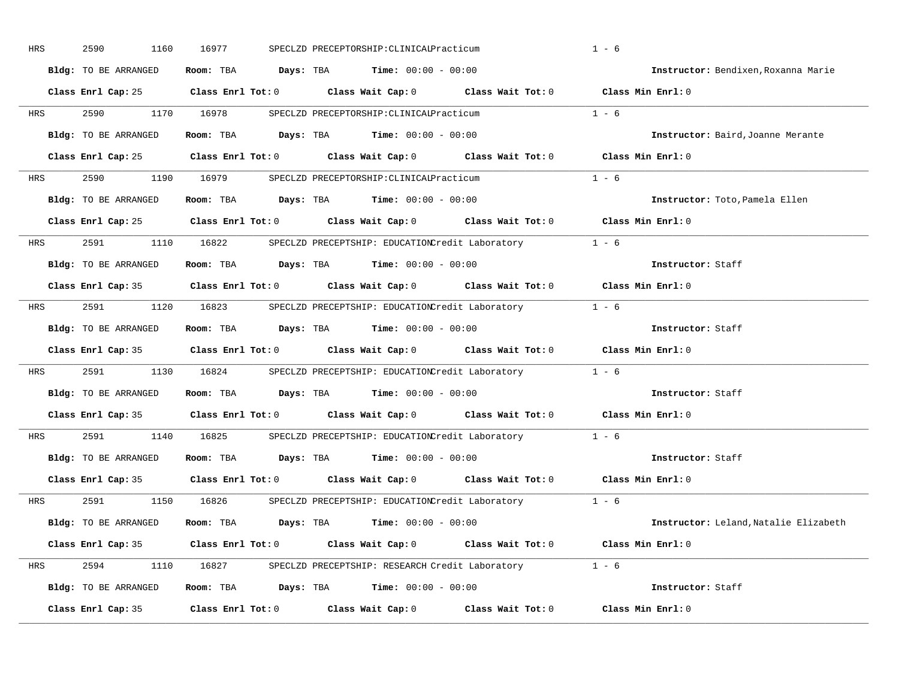| HRS | 2590<br>1160         | 16977                   | SPECLZD PRECEPTORSHIP: CLINICALPracticum                                                   |                                                       | $1 - 6$                               |
|-----|----------------------|-------------------------|--------------------------------------------------------------------------------------------|-------------------------------------------------------|---------------------------------------|
|     | Bldg: TO BE ARRANGED | Room: TBA               | <b>Days:</b> TBA <b>Time:</b> $00:00 - 00:00$                                              |                                                       | Instructor: Bendixen, Roxanna Marie   |
|     | Class Enrl Cap: 25   | $Class$ $Enr1$ $Tot: 0$ |                                                                                            | Class Wait Cap: 0 Class Wait Tot: 0 Class Min Enrl: 0 |                                       |
| HRS | 2590                 | 1170 16978              | SPECLZD PRECEPTORSHIP: CLINICALPracticum                                                   |                                                       | $1 - 6$                               |
|     | Bldg: TO BE ARRANGED | Room: TBA               | <b>Days:</b> TBA <b>Time:</b> $00:00 - 00:00$                                              |                                                       | Instructor: Baird, Joanne Merante     |
|     |                      |                         | Class Enrl Cap: 25 Class Enrl Tot: 0 Class Wait Cap: 0 Class Wait Tot: 0 Class Min Enrl: 0 |                                                       |                                       |
| HRS | 2590                 | 1190 16979              | SPECLZD PRECEPTORSHIP: CLINICALPracticum                                                   |                                                       | $1 - 6$                               |
|     | Bldg: TO BE ARRANGED |                         | <b>Room:</b> TBA $Days:$ TBA $Time: 00:00 - 00:00$                                         |                                                       | Instructor: Toto, Pamela Ellen        |
|     |                      |                         | Class Enrl Cap: 25 Class Enrl Tot: 0 Class Wait Cap: 0 Class Wait Tot: 0 Class Min Enrl: 0 |                                                       |                                       |
| HRS | 2591<br>1110         | 16822                   | SPECLZD PRECEPTSHIP: EDUCATIONCredit Laboratory 1 - 6                                      |                                                       |                                       |
|     | Bldg: TO BE ARRANGED | Room: TBA               | <b>Days:</b> TBA <b>Time:</b> $00:00 - 00:00$                                              |                                                       | Instructor: Staff                     |
|     |                      |                         | Class Enrl Cap: 35 Class Enrl Tot: 0 Class Wait Cap: 0 Class Wait Tot: 0                   |                                                       | Class Min Enrl: 0                     |
| HRS | 2591 259<br>1120     | 16823                   | SPECLZD PRECEPTSHIP: EDUCATIONCredit Laboratory 1 - 6                                      |                                                       |                                       |
|     | Bldg: TO BE ARRANGED | Room: TBA               | $\texttt{Davis:}$ TBA $\texttt{Time:}$ 00:00 - 00:00                                       |                                                       | Instructor: Staff                     |
|     |                      |                         | Class Enrl Cap: 35 Class Enrl Tot: 0 Class Wait Cap: 0 Class Wait Tot: 0 Class Min Enrl: 0 |                                                       |                                       |
| HRS | 2591<br>1130         |                         | 16824 SPECLZD PRECEPTSHIP: EDUCATIONCredit Laboratory 1 - 6                                |                                                       |                                       |
|     | Bldg: TO BE ARRANGED | Room: TBA               | $\texttt{Davis:}$ TBA $\texttt{Time:}$ 00:00 - 00:00                                       |                                                       | Instructor: Staff                     |
|     |                      |                         | Class Enrl Cap: 35 Class Enrl Tot: 0 Class Wait Cap: 0 Class Wait Tot: 0 Class Min Enrl: 0 |                                                       |                                       |
| HRS | 2591<br>1140         | 16825                   | SPECLZD PRECEPTSHIP: EDUCATIONCredit Laboratory 1 - 6                                      |                                                       |                                       |
|     | Bldg: TO BE ARRANGED |                         | Room: TBA $Days:$ TBA $Time: 00:00 - 00:00$                                                |                                                       | Instructor: Staff                     |
|     |                      |                         | Class Enrl Cap: 35 Class Enrl Tot: 0 Class Wait Cap: 0 Class Wait Tot: 0                   |                                                       | Class Min Enrl: 0                     |
| HRS | 2591<br>1150         | 16826                   | SPECLZD PRECEPTSHIP: EDUCATIONCredit Laboratory 1 - 6                                      |                                                       |                                       |
|     | Bldg: TO BE ARRANGED |                         | Room: TBA $Days:$ TBA $Time: 00:00 - 00:00$                                                |                                                       | Instructor: Leland, Natalie Elizabeth |
|     |                      |                         | Class Enrl Cap: 35 Class Enrl Tot: 0 Class Wait Cap: 0 Class Wait Tot: 0 Class Min Enrl: 0 |                                                       |                                       |
| HRS | 2594<br>1110         |                         | 16827 SPECLZD PRECEPTSHIP: RESEARCH Credit Laboratory 1 - 6                                |                                                       |                                       |
|     | Bldg: TO BE ARRANGED |                         | Room: TBA $Days:$ TBA $Time: 00:00 - 00:00$                                                |                                                       | Instructor: Staff                     |
|     | Class Enrl Cap: 35   | $Class$ $Enrl$ $Tot: 0$ | Class Wait Cap: 0                                                                          | Class Wait Tot: 0                                     | Class Min Enrl: 0                     |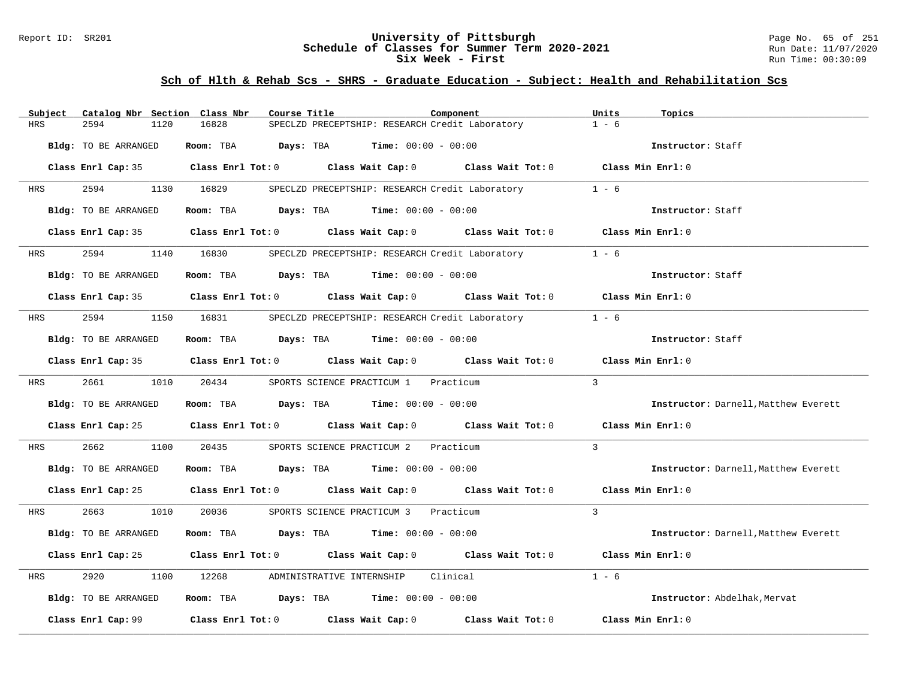### Report ID: SR201 **University of Pittsburgh** Page No. 65 of 251 **Schedule of Classes for Summer Term 2020-2021** Run Date: 11/07/2020 **Six Week - First Run Time: 00:30:09** Run Time: 00:30:09

| Subject            | Catalog Nbr Section Class Nbr | Course Title        | Component                                                                                           | Units<br>Topics                      |
|--------------------|-------------------------------|---------------------|-----------------------------------------------------------------------------------------------------|--------------------------------------|
| <b>HRS</b><br>2594 | 1120                          | 16828               | SPECLZD PRECEPTSHIP: RESEARCH Credit Laboratory                                                     | $1 - 6$                              |
|                    | Bldg: TO BE ARRANGED          |                     | Room: TBA $Days: TBA$ Time: $00:00 - 00:00$                                                         | Instructor: Staff                    |
|                    |                               |                     | Class Enrl Cap: 35 Class Enrl Tot: 0 Class Wait Cap: 0 Class Wait Tot: 0 Class Min Enrl: 0          |                                      |
| <b>HRS</b>         | 2594 75                       | 1130 16829          | SPECLZD PRECEPTSHIP: RESEARCH Credit Laboratory                                                     | $1 - 6$                              |
|                    | Bldg: TO BE ARRANGED          |                     | Room: TBA $Days:$ TBA $Time: 00:00 - 00:00$                                                         | Instructor: Staff                    |
|                    |                               |                     | Class Enrl Cap: 35 Class Enrl Tot: 0 Class Wait Cap: 0 Class Wait Tot: 0 Class Min Enrl: 0          |                                      |
| <b>HRS</b>         |                               | 2594 1140 16830     | SPECLZD PRECEPTSHIP: RESEARCH Credit Laboratory 1 - 6                                               |                                      |
|                    | Bldg: TO BE ARRANGED          |                     | Room: TBA $Days:$ TBA $Time:$ 00:00 - 00:00                                                         | Instructor: Staff                    |
|                    |                               |                     | Class Enrl Cap: 35 $\qquad$ Class Enrl Tot: 0 $\qquad$ Class Wait Cap: 0 $\qquad$ Class Wait Tot: 0 | Class Min Enrl: 0                    |
| <b>HRS</b>         | 2594                          | 1150 16831          | SPECLZD PRECEPTSHIP: RESEARCH Credit Laboratory 1 - 6                                               |                                      |
|                    | Bldg: TO BE ARRANGED          |                     | Room: TBA $\rule{1em}{0.15mm}$ Days: TBA Time: $00:00 - 00:00$                                      | Instructor: Staff                    |
|                    |                               |                     | Class Enrl Cap: 35 Class Enrl Tot: 0 Class Wait Cap: 0 Class Wait Tot: 0 Class Min Enrl: 0          |                                      |
|                    |                               | HRS 2661 1010 20434 | SPORTS SCIENCE PRACTICUM 1 Practicum                                                                | $\mathbf{3}$                         |
|                    | Bldg: TO BE ARRANGED          |                     | Room: TBA $Days:$ TBA $Time: 00:00 - 00:00$                                                         | Instructor: Darnell, Matthew Everett |
|                    |                               |                     | Class Enrl Cap: 25 Class Enrl Tot: 0 Class Wait Cap: 0 Class Wait Tot: 0 Class Min Enrl: 0          |                                      |
| 2662<br>HRS        |                               |                     | 1100 20435 SPORTS SCIENCE PRACTICUM 2 Practicum                                                     | $\mathcal{E}$                        |
|                    | Bldg: TO BE ARRANGED          |                     | Room: TBA $Days:$ TBA Time: $00:00 - 00:00$                                                         | Instructor: Darnell, Matthew Everett |
|                    |                               |                     | Class Enrl Cap: 25 Class Enrl Tot: 0 Class Wait Cap: 0 Class Wait Tot: 0 Class Min Enrl: 0          |                                      |
| <b>HRS</b>         | 2663<br>1010                  | 20036               | SPORTS SCIENCE PRACTICUM 3 Practicum                                                                | $\mathcal{R}$                        |
|                    | Bldg: TO BE ARRANGED          |                     | Room: TBA $Days:$ TBA $Time: 00:00 - 00:00$                                                         | Instructor: Darnell, Matthew Everett |
|                    |                               |                     | Class Enrl Cap: 25 Class Enrl Tot: 0 Class Wait Cap: 0 Class Wait Tot: 0 Class Min Enrl: 0          |                                      |
| 2920<br>HRS        |                               |                     | 1100 12268 ADMINISTRATIVE INTERNSHIP Clinical                                                       | $1 - 6$                              |
|                    | Bldg: TO BE ARRANGED          |                     | Room: TBA $Days:$ TBA $Time: 00:00 - 00:00$                                                         | Instructor: Abdelhak, Mervat         |
|                    |                               |                     |                                                                                                     | Class Min Enrl: 0                    |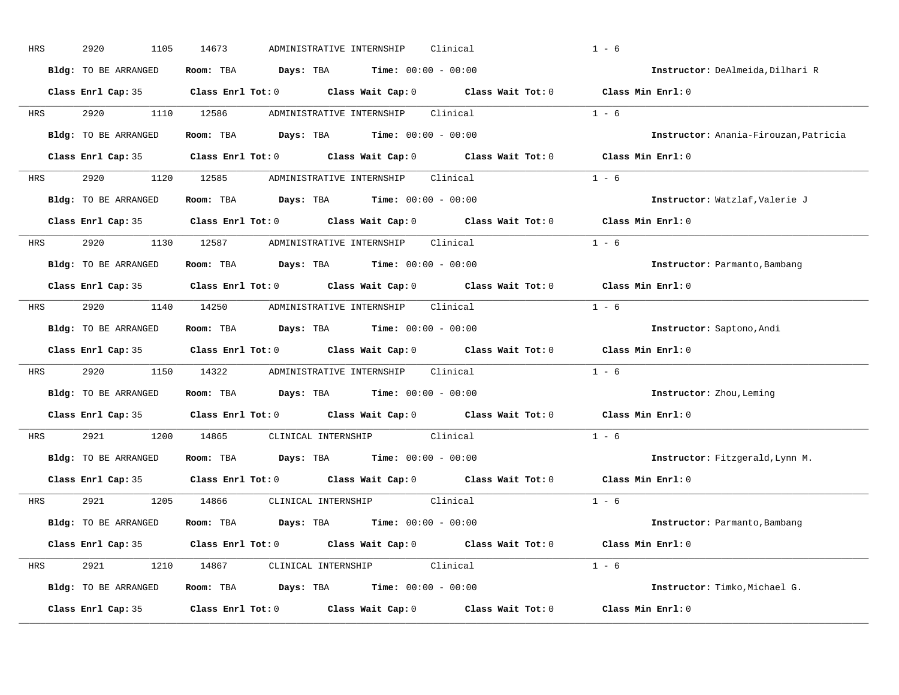| HRS        | 2920<br>1105         | 14673<br>ADMINISTRATIVE INTERNSHIP<br>Clinical                                                      | $1 - 6$                               |
|------------|----------------------|-----------------------------------------------------------------------------------------------------|---------------------------------------|
|            | Bldg: TO BE ARRANGED | $\texttt{Davis:}$ TBA $\texttt{Time:}$ 00:00 - 00:00<br>Room: TBA                                   | Instructor: DeAlmeida, Dilhari R      |
|            |                      | Class Enrl Cap: 35 Class Enrl Tot: 0 Class Wait Cap: 0 Class Wait Tot: 0 Class Min Enrl: 0          |                                       |
| HRS        | 2920<br>1110         | 12586<br>Clinical<br>ADMINISTRATIVE INTERNSHIP                                                      | $1 - 6$                               |
|            | Bldg: TO BE ARRANGED | Room: TBA $Days:$ TBA $Time: 00:00 - 00:00$                                                         | Instructor: Anania-Firouzan, Patricia |
|            |                      | Class Enrl Cap: 35 Class Enrl Tot: 0 Class Wait Cap: 0 Class Wait Tot: 0 Class Min Enrl: 0          |                                       |
| HRS        | 2920                 | 1120 12585 ADMINISTRATIVE INTERNSHIP Clinical                                                       | $1 - 6$                               |
|            | Bldg: TO BE ARRANGED | <b>Room:</b> TBA $Days: TBA$ <b>Time:</b> $00:00 - 00:00$                                           | Instructor: Watzlaf, Valerie J        |
|            |                      | Class Enrl Cap: 35 $\qquad$ Class Enrl Tot: 0 $\qquad$ Class Wait Cap: 0 $\qquad$ Class Wait Tot: 0 | Class Min Enrl: 0                     |
| <b>HRS</b> | 2920 1130 12587      | ADMINISTRATIVE INTERNSHIP<br>Clinical                                                               | $1 - 6$                               |
|            | Bldg: TO BE ARRANGED | <b>Days:</b> TBA <b>Time:</b> $00:00 - 00:00$<br>Room: TBA                                          | Instructor: Parmanto, Bambang         |
|            |                      | Class Enrl Cap: 35 Class Enrl Tot: 0 Class Wait Cap: 0 Class Wait Tot: 0                            | Class Min Enrl: 0                     |
|            |                      | HRS 2920 1140 14250 ADMINISTRATIVE INTERNSHIP Clinical                                              | $1 - 6$                               |
|            | Bldg: TO BE ARRANGED | <b>Days:</b> TBA <b>Time:</b> $00:00 - 00:00$<br>Room: TBA                                          | Instructor: Saptono, Andi             |
|            |                      | Class Enrl Cap: 35 Class Enrl Tot: 0 Class Wait Cap: 0 Class Wait Tot: 0                            | Class Min Enrl: 0                     |
| HRS        | 2920<br>1150         | 14322 ADMINISTRATIVE INTERNSHIP Clinical                                                            | $1 - 6$                               |
|            | Bldg: TO BE ARRANGED | <b>Days:</b> TBA <b>Time:</b> $00:00 - 00:00$<br>Room: TBA                                          | Instructor: Zhou, Leming              |
|            |                      | Class Enrl Cap: 35 Class Enrl Tot: 0 Class Wait Cap: 0 Class Wait Tot: 0                            | Class Min Enrl: 0                     |
| HRS        | 2921<br>1200         | CLINICAL INTERNSHIP<br>14865<br>Clinical                                                            | $1 - 6$                               |
|            | Bldg: TO BE ARRANGED | Room: TBA $Days:$ TBA $Time: 00:00 - 00:00$                                                         | Instructor: Fitzgerald, Lynn M.       |
|            |                      | Class Enrl Cap: 35 Class Enrl Tot: 0 Class Wait Cap: 0 Class Wait Tot: 0 Class Min Enrl: 0          |                                       |
| HRS        | 2921<br>1205         | 14866<br>CLINICAL INTERNSHIP Clinical                                                               | $1 - 6$                               |
|            | Bldg: TO BE ARRANGED | Room: TBA $\rule{1em}{0.15mm}$ Days: TBA $\rule{1.15mm}]{0.15mm}$ Time: $0.000 - 0.0000$            | Instructor: Parmanto, Bambang         |
|            |                      | Class Enrl Cap: 35 Class Enrl Tot: 0 Class Wait Cap: 0 Class Wait Tot: 0 Class Min Enrl: 0          |                                       |
| HRS        | 2921<br>1210         |                                                                                                     | $1 - 6$                               |
|            | Bldg: TO BE ARRANGED | Room: TBA $Days: TBA$ Time: $00:00 - 00:00$                                                         | Instructor: Timko, Michael G.         |
|            |                      |                                                                                                     |                                       |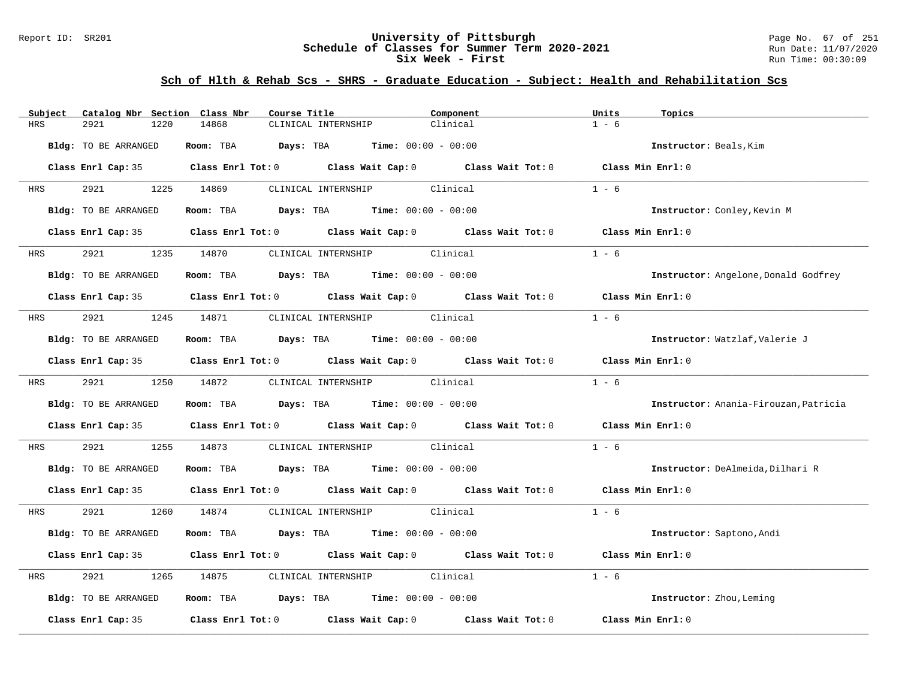### Report ID: SR201 **University of Pittsburgh** Page No. 67 of 251 **Schedule of Classes for Summer Term 2020-2021** Run Date: 11/07/2020 **Six Week - First Run Time: 00:30:09** Run Time: 00:30:09

| Subject    | Catalog Nbr Section Class Nbr | Course Title                                                                               | Component | Units<br>Topics                       |
|------------|-------------------------------|--------------------------------------------------------------------------------------------|-----------|---------------------------------------|
| <b>HRS</b> | 2921<br>1220                  | 14868<br>CLINICAL INTERNSHIP                                                               | Clinical  | $1 - 6$                               |
|            | Bldg: TO BE ARRANGED          | Room: TBA $Days:$ TBA $Time: 00:00 - 00:00$                                                |           | Instructor: Beals, Kim                |
|            |                               | Class Enrl Cap: 35 Class Enrl Tot: 0 Class Wait Cap: 0 Class Wait Tot: 0 Class Min Enrl: 0 |           |                                       |
| <b>HRS</b> | 2921 2022                     | CLINICAL INTERNSHIP Clinical<br>1225 14869                                                 |           | $1 - 6$                               |
|            | Bldg: TO BE ARRANGED          | Room: TBA $Days:$ TBA $Time: 00:00 - 00:00$                                                |           | Instructor: Conley, Kevin M           |
|            |                               | Class Enrl Cap: 35 Class Enrl Tot: 0 Class Wait Cap: 0 Class Wait Tot: 0 Class Min Enrl: 0 |           |                                       |
|            | HRS 2921                      | 1235 14870 CLINICAL INTERNSHIP Clinical                                                    |           | $1 - 6$                               |
|            | Bldg: TO BE ARRANGED          | Room: TBA Days: TBA Time: $00:00 - 00:00$                                                  |           | Instructor: Angelone, Donald Godfrey  |
|            |                               | Class Enrl Cap: 35 Class Enrl Tot: 0 Class Wait Cap: 0 Class Wait Tot: 0                   |           | Class Min $Enr1:0$                    |
| HRS        | 2921 2022                     | 1245 14871<br>CLINICAL INTERNSHIP Clinical                                                 |           | $1 - 6$                               |
|            | Bldg: TO BE ARRANGED          | Room: TBA $Days:$ TBA $Time: 00:00 - 00:00$                                                |           | Instructor: Watzlaf, Valerie J        |
|            |                               | Class Enrl Cap: 35 Class Enrl Tot: 0 Class Wait Cap: 0 Class Wait Tot: 0 Class Min Enrl: 0 |           |                                       |
|            | HRS 2921 1250 14872           | CLINICAL INTERNSHIP Clinical                                                               |           | $1 - 6$                               |
|            | Bldg: TO BE ARRANGED          | Room: TBA $Days: TBA$ Time: $00:00 - 00:00$                                                |           | Instructor: Anania-Firouzan, Patricia |
|            |                               | Class Enrl Cap: 35 Class Enrl Tot: 0 Class Wait Cap: 0 Class Wait Tot: 0                   |           | Class Min Enrl: 0                     |
| HRS        | 2921                          | CLINICAL INTERNSHIP Clinical<br>1255 14873                                                 |           | $1 - 6$                               |
|            | Bldg: TO BE ARRANGED          | Room: TBA $Days:$ TBA $Time: 00:00 - 00:00$                                                |           | Instructor: DeAlmeida, Dilhari R      |
|            |                               | Class Enrl Cap: 35 Class Enrl Tot: 0 Class Wait Cap: 0 Class Wait Tot: 0 Class Min Enrl: 0 |           |                                       |
| <b>HRS</b> | 2921                          | 1260 14874 CLINICAL INTERNSHIP Clinical                                                    |           | $1 - 6$                               |
|            | Bldg: TO BE ARRANGED          | Room: TBA $Days:$ TBA $Time: 00:00 - 00:00$                                                |           | Instructor: Saptono, Andi             |
|            |                               | Class Enrl Cap: 35 Class Enrl Tot: 0 Class Wait Cap: 0 Class Wait Tot: 0                   |           | Class Min Enrl: 0                     |
| HRS        | 2921<br>1265                  |                                                                                            |           | $1 - 6$                               |
|            | Bldg: TO BE ARRANGED          | Room: TBA $Days:$ TBA $Time: 00:00 - 00:00$                                                |           | Instructor: Zhou, Leming              |
|            | Class Enrl Cap: 35            | Class Enrl Tot: $0$ Class Wait Cap: $0$ Class Wait Tot: $0$                                |           | Class Min Enrl: 0                     |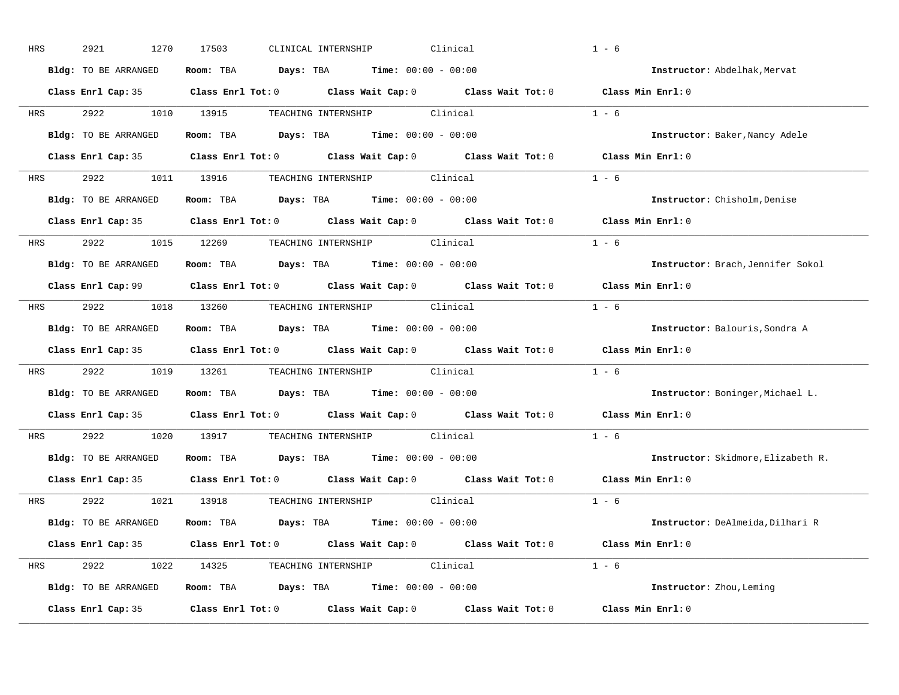| HRS        | 2921<br>1270         | Clinical<br>17503<br>CLINICAL INTERNSHIP                                                            | $1 - 6$                            |
|------------|----------------------|-----------------------------------------------------------------------------------------------------|------------------------------------|
|            | Bldg: TO BE ARRANGED | Room: TBA $Days:$ TBA $Time: 00:00 - 00:00$                                                         | Instructor: Abdelhak, Mervat       |
|            |                      | Class Enrl Cap: 35 Class Enrl Tot: 0 Class Wait Cap: 0 Class Wait Tot: 0 Class Min Enrl: 0          |                                    |
|            |                      | HRS 2922 1010 13915 TEACHING INTERNSHIP Clinical                                                    | $1 - 6$                            |
|            | Bldg: TO BE ARRANGED | Room: TBA $Days:$ TBA $Time: 00:00 - 00:00$                                                         | Instructor: Baker, Nancy Adele     |
|            |                      | Class Enrl Cap: 35 Class Enrl Tot: 0 Class Wait Cap: 0 Class Wait Tot: 0 Class Min Enrl: 0          |                                    |
| HRS        |                      | 2922 1011 13916 TEACHING INTERNSHIP Clinical                                                        | $1 - 6$                            |
|            |                      | Bldg: TO BE ARRANGED Room: TBA Days: TBA Time: 00:00 - 00:00                                        | Instructor: Chisholm, Denise       |
|            |                      | Class Enrl Cap: 35 $\qquad$ Class Enrl Tot: 0 $\qquad$ Class Wait Cap: 0 $\qquad$ Class Wait Tot: 0 | Class Min Enrl: 0                  |
|            |                      | HRS 2922 1015 12269 TEACHING INTERNSHIP Clinical                                                    | $1 - 6$                            |
|            | Bldg: TO BE ARRANGED | Room: TBA $Days: TBA$ Time: $00:00 - 00:00$                                                         | Instructor: Brach, Jennifer Sokol  |
|            |                      | Class Enrl Cap: 99 Class Enrl Tot: 0 Class Wait Cap: 0 Class Wait Tot: 0                            | Class Min Enrl: 0                  |
| HRS        |                      | 2922 1018 13260 TEACHING INTERNSHIP Clinical                                                        | $1 - 6$                            |
|            | Bldg: TO BE ARRANGED | Room: TBA $Days:$ TBA Time: $00:00 - 00:00$                                                         | Instructor: Balouris, Sondra A     |
|            |                      | Class Enrl Cap: 35 Class Enrl Tot: 0 Class Wait Cap: 0 Class Wait Tot: 0                            | Class Min Enrl: 0                  |
| HRS        |                      | 2922 1019 13261 TEACHING INTERNSHIP Clinical                                                        | $1 - 6$                            |
|            | Bldg: TO BE ARRANGED | Room: TBA $\rule{1em}{0.15mm}$ Days: TBA $\rule{1.5mm}{0.15mm}$ Time: $00:00 - 00:00$               | Instructor: Boninger, Michael L.   |
|            |                      | Class Enrl Cap: 35 Class Enrl Tot: 0 Class Wait Cap: 0 Class Wait Tot: 0                            | Class Min Enrl: 0                  |
| <b>HRS</b> |                      | 2922 1020 13917 TEACHING INTERNSHIP Clinical                                                        | $1 - 6$                            |
|            | Bldg: TO BE ARRANGED | Room: TBA $Days:$ TBA $Time: 00:00 - 00:00$                                                         | Instructor: Skidmore. Elizabeth R. |
|            |                      | Class Enrl Cap: 35 Class Enrl Tot: 0 Class Wait Cap: 0 Class Wait Tot: 0                            | Class Min Enrl: 0                  |
| HRS 2922   |                      | 1021 13918 TEACHING INTERNSHIP Clinical                                                             | $1 - 6$                            |
|            |                      | Bldg: TO BE ARRANGED Room: TBA Days: TBA Time: 00:00 - 00:00                                        | Instructor: DeAlmeida,Dilhari R    |
|            |                      | Class Enrl Cap: 35 Class Enrl Tot: 0 Class Wait Cap: 0 Class Wait Tot: 0 Class Min Enrl: 0          |                                    |
| HRS        |                      | 2922 1022 14325 TEACHING INTERNSHIP Clinical                                                        | $1 - 6$                            |
|            |                      | Bldg: TO BE ARRANGED Room: TBA Days: TBA Time: 00:00 - 00:00                                        | Instructor: Zhou, Leming           |
|            |                      |                                                                                                     |                                    |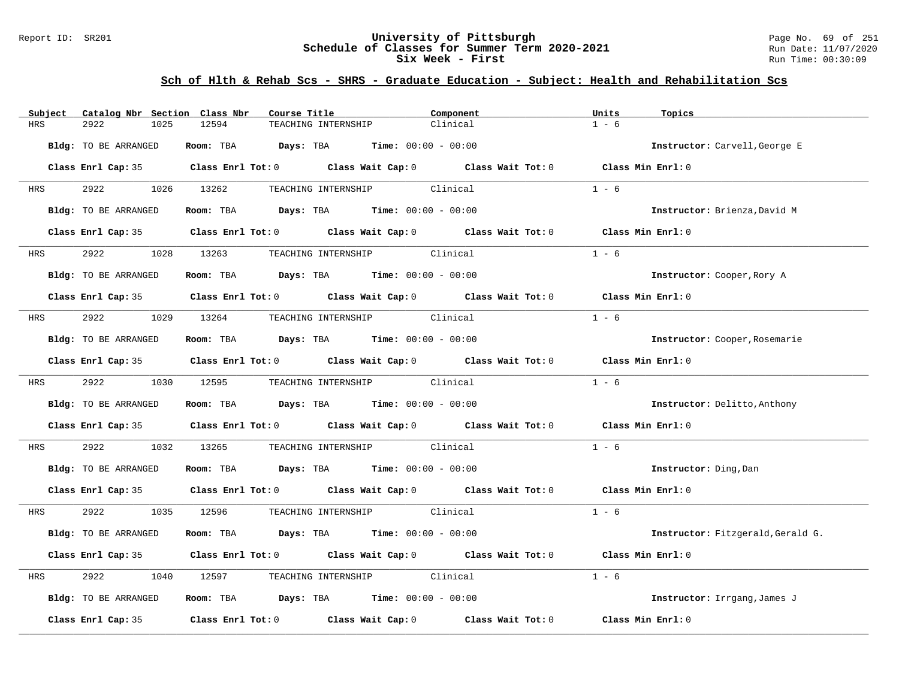### Report ID: SR201 **University of Pittsburgh** Page No. 69 of 251 **Schedule of Classes for Summer Term 2020-2021** Run Date: 11/07/2020 **Six Week - First Run Time: 00:30:09** Run Time: 00:30:09

| Subject              | Catalog Nbr Section Class Nbr |            | Course Title        |                                                                                       | Component                                                                                                                                                                                                                     | Units              | Topics                            |
|----------------------|-------------------------------|------------|---------------------|---------------------------------------------------------------------------------------|-------------------------------------------------------------------------------------------------------------------------------------------------------------------------------------------------------------------------------|--------------------|-----------------------------------|
| 2922<br><b>HRS</b>   | 1025                          | 12594      | TEACHING INTERNSHIP |                                                                                       | Clinical                                                                                                                                                                                                                      | $1 - 6$            |                                   |
| Bldg: TO BE ARRANGED |                               |            |                     | Room: TBA $Days:$ TBA $Time: 00:00 - 00:00$                                           |                                                                                                                                                                                                                               |                    | Instructor: Carvell, George E     |
|                      |                               |            |                     |                                                                                       | Class Enrl Cap: 35 $\qquad$ Class Enrl Tot: 0 $\qquad$ Class Wait Cap: 0 $\qquad$ Class Wait Tot: 0                                                                                                                           | Class Min Enrl: 0  |                                   |
| HRS                  | 2922 2022                     | 1026 13262 |                     | TEACHING INTERNSHIP Clinical                                                          |                                                                                                                                                                                                                               | $1 - 6$            |                                   |
| Bldg: TO BE ARRANGED |                               |            |                     | <b>Room:</b> TBA <b>Days:</b> TBA <b>Time:</b> 00:00 - 00:00                          |                                                                                                                                                                                                                               |                    | Instructor: Brienza, David M      |
|                      |                               |            |                     |                                                                                       | Class Enrl Cap: 35 Class Enrl Tot: 0 Class Wait Cap: 0 Class Wait Tot: 0                                                                                                                                                      | Class Min Enrl: 0  |                                   |
| 2922<br><b>HRS</b>   |                               | 1028 13263 |                     | TEACHING INTERNSHIP Clinical                                                          |                                                                                                                                                                                                                               | $1 - 6$            |                                   |
| Bldg: TO BE ARRANGED |                               |            |                     | Room: TBA $\rule{1em}{0.15mm}$ Days: TBA $\rule{1.5mm}{0.15mm}$ Time: $00:00 - 00:00$ |                                                                                                                                                                                                                               |                    | Instructor: Cooper, Rory A        |
|                      |                               |            |                     |                                                                                       | Class Enrl Cap: 35 $\qquad$ Class Enrl Tot: 0 $\qquad$ Class Wait Cap: 0 $\qquad$ Class Wait Tot: 0                                                                                                                           | Class Min $Enr1:0$ |                                   |
| 2922<br>HRS          |                               | 1029 13264 |                     | TEACHING INTERNSHIP Clinical                                                          |                                                                                                                                                                                                                               | $1 - 6$            |                                   |
| Bldg: TO BE ARRANGED |                               |            |                     | Room: TBA $Days:$ TBA $Time: 00:00 - 00:00$                                           |                                                                                                                                                                                                                               |                    | Instructor: Cooper, Rosemarie     |
|                      |                               |            |                     |                                                                                       | Class Enrl Cap: 35 Class Enrl Tot: 0 Class Wait Cap: 0 Class Wait Tot: 0 Class Min Enrl: 0                                                                                                                                    |                    |                                   |
| <b>HRS</b>           | 2922                          | 1030 12595 |                     | TEACHING INTERNSHIP Clinical                                                          |                                                                                                                                                                                                                               | $1 - 6$            |                                   |
| Bldg: TO BE ARRANGED |                               |            |                     | Room: TBA $Days:$ TBA $Time: 00:00 - 00:00$                                           |                                                                                                                                                                                                                               |                    | Instructor: Delitto, Anthony      |
|                      |                               |            |                     |                                                                                       | Class Enrl Cap: 35 $\,$ Class Enrl Tot: 0 $\,$ Class Wait Cap: 0 $\,$ Class Wait Tot: 0 $\,$ Class Enrl Tot: 0 $\,$ Class Enrl Tot: 0 $\,$ Class Enrl Tot: 0 $\,$ Class Enrl Tot: 0 $\,$ Class Enrl Tot: 0 $\,$ Class Enrl To | Class Min Enrl: 0  |                                   |
| 2922<br>HRS          | 1032                          | 13265      |                     | TEACHING INTERNSHIP Clinical                                                          |                                                                                                                                                                                                                               | $1 - 6$            |                                   |
| Bldg: TO BE ARRANGED |                               |            |                     | Room: TBA $Days:$ TBA $Time: 00:00 - 00:00$                                           |                                                                                                                                                                                                                               |                    | Instructor: Ding, Dan             |
|                      |                               |            |                     |                                                                                       | Class Enrl Cap: 35 Class Enrl Tot: 0 Class Wait Cap: 0 Class Wait Tot: 0 Class Min Enrl: 0                                                                                                                                    |                    |                                   |
| HRS                  | 2922                          | 1035 12596 |                     | TEACHING INTERNSHIP Clinical                                                          |                                                                                                                                                                                                                               | $1 - 6$            |                                   |
| Bldg: TO BE ARRANGED |                               |            |                     | Room: TBA $Days:$ TBA $Time: 00:00 - 00:00$                                           |                                                                                                                                                                                                                               |                    | Instructor: Fitzgerald, Gerald G. |
|                      |                               |            |                     |                                                                                       | Class Enrl Cap: 35 Class Enrl Tot: 0 Class Wait Cap: 0 Class Wait Tot: 0                                                                                                                                                      | Class Min Enrl: 0  |                                   |
| 2922<br>HRS          | 1040                          | 12597      |                     | TEACHING INTERNSHIP Clinical                                                          |                                                                                                                                                                                                                               | $1 - 6$            |                                   |
| Bldg: TO BE ARRANGED |                               |            |                     | Room: TBA $Days:$ TBA $Time: 00:00 - 00:00$                                           |                                                                                                                                                                                                                               |                    | Instructor: Irrgang, James J      |
| Class Enrl Cap: 35   |                               |            |                     |                                                                                       | Class Enrl Tot: $0$ Class Wait Cap: $0$ Class Wait Tot: $0$                                                                                                                                                                   | Class Min Enrl: 0  |                                   |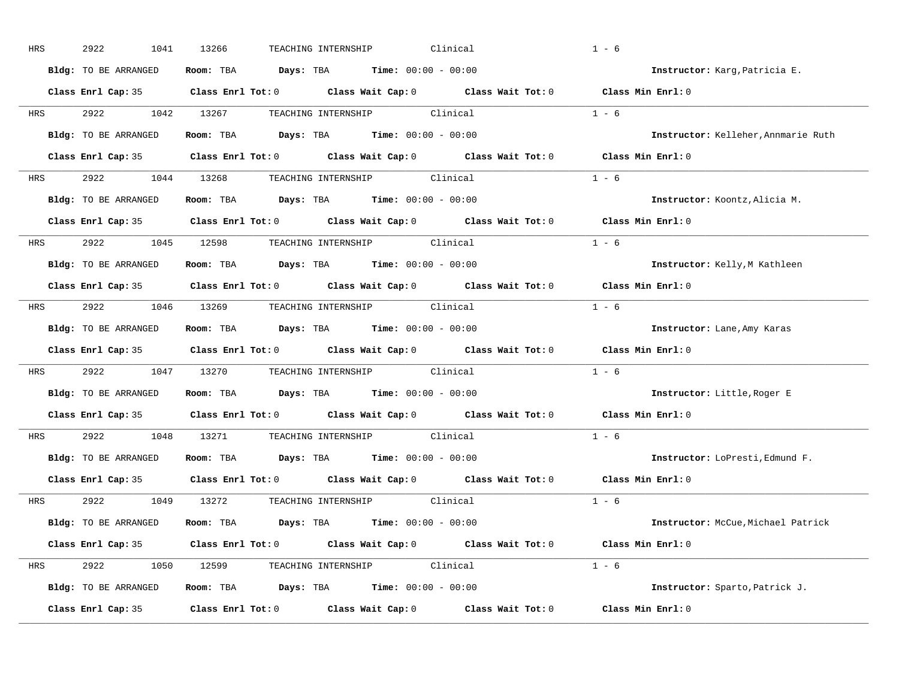| HRS        | 2922<br>1041         | 13266<br>Clinical<br>TEACHING INTERNSHIP                                                   | $1 - 6$                             |
|------------|----------------------|--------------------------------------------------------------------------------------------|-------------------------------------|
|            | Bldg: TO BE ARRANGED | Room: TBA $Days:$ TBA $Time: 00:00 - 00:00$                                                | Instructor: Karg, Patricia E.       |
|            |                      | Class Enrl Cap: 35 Class Enrl Tot: 0 Class Wait Cap: 0 Class Wait Tot: 0 Class Min Enrl: 0 |                                     |
| <b>HRS</b> |                      | 2922 1042 13267 TEACHING INTERNSHIP Clinical                                               | $1 - 6$                             |
|            | Bldg: TO BE ARRANGED | Room: TBA Days: TBA Time: $00:00 - 00:00$                                                  | Instructor: Kelleher, Annmarie Ruth |
|            |                      | Class Enrl Cap: 35 Class Enrl Tot: 0 Class Wait Cap: 0 Class Wait Tot: 0 Class Min Enrl: 0 |                                     |
|            |                      | HRS 2922 1044 13268 TEACHING INTERNSHIP Clinical                                           | $1 - 6$                             |
|            |                      | Bldg: TO BE ARRANGED Room: TBA Days: TBA Time: 00:00 - 00:00                               | Instructor: Koontz, Alicia M.       |
|            |                      | Class Enrl Cap: 35 Class Enrl Tot: 0 Class Wait Cap: 0 Class Wait Tot: 0                   | Class Min Enrl: 0                   |
|            |                      | HRS 2922 1045 12598 TEACHING INTERNSHIP Clinical                                           | $1 - 6$                             |
|            | Bldg: TO BE ARRANGED | Room: TBA $Days:$ TBA $Time: 00:00 - 00:00$                                                | Instructor: Kelly, M Kathleen       |
|            |                      | Class Enrl Cap: 35 Class Enrl Tot: 0 Class Wait Cap: 0 Class Wait Tot: 0                   | Class Min Enrl: 0                   |
|            |                      | HRS 2922 1046 13269 TEACHING INTERNSHIP Clinical                                           | $1 - 6$                             |
|            | Bldg: TO BE ARRANGED | Room: TBA $\rule{1em}{0.15mm}$ Days: TBA Time: $00:00 - 00:00$                             | Instructor: Lane, Amy Karas         |
|            |                      | Class Enrl Cap: 35 Class Enrl Tot: 0 Class Wait Cap: 0 Class Wait Tot: 0                   | Class Min Enrl: 0                   |
| <b>HRS</b> |                      | 2922 1047 13270 TEACHING INTERNSHIP Clinical                                               | $1 - 6$                             |
|            | Bldg: TO BE ARRANGED | Room: TBA $Days:$ TBA Time: $00:00 - 00:00$                                                | Instructor: Little, Roger E         |
|            |                      | Class Enrl Cap: 35 Class Enrl Tot: 0 Class Wait Cap: 0 Class Wait Tot: 0                   | Class Min Enrl: 0                   |
| <b>HRS</b> |                      | 2922 1048 13271 TEACHING INTERNSHIP Clinical                                               | $1 - 6$                             |
|            | Bldg: TO BE ARRANGED | Room: TBA $Days:$ TBA $Time: 00:00 - 00:00$                                                | Instructor: LoPresti, Edmund F.     |
|            | Class Enrl Cap: 35   | Class Enrl Tot: $0$ Class Wait Cap: $0$ Class Wait Tot: $0$                                | Class Min Enrl: 0                   |
|            |                      | HRS 2922 1049 13272 TEACHING_INTERNSHIP Clinical                                           | $1 - 6$                             |
|            | Bldg: TO BE ARRANGED | Room: TBA $Days:$ TBA $Time: 00:00 - 00:00$                                                | Instructor: McCue, Michael Patrick  |
|            |                      | Class Enrl Cap: 35 Class Enrl Tot: 0 Class Wait Cap: 0 Class Wait Tot: 0 Class Min Enrl: 0 |                                     |
|            |                      | HRS 2922 1050 12599 TEACHING INTERNSHIP Clinical                                           | $1 - 6$                             |
|            | Bldg: TO BE ARRANGED | Room: TBA $Days: TBA$ Time: $00:00 - 00:00$                                                | Instructor: Sparto, Patrick J.      |
|            | Class Enrl Cap: 35   | Class Enrl Tot: $0$ Class Wait Cap: $0$ Class Wait Tot: $0$                                | Class Min Enrl: 0                   |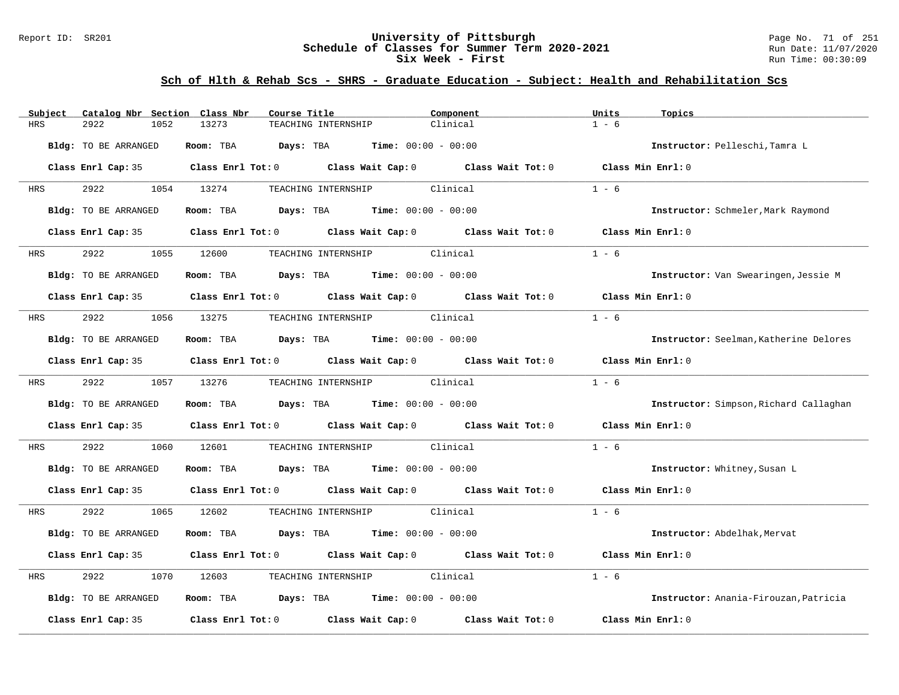### Report ID: SR201 **University of Pittsburgh** Page No. 71 of 251 **Schedule of Classes for Summer Term 2020-2021** Run Date: 11/07/2020 **Six Week - First Run Time: 00:30:09** Run Time: 00:30:09

| Catalog Nbr Section Class Nbr<br>Subject | Course Title                                                                                                                                                                                                                  | Component | Units<br>Topics                        |  |
|------------------------------------------|-------------------------------------------------------------------------------------------------------------------------------------------------------------------------------------------------------------------------------|-----------|----------------------------------------|--|
| <b>HRS</b><br>2922<br>1052               | 13273<br>TEACHING INTERNSHIP                                                                                                                                                                                                  | Clinical  | $1 - 6$                                |  |
| Bldg: TO BE ARRANGED                     | Room: TBA $Days:$ TBA $Time: 00:00 - 00:00$                                                                                                                                                                                   |           | Instructor: Pelleschi, Tamra L         |  |
|                                          | Class Enrl Cap: 35 $\qquad$ Class Enrl Tot: 0 $\qquad$ Class Wait Cap: 0 $\qquad$ Class Wait Tot: 0                                                                                                                           |           | Class Min Enrl: 0                      |  |
| 2922<br>HRS                              | TEACHING INTERNSHIP Clinical<br>1054 13274                                                                                                                                                                                    |           | $1 - 6$                                |  |
| Bldg: TO BE ARRANGED                     | Room: TBA $Days:$ TBA $Time: 00:00 - 00:00$                                                                                                                                                                                   |           | Instructor: Schmeler, Mark Raymond     |  |
|                                          | Class Enrl Cap: 35 Class Enrl Tot: 0 Class Wait Cap: 0 Class Wait Tot: 0                                                                                                                                                      |           | Class Min Enrl: 0                      |  |
| 2922<br><b>HRS</b>                       | TEACHING INTERNSHIP Clinical<br>1055 12600                                                                                                                                                                                    |           | $1 - 6$                                |  |
| Bldg: TO BE ARRANGED                     | Room: TBA $Days:$ TBA $Time: 00:00 - 00:00$                                                                                                                                                                                   |           | Instructor: Van Swearingen, Jessie M   |  |
|                                          | Class Enrl Cap: 35 $\qquad$ Class Enrl Tot: 0 $\qquad$ Class Wait Cap: 0 $\qquad$ Class Wait Tot: 0                                                                                                                           |           | Class Min $Enr1:0$                     |  |
| 2922<br>1056<br>HRS                      | 13275<br>TEACHING INTERNSHIP Clinical                                                                                                                                                                                         |           | $1 - 6$                                |  |
| Bldg: TO BE ARRANGED                     | Room: TBA $Days:$ TBA Time: $00:00 - 00:00$                                                                                                                                                                                   |           | Instructor: Seelman, Katherine Delores |  |
|                                          | Class Enrl Cap: 35 $\qquad$ Class Enrl Tot: 0 $\qquad$ Class Wait Cap: 0 $\qquad$ Class Wait Tot: 0                                                                                                                           |           | Class Min $Enr1: 0$                    |  |
| 2922<br>HRS                              | 1057 13276<br>TEACHING INTERNSHIP Clinical                                                                                                                                                                                    |           | $1 - 6$                                |  |
| Bldg: TO BE ARRANGED                     | Room: TBA $Days:$ TBA $Time: 00:00 - 00:00$                                                                                                                                                                                   |           | Instructor: Simpson, Richard Callaghan |  |
|                                          | Class Enrl Cap: 35 Class Enrl Tot: 0 Class Wait Cap: 0 Class Wait Tot: 0                                                                                                                                                      |           | Class Min Enrl: 0                      |  |
| 2922<br>1060<br>HRS                      | 12601<br>TEACHING INTERNSHIP Clinical                                                                                                                                                                                         |           | $1 - 6$                                |  |
| Bldg: TO BE ARRANGED                     | Room: TBA $Days:$ TBA $Time: 00:00 - 00:00$                                                                                                                                                                                   |           | Instructor: Whitney, Susan L           |  |
|                                          | Class Enrl Cap: 35 $\,$ Class Enrl Tot: 0 $\,$ Class Wait Cap: 0 $\,$ Class Wait Tot: 0 $\,$ Class Enrl Tot: 0 $\,$ Class Enrl Tot: 0 $\,$ Class Enrl Tot: 0 $\,$ Class Enrl Tot: 0 $\,$ Class Enrl Tot: 0 $\,$ Class Enrl To |           | Class Min Enrl: 0                      |  |
| 2922<br>1065<br>HRS                      | TEACHING INTERNSHIP Clinical<br>12602                                                                                                                                                                                         |           | $1 - 6$                                |  |
| Bldg: TO BE ARRANGED                     | Room: TBA $Days:$ TBA $Time: 00:00 - 00:00$                                                                                                                                                                                   |           | Instructor: Abdelhak, Mervat           |  |
|                                          | Class Enrl Cap: 35 Class Enrl Tot: 0 Class Wait Cap: 0 Class Wait Tot: 0                                                                                                                                                      |           | Class Min Enrl: 0                      |  |
| 2922<br>1070<br>HRS                      | TEACHING INTERNSHIP Clinical<br>12603                                                                                                                                                                                         |           | $1 - 6$                                |  |
| Bldg: TO BE ARRANGED                     | Room: TBA $\rule{1em}{0.15mm}$ Days: TBA $\rule{1.15mm}]{0.15mm}$ Time: $0.000 - 0.0000$                                                                                                                                      |           | Instructor: Anania-Firouzan, Patricia  |  |
| Class Enrl Cap: 35                       | Class Enrl Tot: $0$ Class Wait Cap: $0$ Class Wait Tot: $0$                                                                                                                                                                   |           | Class Min Enrl: 0                      |  |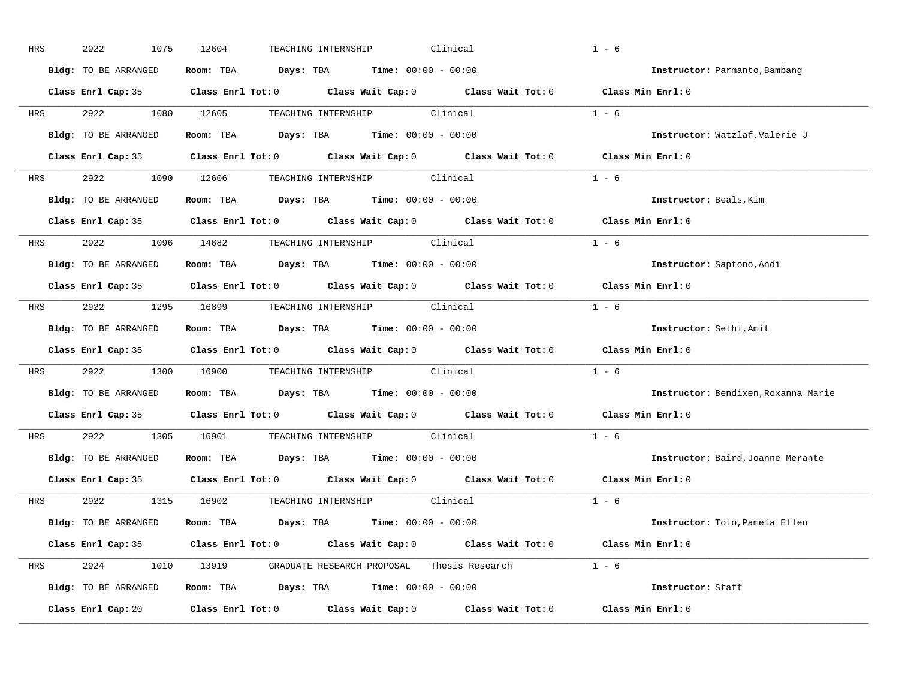| HRS        | 2922<br>1075         | Clinical<br>12604<br>TEACHING INTERNSHIP                                                            | $1 - 6$                           |                                     |
|------------|----------------------|-----------------------------------------------------------------------------------------------------|-----------------------------------|-------------------------------------|
|            | Bldg: TO BE ARRANGED | Room: TBA $Days:$ TBA $Time: 00:00 - 00:00$                                                         | Instructor: Parmanto, Bambang     |                                     |
|            |                      | Class Enrl Cap: 35 Class Enrl Tot: 0 Class Wait Cap: 0 Class Wait Tot: 0 Class Min Enrl: 0          |                                   |                                     |
|            |                      | HRS 2922 1080 12605 TEACHING INTERNSHIP Clinical                                                    | $1 - 6$                           |                                     |
|            | Bldg: TO BE ARRANGED | Room: TBA $Days:$ TBA $Time: 00:00 - 00:00$                                                         | Instructor: Watzlaf, Valerie J    |                                     |
|            |                      | Class Enrl Cap: 35 Class Enrl Tot: 0 Class Wait Cap: 0 Class Wait Tot: 0 Class Min Enrl: 0          |                                   |                                     |
|            |                      | HRS 2922 1090 12606 TEACHING INTERNSHIP Clinical                                                    | $1 - 6$                           |                                     |
|            |                      | Bldg: TO BE ARRANGED Room: TBA Days: TBA Time: 00:00 - 00:00                                        | Instructor: Beals, Kim            |                                     |
|            |                      | Class Enrl Cap: 35 Class Enrl Tot: 0 Class Wait Cap: 0 Class Wait Tot: 0 Class Min Enrl: 0          |                                   |                                     |
|            |                      | HRS 2922 1096 14682 TEACHING INTERNSHIP Clinical                                                    | $1 - 6$                           |                                     |
|            | Bldg: TO BE ARRANGED | Room: TBA $Days:$ TBA $Time: 00:00 - 00:00$                                                         | Instructor: Saptono, Andi         |                                     |
|            |                      | Class Enrl Cap: 35 Class Enrl Tot: 0 Class Wait Cap: 0 Class Wait Tot: 0 Class Min Enrl: 0          |                                   |                                     |
| HRS        |                      |                                                                                                     | $1 - 6$                           |                                     |
|            | Bldg: TO BE ARRANGED | Room: TBA $Days:$ TBA Time: $00:00 - 00:00$                                                         | Instructor: Sethi, Amit           |                                     |
|            |                      | Class Enrl Cap: 35 Class Enrl Tot: 0 Class Wait Cap: 0 Class Wait Tot: 0 Class Min Enrl: 0          |                                   |                                     |
| <b>HRS</b> |                      | 2922 1300 16900 TEACHING INTERNSHIP Clinical                                                        | $1 - 6$                           |                                     |
|            |                      | Bldg: TO BE ARRANGED Room: TBA Days: TBA Time: 00:00 - 00:00                                        |                                   | Instructor: Bendixen, Roxanna Marie |
|            |                      | Class Enrl Cap: 35 Class Enrl Tot: 0 Class Wait Cap: 0 Class Wait Tot: 0                            | Class Min Enrl: 0                 |                                     |
| <b>HRS</b> |                      | 2922 1305 16901 TEACHING INTERNSHIP Clinical                                                        | $1 - 6$                           |                                     |
|            | Bldg: TO BE ARRANGED | Room: TBA $Days:$ TBA $Time: 00:00 - 00:00$                                                         | Instructor: Baird, Joanne Merante |                                     |
|            |                      | Class Enrl Cap: 35 $\qquad$ Class Enrl Tot: 0 $\qquad$ Class Wait Cap: 0 $\qquad$ Class Wait Tot: 0 | Class Min Enrl: 0                 |                                     |
|            |                      | HRS 2922 1315 16902 TEACHING INTERNSHIP Clinical                                                    | $1 - 6$                           |                                     |
|            |                      | Bldg: TO BE ARRANGED Room: TBA Days: TBA Time: 00:00 - 00:00                                        | Instructor: Toto,Pamela Ellen     |                                     |
|            |                      | Class Enrl Cap: 35 Class Enrl Tot: 0 Class Wait Cap: 0 Class Wait Tot: 0 Class Min Enrl: 0          |                                   |                                     |
|            |                      | HRS 2924 1010 13919 GRADUATE RESEARCH PROPOSAL Thesis Research 1 - 6                                |                                   |                                     |
|            |                      | Bldg: TO BE ARRANGED Room: TBA Days: TBA Time: 00:00 - 00:00                                        | Instructor: Staff                 |                                     |
|            |                      | Class Enrl Cap: 20 Class Enrl Tot: 0 Class Wait Cap: 0 Class Wait Tot: 0 Class Min Enrl: 0          |                                   |                                     |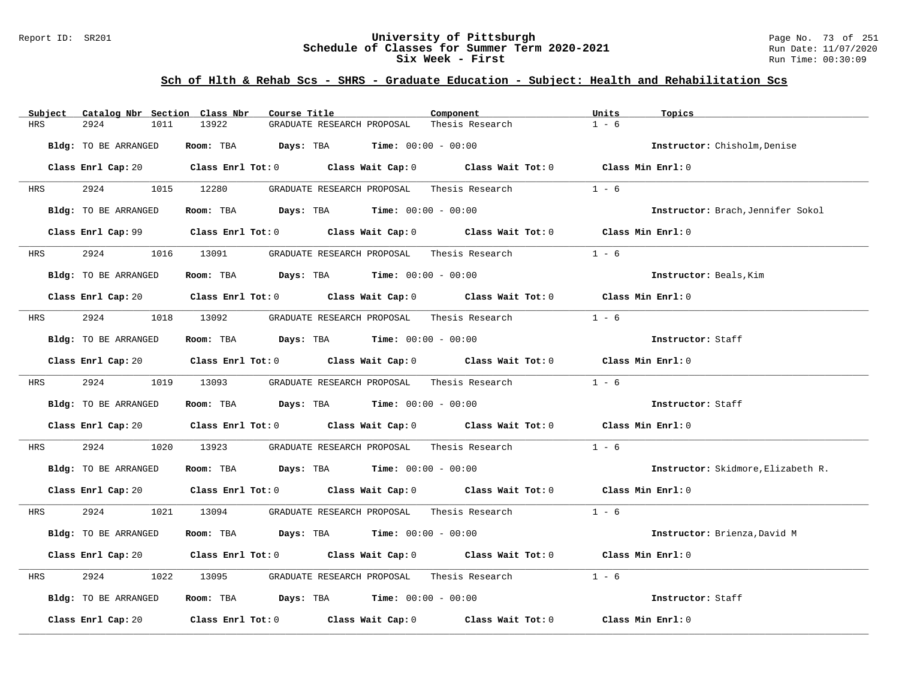### Report ID: SR201 **University of Pittsburgh** Page No. 73 of 251 **Schedule of Classes for Summer Term 2020-2021** Run Date: 11/07/2020 **Six Week - First Run Time: 00:30:09** Run Time: 00:30:09

| Catalog Nbr Section Class Nbr<br>Subject | Course Title                                                                                                                   | Component       | Units<br>Topics                    |
|------------------------------------------|--------------------------------------------------------------------------------------------------------------------------------|-----------------|------------------------------------|
| <b>HRS</b><br>2924<br>1011               | 13922<br>GRADUATE RESEARCH PROPOSAL                                                                                            | Thesis Research | $1 - 6$                            |
| Bldg: TO BE ARRANGED                     | Room: TBA $Days:$ TBA $Time: 00:00 - 00:00$                                                                                    |                 | Instructor: Chisholm, Denise       |
|                                          | Class Enrl Cap: 20 $\qquad$ Class Enrl Tot: 0 $\qquad$ Class Wait Cap: 0 $\qquad$ Class Wait Tot: 0 $\qquad$ Class Min Enrl: 0 |                 |                                    |
| 2924<br><b>HRS</b>                       | 1015 12280<br>GRADUATE RESEARCH PROPOSAL                                                                                       | Thesis Research | $1 - 6$                            |
| Bldg: TO BE ARRANGED                     | Room: TBA $Days:$ TBA $Time: 00:00 - 00:00$                                                                                    |                 | Instructor: Brach, Jennifer Sokol  |
|                                          | Class Enrl Cap: 99 $\qquad$ Class Enrl Tot: 0 $\qquad$ Class Wait Cap: 0 $\qquad$ Class Wait Tot: 0                            |                 | Class Min Enrl: 0                  |
| HRS 2924                                 | 1016 13091 GRADUATE RESEARCH PROPOSAL Thesis Research                                                                          |                 | $1 - 6$                            |
| Bldg: TO BE ARRANGED                     | Room: TBA $\rule{1em}{0.15mm}$ Days: TBA Time: $00:00 - 00:00$                                                                 |                 | Instructor: Beals, Kim             |
|                                          | Class Enrl Cap: 20 Class Enrl Tot: 0 Class Wait Cap: 0 Class Wait Tot: 0 Class Min Enrl: 0                                     |                 |                                    |
| <b>HRS</b>                               | 2924 1018 13092 GRADUATE RESEARCH PROPOSAL Thesis Research                                                                     |                 | $1 - 6$                            |
| Bldg: TO BE ARRANGED                     | Room: TBA $Days:$ TBA $Time: 00:00 - 00:00$                                                                                    |                 | Instructor: Staff                  |
|                                          | Class Enrl Cap: 20 Class Enrl Tot: 0 Class Wait Cap: 0 Class Wait Tot: 0 Class Min Enrl: 0                                     |                 |                                    |
| HRS 2924 1019 13093                      | GRADUATE RESEARCH PROPOSAL Thesis Research                                                                                     |                 | $1 - 6$                            |
| Bldg: TO BE ARRANGED                     | Room: TBA $Days: TBA$ Time: $00:00 - 00:00$                                                                                    |                 | Instructor: Staff                  |
|                                          | Class Enrl Cap: 20 Class Enrl Tot: 0 Class Wait Cap: 0 Class Wait Tot: 0 Class Min Enrl: 0                                     |                 |                                    |
| 2924<br>1020<br>HRS                      |                                                                                                                                |                 | $1 - 6$                            |
| Bldg: TO BE ARRANGED                     | Room: TBA $Days:$ TBA $Time: 00:00 - 00:00$                                                                                    |                 | Instructor: Skidmore, Elizabeth R. |
|                                          | Class Enrl Cap: 20 $\qquad$ Class Enrl Tot: 0 $\qquad$ Class Wait Cap: 0 $\qquad$ Class Wait Tot: 0 $\qquad$ Class Min Enrl: 0 |                 |                                    |
| HRS                                      | 2924 1021 13094 GRADUATE RESEARCH PROPOSAL Thesis Research                                                                     |                 | $1 - 6$                            |
| Bldg: TO BE ARRANGED                     | Room: TBA $Days:$ TBA $Time: 00:00 - 00:00$                                                                                    |                 | Instructor: Brienza, David M       |
|                                          | Class Enrl Cap: 20 Class Enrl Tot: 0 Class Wait Cap: 0 Class Wait Tot: 0 Class Min Enrl: 0                                     |                 |                                    |
| 2924<br>HRS<br>1022                      | GRADUATE RESEARCH PROPOSAL Thesis Research<br>13095                                                                            |                 | $1 - 6$                            |
| Bldg: TO BE ARRANGED                     | Room: TBA $\rule{1em}{0.15mm}$ Days: TBA $\rule{1.15mm}]{0.15mm}$ Time: $0.000 - 0.000$                                        |                 | Instructor: Staff                  |
| Class Enrl Cap: 20                       | Class Enrl Tot: $0$ Class Wait Cap: $0$ Class Wait Tot: $0$                                                                    |                 | Class Min Enrl: 0                  |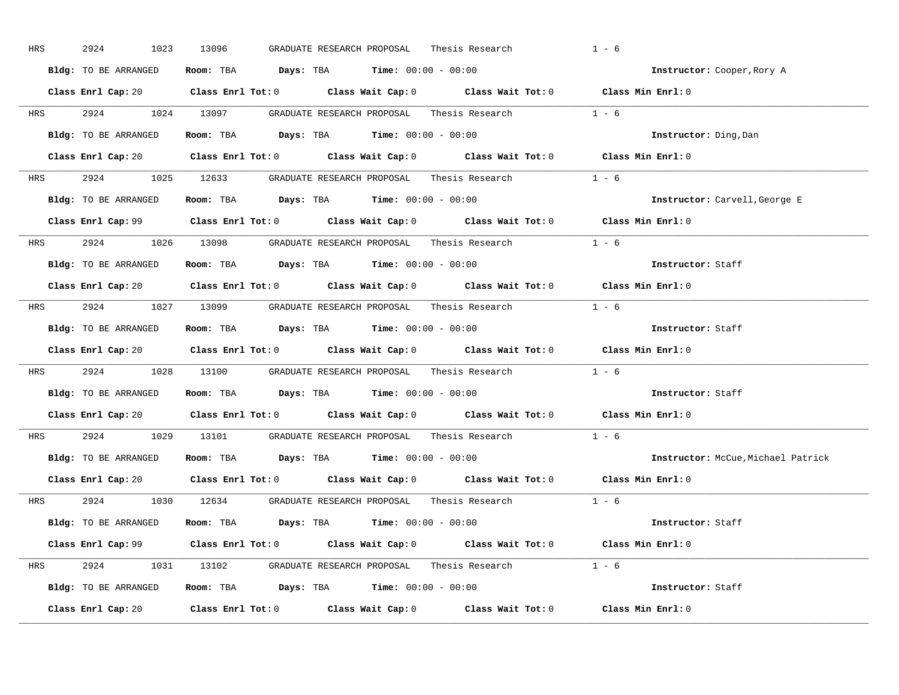| HRS        | 2924<br>1023         | 13096<br>GRADUATE RESEARCH PROPOSAL<br>Thesis Research                                     | $1 - 6$                            |
|------------|----------------------|--------------------------------------------------------------------------------------------|------------------------------------|
|            | Bldg: TO BE ARRANGED | Room: TBA $Days:$ TBA $Time: 00:00 - 00:00$                                                | Instructor: Cooper, Rory A         |
|            |                      | Class Enrl Cap: 20 Class Enrl Tot: 0 Class Wait Cap: 0 Class Wait Tot: 0 Class Min Enrl: 0 |                                    |
|            |                      | HRS 2924 1024 13097 GRADUATE RESEARCH PROPOSAL Thesis Research 1 - 6                       |                                    |
|            | Bldg: TO BE ARRANGED | Room: TBA $Days:$ TBA Time: $00:00 - 00:00$                                                | Instructor: Ding, Dan              |
|            |                      | Class Enrl Cap: 20 Class Enrl Tot: 0 Class Wait Cap: 0 Class Wait Tot: 0 Class Min Enrl: 0 |                                    |
|            |                      | HRS 2924 1025 12633 GRADUATE RESEARCH PROPOSAL Thesis Research 1 - 6                       |                                    |
|            |                      | Bldg: TO BE ARRANGED Room: TBA Days: TBA Time: 00:00 - 00:00                               | Instructor: Carvell, George E      |
|            |                      | Class Enrl Cap: 99 Class Enrl Tot: 0 Class Wait Cap: 0 Class Wait Tot: 0 Class Min Enrl: 0 |                                    |
|            |                      | HRS 2924 1026 13098 GRADUATE RESEARCH PROPOSAL Thesis Research 1 - 6                       |                                    |
|            | Bldg: TO BE ARRANGED | Room: TBA $\rule{1em}{0.15mm}$ Days: TBA Time: $00:00 - 00:00$                             | Instructor: Staff                  |
|            |                      | Class Enrl Cap: 20 Class Enrl Tot: 0 Class Wait Cap: 0 Class Wait Tot: 0 Class Min Enrl: 0 |                                    |
|            |                      | HRS 2924 1027 13099 GRADUATE RESEARCH PROPOSAL Thesis Research 1 - 6                       |                                    |
|            | Bldg: TO BE ARRANGED | Room: TBA $Days:$ TBA $Time: 00:00 - 00:00$                                                | Instructor: Staff                  |
|            |                      | Class Enrl Cap: 20 Class Enrl Tot: 0 Class Wait Cap: 0 Class Wait Tot: 0 Class Min Enrl: 0 |                                    |
| <b>HRS</b> |                      | 2924 1028 13100 GRADUATE RESEARCH PROPOSAL Thesis Research 1 - 6                           |                                    |
|            | Bldg: TO BE ARRANGED | Room: TBA $\rule{1em}{0.15mm}$ Days: TBA $\rule{1.5mm}{0.15mm}$ Time: $00:00 - 00:00$      | Instructor: Staff                  |
|            |                      | Class Enrl Cap: 20 Class Enrl Tot: 0 Class Wait Cap: 0 Class Wait Tot: 0 Class Min Enrl: 0 |                                    |
| <b>HRS</b> |                      | 2924 1029 13101 GRADUATE RESEARCH PROPOSAL Thesis Research                                 | $1 - 6$                            |
|            |                      | Bldg: TO BE ARRANGED Room: TBA Days: TBA Time: 00:00 - 00:00                               | Instructor: McCue, Michael Patrick |
|            |                      | Class Enrl Cap: 20 Class Enrl Tot: 0 Class Wait Cap: 0 Class Wait Tot: 0 Class Min Enrl: 0 |                                    |
|            |                      | HRS 2924 1030 12634 GRADUATE RESEARCH PROPOSAL Thesis Research 1 - 6                       |                                    |
|            | Bldg: TO BE ARRANGED | Room: TBA $\rule{1em}{0.15mm}$ Days: TBA $\rule{1.5mm}{0.15mm}$ Time: $00:00 - 00:00$      | Instructor: Staff                  |
|            |                      | Class Enrl Cap: 99 Class Enrl Tot: 0 Class Wait Cap: 0 Class Wait Tot: 0 Class Min Enrl: 0 |                                    |
|            |                      | HRS 2924 1031 13102 GRADUATE RESEARCH PROPOSAL Thesis Research 1 - 6                       |                                    |
|            |                      | Bldg: TO BE ARRANGED ROOM: TBA Days: TBA Time: 00:00 - 00:00                               | Instructor: Staff                  |
|            |                      | Class Enrl Cap: 20 Class Enrl Tot: 0 Class Wait Cap: 0 Class Wait Tot: 0 Class Min Enrl: 0 |                                    |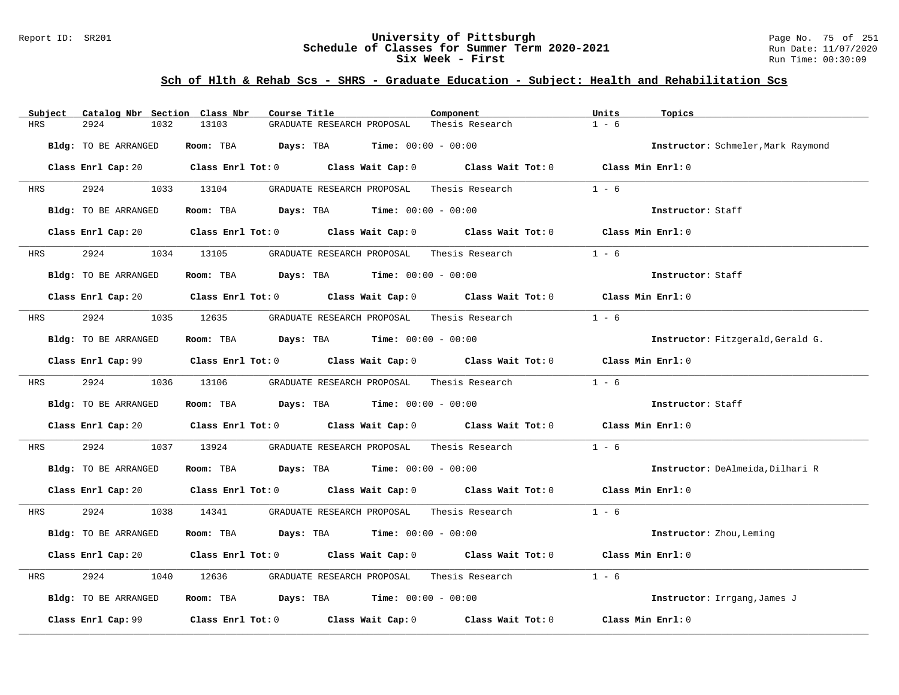### Report ID: SR201 **University of Pittsburgh** Page No. 75 of 251 **Schedule of Classes for Summer Term 2020-2021** Run Date: 11/07/2020 **Six Week - First Run Time: 00:30:09** Run Time: 00:30:09

| Catalog Nbr Section Class Nbr<br>Subject | Course Title                                                                                                                   | Component       | Units<br>Topics                    |
|------------------------------------------|--------------------------------------------------------------------------------------------------------------------------------|-----------------|------------------------------------|
| 2924<br>HRS<br>1032                      | 13103<br>GRADUATE RESEARCH PROPOSAL                                                                                            | Thesis Research | $1 - 6$                            |
| Bldg: TO BE ARRANGED                     | <b>Days:</b> TBA <b>Time:</b> $00:00 - 00:00$<br>Room: TBA                                                                     |                 | Instructor: Schmeler, Mark Raymond |
|                                          | Class Enrl Cap: 20 		 Class Enrl Tot: 0 		 Class Wait Cap: 0 		 Class Wait Tot: 0 		 Class Min Enrl: 0                         |                 |                                    |
| 2924<br>HRS                              | 1033 13104<br>GRADUATE RESEARCH PROPOSAL                                                                                       | Thesis Research | $1 - 6$                            |
| Bldg: TO BE ARRANGED                     | Room: TBA $\rule{1em}{0.15mm}$ Days: TBA Time: $00:00 - 00:00$                                                                 |                 | Instructor: Staff                  |
|                                          | Class Enrl Cap: 20 Class Enrl Tot: 0 Class Wait Cap: 0 Class Wait Tot: 0 Class Min Enrl: 0                                     |                 |                                    |
| 2924<br><b>HRS</b>                       | 1034 13105<br>GRADUATE RESEARCH PROPOSAL                                                                                       | Thesis Research | $1 - 6$                            |
| Bldg: TO BE ARRANGED                     | <b>Room:</b> TBA <b>Days:</b> TBA <b>Time:</b> 00:00 - 00:00                                                                   |                 | Instructor: Staff                  |
|                                          | Class Enrl Cap: 20 Class Enrl Tot: 0 Class Wait Cap: 0 Class Wait Tot: 0 Class Min Enrl: 0                                     |                 |                                    |
| 2924<br>HRS                              | 1035 12635<br>GRADUATE RESEARCH PROPOSAL    Thesis Research                                                                    |                 | $1 - 6$                            |
| Bldg: TO BE ARRANGED                     | Room: TBA $\rule{1em}{0.15mm}$ Days: TBA $\rule{1.15mm}]{0.15mm}$ Time: $0.000 - 0.000$                                        |                 | Instructor: Fitzgerald, Gerald G.  |
|                                          | Class Enrl Cap: 99 Class Enrl Tot: 0 Class Wait Cap: 0 Class Wait Tot: 0 Class Min Enrl: 0                                     |                 |                                    |
| 2924<br><b>HRS</b>                       | 1036 13106<br>GRADUATE RESEARCH PROPOSAL                                                                                       | Thesis Research | $1 - 6$                            |
| Bldg: TO BE ARRANGED                     | Room: TBA $Days:$ TBA $Time:$ $00:00 - 00:00$                                                                                  |                 | Instructor: Staff                  |
|                                          | Class Enrl Cap: 20 Class Enrl Tot: 0 Class Wait Cap: 0 Class Wait Tot: 0 Class Min Enrl: 0                                     |                 |                                    |
| 2924<br>1037<br>HRS                      | 13924<br>GRADUATE RESEARCH PROPOSAL                                                                                            | Thesis Research | $1 - 6$                            |
| Bldg: TO BE ARRANGED                     | Room: TBA $Days:$ TBA $Time: 00:00 - 00:00$                                                                                    |                 | Instructor: DeAlmeida, Dilhari R   |
|                                          | Class Enrl Cap: 20 $\qquad$ Class Enrl Tot: 0 $\qquad$ Class Wait Cap: 0 $\qquad$ Class Wait Tot: 0 $\qquad$ Class Min Enrl: 0 |                 |                                    |
| 2924<br>HRS                              | 1038 14341<br>GRADUATE RESEARCH PROPOSAL     Thesis Research                                                                   |                 | $1 - 6$                            |
| Bldg: TO BE ARRANGED                     | Room: TBA $Days:$ TBA $Time: 00:00 - 00:00$                                                                                    |                 | Instructor: Zhou, Leming           |
|                                          | Class Enrl Cap: 20 Class Enrl Tot: 0 Class Wait Cap: 0 Class Wait Tot: 0 Class Min Enrl: 0                                     |                 |                                    |
| 2924<br>1040<br>HRS                      | 12636<br>GRADUATE RESEARCH PROPOSAL                                                                                            | Thesis Research | $1 - 6$                            |
| Bldg: TO BE ARRANGED                     | Room: TBA $Days:$ TBA $Time: 00:00 - 00:00$                                                                                    |                 | Instructor: Irrgang, James J       |
| Class Enrl Cap: 99                       | Class Enrl Tot: $0$ Class Wait Cap: $0$ Class Wait Tot: $0$                                                                    |                 | Class Min Enrl: 0                  |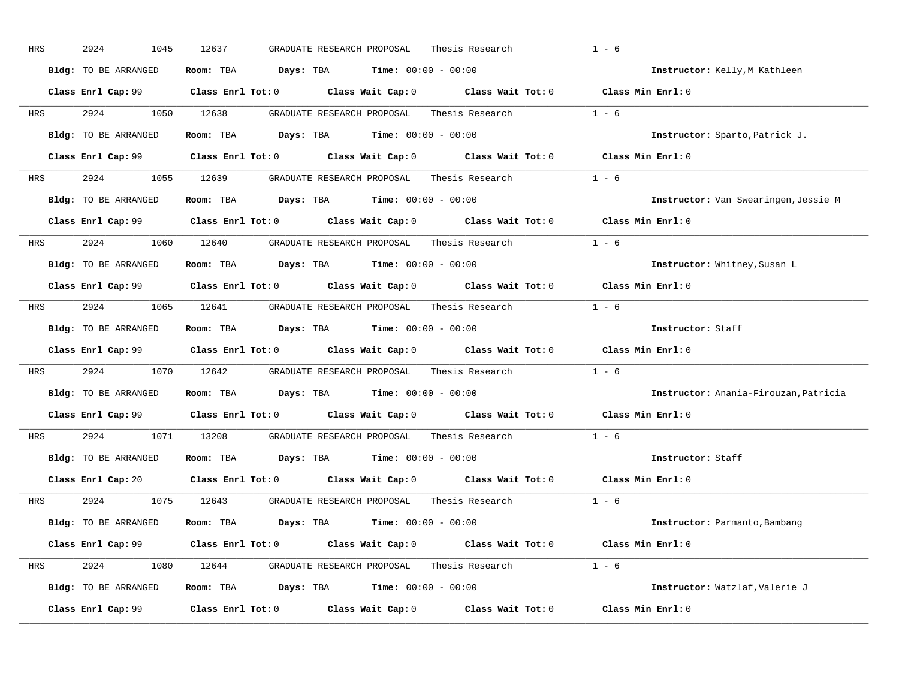| HRS        | 2924<br>1045         | 12637<br>GRADUATE RESEARCH PROPOSAL<br>Thesis Research                                              | $1 - 6$                               |
|------------|----------------------|-----------------------------------------------------------------------------------------------------|---------------------------------------|
|            | Bldg: TO BE ARRANGED | Room: TBA $Days:$ TBA $Time: 00:00 - 00:00$                                                         | Instructor: Kelly, M Kathleen         |
|            |                      | Class Enrl Cap: 99 Class Enrl Tot: 0 Class Wait Cap: 0 Class Wait Tot: 0 Class Min Enrl: 0          |                                       |
| <b>HRS</b> | 2924 1050 12638      | GRADUATE RESEARCH PROPOSAL<br>Thesis Research                                                       | $1 - 6$                               |
|            | Bldg: TO BE ARRANGED | Room: TBA $Days:$ TBA $Time: 00:00 - 00:00$                                                         | Instructor: Sparto, Patrick J.        |
|            |                      | Class Enrl Cap: 99 Class Enrl Tot: 0 Class Wait Cap: 0 Class Wait Tot: 0 Class Min Enrl: 0          |                                       |
| HRS        |                      |                                                                                                     |                                       |
|            | Bldg: TO BE ARRANGED | Room: TBA $Days:$ TBA Time: $00:00 - 00:00$                                                         | Instructor: Van Swearingen, Jessie M  |
|            |                      | Class Enrl Cap: 99 Class Enrl Tot: 0 Class Wait Cap: 0 Class Wait Tot: 0 Class Min Enrl: 0          |                                       |
| <b>HRS</b> |                      | 2924 1060 12640 GRADUATE RESEARCH PROPOSAL Thesis Research                                          | $1 - 6$                               |
|            | Bldg: TO BE ARRANGED | Room: TBA $Days: TBA$ Time: $00:00 - 00:00$                                                         | Instructor: Whitney, Susan L          |
|            |                      | Class Enrl Cap: 99 Class Enrl Tot: 0 Class Wait Cap: 0 Class Wait Tot: 0 Class Min Enrl: 0          |                                       |
| HRS        |                      | 2924 1065 12641 GRADUATE RESEARCH PROPOSAL Thesis Research 1 - 6                                    |                                       |
|            | Bldg: TO BE ARRANGED | Room: TBA $Days: TBA$ Time: $00:00 - 00:00$                                                         | Instructor: Staff                     |
|            |                      | Class Enrl Cap: 99 Class Enrl Tot: 0 Class Wait Cap: 0 Class Wait Tot: 0 Class Min Enrl: 0          |                                       |
| HRS        |                      | 2924 1070 12642 GRADUATE RESEARCH PROPOSAL Thesis Research                                          | $1 - 6$                               |
|            | Bldg: TO BE ARRANGED | Room: TBA $Days:$ TBA $Time: 00:00 - 00:00$                                                         | Instructor: Anania-Firouzan, Patricia |
|            |                      | Class Enrl Cap: 99 $\qquad$ Class Enrl Tot: 0 $\qquad$ Class Wait Cap: 0 $\qquad$ Class Wait Tot: 0 | Class Min Enrl: 0                     |
| <b>HRS</b> | 2924                 | 1071 13208 GRADUATE RESEARCH PROPOSAL Thesis Research                                               | $1 - 6$                               |
|            | Bldg: TO BE ARRANGED | Room: TBA $Days:$ TBA Time: $00:00 - 00:00$                                                         | Instructor: Staff                     |
|            |                      | Class Enrl Cap: 20 $\qquad$ Class Enrl Tot: 0 $\qquad$ Class Wait Cap: 0 $\qquad$ Class Wait Tot: 0 | Class Min Enrl: 0                     |
|            |                      | Thesis Research $1 - 6$<br>HRS 2924 1075 12643 GRADUATE RESEARCH PROPOSAL                           |                                       |
|            | Bldg: TO BE ARRANGED | Room: TBA $Days:$ TBA $Time: 00:00 - 00:00$                                                         | Instructor: Parmanto, Bambang         |
|            |                      | Class Enrl Cap: 99 Class Enrl Tot: 0 Class Wait Cap: 0 Class Wait Tot: 0 Class Min Enrl: 0          |                                       |
| HRS        |                      | 2924 1080 12644 GRADUATE RESEARCH PROPOSAL Thesis Research 1 - 6                                    |                                       |
|            | Bldg: TO BE ARRANGED | Room: TBA $Days: TBA$ Time: $00:00 - 00:00$                                                         | Instructor: Watzlaf, Valerie J        |
|            | Class Enrl Cap: 99   | Class Enrl Tot: $0$ Class Wait Cap: $0$ Class Wait Tot: $0$                                         | Class Min Enrl: 0                     |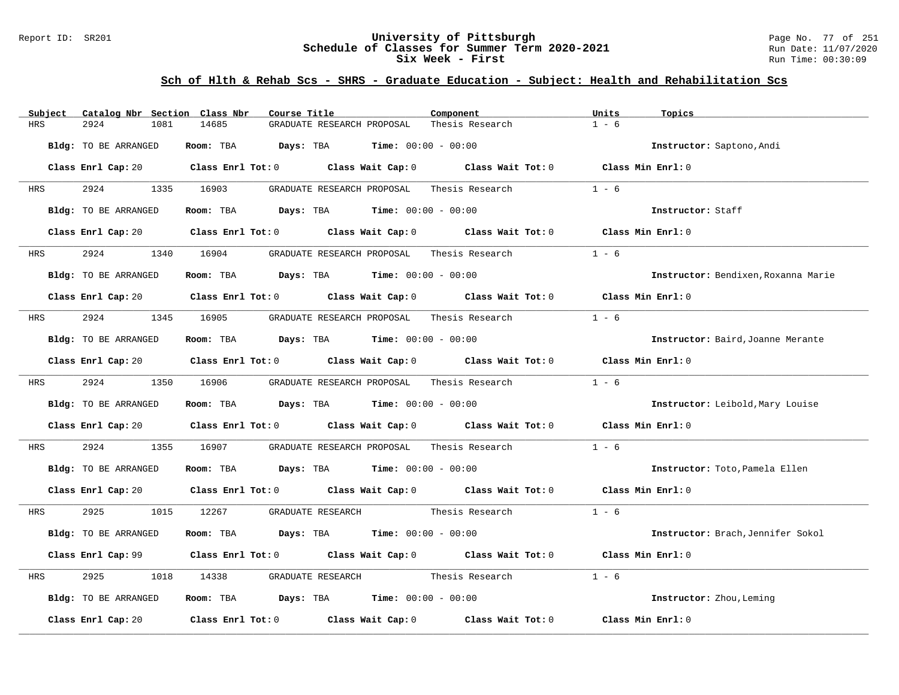### Report ID: SR201 **University of Pittsburgh** Page No. 77 of 251 **Schedule of Classes for Summer Term 2020-2021** Run Date: 11/07/2020 **Six Week - First Run Time: 00:30:09** Run Time: 00:30:09

| Catalog Nbr Section Class Nbr<br>Subject | Course Title                                                                                                                   | Component                    | Units<br>Topics                     |
|------------------------------------------|--------------------------------------------------------------------------------------------------------------------------------|------------------------------|-------------------------------------|
| <b>HRS</b><br>2924<br>1081               | 14685<br>GRADUATE RESEARCH PROPOSAL                                                                                            | Thesis Research              | $1 - 6$                             |
| Bldg: TO BE ARRANGED                     | Room: TBA Days: TBA                                                                                                            | <b>Time:</b> $00:00 - 00:00$ | Instructor: Saptono, Andi           |
|                                          | Class Enrl Cap: 20 $\qquad$ Class Enrl Tot: 0 $\qquad$ Class Wait Cap: 0 $\qquad$ Class Wait Tot: 0 $\qquad$ Class Min Enrl: 0 |                              |                                     |
| 2924<br>HRS                              | 1335 16903<br>GRADUATE RESEARCH PROPOSAL                                                                                       | Thesis Research              | $1 - 6$                             |
| Bldg: TO BE ARRANGED                     | Room: TBA $Days:$ TBA $Time: 00:00 - 00:00$                                                                                    |                              | Instructor: Staff                   |
|                                          | Class Enrl Cap: 20 Class Enrl Tot: 0 Class Wait Cap: 0 Class Wait Tot: 0 Class Min Enrl: 0                                     |                              |                                     |
| 2924<br><b>HRS</b>                       | 1340 16904<br>GRADUATE RESEARCH PROPOSAL                                                                                       | Thesis Research              | $1 - 6$                             |
| Bldg: TO BE ARRANGED                     | Room: TBA $Days:$ TBA $Time: 00:00 - 00:00$                                                                                    |                              | Instructor: Bendixen, Roxanna Marie |
|                                          | Class Enrl Cap: 20 $\qquad$ Class Enrl Tot: 0 $\qquad$ Class Wait Cap: 0 $\qquad$ Class Wait Tot: 0                            |                              | Class Min Enrl: 0                   |
| 2924 2022<br>HRS                         |                                                                                                                                |                              | $1 - 6$                             |
| Bldg: TO BE ARRANGED                     | Room: TBA $Days:$ TBA Time: $00:00 - 00:00$                                                                                    |                              | Instructor: Baird, Joanne Merante   |
|                                          | Class Enrl Cap: 20 Class Enrl Tot: 0 Class Wait Cap: 0 Class Wait Tot: 0 Class Min Enrl: 0                                     |                              |                                     |
| 2924<br><b>HRS</b>                       | 1350 16906<br>GRADUATE RESEARCH PROPOSAL     Thesis Research                                                                   |                              | $1 - 6$                             |
| Bldg: TO BE ARRANGED                     | Room: TBA $Days:$ TBA $Time: 00:00 - 00:00$                                                                                    |                              | Instructor: Leibold, Mary Louise    |
|                                          | Class Enrl Cap: 20 $\qquad$ Class Enrl Tot: 0 $\qquad$ Class Wait Cap: 0 $\qquad$ Class Wait Tot: 0 $\qquad$ Class Min Enrl: 0 |                              |                                     |
| 2924<br>1355<br>HRS                      | GRADUATE RESEARCH PROPOSAL Thesis Research<br>16907                                                                            |                              | $1 - 6$                             |
| Bldg: TO BE ARRANGED                     | Room: TBA $Days:$ TBA $Time: 00:00 - 00:00$                                                                                    |                              | Instructor: Toto, Pamela Ellen      |
|                                          | Class Enrl Cap: 20 $\qquad$ Class Enrl Tot: 0 $\qquad$ Class Wait Cap: 0 $\qquad$ Class Wait Tot: 0 $\qquad$ Class Min Enrl: 0 |                              |                                     |
| 2925<br>HRS                              | 1015 12267                                                                                                                     |                              | $1 - 6$                             |
| Bldg: TO BE ARRANGED                     | Room: TBA $\rule{1em}{0.15mm}$ Days: TBA $\qquad$ Time: $00:00 - 00:00$                                                        |                              | Instructor: Brach, Jennifer Sokol   |
|                                          | Class Enrl Cap: 99 Class Enrl Tot: 0 Class Wait Cap: 0 Class Wait Tot: 0 Class Min Enrl: 0                                     |                              |                                     |
| 2925<br>1018<br>HRS                      | GRADUATE RESEARCH Thesis Research<br>14338                                                                                     |                              | $1 - 6$                             |
| Bldg: TO BE ARRANGED                     | Room: TBA $Days:$ TBA $Time: 00:00 - 00:00$                                                                                    |                              | Instructor: Zhou, Leming            |
| Class Enrl Cap: 20                       | Class Enrl Tot: $0$ Class Wait Cap: $0$ Class Wait Tot: $0$                                                                    |                              | Class Min Enrl: 0                   |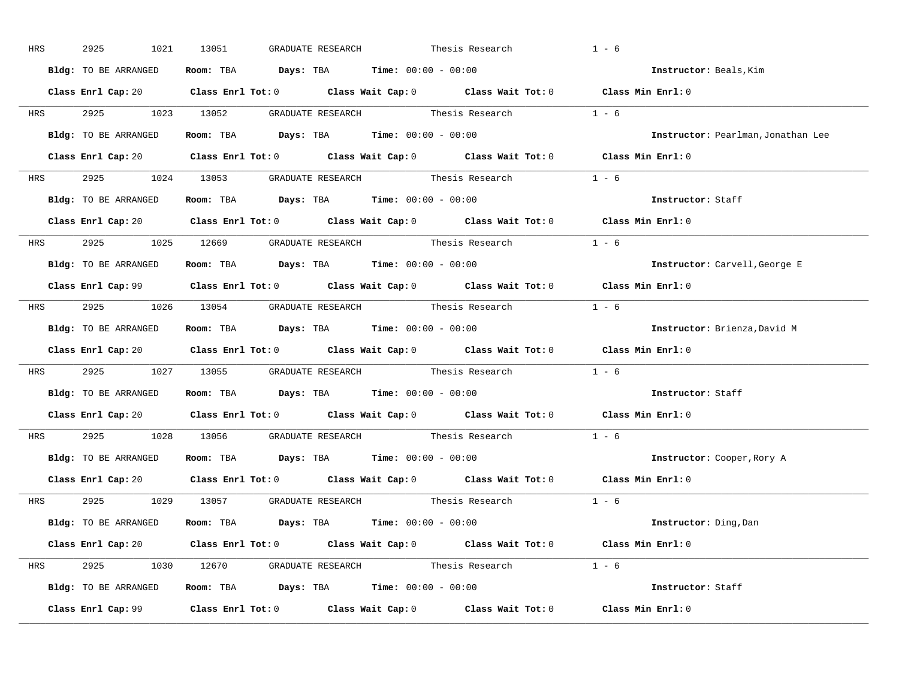| HRS        | 2925<br>1021         | 13051<br>GRADUATE RESEARCH                                                                 | Thesis Research | $1 - 6$                            |
|------------|----------------------|--------------------------------------------------------------------------------------------|-----------------|------------------------------------|
|            | Bldg: TO BE ARRANGED | Room: TBA $Days:$ TBA $Time: 00:00 - 00:00$                                                |                 | Instructor: Beals, Kim             |
|            |                      | Class Enrl Cap: 20 Class Enrl Tot: 0 Class Wait Cap: 0 Class Wait Tot: 0 Class Min Enrl: 0 |                 |                                    |
|            |                      | HRS 2925 1023 13052 GRADUATE RESEARCH Thesis Research 1 - 6                                |                 |                                    |
|            | Bldg: TO BE ARRANGED | Room: TBA $Days:$ TBA Time: $00:00 - 00:00$                                                |                 | Instructor: Pearlman, Jonathan Lee |
|            |                      | Class Enrl Cap: 20 Class Enrl Tot: 0 Class Wait Cap: 0 Class Wait Tot: 0 Class Min Enrl: 0 |                 |                                    |
|            |                      | HRS 2925 1024 13053 GRADUATE RESEARCH Thesis Research 1 - 6                                |                 |                                    |
|            |                      | Bldg: TO BE ARRANGED Room: TBA Days: TBA Time: 00:00 - 00:00                               |                 | Instructor: Staff                  |
|            |                      | Class Enrl Cap: 20 Class Enrl Tot: 0 Class Wait Cap: 0 Class Wait Tot: 0 Class Min Enrl: 0 |                 |                                    |
|            |                      | HRS 2925 1025 12669 GRADUATE RESEARCH Thesis Research 1 - 6                                |                 |                                    |
|            | Bldg: TO BE ARRANGED | Room: TBA $\rule{1em}{0.15mm}$ Days: TBA $\rule{1.5mm}{0.15mm}$ Time: $00:00 - 00:00$      |                 | Instructor: Carvell, George E      |
|            |                      | Class Enrl Cap: 99 Class Enrl Tot: 0 Class Wait Cap: 0 Class Wait Tot: 0 Class Min Enrl: 0 |                 |                                    |
|            |                      | HRS 2925 1026 13054 GRADUATE RESEARCH Thesis Research 1 - 6                                |                 |                                    |
|            | Bldg: TO BE ARRANGED | Room: TBA $Days:$ TBA $Time: 00:00 - 00:00$                                                |                 | Instructor: Brienza, David M       |
|            |                      | Class Enrl Cap: 20 Class Enrl Tot: 0 Class Wait Cap: 0 Class Wait Tot: 0 Class Min Enrl: 0 |                 |                                    |
|            |                      | HRS 2925 1027 13055 GRADUATE RESEARCH Thesis Research 1 - 6                                |                 |                                    |
|            |                      | Bldg: TO BE ARRANGED ROOM: TBA Days: TBA Time: 00:00 - 00:00                               |                 | Instructor: Staff                  |
|            |                      | Class Enrl Cap: 20 Class Enrl Tot: 0 Class Wait Cap: 0 Class Wait Tot: 0 Class Min Enrl: 0 |                 |                                    |
| <b>HRS</b> |                      | 2925 1028 13056 GRADUATE RESEARCH Thesis Research                                          |                 | $1 - 6$                            |
|            |                      | <b>Bldg:</b> TO BE ARRANGED <b>Room:</b> TBA <b>Days:</b> TBA <b>Time:</b> $00:00 - 00:00$ |                 | Instructor: Cooper, Rory A         |
|            |                      | Class Enrl Cap: 20 Class Enrl Tot: 0 Class Wait Cap: 0 Class Wait Tot: 0 Class Min Enrl: 0 |                 |                                    |
|            |                      | HRS 2925 1029 13057 GRADUATE RESEARCH Thesis Research                                      |                 | $1 - 6$                            |
|            |                      |                                                                                            |                 |                                    |
|            | Bldg: TO BE ARRANGED | Room: TBA $\rule{1em}{0.15mm}$ Days: TBA Time: $00:00 - 00:00$                             |                 | Instructor: Ding, Dan              |
|            |                      | Class Enrl Cap: 20 Class Enrl Tot: 0 Class Wait Cap: 0 Class Wait Tot: 0 Class Min Enrl: 0 |                 |                                    |
|            |                      | HRS 2925 1030 12670 GRADUATE RESEARCH Thesis Research 1 - 6                                |                 |                                    |
|            |                      | Bldg: TO BE ARRANGED Room: TBA Days: TBA Time: 00:00 - 00:00                               |                 | Instructor: Staff                  |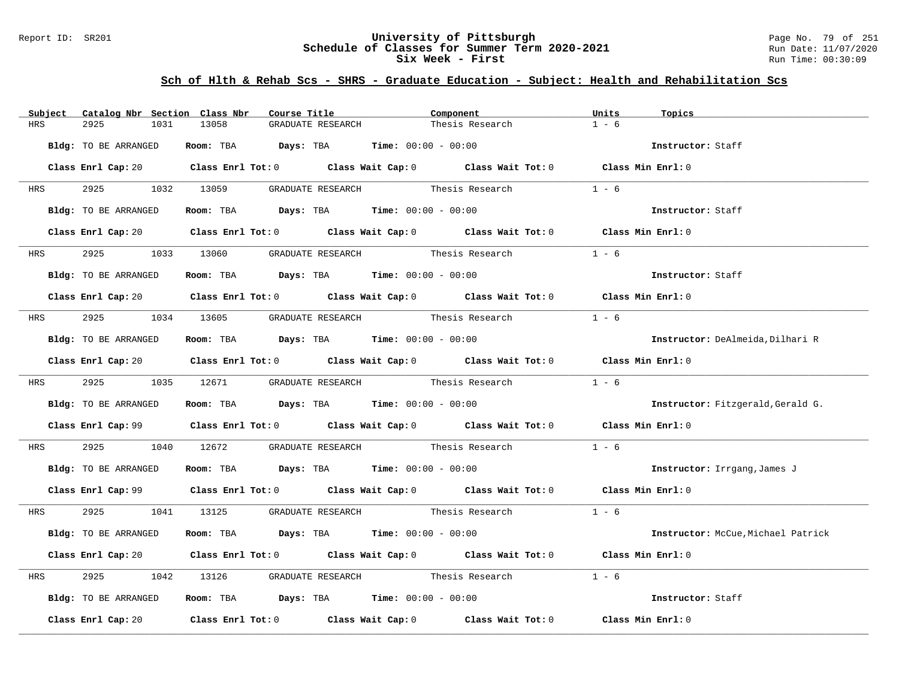### Report ID: SR201 **University of Pittsburgh** Page No. 79 of 251 **Schedule of Classes for Summer Term 2020-2021** Run Date: 11/07/2020 **Six Week - First Run Time: 00:30:09** Run Time: 00:30:09

| Catalog Nbr Section Class Nbr<br>Subject | Course Title                                                                                           | Component       | Units<br>Topics                    |
|------------------------------------------|--------------------------------------------------------------------------------------------------------|-----------------|------------------------------------|
| HRS<br>2925<br>1031                      | 13058<br>GRADUATE RESEARCH                                                                             | Thesis Research | $1 - 6$                            |
| Bldg: TO BE ARRANGED                     | Room: TBA $Days:$ TBA $Time: 00:00 - 00:00$                                                            |                 | Instructor: Staff                  |
|                                          | Class Enrl Cap: 20 Class Enrl Tot: 0 Class Wait Cap: 0 Class Wait Tot: 0 Class Min Enrl: 0             |                 |                                    |
| <b>HRS</b>                               | 2925 1032 13059 GRADUATE RESEARCH Thesis Research                                                      |                 | $1 - 6$                            |
| Bldg: TO BE ARRANGED                     | Room: TBA $Days: TBA$ Time: $00:00 - 00:00$                                                            |                 | Instructor: Staff                  |
|                                          | Class Enrl Cap: 20 Class Enrl Tot: 0 Class Wait Cap: 0 Class Wait Tot: 0 Class Min Enrl: 0             |                 |                                    |
|                                          | HRS 2925 1033 13060 GRADUATE RESEARCH Thesis Research                                                  |                 | $1 - 6$                            |
| Bldg: TO BE ARRANGED                     | Room: TBA $Days:$ TBA $Time: 00:00 - 00:00$                                                            |                 | Instructor: Staff                  |
|                                          | Class Enrl Cap: 20 		 Class Enrl Tot: 0 		 Class Wait Cap: 0 		 Class Wait Tot: 0 		 Class Min Enrl: 0 |                 |                                    |
| HRS 2925                                 | 1034 13605 GRADUATE RESEARCH Thesis Research                                                           |                 | $1 - 6$                            |
| Bldg: TO BE ARRANGED                     | Room: TBA $\rule{1em}{0.15mm}$ Days: TBA Time: $00:00 - 00:00$                                         |                 | Instructor: DeAlmeida, Dilhari R   |
|                                          | Class Enrl Cap: 20 Class Enrl Tot: 0 Class Wait Cap: 0 Class Wait Tot: 0 Class Min Enrl: 0             |                 |                                    |
|                                          | HRS 2925 1035 12671 GRADUATE RESEARCH Thesis Research 1 - 6                                            |                 |                                    |
| Bldg: TO BE ARRANGED                     | Room: TBA $Days:$ TBA $Time:$ 00:00 - 00:00                                                            |                 | Instructor: Fitzgerald, Gerald G.  |
|                                          | Class Enrl Cap: 99 Class Enrl Tot: 0 Class Wait Cap: 0 Class Wait Tot: 0 Class Min Enrl: 0             |                 |                                    |
| 2925<br><b>HRS</b>                       | 1040 12672 GRADUATE RESEARCH Thesis Research                                                           |                 | $1 - 6$                            |
| Bldg: TO BE ARRANGED                     | Room: TBA $\rule{1em}{0.15mm}$ Days: TBA Time: $00:00 - 00:00$                                         |                 | Instructor: Irrgang, James J       |
|                                          | Class Enrl Cap: 99 Class Enrl Tot: 0 Class Wait Cap: 0 Class Wait Tot: 0 Class Min Enrl: 0             |                 |                                    |
|                                          | HRS 2925 1041 13125 GRADUATE RESEARCH Thesis Research 1 - 6                                            |                 |                                    |
| Bldg: TO BE ARRANGED                     | Room: TBA $Days:$ TBA $Time: 00:00 - 00:00$                                                            |                 | Instructor: McCue, Michael Patrick |
|                                          | Class Enrl Cap: 20 Class Enrl Tot: 0 Class Wait Cap: 0 Class Wait Tot: 0 Class Min Enrl: 0             |                 |                                    |
| 2925<br>HRS                              | 1042 13126 GRADUATE RESEARCH Thesis Research                                                           |                 | $1 - 6$                            |
| Bldg: TO BE ARRANGED                     | Room: TBA $\rule{1em}{0.15mm}$ Days: TBA $\rule{1.15mm}]{0.15mm}$ Time: $00:00 - 00:00$                |                 | Instructor: Staff                  |
|                                          | Class Enrl Cap: 20 Class Enrl Tot: 0 Class Wait Cap: 0 Class Wait Tot: 0 Class Min Enrl: 0             |                 |                                    |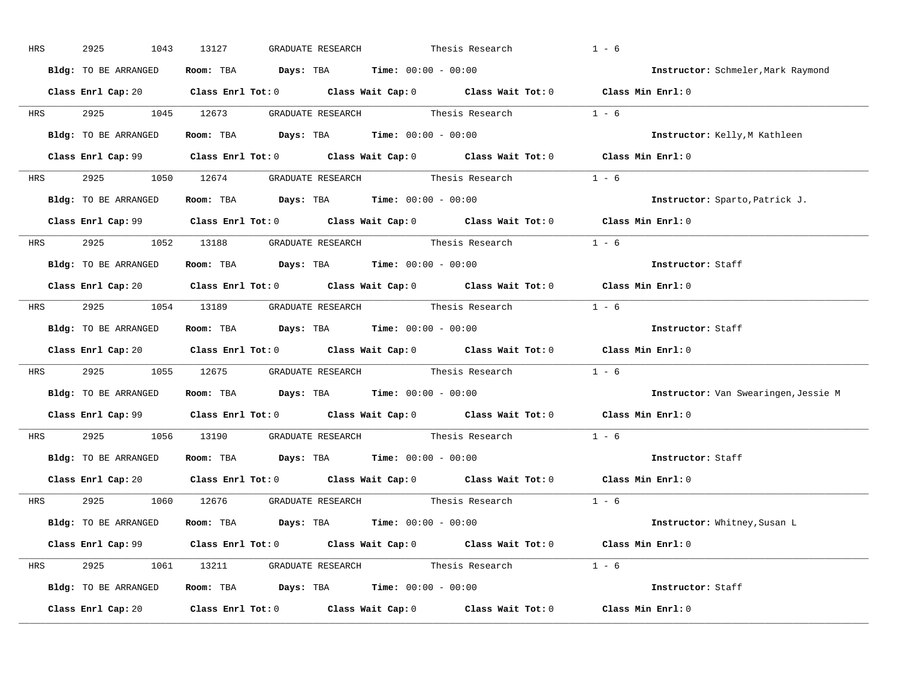| HRS        | 2925<br>1043         | 13127<br>GRADUATE RESEARCH                                                                 | Thesis Research | $1 - 6$                              |
|------------|----------------------|--------------------------------------------------------------------------------------------|-----------------|--------------------------------------|
|            | Bldg: TO BE ARRANGED | Room: TBA $Days:$ TBA $Time: 00:00 - 00:00$                                                |                 | Instructor: Schmeler, Mark Raymond   |
|            |                      | Class Enrl Cap: 20 Class Enrl Tot: 0 Class Wait Cap: 0 Class Wait Tot: 0 Class Min Enrl: 0 |                 |                                      |
|            |                      | HRS 2925 1045 12673 GRADUATE RESEARCH Thesis Research 1 - 6                                |                 |                                      |
|            | Bldg: TO BE ARRANGED | Room: TBA $Days:$ TBA Time: $00:00 - 00:00$                                                |                 | Instructor: Kelly, M Kathleen        |
|            |                      | Class Enrl Cap: 99 Class Enrl Tot: 0 Class Wait Cap: 0 Class Wait Tot: 0 Class Min Enrl: 0 |                 |                                      |
|            |                      | HRS 2925 1050 12674 GRADUATE RESEARCH Thesis Research 1 - 6                                |                 |                                      |
|            |                      | <b>Bldg:</b> TO BE ARRANGED <b>Room:</b> TBA <b>Days:</b> TBA <b>Time:</b> $00:00 - 00:00$ |                 | Instructor: Sparto, Patrick J.       |
|            |                      | Class Enrl Cap: 99 Class Enrl Tot: 0 Class Wait Cap: 0 Class Wait Tot: 0 Class Min Enrl: 0 |                 |                                      |
|            |                      | HRS 2925 1052 13188 GRADUATE RESEARCH Thesis Research 1 - 6                                |                 |                                      |
|            | Bldg: TO BE ARRANGED | Room: TBA $Days:$ TBA $Time: 00:00 - 00:00$                                                |                 | Instructor: Staff                    |
|            |                      | Class Enrl Cap: 20 Class Enrl Tot: 0 Class Wait Cap: 0 Class Wait Tot: 0 Class Min Enrl: 0 |                 |                                      |
|            |                      | HRS 2925 1054 13189 GRADUATE RESEARCH Thesis Research 1 - 6                                |                 |                                      |
|            | Bldg: TO BE ARRANGED | Room: TBA $Days:$ TBA $Time: 00:00 - 00:00$                                                |                 | Instructor: Staff                    |
|            |                      | Class Enrl Cap: 20 Class Enrl Tot: 0 Class Wait Cap: 0 Class Wait Tot: 0 Class Min Enrl: 0 |                 |                                      |
| <b>HRS</b> |                      | 2925 1055 12675 GRADUATE RESEARCH Thesis Research 1 - 6                                    |                 |                                      |
|            | Bldg: TO BE ARRANGED | Room: TBA $\rule{1em}{0.15mm}$ Days: TBA $\rule{1.5mm}{0.15mm}$ Time: $00:00 - 00:00$      |                 | Instructor: Van Swearingen, Jessie M |
|            |                      | Class Enrl Cap: 99 Class Enrl Tot: 0 Class Wait Cap: 0 Class Wait Tot: 0 Class Min Enrl: 0 |                 |                                      |
| HRS        |                      | 2925 1056 13190 GRADUATE RESEARCH Thesis Research                                          |                 | $1 - 6$                              |
|            |                      | Bldg: TO BE ARRANGED Room: TBA Days: TBA Time: 00:00 - 00:00                               |                 | Instructor: Staff                    |
|            |                      | Class Enrl Cap: 20 Class Enrl Tot: 0 Class Wait Cap: 0 Class Wait Tot: 0 Class Min Enrl: 0 |                 |                                      |
|            |                      | HRS 2925 1060 12676 GRADUATE RESEARCH Thesis Research 1 - 6                                |                 |                                      |
|            | Bldg: TO BE ARRANGED | Room: TBA $Days:$ TBA $Time: 00:00 - 00:00$                                                |                 | Instructor: Whitney, Susan L         |
|            |                      | Class Enrl Cap: 99 Class Enrl Tot: 0 Class Wait Cap: 0 Class Wait Tot: 0 Class Min Enrl: 0 |                 |                                      |
|            |                      | HRS 2925 1061 13211 GRADUATE RESEARCH Thesis Research 1 - 6                                |                 |                                      |
|            |                      | Bldg: TO BE ARRANGED Room: TBA Days: TBA Time: 00:00 - 00:00                               |                 | Instructor: Staff                    |
|            |                      |                                                                                            |                 |                                      |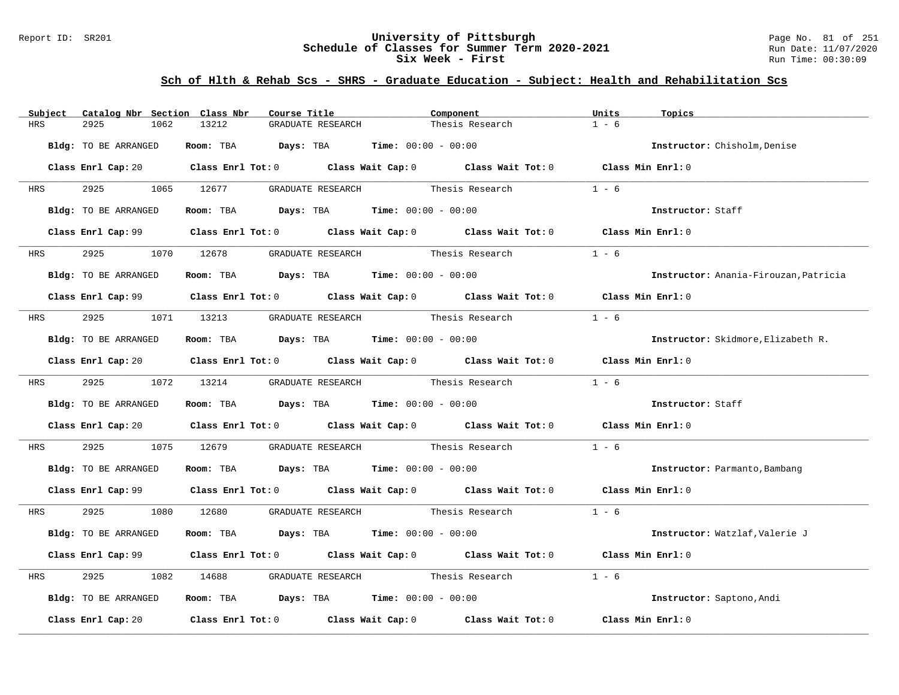### Report ID: SR201 **University of Pittsburgh** Page No. 81 of 251 **Schedule of Classes for Summer Term 2020-2021** Run Date: 11/07/2020 **Six Week - First Run Time: 00:30:09** Run Time: 00:30:09

| Catalog Nbr Section Class Nbr<br>Subject | Course Title                                                                                                                   | Component                         | Units<br>Topics                       |
|------------------------------------------|--------------------------------------------------------------------------------------------------------------------------------|-----------------------------------|---------------------------------------|
| <b>HRS</b><br>2925<br>1062               | 13212<br>GRADUATE RESEARCH                                                                                                     | Thesis Research                   | $1 - 6$                               |
| Bldg: TO BE ARRANGED                     | Room: TBA $Days:$ TBA $Time: 00:00 - 00:00$                                                                                    |                                   | Instructor: Chisholm, Denise          |
|                                          | Class Enrl Cap: 20 $\qquad$ Class Enrl Tot: 0 $\qquad$ Class Wait Cap: 0 $\qquad$ Class Wait Tot: 0 $\qquad$ Class Min Enrl: 0 |                                   |                                       |
| 2925 1065 12677<br><b>HRS</b>            |                                                                                                                                | GRADUATE RESEARCH Thesis Research | $1 - 6$                               |
| Bldg: TO BE ARRANGED                     | Room: TBA $\rule{1em}{0.15mm}$ Days: TBA $\qquad$ Time: $00:00 - 00:00$                                                        |                                   | Instructor: Staff                     |
|                                          | Class Enrl Cap: 99 Class Enrl Tot: 0 Class Wait Cap: 0 Class Wait Tot: 0 Class Min Enrl: 0                                     |                                   |                                       |
|                                          |                                                                                                                                |                                   | $1 - 6$                               |
| Bldg: TO BE ARRANGED                     | Room: TBA $Days:$ TBA $Time: 00:00 - 00:00$                                                                                    |                                   | Instructor: Anania-Firouzan, Patricia |
|                                          | Class Enrl Cap: 99 Class Enrl Tot: 0 Class Wait Cap: 0 Class Wait Tot: 0 Class Min Enrl: 0                                     |                                   |                                       |
|                                          | HRS 2925 1071 13213 GRADUATE RESEARCH Thesis Research                                                                          |                                   | $1 - 6$                               |
| Bldg: TO BE ARRANGED                     | Room: TBA $Days:$ TBA $Time: 00:00 - 00:00$                                                                                    |                                   | Instructor: Skidmore, Elizabeth R.    |
|                                          | Class Enrl Cap: 20 Class Enrl Tot: 0 Class Wait Cap: 0 Class Wait Tot: 0 Class Min Enrl: 0                                     |                                   |                                       |
|                                          | HRS 2925 1072 13214 GRADUATE RESEARCH Thesis Research                                                                          |                                   | $1 - 6$                               |
| Bldg: TO BE ARRANGED                     | Room: TBA $Days:$ TBA $Time: 00:00 - 00:00$                                                                                    |                                   | Instructor: Staff                     |
|                                          | Class Enrl Cap: 20 $\qquad$ Class Enrl Tot: 0 $\qquad$ Class Wait Cap: 0 $\qquad$ Class Wait Tot: 0 $\qquad$ Class Min Enrl: 0 |                                   |                                       |
| 2925<br>HRS                              | 1075 12679 GRADUATE RESEARCH Thesis Research                                                                                   |                                   | $1 - 6$                               |
| Bldg: TO BE ARRANGED                     | Room: TBA $Days:$ TBA $Time: 00:00 - 00:00$                                                                                    |                                   | Instructor: Parmanto, Bambang         |
|                                          | Class Enrl Cap: 99 Class Enrl Tot: 0 Class Wait Cap: 0 Class Wait Tot: 0 Class Min Enrl: 0                                     |                                   |                                       |
|                                          | HRS 2925 1080 12680 GRADUATE RESEARCH Thesis Research                                                                          |                                   | $1 - 6$                               |
| Bldg: TO BE ARRANGED                     | Room: TBA $Days:$ TBA $Time: 00:00 - 00:00$                                                                                    |                                   | Instructor: Watzlaf, Valerie J        |
|                                          | Class Enrl Cap: 99 Class Enrl Tot: 0 Class Wait Cap: 0 Class Wait Tot: 0 Class Min Enrl: 0                                     |                                   |                                       |
| 2925<br>HRS                              | 1082 14688 GRADUATE RESEARCH Thesis Research                                                                                   |                                   | $1 - 6$                               |
| Bldg: TO BE ARRANGED                     | Room: TBA $\rule{1em}{0.15mm}$ Days: TBA $\rule{1.15mm}]{0.15mm}$ Time: $00:00 - 00:00$                                        |                                   | Instructor: Saptono, Andi             |
| Class Enrl Cap: 20                       | Class Enrl Tot: $0$ Class Wait Cap: $0$ Class Wait Tot: $0$                                                                    |                                   | Class Min Enrl: 0                     |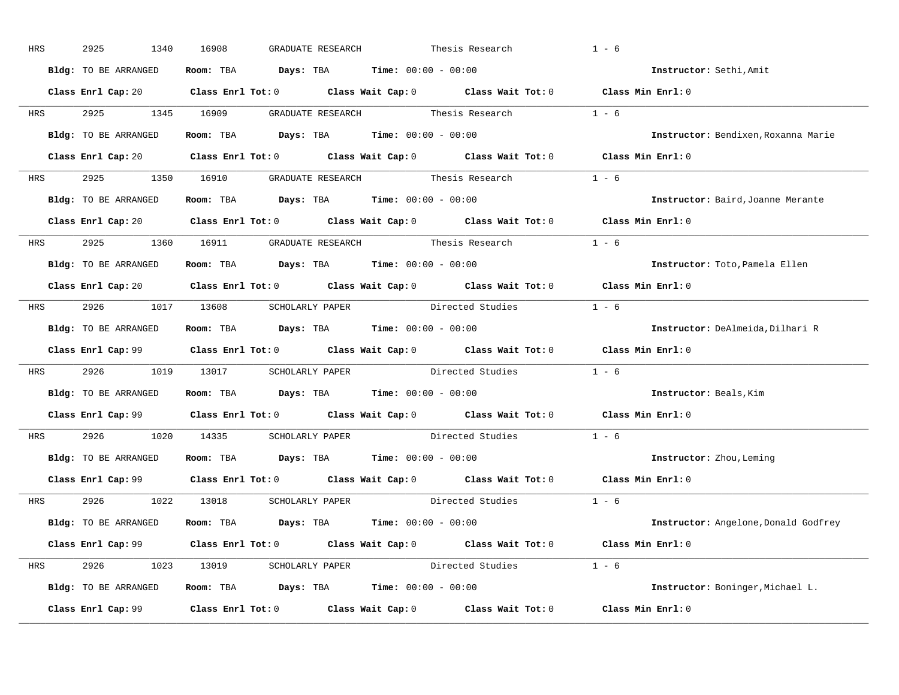| HRS        | 2925<br>1340         | 16908<br>GRADUATE RESEARCH                                                                 |                                                     | Thesis Research                         | $1 - 6$                              |
|------------|----------------------|--------------------------------------------------------------------------------------------|-----------------------------------------------------|-----------------------------------------|--------------------------------------|
|            | Bldg: TO BE ARRANGED | Room: TBA $Days:$ TBA $Time: 00:00 - 00:00$                                                |                                                     |                                         | Instructor: Sethi, Amit              |
|            |                      | Class Enrl Cap: 20 Class Enrl Tot: 0 Class Wait Cap: 0 Class Wait Tot: 0 Class Min Enrl: 0 |                                                     |                                         |                                      |
| HRS        | 2925                 | 1345 16909                                                                                 |                                                     | GRADUATE RESEARCH Thesis Research 1 - 6 |                                      |
|            | Bldg: TO BE ARRANGED | Room: TBA $Days:$ TBA $Time: 00:00 - 00:00$                                                |                                                     |                                         | Instructor: Bendixen, Roxanna Marie  |
|            |                      | Class Enrl Cap: 20 Class Enrl Tot: 0 Class Wait Cap: 0 Class Wait Tot: 0 Class Min Enrl: 0 |                                                     |                                         |                                      |
| HRS        | 2925                 | 1350 16910 GRADUATE RESEARCH Thesis Research 1 - 6                                         |                                                     |                                         |                                      |
|            | Bldg: TO BE ARRANGED | Room: TBA $Days: TBA$ Time: $00:00 - 00:00$                                                |                                                     |                                         | Instructor: Baird, Joanne Merante    |
|            |                      | Class Enrl Cap: 20 Class Enrl Tot: 0 Class Wait Cap: 0 Class Wait Tot: 0 Class Min Enrl: 0 |                                                     |                                         |                                      |
| <b>HRS</b> | 2925 1360 16911      |                                                                                            | GRADUATE RESEARCH Thesis Research                   |                                         | $1 - 6$                              |
|            | Bldg: TO BE ARRANGED | Room: TBA $Days:$ TBA $Time: 00:00 - 00:00$                                                |                                                     |                                         | Instructor: Toto, Pamela Ellen       |
|            |                      | Class Enrl Cap: 20 Class Enrl Tot: 0 Class Wait Cap: 0 Class Wait Tot: 0 Class Min Enrl: 0 |                                                     |                                         |                                      |
|            | HRS 2926 1017 13608  |                                                                                            |                                                     | SCHOLARLY PAPER Directed Studies 1 - 6  |                                      |
|            | Bldg: TO BE ARRANGED | Room: TBA                                                                                  | $\texttt{Days:}$ TBA $\texttt{Time:}$ 00:00 - 00:00 |                                         | Instructor: DeAlmeida, Dilhari R     |
|            |                      | Class Enrl Cap: 99 Class Enrl Tot: 0 Class Wait Cap: 0 Class Wait Tot: 0 Class Min Enrl: 0 |                                                     |                                         |                                      |
| HRS        | 2926<br>1019         | 13017 SCHOLARLY PAPER Directed Studies 1 - 6                                               |                                                     |                                         |                                      |
|            | Bldg: TO BE ARRANGED | Room: TBA $\rule{1em}{0.15mm}$ Days: TBA Time: $00:00 - 00:00$                             |                                                     |                                         | Instructor: Beals, Kim               |
|            |                      | Class Enrl Cap: 99 Class Enrl Tot: 0 Class Wait Cap: 0 Class Wait Tot: 0 Class Min Enrl: 0 |                                                     |                                         |                                      |
| HRS        | 2926<br>1020         | 14335                                                                                      |                                                     | SCHOLARLY PAPER Directed Studies 1 - 6  |                                      |
|            | Bldg: TO BE ARRANGED | Room: TBA $Days:$ TBA $Time: 00:00 - 00:00$                                                |                                                     |                                         | Instructor: Zhou, Leming             |
|            |                      | Class Enrl Cap: 99 Class Enrl Tot: 0 Class Wait Cap: 0 Class Wait Tot: 0 Class Min Enrl: 0 |                                                     |                                         |                                      |
| HRS        | 2926<br>1022         | 13018                                                                                      |                                                     | SCHOLARLY PAPER birected Studies 1 - 6  |                                      |
|            | Bldg: TO BE ARRANGED | Room: TBA $Days:$ TBA $Time:$ $00:00 - 00:00$                                              |                                                     |                                         | Instructor: Angelone, Donald Godfrey |
|            |                      | Class Enrl Cap: 99 Class Enrl Tot: 0 Class Wait Cap: 0 Class Wait Tot: 0 Class Min Enrl: 0 |                                                     |                                         |                                      |
| HRS        |                      | 2926 1023 13019 SCHOLARLY PAPER Directed Studies 1 - 6                                     |                                                     |                                         |                                      |
|            | Bldg: TO BE ARRANGED | Room: TBA $Days: TBA$ Time: $00:00 - 00:00$                                                |                                                     |                                         | Instructor: Boninger, Michael L.     |
|            | Class Enrl Cap: 99   | Class Enrl Tot: $0$ Class Wait Cap: $0$ Class Wait Tot: $0$                                |                                                     |                                         | Class Min Enrl: 0                    |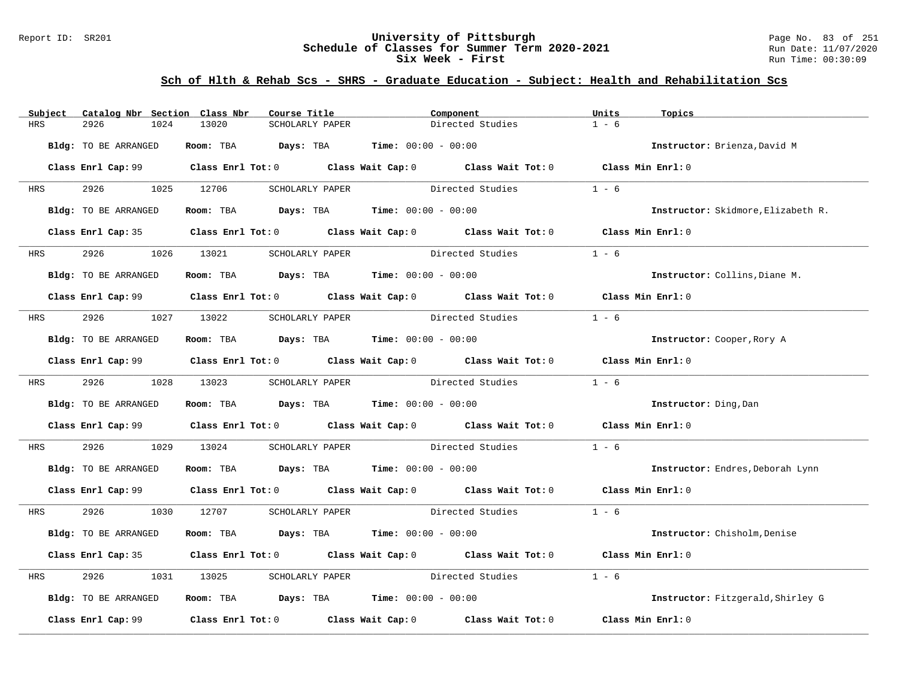### Report ID: SR201 **University of Pittsburgh** Page No. 83 of 251 **Schedule of Classes for Summer Term 2020-2021** Run Date: 11/07/2020 **Six Week - First Run Time: 00:30:09** Run Time: 00:30:09

| Subject    | Catalog Nbr Section Class Nbr | Course Title                                                   | Component                                                                                           | Units<br>Topics                    |
|------------|-------------------------------|----------------------------------------------------------------|-----------------------------------------------------------------------------------------------------|------------------------------------|
| HRS        | 2926<br>1024                  | 13020<br>SCHOLARLY PAPER                                       | Directed Studies                                                                                    | $1 - 6$                            |
|            | Bldg: TO BE ARRANGED          | Room: TBA $Days:$ TBA $Time: 00:00 - 00:00$                    |                                                                                                     | Instructor: Brienza, David M       |
|            |                               |                                                                | Class Enrl Cap: 99 Class Enrl Tot: 0 Class Wait Cap: 0 Class Wait Tot: 0 Class Min Enrl: 0          |                                    |
| HRS        | 2926 1025 12706               | SCHOLARLY PAPER                                                | Directed Studies                                                                                    | $1 - 6$                            |
|            | Bldg: TO BE ARRANGED          | Room: TBA $Days:$ TBA $Time: 00:00 - 00:00$                    |                                                                                                     | Instructor: Skidmore, Elizabeth R. |
|            |                               |                                                                | Class Enrl Cap: 35 Class Enrl Tot: 0 Class Wait Cap: 0 Class Wait Tot: 0 Class Min Enrl: 0          |                                    |
| <b>HRS</b> | 2926                          | 1026 13021<br>SCHOLARLY PAPER                                  | Directed Studies                                                                                    | $1 - 6$                            |
|            | Bldg: TO BE ARRANGED          | Room: TBA $Days:$ TBA $Time: 00:00 - 00:00$                    |                                                                                                     | Instructor: Collins, Diane M.      |
|            |                               |                                                                | Class Enrl Cap: 99 Class Enrl Tot: 0 Class Wait Cap: 0 Class Wait Tot: 0 Class Min Enrl: 0          |                                    |
| HRS        | 2926 1027 13022               |                                                                | SCHOLARLY PAPER Directed Studies                                                                    | $1 - 6$                            |
|            | Bldg: TO BE ARRANGED          | Room: TBA $Days:$ TBA $Time: 00:00 - 00:00$                    |                                                                                                     | Instructor: Cooper, Rory A         |
|            |                               |                                                                | Class Enrl Cap: 99 Class Enrl Tot: 0 Class Wait Cap: 0 Class Wait Tot: 0 Class Min Enrl: 0          |                                    |
| <b>HRS</b> | 2926 1028 13023               |                                                                | SCHOLARLY PAPER Directed Studies                                                                    | $1 - 6$                            |
|            | Bldg: TO BE ARRANGED          | Room: TBA $Days: TBA$ Time: $00:00 - 00:00$                    |                                                                                                     | Instructor: Ding, Dan              |
|            |                               |                                                                | Class Enrl Cap: 99 Class Enrl Tot: 0 Class Wait Cap: 0 Class Wait Tot: 0 Class Min Enrl: 0          |                                    |
| HRS        | 2926<br>1029                  | 13024                                                          | SCHOLARLY PAPER Directed Studies                                                                    | $1 - 6$                            |
|            | Bldg: TO BE ARRANGED          | Room: TBA $\rule{1em}{0.15mm}$ Days: TBA Time: $00:00 - 00:00$ |                                                                                                     | Instructor: Endres, Deborah Lynn   |
|            |                               |                                                                | Class Enrl Cap: 99 Class Enrl Tot: 0 Class Wait Cap: 0 Class Wait Tot: 0 Class Min Enrl: 0          |                                    |
| HRS        | 2926 1030 12707               |                                                                | SCHOLARLY PAPER Directed Studies 1 - 6                                                              |                                    |
|            | Bldg: TO BE ARRANGED          | Room: TBA $Days:$ TBA $Time: 00:00 - 00:00$                    |                                                                                                     | Instructor: Chisholm, Denise       |
|            |                               |                                                                | Class Enrl Cap: 35 Class Enrl Tot: 0 Class Wait Cap: 0 Class Wait Tot: 0 Class Min Enrl: 0          |                                    |
| HRS        | 2926<br>1031                  | 13025                                                          | SCHOLARLY PAPER Directed Studies                                                                    | $1 - 6$                            |
|            | Bldg: TO BE ARRANGED          | Room: TBA $Days:$ TBA Time: $00:00 - 00:00$                    |                                                                                                     | Instructor: Fitzgerald, Shirley G  |
|            |                               |                                                                | Class Enrl Cap: 99 $\qquad$ Class Enrl Tot: 0 $\qquad$ Class Wait Cap: 0 $\qquad$ Class Wait Tot: 0 | Class Min Enrl: 0                  |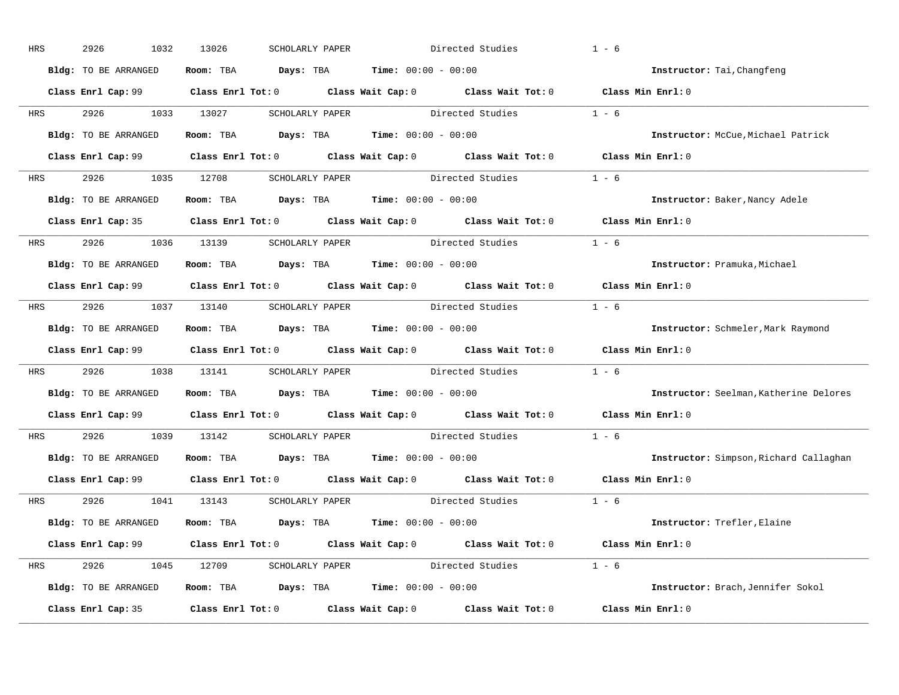| HRS        | 2926<br>1032         | 13026<br>SCHOLARLY PAPER                                                                 | Directed Studies                                                                                    | $1 - 6$                                |
|------------|----------------------|------------------------------------------------------------------------------------------|-----------------------------------------------------------------------------------------------------|----------------------------------------|
|            | Bldg: TO BE ARRANGED | Room: TBA $Days:$ TBA $Time: 00:00 - 00:00$                                              |                                                                                                     | Instructor: Tai, Changfeng             |
|            |                      |                                                                                          | Class Enrl Cap: 99 Class Enrl Tot: 0 Class Wait Cap: 0 Class Wait Tot: 0 Class Min Enrl: 0          |                                        |
| <b>HRS</b> | 2926 1033 13027      |                                                                                          | SCHOLARLY PAPER Directed Studies 1 - 6                                                              |                                        |
|            | Bldg: TO BE ARRANGED | Room: TBA Days: TBA Time: $00:00 - 00:00$                                                |                                                                                                     | Instructor: McCue, Michael Patrick     |
|            |                      |                                                                                          | Class Enrl Cap: 99 Class Enrl Tot: 0 Class Wait Cap: 0 Class Wait Tot: 0 Class Min Enrl: 0          |                                        |
| HRS        |                      |                                                                                          | 2926 1035 12708 SCHOLARLY PAPER Directed Studies 1 - 6                                              |                                        |
|            | Bldg: TO BE ARRANGED | Room: TBA $\rule{1em}{0.15mm}$ Days: TBA $\rule{1.5mm}{0.15mm}$ Time: $00:00 - 00:00$    |                                                                                                     | Instructor: Baker, Nancy Adele         |
|            |                      |                                                                                          | Class Enrl Cap: 35 Class Enrl Tot: 0 Class Wait Cap: 0 Class Wait Tot: 0 Class Min Enrl: 0          |                                        |
| <b>HRS</b> |                      |                                                                                          | 2926 1036 13139 SCHOLARLY PAPER Directed Studies 1 - 6                                              |                                        |
|            | Bldg: TO BE ARRANGED | Room: TBA $\rule{1em}{0.15mm}$ Days: TBA $\rule{1.15mm}]{0.15mm}$ Time: $0.000 - 0.0000$ |                                                                                                     | Instructor: Pramuka, Michael           |
|            |                      |                                                                                          | Class Enrl Cap: 99 Class Enrl Tot: 0 Class Wait Cap: 0 Class Wait Tot: 0 Class Min Enrl: 0          |                                        |
| HRS        |                      |                                                                                          | 2926 1037 13140 SCHOLARLY PAPER Directed Studies 1 - 6                                              |                                        |
|            | Bldg: TO BE ARRANGED | Room: TBA $\rule{1em}{0.15mm}$ Days: TBA Time: $00:00 - 00:00$                           |                                                                                                     | Instructor: Schmeler, Mark Raymond     |
|            |                      |                                                                                          | Class Enrl Cap: 99 Class Enrl Tot: 0 Class Wait Cap: 0 Class Wait Tot: 0 Class Min Enrl: 0          |                                        |
| <b>HRS</b> |                      |                                                                                          | 2926 1038 13141 SCHOLARLY PAPER Directed Studies                                                    | $1 - 6$                                |
|            | Bldg: TO BE ARRANGED | Room: TBA Days: TBA Time: $00:00 - 00:00$                                                |                                                                                                     | Instructor: Seelman, Katherine Delores |
|            |                      |                                                                                          | Class Enrl Cap: 99 $\qquad$ Class Enrl Tot: 0 $\qquad$ Class Wait Cap: 0 $\qquad$ Class Wait Tot: 0 | Class Min Enrl: 0                      |
| <b>HRS</b> | 2926 1039 13142      |                                                                                          | SCHOLARLY PAPER Directed Studies                                                                    | $1 - 6$                                |
|            | Bldg: TO BE ARRANGED | Room: TBA $\rule{1em}{0.15mm}$ Days: TBA Time: $00:00 - 00:00$                           |                                                                                                     | Instructor: Simpson, Richard Callaghan |
|            |                      |                                                                                          | Class Enrl Cap: 99 Class Enrl Tot: 0 Class Wait Cap: 0 Class Wait Tot: 0                            | Class Min Enrl: 0                      |
|            | HRS 2926             | 1041 13143 SCHOLARLY PAPER                                                               | Directed Studies 1 - 6                                                                              |                                        |
|            | Bldg: TO BE ARRANGED | Room: TBA $Days:$ TBA $Time: 00:00 - 00:00$                                              |                                                                                                     | <b>Instructor:</b> Trefler, Elaine     |
|            |                      |                                                                                          | Class Enrl Cap: 99 Class Enrl Tot: 0 Class Wait Cap: 0 Class Wait Tot: 0 Class Min Enrl: 0          |                                        |
| HRS        |                      |                                                                                          | 2926 1045 12709 SCHOLARLY PAPER Directed Studies 1 - 6                                              |                                        |
|            | Bldg: TO BE ARRANGED | Room: TBA $Days: TBA$ Time: $00:00 - 00:00$                                              |                                                                                                     | Instructor: Brach, Jennifer Sokol      |
|            | Class Enrl Cap: 35   |                                                                                          | Class Enrl Tot: $0$ Class Wait Cap: $0$ Class Wait Tot: $0$                                         | Class Min Enrl: 0                      |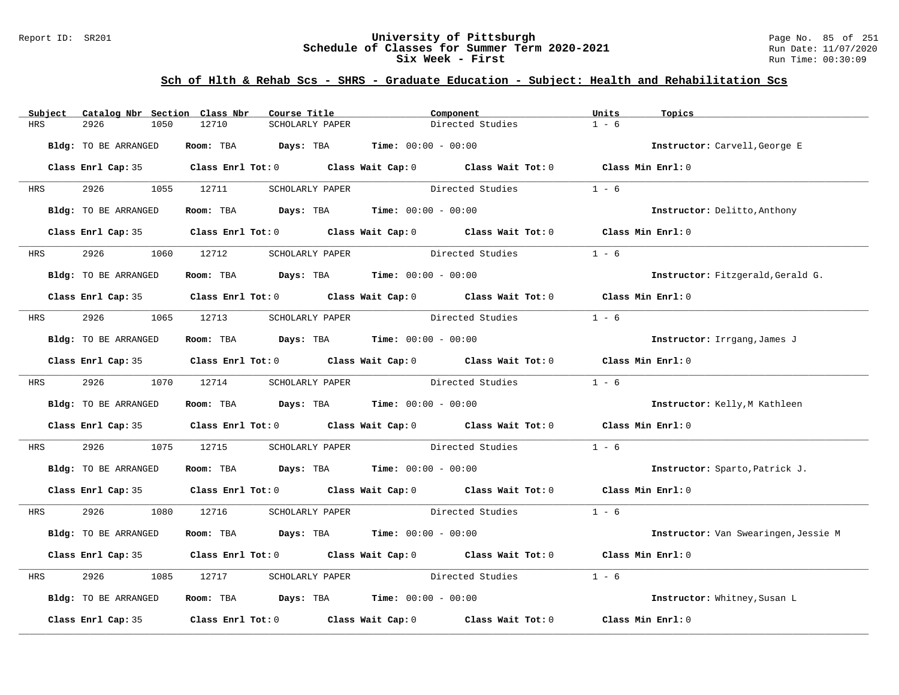### Report ID: SR201 **University of Pittsburgh** Page No. 85 of 251 **Schedule of Classes for Summer Term 2020-2021** Run Date: 11/07/2020 **Six Week - First Run Time: 00:30:09** Run Time: 00:30:09

| Subject    | Catalog Nbr Section Class Nbr | Course Title                                                                                                                                                                                                                  | Component                        |                  | Units<br>Topics                      |
|------------|-------------------------------|-------------------------------------------------------------------------------------------------------------------------------------------------------------------------------------------------------------------------------|----------------------------------|------------------|--------------------------------------|
| <b>HRS</b> | 2926<br>1050                  | 12710<br>SCHOLARLY PAPER                                                                                                                                                                                                      |                                  | Directed Studies | $1 - 6$                              |
|            | Bldg: TO BE ARRANGED          | Room: TBA Days: TBA                                                                                                                                                                                                           | <b>Time:</b> $00:00 - 00:00$     |                  | Instructor: Carvell, George E        |
|            |                               | Class Enrl Cap: 35 Class Enrl Tot: 0 Class Wait Cap: 0 Class Wait Tot: 0 Class Min Enrl: 0                                                                                                                                    |                                  |                  |                                      |
| HRS        | 2926 2012                     | 1055 12711<br>SCHOLARLY PAPER                                                                                                                                                                                                 |                                  | Directed Studies | $1 - 6$                              |
|            | Bldg: TO BE ARRANGED          | Room: TBA $Days:$ TBA $Time: 00:00 - 00:00$                                                                                                                                                                                   |                                  |                  | Instructor: Delitto, Anthony         |
|            |                               | Class Enrl Cap: 35 Class Enrl Tot: 0 Class Wait Cap: 0 Class Wait Tot: 0                                                                                                                                                      |                                  |                  | Class Min Enrl: 0                    |
| <b>HRS</b> | 2926                          | 1060 12712<br>SCHOLARLY PAPER                                                                                                                                                                                                 | Directed Studies                 |                  | $1 - 6$                              |
|            | Bldg: TO BE ARRANGED          | Room: TBA $\rule{1em}{0.15mm}$ Days: TBA $\rule{1.5mm}{0.15mm}$ Time: $00:00 - 00:00$                                                                                                                                         |                                  |                  | Instructor: Fitzgerald, Gerald G.    |
|            |                               | Class Enrl Cap: 35 $\,$ Class Enrl Tot: 0 $\,$ Class Wait Cap: 0 $\,$ Class Wait Tot: 0 $\,$ Class Wait Tot: 0 $\,$ Class Wait Tot: 0 $\,$ Class Wait Tot: 0 $\,$ Class Wait Tot: 0 $\,$ Class Wait Tot: 0 $\,$ Class Wait To |                                  |                  | Class Min Enrl: 0                    |
| HRS        | 2926 7                        | 1065 12713                                                                                                                                                                                                                    | SCHOLARLY PAPER Directed Studies |                  | $1 - 6$                              |
|            | Bldg: TO BE ARRANGED          | Room: TBA $\rule{1em}{0.15mm}$ Days: TBA Time: $00:00 - 00:00$                                                                                                                                                                |                                  |                  | Instructor: Irrgang, James J         |
|            |                               | Class Enrl Cap: 35 Class Enrl Tot: 0 Class Wait Cap: 0 Class Wait Tot: 0 Class Min Enrl: 0                                                                                                                                    |                                  |                  |                                      |
| <b>HRS</b> | 2926 1070 12714               |                                                                                                                                                                                                                               | SCHOLARLY PAPER Directed Studies |                  | $1 - 6$                              |
|            | Bldg: TO BE ARRANGED          | Room: TBA $Days:$ TBA $Time: 00:00 - 00:00$                                                                                                                                                                                   |                                  |                  | Instructor: Kelly, M Kathleen        |
|            |                               | Class Enrl Cap: 35 Class Enrl Tot: 0 Class Wait Cap: 0 Class Wait Tot: 0 Class Min Enrl: 0                                                                                                                                    |                                  |                  |                                      |
| HRS        | 2926<br>1075                  | 12715                                                                                                                                                                                                                         | SCHOLARLY PAPER Directed Studies |                  | $1 - 6$                              |
|            | Bldg: TO BE ARRANGED          | Room: TBA $Days:$ TBA $Time: 00:00 - 00:00$                                                                                                                                                                                   |                                  |                  | Instructor: Sparto, Patrick J.       |
|            |                               | Class Enrl Cap: 35 Class Enrl Tot: 0 Class Wait Cap: 0 Class Wait Tot: 0 Class Min Enrl: 0                                                                                                                                    |                                  |                  |                                      |
| HRS        | 2926 200                      | 1080 12716<br>SCHOLARLY PAPER                                                                                                                                                                                                 |                                  | Directed Studies | $1 - 6$                              |
|            | Bldg: TO BE ARRANGED          | Room: TBA $Days:$ TBA $Time: 00:00 - 00:00$                                                                                                                                                                                   |                                  |                  | Instructor: Van Swearingen, Jessie M |
|            |                               | Class Enrl Cap: 35 Class Enrl Tot: 0 Class Wait Cap: 0 Class Wait Tot: 0                                                                                                                                                      |                                  |                  | Class Min Enrl: 0                    |
| HRS        | 2926<br>1085                  | 12717<br>SCHOLARLY PAPER                                                                                                                                                                                                      |                                  | Directed Studies | $1 - 6$                              |
|            | Bldg: TO BE ARRANGED          | Room: TBA $Days:$ TBA $Time: 00:00 - 00:00$                                                                                                                                                                                   |                                  |                  | Instructor: Whitney, Susan L         |
|            | Class Enrl Cap: 35            | Class Enrl Tot: $0$ Class Wait Cap: $0$ Class Wait Tot: $0$                                                                                                                                                                   |                                  |                  | Class Min Enrl: 0                    |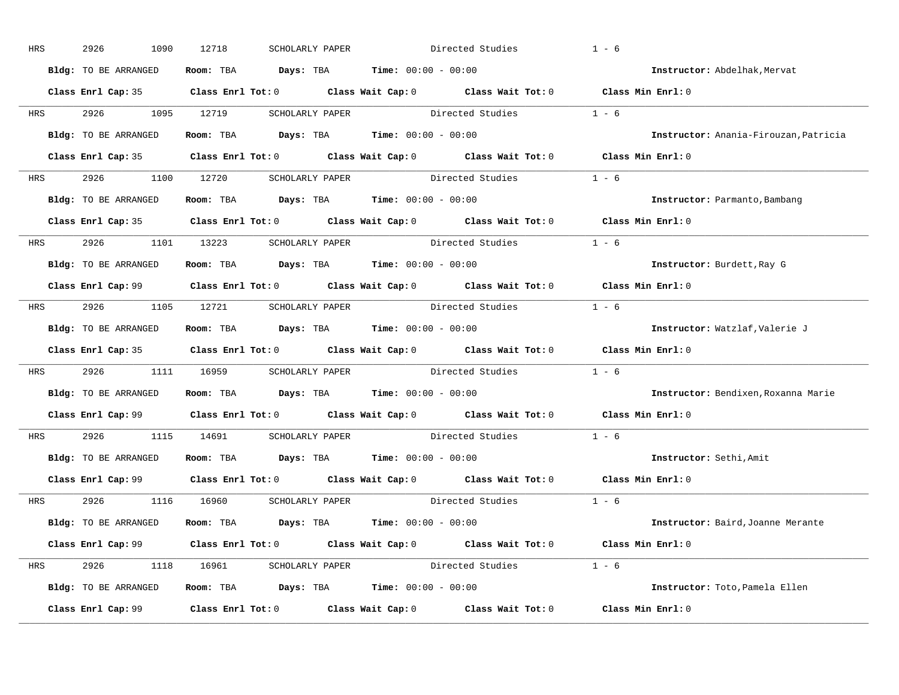| HRS        | 2926<br>1090         | 12718<br>SCHOLARLY PAPER                                     | Directed Studies                                                                           | $1 - 6$                               |
|------------|----------------------|--------------------------------------------------------------|--------------------------------------------------------------------------------------------|---------------------------------------|
|            | Bldg: TO BE ARRANGED | Room: TBA $Days:$ TBA $Time: 00:00 - 00:00$                  |                                                                                            | Instructor: Abdelhak, Mervat          |
|            |                      |                                                              | Class Enrl Cap: 35 Class Enrl Tot: 0 Class Wait Cap: 0 Class Wait Tot: 0 Class Min Enrl: 0 |                                       |
|            | HRS 2926 1095 12719  |                                                              | SCHOLARLY PAPER Directed Studies                                                           | $1 - 6$                               |
|            | Bldg: TO BE ARRANGED | Room: TBA $Days:$ TBA Time: $00:00 - 00:00$                  |                                                                                            | Instructor: Anania-Firouzan, Patricia |
|            |                      |                                                              | Class Enrl Cap: 35 Class Enrl Tot: 0 Class Wait Cap: 0 Class Wait Tot: 0 Class Min Enrl: 0 |                                       |
|            |                      |                                                              | HRS 2926 1100 12720 SCHOLARLY PAPER Directed Studies 1 - 6                                 |                                       |
|            | Bldg: TO BE ARRANGED | Room: TBA $Days:$ TBA $Time: 00:00 - 00:00$                  |                                                                                            | Instructor: Parmanto, Bambang         |
|            |                      |                                                              | Class Enrl Cap: 35 Class Enrl Tot: 0 Class Wait Cap: 0 Class Wait Tot: 0 Class Min Enrl: 0 |                                       |
|            |                      | HRS 2926 1101 13223 SCHOLARLY PAPER                          | Directed Studies                                                                           | $1 - 6$                               |
|            | Bldg: TO BE ARRANGED | Room: TBA $Days:$ TBA $Time: 00:00 - 00:00$                  |                                                                                            | Instructor: Burdett, Ray G            |
|            |                      |                                                              | Class Enrl Cap: 99 Class Enrl Tot: 0 Class Wait Cap: 0 Class Wait Tot: 0 Class Min Enrl: 0 |                                       |
| HRS        |                      |                                                              | 2926 1105 12721 SCHOLARLY PAPER Directed Studies 1 - 6                                     |                                       |
|            | Bldg: TO BE ARRANGED | Room: TBA $Days:$ TBA $Time: 00:00 - 00:00$                  |                                                                                            | Instructor: Watzlaf, Valerie J        |
|            |                      |                                                              | Class Enrl Cap: 35 Class Enrl Tot: 0 Class Wait Cap: 0 Class Wait Tot: 0 Class Min Enrl: 0 |                                       |
| <b>HRS</b> |                      |                                                              | 2926 1111 16959 SCHOLARLY PAPER Directed Studies 1 - 6                                     |                                       |
|            | Bldg: TO BE ARRANGED | Room: TBA $Days:$ TBA $Time: 00:00 - 00:00$                  |                                                                                            | Instructor: Bendixen, Roxanna Marie   |
|            |                      |                                                              | Class Enrl Cap: $99$ Class Enrl Tot: 0 Class Wait Cap: 0 Class Wait Tot: 0                 | Class Min Enrl: 0                     |
| <b>HRS</b> | 2926 1115 14691      |                                                              | SCHOLARLY PAPER Directed Studies                                                           | $1 - 6$                               |
|            |                      | Bldg: TO BE ARRANGED Room: TBA Days: TBA Time: 00:00 - 00:00 |                                                                                            | Instructor: Sethi, Amit               |
|            |                      |                                                              | Class Enrl Cap: 99 Class Enrl Tot: 0 Class Wait Cap: 0 Class Wait Tot: 0                   | Class Min Enrl: 0                     |
|            |                      | HRS 2926 1116 16960 SCHOLARLY PAPER                          | Directed Studies 1 - 6                                                                     |                                       |
|            | Bldg: TO BE ARRANGED | Room: TBA $Days:$ TBA $Time: 00:00 - 00:00$                  |                                                                                            | Instructor: Baird, Joanne Merante     |
|            |                      |                                                              | Class Enrl Cap: 99 Class Enrl Tot: 0 Class Wait Cap: 0 Class Wait Tot: 0 Class Min Enrl: 0 |                                       |
|            |                      |                                                              | HRS 2926 1118 16961 SCHOLARLY PAPER Directed Studies 1 - 6                                 |                                       |
|            | Bldg: TO BE ARRANGED | Room: TBA $Days: TBA$ Time: $00:00 - 00:00$                  |                                                                                            | Instructor: Toto, Pamela Ellen        |
|            | Class Enrl Cap: 99   |                                                              | Class Enrl Tot: $0$ Class Wait Cap: $0$ Class Wait Tot: $0$                                | Class Min Enrl: 0                     |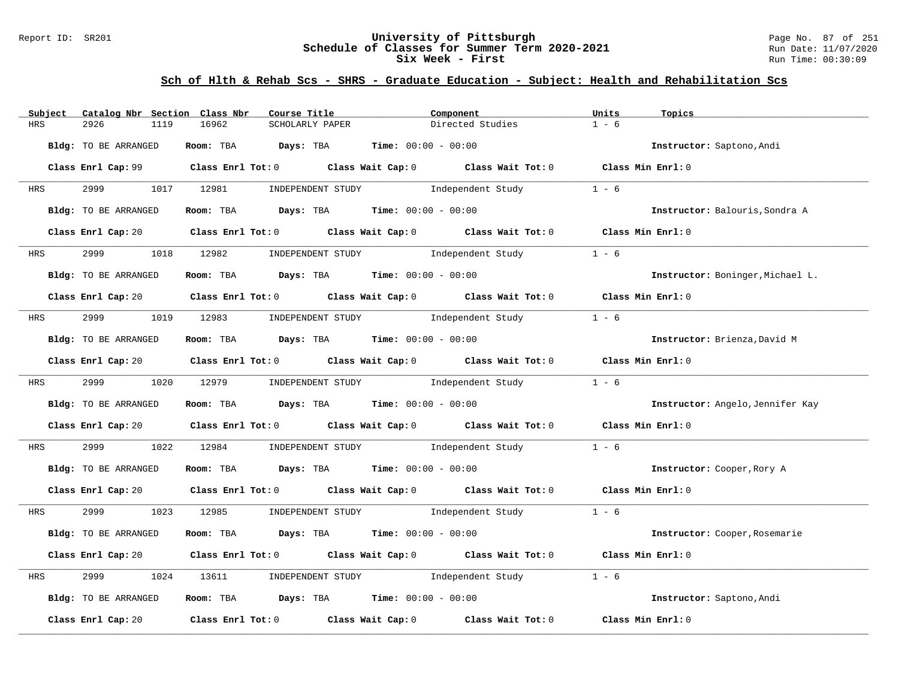### Report ID: SR201 **University of Pittsburgh** Page No. 87 of 251 **Schedule of Classes for Summer Term 2020-2021** Run Date: 11/07/2020 **Six Week - First Run Time: 00:30:09** Run Time: 00:30:09

| Catalog Nbr Section Class Nbr<br>Subject | Course Title                                                                                                                   | Component                           | Units<br>Topics                  |
|------------------------------------------|--------------------------------------------------------------------------------------------------------------------------------|-------------------------------------|----------------------------------|
| <b>HRS</b><br>2926<br>1119               | 16962<br>SCHOLARLY PAPER                                                                                                       | Directed Studies                    | $1 - 6$                          |
| Bldg: TO BE ARRANGED                     | Room: TBA Days: TBA                                                                                                            | <b>Time:</b> $00:00 - 00:00$        | Instructor: Saptono, Andi        |
|                                          | Class Enrl Cap: 99 Class Enrl Tot: 0 Class Wait Cap: 0 Class Wait Tot: 0 Class Min Enrl: 0                                     |                                     |                                  |
| 2999 720<br>HRS                          | 1017 12981                                                                                                                     | INDEPENDENT STUDY 1ndependent Study | $1 - 6$                          |
| Bldg: TO BE ARRANGED                     | Room: TBA $Days:$ TBA $Time: 00:00 - 00:00$                                                                                    |                                     | Instructor: Balouris, Sondra A   |
|                                          | Class Enrl Cap: 20 Class Enrl Tot: 0 Class Wait Cap: 0 Class Wait Tot: 0 Class Min Enrl: 0                                     |                                     |                                  |
| 2999 7<br><b>HRS</b>                     | 1018 12982                                                                                                                     | INDEPENDENT STUDY 1ndependent Study | $1 - 6$                          |
| Bldg: TO BE ARRANGED                     | Room: TBA $Days:$ TBA $Time:$ 00:00 - 00:00                                                                                    |                                     | Instructor: Boninger, Michael L. |
|                                          | Class Enrl Cap: 20 Class Enrl Tot: 0 Class Wait Cap: 0 Class Wait Tot: 0 Class Min Enrl: 0                                     |                                     |                                  |
| 2999 — 200<br><b>HRS</b>                 | 1019 12983                                                                                                                     | INDEPENDENT STUDY 1ndependent Study | $1 - 6$                          |
| Bldg: TO BE ARRANGED                     | Room: TBA $\rule{1em}{0.15mm}$ Days: TBA $\rule{1.15mm}]{0.15mm}$ Time: $0.000 - 0.0000$                                       |                                     | Instructor: Brienza, David M     |
|                                          | Class Enrl Cap: 20 Class Enrl Tot: 0 Class Wait Cap: 0 Class Wait Tot: 0 Class Min Enrl: 0                                     |                                     |                                  |
| 2999<br><b>HRS</b>                       | 1020 12979                                                                                                                     | INDEPENDENT STUDY 1ndependent Study | $1 - 6$                          |
| Bldg: TO BE ARRANGED                     | Room: TBA $Days:$ TBA $Time: 00:00 - 00:00$                                                                                    |                                     | Instructor: Angelo, Jennifer Kay |
|                                          | Class Enrl Cap: 20 Class Enrl Tot: 0 Class Wait Cap: 0 Class Wait Tot: 0 Class Min Enrl: 0                                     |                                     |                                  |
| 2999<br>HRS<br>1022                      | 12984                                                                                                                          | INDEPENDENT STUDY 1ndependent Study | $1 - 6$                          |
| Bldg: TO BE ARRANGED                     | Room: TBA $Days:$ TBA $Time: 00:00 - 00:00$                                                                                    |                                     | Instructor: Cooper, Rory A       |
|                                          | Class Enrl Cap: 20 $\qquad$ Class Enrl Tot: 0 $\qquad$ Class Wait Cap: 0 $\qquad$ Class Wait Tot: 0 $\qquad$ Class Min Enrl: 0 |                                     |                                  |
| 2999 120<br>HRS                          | 1023 12985 INDEPENDENT STUDY Independent Study 1 - 6                                                                           |                                     |                                  |
| Bldg: TO BE ARRANGED                     | Room: TBA $Days:$ TBA $Time: 00:00 - 00:00$                                                                                    |                                     | Instructor: Cooper, Rosemarie    |
|                                          | Class Enrl Cap: 20 Class Enrl Tot: 0 Class Wait Cap: 0 Class Wait Tot: 0 Class Min Enrl: 0                                     |                                     |                                  |
| 2999<br>1024<br>HRS                      | 13611                                                                                                                          | INDEPENDENT STUDY 1ndependent Study | $1 - 6$                          |
| Bldg: TO BE ARRANGED                     | Room: TBA $Days:$ TBA $Time: 00:00 - 00:00$                                                                                    |                                     | Instructor: Saptono, Andi        |
| Class Enrl Cap: 20                       | Class Enrl Tot: $0$ $Class$ Wait Cap: $0$ $Class$ Wait Tot: $0$                                                                |                                     | Class Min Enrl: 0                |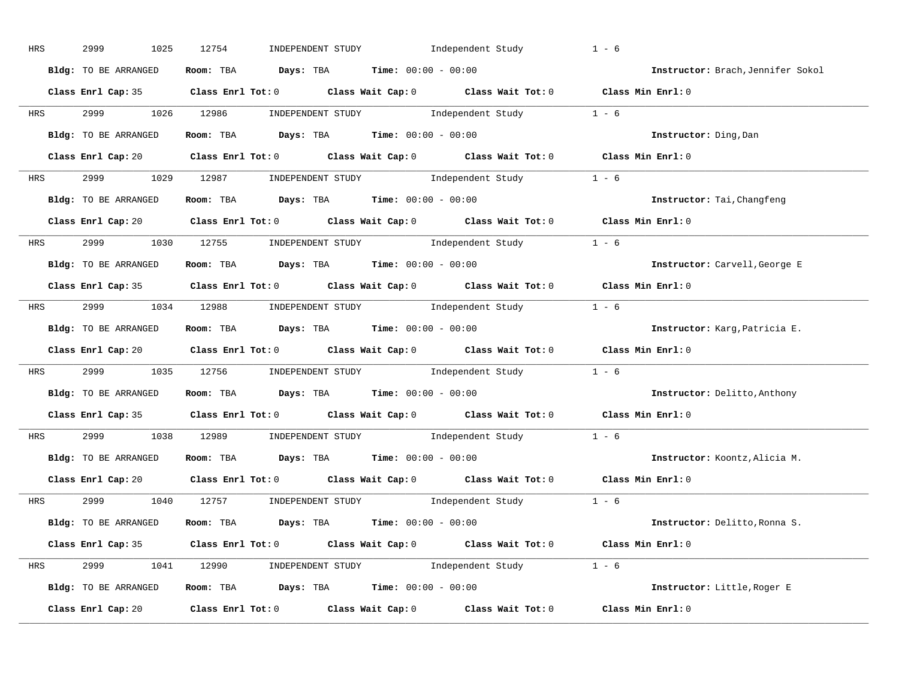| HRS        | 2999<br>1025         | 12754<br>INDEPENDENT STUDY Independent Study                                               | $1 - 6$                             |
|------------|----------------------|--------------------------------------------------------------------------------------------|-------------------------------------|
|            | Bldg: TO BE ARRANGED | Room: TBA $Days:$ TBA $Time: 00:00 - 00:00$                                                | Instructor: Brach, Jennifer Sokol   |
|            |                      | Class Enrl Cap: 35 Class Enrl Tot: 0 Class Wait Cap: 0 Class Wait Tot: 0 Class Min Enrl: 0 |                                     |
| <b>HRS</b> |                      | 2999 1026 12986 INDEPENDENT STUDY Independent Study 1 - 6                                  |                                     |
|            | Bldg: TO BE ARRANGED | Room: TBA $\rule{1em}{0.15mm}$ Days: TBA Time: $00:00 - 00:00$                             | Instructor: Ding, Dan               |
|            |                      | Class Enrl Cap: 20 Class Enrl Tot: 0 Class Wait Cap: 0 Class Wait Tot: 0 Class Min Enrl: 0 |                                     |
|            |                      | HRS 2999 1029 12987 INDEPENDENT STUDY Independent Study 1 - 6                              |                                     |
|            | Bldg: TO BE ARRANGED | Room: TBA $Days:$ TBA $Time:$ 00:00 - 00:00                                                | Instructor: Tai, Changfeng          |
|            |                      | Class Enrl Cap: 20 Class Enrl Tot: 0 Class Wait Cap: 0 Class Wait Tot: 0 Class Min Enrl: 0 |                                     |
|            |                      | HRS 2999 1030 12755 INDEPENDENT STUDY Independent Study 1 - 6                              |                                     |
|            | Bldg: TO BE ARRANGED | Room: TBA $\rule{1em}{0.15mm}$ Days: TBA $\rule{1.15mm}]{0.15mm}$ Time: $0.000 - 0.000$    | Instructor: Carvell, George E       |
|            |                      | Class Enrl Cap: 35 Class Enrl Tot: 0 Class Wait Cap: 0 Class Wait Tot: 0 Class Min Enrl: 0 |                                     |
|            |                      | HRS 2999 1034 12988 INDEPENDENT STUDY Independent Study 1 - 6                              |                                     |
|            | Bldg: TO BE ARRANGED | Room: TBA $\rule{1em}{0.15mm}$ Days: TBA Time: $00:00 - 00:00$                             | Instructor: Karg, Patricia E.       |
|            |                      | Class Enrl Cap: 20 Class Enrl Tot: 0 Class Wait Cap: 0 Class Wait Tot: 0 Class Min Enrl: 0 |                                     |
|            |                      | HRS 2999 1035 12756 INDEPENDENT STUDY Independent Study 1 - 6                              |                                     |
|            | Bldg: TO BE ARRANGED | Room: TBA $Days:$ TBA Time: $00:00 - 00:00$                                                | <b>Instructor:</b> Delitto, Anthony |
|            |                      | Class Enrl Cap: 35 Class Enrl Tot: 0 Class Wait Cap: 0 Class Wait Tot: 0 Class Min Enrl: 0 |                                     |
| <b>HRS</b> |                      | 2999 1038 12989 INDEPENDENT STUDY Independent Study 1 - 6                                  |                                     |
|            | Bldg: TO BE ARRANGED | Room: TBA $\rule{1em}{0.15mm}$ Days: TBA Time: $00:00 - 00:00$                             | Instructor: Koontz, Alicia M.       |
|            | Class Enrl Cap: 20   | Class Enrl Tot: $0$ Class Wait Cap: $0$ Class Wait Tot: $0$                                | Class Min Enrl: 0                   |
|            |                      | HRS 2999 1040 12757 INDEPENDENT STUDY Independent Study 1 - 6                              |                                     |
|            | Bldg: TO BE ARRANGED | Room: TBA $\rule{1em}{0.15mm}$ Days: TBA Time: $00:00 - 00:00$                             | Instructor: Delitto, Ronna S.       |
|            |                      | Class Enrl Cap: 35 Class Enrl Tot: 0 Class Wait Cap: 0 Class Wait Tot: 0 Class Min Enrl: 0 |                                     |
|            |                      | HRS 2999 1041 12990 INDEPENDENT STUDY Independent Study 1 - 6                              |                                     |
|            |                      | Bldg: TO BE ARRANGED Room: TBA Days: TBA Time: 00:00 - 00:00                               | Instructor: Little, Roger E         |
|            | Class Enrl Cap: 20   | Class Enrl Tot: $0$ Class Wait Cap: $0$ Class Wait Tot: $0$ Class Min Enrl: $0$            |                                     |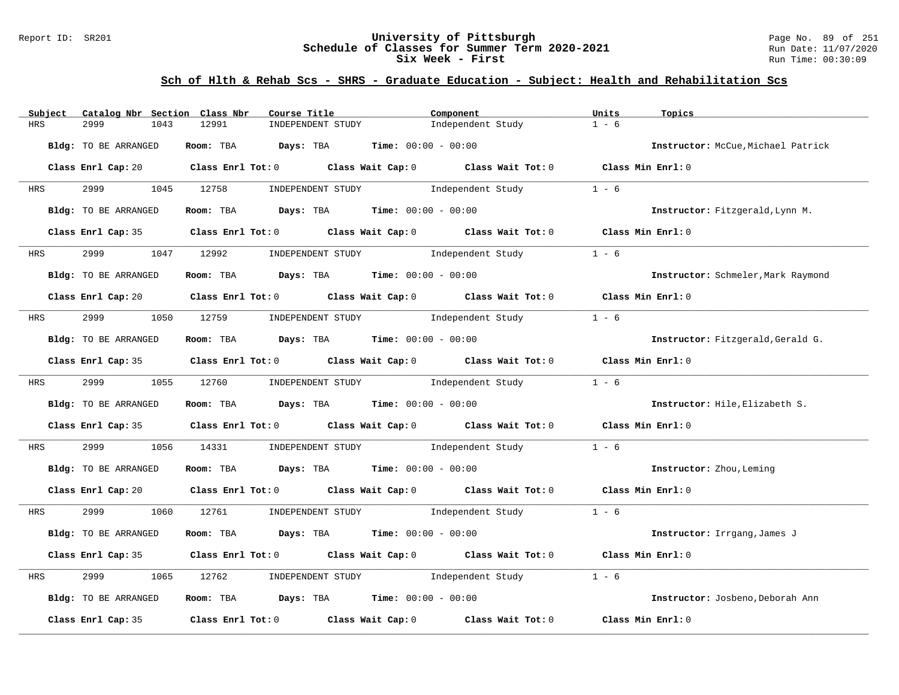### Report ID: SR201 **University of Pittsburgh** Page No. 89 of 251 **Schedule of Classes for Summer Term 2020-2021** Run Date: 11/07/2020 **Six Week - First Run Time: 00:30:09** Run Time: 00:30:09

| Catalog Nbr Section Class Nbr<br>Subject | Course Title                                                                                                                   | Component                               | Units<br>Topics                    |
|------------------------------------------|--------------------------------------------------------------------------------------------------------------------------------|-----------------------------------------|------------------------------------|
| <b>HRS</b><br>2999<br>1043               | 12991<br>INDEPENDENT STUDY                                                                                                     | Independent Study                       | $1 - 6$                            |
| Bldg: TO BE ARRANGED                     | Room: TBA Days: TBA                                                                                                            | <b>Time:</b> $00:00 - 00:00$            | Instructor: McCue, Michael Patrick |
|                                          | Class Enrl Cap: 20 $\qquad$ Class Enrl Tot: 0 $\qquad$ Class Wait Cap: 0 $\qquad$ Class Wait Tot: 0 $\qquad$ Class Min Enrl: 0 |                                         |                                    |
| 2999 — 200<br>HRS                        | 1045 12758<br>INDEPENDENT STUDY 1ndependent Study                                                                              |                                         | $1 - 6$                            |
| Bldg: TO BE ARRANGED                     | Room: TBA $Days:$ TBA $Time: 00:00 - 00:00$                                                                                    |                                         | Instructor: Fitzgerald, Lynn M.    |
|                                          | Class Enrl Cap: 35 Class Enrl Tot: 0 Class Wait Cap: 0 Class Wait Tot: 0 Class Min Enrl: 0                                     |                                         |                                    |
| 2999 — 200<br><b>HRS</b>                 | 1047 12992 INDEPENDENT STUDY Independent Study                                                                                 |                                         | $1 - 6$                            |
| Bldg: TO BE ARRANGED                     | Room: TBA $\rule{1em}{0.15mm}$ Days: TBA Time: $00:00 - 00:00$                                                                 |                                         | Instructor: Schmeler, Mark Raymond |
|                                          | Class Enrl Cap: 20 $\qquad$ Class Enrl Tot: 0 $\qquad$ Class Wait Cap: 0 $\qquad$ Class Wait Tot: 0                            |                                         | Class Min Enrl: 0                  |
| <b>HRS</b>                               | 2999 1050 12759 INDEPENDENT STUDY Independent Study                                                                            |                                         | $1 - 6$                            |
| Bldg: TO BE ARRANGED                     | Room: TBA $\rule{1em}{0.15mm}$ Days: TBA $\rule{1.5mm}{0.15mm}$ Time: $00:00 - 00:00$                                          |                                         | Instructor: Fitzgerald, Gerald G.  |
|                                          | Class Enrl Cap: 35 Class Enrl Tot: 0 Class Wait Cap: 0 Class Wait Tot: 0 Class Min Enrl: 0                                     |                                         |                                    |
| 2999 1055 12760<br><b>HRS</b>            |                                                                                                                                | INDEPENDENT STUDY The Independent Study | $1 - 6$                            |
| Bldg: TO BE ARRANGED                     | Room: TBA $Days:$ TBA $Time: 00:00 - 00:00$                                                                                    |                                         | Instructor: Hile, Elizabeth S.     |
|                                          | Class Enrl Cap: 35 Class Enrl Tot: 0 Class Wait Cap: 0 Class Wait Tot: 0 Class Min Enrl: 0                                     |                                         |                                    |
| 2999<br>1056<br>HRS                      | 14331 INDEPENDENT STUDY 1ndependent Study                                                                                      |                                         | $1 - 6$                            |
| Bldg: TO BE ARRANGED                     | Room: TBA $Days:$ TBA $Time: 00:00 - 00:00$                                                                                    |                                         | Instructor: Zhou, Leming           |
|                                          | Class Enrl Cap: 20 $\qquad$ Class Enrl Tot: 0 $\qquad$ Class Wait Cap: 0 $\qquad$ Class Wait Tot: 0 $\qquad$ Class Min Enrl: 0 |                                         |                                    |
| HRS                                      | 2999 1060 12761 INDEPENDENT STUDY Independent Study 1 - 6                                                                      |                                         |                                    |
| Bldg: TO BE ARRANGED                     | Room: TBA $Days:$ TBA $Time: 00:00 - 00:00$                                                                                    |                                         | Instructor: Irrgang, James J       |
|                                          | Class Enrl Cap: 35 Class Enrl Tot: 0 Class Wait Cap: 0 Class Wait Tot: 0                                                       |                                         | Class Min Enrl: 0                  |
| 2999<br>HRS<br>1065                      | INDEPENDENT STUDY 1ndependent Study<br>12762                                                                                   |                                         | $1 - 6$                            |
| Bldg: TO BE ARRANGED                     | Room: TBA $Days:$ TBA $Time: 00:00 - 00:00$                                                                                    |                                         | Instructor: Josbeno, Deborah Ann   |
| Class Enrl Cap: 35                       | Class Enrl Tot: 0 $\qquad$ Class Wait Cap: 0 $\qquad$ Class Wait Tot: 0                                                        |                                         | Class Min Enrl: 0                  |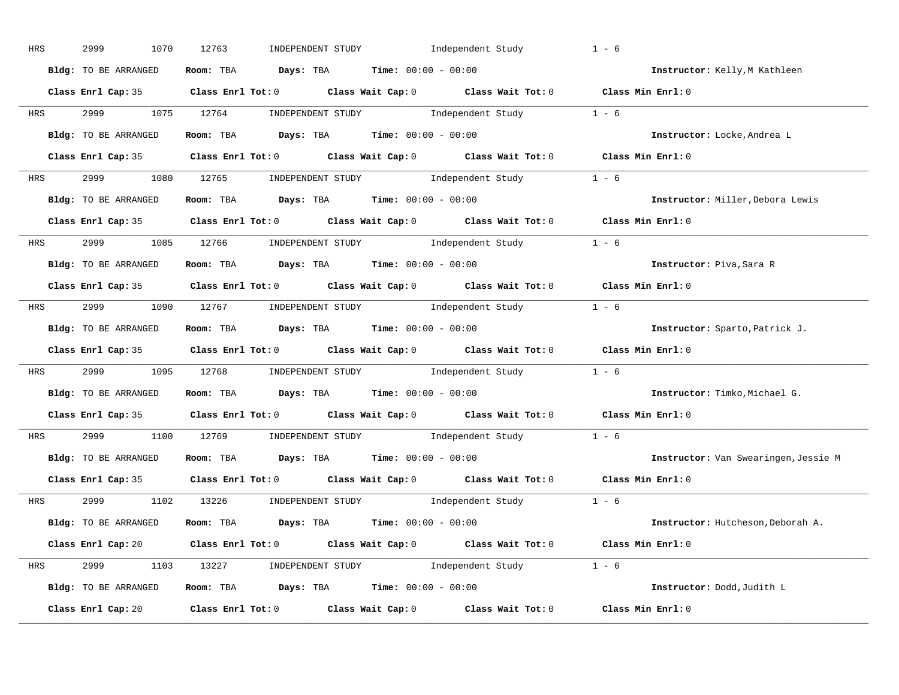| HRS        | 2999<br>1070         | 12763<br>INDEPENDENT STUDY Independent Study                                               | $1 - 6$                              |
|------------|----------------------|--------------------------------------------------------------------------------------------|--------------------------------------|
|            | Bldg: TO BE ARRANGED | Room: TBA $Days:$ TBA $Time: 00:00 - 00:00$                                                | Instructor: Kelly, M Kathleen        |
|            |                      | Class Enrl Cap: 35 Class Enrl Tot: 0 Class Wait Cap: 0 Class Wait Tot: 0 Class Min Enrl: 0 |                                      |
| <b>HRS</b> |                      | 2999 1075 12764 INDEPENDENT STUDY Independent Study 1 - 6                                  |                                      |
|            | Bldg: TO BE ARRANGED | Room: TBA $\rule{1em}{0.15mm}$ Days: TBA Time: $00:00 - 00:00$                             | Instructor: Locke, Andrea L          |
|            |                      | Class Enrl Cap: 35 Class Enrl Tot: 0 Class Wait Cap: 0 Class Wait Tot: 0 Class Min Enrl: 0 |                                      |
|            |                      | HRS 2999 1080 12765 INDEPENDENT STUDY Independent Study 1 - 6                              |                                      |
|            | Bldg: TO BE ARRANGED | Room: TBA $Days:$ TBA $Time: 00:00 - 00:00$                                                | Instructor: Miller, Debora Lewis     |
|            |                      | Class Enrl Cap: 35 Class Enrl Tot: 0 Class Wait Cap: 0 Class Wait Tot: 0 Class Min Enrl: 0 |                                      |
|            |                      | HRS 2999 1085 12766 INDEPENDENT STUDY Independent Study 1 - 6                              |                                      |
|            | Bldg: TO BE ARRANGED | Room: TBA $Days: TBA$ Time: $00:00 - 00:00$                                                | Instructor: Piva, Sara R             |
|            |                      | Class Enrl Cap: 35 Class Enrl Tot: 0 Class Wait Cap: 0 Class Wait Tot: 0 Class Min Enrl: 0 |                                      |
|            |                      | HRS 2999 1090 12767 INDEPENDENT STUDY Independent Study 1 - 6                              |                                      |
|            | Bldg: TO BE ARRANGED | Room: TBA $\rule{1em}{0.15mm}$ Days: TBA $\rule{1.15mm}]{0.15mm}$ Time: $0.000 - 0.000$    | Instructor: Sparto, Patrick J.       |
|            |                      | Class Enrl Cap: 35 Class Enrl Tot: 0 Class Wait Cap: 0 Class Wait Tot: 0 Class Min Enrl: 0 |                                      |
|            |                      | HRS 2999 1095 12768 INDEPENDENT STUDY Independent Study 1 - 6                              |                                      |
|            | Bldg: TO BE ARRANGED | Room: TBA $Days:$ TBA Time: $00:00 - 00:00$                                                | Instructor: Timko, Michael G.        |
|            |                      | Class Enrl Cap: 35 Class Enrl Tot: 0 Class Wait Cap: 0 Class Wait Tot: 0                   | Class Min Enrl: 0                    |
| <b>HRS</b> |                      | 2999 1100 12769 INDEPENDENT STUDY Independent Study 1 - 6                                  |                                      |
|            | Bldg: TO BE ARRANGED | Room: TBA $Days:$ TBA $Time: 00:00 - 00:00$                                                | Instructor: Van Swearingen, Jessie M |
|            |                      | Class Enrl Cap: 35 Class Enrl Tot: 0 Class Wait Cap: 0 Class Wait Tot: 0                   | Class Min Enrl: 0                    |
|            |                      | HRS 2999 1102 13226 INDEPENDENT STUDY Independent Study 1 - 6                              |                                      |
|            | Bldg: TO BE ARRANGED | Room: TBA $Days:$ TBA $Time: 00:00 - 00:00$                                                | Instructor: Hutcheson, Deborah A.    |
|            |                      | Class Enrl Cap: 20 Class Enrl Tot: 0 Class Wait Cap: 0 Class Wait Tot: 0 Class Min Enrl: 0 |                                      |
|            |                      | HRS 2999 1103 13227 INDEPENDENT STUDY Independent Study 1 - 6                              |                                      |
|            | Bldg: TO BE ARRANGED | Room: TBA $Days:$ TBA $Time:$ $00:00 - 00:00$                                              | Instructor: Dodd, Judith L           |
|            | Class Enrl Cap: 20   | Class Enrl Tot: $0$ Class Wait Cap: $0$ Class Wait Tot: $0$                                | Class Min Enrl: 0                    |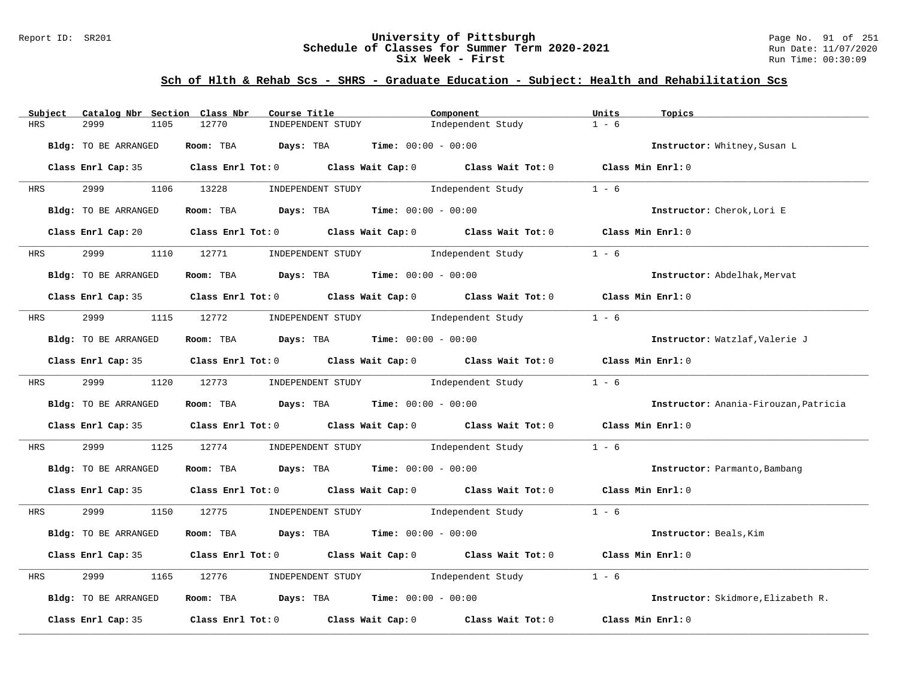### Report ID: SR201 **University of Pittsburgh** Page No. 91 of 251 **Schedule of Classes for Summer Term 2020-2021** Run Date: 11/07/2020 **Six Week - First Run Time: 00:30:09** Run Time: 00:30:09

| Catalog Nbr Section Class Nbr<br>Subject | Course Title                                                                               | Component                    | Units<br>Topics                       |
|------------------------------------------|--------------------------------------------------------------------------------------------|------------------------------|---------------------------------------|
| 2999<br><b>HRS</b><br>1105               | 12770<br>INDEPENDENT STUDY                                                                 | Independent Study            | $1 - 6$                               |
| Bldg: TO BE ARRANGED                     | Room: TBA Days: TBA                                                                        | <b>Time:</b> $00:00 - 00:00$ | Instructor: Whitney, Susan L          |
|                                          | Class Enrl Cap: 35 Class Enrl Tot: 0 Class Wait Cap: 0 Class Wait Tot: 0 Class Min Enrl: 0 |                              |                                       |
| 2999 — 200<br><b>HRS</b>                 | 1106 13228<br>INDEPENDENT STUDY 1ndependent Study                                          |                              | $1 - 6$                               |
| Bldg: TO BE ARRANGED                     | Room: TBA $Days:$ TBA $Time: 00:00 - 00:00$                                                |                              | Instructor: Cherok, Lori E            |
|                                          | Class Enrl Cap: 20 Class Enrl Tot: 0 Class Wait Cap: 0 Class Wait Tot: 0 Class Min Enrl: 0 |                              |                                       |
| 2999<br><b>HRS</b>                       | 1110 12771 INDEPENDENT STUDY Independent Study                                             |                              | $1 - 6$                               |
| Bldg: TO BE ARRANGED                     | Room: TBA $\rule{1em}{0.15mm}$ Days: TBA Time: $00:00 - 00:00$                             |                              | Instructor: Abdelhak, Mervat          |
|                                          | Class Enrl Cap: 35 Class Enrl Tot: 0 Class Wait Cap: 0 Class Wait Tot: 0 Class Min Enrl: 0 |                              |                                       |
| 2999 — 200<br><b>HRS</b>                 | 1115 12772 INDEPENDENT STUDY Independent Study                                             |                              | $1 - 6$                               |
| Bldg: TO BE ARRANGED                     | Room: TBA $\rule{1em}{0.15mm}$ Days: TBA Time: $00:00 - 00:00$                             |                              | Instructor: Watzlaf, Valerie J        |
|                                          | Class Enrl Cap: 35 Class Enrl Tot: 0 Class Wait Cap: 0 Class Wait Tot: 0 Class Min Enrl: 0 |                              |                                       |
|                                          | HRS 2999 1120 12773 INDEPENDENT STUDY Independent Study                                    |                              | $1 - 6$                               |
| Bldg: TO BE ARRANGED                     | Room: TBA $Days:$ TBA $Time: 00:00 - 00:00$                                                |                              | Instructor: Anania-Firouzan, Patricia |
|                                          | Class Enrl Cap: 35 Class Enrl Tot: 0 Class Wait Cap: 0 Class Wait Tot: 0 Class Min Enrl: 0 |                              |                                       |
| 2999<br>HRS                              | 1125 12774 INDEPENDENT STUDY Independent Study                                             |                              | $1 - 6$                               |
| Bldg: TO BE ARRANGED                     | Room: TBA $Days:$ TBA $Time: 00:00 - 00:00$                                                |                              | Instructor: Parmanto, Bambang         |
|                                          | Class Enrl Cap: 35 Class Enrl Tot: 0 Class Wait Cap: 0 Class Wait Tot: 0 Class Min Enrl: 0 |                              |                                       |
| HRS                                      | 2999 1150 12775 INDEPENDENT STUDY Independent Study 1 - 6                                  |                              |                                       |
| Bldg: TO BE ARRANGED                     | Room: TBA $Days:$ TBA $Time: 00:00 - 00:00$                                                |                              | Instructor: Beals, Kim                |
|                                          | Class Enrl Cap: 35 Class Enrl Tot: 0 Class Wait Cap: 0 Class Wait Tot: 0 Class Min Enrl: 0 |                              |                                       |
| 2999<br><b>HRS</b>                       | INDEPENDENT STUDY 1ndependent Study<br>1165 12776                                          |                              | $1 - 6$                               |
| Bldg: TO BE ARRANGED                     | Room: TBA $Days:$ TBA $Time: 00:00 - 00:00$                                                |                              | Instructor: Skidmore, Elizabeth R.    |
| Class Enrl Cap: 35                       | Class Enrl Tot: $0$ Class Wait Cap: $0$ Class Wait Tot: $0$                                |                              | Class Min Enrl: 0                     |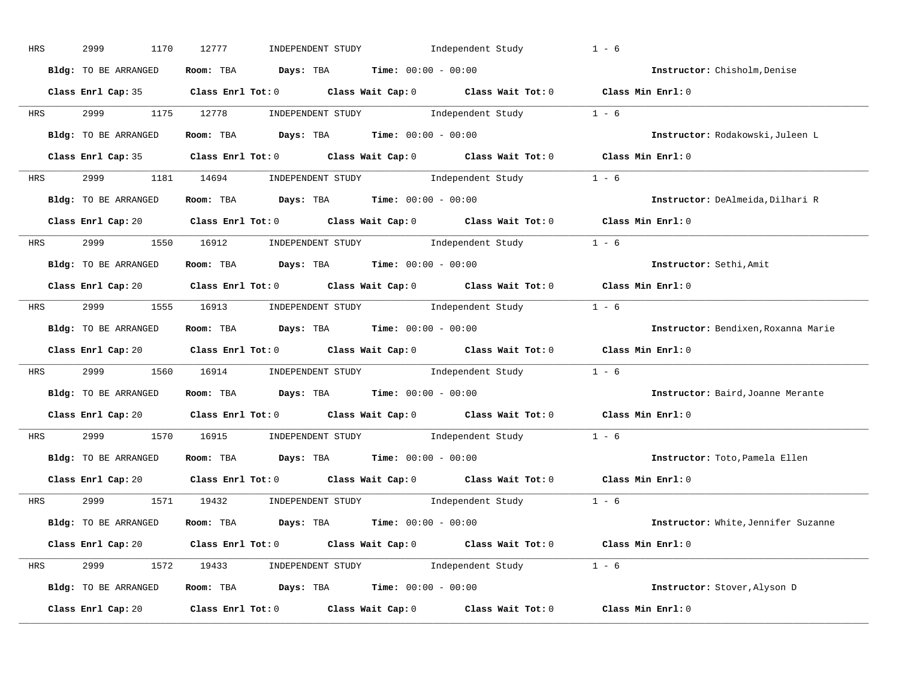| HRS        | 2999<br>1170         | 12777<br>INDEPENDENT STUDY<br>Independent Study                                            | $1 - 6$                             |
|------------|----------------------|--------------------------------------------------------------------------------------------|-------------------------------------|
|            | Bldg: TO BE ARRANGED | Room: TBA $Days:$ TBA $Time: 00:00 - 00:00$                                                | Instructor: Chisholm, Denise        |
|            |                      | Class Enrl Cap: 35 Class Enrl Tot: 0 Class Wait Cap: 0 Class Wait Tot: 0 Class Min Enrl: 0 |                                     |
| <b>HRS</b> |                      | 2999 1175 12778 INDEPENDENT STUDY Independent Study 1 - 6                                  |                                     |
|            | Bldg: TO BE ARRANGED | Room: TBA $\rule{1em}{0.15mm}$ Days: TBA Time: $00:00 - 00:00$                             | Instructor: Rodakowski, Juleen L    |
|            |                      | Class Enrl Cap: 35 Class Enrl Tot: 0 Class Wait Cap: 0 Class Wait Tot: 0 Class Min Enrl: 0 |                                     |
|            |                      | HRS 2999 1181 14694 INDEPENDENT STUDY Independent Study 1 - 6                              |                                     |
|            |                      | Bldg: TO BE ARRANGED ROOM: TBA Days: TBA Time: 00:00 - 00:00                               | Instructor: DeAlmeida, Dilhari R    |
|            |                      | Class Enrl Cap: 20 Class Enrl Tot: 0 Class Wait Cap: 0 Class Wait Tot: 0 Class Min Enrl: 0 |                                     |
|            |                      | HRS 2999 1550 16912 INDEPENDENT STUDY Independent Study 1 - 6                              |                                     |
|            | Bldg: TO BE ARRANGED | Room: TBA $Days: TBA$ Time: $00:00 - 00:00$                                                | Instructor: Sethi, Amit             |
|            |                      | Class Enrl Cap: 20 Class Enrl Tot: 0 Class Wait Cap: 0 Class Wait Tot: 0 Class Min Enrl: 0 |                                     |
|            |                      | HRS 2999 1555 16913 INDEPENDENT STUDY Independent Study 1 - 6                              |                                     |
|            | Bldg: TO BE ARRANGED | Room: TBA $\rule{1em}{0.15mm}$ Days: TBA $\rule{1.5mm}{0.15mm}$ Time: $00:00 - 00:00$      | Instructor: Bendixen, Roxanna Marie |
|            |                      | Class Enrl Cap: 20 Class Enrl Tot: 0 Class Wait Cap: 0 Class Wait Tot: 0 Class Min Enrl: 0 |                                     |
| <b>HRS</b> |                      | 2999 1560 16914 INDEPENDENT STUDY Independent Study 1 - 6                                  |                                     |
|            | Bldg: TO BE ARRANGED | Room: TBA $Days:$ TBA $Time: 00:00 - 00:00$                                                | Instructor: Baird, Joanne Merante   |
|            |                      | Class Enrl Cap: 20 Class Enrl Tot: 0 Class Wait Cap: 0 Class Wait Tot: 0                   | Class Min Enrl: 0                   |
| <b>HRS</b> | 2999 720             | 1570 16915 INDEPENDENT STUDY Independent Study 1 - 6                                       |                                     |
|            | Bldg: TO BE ARRANGED | Room: TBA $Days:$ TBA $Time: 00:00 - 00:00$                                                | Instructor: Toto, Pamela Ellen      |
|            | Class Enrl Cap: 20   | Class Enrl Tot: $0$ Class Wait Cap: $0$ Class Wait Tot: $0$                                | Class Min Enrl: 0                   |
|            | HRS 2999             | 1571 19432 INDEPENDENT STUDY Independent Study 1 - 6                                       |                                     |
|            |                      | Bldg: TO BE ARRANGED Room: TBA Days: TBA Time: 00:00 - 00:00                               | Instructor: White, Jennifer Suzanne |
|            |                      | Class Enrl Cap: 20 Class Enrl Tot: 0 Class Wait Cap: 0 Class Wait Tot: 0 Class Min Enrl: 0 |                                     |
|            |                      | HRS 2999 1572 19433 INDEPENDENT STUDY Independent Study 1 - 6                              |                                     |
|            | Bldg: TO BE ARRANGED | Room: TBA $Days:$ TBA $Time: 00:00 - 00:00$                                                | Instructor: Stover, Alyson D        |
|            | Class Enrl Cap: 20   | Class Enrl Tot: $0$ Class Wait Cap: $0$ Class Wait Tot: $0$                                | Class Min Enrl: 0                   |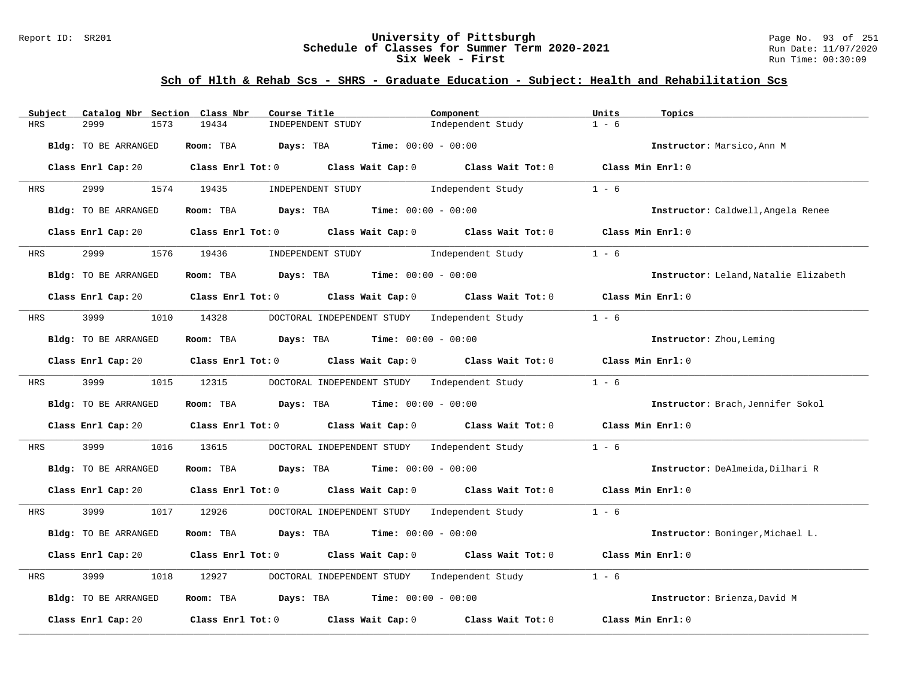### Report ID: SR201 **University of Pittsburgh** Page No. 93 of 251 **Schedule of Classes for Summer Term 2020-2021** Run Date: 11/07/2020 **Six Week - First Run Time: 00:30:09** Run Time: 00:30:09

| Catalog Nbr Section Class Nbr<br>Subject | Course Title                                                                                                                   | Component         | Units<br>Topics                       |
|------------------------------------------|--------------------------------------------------------------------------------------------------------------------------------|-------------------|---------------------------------------|
| <b>HRS</b><br>2999<br>1573               | 19434<br>INDEPENDENT STUDY                                                                                                     | Independent Study | $1 - 6$                               |
| Bldg: TO BE ARRANGED                     | Room: TBA<br>Days: TBA<br><b>Time:</b> $00:00 - 00:00$                                                                         |                   | Instructor: Marsico, Ann M            |
|                                          | Class Enrl Cap: 20 $\qquad$ Class Enrl Tot: 0 $\qquad$ Class Wait Cap: 0 $\qquad$ Class Wait Tot: 0 $\qquad$ Class Min Enrl: 0 |                   |                                       |
| 2999<br>HRS                              | 1574 19435<br>INDEPENDENT STUDY                                                                                                | Independent Study | $1 - 6$                               |
| Bldg: TO BE ARRANGED                     | Room: TBA $Days:$ TBA $Time: 00:00 - 00:00$                                                                                    |                   | Instructor: Caldwell, Angela Renee    |
| Class Enrl Cap: 20                       | Class Enrl Tot: $0$ Class Wait Cap: $0$ Class Wait Tot: $0$                                                                    |                   | Class Min Enrl: 0                     |
| 2999<br><b>HRS</b>                       | 1576 19436<br>INDEPENDENT STUDY 1ndependent Study                                                                              |                   | $1 - 6$                               |
| Bldg: TO BE ARRANGED                     | Room: TBA $Days:$ TBA $Time: 00:00 - 00:00$                                                                                    |                   | Instructor: Leland, Natalie Elizabeth |
|                                          | Class Enrl Cap: 20 $\qquad$ Class Enrl Tot: 0 $\qquad$ Class Wait Cap: 0 $\qquad$ Class Wait Tot: 0                            |                   | Class Min Enrl: 0                     |
| 3999<br>HRS                              | 1010 14328 DOCTORAL INDEPENDENT STUDY Independent Study                                                                        |                   | $1 - 6$                               |
| Bldg: TO BE ARRANGED                     | Room: TBA $\rule{1em}{0.15mm}$ Days: TBA Time: $00:00 - 00:00$                                                                 |                   | Instructor: Zhou, Leming              |
| Class Enrl Cap: 20                       | Class Enrl Tot: $0$ Class Wait Cap: $0$ Class Wait Tot: $0$                                                                    |                   | Class Min Enrl: 0                     |
| 3999 200<br><b>HRS</b>                   | 1015 12315<br>DOCTORAL INDEPENDENT STUDY Independent Study                                                                     |                   | $1 - 6$                               |
| Bldg: TO BE ARRANGED                     | Room: TBA $Days:$ TBA $Time: 00:00 - 00:00$                                                                                    |                   | Instructor: Brach, Jennifer Sokol     |
| Class Enrl Cap: 20                       | Class Enrl Tot: $0$ Class Wait Cap: $0$ Class Wait Tot: $0$                                                                    |                   | Class Min Enrl: 0                     |
| 3999<br>1016<br>HRS                      | DOCTORAL INDEPENDENT STUDY Independent Study<br>13615                                                                          |                   | $1 - 6$                               |
| Bldg: TO BE ARRANGED                     | Room: TBA $Days:$ TBA $Time: 00:00 - 00:00$                                                                                    |                   | Instructor: DeAlmeida, Dilhari R      |
|                                          | Class Enrl Cap: 20 $\qquad$ Class Enrl Tot: 0 $\qquad$ Class Wait Cap: 0 $\qquad$ Class Wait Tot: 0 $\qquad$ Class Min Enrl: 0 |                   |                                       |
| 3999<br>HRS                              | 1017 12926<br>DOCTORAL INDEPENDENT STUDY Independent Study                                                                     |                   | $1 - 6$                               |
| Bldg: TO BE ARRANGED                     | Room: TBA<br>Days: TBA<br><b>Time:</b> $00:00 - 00:00$                                                                         |                   | Instructor: Boninger, Michael L.      |
|                                          | Class Enrl Cap: 20 $\qquad$ Class Enrl Tot: 0 $\qquad$ Class Wait Cap: 0 $\qquad$ Class Wait Tot: 0                            |                   | Class Min Enrl: 0                     |
| 3999<br>1018<br>HRS                      | DOCTORAL INDEPENDENT STUDY Independent Study<br>12927                                                                          |                   | $1 - 6$                               |
| Bldg: TO BE ARRANGED                     | Room: TBA $Days:$ TBA $Time: 00:00 - 00:00$                                                                                    |                   | Instructor: Brienza, David M          |
| Class Enrl Cap: 20                       | Class Enrl Tot: 0 Class Wait Cap: 0                                                                                            | Class Wait Tot: 0 | Class Min Enrl: 0                     |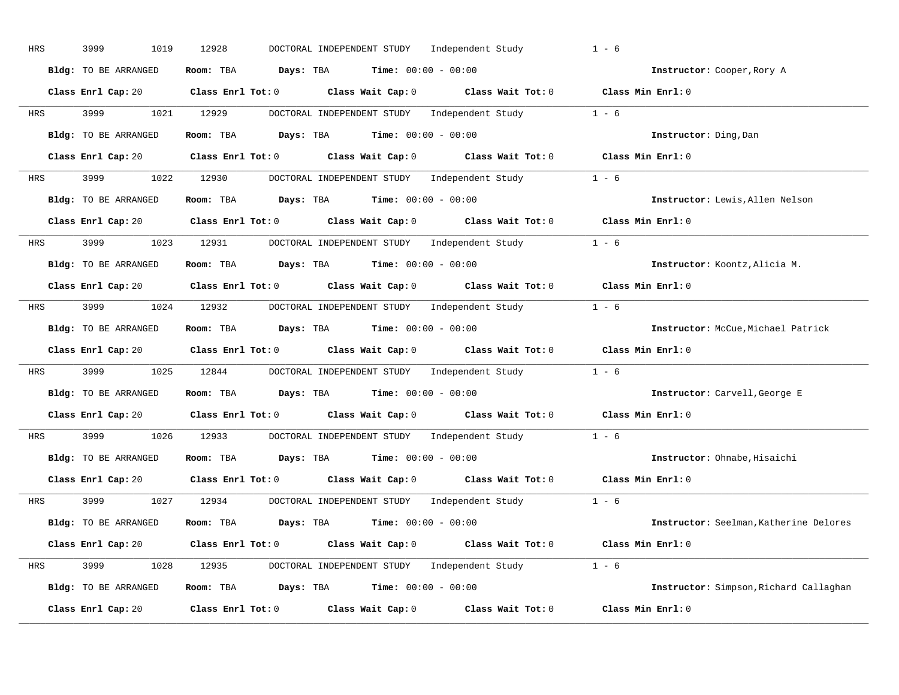| HRS | 3999<br>1019         | 12928<br>DOCTORAL INDEPENDENT STUDY<br>Independent Study                                            | $1 - 6$                                |
|-----|----------------------|-----------------------------------------------------------------------------------------------------|----------------------------------------|
|     | Bldg: TO BE ARRANGED | Room: TBA $Days:$ TBA $Time: 00:00 - 00:00$                                                         | Instructor: Cooper, Rory A             |
|     |                      | Class Enrl Cap: 20 Class Enrl Tot: 0 Class Wait Cap: 0 Class Wait Tot: 0 Class Min Enrl: 0          |                                        |
| HRS | 3999                 | DOCTORAL INDEPENDENT STUDY Independent Study 1 - 6<br>1021 12929                                    |                                        |
|     | Bldg: TO BE ARRANGED | Room: TBA $Days:$ TBA $Time: 00:00 - 00:00$                                                         | Instructor: Ding, Dan                  |
|     | Class Enrl Cap: 20   | Class Enrl Tot: 0 Class Wait Cap: 0 Class Wait Tot: 0 Class Min Enrl: 0                             |                                        |
| HRS | 3999 1022 12930      | DOCTORAL INDEPENDENT STUDY Independent Study 1 - 6                                                  |                                        |
|     | Bldg: TO BE ARRANGED | Room: TBA $Days:$ TBA $Time: 00:00 - 00:00$                                                         | Instructor: Lewis, Allen Nelson        |
|     |                      | Class Enrl Cap: 20 Class Enrl Tot: 0 Class Wait Cap: 0 Class Wait Tot: 0 Class Min Enrl: 0          |                                        |
| HRS | 3999 (1984)          | 1023 12931 DOCTORAL INDEPENDENT STUDY Independent Study 1 - 6                                       |                                        |
|     | Bldg: TO BE ARRANGED | Room: TBA $Days:$ TBA $Time: 00:00 - 00:00$                                                         | Instructor: Koontz, Alicia M.          |
|     |                      | Class Enrl Cap: 20 Class Enrl Tot: 0 Class Wait Cap: 0 Class Wait Tot: 0 Class Min Enrl: 0          |                                        |
| HRS |                      | 3999 1024 12932 DOCTORAL INDEPENDENT STUDY Independent Study 1 - 6                                  |                                        |
|     | Bldg: TO BE ARRANGED | Room: TBA $Days:$ TBA $Time: 00:00 - 00:00$                                                         | Instructor: McCue, Michael Patrick     |
|     |                      | Class Enrl Cap: 20 Class Enrl Tot: 0 Class Wait Cap: 0 Class Wait Tot: 0 Class Min Enrl: 0          |                                        |
| HRS | 3999<br>1025         | 12844 DOCTORAL INDEPENDENT STUDY Independent Study                                                  | $1 - 6$                                |
|     | Bldg: TO BE ARRANGED | Room: TBA $Days:$ TBA Time: $00:00 - 00:00$                                                         | Instructor: Carvell, George E          |
|     |                      | Class Enrl Cap: 20 $\qquad$ Class Enrl Tot: 0 $\qquad$ Class Wait Cap: 0 $\qquad$ Class Wait Tot: 0 | Class Min Enrl: 0                      |
| HRS | 3999 700             | 1026 12933<br>DOCTORAL INDEPENDENT STUDY Independent Study                                          | $1 - 6$                                |
|     | Bldg: TO BE ARRANGED | Room: TBA $Days:$ TBA $Time: 00:00 - 00:00$                                                         | Instructor: Ohnabe, Hisaichi           |
|     | Class Enrl Cap: 20   | Class Enrl Tot: $0$ Class Wait Cap: $0$ Class Wait Tot: $0$                                         | Class Min Enrl: 0                      |
| HRS | 3999                 | DOCTORAL INDEPENDENT STUDY Independent Study 1 - 6<br>1027 12934                                    |                                        |
|     | Bldg: TO BE ARRANGED | Room: TBA $Days:$ TBA $Time: 00:00 - 00:00$                                                         | Instructor: Seelman, Katherine Delores |
|     |                      | Class Enrl Cap: 20 Class Enrl Tot: 0 Class Wait Cap: 0 Class Wait Tot: 0 Class Min Enrl: 0          |                                        |
| HRS | 3999 700             | 1028 12935 DOCTORAL INDEPENDENT STUDY Independent Study 1 - 6                                       |                                        |
|     | Bldg: TO BE ARRANGED | Room: TBA $Days:$ TBA $Time: 00:00 - 00:00$                                                         | Instructor: Simpson, Richard Callaghan |
|     | Class Enrl Cap: 20   | Class Enrl Tot: $0$ Class Wait Cap: $0$ Class Wait Tot: $0$                                         | Class Min Enrl: 0                      |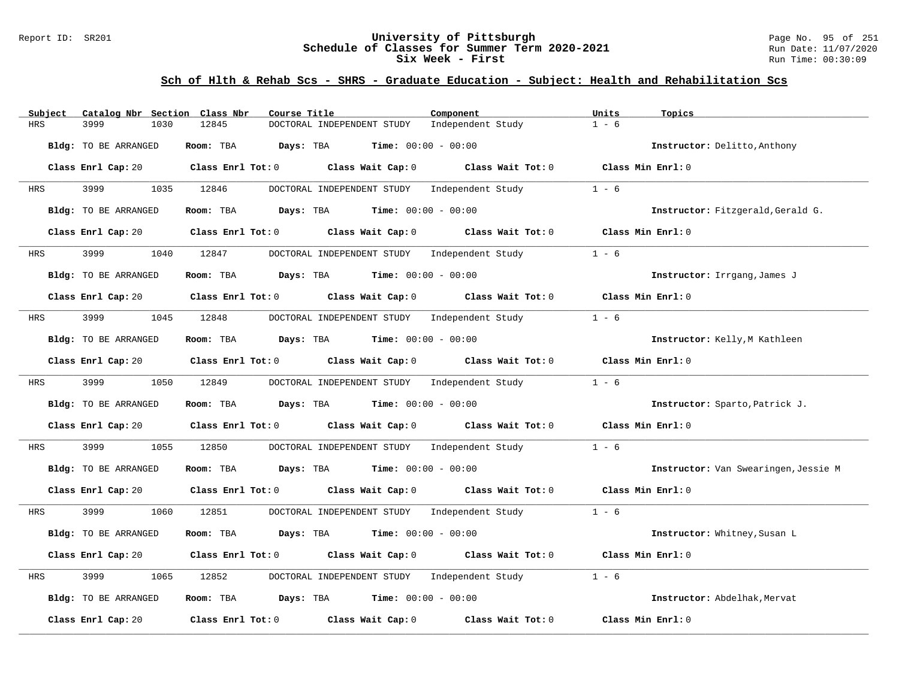### Report ID: SR201 **University of Pittsburgh** Page No. 95 of 251 **Schedule of Classes for Summer Term 2020-2021** Run Date: 11/07/2020 **Six Week - First Run Time: 00:30:09** Run Time: 00:30:09

| Catalog Nbr Section Class Nbr<br>Subject | Course Title                                                                          | Component                    | Units<br>Topics                      |
|------------------------------------------|---------------------------------------------------------------------------------------|------------------------------|--------------------------------------|
| 3999<br><b>HRS</b><br>1030               | 12845<br>DOCTORAL INDEPENDENT STUDY                                                   | Independent Study            | $1 - 6$                              |
| Bldg: TO BE ARRANGED                     | Room: TBA<br>Days: TBA                                                                | <b>Time:</b> $00:00 - 00:00$ | Instructor: Delitto, Anthony         |
| Class Enrl Cap: 20                       | Class Enrl Tot: $0$ Class Wait Cap: $0$ Class Wait Tot: $0$                           |                              | Class Min Enrl: 0                    |
| 3999<br>1035<br>HRS                      | 12846<br>DOCTORAL INDEPENDENT STUDY Independent Study                                 |                              | $1 - 6$                              |
| <b>Bldg:</b> TO BE ARRANGED              | <b>Days:</b> TBA <b>Time:</b> $00:00 - 00:00$<br>Room: TBA                            |                              | Instructor: Fitzgerald, Gerald G.    |
| Class Enrl Cap: 20                       | Class Enrl Tot: 0 Class Wait Cap: 0                                                   | Class Wait Tot: 0            | Class Min $Err1:0$                   |
| 3999<br>1040<br>HRS                      | DOCTORAL INDEPENDENT STUDY Independent Study<br>12847                                 |                              | $1 - 6$                              |
| Bldg: TO BE ARRANGED                     | $\texttt{Days:}$ TBA $\texttt{Time:}$ 00:00 - 00:00<br>Room: TBA                      |                              | Instructor: Irrgang, James J         |
| Class Enrl Cap: 20                       | Class Enrl Tot: $0$ Class Wait Cap: $0$ Class Wait Tot: $0$                           |                              | Class Min Enrl: 0                    |
| 3999<br>1045<br>HRS                      | 12848<br>DOCTORAL INDEPENDENT STUDY Independent Study                                 |                              | $1 - 6$                              |
| Bldg: TO BE ARRANGED                     | Room: TBA<br>$\texttt{DayS:}$ TBA $\texttt{Time:}$ 00:00 - 00:00                      |                              | Instructor: Kelly, M Kathleen        |
| Class Enrl Cap: 20                       | Class Enrl Tot: 0 Class Wait Cap: 0                                                   | Class Wait Tot: 0            | Class Min Enrl: 0                    |
| 3999<br>1050<br>HRS                      | 12849<br>DOCTORAL INDEPENDENT STUDY Independent Study                                 |                              | $1 - 6$                              |
| Bldg: TO BE ARRANGED                     | Room: TBA<br><b>Days:</b> TBA <b>Time:</b> $00:00 - 00:00$                            |                              | Instructor: Sparto, Patrick J.       |
| Class Enrl Cap: 20                       | Class Enrl Tot: 0 Class Wait Cap: 0 Class Wait Tot: 0                                 |                              | Class Min Enrl: 0                    |
| 3999<br>1055<br>HRS                      | 12850<br>DOCTORAL INDEPENDENT STUDY Independent Study                                 |                              | $1 - 6$                              |
| Bldg: TO BE ARRANGED                     | Room: TBA $Days:$ TBA $Time: 00:00 - 00:00$                                           |                              | Instructor: Van Swearingen, Jessie M |
| Class Enrl Cap: 20                       | Class Enrl Tot: 0 Class Wait Cap: 0 Class Wait Tot: 0                                 |                              | Class Min Enrl: 0                    |
| 3999<br>1060<br>HRS                      | 12851<br>DOCTORAL INDEPENDENT STUDY Independent Study                                 |                              | $1 - 6$                              |
| Bldg: TO BE ARRANGED                     | Days: TBA<br>Room: TBA                                                                | <b>Time:</b> $00:00 - 00:00$ | Instructor: Whitney, Susan L         |
| Class Enrl Cap: 20                       | Class Enrl Tot: 0 Class Wait Cap: 0 Class Wait Tot: 0                                 |                              | Class Min Enrl: 0                    |
| 3999<br>HRS<br>1065                      | DOCTORAL INDEPENDENT STUDY Independent Study<br>12852                                 |                              | $1 - 6$                              |
| Bldg: TO BE ARRANGED                     | Room: TBA $\rule{1em}{0.15mm}$ Days: TBA $\rule{1.5mm}{0.15mm}$ Time: $00:00 - 00:00$ |                              | Instructor: Abdelhak, Mervat         |
| Class Enrl Cap: 20                       | Class Enrl Tot: 0 Class Wait Cap: 0                                                   | Class Wait Tot: 0            | Class Min Enrl: 0                    |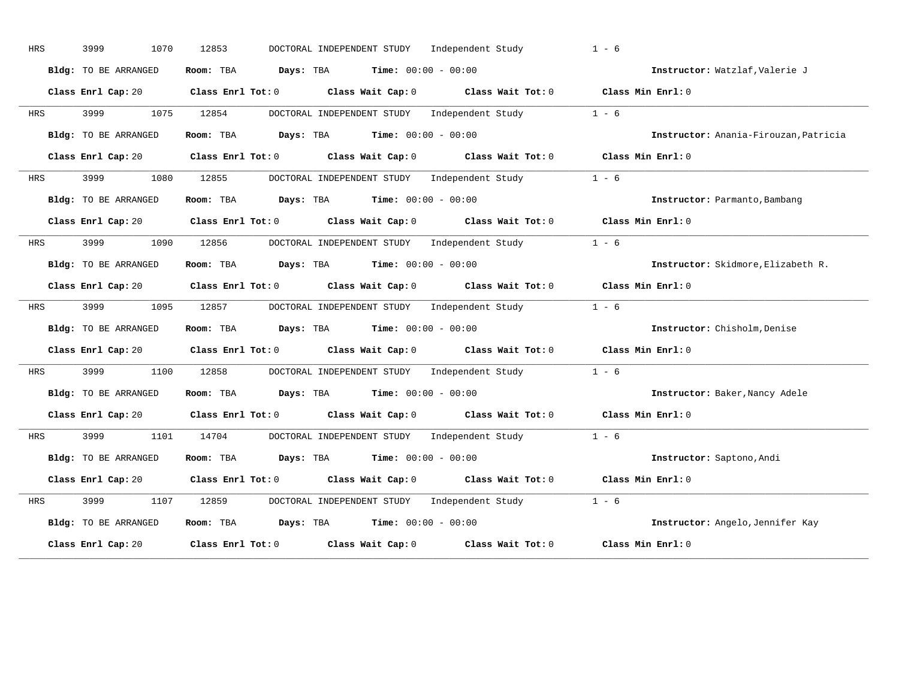| HRS        | 3999<br>1070         | 12853                   | DOCTORAL INDEPENDENT STUDY                    |                       | Independent Study                                  | $1 - 6$                               |
|------------|----------------------|-------------------------|-----------------------------------------------|-----------------------|----------------------------------------------------|---------------------------------------|
|            | Bldg: TO BE ARRANGED | Room: TBA               | Days: TBA                                     |                       | <b>Time:</b> $00:00 - 00:00$                       | Instructor: Watzlaf, Valerie J        |
|            | Class Enrl Cap: 20   | $Class$ $Enr1$ $Tot: 0$ |                                               | Class Wait Cap: 0     | Class Wait Tot: 0                                  | Class Min Enrl: 0                     |
| HRS        | 3999<br>1075         | 12854                   |                                               |                       | DOCTORAL INDEPENDENT STUDY Independent Study       | $1 - 6$                               |
|            | Bldg: TO BE ARRANGED | Room: TBA               | Days: TBA                                     |                       | <b>Time:</b> $00:00 - 00:00$                       | Instructor: Anania-Firouzan, Patricia |
|            | Class Enrl Cap: 20   | $Class$ $Enr1$ $Tot: 0$ |                                               | Class Wait Cap: 0     | Class Wait Tot: 0                                  | Class Min Enrl: 0                     |
| HRS        | 3999<br>1080         | 12855                   |                                               |                       | DOCTORAL INDEPENDENT STUDY Independent Study 1 - 6 |                                       |
|            | Bldg: TO BE ARRANGED | Room: TBA               | Days: TBA                                     |                       | <b>Time:</b> $00:00 - 00:00$                       | Instructor: Parmanto, Bambang         |
|            | Class Enrl Cap: 20   | $Class$ $Enrl$ $Tot: 0$ |                                               | Class Wait Cap: 0     | Class Wait Tot: 0                                  | Class Min Enrl: 0                     |
| <b>HRS</b> | 3999<br>1090         | 12856                   |                                               |                       | DOCTORAL INDEPENDENT STUDY Independent Study       | $1 - 6$                               |
|            | Bldg: TO BE ARRANGED | Room: TBA               | Days: TBA                                     | $Time: 00:00 - 00:00$ |                                                    | Instructor: Skidmore, Elizabeth R.    |
|            | Class Enrl Cap: 20   | $Class$ $Enr1$ $Tot: 0$ |                                               | Class Wait Cap: 0     | Class Wait Tot: 0                                  | Class Min Enrl: 0                     |
| HRS        | 3999<br>1095         | 12857                   |                                               |                       | DOCTORAL INDEPENDENT STUDY Independent Study       | $1 - 6$                               |
|            | Bldg: TO BE ARRANGED | Room: TBA               | Days: TBA                                     |                       | <b>Time:</b> $00:00 - 00:00$                       | Instructor: Chisholm, Denise          |
|            | Class Enrl Cap: 20   | $Class$ $Enrl$ $Tot: 0$ |                                               | Class Wait Cap: 0     | Class Wait Tot: 0                                  | Class Min Enrl: 0                     |
| HRS        | 3999<br>1100         | 12858                   |                                               |                       | DOCTORAL INDEPENDENT STUDY Independent Study 1 - 6 |                                       |
|            | Bldg: TO BE ARRANGED | Room: TBA               | Days: TBA                                     |                       | <b>Time:</b> $00:00 - 00:00$                       | Instructor: Baker, Nancy Adele        |
|            | Class Enrl Cap: 20   | $Class$ $Enr1$ $Tot: 0$ |                                               | Class Wait Cap: 0     | Class Wait Tot: 0                                  | Class Min Enrl: 0                     |
| HRS        | 3999<br>1101         | 14704                   |                                               |                       | DOCTORAL INDEPENDENT STUDY Independent Study       | $1 - 6$                               |
|            | Bldg: TO BE ARRANGED | Room: TBA               | <b>Days:</b> TBA <b>Time:</b> $00:00 - 00:00$ |                       |                                                    | Instructor: Saptono, Andi             |
|            | Class Enrl Cap: 20   | $Class$ $Enr1$ $Tot: 0$ |                                               | Class Wait Cap: 0     | Class Wait Tot: 0                                  | Class Min Enrl: 0                     |
| HRS        | 3999<br>1107         | 12859                   |                                               |                       | DOCTORAL INDEPENDENT STUDY Independent Study       | $1 - 6$                               |
|            | Bldg: TO BE ARRANGED | Room: TBA               | Days: TBA                                     |                       | <b>Time:</b> $00:00 - 00:00$                       | Instructor: Angelo, Jennifer Kay      |
|            |                      |                         |                                               |                       |                                                    |                                       |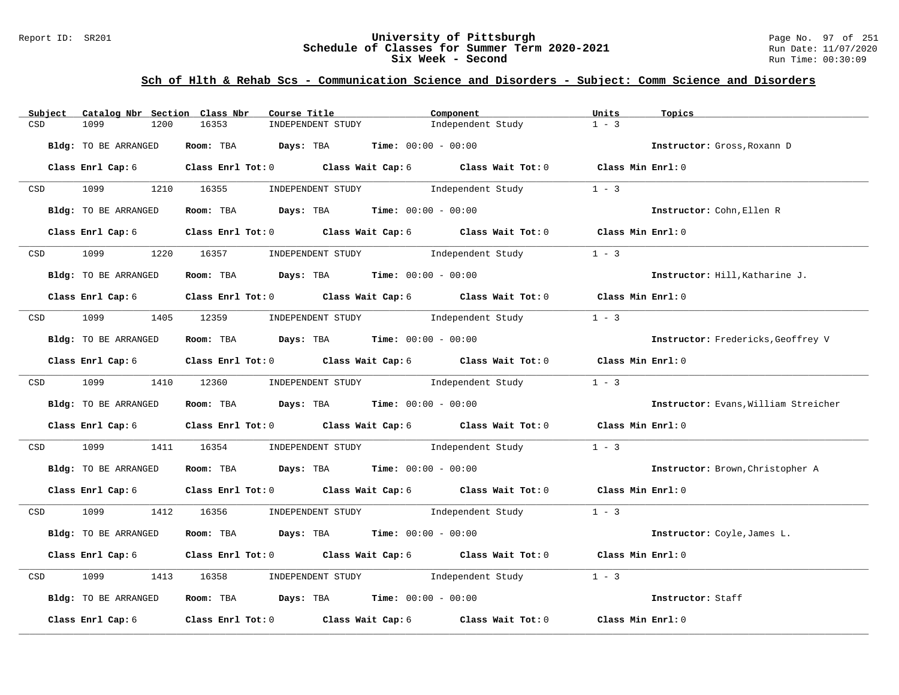#### Report ID: SR201 **University of Pittsburgh** Page No. 97 of 251 **Schedule of Classes for Summer Term 2020-2021** Run Date: 11/07/2020 **Six Week - Second Run Time: 00:30:09**

| Subject          | Catalog Nbr Section Class Nbr | Course Title                                                                                       | Component                           | Units<br>Topics   |                                      |
|------------------|-------------------------------|----------------------------------------------------------------------------------------------------|-------------------------------------|-------------------|--------------------------------------|
| CSD              | 1099<br>1200                  | 16353<br>INDEPENDENT STUDY                                                                         | Independent Study                   | $1 - 3$           |                                      |
|                  | Bldg: TO BE ARRANGED          | Room: TBA $Days:$ TBA $Time: 00:00 - 00:00$                                                        |                                     |                   | Instructor: Gross, Roxann D          |
|                  | Class Enrl Cap: 6             | Class Enrl Tot: 0 Class Wait Cap: 6 Class Wait Tot: 0 Class Min Enrl: 0                            |                                     |                   |                                      |
| CSD <sub>c</sub> | 1099                          | 1210 16355<br>INDEPENDENT STUDY                                                                    | Independent Study                   | $1 - 3$           |                                      |
|                  | Bldg: TO BE ARRANGED          | Room: TBA $Days:$ TBA $Time: 00:00 - 00:00$                                                        |                                     |                   | Instructor: Cohn, Ellen R            |
|                  | Class Enrl Cap: 6             | Class Enrl Tot: 0 Class Wait Cap: 6 Class Wait Tot: 0 Class Min Enrl: 0                            |                                     |                   |                                      |
| CSD <sub>c</sub> | 1099                          | 1220 16357 INDEPENDENT STUDY                                                                       | Independent Study                   | $1 - 3$           |                                      |
|                  | Bldg: TO BE ARRANGED          | Room: TBA $Days:$ TBA $Time: 00:00 - 00:00$                                                        |                                     |                   | Instructor: Hill, Katharine J.       |
|                  | Class Enrl Cap: 6             | Class Enrl Tot: 0 $\qquad$ Class Wait Cap: 6 $\qquad$ Class Wait Tot: 0 $\qquad$ Class Min Enrl: 0 |                                     |                   |                                      |
|                  |                               | CSD 1099 1405 12359 INDEPENDENT STUDY Independent Study                                            |                                     | $1 - 3$           |                                      |
|                  | Bldg: TO BE ARRANGED          | Room: TBA $Days:$ TBA $Time: 00:00 - 00:00$                                                        |                                     |                   | Instructor: Fredericks, Geoffrey V   |
|                  | Class Enrl Cap: 6             | Class Enrl Tot: $0$ Class Wait Cap: $6$ Class Wait Tot: $0$ Class Min Enrl: $0$                    |                                     |                   |                                      |
|                  | CSD 1099 1410 12360           | INDEPENDENT STUDY 1ndependent Study                                                                |                                     | $1 - 3$           |                                      |
|                  | Bldg: TO BE ARRANGED          | Room: TBA $Days:$ TBA $Time: 00:00 - 00:00$                                                        |                                     |                   | Instructor: Evans, William Streicher |
|                  |                               | Class Enrl Cap: 6 Class Enrl Tot: 0 Class Wait Cap: 6 Class Wait Tot: 0 Class Min Enrl: 0          |                                     |                   |                                      |
| CSD              | 1099                          | 1411 16354                                                                                         | INDEPENDENT STUDY 1ndependent Study | $1 - 3$           |                                      |
|                  | Bldg: TO BE ARRANGED          | Room: TBA $Days:$ TBA $Time: 00:00 - 00:00$                                                        |                                     |                   | Instructor: Brown, Christopher A     |
|                  |                               | Class Enrl Cap: 6 Class Enrl Tot: 0 Class Wait Cap: 6 Class Wait Tot: 0 Class Min Enrl: 0          |                                     |                   |                                      |
|                  |                               | CSD 1099 1412 16356 INDEPENDENT STUDY Independent Study 1 - 3                                      |                                     |                   |                                      |
|                  | Bldg: TO BE ARRANGED          | Room: TBA $Days:$ TBA $Time: 00:00 - 00:00$                                                        |                                     |                   | Instructor: Coyle, James L.          |
|                  |                               | Class Enrl Cap: 6 Class Enrl Tot: 0 Class Wait Cap: 6 Class Wait Tot: 0 Class Min Enrl: 0          |                                     |                   |                                      |
| CSD              | 1099<br>1413                  | INDEPENDENT STUDY 1ndependent Study<br>16358                                                       |                                     | $1 - 3$           |                                      |
|                  | Bldg: TO BE ARRANGED          | Room: TBA $Days:$ TBA $Time: 00:00 - 00:00$                                                        |                                     | Instructor: Staff |                                      |
|                  | Class Enrl Cap: 6             | Class Enrl Tot: 0 Class Wait Cap: 6 Class Wait Tot: 0 Class Min Enrl: 0                            |                                     |                   |                                      |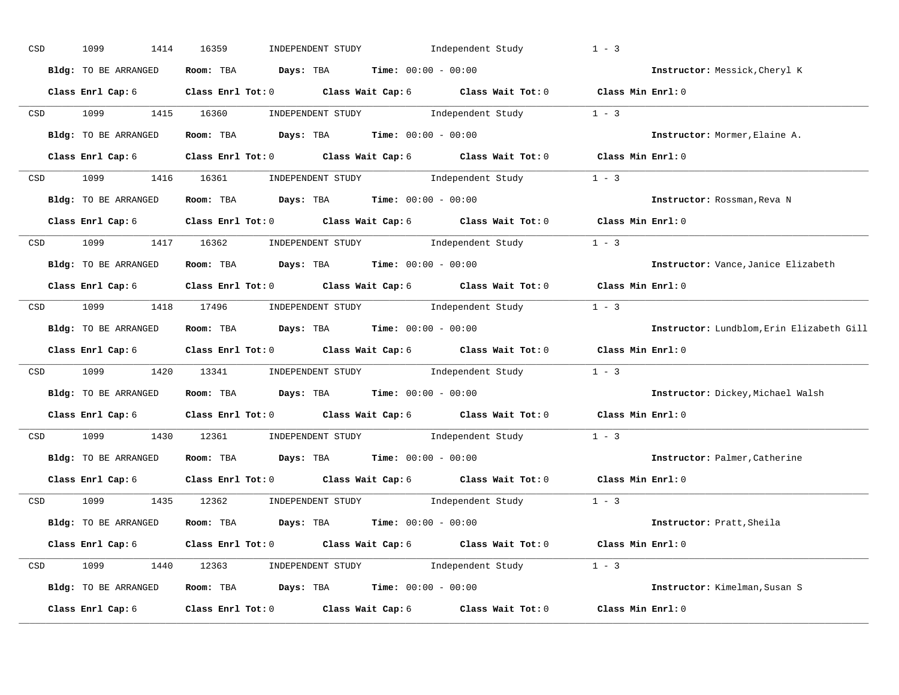| CSD |                  | 1099<br>1414         | 16359<br>INDEPENDENT STUDY                                                                                                                                                                                                                                                                                                                                                                                                      | Independent Study | $1 - 3$                                   |
|-----|------------------|----------------------|---------------------------------------------------------------------------------------------------------------------------------------------------------------------------------------------------------------------------------------------------------------------------------------------------------------------------------------------------------------------------------------------------------------------------------|-------------------|-------------------------------------------|
|     |                  | Bldg: TO BE ARRANGED | Room: TBA $Days:$ TBA $Time: 00:00 - 00:00$                                                                                                                                                                                                                                                                                                                                                                                     |                   | Instructor: Messick, Cheryl K             |
|     |                  |                      | Class Enrl Cap: 6 Class Enrl Tot: 0 Class Wait Cap: 6 Class Wait Tot: 0 Class Min Enrl: 0                                                                                                                                                                                                                                                                                                                                       |                   |                                           |
|     |                  | CSD 1099             | $\begin{minipage}[c]{0.9\linewidth} \textbf{INDEX} & \textbf{STUDY} \\ \textbf{1 - 3} & \textbf{1 - 3} \\ \textbf{2 - 1} & \textbf{1 - 3} \\ \textbf{3 - 2} & \textbf{1 - 3} \\ \textbf{4 - 3} & \textbf{1 - 3} \\ \textbf{5 - 4} & \textbf{1 - 3} \\ \textbf{6 - 1} & \textbf{1 - 3} \\ \textbf{7 - 2} & \textbf{1 - 3} \\ \textbf{8 - 1} & \textbf{1 - 3} \\ \textbf{9 - 1} & \textbf{1 - 3} \\ \textbf{1 - 3}$<br>1415 16360 |                   |                                           |
|     |                  | Bldg: TO BE ARRANGED | Room: TBA $Days:$ TBA Time: $00:00 - 00:00$                                                                                                                                                                                                                                                                                                                                                                                     |                   | Instructor: Mormer, Elaine A.             |
|     |                  | Class Enrl Cap: 6    | Class Enrl Tot: 0 Class Wait Cap: 6 Class Wait Tot: 0 Class Min Enrl: 0                                                                                                                                                                                                                                                                                                                                                         |                   |                                           |
|     |                  |                      | CSD 1099 1416 16361 INDEPENDENT STUDY Independent Study 1 - 3                                                                                                                                                                                                                                                                                                                                                                   |                   |                                           |
|     |                  |                      | Bldg: TO BE ARRANGED Room: TBA Days: TBA Time: 00:00 - 00:00                                                                                                                                                                                                                                                                                                                                                                    |                   | Instructor: Rossman, Reva N               |
|     |                  |                      | Class Enrl Cap: 6 Class Enrl Tot: 0 Class Wait Cap: 6 Class Wait Tot: 0 Class Min Enrl: 0                                                                                                                                                                                                                                                                                                                                       |                   |                                           |
|     |                  |                      | CSD 1099 1417 16362 INDEPENDENT STUDY Independent Study 1 - 3                                                                                                                                                                                                                                                                                                                                                                   |                   |                                           |
|     |                  | Bldg: TO BE ARRANGED | Room: TBA $\rule{1em}{0.15mm}$ Days: TBA $\rule{1.15mm}]{0.15mm}$ Time: $0.000 - 0.000$                                                                                                                                                                                                                                                                                                                                         |                   | Instructor: Vance, Janice Elizabeth       |
|     |                  |                      | Class Enrl Cap: 6 Class Enrl Tot: 0 Class Wait Cap: 6 Class Wait Tot: 0 Class Min Enrl: 0                                                                                                                                                                                                                                                                                                                                       |                   |                                           |
|     |                  |                      | CSD 1099 1418 17496 INDEPENDENT STUDY Independent Study 1 - 3                                                                                                                                                                                                                                                                                                                                                                   |                   |                                           |
|     |                  | Bldg: TO BE ARRANGED | <b>Room:</b> TBA $Days:$ TBA $Time: 00:00 - 00:00$                                                                                                                                                                                                                                                                                                                                                                              |                   | Instructor: Lundblom, Erin Elizabeth Gill |
|     |                  |                      | Class Enrl Cap: 6 Class Enrl Tot: 0 Class Wait Cap: 6 Class Wait Tot: 0 Class Min Enrl: 0                                                                                                                                                                                                                                                                                                                                       |                   |                                           |
|     |                  |                      | CSD 1099 1420 13341 INDEPENDENT STUDY Independent Study 1 - 3                                                                                                                                                                                                                                                                                                                                                                   |                   |                                           |
|     |                  | Bldg: TO BE ARRANGED | Room: TBA $Days:$ TBA $Time: 00:00 - 00:00$                                                                                                                                                                                                                                                                                                                                                                                     |                   | Instructor: Dickey, Michael Walsh         |
|     |                  |                      | Class Enrl Cap: 6 Class Enrl Tot: 0 Class Wait Cap: 6 Class Wait Tot: 0                                                                                                                                                                                                                                                                                                                                                         |                   | Class Min Enrl: 0                         |
|     | CSD <sub>c</sub> | 1099 700             | 1430 12361 INDEPENDENT STUDY                                                                                                                                                                                                                                                                                                                                                                                                    | Independent Study | $1 - 3$                                   |
|     |                  | Bldg: TO BE ARRANGED | Room: TBA $Days:$ TBA $Time: 00:00 - 00:00$                                                                                                                                                                                                                                                                                                                                                                                     |                   | Instructor: Palmer, Catherine             |
|     |                  |                      | Class Enrl Cap: 6 $\qquad$ Class Enrl Tot: 0 $\qquad$ Class Wait Cap: 6 $\qquad$ Class Wait Tot: 0                                                                                                                                                                                                                                                                                                                              |                   | Class Min Enrl: 0                         |
|     |                  |                      | CSD 1099 1435 12362 INDEPENDENT STUDY Independent Study 1 - 3                                                                                                                                                                                                                                                                                                                                                                   |                   |                                           |
|     |                  | Bldg: TO BE ARRANGED | Room: TBA $\rule{1em}{0.15mm}$ Days: TBA $\rule{1.15mm}]{0.15mm}$ Time: $0.000 - 0.000$                                                                                                                                                                                                                                                                                                                                         |                   | Instructor: Pratt, Sheila                 |
|     |                  | Class Enrl Cap: 6    | Class Enrl Tot: 0 $\qquad$ Class Wait Cap: 6 $\qquad$ Class Wait Tot: 0 $\qquad$ Class Min Enrl: 0                                                                                                                                                                                                                                                                                                                              |                   |                                           |
|     |                  |                      | CSD 1099 1440 12363 INDEPENDENT STUDY Independent Study 1 - 3                                                                                                                                                                                                                                                                                                                                                                   |                   |                                           |
|     |                  |                      | Bldg: TO BE ARRANGED Room: TBA Days: TBA Time: 00:00 - 00:00                                                                                                                                                                                                                                                                                                                                                                    |                   | Instructor: Kimelman, Susan S             |
|     |                  | Class Enrl Cap: 6    | Class Enrl Tot: $0$ Class Wait Cap: $6$ Class Wait Tot: $0$                                                                                                                                                                                                                                                                                                                                                                     |                   | Class Min Enrl: 0                         |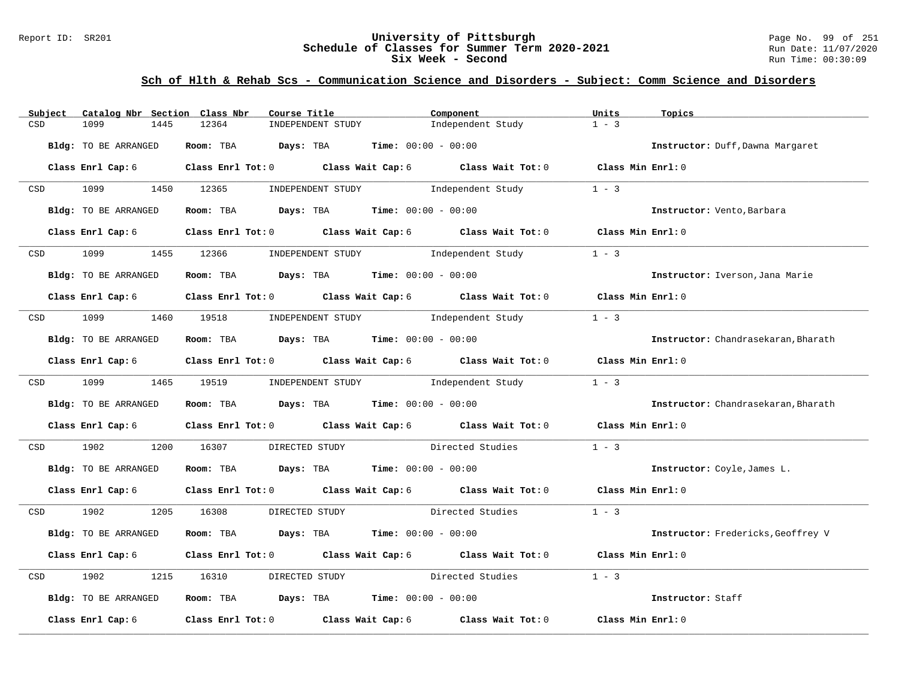#### Report ID: SR201 **University of Pittsburgh** Page No. 99 of 251 **Schedule of Classes for Summer Term 2020-2021** Run Date: 11/07/2020 **Six Week - Second Run Time: 00:30:09**

| Catalog Nbr Section Class Nbr<br>Subject | Course Title                                                   | Component                                                                       | Units<br>Topics                     |
|------------------------------------------|----------------------------------------------------------------|---------------------------------------------------------------------------------|-------------------------------------|
| CSD<br>1099<br>1445                      | 12364<br>INDEPENDENT STUDY                                     | Independent Study                                                               | $1 - 3$                             |
| <b>Bldg:</b> TO BE ARRANGED              | Room: TBA Days: TBA                                            | <b>Time:</b> $00:00 - 00:00$                                                    | Instructor: Duff, Dawna Margaret    |
| Class Enrl Cap: 6                        |                                                                | Class Enrl Tot: 0 Class Wait Cap: 6 Class Wait Tot: 0 Class Min Enrl: 0         |                                     |
| 1099 1450 12365<br><b>CSD</b>            | INDEPENDENT STUDY                                              | Independent Study                                                               | $1 - 3$                             |
| Bldg: TO BE ARRANGED                     | Room: TBA $Days:$ TBA $Time: 00:00 - 00:00$                    |                                                                                 | Instructor: Vento, Barbara          |
| Class Enrl Cap: 6                        |                                                                | Class Enrl Tot: $0$ Class Wait Cap: $6$ Class Wait Tot: $0$                     | Class Min Enrl: 0                   |
| 1099<br>CSD                              | 1455 12366<br>INDEPENDENT STUDY                                | Independent Study                                                               | $1 - 3$                             |
| Bldg: TO BE ARRANGED                     | Room: TBA Days: TBA Time: $00:00 - 00:00$                      |                                                                                 | Instructor: Iverson, Jana Marie     |
| Class Enrl Cap: 6                        |                                                                | Class Enrl Tot: $0$ Class Wait Cap: $6$ Class Wait Tot: $0$ Class Min Enrl: $0$ |                                     |
| 1099 1460 19518<br>CSD                   |                                                                | INDEPENDENT STUDY Tndependent Study                                             | $1 - 3$                             |
| Bldg: TO BE ARRANGED                     | Room: TBA $\rule{1em}{0.15mm}$ Days: TBA Time: $00:00 - 00:00$ |                                                                                 | Instructor: Chandrasekaran, Bharath |
| Class Enrl Cap: 6                        |                                                                | Class Enrl Tot: 0 Class Wait Cap: 6 Class Wait Tot: 0                           | Class Min Enrl: 0                   |
| CSD 1099 1465 19519                      |                                                                | INDEPENDENT STUDY 1ndependent Study                                             | $1 - 3$                             |
| Bldg: TO BE ARRANGED                     | Room: TBA Days: TBA Time: $00:00 - 00:00$                      |                                                                                 | Instructor: Chandrasekaran, Bharath |
| Class Enrl Cap: 6                        |                                                                | Class Enrl Tot: 0 Class Wait Cap: 6 Class Wait Tot: 0                           | Class Min Enrl: 0                   |
| 1902<br>1200<br>CSD                      | 16307<br>DIRECTED STUDY                                        | Directed Studies                                                                | $1 - 3$                             |
| Bldg: TO BE ARRANGED                     | Room: TBA $Days:$ TBA $Time: 00:00 - 00:00$                    |                                                                                 | Instructor: Coyle, James L.         |
| Class Enrl Cap: 6                        |                                                                | Class Enrl Tot: 0 Class Wait Cap: 6 Class Wait Tot: 0 Class Min Enrl: 0         |                                     |
| 1902<br>CSD                              | 1205 16308<br>DIRECTED STUDY                                   | Directed Studies                                                                | $1 - 3$                             |
| Bldg: TO BE ARRANGED                     | Room: TBA $Days:$ TBA $Time: 00:00 - 00:00$                    |                                                                                 | Instructor: Fredericks, Geoffrey V  |
| Class Enrl Cap: 6                        | Class Enrl Tot: 0 Class Wait Cap: 6 Class Wait Tot: 0          |                                                                                 | Class Min Enrl: 0                   |
| CSD<br>1902<br>1215                      | 16310<br>DIRECTED STUDY                                        | Directed Studies                                                                | $1 - 3$                             |
| Bldg: TO BE ARRANGED                     | Room: TBA $Days:$ TBA $Time: 00:00 - 00:00$                    |                                                                                 | Instructor: Staff                   |
| Class Enrl Cap: 6                        | Class Enrl Tot: 0 Class Wait Cap: 6                            | Class Wait Tot: 0                                                               | Class Min Enrl: 0                   |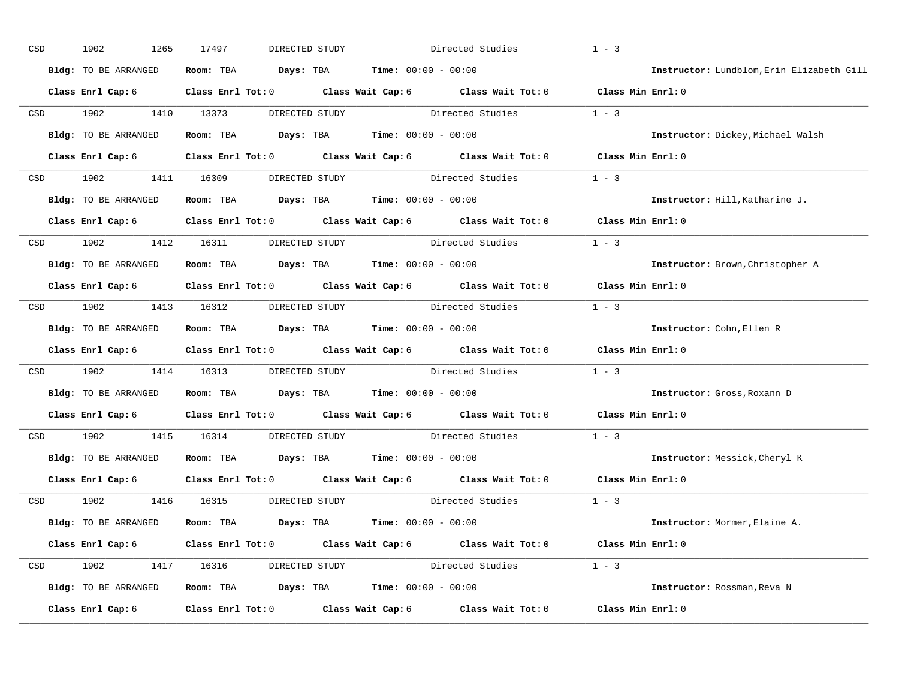| $_{\tt CSD}$ | 1902<br>1265         | 17497<br>DIRECTED STUDY                                                                            |                                                     | Directed Studies                | $1 - 3$                                   |
|--------------|----------------------|----------------------------------------------------------------------------------------------------|-----------------------------------------------------|---------------------------------|-------------------------------------------|
|              | Bldg: TO BE ARRANGED | Room: TBA<br>Days: TBA                                                                             | <b>Time:</b> $00:00 - 00:00$                        |                                 | Instructor: Lundblom, Erin Elizabeth Gill |
|              | Class Enrl Cap: 6    | Class Enrl Tot: 0 $\qquad$ Class Wait Cap: 6 $\qquad$ Class Wait Tot: 0 $\qquad$ Class Min Enrl: 0 |                                                     |                                 |                                           |
| CSD          | 1902<br>1410         | 13373                                                                                              | DIRECTED STUDY                                      | Directed Studies                | $1 - 3$                                   |
|              | Bldg: TO BE ARRANGED | Room: TBA                                                                                          | $\texttt{DayS:}$ TBA $\texttt{Time:}$ 00:00 - 00:00 |                                 | Instructor: Dickey, Michael Walsh         |
|              | Class Enrl Cap: 6    | Class Enrl Tot: 0 Class Wait Cap: 6 Class Wait Tot: 0 Class Min Enrl: 0                            |                                                     |                                 |                                           |
| CSD          | 1902                 | 1411 16309                                                                                         |                                                     | DIRECTED STUDY Directed Studies | $1 - 3$                                   |
|              | Bldg: TO BE ARRANGED | Room: TBA $Days: TBA$ Time: $00:00 - 00:00$                                                        |                                                     |                                 | Instructor: Hill, Katharine J.            |
|              | Class Enrl Cap: 6    | Class Enrl Tot: 0 Class Wait Cap: 6 Class Wait Tot: 0                                              |                                                     |                                 | Class Min Enrl: 0                         |
| CSD          | 1902                 | 1412 16311<br>DIRECTED STUDY                                                                       |                                                     | Directed Studies                | $1 - 3$                                   |
|              | Bldg: TO BE ARRANGED | Room: TBA                                                                                          | <b>Days:</b> TBA <b>Time:</b> $00:00 - 00:00$       |                                 | Instructor: Brown, Christopher A          |
|              | Class Enrl Cap: 6    | Class Enrl Tot: 0 Class Wait Cap: 6 Class Wait Tot: 0                                              |                                                     |                                 | Class Min Enrl: 0                         |
| CSD          | 1902                 | 1413 16312                                                                                         |                                                     | DIRECTED STUDY Directed Studies | $1 - 3$                                   |
|              | Bldg: TO BE ARRANGED | Room: TBA                                                                                          | <b>Days:</b> TBA <b>Time:</b> $00:00 - 00:00$       |                                 | Instructor: Cohn, Ellen R                 |
|              | Class Enrl Cap: 6    | Class Enrl Tot: 0 Class Wait Cap: 6 Class Wait Tot: 0                                              |                                                     |                                 | Class Min Enrl: 0                         |
| CSD          | 1902<br>1414         | 16313                                                                                              | DIRECTED STUDY Directed Studies                     |                                 | $1 - 3$                                   |
|              | Bldg: TO BE ARRANGED | Room: TBA                                                                                          | <b>Days:</b> TBA <b>Time:</b> $00:00 - 00:00$       |                                 | Instructor: Gross, Roxann D               |
|              | Class Enrl Cap: 6    | Class Enrl Tot: 0 Class Wait Cap: 6 Class Wait Tot: 0                                              |                                                     |                                 | Class Min Enrl: 0                         |
| CSD          | 1902<br>1415         | 16314                                                                                              |                                                     | DIRECTED STUDY Directed Studies | $1 - 3$                                   |
|              | Bldg: TO BE ARRANGED | Room: TBA                                                                                          | <b>Days:</b> TBA <b>Time:</b> $00:00 - 00:00$       |                                 | Instructor: Messick, Cheryl K             |
|              | Class Enrl Cap: 6    | Class Enrl Tot: 0 Class Wait Cap: 6 Class Wait Tot: 0                                              |                                                     |                                 | Class Min Enrl: 0                         |
| CSD          | 1902                 | 1416 16315<br>DIRECTED STUDY                                                                       |                                                     | Directed Studies                | $1 - 3$                                   |
|              | Bldg: TO BE ARRANGED | Room: TBA $Days:$ TBA $Time: 00:00 - 00:00$                                                        |                                                     |                                 | Instructor: Mormer, Elaine A.             |
|              | Class Enrl Cap: 6    | Class Enrl Tot: 0 $\qquad$ Class Wait Cap: 6 $\qquad$ Class Wait Tot: 0 $\qquad$ Class Min Enrl: 0 |                                                     |                                 |                                           |
| CSD          | 1902                 | 1417 16316                                                                                         |                                                     | DIRECTED STUDY Directed Studies | $1 - 3$                                   |
|              | Bldg: TO BE ARRANGED | Room: TBA $Days:$ TBA $Time: 00:00 - 00:00$                                                        |                                                     |                                 | Instructor: Rossman, Reva N               |
|              | Class Enrl Cap: 6    | Class Enrl Tot: 0 Class Wait Cap: 6                                                                |                                                     | Class Wait Tot: 0               | Class Min Enrl: 0                         |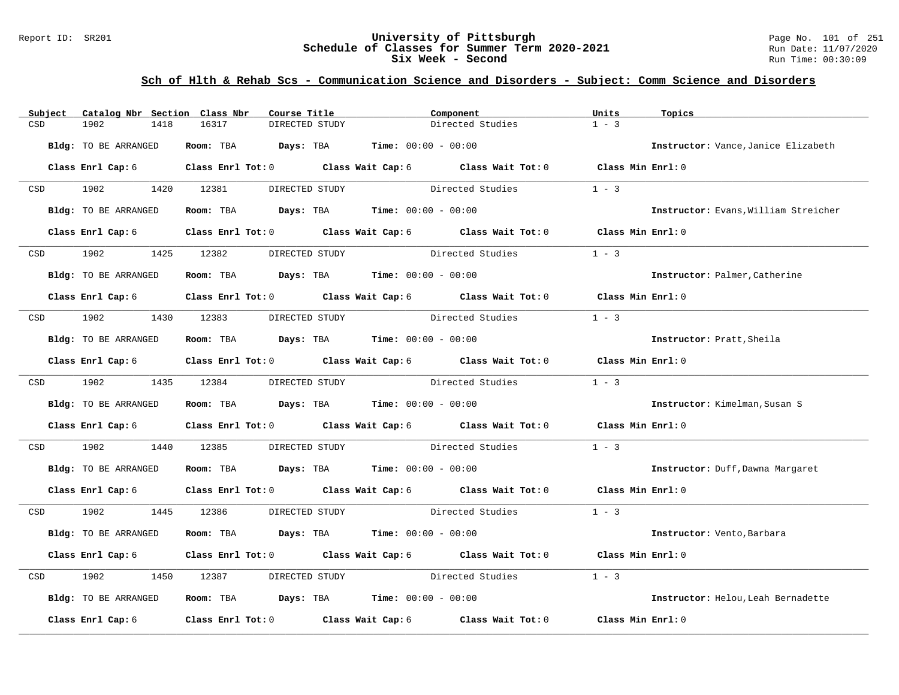#### Report ID: SR201 **University of Pittsburgh** Page No. 101 of 251 **Schedule of Classes for Summer Term 2020-2021** Run Date: 11/07/2020 **Six Week - Second Run Time: 00:30:09**

| Subject    | Catalog Nbr Section Class Nbr | Course Title                                                   | Component                                                                                 | Units<br>Topics                      |
|------------|-------------------------------|----------------------------------------------------------------|-------------------------------------------------------------------------------------------|--------------------------------------|
| CSD        | 1902<br>1418                  | 16317<br>DIRECTED STUDY                                        | Directed Studies                                                                          | $1 - 3$                              |
|            |                               |                                                                |                                                                                           |                                      |
|            | Bldg: TO BE ARRANGED          | Room: TBA $Days:$ TBA $Time: 00:00 - 00:00$                    |                                                                                           | Instructor: Vance, Janice Elizabeth  |
|            | Class Enrl Cap: 6             |                                                                | Class Enrl Tot: 0 Class Wait Cap: 6 Class Wait Tot: 0 Class Min Enrl: 0                   |                                      |
| <b>CSD</b> | 1902                          | 1420 12381<br>DIRECTED STUDY                                   | Directed Studies                                                                          | $1 - 3$                              |
|            | Bldg: TO BE ARRANGED          | Room: TBA $Days:$ TBA $Time: 00:00 - 00:00$                    |                                                                                           | Instructor: Evans, William Streicher |
|            | Class Enrl Cap: 6             |                                                                | Class Enrl Tot: 0 Class Wait Cap: 6 Class Wait Tot: 0                                     | Class Min Enrl: 0                    |
| CSD        | 1902                          | 1425 12382<br>DIRECTED STUDY                                   | Directed Studies                                                                          | $1 - 3$                              |
|            | Bldg: TO BE ARRANGED          | Room: TBA $Days:$ TBA $Time: 00:00 - 00:00$                    |                                                                                           | Instructor: Palmer, Catherine        |
|            |                               |                                                                | Class Enrl Cap: 6 Class Enrl Tot: 0 Class Wait Cap: 6 Class Wait Tot: 0 Class Min Enrl: 0 |                                      |
| CSD        | 1902 1903                     | 1430 12383<br>DIRECTED STUDY                                   | Directed Studies                                                                          | $1 - 3$                              |
|            | Bldg: TO BE ARRANGED          | Room: TBA $Days:$ TBA $Time: 00:00 - 00:00$                    |                                                                                           | Instructor: Pratt, Sheila            |
|            |                               |                                                                | Class Enrl Cap: 6 Class Enrl Tot: 0 Class Wait Cap: 6 Class Wait Tot: 0 Class Min Enrl: 0 |                                      |
|            | CSD 1902 1435 12384           | DIRECTED STUDY                                                 | Directed Studies                                                                          | $1 - 3$                              |
|            | Bldg: TO BE ARRANGED          | Room: TBA $\rule{1em}{0.15mm}$ Days: TBA Time: $00:00 - 00:00$ |                                                                                           | Instructor: Kimelman, Susan S        |
|            | Class Enrl Cap: 6             |                                                                | Class Enrl Tot: 0 Class Wait Cap: 6 Class Wait Tot: 0                                     | Class Min Enrl: 0                    |
| CSD        | 1902<br>1440                  | 12385                                                          | DIRECTED STUDY Directed Studies                                                           | $1 - 3$                              |
|            | Bldg: TO BE ARRANGED          | Room: TBA $Days: TBA$ Time: $00:00 - 00:00$                    |                                                                                           | Instructor: Duff, Dawna Margaret     |
|            | Class Enrl Cap: 6             |                                                                | Class Enrl Tot: 0 Class Wait Cap: 6 Class Wait Tot: 0 Class Min Enrl: 0                   |                                      |
|            | CSD 1902                      | 1445 12386                                                     | DIRECTED STUDY Directed Studies                                                           | $1 - 3$                              |
|            | Bldg: TO BE ARRANGED          | Room: TBA $Days:$ TBA $Time: 00:00 - 00:00$                    |                                                                                           | Instructor: Vento, Barbara           |
|            | Class Enrl Cap: 6             |                                                                | Class Enrl Tot: 0 Class Wait Cap: 6 Class Wait Tot: 0                                     | Class Min Enrl: 0                    |
| CSD        | 1902<br>1450                  | 12387<br>DIRECTED STUDY                                        | Directed Studies                                                                          | $1 - 3$                              |
|            | Bldg: TO BE ARRANGED          | Room: TBA $Days:$ TBA $Time: 00:00 - 00:00$                    |                                                                                           | Instructor: Helou, Leah Bernadette   |
|            | Class Enrl Cap: 6             |                                                                | Class Enrl Tot: 0 Class Wait Cap: 6 Class Wait Tot: 0                                     | Class Min Enrl: 0                    |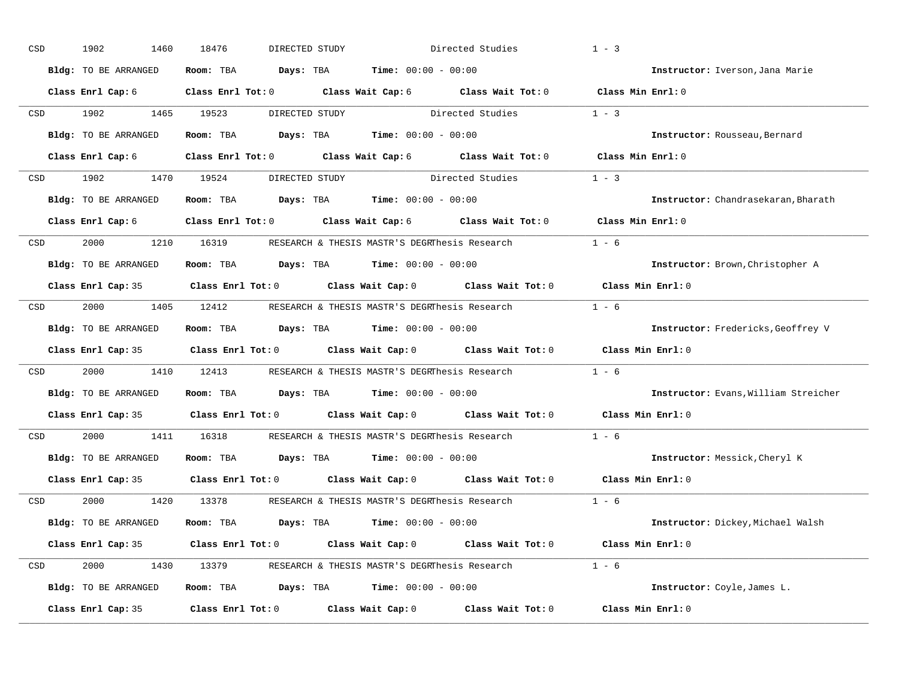| CSD                                                                                                             | 1902<br>1460         | 18476<br>DIRECTED STUDY                                                                    |                                       | Directed Studies | $1 - 3$                              |
|-----------------------------------------------------------------------------------------------------------------|----------------------|--------------------------------------------------------------------------------------------|---------------------------------------|------------------|--------------------------------------|
|                                                                                                                 | Bldg: TO BE ARRANGED | Room: TBA $\rule{1em}{0.15mm}$ Days: TBA $\rule{1.15mm}]{0.15mm}$ Time: $0.000 - 0.0000$   |                                       |                  | Instructor: Iverson, Jana Marie      |
|                                                                                                                 | Class Enrl Cap: 6    | Class Enrl Tot: 0 Class Wait Cap: 6 Class Wait Tot: 0 Class Min Enrl: 0                    |                                       |                  |                                      |
|                                                                                                                 | CSD 1902             | 1465 19523                                                                                 | DIRECTED STUDY Directed Studies       |                  | $1 - 3$                              |
|                                                                                                                 | Bldg: TO BE ARRANGED | Room: TBA $Days:$ TBA $Time: 00:00 - 00:00$                                                |                                       |                  | Instructor: Rousseau, Bernard        |
|                                                                                                                 |                      | Class Enrl Cap: 6 Class Enrl Tot: 0 Class Wait Cap: 6 Class Wait Tot: 0 Class Min Enrl: 0  |                                       |                  |                                      |
|                                                                                                                 | CSD 1902 1470 19524  |                                                                                            | DIRECTED STUDY Directed Studies 1 - 3 |                  |                                      |
|                                                                                                                 | Bldg: TO BE ARRANGED | Room: TBA $\rule{1em}{0.15mm}$ Days: TBA $\rule{1.15mm}]{0.15mm}$ Time: $0.000 - 0.0000$   |                                       |                  | Instructor: Chandrasekaran, Bharath  |
|                                                                                                                 |                      | Class Enrl Cap: 6 (Class Enrl Tot: 0 (Class Wait Cap: 6 (Class Wait Tot: 0                 |                                       |                  | Class Min Enrl: 0                    |
| CSD                                                                                                             |                      | 2000 1210 16319 RESEARCH & THESIS MASTR'S DEGRThesis Research                              |                                       |                  | $1 - 6$                              |
|                                                                                                                 | Bldg: TO BE ARRANGED | Room: TBA $Days:$ TBA $Time: 00:00 - 00:00$                                                |                                       |                  | Instructor: Brown, Christopher A     |
|                                                                                                                 |                      | Class Enrl Cap: 35 Class Enrl Tot: 0 Class Wait Cap: 0 Class Wait Tot: 0                   |                                       |                  | Class Min Enrl: 0                    |
| CSD                                                                                                             |                      | 2000 1405 12412 RESEARCH & THESIS MASTR'S DEGRThesis Research                              |                                       |                  | $1 - 6$                              |
|                                                                                                                 | Bldg: TO BE ARRANGED | <b>Room:</b> TBA $Days:$ TBA $Time: 00:00 - 00:00$                                         |                                       |                  | Instructor: Fredericks, Geoffrey V   |
|                                                                                                                 |                      | Class Enrl Cap: 35 Class Enrl Tot: 0 Class Wait Cap: 0 Class Wait Tot: 0 Class Min Enrl: 0 |                                       |                  |                                      |
| CSD                                                                                                             | 2000                 | 1410 12413 RESEARCH & THESIS MASTR'S DEGRThesis Research                                   |                                       |                  | $1 - 6$                              |
|                                                                                                                 | Bldg: TO BE ARRANGED | Room: TBA $Days:$ TBA $Time: 00:00 - 00:00$                                                |                                       |                  | Instructor: Evans, William Streicher |
|                                                                                                                 |                      | Class Enrl Cap: 35 Class Enrl Tot: 0 Class Wait Cap: 0 Class Wait Tot: 0                   |                                       |                  | Class Min Enrl: 0                    |
| CSD                                                                                                             | 2000 100             | 1411 16318 RESEARCH & THESIS MASTR'S DEGRThesis Research                                   |                                       |                  | $1 - 6$                              |
|                                                                                                                 | Bldg: TO BE ARRANGED | Room: TBA $Days:$ TBA $Time: 00:00 - 00:00$                                                |                                       |                  | Instructor: Messick, Cheryl K        |
|                                                                                                                 | Class Enrl Cap: 35   | Class Enrl Tot: 0 $\qquad$ Class Wait Cap: 0 $\qquad$ Class Wait Tot: 0                    |                                       |                  | Class Min Enrl: 0                    |
| CSD and the control of the control of the control of the control of the control of the control of the control o |                      | 2000 1420 13378 RESEARCH & THESIS MASTR'S DEGRThesis Research                              |                                       | $1 - 6$          |                                      |
|                                                                                                                 | Bldg: TO BE ARRANGED | Room: TBA $Days:$ TBA $Time: 00:00 - 00:00$                                                |                                       |                  | Instructor: Dickey, Michael Walsh    |
|                                                                                                                 |                      | Class Enrl Cap: 35 Class Enrl Tot: 0 Class Wait Cap: 0 Class Wait Tot: 0 Class Min Enrl: 0 |                                       |                  |                                      |
| CSD                                                                                                             |                      | 2000 1430 13379 RESEARCH & THESIS MASTR'S DEGRThesis Research 1 - 6                        |                                       |                  |                                      |
|                                                                                                                 | Bldg: TO BE ARRANGED | Room: TBA $Days:$ TBA $Time: 00:00 - 00:00$                                                |                                       |                  | Instructor: Coyle, James L.          |
|                                                                                                                 | Class Enrl Cap: 35   | Class Enrl Tot: $0$ Class Wait Cap: $0$ Class Wait Tot: $0$                                |                                       |                  | Class Min Enrl: 0                    |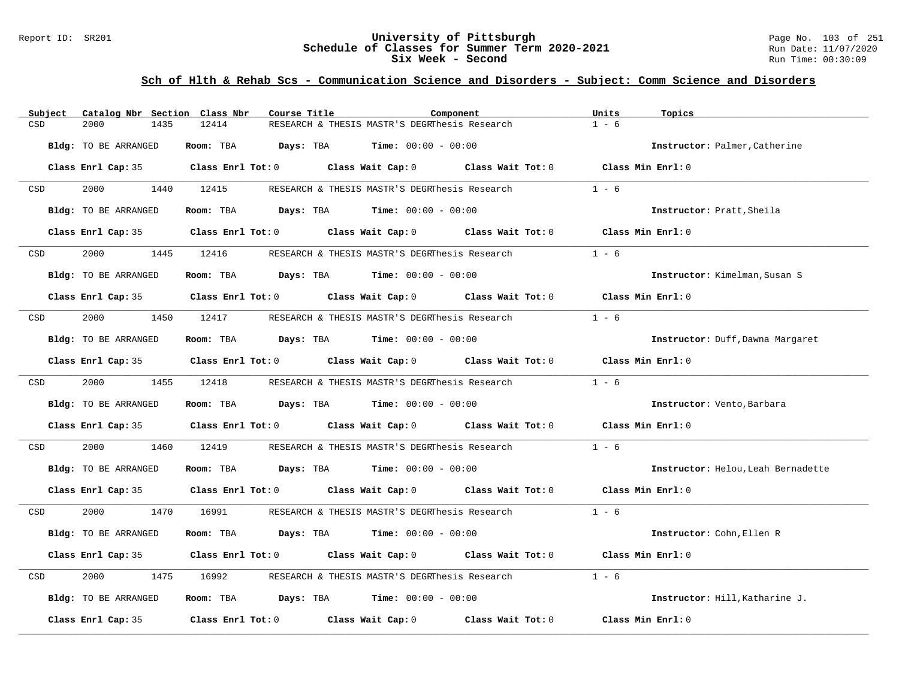#### Report ID: SR201 **University of Pittsburgh** Page No. 103 of 251 **Schedule of Classes for Summer Term 2020-2021** Run Date: 11/07/2020 **Six Week - Second Run Time: 00:30:09**

| Catalog Nbr Section Class Nbr<br>Subject | Course Title                                                                               | Component | Units<br>Topics                    |
|------------------------------------------|--------------------------------------------------------------------------------------------|-----------|------------------------------------|
| CSD<br>2000<br>1435                      | 12414<br>RESEARCH & THESIS MASTR'S DEGRThesis Research                                     |           | $1 - 6$                            |
| Bldg: TO BE ARRANGED                     | Room: TBA<br><b>Days:</b> TBA <b>Time:</b> $00:00 - 00:00$                                 |           | Instructor: Palmer, Catherine      |
|                                          | Class Enrl Cap: 35 Class Enrl Tot: 0 Class Wait Cap: 0 Class Wait Tot: 0 Class Min Enrl: 0 |           |                                    |
| 2000 000<br>CSD                          | 1440 12415<br>RESEARCH & THESIS MASTR'S DEGRThesis Research                                |           | $1 - 6$                            |
| Bldg: TO BE ARRANGED                     | Room: TBA $Days:$ TBA $Time: 00:00 - 00:00$                                                |           | Instructor: Pratt, Sheila          |
|                                          | Class Enrl Cap: 35 (Class Enrl Tot: 0 ) (Class Wait Cap: 0 ) (Class Wait Tot: 0            |           | Class Min Enrl: 0                  |
| 2000<br>CSD                              | 1445 12416<br>RESEARCH & THESIS MASTR'S DEGRThesis Research                                |           | $1 - 6$                            |
| Bldg: TO BE ARRANGED                     | Room: TBA Days: TBA Time: $00:00 - 00:00$                                                  |           | Instructor: Kimelman, Susan S      |
|                                          | Class Enrl Cap: 35 Class Enrl Tot: 0 Class Wait Cap: 0 Class Wait Tot: 0                   |           | Class Min Enrl: 0                  |
| 2000<br>CSD                              | 1450 12417 RESEARCH & THESIS MASTR'S DEGRThesis Research                                   |           | $1 - 6$                            |
| Bldg: TO BE ARRANGED                     | Room: TBA $Days:$ TBA Time: $00:00 - 00:00$                                                |           | Instructor: Duff, Dawna Margaret   |
|                                          | Class Enrl Cap: 35 Class Enrl Tot: 0 Class Wait Cap: 0 Class Wait Tot: 0 Class Min Enrl: 0 |           |                                    |
| 2000 - 2001<br>CSD                       | 1455 12418<br>RESEARCH & THESIS MASTR'S DEGRThesis Research                                |           | $1 - 6$                            |
| Bldg: TO BE ARRANGED                     | Room: TBA $\rule{1em}{0.15mm}$ Days: TBA $\rule{1.15mm}]{0.15mm}$ Time: $0.000 - 0.0000$   |           | Instructor: Vento, Barbara         |
|                                          | Class Enrl Cap: 35 Class Enrl Tot: 0 Class Wait Cap: 0 Class Wait Tot: 0 Class Min Enrl: 0 |           |                                    |
| CSD<br>2000<br>1460                      | 12419<br>RESEARCH & THESIS MASTR'S DEGRThesis Research                                     |           | $1 - 6$                            |
| Bldg: TO BE ARRANGED                     | Room: TBA $Days:$ TBA $Time: 00:00 - 00:00$                                                |           | Instructor: Helou, Leah Bernadette |
|                                          | Class Enrl Cap: 35 Class Enrl Tot: 0 Class Wait Cap: 0 Class Wait Tot: 0 Class Min Enrl: 0 |           |                                    |
| 2000 - 100<br>CSD                        | 1470 16991<br>RESEARCH & THESIS MASTR'S DEGRThesis Research                                |           | $1 - 6$                            |
| Bldg: TO BE ARRANGED                     | Room: TBA $Days:$ TBA $Time: 00:00 - 00:00$                                                |           | Instructor: Cohn, Ellen R          |
|                                          | Class Enrl Cap: 35 Class Enrl Tot: 0 Class Wait Cap: 0 Class Wait Tot: 0                   |           | Class Min Enrl: 0                  |
| 2000<br>CSD<br>1475                      | 16992<br>RESEARCH & THESIS MASTR'S DEGRThesis Research                                     |           | $1 - 6$                            |
| Bldg: TO BE ARRANGED                     | Room: TBA $\rule{1em}{0.15mm}$ Days: TBA $\rule{1.15mm}]{0.15mm}$ Time: $0.000 - 0.0000$   |           | Instructor: Hill, Katharine J.     |
| Class Enrl Cap: 35                       | Class Enrl Tot: $0$ Class Wait Cap: $0$ Class Wait Tot: $0$                                |           | Class Min Enrl: 0                  |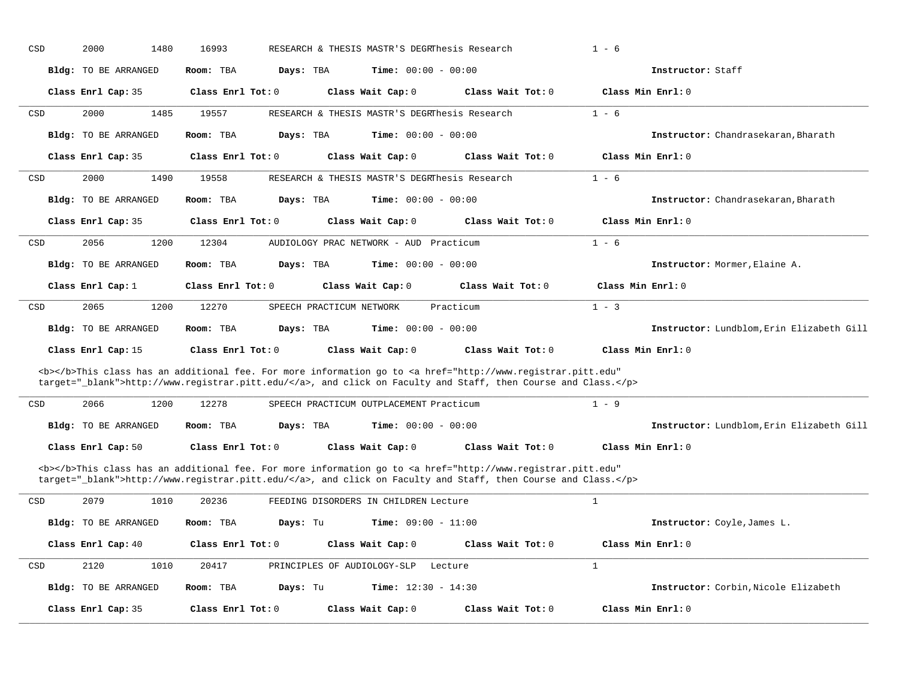| CSD                                                                                                                                                                                                                                |  | 2000<br>1480                | 16993               |           |                          | RESEARCH & THESIS MASTR'S DEGRThesis Research |                                                                                                                                                                                                                                    | $1 - 6$                                   |
|------------------------------------------------------------------------------------------------------------------------------------------------------------------------------------------------------------------------------------|--|-----------------------------|---------------------|-----------|--------------------------|-----------------------------------------------|------------------------------------------------------------------------------------------------------------------------------------------------------------------------------------------------------------------------------------|-------------------------------------------|
|                                                                                                                                                                                                                                    |  | Bldg: TO BE ARRANGED        | Room: TBA           | Days: TBA |                          | <b>Time:</b> $00:00 - 00:00$                  |                                                                                                                                                                                                                                    | Instructor: Staff                         |
|                                                                                                                                                                                                                                    |  | Class Enrl Cap: 35          | Class Enrl Tot: 0   |           |                          | Class Wait Cap: 0                             | Class Wait Tot: 0                                                                                                                                                                                                                  | Class Min Enrl: 0                         |
| CSD                                                                                                                                                                                                                                |  | 2000<br>1485                | 19557               |           |                          | RESEARCH & THESIS MASTR'S DEGRIDesis Research |                                                                                                                                                                                                                                    | $1 - 6$                                   |
|                                                                                                                                                                                                                                    |  | Bldg: TO BE ARRANGED        | Room: TBA           | Days: TBA |                          | Time: $00:00 - 00:00$                         |                                                                                                                                                                                                                                    | Instructor: Chandrasekaran, Bharath       |
|                                                                                                                                                                                                                                    |  | Class Enrl Cap: 35          | Class Enrl Tot: 0   |           |                          | Class Wait Cap: 0                             | Class Wait Tot: 0                                                                                                                                                                                                                  | Class Min Enrl: 0                         |
| CSD                                                                                                                                                                                                                                |  | 2000<br>1490                | 19558               |           |                          | RESEARCH & THESIS MASTR'S DEGRThesis Research |                                                                                                                                                                                                                                    | $1 - 6$                                   |
|                                                                                                                                                                                                                                    |  | Bldg: TO BE ARRANGED        | Room: TBA           | Days: TBA |                          | <b>Time:</b> $00:00 - 00:00$                  |                                                                                                                                                                                                                                    | Instructor: Chandrasekaran, Bharath       |
|                                                                                                                                                                                                                                    |  | Class Enrl Cap: 35          | Class Enrl Tot: 0   |           |                          | Class Wait Cap: 0                             | Class Wait Tot: 0                                                                                                                                                                                                                  | Class Min Enrl: 0                         |
| CSD                                                                                                                                                                                                                                |  | 2056<br>1200                | 12304               |           |                          | AUDIOLOGY PRAC NETWORK - AUD Practicum        |                                                                                                                                                                                                                                    | $1 - 6$                                   |
|                                                                                                                                                                                                                                    |  | Bldg: TO BE ARRANGED        | Room: TBA           | Days: TBA |                          | <b>Time:</b> $00:00 - 00:00$                  |                                                                                                                                                                                                                                    | Instructor: Mormer, Elaine A.             |
|                                                                                                                                                                                                                                    |  | Class Enrl Cap: 1           | Class Enrl Tot: 0   |           |                          | Class Wait Cap: 0                             | Class Wait Tot: 0                                                                                                                                                                                                                  | Class Min Enrl: 0                         |
| CSD                                                                                                                                                                                                                                |  | 2065<br>1200                | 12270               |           | SPEECH PRACTICUM NETWORK |                                               | Practicum                                                                                                                                                                                                                          | $1 - 3$                                   |
|                                                                                                                                                                                                                                    |  | Bldg: TO BE ARRANGED        | Room: TBA           | Days: TBA |                          | Time: $00:00 - 00:00$                         |                                                                                                                                                                                                                                    | Instructor: Lundblom, Erin Elizabeth Gill |
|                                                                                                                                                                                                                                    |  | Class Enrl Cap: 15          | Class Enrl Tot: 0   |           |                          | Class Wait Cap: 0                             | Class Wait Tot: 0                                                                                                                                                                                                                  | Class Min Enrl: 0                         |
|                                                                                                                                                                                                                                    |  |                             |                     |           |                          |                                               | <b></b> This class has an additional fee. For more information go to <a <br="" href="http://www.registrar.pitt.edu">target="_blank"&gt;http://www.registrar.pitt.edu/</a> , and click on Faculty and Staff, then Course and Class. |                                           |
|                                                                                                                                                                                                                                    |  |                             |                     |           |                          |                                               |                                                                                                                                                                                                                                    |                                           |
| CSD                                                                                                                                                                                                                                |  | 2066<br>1200                | 12278               |           |                          | SPEECH PRACTICUM OUTPLACEMENT Practicum       |                                                                                                                                                                                                                                    | $1 - 9$                                   |
|                                                                                                                                                                                                                                    |  | <b>Bldg:</b> TO BE ARRANGED | Room: TBA           | Days: TBA |                          | Time: $00:00 - 00:00$                         |                                                                                                                                                                                                                                    | Instructor: Lundblom, Erin Elizabeth Gill |
|                                                                                                                                                                                                                                    |  | Class Enrl Cap: 50          | Class Enrl Tot: 0   |           |                          | Class Wait Cap: 0                             | Class Wait Tot: 0                                                                                                                                                                                                                  | Class Min Enrl: 0                         |
| <b></b> This class has an additional fee. For more information go to <a <br="" href="http://www.registrar.pitt.edu">target="_blank"&gt;http://www.registrar.pitt.edu/</a> , and click on Faculty and Staff, then Course and Class. |  |                             |                     |           |                          |                                               |                                                                                                                                                                                                                                    |                                           |
| CSD                                                                                                                                                                                                                                |  | 2079<br>1010                | 20236               |           |                          | FEEDING DISORDERS IN CHILDREN Lecture         |                                                                                                                                                                                                                                    | $\mathbf{1}$                              |
|                                                                                                                                                                                                                                    |  | <b>Bldg:</b> TO BE ARRANGED | Room: TBA           | Days: Tu  |                          | <b>Time:</b> $09:00 - 11:00$                  |                                                                                                                                                                                                                                    | Instructor: Coyle, James L.               |
|                                                                                                                                                                                                                                    |  | Class Enrl Cap: 40          | Class Enrl Tot: 0   |           |                          | Class Wait Cap: 0                             | Class Wait Tot: 0                                                                                                                                                                                                                  | Class Min Enrl: 0                         |
| CSD                                                                                                                                                                                                                                |  | 2120<br>1010                | 20417               |           |                          | PRINCIPLES OF AUDIOLOGY-SLP                   | Lecture                                                                                                                                                                                                                            | $\mathbf{1}$                              |
|                                                                                                                                                                                                                                    |  | Bldg: TO BE ARRANGED        | Room: TBA           | Days: Tu  |                          | <b>Time:</b> $12:30 - 14:30$                  |                                                                                                                                                                                                                                    | Instructor: Corbin, Nicole Elizabeth      |
|                                                                                                                                                                                                                                    |  | Class Enrl Cap: 35          | Class $Enr1 Tot: 0$ |           |                          | Class Wait Cap: 0                             | Class Wait $Tot: 0$                                                                                                                                                                                                                | Class Min Err1:0                          |
|                                                                                                                                                                                                                                    |  |                             |                     |           |                          |                                               |                                                                                                                                                                                                                                    |                                           |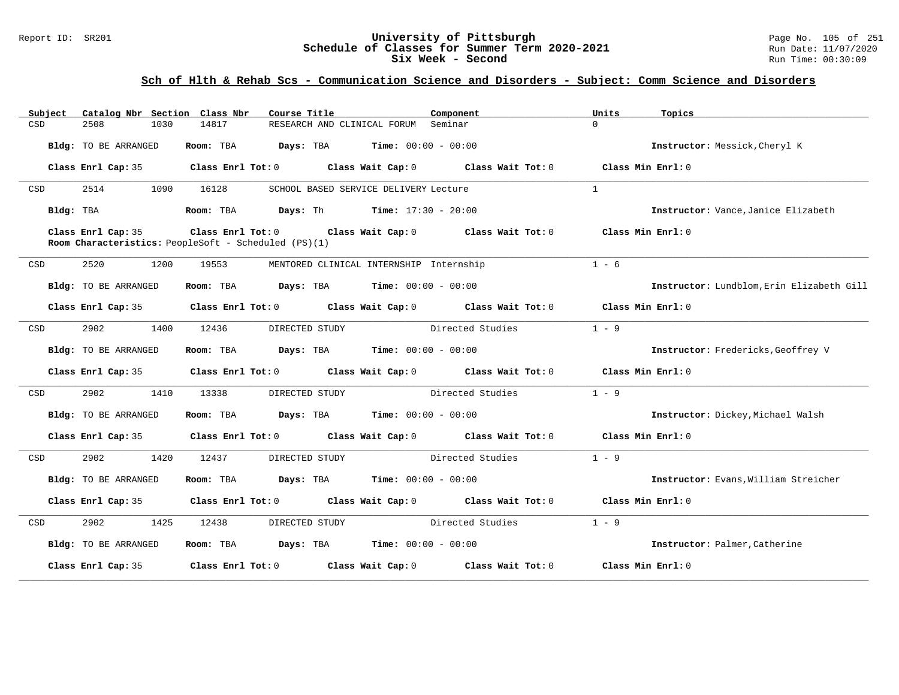#### Report ID: SR201 **1988 Manusia Content Content Content Content Content Content Content Content Content Content**<br>
Schedule of Classes for Summer Term 2020-2021 1990 Manus Date: 11/07/2020 **Schedule of Classes for Summer Term 2020-2021** Run Date: 11/07/2021<br>
Six Week - Second Run Time: 00:30:09 Six Week - Second

| Subject | Catalog Nbr Section Class Nbr | Course Title                                                 | Component                                                                                  | Units<br>Topics                           |
|---------|-------------------------------|--------------------------------------------------------------|--------------------------------------------------------------------------------------------|-------------------------------------------|
| CSD     | 2508<br>1030                  | 14817                                                        | RESEARCH AND CLINICAL FORUM Seminar                                                        | $\Omega$                                  |
|         | Bldg: TO BE ARRANGED          | Room: TBA                                                    | $\texttt{DayS:}$ TBA $\texttt{Time:}$ 00:00 - 00:00                                        | Instructor: Messick, Cheryl K             |
|         | Class Enrl Cap: 35            |                                                              | Class Enrl Tot: $0$ Class Wait Cap: $0$ Class Wait Tot: $0$                                | Class Min Enrl: $0$                       |
| CSD     | 2514<br>1090                  | 16128                                                        | SCHOOL BASED SERVICE DELIVERY Lecture                                                      | $\overline{1}$                            |
|         | Bldg: TBA                     | Room: TBA $Days:$ Th Time: $17:30 - 20:00$                   |                                                                                            | Instructor: Vance, Janice Elizabeth       |
|         | Class Enrl Cap: 35            | Room Characteristics: PeopleSoft - Scheduled (PS)(1)         | Class Enrl Tot: $0$ Class Wait Cap: $0$ Class Wait Tot: $0$                                | Class Min Enrl: 0                         |
| CSD     | 2520<br>1200                  | 19553                                                        | MENTORED CLINICAL INTERNSHIP Internship                                                    | $1 - 6$                                   |
|         | <b>Bldg:</b> TO BE ARRANGED   | Room: TBA                                                    | $Days: TBA$ $Time: 00:00 - 00:00$                                                          | Instructor: Lundblom, Erin Elizabeth Gill |
|         | Class Enrl Cap: 35            |                                                              | Class Enrl Tot: $0$ Class Wait Cap: $0$ Class Wait Tot: $0$ Class Min Enrl: $0$            |                                           |
| CSD     | 2902<br>1400                  | 12436<br>DIRECTED STUDY                                      | Directed Studies                                                                           | $1 - 9$                                   |
|         | <b>Bldg:</b> TO BE ARRANGED   | Room: TBA $Days:$ TBA $Time: 00:00 - 00:00$                  |                                                                                            | Instructor: Fredericks, Geoffrey V        |
|         | Class Enrl Cap: 35            |                                                              | Class Enrl Tot: 0 Class Wait Cap: 0 Class Wait Tot: 0                                      | Class Min Enrl: 0                         |
| CSD     | 2902<br>1410                  | 13338<br>DIRECTED STUDY                                      | Directed Studies                                                                           | $1 - 9$                                   |
|         | <b>Bldg:</b> TO BE ARRANGED   | Room: TBA                                                    | <b>Days:</b> TBA <b>Time:</b> $00:00 - 00:00$                                              | Instructor: Dickey, Michael Walsh         |
|         | Class Enrl Cap: 35            |                                                              | Class Enrl Tot: $0$ Class Wait Cap: $0$ Class Wait Tot: $0$ Class Min Enrl: $0$            |                                           |
| CSD     | 2902<br>1420                  | 12437<br>DIRECTED STUDY                                      | Directed Studies                                                                           | $1 - 9$                                   |
|         | Bldg: TO BE ARRANGED          | Room: TBA                                                    | <b>Days:</b> TBA <b>Time:</b> $00:00 - 00:00$                                              | Instructor: Evans, William Streicher      |
|         |                               |                                                              | Class Enrl Cap: 35 Class Enrl Tot: 0 Class Wait Cap: 0 Class Wait Tot: 0 Class Min Enrl: 0 |                                           |
| CSD     | 2902<br>1425                  | 12438<br>DIRECTED STUDY                                      | Directed Studies                                                                           | $1 - 9$                                   |
|         | <b>Bldg:</b> TO BE ARRANGED   | <b>Room:</b> TBA <b>Days:</b> TBA <b>Time:</b> 00:00 - 00:00 |                                                                                            | Instructor: Palmer, Catherine             |
|         | Class Enrl Cap: 35            |                                                              | Class Enrl Tot: $0$ Class Wait Cap: $0$ Class Wait Tot: $0$                                | Class Min Enrl: 0                         |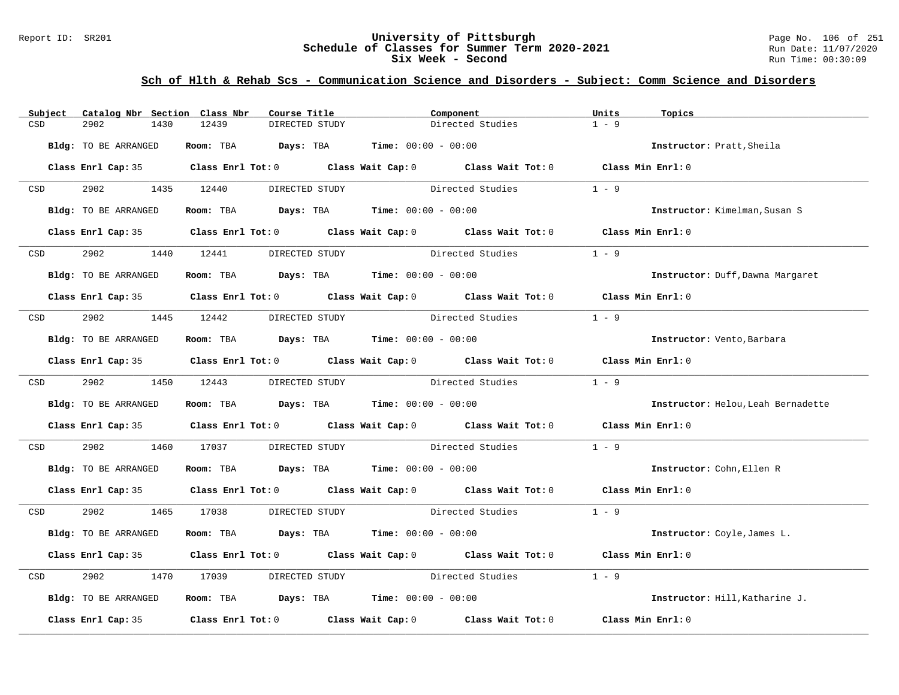#### Report ID: SR201 **University of Pittsburgh** Page No. 106 of 251 **Schedule of Classes for Summer Term 2020-2021** Run Date: 11/07/2020 **Six Week - Second Run Time: 00:30:09**

| Subject          | Catalog Nbr Section Class Nbr | Course Title                                | Component                                                                                  | Units<br>Topics                    |
|------------------|-------------------------------|---------------------------------------------|--------------------------------------------------------------------------------------------|------------------------------------|
| CSD              | 2902<br>1430                  | 12439<br>DIRECTED STUDY                     | Directed Studies                                                                           | $1 - 9$                            |
|                  | Bldg: TO BE ARRANGED          | Room: TBA $Days:$ TBA $Time: 00:00 - 00:00$ |                                                                                            | Instructor: Pratt, Sheila          |
|                  |                               |                                             | Class Enrl Cap: 35 Class Enrl Tot: 0 Class Wait Cap: 0 Class Wait Tot: 0 Class Min Enrl: 0 |                                    |
| CSD              | 2902 1435 12440               |                                             | DIRECTED STUDY Directed Studies                                                            | $1 - 9$                            |
|                  | Bldg: TO BE ARRANGED          | Room: TBA $Days:$ TBA $Time: 00:00 - 00:00$ |                                                                                            | Instructor: Kimelman, Susan S      |
|                  |                               |                                             | Class Enrl Cap: 35 Class Enrl Tot: 0 Class Wait Cap: 0 Class Wait Tot: 0 Class Min Enrl: 0 |                                    |
| CSD              | 2902                          | 1440 12441<br>DIRECTED STUDY                | Directed Studies                                                                           | $1 - 9$                            |
|                  | Bldg: TO BE ARRANGED          | Room: TBA $Days:$ TBA $Time: 00:00 - 00:00$ |                                                                                            | Instructor: Duff, Dawna Margaret   |
|                  |                               |                                             | Class Enrl Cap: 35 Class Enrl Tot: 0 Class Wait Cap: 0 Class Wait Tot: 0 Class Min Enrl: 0 |                                    |
| CSD              | 2902 1445 12442               | DIRECTED STUDY                              | Directed Studies                                                                           | $1 - 9$                            |
|                  | Bldg: TO BE ARRANGED          | Room: TBA $Days:$ TBA $Time: 00:00 - 00:00$ |                                                                                            | Instructor: Vento, Barbara         |
|                  |                               |                                             | Class Enrl Cap: 35 Class Enrl Tot: 0 Class Wait Cap: 0 Class Wait Tot: 0 Class Min Enrl: 0 |                                    |
| CSD <sub>c</sub> | 2902 1450 12443               | DIRECTED STUDY                              | Directed Studies                                                                           | $1 - 9$                            |
|                  | Bldg: TO BE ARRANGED          | Room: TBA $Days:$ TBA $Time: 00:00 - 00:00$ |                                                                                            | Instructor: Helou, Leah Bernadette |
|                  |                               |                                             | Class Enrl Cap: 35 Class Enrl Tot: 0 Class Wait Cap: 0 Class Wait Tot: 0 Class Min Enrl: 0 |                                    |
| CSD              | 2902                          | 1460 17037                                  | DIRECTED STUDY Directed Studies                                                            | $1 - 9$                            |
|                  | Bldg: TO BE ARRANGED          | Room: TBA $Days:$ TBA $Time: 00:00 - 00:00$ |                                                                                            | Instructor: Cohn, Ellen R          |
|                  |                               |                                             | Class Enrl Cap: 35 Class Enrl Tot: 0 Class Wait Cap: 0 Class Wait Tot: 0 Class Min Enrl: 0 |                                    |
| <b>CSD</b>       | 2902 1465 17038               |                                             | DIRECTED STUDY Directed Studies 1 - 9                                                      |                                    |
|                  | Bldg: TO BE ARRANGED          | Room: TBA $Days:$ TBA $Time: 00:00 - 00:00$ |                                                                                            | Instructor: Coyle, James L.        |
|                  |                               |                                             | Class Enrl Cap: 35 Class Enrl Tot: 0 Class Wait Cap: 0 Class Wait Tot: 0 Class Min Enrl: 0 |                                    |
| CSD              | 2902<br>1470                  | 17039                                       | DIRECTED STUDY Directed Studies                                                            | $1 - 9$                            |
|                  | Bldg: TO BE ARRANGED          | Room: TBA $Days:$ TBA $Time: 00:00 - 00:00$ |                                                                                            | Instructor: Hill, Katharine J.     |
|                  |                               |                                             | Class Enrl Cap: 35 Class Enrl Tot: 0 Class Wait Cap: 0 Class Wait Tot: 0 Class Min Enrl: 0 |                                    |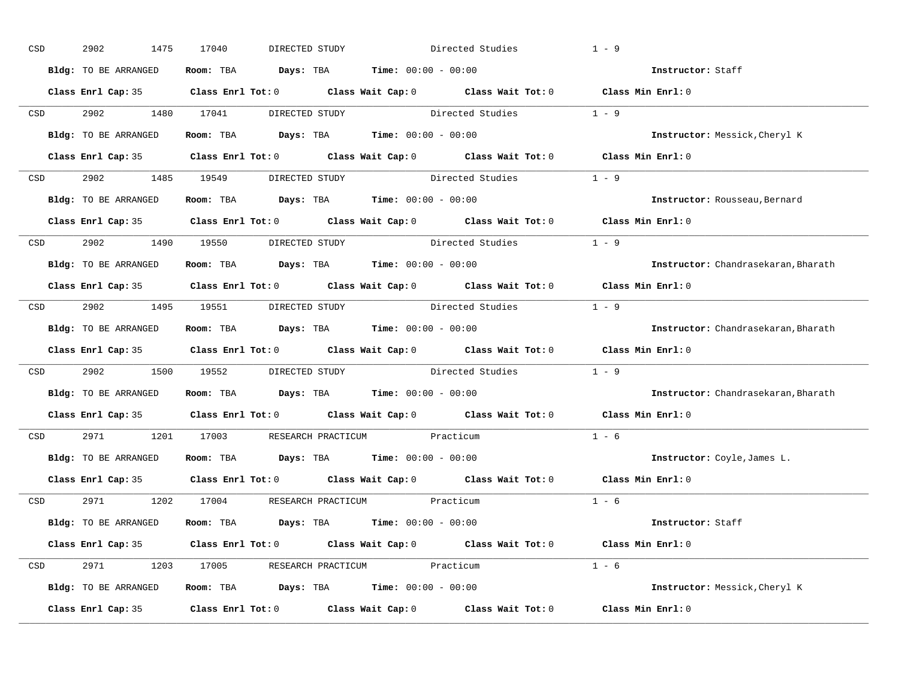| CSD |                  | 2902<br>1475         | 17040<br>DIRECTED STUDY                                                                             | Directed Studies | $1 - 9$                             |
|-----|------------------|----------------------|-----------------------------------------------------------------------------------------------------|------------------|-------------------------------------|
|     |                  | Bldg: TO BE ARRANGED | Room: TBA $Days:$ TBA $Time: 00:00 - 00:00$                                                         |                  | Instructor: Staff                   |
|     |                  |                      | Class Enrl Cap: 35 Class Enrl Tot: 0 Class Wait Cap: 0 Class Wait Tot: 0 Class Min Enrl: 0          |                  |                                     |
|     |                  |                      | CSD 2902 1480 17041 DIRECTED STUDY Directed Studies 1 - 9                                           |                  |                                     |
|     |                  | Bldg: TO BE ARRANGED | Room: TBA $Days:$ TBA Time: $00:00 - 00:00$                                                         |                  | Instructor: Messick, Cheryl K       |
|     |                  |                      | Class Enrl Cap: 35 Class Enrl Tot: 0 Class Wait Cap: 0 Class Wait Tot: 0 Class Min Enrl: 0          |                  |                                     |
|     |                  |                      | CSD 2902 1485 19549 DIRECTED STUDY Directed Studies 1 - 9                                           |                  |                                     |
|     |                  |                      | Bldg: TO BE ARRANGED Room: TBA Days: TBA Time: 00:00 - 00:00                                        |                  | Instructor: Rousseau, Bernard       |
|     |                  |                      | Class Enrl Cap: 35 Class Enrl Tot: 0 Class Wait Cap: 0 Class Wait Tot: 0 Class Min Enrl: 0          |                  |                                     |
|     |                  |                      | CSD 2902 1490 19550 DIRECTED STUDY                                                                  | Directed Studies | $1 - 9$                             |
|     |                  | Bldg: TO BE ARRANGED | Room: TBA $Days:$ TBA Time: $00:00 - 00:00$                                                         |                  | Instructor: Chandrasekaran, Bharath |
|     |                  |                      | Class Enrl Cap: 35 Class Enrl Tot: 0 Class Wait Cap: 0 Class Wait Tot: 0 Class Min Enrl: 0          |                  |                                     |
|     |                  |                      | CSD 2902 1495 19551 DIRECTED STUDY Directed Studies 1 - 9                                           |                  |                                     |
|     |                  | Bldg: TO BE ARRANGED | Room: TBA $Days:$ TBA $Time: 00:00 - 00:00$                                                         |                  | Instructor: Chandrasekaran, Bharath |
|     |                  |                      | Class Enrl Cap: 35 Class Enrl Tot: 0 Class Wait Cap: 0 Class Wait Tot: 0 Class Min Enrl: 0          |                  |                                     |
|     | CSD <sub>c</sub> |                      | 2902 1500 19552 DIRECTED STUDY Directed Studies 1 - 9                                               |                  |                                     |
|     |                  | Bldg: TO BE ARRANGED | Room: TBA $Days:$ TBA $Time: 00:00 - 00:00$                                                         |                  | Instructor: Chandrasekaran, Bharath |
|     |                  |                      | Class Enrl Cap: 35 Class Enrl Tot: 0 Class Wait Cap: 0 Class Wait Tot: 0                            |                  | Class Min Enrl: 0                   |
|     | CSD              |                      | 2971 1201 17003 RESEARCH PRACTICUM Practicum                                                        |                  | $1 - 6$                             |
|     |                  |                      | Bldg: TO BE ARRANGED Room: TBA Days: TBA Time: 00:00 - 00:00                                        |                  | Instructor: Coyle, James L.         |
|     |                  |                      | Class Enrl Cap: 35 $\qquad$ Class Enrl Tot: 0 $\qquad$ Class Wait Cap: 0 $\qquad$ Class Wait Tot: 0 |                  | Class Min Enrl: 0                   |
|     |                  |                      | CSD 2971 1202 17004 RESEARCH PRACTICUM Practicum                                                    |                  | $1 - 6$                             |
|     |                  | Bldg: TO BE ARRANGED | Room: TBA $Days:$ TBA $Time: 00:00 - 00:00$                                                         |                  | Instructor: Staff                   |
|     |                  |                      | Class Enrl Cap: 35 Class Enrl Tot: 0 Class Wait Cap: 0 Class Wait Tot: 0 Class Min Enrl: 0          |                  |                                     |
|     |                  |                      | CSD 2971 1203 17005 RESEARCH PRACTICUM Practicum                                                    |                  | $1 - 6$                             |
|     |                  | Bldg: TO BE ARRANGED | Room: TBA $Days:$ TBA $Time: 00:00 - 00:00$                                                         |                  | Instructor: Messick, Cheryl K       |
|     |                  |                      | Class Enrl Cap: 35 Class Enrl Tot: 0 Class Wait Cap: 0 Class Wait Tot: 0 Class Min Enrl: 0          |                  |                                     |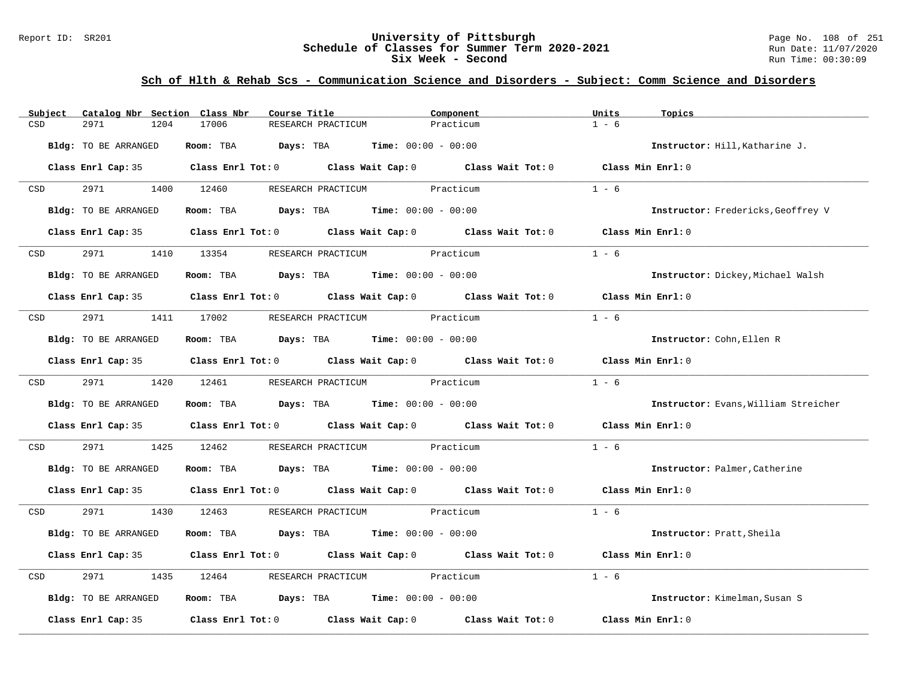#### Report ID: SR201 **University of Pittsburgh** Page No. 108 of 251 **Schedule of Classes for Summer Term 2020-2021** Run Date: 11/07/2020 **Six Week - Second Run Time: 00:30:09**

| Subject | Catalog Nbr Section Class Nbr | Course Title                                 |                              | Component                                                                                                                                                                                                                     | Units<br>Topics   |                                           |
|---------|-------------------------------|----------------------------------------------|------------------------------|-------------------------------------------------------------------------------------------------------------------------------------------------------------------------------------------------------------------------------|-------------------|-------------------------------------------|
| CSD     | 2971<br>1204                  | 17006<br>RESEARCH PRACTICUM                  |                              | Practicum                                                                                                                                                                                                                     | $1 - 6$           |                                           |
|         | Bldg: TO BE ARRANGED          | Room: TBA $Days:$ TBA $Time: 00:00 - 00:00$  |                              |                                                                                                                                                                                                                               |                   | Instructor: Hill, Katharine J.            |
|         |                               |                                              |                              | Class Enrl Cap: 35 Class Enrl Tot: 0 Class Wait Cap: 0 Class Wait Tot: 0 Class Min Enrl: 0                                                                                                                                    |                   |                                           |
| CSD     | 2971 200                      | 1400 12460                                   | RESEARCH PRACTICUM Practicum |                                                                                                                                                                                                                               | $1 - 6$           |                                           |
|         | Bldg: TO BE ARRANGED          | Room: TBA $Days: TBA$ Time: $00:00 - 00:00$  |                              |                                                                                                                                                                                                                               |                   | <b>Instructor:</b> Fredericks, Geoffrey V |
|         |                               |                                              |                              | Class Enrl Cap: 35 Class Enrl Tot: 0 Class Wait Cap: 0 Class Wait Tot: 0 Class Min Enrl: 0                                                                                                                                    |                   |                                           |
| CSD     | 2971                          | 1410 13354                                   | RESEARCH PRACTICUM Practicum |                                                                                                                                                                                                                               | $1 - 6$           |                                           |
|         | <b>Bldg:</b> TO BE ARRANGED   | Room: TBA $Days:$ TBA $Time: 00:00 - 00:00$  |                              |                                                                                                                                                                                                                               |                   | Instructor: Dickey, Michael Walsh         |
|         |                               |                                              |                              | Class Enrl Cap: 35 Class Enrl Tot: 0 Class Wait Cap: 0 Class Wait Tot: 0 Class Min Enrl: 0                                                                                                                                    |                   |                                           |
| CSD     |                               | 2971 1411 17002 RESEARCH PRACTICUM Practicum |                              |                                                                                                                                                                                                                               | $1 - 6$           |                                           |
|         | Bldg: TO BE ARRANGED          | Room: TBA $Days:$ TBA $Time: 00:00 - 00:00$  |                              |                                                                                                                                                                                                                               |                   | Instructor: Cohn, Ellen R                 |
|         |                               |                                              |                              | Class Enrl Cap: 35 Class Enrl Tot: 0 Class Wait Cap: 0 Class Wait Tot: 0 Class Min Enrl: 0                                                                                                                                    |                   |                                           |
| CSD     | 2971 1420 12461               |                                              | RESEARCH PRACTICUM Practicum |                                                                                                                                                                                                                               | $1 - 6$           |                                           |
|         | Bldg: TO BE ARRANGED          | Room: TBA $Days:$ TBA $Time: 00:00 - 00:00$  |                              |                                                                                                                                                                                                                               |                   | Instructor: Evans, William Streicher      |
|         |                               |                                              |                              | Class Enrl Cap: 35 Class Enrl Tot: 0 Class Wait Cap: 0 Class Wait Tot: 0 Class Min Enrl: 0                                                                                                                                    |                   |                                           |
| CSD     | 2971<br>1425                  | 12462                                        | RESEARCH PRACTICUM Practicum |                                                                                                                                                                                                                               | $1 - 6$           |                                           |
|         | Bldg: TO BE ARRANGED          | Room: TBA $Days:$ TBA $Time: 00:00 - 00:00$  |                              |                                                                                                                                                                                                                               |                   | Instructor: Palmer, Catherine             |
|         |                               |                                              |                              | Class Enrl Cap: 35 Class Enrl Tot: 0 Class Wait Cap: 0 Class Wait Tot: 0 Class Min Enrl: 0                                                                                                                                    |                   |                                           |
| CSD     | 2971 1430 12463               |                                              | RESEARCH PRACTICUM Practicum |                                                                                                                                                                                                                               | $1 - 6$           |                                           |
|         | Bldg: TO BE ARRANGED          | Room: TBA $Days:$ TBA $Time: 00:00 - 00:00$  |                              |                                                                                                                                                                                                                               |                   | Instructor: Pratt, Sheila                 |
|         |                               |                                              |                              | Class Enrl Cap: 35 Class Enrl Tot: 0 Class Wait Cap: 0 Class Wait Tot: 0 Class Min Enrl: 0                                                                                                                                    |                   |                                           |
| CSD     | 2971<br>1435                  | 12464                                        | RESEARCH PRACTICUM Practicum |                                                                                                                                                                                                                               | $1 - 6$           |                                           |
|         | Bldg: TO BE ARRANGED          | Room: TBA $Days:$ TBA $Time: 00:00 - 00:00$  |                              |                                                                                                                                                                                                                               |                   | Instructor: Kimelman, Susan S             |
|         |                               |                                              |                              | Class Enrl Cap: 35 $\,$ Class Enrl Tot: 0 $\,$ Class Wait Cap: 0 $\,$ Class Wait Tot: 0 $\,$ Class Enrl Tot: 0 $\,$ Class Enrl Tot: 0 $\,$ Class Enrl Tot: 0 $\,$ Class Enrl Tot: 0 $\,$ Class Enrl Tot: 0 $\,$ Class Enrl To | Class Min Enrl: 0 |                                           |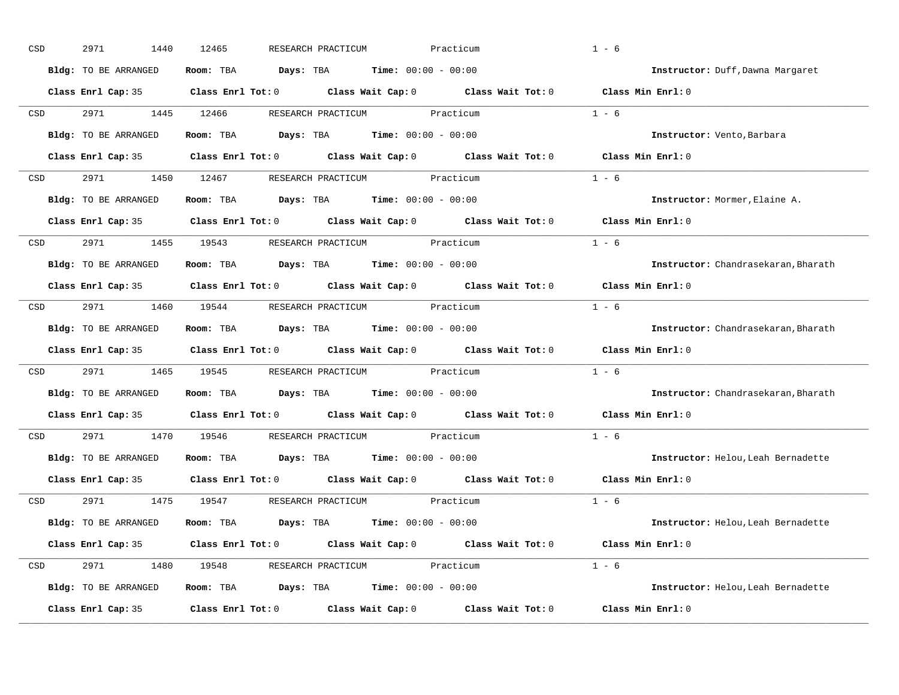| CSD                                                                                                             | 2971<br>1440         | 12465<br>RESEARCH PRACTICUM                                                                | Practicum | $1 - 6$                             |
|-----------------------------------------------------------------------------------------------------------------|----------------------|--------------------------------------------------------------------------------------------|-----------|-------------------------------------|
|                                                                                                                 | Bldg: TO BE ARRANGED | Room: TBA $Days:$ TBA $Time: 00:00 - 00:00$                                                |           | Instructor: Duff, Dawna Margaret    |
|                                                                                                                 |                      | Class Enrl Cap: 35 Class Enrl Tot: 0 Class Wait Cap: 0 Class Wait Tot: 0 Class Min Enrl: 0 |           |                                     |
| CSD                                                                                                             | 2971 1445 12466      | RESEARCH PRACTICUM Practicum                                                               |           | $1 - 6$                             |
|                                                                                                                 | Bldg: TO BE ARRANGED | Room: TBA $\rule{1em}{0.15mm}$ Days: TBA $\rule{1.15mm}]{0.15mm}$ Time: $0.000 - 0.0000$   |           | Instructor: Vento, Barbara          |
|                                                                                                                 |                      | Class Enrl Cap: 35 Class Enrl Tot: 0 Class Wait Cap: 0 Class Wait Tot: 0 Class Min Enrl: 0 |           |                                     |
| CSD                                                                                                             |                      | 2971 1450 12467 RESEARCH PRACTICUM Practicum                                               |           | $1 - 6$                             |
|                                                                                                                 | Bldg: TO BE ARRANGED | Room: TBA $\rule{1em}{0.15mm}$ Days: TBA Time: $00:00 - 00:00$                             |           | Instructor: Mormer, Elaine A.       |
|                                                                                                                 |                      | Class Enrl Cap: 35 Class Enrl Tot: 0 Class Wait Cap: 0 Class Wait Tot: 0                   |           | Class Min Enrl: 0                   |
| CSD <sub>2</sub>                                                                                                |                      | 2971 1455 19543 RESEARCH PRACTICUM Practicum                                               |           | $1 - 6$                             |
|                                                                                                                 | Bldg: TO BE ARRANGED | Room: TBA $\rule{1em}{0.15mm}$ Days: TBA Time: $00:00 - 00:00$                             |           | Instructor: Chandrasekaran, Bharath |
|                                                                                                                 |                      | Class Enrl Cap: 35 Class Enrl Tot: 0 Class Wait Cap: 0 Class Wait Tot: 0                   |           | Class Min Enrl: 0                   |
| CSD                                                                                                             |                      | 2971 1460 19544 RESEARCH PRACTICUM Practicum                                               |           | $1 - 6$                             |
|                                                                                                                 | Bldg: TO BE ARRANGED | Room: TBA $\rule{1em}{0.15mm}$ Days: TBA Time: $00:00 - 00:00$                             |           | Instructor: Chandrasekaran, Bharath |
|                                                                                                                 |                      | Class Enrl Cap: 35 Class Enrl Tot: 0 Class Wait Cap: 0 Class Wait Tot: 0                   |           | Class Min Enrl: 0                   |
| CSD                                                                                                             |                      | 2971 1465 19545 RESEARCH PRACTICUM Practicum                                               |           | $1 - 6$                             |
|                                                                                                                 | Bldg: TO BE ARRANGED | Room: TBA $\rule{1em}{0.15mm}$ Days: TBA Time: $00:00 - 00:00$                             |           | Instructor: Chandrasekaran, Bharath |
|                                                                                                                 |                      | Class Enrl Cap: 35 Class Enrl Tot: 0 Class Wait Cap: 0 Class Wait Tot: 0                   |           | Class Min Enrl: 0                   |
| CSD <sub>c</sub>                                                                                                | 2971                 | 1470 19546<br>RESEARCH PRACTICUM                                                           | Practicum | $1 - 6$                             |
|                                                                                                                 | Bldg: TO BE ARRANGED | Room: TBA $Days:$ TBA Time: $00:00 - 00:00$                                                |           | Instructor: Helou, Leah Bernadette  |
|                                                                                                                 | Class Enrl Cap: 35   | Class Enrl Tot: $0$ Class Wait Cap: $0$ Class Wait Tot: $0$                                |           | Class Min Enrl: 0                   |
| CSD and the control of the control of the control of the control of the control of the control of the control o | 2971 200             | 1475 19547 RESEARCH PRACTICUM Practicum                                                    |           | $1 - 6$                             |
|                                                                                                                 | Bldg: TO BE ARRANGED | Room: TBA $Days:$ TBA $Time: 00:00 - 00:00$                                                |           | Instructor: Helou, Leah Bernadette  |
|                                                                                                                 |                      | Class Enrl Cap: 35 Class Enrl Tot: 0 Class Wait Cap: 0 Class Wait Tot: 0 Class Min Enrl: 0 |           |                                     |
| CSD                                                                                                             |                      | 2971 1480 19548 RESEARCH PRACTICUM Practicum                                               |           | $1 - 6$                             |
|                                                                                                                 | Bldg: TO BE ARRANGED | Room: TBA $Days:$ TBA $Time: 00:00 - 00:00$                                                |           | Instructor: Helou, Leah Bernadette  |
|                                                                                                                 | Class Enrl Cap: 35   | Class Enrl Tot: $0$ Class Wait Cap: $0$ Class Wait Tot: $0$                                |           | Class Min Enrl: 0                   |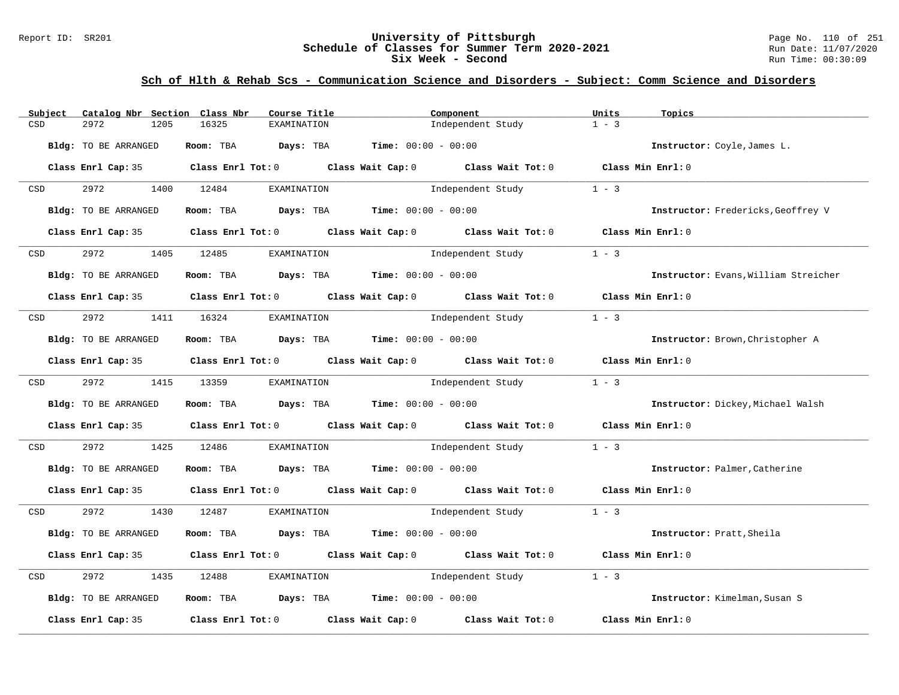#### Report ID: SR201 **University of Pittsburgh** Page No. 110 of 251 **Schedule of Classes for Summer Term 2020-2021** Run Date: 11/07/2020 **Six Week - Second Run Time: 00:30:09**

| Subject    | Catalog Nbr Section Class Nbr | Course Title                                                   | Component                                                                                  | Units<br>Topics                           |
|------------|-------------------------------|----------------------------------------------------------------|--------------------------------------------------------------------------------------------|-------------------------------------------|
| CSD        | 2972<br>1205                  | 16325<br><b>EXAMINATION</b>                                    | Independent Study                                                                          | $1 - 3$                                   |
|            | Bldg: TO BE ARRANGED          | Room: TBA $Days:$ TBA $Time: 00:00 - 00:00$                    |                                                                                            | Instructor: Coyle, James L.               |
|            |                               |                                                                | Class Enrl Cap: 35 Class Enrl Tot: 0 Class Wait Cap: 0 Class Wait Tot: 0 Class Min Enrl: 0 |                                           |
| CSD        | 2972                          | 1400 12484<br>EXAMINATION                                      | Independent Study                                                                          | $1 - 3$                                   |
|            | Bldg: TO BE ARRANGED          | Room: TBA $Days: TBA$ Time: $00:00 - 00:00$                    |                                                                                            | <b>Instructor:</b> Fredericks, Geoffrey V |
|            |                               |                                                                | Class Enrl Cap: 35 Class Enrl Tot: 0 Class Wait Cap: 0 Class Wait Tot: 0 Class Min Enrl: 0 |                                           |
| CSD        | 2972                          | 1405 12485<br>EXAMINATION                                      | Independent Study                                                                          | $1 - 3$                                   |
|            | <b>Bldg:</b> TO BE ARRANGED   | Room: TBA $Days:$ TBA $Time: 00:00 - 00:00$                    |                                                                                            | Instructor: Evans, William Streicher      |
|            |                               |                                                                | Class Enrl Cap: 35 Class Enrl Tot: 0 Class Wait Cap: 0 Class Wait Tot: 0 Class Min Enrl: 0 |                                           |
| CSD        | 2972                          | 1411 16324<br>EXAMINATION                                      | Independent Study                                                                          | $1 - 3$                                   |
|            | Bldg: TO BE ARRANGED          | Room: TBA $Days:$ TBA $Time: 00:00 - 00:00$                    |                                                                                            | Instructor: Brown, Christopher A          |
|            |                               |                                                                | Class Enrl Cap: 35 Class Enrl Tot: 0 Class Wait Cap: 0 Class Wait Tot: 0 Class Min Enrl: 0 |                                           |
| <b>CSD</b> | 2972 1415 13359               | EXAMINATION                                                    | Independent Study                                                                          | $1 - 3$                                   |
|            | Bldg: TO BE ARRANGED          | Room: TBA $\rule{1em}{0.15mm}$ Days: TBA Time: $00:00 - 00:00$ |                                                                                            | Instructor: Dickey, Michael Walsh         |
|            |                               |                                                                | Class Enrl Cap: 35 Class Enrl Tot: 0 Class Wait Cap: 0 Class Wait Tot: 0 Class Min Enrl: 0 |                                           |
| CSD        | 2972<br>1425                  | 12486                                                          | EXAMINATION Independent Study                                                              | $1 - 3$                                   |
|            | Bldg: TO BE ARRANGED          | Room: TBA $Days: TBA$ Time: $00:00 - 00:00$                    |                                                                                            | Instructor: Palmer, Catherine             |
|            |                               |                                                                | Class Enrl Cap: 35 Class Enrl Tot: 0 Class Wait Cap: 0 Class Wait Tot: 0 Class Min Enrl: 0 |                                           |
| CSD        | 2972                          | 1430 12487<br>EXAMINATION                                      | Independent Study 1 - 3                                                                    |                                           |
|            | Bldg: TO BE ARRANGED          | Room: TBA $Days:$ TBA $Time: 00:00 - 00:00$                    |                                                                                            | Instructor: Pratt, Sheila                 |
|            | Class Enrl Cap: 35            |                                                                | Class Enrl Tot: 0 Class Wait Cap: 0 Class Wait Tot: 0                                      | Class Min $Enr1:0$                        |
| CSD        | 2972<br>1435                  | 12488<br>EXAMINATION                                           | Independent Study                                                                          | $1 - 3$                                   |
|            | Bldg: TO BE ARRANGED          | Room: TBA $Days: TBA$ Time: $00:00 - 00:00$                    |                                                                                            | Instructor: Kimelman, Susan S             |
|            | Class Enrl Cap: 35            | Class Enrl Tot: $0$ Class Wait Cap: $0$                        | Class Wait Tot: 0                                                                          | Class Min Enrl: 0                         |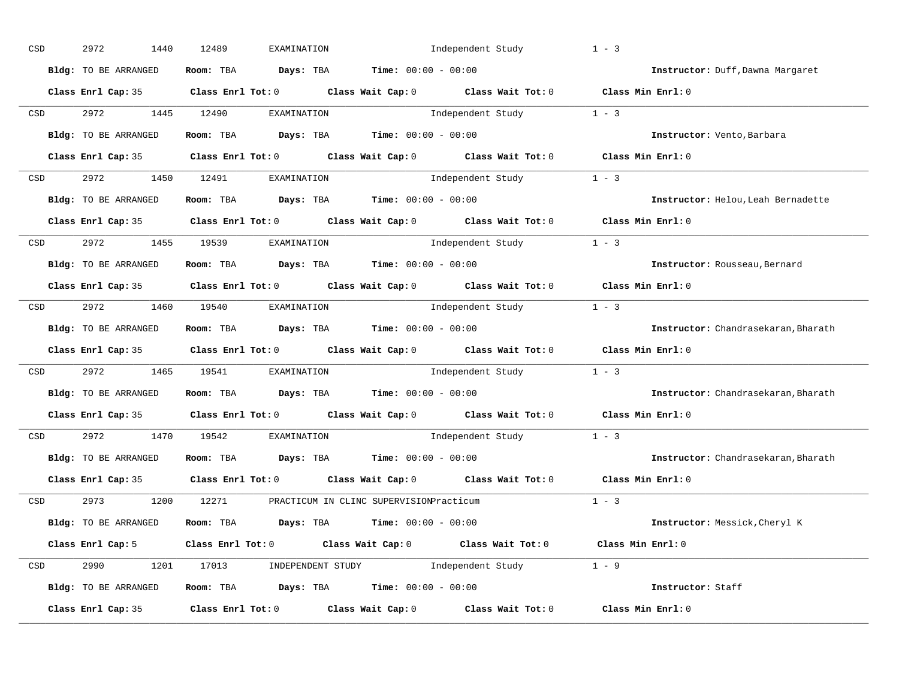| CSD |                  | 2972<br>1440         | 12489<br>EXAMINATION                                                                    | Independent Study                                                                                   | $1 - 3$                             |
|-----|------------------|----------------------|-----------------------------------------------------------------------------------------|-----------------------------------------------------------------------------------------------------|-------------------------------------|
|     |                  | Bldg: TO BE ARRANGED | Room: TBA $Days:$ TBA $Time: 00:00 - 00:00$                                             |                                                                                                     | Instructor: Duff, Dawna Margaret    |
|     |                  |                      |                                                                                         | Class Enrl Cap: 35 Class Enrl Tot: 0 Class Wait Cap: 0 Class Wait Tot: 0 Class Min Enrl: 0          |                                     |
|     | CSD              | 2972 1445 12490      | EXAMINATION                                                                             | Independent Study 1 - 3                                                                             |                                     |
|     |                  | Bldg: TO BE ARRANGED | Room: TBA $Days:$ TBA Time: $00:00 - 00:00$                                             |                                                                                                     | Instructor: Vento, Barbara          |
|     |                  |                      |                                                                                         | Class Enrl Cap: 35 Class Enrl Tot: 0 Class Wait Cap: 0 Class Wait Tot: 0 Class Min Enrl: 0          |                                     |
|     |                  |                      | CSD 2972 1450 12491 EXAMINATION                                                         | Independent Study 1 - 3                                                                             |                                     |
|     |                  | Bldg: TO BE ARRANGED | Room: TBA $Days:$ TBA $Time: 00:00 - 00:00$                                             |                                                                                                     | Instructor: Helou, Leah Bernadette  |
|     |                  |                      |                                                                                         | Class Enrl Cap: 35 Class Enrl Tot: 0 Class Wait Cap: 0 Class Wait Tot: 0 Class Min Enrl: 0          |                                     |
|     | <b>CSD</b>       |                      | 2972 1455 19539 EXAMINATION                                                             | Independent Study 1 - 3                                                                             |                                     |
|     |                  | Bldg: TO BE ARRANGED | Room: TBA $Days:$ TBA $Time: 00:00 - 00:00$                                             |                                                                                                     | Instructor: Rousseau, Bernard       |
|     |                  |                      |                                                                                         | Class Enrl Cap: 35 Class Enrl Tot: 0 Class Wait Cap: 0 Class Wait Tot: 0 Class Min Enrl: 0          |                                     |
|     | CSD <sub>c</sub> |                      | 2972 1460 19540 EXAMINATION                                                             | Independent Study 1 - 3                                                                             |                                     |
|     |                  | Bldg: TO BE ARRANGED | Room: TBA $Days:$ TBA $Time: 00:00 - 00:00$                                             |                                                                                                     | Instructor: Chandrasekaran, Bharath |
|     |                  |                      |                                                                                         | Class Enrl Cap: 35 Class Enrl Tot: 0 Class Wait Cap: 0 Class Wait Tot: 0 Class Min Enrl: 0          |                                     |
|     | CSD <sub>c</sub> |                      |                                                                                         | 2972 1465 19541 EXAMINATION Independent Study 1 - 3                                                 |                                     |
|     |                  | Bldg: TO BE ARRANGED | Room: TBA $Days:$ TBA $Time: 00:00 - 00:00$                                             |                                                                                                     | Instructor: Chandrasekaran, Bharath |
|     |                  |                      |                                                                                         | Class Enrl Cap: 35 $\qquad$ Class Enrl Tot: 0 $\qquad$ Class Wait Cap: 0 $\qquad$ Class Wait Tot: 0 | Class Min Enrl: 0                   |
|     | CSD              | 2972 1470 19542      | EXAMINATION                                                                             | Independent Study                                                                                   | $1 - 3$                             |
|     |                  | Bldg: TO BE ARRANGED | Room: TBA $Days:$ TBA $Time: 00:00 - 00:00$                                             |                                                                                                     | Instructor: Chandrasekaran, Bharath |
|     |                  | Class Enrl Cap: 35   |                                                                                         | Class Enrl Tot: $0$ Class Wait Cap: $0$ Class Wait Tot: $0$                                         | Class Min Enrl: 0                   |
|     |                  |                      | CSD 2973 1200 12271 PRACTICUM IN CLINC SUPERVISIONPracticum                             |                                                                                                     | $1 - 3$                             |
|     |                  | Bldg: TO BE ARRANGED | Room: TBA $\rule{1em}{0.15mm}$ Days: TBA $\rule{1.15mm}]{0.15mm}$ Time: $0.000 - 0.000$ |                                                                                                     | Instructor: Messick, Cheryl K       |
|     |                  | Class Enrl Cap: 5    |                                                                                         | Class Enrl Tot: 0 $\qquad$ Class Wait Cap: 0 $\qquad$ Class Wait Tot: 0 $\qquad$ Class Min Enrl: 0  |                                     |
|     |                  |                      |                                                                                         | CSD 2990 1201 17013 INDEPENDENT STUDY Independent Study 1 - 9                                       |                                     |
|     |                  | Bldg: TO BE ARRANGED | Room: TBA $Days: TBA$ Time: $00:00 - 00:00$                                             |                                                                                                     | Instructor: Staff                   |
|     |                  | Class Enrl Cap: 35   |                                                                                         | Class Enrl Tot: $0$ Class Wait Cap: $0$ Class Wait Tot: $0$                                         | Class Min Enrl: 0                   |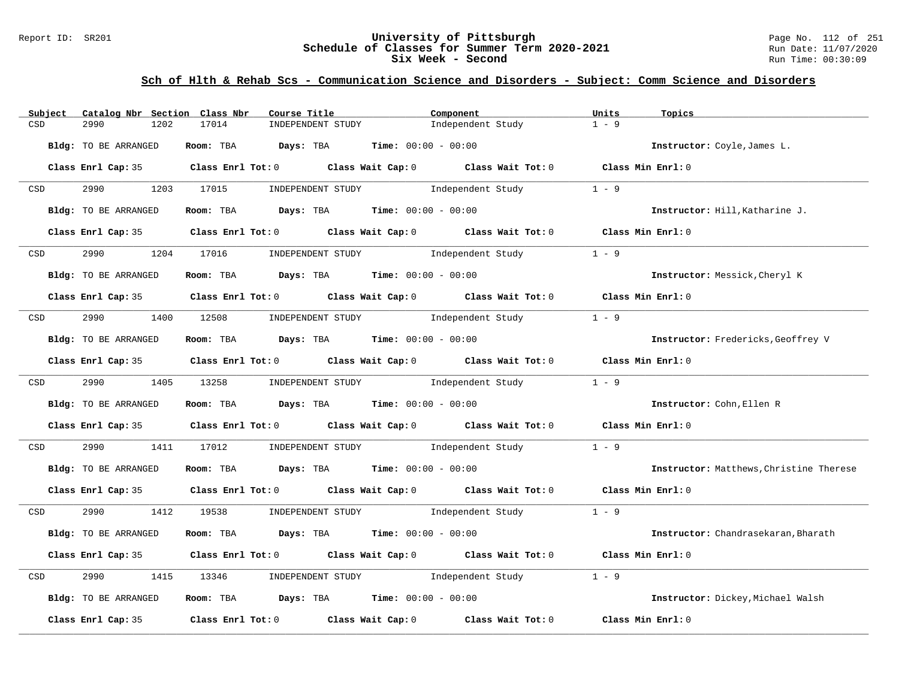#### Report ID: SR201 **University of Pittsburgh** Page No. 112 of 251 **Schedule of Classes for Summer Term 2020-2021** Run Date: 11/07/2020 **Six Week - Second Run Time: 00:30:09**

| Subject<br>Catalog Nbr Section Class Nbr                                                                        | Course Title                                        | Component                                                                                           | Units<br>Topics                         |
|-----------------------------------------------------------------------------------------------------------------|-----------------------------------------------------|-----------------------------------------------------------------------------------------------------|-----------------------------------------|
| CSD<br>2990<br>1202                                                                                             | 17014<br>INDEPENDENT STUDY                          | Independent Study                                                                                   | $1 - 9$                                 |
| Bldg: TO BE ARRANGED                                                                                            | Room: TBA Days: TBA                                 | <b>Time:</b> $00:00 - 00:00$                                                                        | Instructor: Coyle, James L.             |
|                                                                                                                 |                                                     | Class Enrl Cap: 35 Class Enrl Tot: 0 Class Wait Cap: 0 Class Wait Tot: 0 Class Min Enrl: 0          |                                         |
| 2990 1203 17015<br>CSD                                                                                          | INDEPENDENT STUDY                                   | Independent Study                                                                                   | $1 - 9$                                 |
| Bldg: TO BE ARRANGED                                                                                            | Room: TBA $Days:$ TBA $Time: 00:00 - 00:00$         |                                                                                                     | Instructor: Hill, Katharine J.          |
|                                                                                                                 |                                                     | Class Enrl Cap: 35 Class Enrl Tot: 0 Class Wait Cap: 0 Class Wait Tot: 0 Class Min Enrl: 0          |                                         |
| 2990<br>CSD                                                                                                     | 1204 17016 INDEPENDENT STUDY Independent Study      |                                                                                                     | $1 - 9$                                 |
| Bldg: TO BE ARRANGED                                                                                            | Room: TBA $Days:$ TBA $Time: 00:00 - 00:00$         |                                                                                                     | Instructor: Messick, Cheryl K           |
|                                                                                                                 |                                                     | Class Enrl Cap: 35 $\qquad$ Class Enrl Tot: 0 $\qquad$ Class Wait Cap: 0 $\qquad$ Class Wait Tot: 0 | Class Min Enrl: 0                       |
| CSD and the control of the control of the control of the control of the control of the control of the control o | 2990 1400 12508 INDEPENDENT STUDY Independent Study |                                                                                                     | $1 - 9$                                 |
| Bldg: TO BE ARRANGED                                                                                            | Room: TBA $Days:$ TBA $Time: 00:00 - 00:00$         |                                                                                                     | Instructor: Fredericks, Geoffrey V      |
|                                                                                                                 |                                                     | Class Enrl Cap: 35 Class Enrl Tot: 0 Class Wait Cap: 0 Class Wait Tot: 0 Class Min Enrl: 0          |                                         |
| 2990 1405 13258<br><b>CSD</b>                                                                                   |                                                     | INDEPENDENT STUDY The Independent Study                                                             | $1 - 9$                                 |
| Bldg: TO BE ARRANGED                                                                                            | Room: TBA $Days:$ TBA $Time: 00:00 - 00:00$         |                                                                                                     | Instructor: Cohn, Ellen R               |
|                                                                                                                 |                                                     | Class Enrl Cap: 35 Class Enrl Tot: 0 Class Wait Cap: 0 Class Wait Tot: 0 Class Min Enrl: 0          |                                         |
| 2990<br>CSD                                                                                                     | 1411 17012                                          | INDEPENDENT STUDY 1ndependent Study                                                                 | $1 - 9$                                 |
| Bldg: TO BE ARRANGED                                                                                            | Room: TBA $Days:$ TBA $Time: 00:00 - 00:00$         |                                                                                                     | Instructor: Matthews, Christine Therese |
|                                                                                                                 |                                                     | Class Enrl Cap: 35 Class Enrl Tot: 0 Class Wait Cap: 0 Class Wait Tot: 0 Class Min Enrl: 0          |                                         |
| CSD                                                                                                             |                                                     | 2990 1412 19538 INDEPENDENT STUDY Independent Study 1 - 9                                           |                                         |
| Bldg: TO BE ARRANGED                                                                                            | Room: TBA $Days:$ TBA $Time: 00:00 - 00:00$         |                                                                                                     | Instructor: Chandrasekaran, Bharath     |
|                                                                                                                 |                                                     | Class Enrl Cap: 35 Class Enrl Tot: 0 Class Wait Cap: 0 Class Wait Tot: 0 Class Min Enrl: 0          |                                         |
| 2990<br>1415<br>CSD                                                                                             | 13346                                               | INDEPENDENT STUDY 1ndependent Study                                                                 | $1 - 9$                                 |
| Bldg: TO BE ARRANGED                                                                                            | Room: TBA $Days:$ TBA $Time: 00:00 - 00:00$         |                                                                                                     | Instructor: Dickey, Michael Walsh       |
| Class Enrl Cap: 35                                                                                              |                                                     | Class Enrl Tot: $0$ Class Wait Cap: $0$ Class Wait Tot: $0$                                         | Class Min Enrl: 0                       |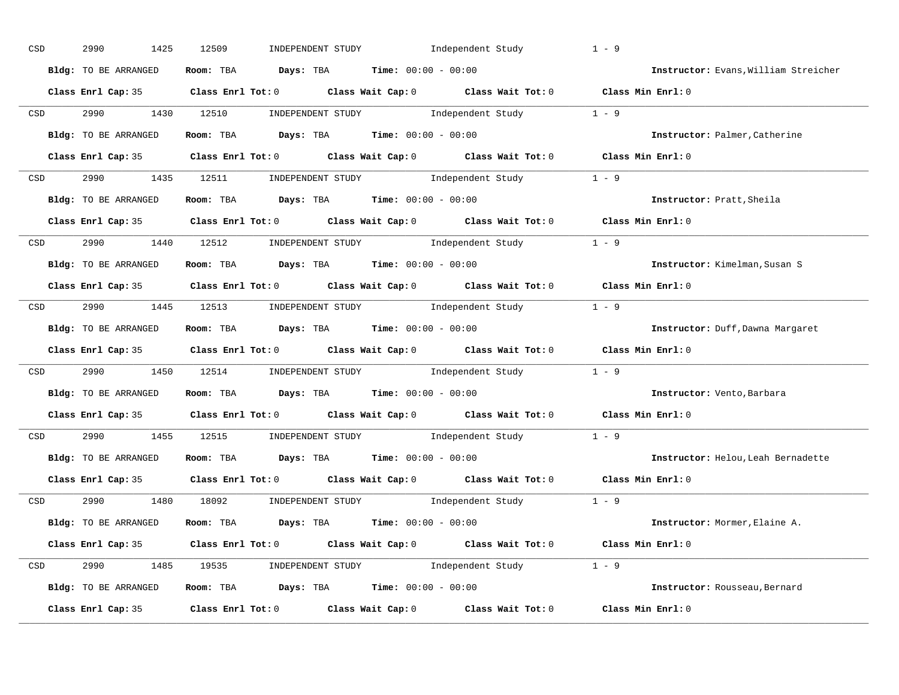| CSD |                  | 2990<br>1425         | 12509<br>INDEPENDENT STUDY                                                                 | Independent Study | $1 - 9$                              |
|-----|------------------|----------------------|--------------------------------------------------------------------------------------------|-------------------|--------------------------------------|
|     |                  | Bldg: TO BE ARRANGED | Room: TBA $Days:$ TBA $Time: 00:00 - 00:00$                                                |                   | Instructor: Evans, William Streicher |
|     |                  |                      | Class Enrl Cap: 35 Class Enrl Tot: 0 Class Wait Cap: 0 Class Wait Tot: 0 Class Min Enrl: 0 |                   |                                      |
|     |                  |                      | CSD 2990 1430 12510 INDEPENDENT STUDY Independent Study 1 - 9                              |                   |                                      |
|     |                  | Bldg: TO BE ARRANGED | Room: TBA $Days:$ TBA $Time: 00:00 - 00:00$                                                |                   | Instructor: Palmer, Catherine        |
|     |                  |                      | Class Enrl Cap: 35 Class Enrl Tot: 0 Class Wait Cap: 0 Class Wait Tot: 0 Class Min Enrl: 0 |                   |                                      |
|     |                  |                      | CSD 2990 1435 12511 INDEPENDENT STUDY Independent Study 1 - 9                              |                   |                                      |
|     |                  |                      | <b>Bldg:</b> TO BE ARRANGED <b>Room:</b> TBA <b>Days:</b> TBA <b>Time:</b> $00:00 - 00:00$ |                   | Instructor: Pratt, Sheila            |
|     |                  |                      | Class Enrl Cap: 35 Class Enrl Tot: 0 Class Wait Cap: 0 Class Wait Tot: 0 Class Min Enrl: 0 |                   |                                      |
|     | <b>CSD</b>       |                      | 2990 1440 12512 INDEPENDENT STUDY Independent Study 1 - 9                                  |                   |                                      |
|     |                  | Bldg: TO BE ARRANGED | Room: TBA $Days:$ TBA $Time: 00:00 - 00:00$                                                |                   | Instructor: Kimelman, Susan S        |
|     |                  |                      | Class Enrl Cap: 35 Class Enrl Tot: 0 Class Wait Cap: 0 Class Wait Tot: 0 Class Min Enrl: 0 |                   |                                      |
|     |                  |                      | CSD 2990 1445 12513 INDEPENDENT STUDY Independent Study 1 - 9                              |                   |                                      |
|     |                  | Bldg: TO BE ARRANGED | Room: TBA $Days:$ TBA $Time:$ $00:00 - 00:00$                                              |                   | Instructor: Duff, Dawna Margaret     |
|     |                  |                      | Class Enrl Cap: 35 Class Enrl Tot: 0 Class Wait Cap: 0 Class Wait Tot: 0 Class Min Enrl: 0 |                   |                                      |
|     | CSD <sub>c</sub> |                      | 2990 1450 12514 INDEPENDENT STUDY Independent Study 1 - 9                                  |                   |                                      |
|     |                  | Bldg: TO BE ARRANGED | Room: TBA $Days:$ TBA $Time: 00:00 - 00:00$                                                |                   | Instructor: Vento, Barbara           |
|     |                  |                      | Class Enrl Cap: 35 Class Enrl Tot: 0 Class Wait Cap: 0 Class Wait Tot: 0 Class Min Enrl: 0 |                   |                                      |
|     | CSD              |                      | 2990 1455 12515 INDEPENDENT STUDY Independent Study 1 - 9                                  |                   |                                      |
|     |                  | Bldg: TO BE ARRANGED | Room: TBA $Days:$ TBA Time: $00:00 - 00:00$                                                |                   | Instructor: Helou, Leah Bernadette   |
|     |                  | Class Enrl Cap: 35   | Class Enrl Tot: $0$ Class Wait Cap: $0$ Class Wait Tot: $0$                                |                   | Class Min Enrl: 0                    |
|     |                  |                      | CSD 2990 1480 18092 INDEPENDENT STUDY Independent Study 1 - 9                              |                   |                                      |
|     |                  | Bldg: TO BE ARRANGED | Room: TBA $\rule{1em}{0.15mm}$ Days: TBA Time: $00:00 - 00:00$                             |                   | Instructor: Mormer, Elaine A.        |
|     |                  |                      | Class Enrl Cap: 35 Class Enrl Tot: 0 Class Wait Cap: 0 Class Wait Tot: 0 Class Min Enrl: 0 |                   |                                      |
|     |                  |                      | CSD 2990 1485 19535 INDEPENDENT STUDY Independent Study 1 - 9                              |                   |                                      |
|     |                  | Bldg: TO BE ARRANGED | <b>Room:</b> TBA <b>Days:</b> TBA <b>Time:</b> 00:00 - 00:00                               |                   | Instructor: Rousseau, Bernard        |
|     |                  |                      | Class Enrl Cap: 35 Class Enrl Tot: 0 Class Wait Cap: 0 Class Wait Tot: 0 Class Min Enrl: 0 |                   |                                      |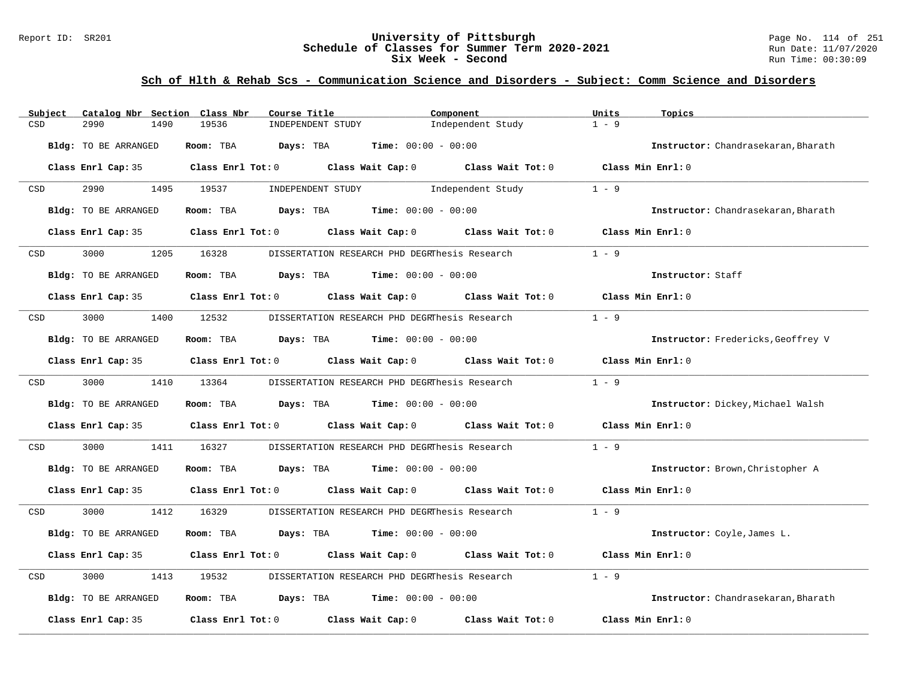#### Report ID: SR201 **University of Pittsburgh** Page No. 114 of 251 **Schedule of Classes for Summer Term 2020-2021** Run Date: 11/07/2020 **Six Week - Second Run Time: 00:30:09**

| Subject    | Catalog Nbr Section Class Nbr | Course Title                                                                                                        | Component                                                               | Units<br>Topics                     |
|------------|-------------------------------|---------------------------------------------------------------------------------------------------------------------|-------------------------------------------------------------------------|-------------------------------------|
| CSD        | 2990<br>1490                  | 19536<br>INDEPENDENT STUDY                                                                                          | Independent Study                                                       | $1 - 9$                             |
|            | Bldg: TO BE ARRANGED          | Room: TBA<br>Days: TBA                                                                                              | <b>Time:</b> $00:00 - 00:00$                                            | Instructor: Chandrasekaran, Bharath |
|            |                               | Class Enrl Cap: 35 Class Enrl Tot: 0 Class Wait Cap: 0 Class Wait Tot: 0 Class Min Enrl: 0                          |                                                                         |                                     |
| CSD        | 2990                          | 1495 19537                                                                                                          | INDEPENDENT STUDY 1ndependent Study                                     | $1 - 9$                             |
|            | Bldg: TO BE ARRANGED          | Room: TBA $Days:$ TBA $Time: 00:00 - 00:00$                                                                         |                                                                         | Instructor: Chandrasekaran, Bharath |
|            | Class Enrl Cap: 35            |                                                                                                                     | Class Enrl Tot: 0 Class Wait Cap: 0 Class Wait Tot: 0 Class Min Enrl: 0 |                                     |
| <b>CSD</b> | 1205<br>3000                  | 16328                                                                                                               | DISSERTATION RESEARCH PHD DEGRThesis Research                           | $1 - 9$                             |
|            | Bldg: TO BE ARRANGED          | Room: TBA $Days:$ TBA $Time: 00:00 - 00:00$                                                                         |                                                                         | Instructor: Staff                   |
|            |                               | Class Enrl Cap: 35 Class Enrl Tot: 0 Class Wait Cap: 0 Class Wait Tot: 0 Class Min Enrl: 0                          |                                                                         |                                     |
| CSD        | 3000                          | 1400 12532                                                                                                          | DISSERTATION RESEARCH PHD DEGRThesis Research                           | $1 - 9$                             |
|            | Bldg: TO BE ARRANGED          | Room: TBA $Days:$ TBA $Time: 00:00 - 00:00$                                                                         |                                                                         | Instructor: Fredericks, Geoffrey V  |
|            | Class Enrl Cap: 35            |                                                                                                                     | Class Enrl Tot: $0$ Class Wait Cap: $0$ Class Wait Tot: $0$             | Class Min Enrl: 0                   |
| CSD        | 3000 000                      | 1410 13364                                                                                                          | DISSERTATION RESEARCH PHD DEGRThesis Research                           | $1 - 9$                             |
|            | Bldg: TO BE ARRANGED          | Room: TBA $Days:$ TBA $Time: 00:00 - 00:00$                                                                         |                                                                         | Instructor: Dickey, Michael Walsh   |
|            |                               | Class Enrl Cap: 35 $\qquad$ Class Enrl Tot: 0 $\qquad$ Class Wait Cap: 0 $\qquad$ Class Wait Tot: 0                 |                                                                         | Class Min Enrl: 0                   |
| CSD        | 3000<br>1411                  | 16327                                                                                                               | DISSERTATION RESEARCH PHD DEGRThesis Research                           | $1 - 9$                             |
|            | Bldg: TO BE ARRANGED          | Room: TBA $Days:$ TBA $Time: 00:00 - 00:00$                                                                         |                                                                         | Instructor: Brown, Christopher A    |
|            |                               | Class Enrl Cap: 35 $\,$ Class Enrl Tot: 0 $\,$ Class Wait Cap: 0 $\,$ Class Wait Tot: 0 $\,$ Class Min Enrl: 0 $\,$ |                                                                         |                                     |
| <b>CSD</b> | 3000 000                      | 1412 16329                                                                                                          | DISSERTATION RESEARCH PHD DEGRThesis Research                           | $1 - 9$                             |
|            | Bldg: TO BE ARRANGED          | Room: TBA<br><b>Days:</b> TBA <b>Time:</b> $00:00 - 00:00$                                                          |                                                                         | Instructor: Coyle, James L.         |
|            |                               | Class Enrl Cap: 35 Class Enrl Tot: 0 Class Wait Cap: 0 Class Wait Tot: 0                                            |                                                                         | Class Min $Err1:0$                  |
| CSD        | 3000<br>1413                  | 19532                                                                                                               | DISSERTATION RESEARCH PHD DEGRThesis Research                           | $1 - 9$                             |
|            | Bldg: TO BE ARRANGED          | Room: TBA $Days:$ TBA $Time: 00:00 - 00:00$                                                                         |                                                                         | Instructor: Chandrasekaran, Bharath |
|            | Class Enrl Cap: 35            | Class Enrl Tot: $0$ Class Wait Cap: $0$ Class Wait Tot: $0$                                                         |                                                                         | Class Min Enrl: 0                   |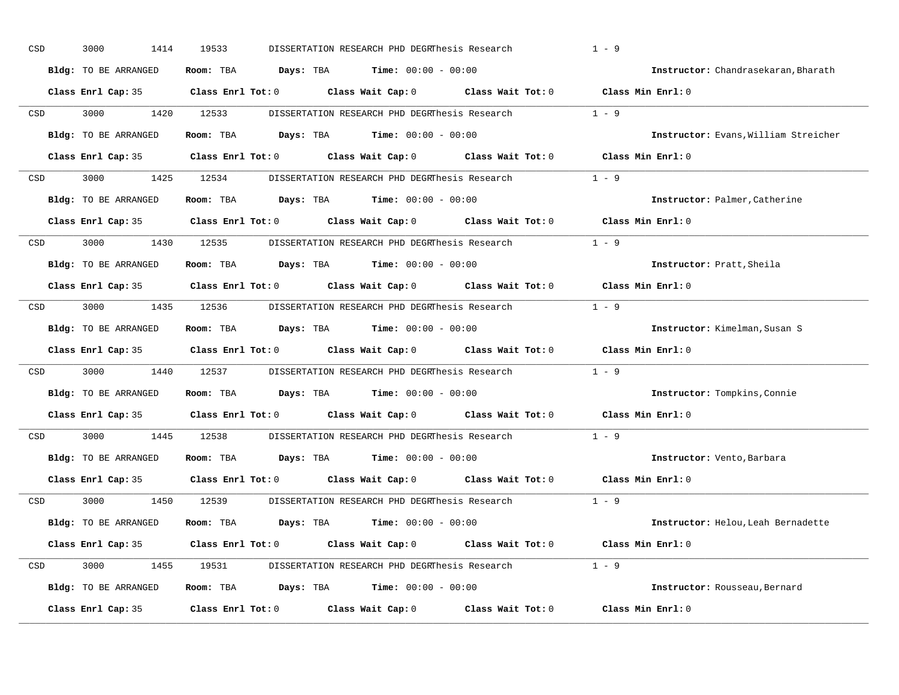| CSD | 3000<br>1414                | 19533                   | DISSERTATION RESEARCH PHD DEGRThesis Research                                              |                                     | $1 - 9$                              |
|-----|-----------------------------|-------------------------|--------------------------------------------------------------------------------------------|-------------------------------------|--------------------------------------|
|     | <b>Bldg:</b> TO BE ARRANGED | Room: TBA<br>Days: TBA  | $Time: 00:00 - 00:00$                                                                      |                                     | Instructor: Chandrasekaran, Bharath  |
|     | Class Enrl Cap: 35          | $Class$ $Enr1$ $Tot: 0$ | Class Wait Cap: 0                                                                          | Class Wait Tot: 0                   | Class Min Enrl: 0                    |
| CSD | 3000<br>1420                | 12533                   | DISSERTATION RESEARCH PHD DEGRThesis Research 1 - 9                                        |                                     |                                      |
|     | Bldg: TO BE ARRANGED        | Room: TBA               | <b>Days:</b> TBA <b>Time:</b> $00:00 - 00:00$                                              |                                     | Instructor: Evans, William Streicher |
|     |                             |                         | Class Enrl Cap: 35 Class Enrl Tot: 0 Class Wait Cap: 0 Class Wait Tot: 0 Class Min Enrl: 0 |                                     |                                      |
| CSD | 3000<br>1425                | 12534                   | DISSERTATION RESEARCH PHD DEGRThesis Research 1 - 9                                        |                                     |                                      |
|     | Bldg: TO BE ARRANGED        | Room: TBA               | <b>Days:</b> TBA <b>Time:</b> $00:00 - 00:00$                                              |                                     | Instructor: Palmer, Catherine        |
|     | Class Enrl Cap: 35          | $Class$ $Enr1$ $Tot: 0$ |                                                                                            | Class Wait Cap: 0 Class Wait Tot: 0 | Class Min Enrl: 0                    |
| CSD | 3000<br>1430                | 12535                   | DISSERTATION RESEARCH PHD DEGRThesis Research                                              |                                     | $1 - 9$                              |
|     | Bldg: TO BE ARRANGED        | Room: TBA               | <b>Days:</b> TBA <b>Time:</b> $00:00 - 00:00$                                              |                                     | <b>Instructor:</b> Pratt, Sheila     |
|     | Class Enrl Cap: 35          | $Class$ $Enr1$ $Tot: 0$ | Class Wait Cap: 0 Class Wait Tot: 0                                                        |                                     | Class Min Enrl: 0                    |
| CSD | 3000<br>1435                | 12536                   | DISSERTATION RESEARCH PHD DEGRThesis Research                                              |                                     | $1 - 9$                              |
|     | Bldg: TO BE ARRANGED        | Room: TBA               | <b>Days:</b> TBA <b>Time:</b> $00:00 - 00:00$                                              |                                     | Instructor: Kimelman, Susan S        |
|     | Class Enrl Cap: 35          |                         | Class Enrl Tot: 0 Class Wait Cap: 0 Class Wait Tot: 0                                      |                                     | Class Min Enrl: 0                    |
| CSD | 3000<br>1440                | 12537                   | DISSERTATION RESEARCH PHD DEGRThesis Research                                              |                                     | $1 - 9$                              |
|     | Bldg: TO BE ARRANGED        | Room: TBA               | <b>Days:</b> TBA <b>Time:</b> $00:00 - 00:00$                                              |                                     | Instructor: Tompkins, Connie         |
|     |                             |                         | Class Enrl Cap: 35 Class Enrl Tot: 0 Class Wait Cap: 0 Class Wait Tot: 0                   |                                     | Class Min Enrl: 0                    |
| CSD | 3000<br>1445                | 12538                   | DISSERTATION RESEARCH PHD DEGRThesis Research                                              |                                     | $1 - 9$                              |
|     | Bldg: TO BE ARRANGED        | Room: TBA               | <b>Days:</b> TBA <b>Time:</b> $00:00 - 00:00$                                              |                                     | Instructor: Vento, Barbara           |
|     | Class Enrl Cap: 35          |                         | Class Enrl Tot: 0 Class Wait Cap: 0 Class Wait Tot: 0                                      |                                     | Class Min Enrl: 0                    |
| CSD | 3000<br>1450                | 12539                   | DISSERTATION RESEARCH PHD DEGRThesis Research                                              |                                     | $1 - 9$                              |
|     | Bldg: TO BE ARRANGED        | Room: TBA               | <b>Days:</b> TBA <b>Time:</b> $00:00 - 00:00$                                              |                                     | Instructor: Helou, Leah Bernadette   |
|     | Class Enrl Cap: 35          | Class Enrl Tot: 0       | Class Wait Cap: 0                                                                          |                                     | Class Wait Tot: 0 Class Min Enrl: 0  |
| CSD | 3000<br>1455                | 19531                   | DISSERTATION RESEARCH PHD DEGRThesis Research 1 - 9                                        |                                     |                                      |
|     | Bldg: TO BE ARRANGED        | Room: TBA               | <b>Days:</b> TBA <b>Time:</b> $00:00 - 00:00$                                              |                                     | Instructor: Rousseau, Bernard        |
|     |                             |                         |                                                                                            |                                     |                                      |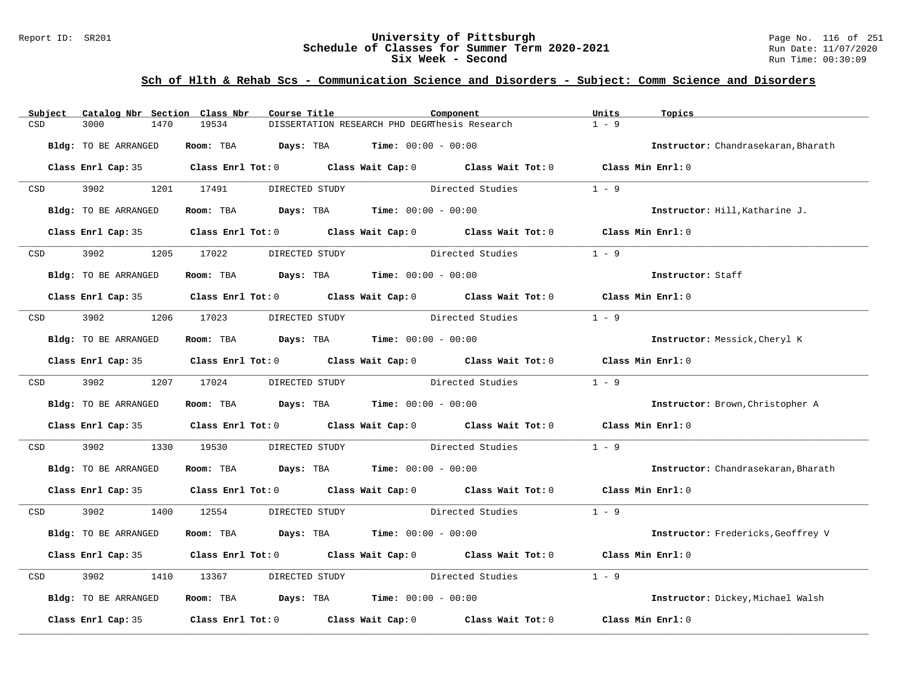#### Report ID: SR201 **University of Pittsburgh** Page No. 116 of 251 **Schedule of Classes for Summer Term 2020-2021** Run Date: 11/07/2020 **Six Week - Second Run Time: 00:30:09**

| Subject                                                                                                         | Catalog Nbr Section Class Nbr | Course Title                                                                                        |                                                                                       | Component        | Units<br>Topics                     |
|-----------------------------------------------------------------------------------------------------------------|-------------------------------|-----------------------------------------------------------------------------------------------------|---------------------------------------------------------------------------------------|------------------|-------------------------------------|
| CSD                                                                                                             | 3000<br>1470                  | 19534                                                                                               | DISSERTATION RESEARCH PHD DEGRThesis Research                                         |                  | $1 - 9$                             |
|                                                                                                                 | Bldg: TO BE ARRANGED          |                                                                                                     | Room: TBA $Days:$ TBA $Time: 00:00 - 00:00$                                           |                  | Instructor: Chandrasekaran, Bharath |
|                                                                                                                 |                               | Class Enrl Cap: 35 $\qquad$ Class Enrl Tot: 0 $\qquad$ Class Wait Cap: 0 $\qquad$ Class Wait Tot: 0 |                                                                                       |                  | Class Min Enrl: 0                   |
| <b>CSD</b>                                                                                                      | 3902 200                      | 1201 17491<br>DIRECTED STUDY                                                                        |                                                                                       | Directed Studies | $1 - 9$                             |
|                                                                                                                 | <b>Bldg:</b> TO BE ARRANGED   |                                                                                                     | Room: TBA $Days:$ TBA $Time: 00:00 - 00:00$                                           |                  | Instructor: Hill, Katharine J.      |
|                                                                                                                 |                               | Class Enrl Cap: 35 Class Enrl Tot: 0 Class Wait Cap: 0 Class Wait Tot: 0 Class Min Enrl: 0          |                                                                                       |                  |                                     |
| CSD and the control of the control of the control of the control of the control of the control of the control o | 3902 200                      | 1205 17022                                                                                          | DIRECTED STUDY                                                                        | Directed Studies | $1 - 9$                             |
|                                                                                                                 | Bldg: TO BE ARRANGED          |                                                                                                     | Room: TBA $Days:$ TBA $Time: 00:00 - 00:00$                                           |                  | Instructor: Staff                   |
|                                                                                                                 |                               | Class Enrl Cap: 35 $\qquad$ Class Enrl Tot: 0 $\qquad$ Class Wait Cap: 0 $\qquad$ Class Wait Tot: 0 |                                                                                       |                  | Class Min Enrl: 0                   |
| CSD                                                                                                             | 3902                          | 1206 17023                                                                                          | DIRECTED STUDY Directed Studies                                                       |                  | $1 - 9$                             |
|                                                                                                                 | Bldg: TO BE ARRANGED          |                                                                                                     | Room: TBA $Days:$ TBA $Time: 00:00 - 00:00$                                           |                  | Instructor: Messick, Cheryl K       |
|                                                                                                                 |                               | Class Enrl Cap: 35 Class Enrl Tot: 0 Class Wait Cap: 0 Class Wait Tot: 0 Class Min Enrl: 0          |                                                                                       |                  |                                     |
| CSD <sub>c</sub>                                                                                                | 3902                          | 1207 17024                                                                                          | DIRECTED STUDY Directed Studies                                                       |                  | $1 - 9$                             |
|                                                                                                                 | Bldg: TO BE ARRANGED          |                                                                                                     | Room: TBA $Days:$ TBA $Time: 00:00 - 00:00$                                           |                  | Instructor: Brown, Christopher A    |
|                                                                                                                 |                               | Class Enrl Cap: 35 Class Enrl Tot: 0 Class Wait Cap: 0 Class Wait Tot: 0 Class Min Enrl: 0          |                                                                                       |                  |                                     |
| CSD                                                                                                             | 3902<br>1330                  | 19530                                                                                               | DIRECTED STUDY Directed Studies                                                       |                  | $1 - 9$                             |
|                                                                                                                 | Bldg: TO BE ARRANGED          |                                                                                                     | Room: TBA $Days:$ TBA $Time: 00:00 - 00:00$                                           |                  | Instructor: Chandrasekaran, Bharath |
|                                                                                                                 |                               | Class Enrl Cap: 35 Class Enrl Tot: 0 Class Wait Cap: 0 Class Wait Tot: 0 Class Min Enrl: 0          |                                                                                       |                  |                                     |
| CSD                                                                                                             | 3902                          | 1400 12554                                                                                          | DIRECTED STUDY                                                                        | Directed Studies | $1 - 9$                             |
|                                                                                                                 | Bldg: TO BE ARRANGED          |                                                                                                     | Room: TBA $Days:$ TBA $Time: 00:00 - 00:00$                                           |                  | Instructor: Fredericks, Geoffrey V  |
|                                                                                                                 |                               | Class Enrl Cap: 35 Class Enrl Tot: 0 Class Wait Cap: 0 Class Wait Tot: 0 Class Min Enrl: 0          |                                                                                       |                  |                                     |
| CSD                                                                                                             | 3902<br>1410                  | 13367                                                                                               | DIRECTED STUDY Directed Studies                                                       |                  | $1 - 9$                             |
|                                                                                                                 | Bldg: TO BE ARRANGED          |                                                                                                     | Room: TBA $\rule{1em}{0.15mm}$ Days: TBA $\rule{1.5mm}{0.15mm}$ Time: $00:00 - 00:00$ |                  | Instructor: Dickey, Michael Walsh   |
|                                                                                                                 |                               | Class Enrl Cap: 35 $\qquad$ Class Enrl Tot: 0 $\qquad$ Class Wait Cap: 0 $\qquad$ Class Wait Tot: 0 |                                                                                       |                  | Class Min Enrl: 0                   |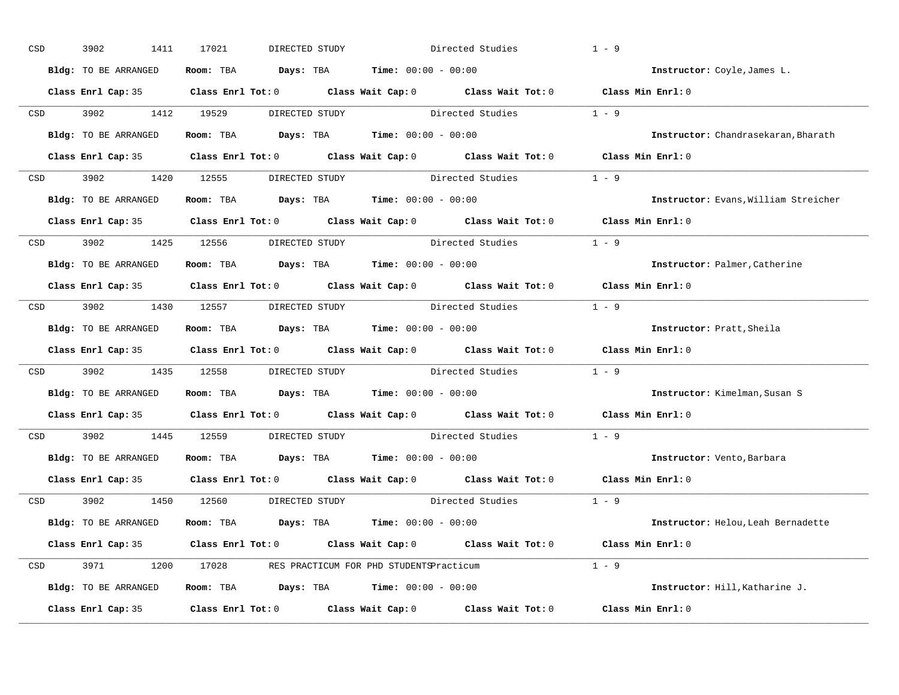| CSD |            | 3902<br>1411         | 17021<br>DIRECTED STUDY                                                                    |                                     | Directed Studies       | $1 - 9$                              |
|-----|------------|----------------------|--------------------------------------------------------------------------------------------|-------------------------------------|------------------------|--------------------------------------|
|     |            | Bldg: TO BE ARRANGED | Room: TBA $Days:$ TBA $Time: 00:00 - 00:00$                                                |                                     |                        | Instructor: Coyle, James L.          |
|     |            |                      | Class Enrl Cap: 35 Class Enrl Tot: 0 Class Wait Cap: 0 Class Wait Tot: 0 Class Min Enrl: 0 |                                     |                        |                                      |
|     | <b>CSD</b> | 3902 1412 19529      |                                                                                            | DIRECTED STUDY The Directed Studies |                        | $1 - 9$                              |
|     |            | Bldg: TO BE ARRANGED | Room: TBA $Days:$ TBA $Time: 00:00 - 00:00$                                                |                                     |                        | Instructor: Chandrasekaran, Bharath  |
|     |            |                      | Class Enrl Cap: 35 Class Enrl Tot: 0 Class Wait Cap: 0 Class Wait Tot: 0 Class Min Enrl: 0 |                                     |                        |                                      |
|     |            |                      | CSD 3902 1420 12555 DIRECTED STUDY Directed Studies 1 - 9                                  |                                     |                        |                                      |
|     |            | Bldg: TO BE ARRANGED | Room: TBA $Days:$ TBA $Time: 00:00 - 00:00$                                                |                                     |                        | Instructor: Evans, William Streicher |
|     |            |                      | Class Enrl Cap: 35 Class Enrl Tot: 0 Class Wait Cap: 0 Class Wait Tot: 0 Class Min Enrl: 0 |                                     |                        |                                      |
|     |            |                      | CSD 3902 1425 12556 DIRECTED STUDY                                                         | Directed Studies                    |                        | $1 - 9$                              |
|     |            | Bldg: TO BE ARRANGED | Room: TBA $Days:$ TBA $Time: 00:00 - 00:00$                                                |                                     |                        | Instructor: Palmer, Catherine        |
|     |            |                      | Class Enrl Cap: 35 Class Enrl Tot: 0 Class Wait Cap: 0 Class Wait Tot: 0 Class Min Enrl: 0 |                                     |                        |                                      |
|     |            |                      | CSD 3902 1430 12557 DIRECTED STUDY Directed Studies 1 - 9                                  |                                     |                        |                                      |
|     |            | Bldg: TO BE ARRANGED | Room: TBA $Days:$ TBA $Time: 00:00 - 00:00$                                                |                                     |                        | Instructor: Pratt, Sheila            |
|     |            |                      | Class Enrl Cap: 35 Class Enrl Tot: 0 Class Wait Cap: 0 Class Wait Tot: 0 Class Min Enrl: 0 |                                     |                        |                                      |
| CSD |            |                      | 3902 1435 12558 DIRECTED STUDY Directed Studies 1 - 9                                      |                                     |                        |                                      |
|     |            | Bldg: TO BE ARRANGED | Room: TBA $Days:$ TBA $Time: 00:00 - 00:00$                                                |                                     |                        | Instructor: Kimelman, Susan S        |
|     |            |                      | Class Enrl Cap: 35 Class Enrl Tot: 0 Class Wait Cap: 0 Class Wait Tot: 0                   |                                     |                        | Class Min Enrl: 0                    |
|     | CSD        | 3902 1445 12559      |                                                                                            | DIRECTED STUDY                      | Directed Studies       | $1 - 9$                              |
|     |            | Bldg: TO BE ARRANGED | Room: TBA $Days:$ TBA $Time: 00:00 - 00:00$                                                |                                     |                        | Instructor: Vento, Barbara           |
|     |            |                      | Class Enrl Cap: 35 Class Enrl Tot: 0 Class Wait Cap: 0 Class Wait Tot: 0                   |                                     |                        | Class Min Enrl: 0                    |
|     |            |                      | CSD 3902 1450 12560 DIRECTED STUDY                                                         |                                     | Directed Studies 1 - 9 |                                      |
|     |            | Bldg: TO BE ARRANGED | Room: TBA $Days:$ TBA $Time: 00:00 - 00:00$                                                |                                     |                        | Instructor: Helou, Leah Bernadette   |
|     |            |                      | Class Enrl Cap: 35 Class Enrl Tot: 0 Class Wait Cap: 0 Class Wait Tot: 0 Class Min Enrl: 0 |                                     |                        |                                      |
|     |            |                      | CSD 3971 1200 17028 RES PRACTICUM FOR PHD STUDENTSPracticum                                |                                     |                        | $1 - 9$                              |
|     |            | Bldg: TO BE ARRANGED | Room: TBA $Days:$ TBA $Time: 00:00 - 00:00$                                                |                                     |                        | Instructor: Hill, Katharine J.       |
|     |            | Class Enrl Cap: 35   | Class Enrl Tot: $0$ Class Wait Cap: $0$ Class Wait Tot: $0$                                |                                     |                        | Class Min Enrl: 0                    |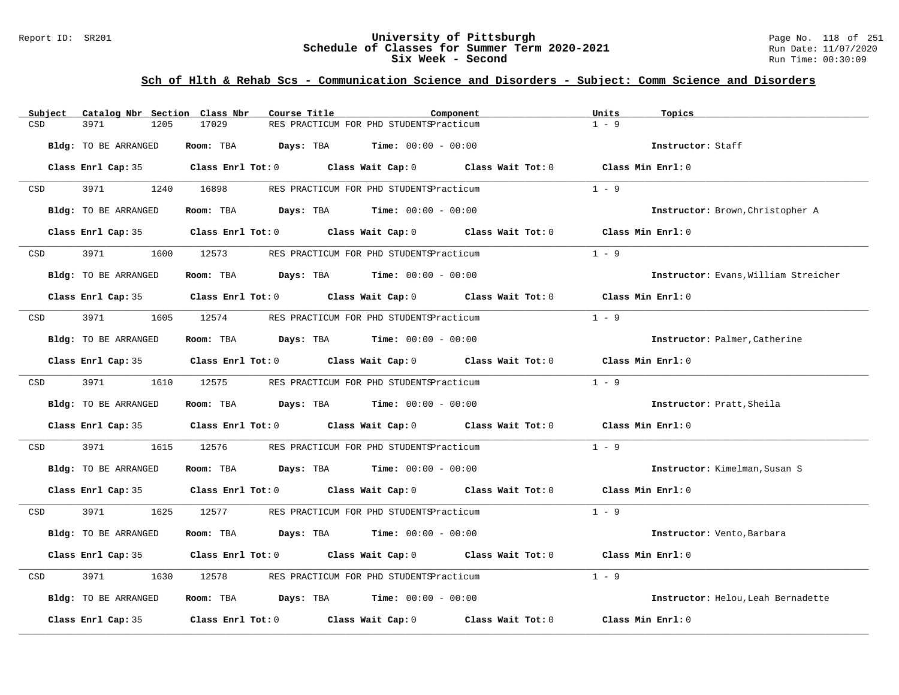#### Report ID: SR201 **University of Pittsburgh** Page No. 118 of 251 **Schedule of Classes for Summer Term 2020-2021** Run Date: 11/07/2020 **Six Week - Second Run Time: 00:30:09**

| Catalog Nbr Section Class Nbr<br>Subject | Course Title                                | Component                                                                                           | Units<br>Topics                      |
|------------------------------------------|---------------------------------------------|-----------------------------------------------------------------------------------------------------|--------------------------------------|
| 3971<br>1205<br>CSD                      | 17029                                       | RES PRACTICUM FOR PHD STUDENTSPracticum                                                             | $1 - 9$                              |
| Bldg: TO BE ARRANGED                     | Room: TBA                                   | <b>Days:</b> TBA <b>Time:</b> $00:00 - 00:00$                                                       | Instructor: Staff                    |
|                                          |                                             | Class Enrl Cap: 35 Class Enrl Tot: 0 Class Wait Cap: 0 Class Wait Tot: 0 Class Min Enrl: 0          |                                      |
| 3971<br>CSD                              | 1240 16898                                  | RES PRACTICUM FOR PHD STUDENTSPracticum                                                             | $1 - 9$                              |
| Bldg: TO BE ARRANGED                     | Room: TBA $Days:$ TBA $Time: 00:00 - 00:00$ |                                                                                                     | Instructor: Brown, Christopher A     |
| Class Enrl Cap: 35                       |                                             | Class Enrl Tot: $0$ Class Wait Cap: $0$ Class Wait Tot: $0$                                         | Class Min Enrl: 0                    |
| 3971<br>1600<br>CSD                      | 12573                                       | RES PRACTICUM FOR PHD STUDENTSPracticum                                                             | $1 - 9$                              |
| Bldg: TO BE ARRANGED                     | Room: TBA $Days:$ TBA $Time: 00:00 - 00:00$ |                                                                                                     | Instructor: Evans, William Streicher |
|                                          |                                             | Class Enrl Cap: 35 Class Enrl Tot: 0 Class Wait Cap: 0 Class Wait Tot: 0 Class Min Enrl: 0          |                                      |
| 3971<br>CSD<br>1605                      | 12574                                       | RES PRACTICUM FOR PHD STUDENTSPracticum                                                             | $1 - 9$                              |
| Bldg: TO BE ARRANGED                     | Room: TBA $Days:$ TBA $Time: 00:00 - 00:00$ |                                                                                                     | Instructor: Palmer, Catherine        |
|                                          |                                             | Class Enrl Cap: 35 Class Enrl Tot: 0 Class Wait Cap: 0 Class Wait Tot: 0 Class Min Enrl: 0          |                                      |
| 3971 399<br>CSD                          | 1610 12575                                  | RES PRACTICUM FOR PHD STUDENTSPracticum                                                             | $1 - 9$                              |
| Bldg: TO BE ARRANGED                     | Room: TBA $Days:$ TBA $Time: 00:00 - 00:00$ |                                                                                                     | Instructor: Pratt, Sheila            |
|                                          |                                             | Class Enrl Cap: 35 Class Enrl Tot: 0 Class Wait Cap: 0 Class Wait Tot: 0 Class Min Enrl: 0          |                                      |
| 3971<br>1615<br>CSD                      | 12576                                       | RES PRACTICUM FOR PHD STUDENTSPracticum                                                             | $1 - 9$                              |
| Bldg: TO BE ARRANGED                     | Room: TBA $Days:$ TBA $Time: 00:00 - 00:00$ |                                                                                                     | Instructor: Kimelman, Susan S        |
|                                          |                                             | Class Enrl Cap: 35 Class Enrl Tot: 0 Class Wait Cap: 0 Class Wait Tot: 0 Class Min Enrl: 0          |                                      |
| 3971 397<br>1625<br>CSD                  | 12577                                       | RES PRACTICUM FOR PHD STUDENTSPracticum                                                             | $1 - 9$                              |
| Bldg: TO BE ARRANGED                     | Room: TBA                                   | <b>Days:</b> TBA <b>Time:</b> $00:00 - 00:00$                                                       | Instructor: Vento, Barbara           |
|                                          |                                             | Class Enrl Cap: 35 $\qquad$ Class Enrl Tot: 0 $\qquad$ Class Wait Cap: 0 $\qquad$ Class Wait Tot: 0 | Class Min Enrl: 0                    |
| 3971<br>1630<br>CSD                      | 12578                                       | RES PRACTICUM FOR PHD STUDENTSPracticum                                                             | $1 - 9$                              |
| Bldg: TO BE ARRANGED                     | Room: TBA $Days:$ TBA $Time: 00:00 - 00:00$ |                                                                                                     | Instructor: Helou, Leah Bernadette   |
| Class Enrl Cap: 35                       |                                             | Class Enrl Tot: $0$ class Wait Cap: $0$ class Wait Tot: $0$                                         | Class Min Enrl: 0                    |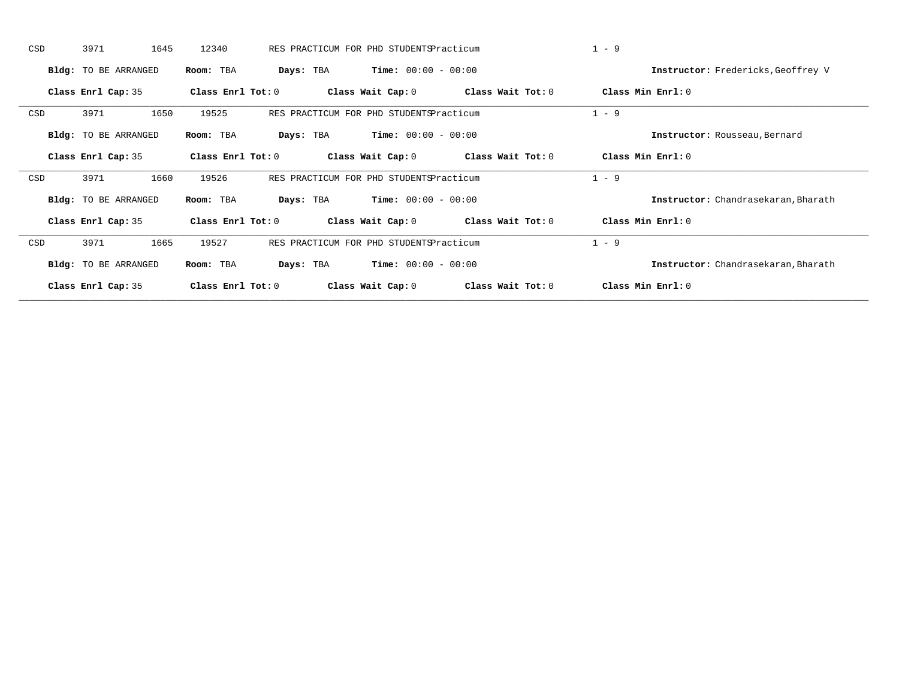| CSD | 3971                 | 1645<br>12340 |                   | RES PRACTICUM FOR PHD STUDENTSPracticum |                   | $1 - 9$                             |
|-----|----------------------|---------------|-------------------|-----------------------------------------|-------------------|-------------------------------------|
|     | Bldg: TO BE ARRANGED | Room: TBA     | Days: TBA         | <b>Time:</b> $00:00 - 00:00$            |                   | Instructor: Fredericks, Geoffrey V  |
|     | Class Enrl Cap: 35   |               | Class Enrl Tot: 0 | Class Wait Cap: 0                       | Class Wait Tot: 0 | Class Min Enrl: 0                   |
| CSD | 3971                 | 1650<br>19525 |                   | RES PRACTICUM FOR PHD STUDENTSPracticum |                   | $1 - 9$                             |
|     | Bldg: TO BE ARRANGED | Room: TBA     | Days: TBA         | <b>Time:</b> $00:00 - 00:00$            |                   | Instructor: Rousseau, Bernard       |
|     | Class Enrl Cap: 35   |               | Class Enrl Tot: 0 | Class Wait Cap: 0                       | Class Wait Tot: 0 | Class Min Enrl: 0                   |
| CSD | 3971                 | 19526<br>1660 |                   | RES PRACTICUM FOR PHD STUDENTSPracticum |                   | $1 - 9$                             |
|     | Bldg: TO BE ARRANGED | Room: TBA     | Days: TBA         | <b>Time:</b> $00:00 - 00:00$            |                   | Instructor: Chandrasekaran, Bharath |
|     | Class Enrl Cap: 35   |               | Class Enrl Tot: 0 | Class Wait Cap: 0                       | Class Wait Tot: 0 | Class Min Enrl: 0                   |
| CSD | 3971                 | 19527<br>1665 |                   | RES PRACTICUM FOR PHD STUDENTSPracticum |                   | $1 - 9$                             |
|     | Bldg: TO BE ARRANGED | Room: TBA     | Days: TBA         | <b>Time:</b> $00:00 - 00:00$            |                   | Instructor: Chandrasekaran, Bharath |
|     | Class Enrl Cap: 35   |               | Class Enrl Tot: 0 | Class Wait Cap: 0                       | Class Wait Tot: 0 | Class Min Enrl: 0                   |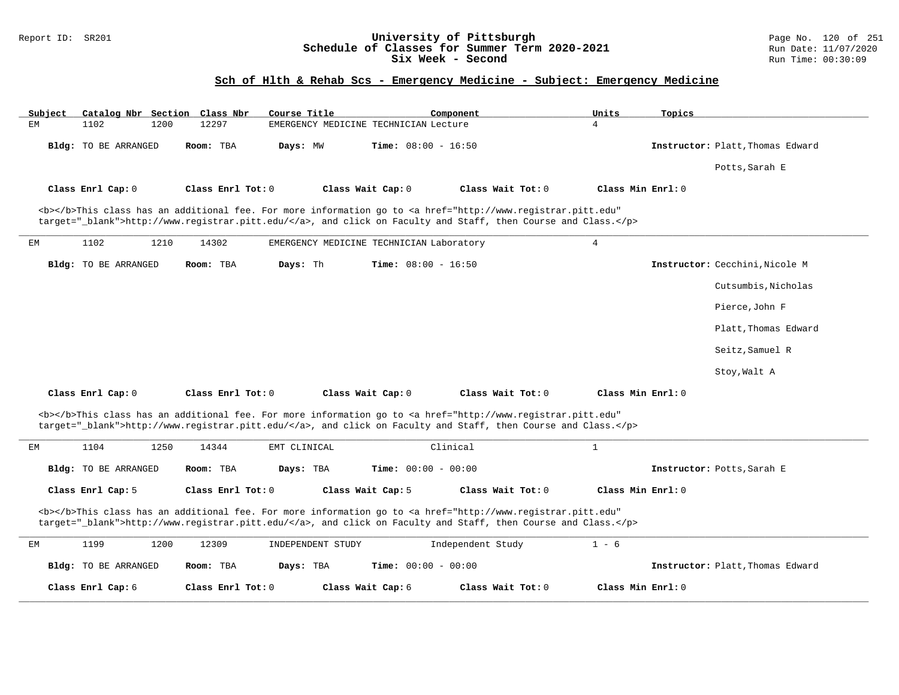### Report ID: SR201 **University of Pittsburgh** Page No. 120 of 251 **Schedule of Classes for Summer Term 2020-2021** Run Date: 11/07/2020 **Six Week - Second Run Time: 00:30:09**

# **Sch of Hlth & Rehab Scs - Emergency Medicine - Subject: Emergency Medicine**

| Catalog Nbr Section Class Nbr<br>Subject                                                                                                                                                                                           | Course Title                                      | Component                                                                                                                                                                                                                          | Units<br>Topics                  |  |  |
|------------------------------------------------------------------------------------------------------------------------------------------------------------------------------------------------------------------------------------|---------------------------------------------------|------------------------------------------------------------------------------------------------------------------------------------------------------------------------------------------------------------------------------------|----------------------------------|--|--|
| 1102<br>1200<br>ЕM                                                                                                                                                                                                                 | 12297<br>EMERGENCY MEDICINE TECHNICIAN Lecture    |                                                                                                                                                                                                                                    | 4                                |  |  |
| Bldg: TO BE ARRANGED                                                                                                                                                                                                               | Room: TBA<br>Days: MW                             | <b>Time:</b> $08:00 - 16:50$                                                                                                                                                                                                       | Instructor: Platt, Thomas Edward |  |  |
|                                                                                                                                                                                                                                    |                                                   |                                                                                                                                                                                                                                    | Potts, Sarah E                   |  |  |
| Class Enrl Cap: 0                                                                                                                                                                                                                  | Class Enrl Tot: 0<br>Class Wait Cap: 0            | Class Wait Tot: 0                                                                                                                                                                                                                  | Class Min Enrl: 0                |  |  |
|                                                                                                                                                                                                                                    |                                                   | <b></b> This class has an additional fee. For more information go to <a <br="" href="http://www.registrar.pitt.edu">target="_blank"&gt;http://www.registrar.pitt.edu/</a> , and click on Faculty and Staff, then Course and Class. |                                  |  |  |
| 1210<br>1102<br>ЕM                                                                                                                                                                                                                 | 14302<br>EMERGENCY MEDICINE TECHNICIAN Laboratory |                                                                                                                                                                                                                                    | $\overline{4}$                   |  |  |
| Bldg: TO BE ARRANGED                                                                                                                                                                                                               | Days: Th<br>Room: TBA                             | <b>Time:</b> $08:00 - 16:50$                                                                                                                                                                                                       | Instructor: Cecchini, Nicole M   |  |  |
|                                                                                                                                                                                                                                    |                                                   |                                                                                                                                                                                                                                    | Cutsumbis, Nicholas              |  |  |
|                                                                                                                                                                                                                                    |                                                   |                                                                                                                                                                                                                                    | Pierce, John F                   |  |  |
|                                                                                                                                                                                                                                    |                                                   |                                                                                                                                                                                                                                    | Platt, Thomas Edward             |  |  |
|                                                                                                                                                                                                                                    |                                                   |                                                                                                                                                                                                                                    | Seitz, Samuel R                  |  |  |
|                                                                                                                                                                                                                                    |                                                   |                                                                                                                                                                                                                                    | Stoy, Walt A                     |  |  |
| Class Enrl Cap: 0                                                                                                                                                                                                                  | Class Enrl Tot: 0<br>Class Wait Cap: 0            | Class Wait Tot: 0                                                                                                                                                                                                                  | Class Min Enrl: 0                |  |  |
|                                                                                                                                                                                                                                    |                                                   | <b></b> This class has an additional fee. For more information go to <a <br="" href="http://www.registrar.pitt.edu">target="_blank"&gt;http://www.registrar.pitt.edu/</a> , and click on Faculty and Staff, then Course and Class. |                                  |  |  |
| 1104<br>1250<br>ЕM                                                                                                                                                                                                                 | 14344<br>EMT CLINICAL                             | Clinical                                                                                                                                                                                                                           | $\mathbf{1}$                     |  |  |
| Bldg: TO BE ARRANGED                                                                                                                                                                                                               | Room: TBA<br>Days: TBA                            | Time: $00:00 - 00:00$                                                                                                                                                                                                              | Instructor: Potts, Sarah E       |  |  |
| Class Enrl Cap: 5                                                                                                                                                                                                                  | Class Enrl Tot: 0<br>Class Wait Cap: 5            | Class Wait Tot: 0                                                                                                                                                                                                                  | Class Min Enrl: 0                |  |  |
| <b></b> This class has an additional fee. For more information go to <a <br="" href="http://www.registrar.pitt.edu">target="_blank"&gt;http://www.registrar.pitt.edu/</a> , and click on Faculty and Staff, then Course and Class. |                                                   |                                                                                                                                                                                                                                    |                                  |  |  |
| 1199<br>1200<br>ЕM                                                                                                                                                                                                                 | 12309<br>INDEPENDENT STUDY                        | Independent Study                                                                                                                                                                                                                  | $1 - 6$                          |  |  |
| <b>Bldg:</b> TO BE ARRANGED                                                                                                                                                                                                        | Room: TBA<br>Days: TBA                            | <b>Time:</b> $00:00 - 00:00$                                                                                                                                                                                                       | Instructor: Platt, Thomas Edward |  |  |
| Class Enrl Cap: 6                                                                                                                                                                                                                  | Class Enrl Tot: $0$<br>Class Wait Cap: 6          | Class Wait Tot: $0$                                                                                                                                                                                                                | Class Min Enrl: 0                |  |  |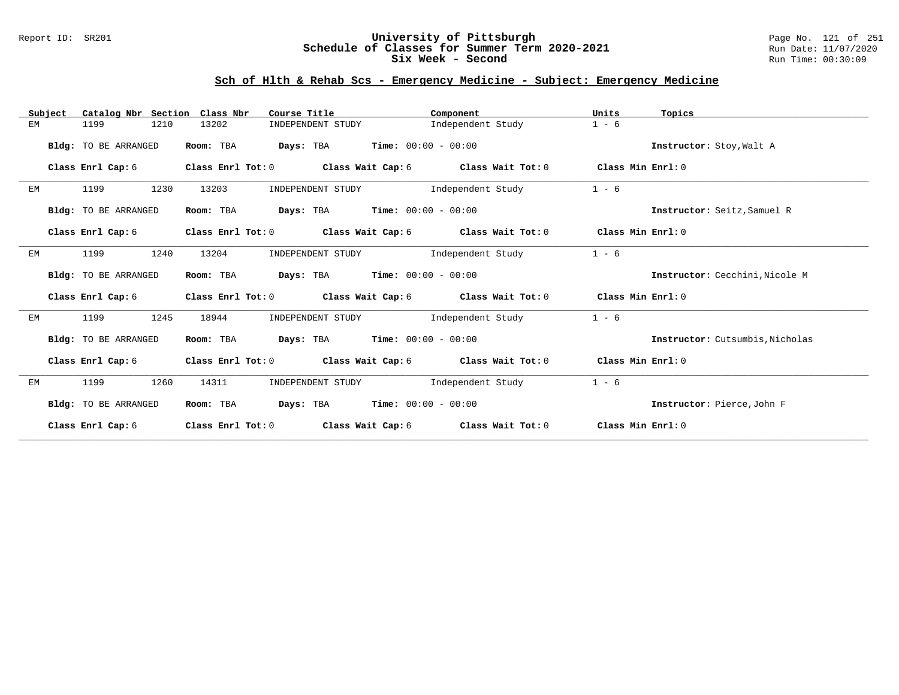### Report ID: SR201 **University of Pittsburgh** Page No. 121 of 251 **Schedule of Classes for Summer Term 2020-2021** Run Date: 11/07/2020 **Six Week - Second Run Time: 00:30:09**

### **Sch of Hlth & Rehab Scs - Emergency Medicine - Subject: Emergency Medicine**

| Catalog Nbr Section<br>Subject | Class Nbr<br>Course Title              | Component                                                   | Units<br>Topics                 |
|--------------------------------|----------------------------------------|-------------------------------------------------------------|---------------------------------|
| 1199<br>1210<br>EМ             | 13202<br>INDEPENDENT STUDY             | Independent Study                                           | $1 - 6$                         |
| Bldg: TO BE ARRANGED           | Room: TBA                              | <b>Days:</b> TBA <b>Time:</b> $00:00 - 00:00$               | Instructor: Stoy, Walt A        |
| Class Enrl Cap: 6              | Class Enrl Tot: 0                      | Class Wait Cap: 6 Class Wait Tot: 0                         | Class Min Enrl: 0               |
| 1230<br>1199<br>ЕM             | 13203                                  | INDEPENDENT STUDY 1ndependent Study                         | $1 - 6$                         |
| Bldg: TO BE ARRANGED           | Room: TBA                              | <b>Days:</b> TBA <b>Time:</b> $00:00 - 00:00$               | Instructor: Seitz, Samuel R     |
| Class Enrl Cap: 6              |                                        | Class Enrl Tot: 0 Class Wait Cap: 6 Class Wait Tot: 0       | Class Min Enrl: 0               |
| 1199<br>1240<br>EM             | 13204<br>INDEPENDENT STUDY             | Independent Study                                           | $1 - 6$                         |
| Bldg: TO BE ARRANGED           | Room: TBA                              | <b>Days:</b> TBA <b>Time:</b> $00:00 - 00:00$               | Instructor: Cecchini, Nicole M  |
| Class Enrl Cap: 6              |                                        | Class Enrl Tot: $0$ Class Wait Cap: $6$ Class Wait Tot: $0$ | Class Min Enrl: 0               |
| 1245<br>EМ<br>1199             | 18944<br>INDEPENDENT STUDY             | Independent Study                                           | $1 - 6$                         |
| Bldg: TO BE ARRANGED           | Room: TBA                              | <b>Days:</b> TBA <b>Time:</b> $00:00 - 00:00$               | Instructor: Cutsumbis, Nicholas |
| Class Enrl Cap: 6              |                                        | Class Enrl Tot: 0 Class Wait Cap: 6 Class Wait Tot: 0       | Class Min Enrl: 0               |
| 1199<br>1260<br>EМ             | INDEPENDENT STUDY<br>14311             | Independent Study                                           | $1 - 6$                         |
| Bldg: TO BE ARRANGED           | Room: TBA                              | <b>Days:</b> TBA <b>Time:</b> $00:00 - 00:00$               | Instructor: Pierce, John F      |
| Class Enrl Cap: 6              | Class Enrl Tot: 0<br>Class Wait Cap: 6 | Class Wait Tot: 0                                           | Class Min Enrl: 0               |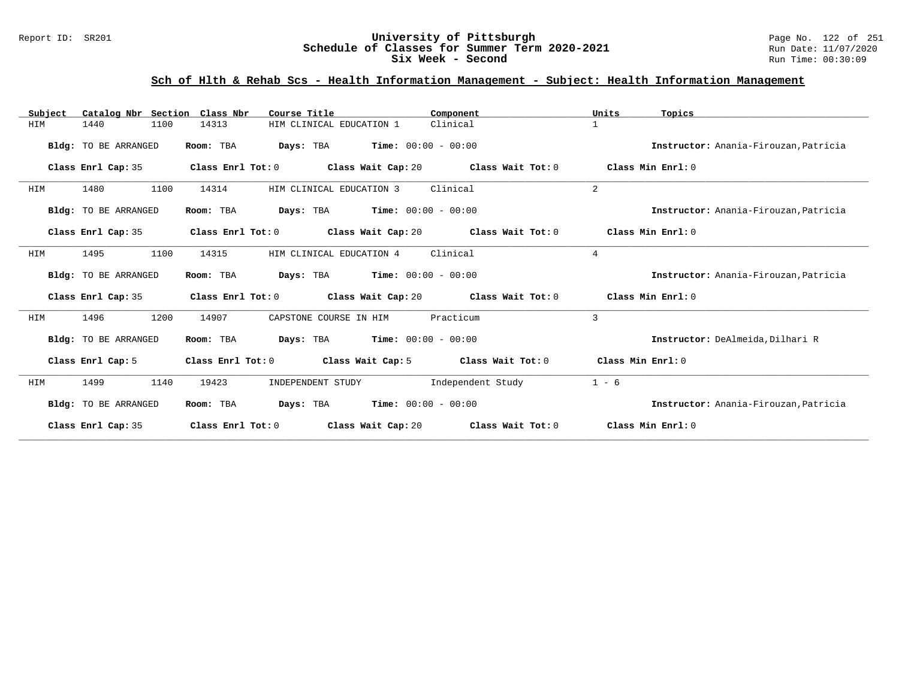#### Report ID: SR201 **University of Pittsburgh** Page No. 122 of 251 **Schedule of Classes for Summer Term 2020-2021** Run Date: 11/07/2020 **Six Week - Second Run Time: 00:30:09**

# **Sch of Hlth & Rehab Scs - Health Information Management - Subject: Health Information Management**

| Catalog Nbr Section<br>Subject | Class Nbr<br>Course Title                                     | Component<br>Units                     | Topics                                |
|--------------------------------|---------------------------------------------------------------|----------------------------------------|---------------------------------------|
| 1440<br>1100<br>HIM            | 14313<br>HIM CLINICAL EDUCATION 1                             | Clinical<br>$\mathbf{1}$               |                                       |
| Bldg: TO BE ARRANGED           | <b>Days:</b> TBA <b>Time:</b> $00:00 - 00:00$<br>Room: TBA    |                                        | Instructor: Anania-Firouzan, Patricia |
| Class Enrl Cap: 35             | Class Enrl Tot: 0<br>Class Wait Cap: $20$ Class Wait Tot: $0$ |                                        | Class Min Enrl: 0                     |
| 1100<br>HIM<br>1480            | 14314<br>HIM CLINICAL EDUCATION 3                             | $\overline{2}$<br>Clinical             |                                       |
| Bldg: TO BE ARRANGED           | <b>Days:</b> TBA <b>Time:</b> $00:00 - 00:00$<br>Room: TBA    |                                        | Instructor: Anania-Firouzan, Patricia |
| Class Enrl Cap: 35             | Class Enrl Tot: $0$ Class Wait Cap: $20$ Class Wait Tot: $0$  |                                        | Class Min Enrl: 0                     |
| 1100<br>HIM<br>1495            | 14315<br>HIM CLINICAL EDUCATION 4                             | Clinical<br>$\overline{4}$             |                                       |
| Bldg: TO BE ARRANGED           | <b>Days:</b> TBA <b>Time:</b> $00:00 - 00:00$<br>Room: TBA    |                                        | Instructor: Anania-Firouzan, Patricia |
| Class Enrl Cap: 35             | Class Enrl Tot: $0$ Class Wait Cap: $20$ Class Wait Tot: $0$  |                                        | Class Min Enrl: 0                     |
| 1496<br>1200<br>HIM            | 14907<br>CAPSTONE COURSE IN HIM                               | 3<br>Practicum                         |                                       |
| Bldg: TO BE ARRANGED           | <b>Days:</b> TBA <b>Time:</b> $00:00 - 00:00$<br>Room: TBA    |                                        | Instructor: DeAlmeida.Dilhari R       |
| Class Enrl Cap: 5              | Class Wait Cap: 5<br>Class Enrl Tot: 0                        | Class Wait Tot: 0<br>Class Min Enrl: 0 |                                       |
| HIM<br>1499<br>1140            | 19423<br>INDEPENDENT STUDY                                    | Independent Study<br>$1 - 6$           |                                       |
| Bldg: TO BE ARRANGED           | $Time: 00:00 - 00:00$<br>Room: TBA<br>Days: TBA               |                                        | Instructor: Anania-Firouzan, Patricia |
| Class Enrl Cap: 35             | Class Enrl Tot: 0<br>Class Wait Cap: 20                       | Class Wait Tot: 0                      | Class Min Enrl: 0                     |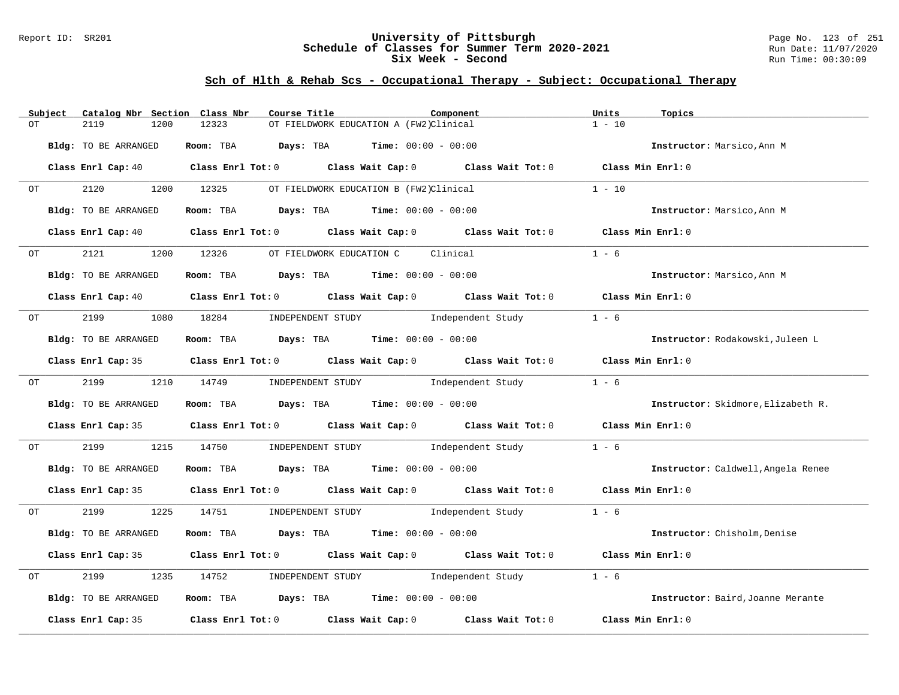### Report ID: SR201 **University of Pittsburgh** Page No. 123 of 251 **Schedule of Classes for Summer Term 2020-2021** Run Date: 11/07/2020 **Six Week - Second Run Time: 00:30:09**

# **Sch of Hlth & Rehab Scs - Occupational Therapy - Subject: Occupational Therapy**

| Subject | Catalog Nbr Section Class Nbr | Course Title                                                                          | Component                                                                                                                      | Units<br>Topics                    |
|---------|-------------------------------|---------------------------------------------------------------------------------------|--------------------------------------------------------------------------------------------------------------------------------|------------------------------------|
| OT      | 2119<br>1200                  | 12323                                                                                 | OT FIELDWORK EDUCATION A (FW2)Clinical                                                                                         | $1 - 10$                           |
|         |                               |                                                                                       |                                                                                                                                |                                    |
|         | Bldg: TO BE ARRANGED          | Room: TBA $\rule{1em}{0.15mm}$ Days: TBA $\qquad$ Time: $00:00 - 00:00$               |                                                                                                                                | Instructor: Marsico, Ann M         |
|         |                               |                                                                                       | Class Enrl Cap: 40 $\qquad$ Class Enrl Tot: 0 $\qquad$ Class Wait Cap: 0 $\qquad$ Class Wait Tot: 0 $\qquad$ Class Min Enrl: 0 |                                    |
|         |                               |                                                                                       |                                                                                                                                |                                    |
| OT      | 2120                          | 1200 12325                                                                            | OT FIELDWORK EDUCATION B (FW2)Clinical                                                                                         | $1 - 10$                           |
|         |                               |                                                                                       |                                                                                                                                |                                    |
|         | Bldg: TO BE ARRANGED          | Room: TBA $Days:$ TBA $Time: 00:00 - 00:00$                                           |                                                                                                                                | Instructor: Marsico, Ann M         |
|         | Class Enrl Cap: 40            |                                                                                       | Class Enrl Tot: $0$ Class Wait Cap: $0$ Class Wait Tot: $0$                                                                    | Class Min Enrl: 0                  |
|         |                               |                                                                                       |                                                                                                                                |                                    |
| OT      | 2121<br>1200                  | 12326<br>OT FIELDWORK EDUCATION C                                                     | Clinical                                                                                                                       | $1 - 6$                            |
|         |                               |                                                                                       |                                                                                                                                |                                    |
|         | Bldg: TO BE ARRANGED          | Room: TBA $Days:$ TBA $Time: 00:00 - 00:00$                                           |                                                                                                                                | Instructor: Marsico, Ann M         |
|         |                               |                                                                                       | Class Enrl Cap: 40 $\qquad$ Class Enrl Tot: 0 $\qquad$ Class Wait Cap: 0 $\qquad$ Class Wait Tot: 0 $\qquad$ Class Min Enrl: 0 |                                    |
|         |                               |                                                                                       |                                                                                                                                |                                    |
| OT      |                               |                                                                                       | 2199 1080 18284 INDEPENDENT STUDY Independent Study                                                                            | $1 - 6$                            |
|         | Bldg: TO BE ARRANGED          | Room: TBA Days: TBA Time: $00:00 - 00:00$                                             |                                                                                                                                | Instructor: Rodakowski, Juleen L   |
|         |                               |                                                                                       |                                                                                                                                |                                    |
|         |                               |                                                                                       | Class Enrl Cap: 35 Class Enrl Tot: 0 Class Wait Cap: 0 Class Wait Tot: 0 Class Min Enrl: 0                                     |                                    |
|         |                               |                                                                                       |                                                                                                                                |                                    |
| OT      | 2199                          | 1210 14749                                                                            | INDEPENDENT STUDY 1ndependent Study                                                                                            | $1 - 6$                            |
|         | Bldg: TO BE ARRANGED          | Room: TBA $\rule{1em}{0.15mm}$ Days: TBA $\rule{1.5mm}{0.15mm}$ Time: $00:00 - 00:00$ |                                                                                                                                | Instructor: Skidmore, Elizabeth R. |
|         |                               |                                                                                       |                                                                                                                                |                                    |
|         |                               |                                                                                       | Class Enrl Cap: 35 Class Enrl Tot: 0 Class Wait Cap: 0 Class Wait Tot: 0 Class Min Enrl: 0                                     |                                    |
|         |                               |                                                                                       |                                                                                                                                |                                    |
| OT      | 2199<br>1215                  | 14750                                                                                 | INDEPENDENT STUDY Tndependent Study                                                                                            | $1 - 6$                            |
|         | Bldg: TO BE ARRANGED          | Room: TBA $Days:$ TBA $Time: 00:00 - 00:00$                                           |                                                                                                                                | Instructor: Caldwell, Angela Renee |
|         |                               |                                                                                       |                                                                                                                                |                                    |
|         |                               |                                                                                       | Class Enrl Cap: 35 Class Enrl Tot: 0 Class Wait Cap: 0 Class Wait Tot: 0 Class Min Enrl: 0                                     |                                    |
|         |                               |                                                                                       |                                                                                                                                |                                    |
| OT      | 2199<br>1225                  |                                                                                       | 14751       INDEPENDENT STUDY               Independent Study                                                                  | $1 - 6$                            |
|         | Bldg: TO BE ARRANGED          | Room: TBA $Days:$ TBA $Time: 00:00 - 00:00$                                           |                                                                                                                                | Instructor: Chisholm, Denise       |
|         |                               |                                                                                       |                                                                                                                                |                                    |
|         |                               |                                                                                       | Class Enrl Cap: 35 Class Enrl Tot: 0 Class Wait Cap: 0 Class Wait Tot: 0 Class Min Enrl: 0                                     |                                    |
|         |                               |                                                                                       |                                                                                                                                |                                    |
| OT      | 2199<br>1235                  | 14752                                                                                 | INDEPENDENT STUDY 1ndependent Study                                                                                            | $1 - 6$                            |
|         | Bldg: TO BE ARRANGED          | Room: TBA $Days:$ TBA $Time: 00:00 - 00:00$                                           |                                                                                                                                | Instructor: Baird, Joanne Merante  |
|         |                               |                                                                                       |                                                                                                                                |                                    |
|         |                               |                                                                                       | Class Enrl Cap: 35 Class Enrl Tot: 0 Class Wait Cap: 0 Class Wait Tot: 0                                                       | Class Min Enrl: 0                  |
|         |                               |                                                                                       |                                                                                                                                |                                    |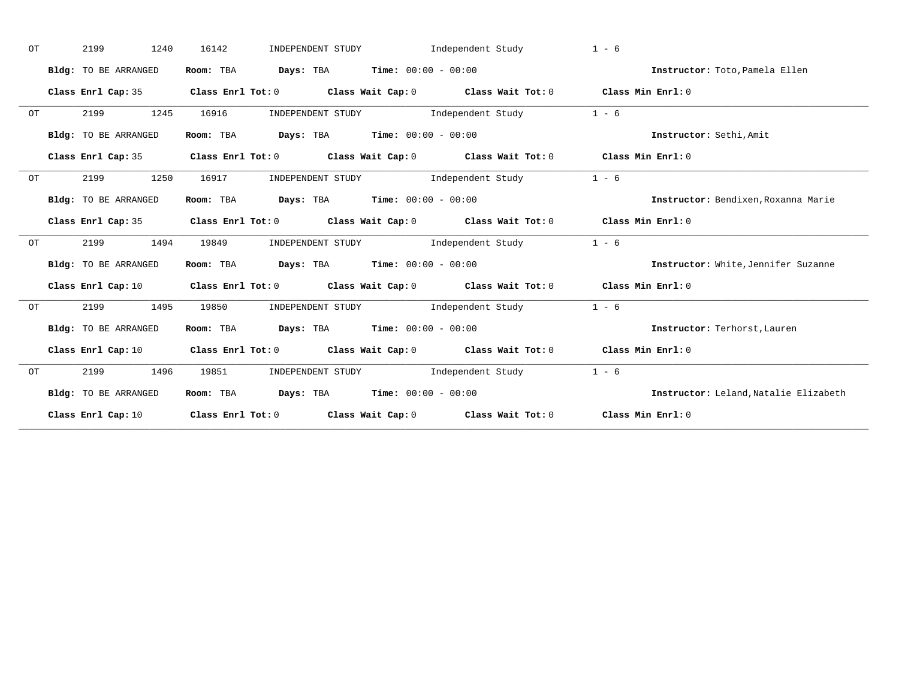| OT | 2199<br>1240         | 16142     | INDEPENDENT STUDY                                                                                                              | Independent Study | $1 - 6$                              |
|----|----------------------|-----------|--------------------------------------------------------------------------------------------------------------------------------|-------------------|--------------------------------------|
|    | Bldg: TO BE ARRANGED | Room: TBA | $\texttt{DayS:}$ TBA $\texttt{Time:}$ 00:00 - 00:00                                                                            |                   | Instructor: Toto, Pamela Ellen       |
|    | Class Enrl Cap: 35   |           | Class Enrl Tot: $0$ Class Wait Cap: $0$ Class Wait Tot: $0$ Class Min Enrl: $0$                                                |                   |                                      |
| OT | 2199<br>1245         | 16916     | INDEPENDENT STUDY 1ndependent Study                                                                                            |                   | $1 - 6$                              |
|    | Bldg: TO BE ARRANGED |           | Room: TBA $Days: TBA$ Time: $00:00 - 00:00$                                                                                    |                   | Instructor: Sethi, Amit              |
|    |                      |           | Class Enrl Cap: 35 Class Enrl Tot: 0 Class Wait Cap: 0 Class Wait Tot: 0 Class Min Enrl: 0                                     |                   |                                      |
| OT | 2199<br>1250         | 16917     | INDEPENDENT STUDY 1ndependent Study                                                                                            |                   | $1 - 6$                              |
|    | Bldg: TO BE ARRANGED |           | Room: TBA $\rule{1em}{0.15mm}$ Days: TBA Time: $00:00 - 00:00$                                                                 |                   | Instructor: Bendixen, Roxanna Marie  |
|    |                      |           | Class Enrl Cap: 35 Class Enrl Tot: 0 Class Wait Cap: 0 Class Wait Tot: 0 Class Min Enrl: 0                                     |                   |                                      |
| OT | 2199<br>1494         | 19849     | INDEPENDENT STUDY 1ndependent Study                                                                                            |                   | $1 - 6$                              |
|    | Bldg: TO BE ARRANGED |           | Room: TBA $Days:$ TBA $Time: 00:00 - 00:00$                                                                                    |                   | Instructor: White, Jennifer Suzanne  |
|    |                      |           | Class Enrl Cap: 10 $\qquad$ Class Enrl Tot: 0 $\qquad$ Class Wait Cap: 0 $\qquad$ Class Wait Tot: 0 $\qquad$ Class Min Enrl: 0 |                   |                                      |
| ОT | 2199<br>1495         | 19850     | INDEPENDENT STUDY The Independent Study                                                                                        |                   | $1 - 6$                              |
|    | Bldg: TO BE ARRANGED |           | Room: TBA $Days:$ TBA $Time: 00:00 - 00:00$                                                                                    |                   | Instructor: Terhorst, Lauren         |
|    | Class Enrl Cap: 10   |           | Class Enrl Tot: $0$ Class Wait Cap: $0$ Class Wait Tot: $0$ Class Min Enrl: $0$                                                |                   |                                      |
| OT | 2199<br>1496         | 19851     | INDEPENDENT STUDY 1ndependent Study                                                                                            |                   | $1 - 6$                              |
|    | Bldg: TO BE ARRANGED |           | Room: TBA $Days:$ TBA $Time: 00:00 - 00:00$                                                                                    |                   | Instructor: Leland Natalie Elizabeth |
|    |                      |           | Class Enrl Cap: 10 Class Enrl Tot: 0 Class Wait Cap: 0 Class Wait Tot: 0 Class Min Enrl: 0                                     |                   |                                      |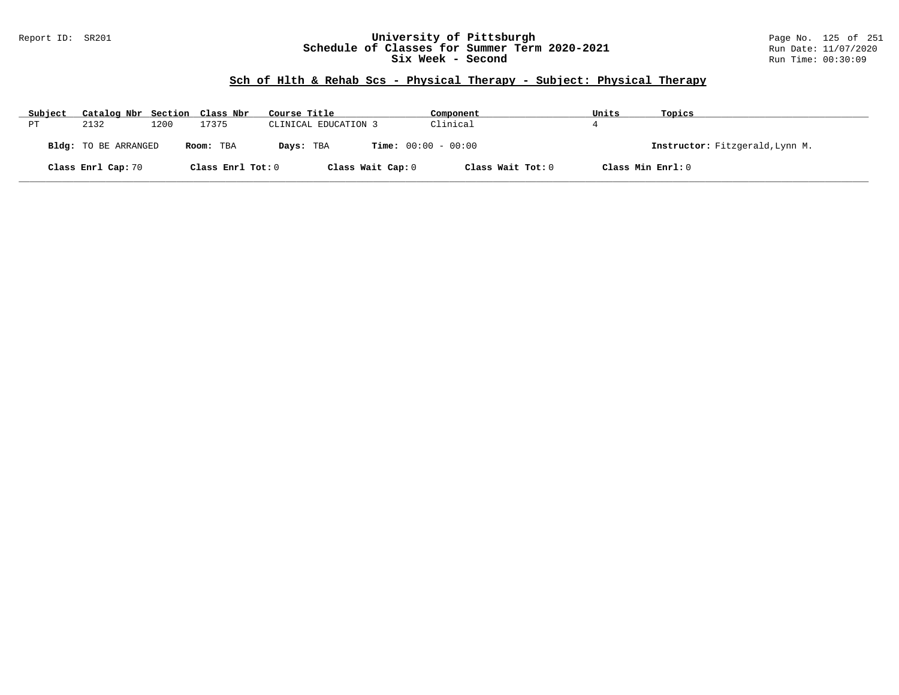### Report ID: SR201 **University of Pittsburgh** Page No. 125 of 251 **Schedule of Classes for Summer Term 2020-2021** Run Date: 11/07/2020 **Six Week - Second Run Time: 00:30:09**

# **Sch of Hlth & Rehab Scs - Physical Therapy - Subject: Physical Therapy**

| Subject     | Catalog Nbr Section Class Nbr |      |                   | Course Title                              | Component         | Units             | Topics                          |
|-------------|-------------------------------|------|-------------------|-------------------------------------------|-------------------|-------------------|---------------------------------|
| $_{\rm PT}$ | 2132                          | 1200 | 17375             | CLINICAL EDUCATION 3                      | Clinical          |                   |                                 |
|             | <b>Bldg:</b> TO BE ARRANGED   |      | Room: TBA         | <b>Time:</b> $00:00 - 00:00$<br>Days: TBA |                   |                   | Instructor: Fitzgerald, Lynn M. |
|             | Class Enrl Cap: 70            |      | Class Enrl Tot: 0 | Class Wait Cap: 0                         | Class Wait Tot: 0 | Class Min Enrl: 0 |                                 |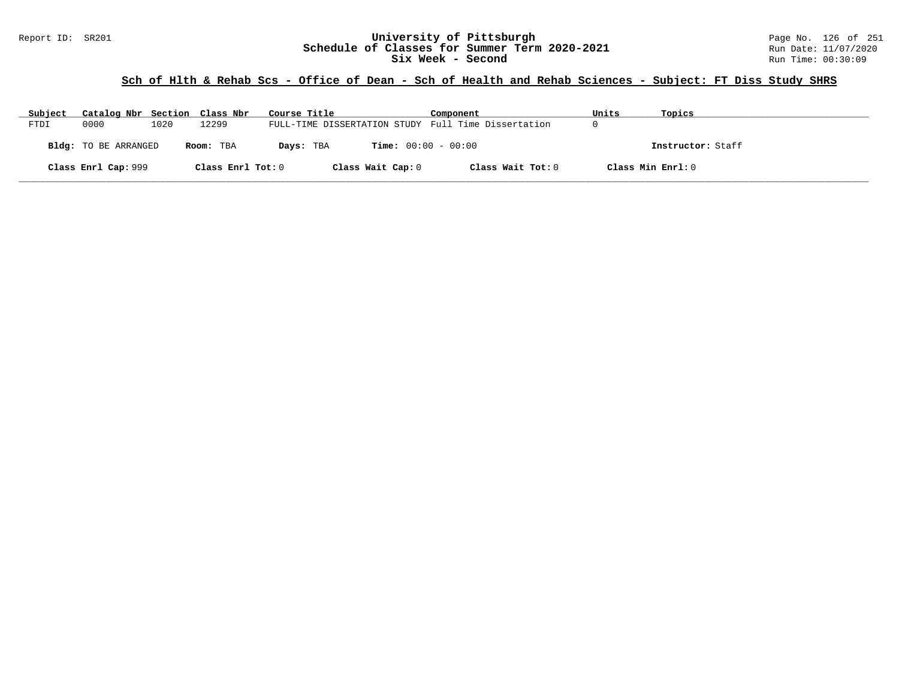#### Report ID: SR201 **126 of 251 University of Pittsburgh** Page No. 126 of 251 **Chedule of Classes for Summer Term 2020-2021** Page No. 126 of 251 **Schedule of Classes for Summer Term 2020-2021** Run Date: 11/07/2021<br>
Six Week - Second Run Time: 00:30:09 Six Week - Second

# **Sch of Hlth & Rehab Scs - Office of Dean - Sch of Health and Rehab Sciences - Subject: FT Diss Study SHRS**

| Subject | Catalog Nbr Section Class Nbr |      |                   | Course Title                                        | Component                    | Units | Topics            |
|---------|-------------------------------|------|-------------------|-----------------------------------------------------|------------------------------|-------|-------------------|
| FTDI    | 0000                          | 1020 | 12299             | FULL-TIME DISSERTATION STUDY Full Time Dissertation |                              | U     |                   |
|         | <b>Bldg:</b> TO BE ARRANGED   |      | Room: TBA         | Days: TBA                                           | <b>Time:</b> $00:00 - 00:00$ |       | Instructor: Staff |
|         | Class Enrl Cap: 999           |      | Class Enrl Tot: 0 | Class Wait Cap: 0                                   | Class Wait Tot: 0            |       | Class Min Enrl: 0 |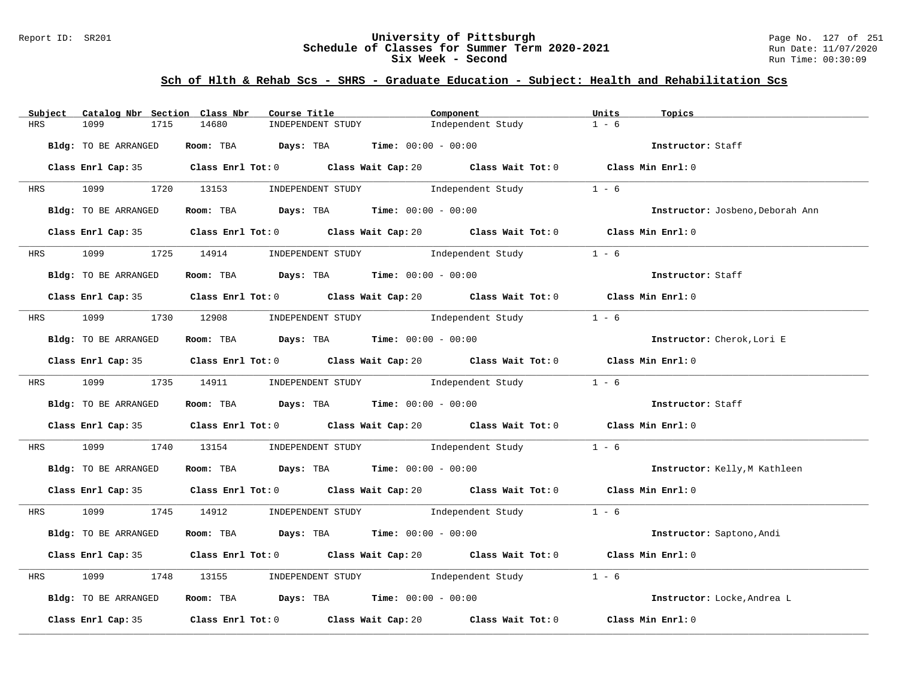### Report ID: SR201 **University of Pittsburgh** Page No. 127 of 251 **Schedule of Classes for Summer Term 2020-2021** Run Date: 11/07/2020 **Six Week - Second Run Time: 00:30:09**

| Catalog Nbr Section Class Nbr<br>Subject | Course Title                                                                                | Component         | Units<br>Topics                  |
|------------------------------------------|---------------------------------------------------------------------------------------------|-------------------|----------------------------------|
| HRS<br>1099<br>1715                      | 14680<br>INDEPENDENT STUDY                                                                  | Independent Study | $1 - 6$                          |
| Bldg: TO BE ARRANGED                     | Room: TBA $Days:$ TBA $Time: 00:00 - 00:00$                                                 |                   | Instructor: Staff                |
|                                          | Class Enrl Cap: 35 Class Enrl Tot: 0 Class Wait Cap: 20 Class Wait Tot: 0 Class Min Enrl: 0 |                   |                                  |
|                                          | HRS 1099 1720 13153 INDEPENDENT STUDY        Independent Study                              |                   | $1 - 6$                          |
| Bldg: TO BE ARRANGED                     | Room: TBA $Days: TBA$ Time: $00:00 - 00:00$                                                 |                   | Instructor: Josbeno, Deborah Ann |
|                                          | Class Enrl Cap: 35 Class Enrl Tot: 0 Class Wait Cap: 20 Class Wait Tot: 0 Class Min Enrl: 0 |                   |                                  |
|                                          | HRS 1099 1725 14914 INDEPENDENT STUDY Independent Study                                     |                   | $1 - 6$                          |
| Bldg: TO BE ARRANGED                     | Room: TBA $Days:$ TBA $Time: 00:00 - 00:00$                                                 |                   | Instructor: Staff                |
|                                          | Class Enrl Cap: 35 Class Enrl Tot: 0 Class Wait Cap: 20 Class Wait Tot: 0 Class Min Enrl: 0 |                   |                                  |
|                                          | HRS 1099 1730 12908 INDEPENDENT STUDY Independent Study                                     |                   | $1 - 6$                          |
| Bldg: TO BE ARRANGED                     | Room: TBA $\rule{1em}{0.15mm}$ Days: TBA Time: $00:00 - 00:00$                              |                   | Instructor: Cherok, Lori E       |
|                                          | Class Enrl Cap: 35 Class Enrl Tot: 0 Class Wait Cap: 20 Class Wait Tot: 0 Class Min Enrl: 0 |                   |                                  |
|                                          | HRS 1099 1735 14911 INDEPENDENT STUDY Independent Study 1 - 6                               |                   |                                  |
| Bldg: TO BE ARRANGED                     | Room: TBA $\rule{1em}{0.15mm}$ Days: TBA Time: $00:00 - 00:00$                              |                   | Instructor: Staff                |
|                                          | Class Enrl Cap: 35 Class Enrl Tot: 0 Class Wait Cap: 20 Class Wait Tot: 0 Class Min Enrl: 0 |                   |                                  |
| <b>HRS</b>                               | 1099 1740 13154 INDEPENDENT STUDY Independent Study                                         |                   | $1 - 6$                          |
| Bldg: TO BE ARRANGED                     | Room: TBA $\rule{1em}{0.15mm}$ Days: TBA Time: $00:00 - 00:00$                              |                   | Instructor: Kelly, M Kathleen    |
|                                          | Class Enrl Cap: 35 Class Enrl Tot: 0 Class Wait Cap: 20 Class Wait Tot: 0 Class Min Enrl: 0 |                   |                                  |
|                                          | HRS 1099 1745 14912 INDEPENDENT STUDY Independent Study 1 - 6                               |                   |                                  |
| Bldg: TO BE ARRANGED                     | Room: TBA $\rule{1em}{0.15mm}$ Days: TBA $\rule{1.15mm}{}$ Time: $00:00 - 00:00$            |                   | Instructor: Saptono, Andi        |
|                                          | Class Enrl Cap: 35 Class Enrl Tot: 0 Class Wait Cap: 20 Class Wait Tot: 0 Class Min Enrl: 0 |                   |                                  |
| 1099<br>HRS                              | 1748 13155 INDEPENDENT STUDY Independent Study                                              |                   | $1 - 6$                          |
| Bldg: TO BE ARRANGED                     | Room: TBA $Days:$ TBA Time: $00:00 - 00:00$                                                 |                   | Instructor: Locke, Andrea L      |
|                                          | Class Enrl Cap: 35 Class Enrl Tot: 0 Class Wait Cap: 20 Class Wait Tot: 0 Class Min Enrl: 0 |                   |                                  |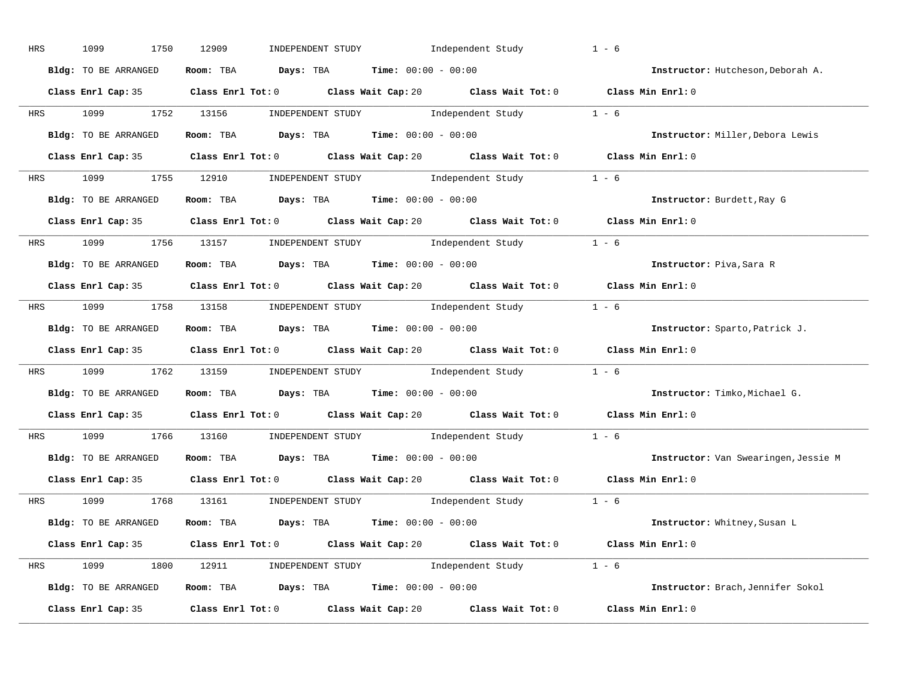| HRS | 1099<br>1750         | INDEPENDENT STUDY Independent Study<br>12909                                                | $1 - 6$                              |
|-----|----------------------|---------------------------------------------------------------------------------------------|--------------------------------------|
|     | Bldg: TO BE ARRANGED | Room: TBA $Days:$ TBA $Time: 00:00 - 00:00$                                                 | Instructor: Hutcheson, Deborah A.    |
|     |                      | Class Enrl Cap: 35 Class Enrl Tot: 0 Class Wait Cap: 20 Class Wait Tot: 0 Class Min Enrl: 0 |                                      |
|     |                      | HRS 1099 1752 13156 INDEPENDENT STUDY Independent Study 1 - 6                               |                                      |
|     | Bldg: TO BE ARRANGED | Room: TBA $\rule{1em}{0.15mm}$ Days: TBA $\rule{1.5mm}{0.15mm}$ Time: $00:00 - 00:00$       | Instructor: Miller, Debora Lewis     |
|     |                      | Class Enrl Cap: 35 Class Enrl Tot: 0 Class Wait Cap: 20 Class Wait Tot: 0 Class Min Enrl: 0 |                                      |
|     |                      | HRS 1099 1755 12910 INDEPENDENT STUDY Independent Study 1 - 6                               |                                      |
|     | Bldg: TO BE ARRANGED | Room: TBA Days: TBA Time: $00:00 - 00:00$                                                   | Instructor: Burdett, Ray G           |
|     |                      | Class Enrl Cap: 35 Class Enrl Tot: 0 Class Wait Cap: 20 Class Wait Tot: 0 Class Min Enrl: 0 |                                      |
|     |                      | HRS 1099 1756 13157 INDEPENDENT STUDY Independent Study 1 - 6                               |                                      |
|     | Bldg: TO BE ARRANGED | Room: TBA $Days:$ TBA Time: $00:00 - 00:00$                                                 | Instructor: Piva, Sara R             |
|     |                      | Class Enrl Cap: 35 Class Enrl Tot: 0 Class Wait Cap: 20 Class Wait Tot: 0 Class Min Enrl: 0 |                                      |
|     |                      | HRS 1099 1758 13158 INDEPENDENT STUDY Independent Study 1 - 6                               |                                      |
|     | Bldg: TO BE ARRANGED | Room: TBA $\rule{1em}{0.15mm}$ Days: TBA $\rule{1.15mm}]{0.15mm}$ Time: $00:00 - 00:00$     | Instructor: Sparto, Patrick J.       |
|     |                      | Class Enrl Cap: 35 Class Enrl Tot: 0 Class Wait Cap: 20 Class Wait Tot: 0 Class Min Enrl: 0 |                                      |
|     |                      | HRS 1099 1762 13159 INDEPENDENT STUDY Independent Study 1 - 6                               |                                      |
|     | Bldg: TO BE ARRANGED | Room: TBA Days: TBA Time: $00:00 - 00:00$                                                   | Instructor: Timko, Michael G.        |
|     |                      | Class Enrl Cap: 35 Class Enrl Tot: 0 Class Wait Cap: 20 Class Wait Tot: 0 Class Min Enrl: 0 |                                      |
|     |                      | HRS 1099 1766 13160 INDEPENDENT STUDY Independent Study 1 - 6                               |                                      |
|     | Bldg: TO BE ARRANGED | Room: TBA $\rule{1em}{0.15mm}$ Days: TBA Time: $00:00 - 00:00$                              | Instructor: Van Swearingen, Jessie M |
|     |                      | Class Enrl Cap: 35 Class Enrl Tot: 0 Class Wait Cap: 20 Class Wait Tot: 0 Class Min Enrl: 0 |                                      |
|     |                      | HRS 1099 1768 13161 INDEPENDENT STUDY Independent Study 1 - 6                               |                                      |
|     |                      |                                                                                             |                                      |
|     |                      | Bldg: TO BE ARRANGED Room: TBA Days: TBA Time: 00:00 - 00:00                                | Instructor: Whitney, Susan L         |
|     |                      | Class Enrl Cap: 35 Class Enrl Tot: 0 Class Wait Cap: 20 Class Wait Tot: 0 Class Min Enrl: 0 |                                      |
|     |                      | HRS 1099 1800 12911 INDEPENDENT STUDY Independent Study 1 - 6                               |                                      |
|     | Bldg: TO BE ARRANGED | Room: TBA $Days:$ TBA $Time: 00:00 - 00:00$                                                 | Instructor: Brach, Jennifer Sokol    |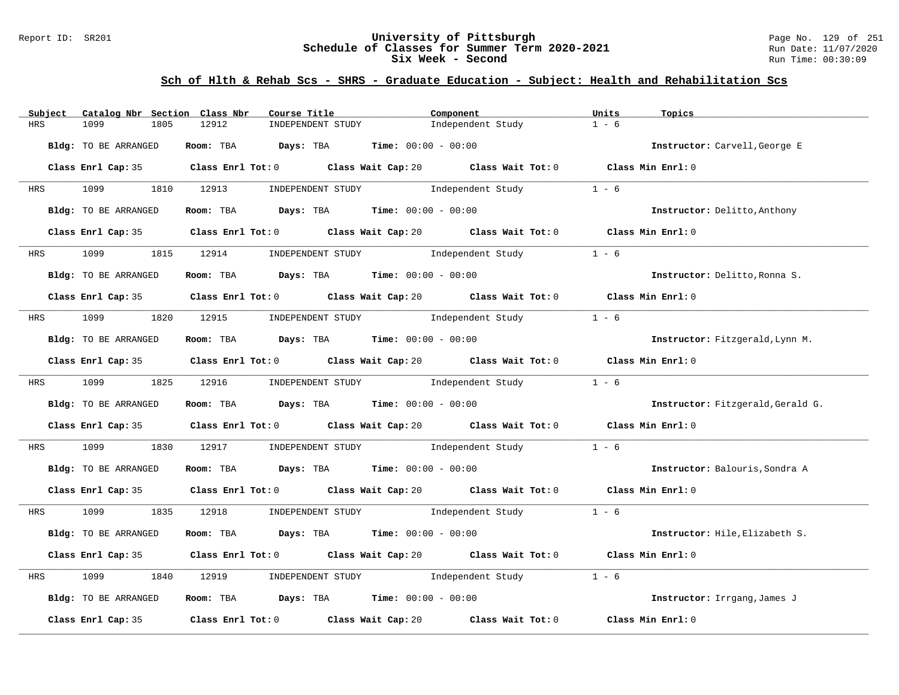### Report ID: SR201 **University of Pittsburgh** Page No. 129 of 251 **Schedule of Classes for Summer Term 2020-2021** Run Date: 11/07/2020 **Six Week - Second Run Time: 00:30:09**

| Subject<br>Catalog Nbr Section Class Nbr | Course Title                                                                                         | Component                                                                                                                    | Units<br>Topics                   |
|------------------------------------------|------------------------------------------------------------------------------------------------------|------------------------------------------------------------------------------------------------------------------------------|-----------------------------------|
| 1099<br><b>HRS</b><br>1805               | 12912<br>INDEPENDENT STUDY                                                                           | Independent Study                                                                                                            | $1 - 6$                           |
| Bldg: TO BE ARRANGED                     | Room: TBA $Days:$ TBA $Time: 00:00 - 00:00$                                                          |                                                                                                                              | Instructor: Carvell, George E     |
|                                          | Class Enrl Cap: 35 Class Enrl Tot: 0 Class Wait Cap: 20 Class Wait Tot: 0 Class Min Enrl: 0          |                                                                                                                              |                                   |
| 1099 1810 12913<br>HRS                   | INDEPENDENT STUDY                                                                                    | Independent Study                                                                                                            | $1 - 6$                           |
| Bldg: TO BE ARRANGED                     | Room: TBA $Days:$ TBA $Time: 00:00 - 00:00$                                                          |                                                                                                                              | Instructor: Delitto, Anthony      |
|                                          | Class Enrl Cap: 35 Class Enrl Tot: 0 Class Wait Cap: 20 Class Wait Tot: 0 Class Min Enrl: 0          |                                                                                                                              |                                   |
| 1099<br><b>HRS</b>                       | 1815 12914                                                                                           | INDEPENDENT STUDY Tndependent Study                                                                                          | $1 - 6$                           |
| Bldg: TO BE ARRANGED                     | Room: TBA $Days:$ TBA $Time: 00:00 - 00:00$                                                          |                                                                                                                              | Instructor: Delitto, Ronna S.     |
|                                          | Class Enrl Cap: 35 Class Enrl Tot: 0 Class Wait Cap: 20 Class Wait Tot: 0 Class Min Enrl: 0          |                                                                                                                              |                                   |
|                                          | HRS 1099 1820 12915 INDEPENDENT STUDY Independent Study                                              |                                                                                                                              | $1 - 6$                           |
| Bldg: TO BE ARRANGED                     | Room: TBA $\rule{1em}{0.15mm}$ Days: TBA Time: $00:00 - 00:00$                                       |                                                                                                                              | Instructor: Fitzgerald, Lynn M.   |
|                                          | Class Enrl Cap: 35 Class Enrl Tot: 0 Class Wait Cap: 20 Class Wait Tot: 0 Class Min Enrl: 0          |                                                                                                                              |                                   |
| HRS 1099 1825 12916                      |                                                                                                      | $\begin{minipage}[c]{0.9\linewidth} \textbf{INDEX} & \textbf{STUDY} \\ \textbf{Independent Study} & 1 - 6 \\ \end{minipage}$ |                                   |
| Bldg: TO BE ARRANGED                     | Room: TBA $Days:$ TBA $Time: 00:00 - 00:00$                                                          |                                                                                                                              | Instructor: Fitzgerald, Gerald G. |
|                                          | Class Enrl Cap: 35 $\qquad$ Class Enrl Tot: 0 $\qquad$ Class Wait Cap: 20 $\qquad$ Class Wait Tot: 0 |                                                                                                                              | Class Min Enrl: 0                 |
| 1099<br>1830<br>HRS                      | 12917                                                                                                | INDEPENDENT STUDY 1ndependent Study                                                                                          | $1 - 6$                           |
| Bldg: TO BE ARRANGED                     | Room: TBA $Days:$ TBA $Time: 00:00 - 00:00$                                                          |                                                                                                                              | Instructor: Balouris, Sondra A    |
|                                          | Class Enrl Cap: 35 Class Enrl Tot: 0 Class Wait Cap: 20 Class Wait Tot: 0 Class Min Enrl: 0          |                                                                                                                              |                                   |
| 1099 1835 12918<br>HRS                   |                                                                                                      | INDEPENDENT STUDY 1 - 6                                                                                                      |                                   |
| Bldg: TO BE ARRANGED                     | Room: TBA $Days:$ TBA $Time: 00:00 - 00:00$                                                          |                                                                                                                              | Instructor: Hile, Elizabeth S.    |
|                                          | Class Enrl Cap: 35 Class Enrl Tot: 0 Class Wait Cap: 20 Class Wait Tot: 0 Class Min Enrl: 0          |                                                                                                                              |                                   |
| 1099<br>1840<br>HRS                      | INDEPENDENT STUDY 1ndependent Study<br>12919                                                         |                                                                                                                              | $1 - 6$                           |
| Bldg: TO BE ARRANGED                     | Room: TBA $Days: TBA$ Time: $00:00 - 00:00$                                                          |                                                                                                                              | Instructor: Irrgang, James J      |
| Class Enrl Cap: 35                       | Class Enrl Tot: 0 Class Wait Cap: 20                                                                 | Class Wait Tot: 0                                                                                                            | Class Min Enrl: 0                 |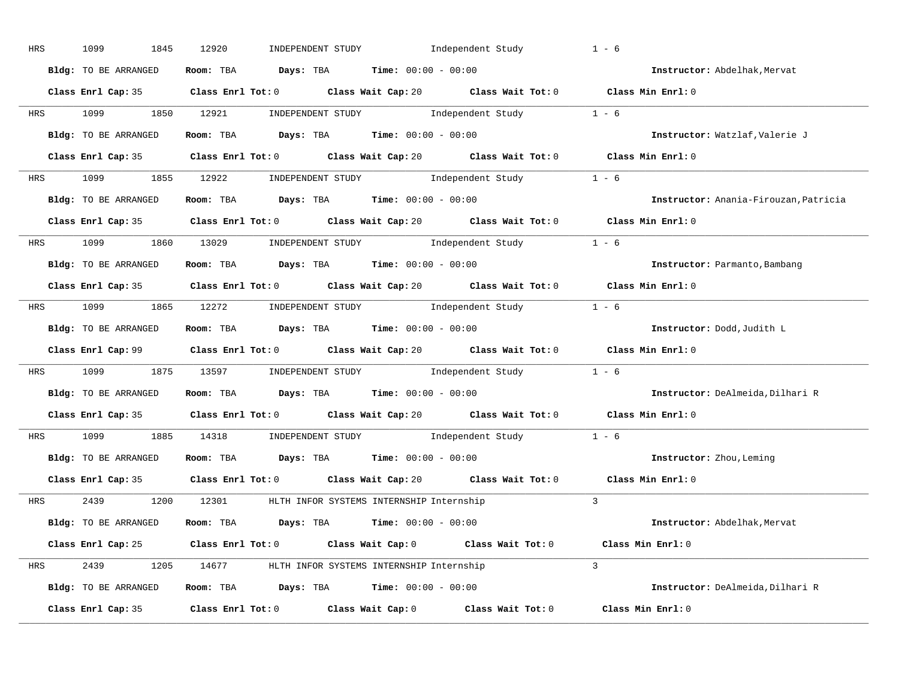| HRS | 1099<br>1845         | 12920<br>INDEPENDENT STUDY                                                                  | Independent Study | $1 - 6$                               |
|-----|----------------------|---------------------------------------------------------------------------------------------|-------------------|---------------------------------------|
|     | Bldg: TO BE ARRANGED | Room: TBA $Days:$ TBA $Time: 00:00 - 00:00$                                                 |                   | Instructor: Abdelhak, Mervat          |
|     |                      | Class Enrl Cap: 35 Class Enrl Tot: 0 Class Wait Cap: 20 Class Wait Tot: 0 Class Min Enrl: 0 |                   |                                       |
|     |                      | HRS 1099 1850 12921 INDEPENDENT STUDY Independent Study 1 - 6                               |                   |                                       |
|     | Bldg: TO BE ARRANGED | Room: TBA $Days:$ TBA $Time: 00:00 - 00:00$                                                 |                   | Instructor: Watzlaf, Valerie J        |
|     |                      | Class Enrl Cap: 35 Class Enrl Tot: 0 Class Wait Cap: 20 Class Wait Tot: 0 Class Min Enrl: 0 |                   |                                       |
|     |                      | HRS 1099 1855 12922 INDEPENDENT STUDY Independent Study 1 - 6                               |                   |                                       |
|     |                      | <b>Bldg:</b> TO BE ARRANGED <b>ROOM:</b> TBA <b>Days:</b> TBA <b>Time:</b> $00:00 - 00:00$  |                   | Instructor: Anania-Firouzan, Patricia |
|     |                      | Class Enrl Cap: 35 Class Enrl Tot: 0 Class Wait Cap: 20 Class Wait Tot: 0 Class Min Enrl: 0 |                   |                                       |
|     |                      | HRS 1099 1860 13029 INDEPENDENT STUDY Independent Study 1 - 6                               |                   |                                       |
|     | Bldg: TO BE ARRANGED | Room: TBA $Days:$ TBA $Time: 00:00 - 00:00$                                                 |                   | Instructor: Parmanto, Bambang         |
|     |                      | Class Enrl Cap: 35 Class Enrl Tot: 0 Class Wait Cap: 20 Class Wait Tot: 0 Class Min Enrl: 0 |                   |                                       |
|     |                      | HRS 1099 1865 12272 INDEPENDENT STUDY Independent Study 1 - 6                               |                   |                                       |
|     | Bldg: TO BE ARRANGED | Room: TBA $Days:$ TBA $Time:$ $00:00 - 00:00$                                               |                   | Instructor: Dodd, Judith L            |
|     |                      | Class Enrl Cap: 99 Class Enrl Tot: 0 Class Wait Cap: 20 Class Wait Tot: 0 Class Min Enrl: 0 |                   |                                       |
|     |                      | HRS 1099 1875 13597 INDEPENDENT STUDY Independent Study 1 - 6                               |                   |                                       |
|     | Bldg: TO BE ARRANGED | Room: TBA $Days$ : TBA Time: $00:00 - 00:00$                                                |                   | Instructor: DeAlmeida, Dilhari R      |
|     |                      | Class Enrl Cap: 35 Class Enrl Tot: 0 Class Wait Cap: 20 Class Wait Tot: 0 Class Min Enrl: 0 |                   |                                       |
|     |                      | HRS 1099 1885 14318 INDEPENDENT STUDY Independent Study 1 - 6                               |                   |                                       |
|     |                      | Bldg: TO BE ARRANGED ROOM: TBA Days: TBA Time: 00:00 - 00:00                                |                   | Instructor: Zhou, Leming              |
|     |                      | Class Enrl Cap: 35 Class Enrl Tot: 0 Class Wait Cap: 20 Class Wait Tot: 0 Class Min Enrl: 0 |                   |                                       |
|     |                      | HRS 2439 1200 12301 HLTH INFOR SYSTEMS INTERNSHIP Internship                                |                   |                                       |
|     | Bldg: TO BE ARRANGED | Room: TBA $Days:$ TBA $Time: 00:00 - 00:00$                                                 |                   | Instructor: Abdelhak,Mervat           |
|     |                      | Class Enrl Cap: 25 Class Enrl Tot: 0 Class Wait Cap: 0 Class Wait Tot: 0 Class Min Enrl: 0  |                   |                                       |
|     |                      | HRS 2439 1205 14677 HLTH INFOR SYSTEMS INTERNSHIP Internship                                |                   | $\mathcal{R}$                         |
|     |                      | Bldg: TO BE ARRANGED Room: TBA Days: TBA Time: 00:00 - 00:00                                |                   | Instructor: DeAlmeida, Dilhari R      |
|     |                      | Class Enrl Cap: 35 Class Enrl Tot: 0 Class Wait Cap: 0 Class Wait Tot: 0 Class Min Enrl: 0  |                   |                                       |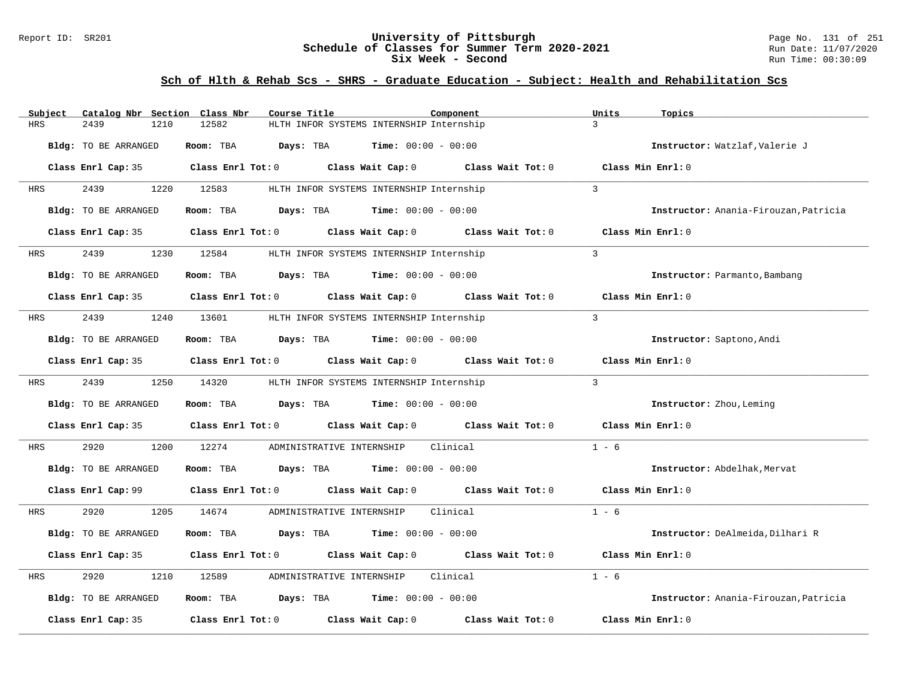### Report ID: SR201 **University of Pittsburgh** Page No. 131 of 251 **Schedule of Classes for Summer Term 2020-2021** Run Date: 11/07/2020 **Six Week - Second Run Time: 00:30:09**

| Subject    | Catalog Nbr Section Class Nbr | Course Title                                                                                        | Component         | Units<br>Topics                       |
|------------|-------------------------------|-----------------------------------------------------------------------------------------------------|-------------------|---------------------------------------|
| <b>HRS</b> | 2439<br>1210                  | HLTH INFOR SYSTEMS INTERNSHIP Internship<br>12582                                                   |                   | $\mathcal{L}$                         |
|            | Bldg: TO BE ARRANGED          | Room: TBA<br><b>Days:</b> TBA <b>Time:</b> $00:00 - 00:00$                                          |                   | Instructor: Watzlaf, Valerie J        |
|            |                               | Class Enrl Cap: 35 $\qquad$ Class Enrl Tot: 0 $\qquad$ Class Wait Cap: 0 $\qquad$ Class Wait Tot: 0 |                   | Class Min Enrl: 0                     |
| HRS        | 2439                          | 1220 12583<br>HLTH INFOR SYSTEMS INTERNSHIP Internship                                              |                   | $\mathcal{L}$                         |
|            | Bldg: TO BE ARRANGED          | Room: TBA $Days:$ TBA $Time: 00:00 - 00:00$                                                         |                   | Instructor: Anania-Firouzan, Patricia |
|            | Class Enrl Cap: 35            | Class Enrl Tot: 0 Class Wait Cap: 0 Class Wait Tot: 0                                               |                   | Class Min Enrl: 0                     |
| HRS        | 2439                          | 1230 12584<br>HLTH INFOR SYSTEMS INTERNSHIP Internship                                              |                   | $\overline{3}$                        |
|            | Bldg: TO BE ARRANGED          | Room: TBA $Days:$ TBA $Time: 00:00 - 00:00$                                                         |                   | Instructor: Parmanto, Bambang         |
|            |                               | Class Enrl Cap: 35 Class Enrl Tot: 0 Class Wait Cap: 0 Class Wait Tot: 0                            |                   | Class Min Enrl: 0                     |
| HRS        | 2439<br>1240                  | 13601<br>HLTH INFOR SYSTEMS INTERNSHIP Internship                                                   |                   | $\overline{3}$                        |
|            | Bldg: TO BE ARRANGED          | Room: TBA $\rule{1em}{0.15mm}$ Days: TBA $\rule{1.5mm}{0.15mm}$ Time: $00:00 - 00:00$               |                   | Instructor: Saptono, Andi             |
|            |                               | Class Enrl Cap: 35 $\qquad$ Class Enrl Tot: 0 $\qquad$ Class Wait Cap: 0 $\qquad$ Class Wait Tot: 0 |                   | Class Min $Enrl: 0$                   |
| HRS        | 2439                          | 1250 14320<br>HLTH INFOR SYSTEMS INTERNSHIP Internship                                              |                   | $\overline{3}$                        |
|            | Bldg: TO BE ARRANGED          | <b>Days:</b> TBA <b>Time:</b> $00:00 - 00:00$<br>Room: TBA                                          |                   | Instructor: Zhou, Leming              |
|            | Class Enrl Cap: 35            | Class Enrl Tot: 0 Class Wait Cap: 0 Class Wait Tot: 0                                               |                   | Class Min Enrl: 0                     |
| HRS        | 2920<br>1200                  | 12274<br>ADMINISTRATIVE INTERNSHIP                                                                  | Clinical          | $1 - 6$                               |
|            | Bldg: TO BE ARRANGED          | Room: TBA $Days:$ TBA $Time: 00:00 - 00:00$                                                         |                   | Instructor: Abdelhak, Mervat          |
|            | Class Enrl Cap: 99            | Class Enrl Tot: $0$ Class Wait Cap: $0$ Class Wait Tot: $0$ Class Min Enrl: $0$                     |                   |                                       |
| HRS        | 2920<br>1205                  | 14674<br>ADMINISTRATIVE INTERNSHIP Clinical                                                         |                   | $1 - 6$                               |
|            | Bldg: TO BE ARRANGED          | Room: TBA<br><b>Days:</b> TBA <b>Time:</b> $00:00 - 00:00$                                          |                   | Instructor: DeAlmeida, Dilhari R      |
|            |                               | Class Enrl Cap: 35 Class Enrl Tot: 0 Class Wait Cap: 0 Class Wait Tot: 0                            |                   | Class Min Enrl: 0                     |
| HRS        | 2920<br>1210                  | 12589<br>ADMINISTRATIVE INTERNSHIP                                                                  | Clinical          | $1 - 6$                               |
|            | Bldg: TO BE ARRANGED          | Room: TBA $\rule{1em}{0.15mm}$ Days: TBA $\rule{1.15mm}]{0.15mm}$ Time: $0.000 - 0.0000$            |                   | Instructor: Anania-Firouzan, Patricia |
|            | Class Enrl Cap: 35            | Class Enrl Tot: 0 Class Wait Cap: 0                                                                 | Class Wait Tot: 0 | Class Min Enrl: 0                     |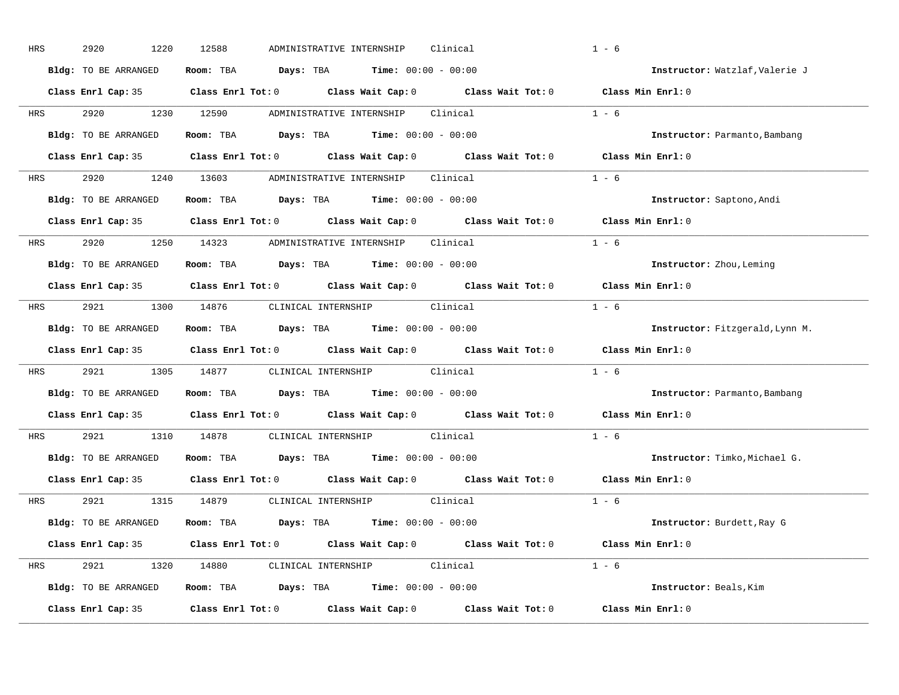| HRS        | 2920<br>1220         | 12588<br>ADMINISTRATIVE INTERNSHIP<br>Clinical                                                      | $1 - 6$                         |
|------------|----------------------|-----------------------------------------------------------------------------------------------------|---------------------------------|
|            | Bldg: TO BE ARRANGED | Room: TBA $Days:$ TBA $Time: 00:00 - 00:00$                                                         | Instructor: Watzlaf, Valerie J  |
|            |                      | Class Enrl Cap: 35 Class Enrl Tot: 0 Class Wait Cap: 0 Class Wait Tot: 0 Class Min Enrl: 0          |                                 |
|            |                      | HRS 2920 1230 12590 ADMINISTRATIVE INTERNSHIP Clinical                                              | $1 - 6$                         |
|            | Bldg: TO BE ARRANGED | Room: TBA Days: TBA Time: $00:00 - 00:00$                                                           | Instructor: Parmanto, Bambang   |
|            |                      | Class Enrl Cap: 35 Class Enrl Tot: 0 Class Wait Cap: 0 Class Wait Tot: 0 Class Min Enrl: 0          |                                 |
|            |                      | HRS 2920 1240 13603 ADMINISTRATIVE INTERNSHIP Clinical                                              | $1 - 6$                         |
|            |                      | Bldg: TO BE ARRANGED Room: TBA Days: TBA Time: 00:00 - 00:00                                        | Instructor: Saptono, Andi       |
|            |                      | Class Enrl Cap: 35 $\qquad$ Class Enrl Tot: 0 $\qquad$ Class Wait Cap: 0 $\qquad$ Class Wait Tot: 0 | Class Min Enrl: 0               |
|            |                      | HRS 2920 1250 14323 ADMINISTRATIVE INTERNSHIP Clinical                                              | $1 - 6$                         |
|            | Bldg: TO BE ARRANGED | Room: TBA $\rule{1em}{0.15mm}$ Days: TBA $\rule{1.15mm}]{0.15mm}$ Time: $0.000 - 0.0000$            | Instructor: Zhou, Leming        |
|            |                      | Class Enrl Cap: 35 Class Enrl Tot: 0 Class Wait Cap: 0 Class Wait Tot: 0 Class Min Enrl: 0          |                                 |
|            |                      | HRS 2921 1300 14876 CLINICAL INTERNSHIP Clinical                                                    | $1 - 6$                         |
|            | Bldg: TO BE ARRANGED | Room: TBA $\rule{1em}{0.15mm}$ Days: TBA Time: $00:00 - 00:00$                                      | Instructor: Fitzgerald, Lynn M. |
|            |                      | Class Enrl Cap: 35 Class Enrl Tot: 0 Class Wait Cap: 0 Class Wait Tot: 0 Class Min Enrl: 0          |                                 |
| <b>HRS</b> |                      | 2921 1305 14877 CLINICAL INTERNSHIP Clinical                                                        | $1 - 6$                         |
|            | Bldg: TO BE ARRANGED | Room: TBA $Days:$ TBA Time: $00:00 - 00:00$                                                         | Instructor: Parmanto, Bambang   |
|            |                      | Class Enrl Cap: 35 Class Enrl Tot: 0 Class Wait Cap: 0 Class Wait Tot: 0                            | Class Min Enrl: 0               |
| <b>HRS</b> |                      | 2921 1310 14878 CLINICAL INTERNSHIP Clinical                                                        | $1 - 6$                         |
|            | Bldg: TO BE ARRANGED | Room: TBA $Days:$ TBA $Time: 00:00 - 00:00$                                                         | Instructor: Timko, Michael G.   |
|            |                      | Class Enrl Cap: 35 Class Enrl Tot: 0 Class Wait Cap: 0 Class Wait Tot: 0                            | Class Min Enrl: 0               |
|            |                      | HRS 2921 1315 14879 CLINICAL_INTERNSHIP Clinical                                                    | $1 - 6$                         |
|            | Bldg: TO BE ARRANGED | Room: TBA $Days:$ TBA $Time: 00:00 - 00:00$                                                         | Instructor: Burdett, Ray G      |
|            |                      | Class Enrl Cap: 35 Class Enrl Tot: 0 Class Wait Cap: 0 Class Wait Tot: 0 Class Min Enrl: 0          |                                 |
|            |                      | HRS 2921 1320 14880 CLINICAL INTERNSHIP Clinical                                                    | $1 - 6$                         |
|            | Bldg: TO BE ARRANGED | <b>Room:</b> TBA $\qquad \qquad$ Days: TBA $\qquad \qquad$ Time: $00:00 - 00:00$                    | Instructor: Beals, Kim          |
|            | Class Enrl Cap: 35   | Class Enrl Tot: $0$ Class Wait Cap: $0$ Class Wait Tot: $0$ Class Min Enrl: $0$                     |                                 |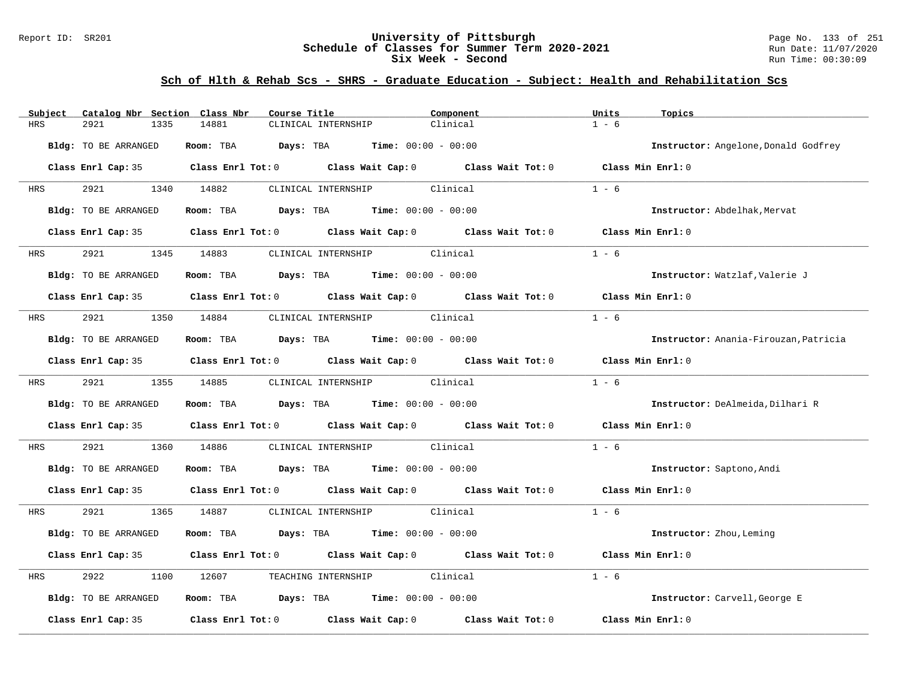### Report ID: SR201 **University of Pittsburgh** Page No. 133 of 251 **Schedule of Classes for Summer Term 2020-2021** Run Date: 11/07/2020 **Six Week - Second Run Time: 00:30:09**

| Subject                     | Catalog Nbr Section Class Nbr | Course Title                                                                                        | Component | Units<br>Topics                       |
|-----------------------------|-------------------------------|-----------------------------------------------------------------------------------------------------|-----------|---------------------------------------|
| 2921<br>HRS                 | 1335<br>14881                 | CLINICAL INTERNSHIP                                                                                 | Clinical  | $1 - 6$                               |
| Bldg: TO BE ARRANGED        |                               | Room: TBA $Days:$ TBA $Time: 00:00 - 00:00$                                                         |           | Instructor: Angelone, Donald Godfrey  |
|                             |                               | Class Enrl Cap: 35 Class Enrl Tot: 0 Class Wait Cap: 0 Class Wait Tot: 0 Class Min Enrl: 0          |           |                                       |
| <b>HRS</b>                  | 2921 1340 14882               | CLINICAL INTERNSHIP Clinical                                                                        |           | $1 - 6$                               |
| <b>Bldg:</b> TO BE ARRANGED |                               | <b>Room:</b> TBA <b>Days:</b> TBA <b>Time:</b> 00:00 - 00:00                                        |           | Instructor: Abdelhak, Mervat          |
|                             |                               | Class Enrl Cap: 35 Class Enrl Tot: 0 Class Wait Cap: 0 Class Wait Tot: 0                            |           | Class Min Enrl: 0                     |
| <b>HRS</b>                  | 2921 1345 14883               | CLINICAL INTERNSHIP Clinical                                                                        |           | $1 - 6$                               |
| Bldg: TO BE ARRANGED        |                               | Room: TBA $Days:$ TBA $Time: 00:00 - 00:00$                                                         |           | Instructor: Watzlaf, Valerie J        |
|                             |                               | Class Enrl Cap: 35 $\qquad$ Class Enrl Tot: 0 $\qquad$ Class Wait Cap: 0 $\qquad$ Class Wait Tot: 0 |           | Class Min $Enr1:0$                    |
| 2921 2022<br>HRS            | 1350 14884                    | CLINICAL INTERNSHIP Clinical                                                                        |           | $1 - 6$                               |
| Bldg: TO BE ARRANGED        |                               | Room: TBA $Days:$ TBA $Time: 00:00 - 00:00$                                                         |           | Instructor: Anania-Firouzan, Patricia |
|                             |                               | Class Enrl Cap: 35 Class Enrl Tot: 0 Class Wait Cap: 0 Class Wait Tot: 0 Class Min Enrl: 0          |           |                                       |
| 2921 2022<br><b>HRS</b>     | 1355 14885                    | CLINICAL INTERNSHIP Clinical                                                                        |           | $1 - 6$                               |
| Bldg: TO BE ARRANGED        |                               | Room: TBA $Days: TBA$ Time: $00:00 - 00:00$                                                         |           | Instructor: DeAlmeida, Dilhari R      |
|                             |                               | Class Enrl Cap: 35 Class Enrl Tot: 0 Class Wait Cap: 0 Class Wait Tot: 0 Class Min Enrl: 0          |           |                                       |
| 2921<br>HRS                 | 1360<br>14886                 | CLINICAL INTERNSHIP Clinical                                                                        |           | $1 - 6$                               |
| Bldg: TO BE ARRANGED        |                               | Room: TBA $Days:$ TBA $Time: 00:00 - 00:00$                                                         |           | Instructor: Saptono, Andi             |
|                             |                               | Class Enrl Cap: 35 Class Enrl Tot: 0 Class Wait Cap: 0 Class Wait Tot: 0 Class Min Enrl: 0          |           |                                       |
| 2921<br>HRS                 | 1365 14887                    | CLINICAL INTERNSHIP Clinical                                                                        |           | $1 - 6$                               |
| Bldg: TO BE ARRANGED        |                               | Room: TBA $Days:$ TBA $Time: 00:00 - 00:00$                                                         |           | Instructor: Zhou, Leming              |
|                             |                               | Class Enrl Cap: 35 Class Enrl Tot: 0 Class Wait Cap: 0 Class Wait Tot: 0 Class Min Enrl: 0          |           |                                       |
| 2922<br>HRS                 | 1100                          | 12607 TEACHING INTERNSHIP Clinical                                                                  |           | $1 - 6$                               |
| Bldg: TO BE ARRANGED        |                               | Room: TBA $\rule{1em}{0.15mm}$ Days: TBA Time: $00:00 - 00:00$                                      |           | Instructor: Carvell, George E         |
| Class Enrl Cap: 35          |                               | Class Enrl Tot: $0$ Class Wait Cap: $0$ Class Wait Tot: $0$                                         |           | Class Min Enrl: 0                     |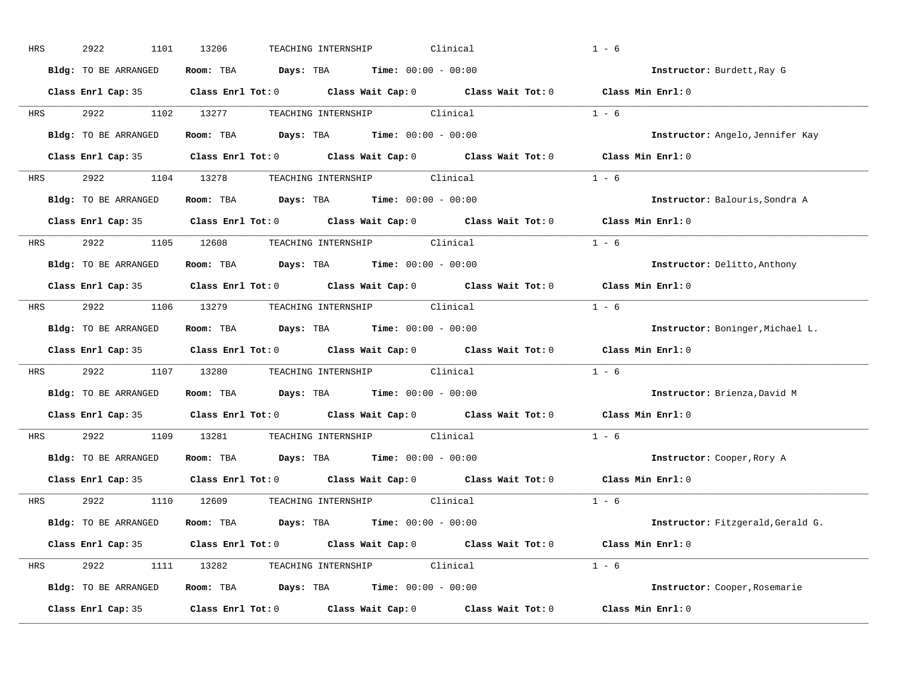| HRS        | 2922<br>1101         | 13206<br>Clinical<br>TEACHING INTERNSHIP                                                   | $1 - 6$                           |
|------------|----------------------|--------------------------------------------------------------------------------------------|-----------------------------------|
|            | Bldg: TO BE ARRANGED | Room: TBA $Days: TBA$ Time: $00:00 - 00:00$                                                | Instructor: Burdett, Ray G        |
|            |                      | Class Enrl Cap: 35 Class Enrl Tot: 0 Class Wait Cap: 0 Class Wait Tot: 0 Class Min Enrl: 0 |                                   |
| <b>HRS</b> |                      | 2922 1102 13277 TEACHING INTERNSHIP Clinical                                               | $1 - 6$                           |
|            | Bldg: TO BE ARRANGED | Room: TBA Days: TBA Time: $00:00 - 00:00$                                                  | Instructor: Angelo, Jennifer Kay  |
|            |                      | Class Enrl Cap: 35 Class Enrl Tot: 0 Class Wait Cap: 0 Class Wait Tot: 0 Class Min Enrl: 0 |                                   |
| HRS        |                      | 2922 1104 13278 TEACHING INTERNSHIP Clinical                                               | $1 - 6$                           |
|            | Bldg: TO BE ARRANGED | Room: TBA Days: TBA Time: $00:00 - 00:00$                                                  | Instructor: Balouris, Sondra A    |
|            |                      | Class Enrl Cap: 35 Class Enrl Tot: 0 Class Wait Cap: 0 Class Wait Tot: 0                   | Class Min Enrl: 0                 |
| <b>HRS</b> |                      | 2922 1105 12608 TEACHING INTERNSHIP Clinical                                               | $1 - 6$                           |
|            | Bldg: TO BE ARRANGED | Room: TBA $Days:$ TBA $Time: 00:00 - 00:00$                                                | Instructor: Delitto, Anthony      |
|            |                      | Class Enrl Cap: 35 Class Enrl Tot: 0 Class Wait Cap: 0 Class Wait Tot: 0                   | Class Min Enrl: 0                 |
| HRS        |                      | 2922 1106 13279 TEACHING INTERNSHIP Clinical                                               | $1 - 6$                           |
|            | Bldg: TO BE ARRANGED | Room: TBA $\rule{1em}{0.15mm}$ Days: TBA Time: $00:00 - 00:00$                             | Instructor: Boninger, Michael L.  |
|            |                      | Class Enrl Cap: 35 Class Enrl Tot: 0 Class Wait Cap: 0 Class Wait Tot: 0                   | Class Min Enrl: 0                 |
| <b>HRS</b> |                      | 2922 1107 13280 TEACHING INTERNSHIP Clinical                                               | $1 - 6$                           |
|            | Bldg: TO BE ARRANGED | Room: TBA $Days:$ TBA Time: $00:00 - 00:00$                                                | Instructor: Brienza, David M      |
|            |                      | Class Enrl Cap: 35 Class Enrl Tot: 0 Class Wait Cap: 0 Class Wait Tot: 0                   | Class Min Enrl: 0                 |
| <b>HRS</b> |                      | 2922 1109 13281 TEACHING INTERNSHIP Clinical                                               | $1 - 6$                           |
|            | Bldg: TO BE ARRANGED | Room: TBA $Days:$ TBA $Time: 00:00 - 00:00$                                                | Instructor: Cooper, Rory A        |
|            |                      | Class Enrl Cap: 35 Class Enrl Tot: 0 Class Wait Cap: 0 Class Wait Tot: 0                   | Class Min Enrl: 0                 |
|            |                      | HRS 2922 1110 12609 TEACHING INTERNSHIP Clinical                                           | $1 - 6$                           |
|            | Bldg: TO BE ARRANGED | Room: TBA $Days:$ TBA $Time: 00:00 - 00:00$                                                | Instructor: Fitzgerald, Gerald G. |
|            |                      | Class Enrl Cap: 35 Class Enrl Tot: 0 Class Wait Cap: 0 Class Wait Tot: 0 Class Min Enrl: 0 |                                   |
| HRS        |                      | 2922 1111 13282 TEACHING INTERNSHIP Clinical                                               | $1 - 6$                           |
|            | Bldg: TO BE ARRANGED | <b>Room:</b> TBA $\qquad \qquad$ Days: TBA $\qquad \qquad$ Time: $00:00 - 00:00$           | Instructor: Cooper, Rosemarie     |
|            | Class Enrl Cap: 35   | Class Enrl Tot: $0$ Class Wait Cap: $0$ Class Wait Tot: $0$                                | Class Min Enrl: 0                 |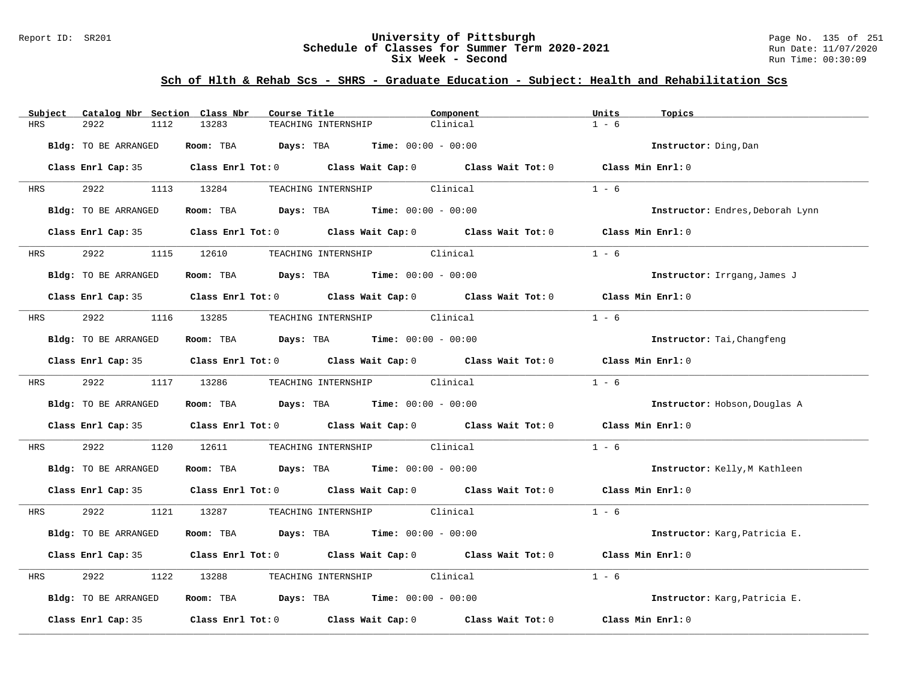### Report ID: SR201 **University of Pittsburgh** Page No. 135 of 251 **Schedule of Classes for Summer Term 2020-2021** Run Date: 11/07/2020 **Six Week - Second Run Time: 00:30:09**

| Catalog Nbr Section Class Nbr<br>Subject | Course Title                                                                               | Component | Units<br>Topics                  |
|------------------------------------------|--------------------------------------------------------------------------------------------|-----------|----------------------------------|
| <b>HRS</b><br>2922<br>1112               | 13283<br>TEACHING INTERNSHIP                                                               | Clinical  | $1 - 6$                          |
| Bldg: TO BE ARRANGED                     | Room: TBA $Days: TBA$ Time: $00:00 - 00:00$                                                |           | Instructor: Ding, Dan            |
|                                          | Class Enrl Cap: 35 Class Enrl Tot: 0 Class Wait Cap: 0 Class Wait Tot: 0 Class Min Enrl: 0 |           |                                  |
| 2922<br><b>HRS</b>                       | 1113 13284<br>TEACHING INTERNSHIP Clinical                                                 |           | $1 - 6$                          |
| Bldg: TO BE ARRANGED                     | Room: TBA $Days:$ TBA $Time: 00:00 - 00:00$                                                |           | Instructor: Endres, Deborah Lynn |
|                                          | Class Enrl Cap: 35 Class Enrl Tot: 0 Class Wait Cap: 0 Class Wait Tot: 0 Class Min Enrl: 0 |           |                                  |
| 2922 2022<br><b>HRS</b>                  | TEACHING INTERNSHIP Clinical<br>1115 12610                                                 |           | $1 - 6$                          |
| Bldg: TO BE ARRANGED                     | Room: TBA $Days:$ TBA Time: $00:00 - 00:00$                                                |           | Instructor: Irrgang, James J     |
|                                          | Class Enrl Cap: 35 Class Enrl Tot: 0 Class Wait Cap: 0 Class Wait Tot: 0 Class Min Enrl: 0 |           |                                  |
| 2922 2022<br><b>HRS</b>                  | 1116 13285 TEACHING INTERNSHIP Clinical                                                    |           | $1 - 6$                          |
| Bldg: TO BE ARRANGED                     | Room: TBA $Days:$ TBA $Time: 00:00 - 00:00$                                                |           | Instructor: Tai, Changfeng       |
|                                          | Class Enrl Cap: 35 Class Enrl Tot: 0 Class Wait Cap: 0 Class Wait Tot: 0 Class Min Enrl: 0 |           |                                  |
| HRS 2922                                 | 1117 13286<br>TEACHING INTERNSHIP Clinical                                                 |           | $1 - 6$                          |
| Bldg: TO BE ARRANGED                     | Room: TBA $\rule{1em}{0.15mm}$ Days: TBA Time: $00:00 - 00:00$                             |           | Instructor: Hobson, Douglas A    |
|                                          | Class Enrl Cap: 35 Class Enrl Tot: 0 Class Wait Cap: 0 Class Wait Tot: 0 Class Min Enrl: 0 |           |                                  |
| 2922<br>HRS                              | TEACHING INTERNSHIP Clinical<br>1120 12611                                                 |           | $1 - 6$                          |
| Bldg: TO BE ARRANGED                     | Room: TBA $Days:$ TBA $Time: 00:00 - 00:00$                                                |           | Instructor: Kelly, M Kathleen    |
|                                          | Class Enrl Cap: 35 Class Enrl Tot: 0 Class Wait Cap: 0 Class Wait Tot: 0 Class Min Enrl: 0 |           |                                  |
| HRS 2922                                 | 1121 13287 TEACHING INTERNSHIP Clinical                                                    |           | $1 - 6$                          |
| Bldg: TO BE ARRANGED                     | Room: TBA $Days:$ TBA $Time: 00:00 - 00:00$                                                |           | Instructor: Karg, Patricia E.    |
|                                          | Class Enrl Cap: 35 Class Enrl Tot: 0 Class Wait Cap: 0 Class Wait Tot: 0 Class Min Enrl: 0 |           |                                  |
| 2922<br>HRS                              | TEACHING INTERNSHIP Clinical<br>1122 13288                                                 |           | $1 - 6$                          |
| Bldg: TO BE ARRANGED                     | Room: TBA $Days:$ TBA $Time: 00:00 - 00:00$                                                |           | Instructor: Karg, Patricia E.    |
| Class Enrl Cap: 35                       | Class Enrl Tot: $0$ Class Wait Cap: $0$ Class Wait Tot: $0$                                |           | Class Min Enrl: 0                |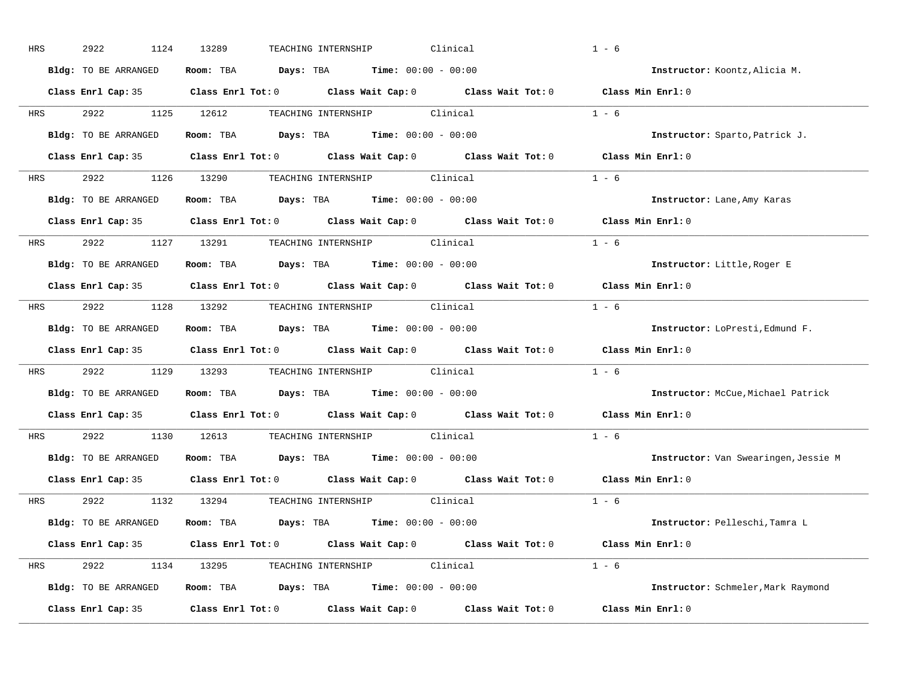| HRS        | 2922<br>1124         | 13289<br>Clinical<br>TEACHING INTERNSHIP                                                   | $1 - 6$                              |
|------------|----------------------|--------------------------------------------------------------------------------------------|--------------------------------------|
|            | Bldg: TO BE ARRANGED | Room: TBA $Days: TBA$ Time: $00:00 - 00:00$                                                | Instructor: Koontz, Alicia M.        |
|            |                      | Class Enrl Cap: 35 Class Enrl Tot: 0 Class Wait Cap: 0 Class Wait Tot: 0 Class Min Enrl: 0 |                                      |
| <b>HRS</b> |                      | 2922 1125 12612 TEACHING INTERNSHIP Clinical                                               | $1 - 6$                              |
|            | Bldg: TO BE ARRANGED | Room: TBA Days: TBA Time: $00:00 - 00:00$                                                  | Instructor: Sparto, Patrick J.       |
|            |                      | Class Enrl Cap: 35 Class Enrl Tot: 0 Class Wait Cap: 0 Class Wait Tot: 0 Class Min Enrl: 0 |                                      |
|            |                      | HRS 2922 1126 13290 TEACHING INTERNSHIP Clinical                                           | $1 - 6$                              |
|            | Bldg: TO BE ARRANGED | Room: TBA $Days:$ TBA $Time: 00:00 - 00:00$                                                | Instructor: Lane, Amy Karas          |
|            |                      | Class Enrl Cap: 35 Class Enrl Tot: 0 Class Wait Cap: 0 Class Wait Tot: 0                   | Class Min Enrl: 0                    |
|            |                      | HRS 2922 1127 13291 TEACHING INTERNSHIP Clinical                                           | $1 - 6$                              |
|            | Bldg: TO BE ARRANGED | Room: TBA $Days:$ TBA $Time: 00:00 - 00:00$                                                | Instructor: Little, Roger E          |
|            |                      | Class Enrl Cap: 35 Class Enrl Tot: 0 Class Wait Cap: 0 Class Wait Tot: 0                   | Class Min Enrl: 0                    |
|            |                      | HRS 2922 1128 13292 TEACHING INTERNSHIP Clinical                                           | $1 - 6$                              |
|            | Bldg: TO BE ARRANGED | Room: TBA Days: TBA Time: $00:00 - 00:00$                                                  | Instructor: LoPresti, Edmund F.      |
|            |                      | Class Enrl Cap: 35 Class Enrl Tot: 0 Class Wait Cap: 0 Class Wait Tot: 0                   | Class Min Enrl: 0                    |
| <b>HRS</b> |                      | 2922 1129 13293 TEACHING INTERNSHIP Clinical                                               | $1 - 6$                              |
|            | Bldg: TO BE ARRANGED | Room: TBA $Days:$ TBA Time: $00:00 - 00:00$                                                | Instructor: McCue, Michael Patrick   |
|            |                      | Class Enrl Cap: 35 Class Enrl Tot: 0 Class Wait Cap: 0 Class Wait Tot: 0                   | Class Min Enrl: 0                    |
| <b>HRS</b> |                      | 2922 1130 12613 TEACHING INTERNSHIP Clinical                                               | $1 - 6$                              |
|            | Bldg: TO BE ARRANGED | Room: TBA $Days:$ TBA $Time: 00:00 - 00:00$                                                | Instructor: Van Swearingen, Jessie M |
|            |                      | Class Enrl Cap: 35 Class Enrl Tot: 0 Class Wait Cap: 0 Class Wait Tot: 0                   | Class Min Enrl: 0                    |
|            |                      | HRS 2922 1132 13294 TEACHING_INTERNSHIP Clinical                                           | $1 - 6$                              |
|            | Bldg: TO BE ARRANGED | Room: TBA $Days:$ TBA $Time: 00:00 - 00:00$                                                | Instructor: Pelleschi,Tamra L        |
|            |                      | Class Enrl Cap: 35 Class Enrl Tot: 0 Class Wait Cap: 0 Class Wait Tot: 0 Class Min Enrl: 0 |                                      |
|            |                      | HRS 2922 1134 13295 TEACHING INTERNSHIP Clinical                                           | $1 - 6$                              |
|            | Bldg: TO BE ARRANGED | <b>Room:</b> TBA $Days: TBA$ <b>Time:</b> $00:00 - 00:00$                                  | Instructor: Schmeler, Mark Raymond   |
|            | Class Enrl Cap: 35   | Class Enrl Tot: $0$ Class Wait Cap: $0$ Class Wait Tot: $0$                                | Class Min Enrl: 0                    |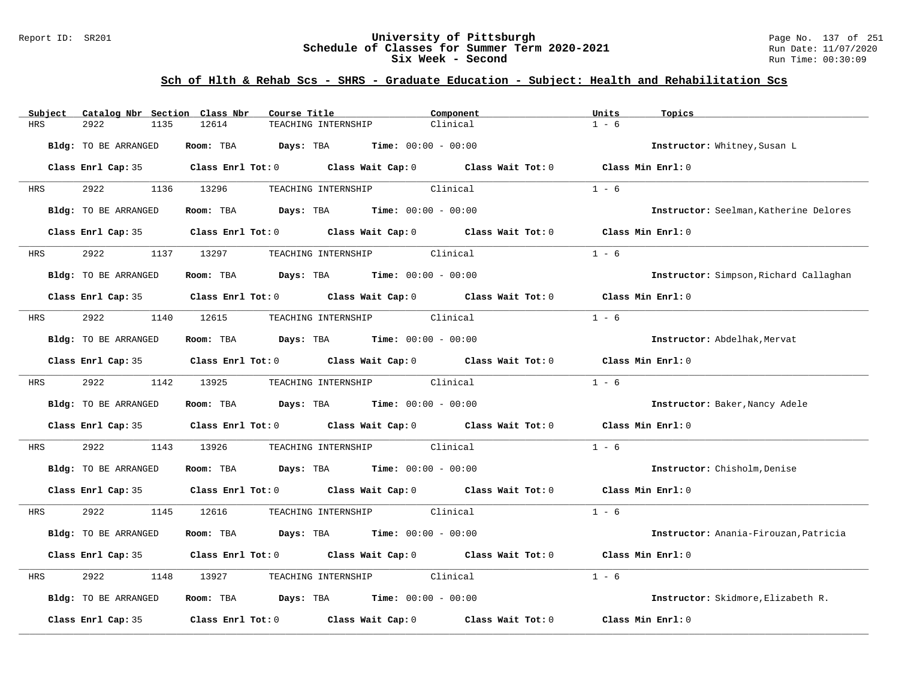### Report ID: SR201 **University of Pittsburgh** Page No. 137 of 251 **Schedule of Classes for Summer Term 2020-2021** Run Date: 11/07/2020 **Six Week - Second Run Time: 00:30:09**

| Catalog Nbr Section Class Nbr<br>Subject | Course Title                                                                                        | Component | Units<br>Topics                        |
|------------------------------------------|-----------------------------------------------------------------------------------------------------|-----------|----------------------------------------|
| 2922<br>HRS<br>1135                      | 12614<br>TEACHING INTERNSHIP                                                                        | Clinical  | $1 - 6$                                |
| Bldg: TO BE ARRANGED                     | Room: TBA<br><b>Days:</b> TBA <b>Time:</b> $00:00 - 00:00$                                          |           | Instructor: Whitney, Susan L           |
|                                          | Class Enrl Cap: 35 Class Enrl Tot: 0 Class Wait Cap: 0 Class Wait Tot: 0 Class Min Enrl: 0          |           |                                        |
| 2922 2022<br>HRS                         | 1136 13296<br>TEACHING INTERNSHIP Clinical                                                          |           | $1 - 6$                                |
| Bldg: TO BE ARRANGED                     | Room: TBA $Days:$ TBA $Time: 00:00 - 00:00$                                                         |           | Instructor: Seelman, Katherine Delores |
|                                          | Class Enrl Cap: 35 Class Enrl Tot: 0 Class Wait Cap: 0 Class Wait Tot: 0                            |           | Class Min Enrl: 0                      |
| 2922<br><b>HRS</b>                       | TEACHING INTERNSHIP Clinical<br>1137 13297                                                          |           | $1 - 6$                                |
| Bldg: TO BE ARRANGED                     | Room: TBA $Days:$ TBA $Time: 00:00 - 00:00$                                                         |           | Instructor: Simpson, Richard Callaghan |
|                                          | Class Enrl Cap: 35 Class Enrl Tot: 0 Class Wait Cap: 0 Class Wait Tot: 0                            |           | Class Min Enrl: 0                      |
| 2922<br>HRS                              | 1140 12615 TEACHING INTERNSHIP Clinical                                                             |           | $1 - 6$                                |
| Bldg: TO BE ARRANGED                     | Room: TBA $Days:$ TBA Time: $00:00 - 00:00$                                                         |           | Instructor: Abdelhak, Mervat           |
|                                          | Class Enrl Cap: 35 $\qquad$ Class Enrl Tot: 0 $\qquad$ Class Wait Cap: 0 $\qquad$ Class Wait Tot: 0 |           | Class Min Enrl: 0                      |
| 2922<br><b>HRS</b>                       | 1142 13925<br>TEACHING INTERNSHIP Clinical                                                          |           | $1 - 6$                                |
| Bldg: TO BE ARRANGED                     | Room: TBA $\rule{1em}{0.15mm}$ Days: TBA $\rule{1.15mm}]{0.15mm}$ Time: $0.000 - 0.0000$            |           | Instructor: Baker, Nancy Adele         |
|                                          | Class Enrl Cap: 35 Class Enrl Tot: 0 Class Wait Cap: 0 Class Wait Tot: 0 Class Min Enrl: 0          |           |                                        |
| 2922<br>1143<br>HRS                      | TEACHING INTERNSHIP Clinical<br>13926                                                               |           | $1 - 6$                                |
| Bldg: TO BE ARRANGED                     | Room: TBA $Days:$ TBA $Time: 00:00 - 00:00$                                                         |           | Instructor: Chisholm, Denise           |
|                                          | Class Enrl Cap: 35 Class Enrl Tot: 0 Class Wait Cap: 0 Class Wait Tot: 0 Class Min Enrl: 0          |           |                                        |
| 2922 2022<br>HRS                         | 1145 12616<br>TEACHING INTERNSHIP Clinical                                                          |           | $1 - 6$                                |
| Bldg: TO BE ARRANGED                     | Room: TBA $\rule{1em}{0.15mm}$ Days: TBA $\qquad$ Time: $00:00 - 00:00$                             |           | Instructor: Anania-Firouzan, Patricia  |
|                                          | Class Enrl Cap: 35 Class Enrl Tot: 0 Class Wait Cap: 0 Class Wait Tot: 0                            |           | Class Min Enrl: 0                      |
| 2922<br>1148<br>HRS                      | TEACHING INTERNSHIP Clinical<br>13927                                                               |           | $1 - 6$                                |
| Bldg: TO BE ARRANGED                     | Room: TBA $\rule{1em}{0.15mm}$ Days: TBA $\rule{1.15mm}]{0.15mm}$ Time: $0.000 - 0.0000$            |           | Instructor: Skidmore, Elizabeth R.     |
| Class Enrl Cap: 35                       | Class Enrl Tot: $0$ Class Wait Cap: $0$ Class Wait Tot: $0$                                         |           | Class Min Enrl: 0                      |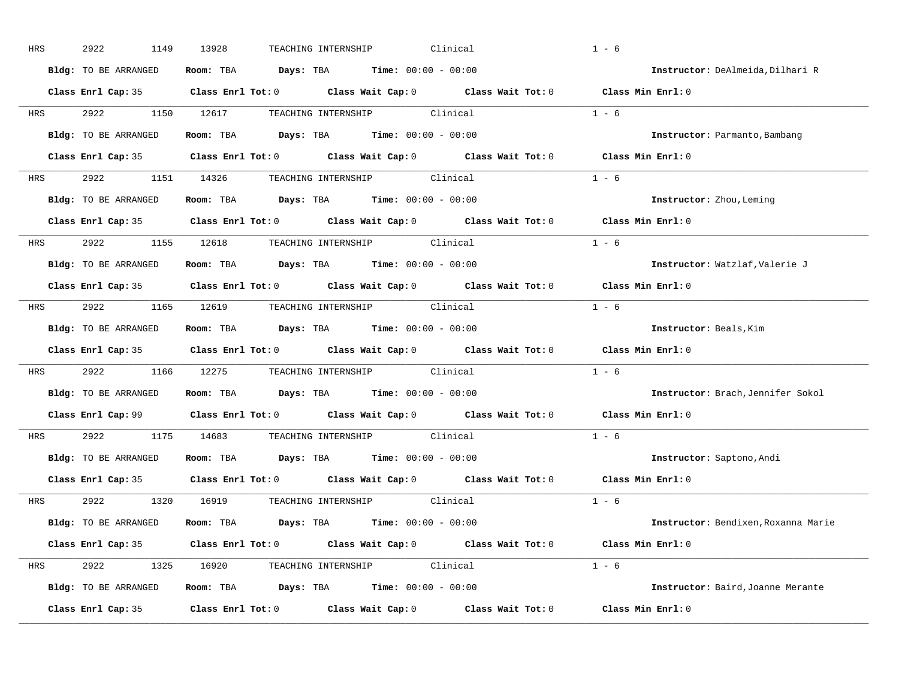| HRS        | 2922<br>1149         | Clinical<br>13928<br>TEACHING INTERNSHIP                                                   | $1 - 6$                             |
|------------|----------------------|--------------------------------------------------------------------------------------------|-------------------------------------|
|            | Bldg: TO BE ARRANGED | Room: TBA $Days:$ TBA $Time: 00:00 - 00:00$                                                | Instructor: DeAlmeida, Dilhari R    |
|            |                      | Class Enrl Cap: 35 Class Enrl Tot: 0 Class Wait Cap: 0 Class Wait Tot: 0 Class Min Enrl: 0 |                                     |
|            |                      | HRS 2922 1150 12617 TEACHING INTERNSHIP Clinical                                           | $1 - 6$                             |
|            | Bldg: TO BE ARRANGED | Room: TBA $Days:$ TBA $Time: 00:00 - 00:00$                                                | Instructor: Parmanto, Bambang       |
|            |                      | Class Enrl Cap: 35 Class Enrl Tot: 0 Class Wait Cap: 0 Class Wait Tot: 0 Class Min Enrl: 0 |                                     |
|            |                      | HRS 2922 1151 14326 TEACHING INTERNSHIP Clinical                                           | $1 - 6$                             |
|            |                      | Bldg: TO BE ARRANGED Room: TBA Days: TBA Time: 00:00 - 00:00                               | Instructor: Zhou, Leming            |
|            |                      | Class Enrl Cap: 35 Class Enrl Tot: 0 Class Wait Cap: 0 Class Wait Tot: 0                   | Class Min Enrl: 0                   |
|            |                      | HRS 2922 1155 12618 TEACHING INTERNSHIP Clinical                                           | $1 - 6$                             |
|            | Bldg: TO BE ARRANGED | Room: TBA $Days: TBA$ Time: $00:00 - 00:00$                                                | Instructor: Watzlaf, Valerie J      |
|            |                      | Class Enrl Cap: 35 Class Enrl Tot: 0 Class Wait Cap: 0 Class Wait Tot: 0 Class Min Enrl: 0 |                                     |
| HRS        |                      |                                                                                            | $1 - 6$                             |
|            | Bldg: TO BE ARRANGED | Room: TBA $Days:$ TBA Time: $00:00 - 00:00$                                                | Instructor: Beals, Kim              |
|            |                      | Class Enrl Cap: 35 Class Enrl Tot: 0 Class Wait Cap: 0 Class Wait Tot: 0 Class Min Enrl: 0 |                                     |
| HRS        |                      | 2922 1166 12275 TEACHING INTERNSHIP Clinical                                               | $1 - 6$                             |
|            | Bldg: TO BE ARRANGED | Room: TBA Days: TBA Time: $00:00 - 00:00$                                                  | Instructor: Brach, Jennifer Sokol   |
|            |                      | Class Enrl Cap: 99 Class Enrl Tot: 0 Class Wait Cap: 0 Class Wait Tot: 0                   | Class Min Enrl: 0                   |
| <b>HRS</b> |                      | 2922 1175 14683 TEACHING INTERNSHIP Clinical                                               | $1 - 6$                             |
|            | Bldg: TO BE ARRANGED | Room: TBA $Days:$ TBA $Time: 00:00 - 00:00$                                                | Instructor: Saptono, Andi           |
|            |                      | Class Enrl Cap: 35 Class Enrl Tot: 0 Class Wait Cap: 0 Class Wait Tot: 0                   | Class Min Enrl: 0                   |
|            |                      | HRS 2922 1320 16919 TEACHING_INTERNSHIP Clinical                                           | $1 - 6$                             |
|            |                      | Bldg: TO BE ARRANGED Room: TBA Days: TBA Time: 00:00 - 00:00                               | Instructor: Bendixen, Roxanna Marie |
|            |                      | Class Enrl Cap: 35 Class Enrl Tot: 0 Class Wait Cap: 0 Class Wait Tot: 0 Class Min Enrl: 0 |                                     |
|            |                      | HRS 2922 1325 16920 TEACHING INTERNSHIP Clinical                                           | $1 - 6$                             |
|            |                      | Bldg: TO BE ARRANGED Room: TBA Days: TBA Time: 00:00 - 00:00                               | Instructor: Baird, Joanne Merante   |
|            |                      | Class Enrl Cap: 35 Class Enrl Tot: 0 Class Wait Cap: 0 Class Wait Tot: 0 Class Min Enrl: 0 |                                     |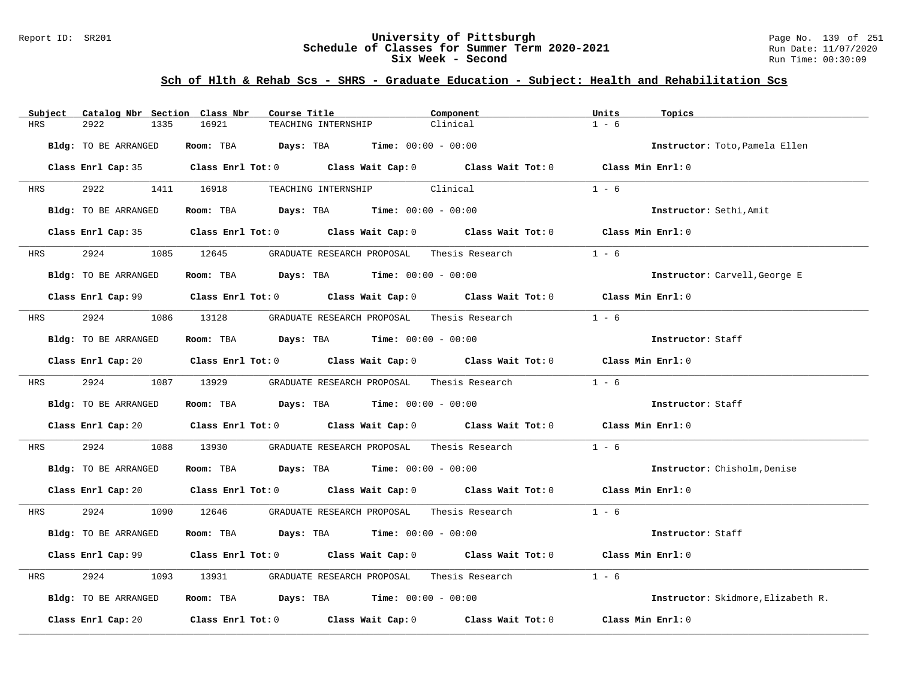### Report ID: SR201 **University of Pittsburgh** Page No. 139 of 251 **Schedule of Classes for Summer Term 2020-2021** Run Date: 11/07/2020 **Six Week - Second Run Time: 00:30:09**

| Catalog Nbr Section Class Nbr<br>Subject | Course Title                                                                                        | Component | Units<br>Topics                    |
|------------------------------------------|-----------------------------------------------------------------------------------------------------|-----------|------------------------------------|
| 2922<br>HRS<br>1335                      | 16921<br>TEACHING INTERNSHIP                                                                        | Clinical  | $1 - 6$                            |
| Bldg: TO BE ARRANGED                     | Room: TBA $Days: TBA$ Time: $00:00 - 00:00$                                                         |           | Instructor: Toto, Pamela Ellen     |
|                                          | Class Enrl Cap: 35 Class Enrl Tot: 0 Class Wait Cap: 0 Class Wait Tot: 0 Class Min Enrl: 0          |           |                                    |
| 2922 1411 16918<br><b>HRS</b>            | TEACHING INTERNSHIP Clinical                                                                        |           | $1 - 6$                            |
| Bldg: TO BE ARRANGED                     | Room: TBA $Days:$ TBA $Time: 00:00 - 00:00$                                                         |           | Instructor: Sethi, Amit            |
|                                          | Class Enrl Cap: 35 Class Enrl Tot: 0 Class Wait Cap: 0 Class Wait Tot: 0 Class Min Enrl: 0          |           |                                    |
| 2924<br><b>HRS</b>                       | 1085 12645 GRADUATE RESEARCH PROPOSAL Thesis Research                                               |           | $1 - 6$                            |
| Bldg: TO BE ARRANGED                     | Room: TBA $Days:$ TBA Time: $00:00 - 00:00$                                                         |           | Instructor: Carvell, George E      |
|                                          | Class Enrl Cap: 99 Class Enrl Tot: 0 Class Wait Cap: 0 Class Wait Tot: 0 Class Min Enrl: 0          |           |                                    |
| <b>HRS</b>                               |                                                                                                     |           | $1 - 6$                            |
| Bldg: TO BE ARRANGED                     | Room: TBA $\rule{1em}{0.15mm}$ Days: TBA $\rule{1.5mm}{0.15mm}$ Time: $00:00 - 00:00$               |           | Instructor: Staff                  |
|                                          | Class Enrl Cap: 20 Class Enrl Tot: 0 Class Wait Cap: 0 Class Wait Tot: 0 Class Min Enrl: 0          |           |                                    |
| <b>HRS</b>                               | 2924 1087 13929 GRADUATE RESEARCH PROPOSAL Thesis Research                                          |           | $1 - 6$                            |
| Bldg: TO BE ARRANGED                     | Room: TBA $\rule{1em}{0.15mm}$ Days: TBA $\rule{1em}{0.15mm}$ Time: $00:00 - 00:00$                 |           | Instructor: Staff                  |
|                                          | Class Enrl Cap: 20 Class Enrl Tot: 0 Class Wait Cap: 0 Class Wait Tot: 0 Class Min Enrl: 0          |           |                                    |
| 2924<br>HRS                              | 1088 13930 GRADUATE RESEARCH PROPOSAL Thesis Research                                               |           | $1 - 6$                            |
| Bldg: TO BE ARRANGED                     | Room: TBA $Days:$ TBA $Time: 00:00 - 00:00$                                                         |           | Instructor: Chisholm, Denise       |
|                                          | Class Enrl Cap: 20 Class Enrl Tot: 0 Class Wait Cap: 0 Class Wait Tot: 0 Class Min Enrl: 0          |           |                                    |
| <b>HRS</b>                               | 2924 1090 12646 GRADUATE RESEARCH PROPOSAL Thesis Research 1 - 6                                    |           |                                    |
| Bldg: TO BE ARRANGED                     | Room: TBA $Days:$ TBA $Time: 00:00 - 00:00$                                                         |           | Instructor: Staff                  |
|                                          | Class Enrl Cap: 99 Class Enrl Tot: 0 Class Wait Cap: 0 Class Wait Tot: 0 Class Min Enrl: 0          |           |                                    |
| 2924<br>HRS                              | 1093 13931 GRADUATE RESEARCH PROPOSAL Thesis Research                                               |           | $1 - 6$                            |
| Bldg: TO BE ARRANGED                     | Room: TBA $Days:$ TBA $Time: 00:00 - 00:00$                                                         |           | Instructor: Skidmore, Elizabeth R. |
|                                          | Class Enrl Cap: 20 $\qquad$ Class Enrl Tot: 0 $\qquad$ Class Wait Cap: 0 $\qquad$ Class Wait Tot: 0 |           | Class Min Enrl: 0                  |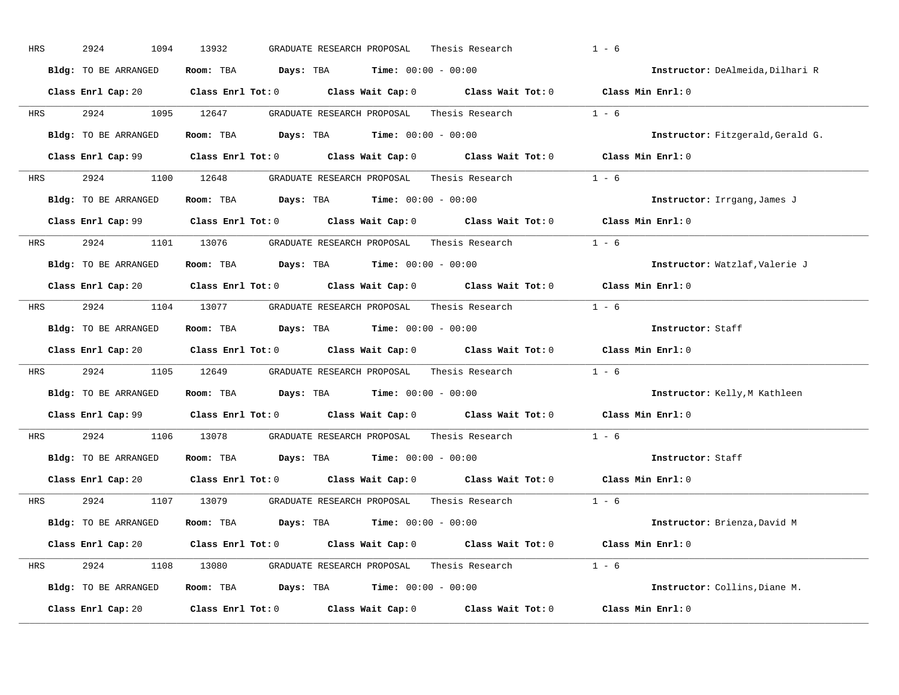| HRS        | 2924<br>1094         | 13932<br>GRADUATE RESEARCH PROPOSAL<br>Thesis Research                                                                         | $1 - 6$                           |
|------------|----------------------|--------------------------------------------------------------------------------------------------------------------------------|-----------------------------------|
|            | Bldg: TO BE ARRANGED | Room: TBA $Days: TBA$ Time: $00:00 - 00:00$                                                                                    | Instructor: DeAlmeida, Dilhari R  |
|            |                      | Class Enrl Cap: 20 Class Enrl Tot: 0 Class Wait Cap: 0 Class Wait Tot: 0 Class Min Enrl: 0                                     |                                   |
| <b>HRS</b> | 2924 1095 12647      | GRADUATE RESEARCH PROPOSAL<br>Thesis Research                                                                                  | $1 - 6$                           |
|            | Bldg: TO BE ARRANGED | Room: TBA $Days: TBA$ Time: $00:00 - 00:00$                                                                                    | Instructor: Fitzgerald, Gerald G. |
|            |                      | Class Enrl Cap: 99 Class Enrl Tot: 0 Class Wait Cap: 0 Class Wait Tot: 0 Class Min Enrl: 0                                     |                                   |
| HRS        |                      | 2924 1100 12648 GRADUATE RESEARCH PROPOSAL Thesis Research 1 - 6                                                               |                                   |
|            | Bldg: TO BE ARRANGED | Room: TBA $Days:$ TBA Time: $00:00 - 00:00$                                                                                    | Instructor: Irrgang, James J      |
|            |                      | Class Enrl Cap: 99 Class Enrl Tot: 0 Class Wait Cap: 0 Class Wait Tot: 0 Class Min Enrl: 0                                     |                                   |
| <b>HRS</b> |                      | 2924 1101 13076 GRADUATE RESEARCH PROPOSAL Thesis Research                                                                     | $1 - 6$                           |
|            | Bldg: TO BE ARRANGED | Room: TBA $Days: TBA$ Time: $00:00 - 00:00$                                                                                    | Instructor: Watzlaf, Valerie J    |
|            |                      | Class Enrl Cap: 20 Class Enrl Tot: 0 Class Wait Cap: 0 Class Wait Tot: 0 Class Min Enrl: 0                                     |                                   |
| HRS        |                      | 2924 1104 13077 GRADUATE RESEARCH PROPOSAL Thesis Research 1 - 6                                                               |                                   |
|            | Bldg: TO BE ARRANGED | Room: TBA $Days: TBA$ Time: $00:00 - 00:00$                                                                                    | Instructor: Staff                 |
|            |                      | Class Enrl Cap: 20 $\qquad$ Class Enrl Tot: 0 $\qquad$ Class Wait Cap: 0 $\qquad$ Class Wait Tot: 0 $\qquad$ Class Min Enrl: 0 |                                   |
| HRS        |                      | 2924 1105 12649 GRADUATE RESEARCH PROPOSAL Thesis Research                                                                     | $1 - 6$                           |
|            | Bldg: TO BE ARRANGED | Room: TBA $Days:$ TBA $Time: 00:00 - 00:00$                                                                                    | Instructor: Kelly, M Kathleen     |
|            |                      | Class Enrl Cap: 99 (class Enrl Tot: 0 (class Wait Cap: 0 (class Wait Tot: 0 $\sim$ 0)                                          | Class Min Enrl: 0                 |
| <b>HRS</b> | 2924                 | 1106 13078 GRADUATE RESEARCH PROPOSAL Thesis Research                                                                          | $1 - 6$                           |
|            | Bldg: TO BE ARRANGED | Room: TBA $Days:$ TBA Time: $00:00 - 00:00$                                                                                    | Instructor: Staff                 |
|            |                      | Class Enrl Cap: 20 $\qquad$ Class Enrl Tot: 0 $\qquad$ Class Wait Cap: 0 $\qquad$ Class Wait Tot: 0                            | Class Min Enrl: 0                 |
|            |                      | Thesis Research $1 - 6$<br>HRS 2924 1107 13079 GRADUATE RESEARCH PROPOSAL                                                      |                                   |
|            | Bldg: TO BE ARRANGED | Room: TBA $Days:$ TBA $Time: 00:00 - 00:00$                                                                                    | Instructor: Brienza, David M      |
|            |                      | Class Enrl Cap: 20 Class Enrl Tot: 0 Class Wait Cap: 0 Class Wait Tot: 0 Class Min Enrl: 0                                     |                                   |
| HRS        |                      | 2924 1108 13080 GRADUATE RESEARCH PROPOSAL Thesis Research 1 - 6                                                               |                                   |
|            | Bldg: TO BE ARRANGED | Room: TBA $Days:$ TBA $Time: 00:00 - 00:00$                                                                                    | Instructor: Collins, Diane M.     |
|            | Class Enrl Cap: 20   | Class Enrl Tot: $0$ Class Wait Cap: $0$ Class Wait Tot: $0$                                                                    | Class Min Enrl: 0                 |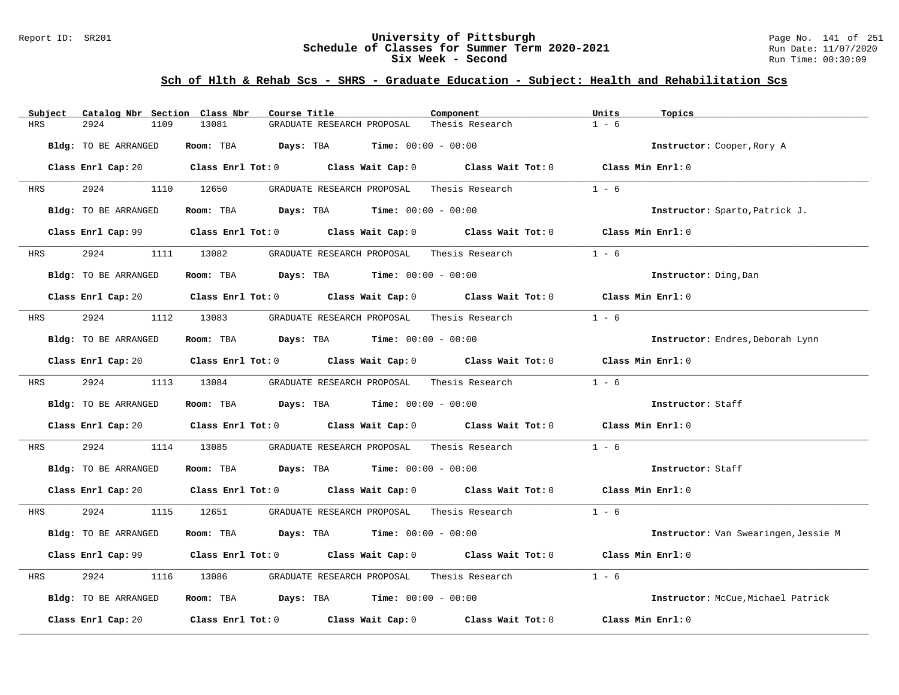### Report ID: SR201 **University of Pittsburgh** Page No. 141 of 251 **Schedule of Classes for Summer Term 2020-2021** Run Date: 11/07/2020 **Six Week - Second Run Time: 00:30:09**

| Catalog Nbr Section Class Nbr<br>Subject | Course Title                                                                                                                   | Component                    | Units<br>Topics                      |
|------------------------------------------|--------------------------------------------------------------------------------------------------------------------------------|------------------------------|--------------------------------------|
| <b>HRS</b><br>2924<br>1109               | 13081<br>GRADUATE RESEARCH PROPOSAL                                                                                            | Thesis Research              | $1 - 6$                              |
| Bldg: TO BE ARRANGED                     | Room: TBA Days: TBA                                                                                                            | <b>Time:</b> $00:00 - 00:00$ | Instructor: Cooper, Rory A           |
|                                          | Class Enrl Cap: 20 $\qquad$ Class Enrl Tot: 0 $\qquad$ Class Wait Cap: 0 $\qquad$ Class Wait Tot: 0 $\qquad$ Class Min Enrl: 0 |                              |                                      |
| 2924<br><b>HRS</b>                       | 1110 12650<br>GRADUATE RESEARCH PROPOSAL                                                                                       | Thesis Research              | $1 - 6$                              |
| Bldg: TO BE ARRANGED                     | Room: TBA $Days:$ TBA $Time: 00:00 - 00:00$                                                                                    |                              | Instructor: Sparto, Patrick J.       |
|                                          | Class Enrl Cap: 99 $\qquad$ Class Enrl Tot: 0 $\qquad$ Class Wait Cap: 0 $\qquad$ Class Wait Tot: 0                            |                              | Class Min Enrl: 0                    |
| HRS 2924                                 | 1111 13082 GRADUATE RESEARCH PROPOSAL Thesis Research                                                                          |                              | $1 - 6$                              |
| Bldg: TO BE ARRANGED                     | Room: TBA $\rule{1em}{0.15mm}$ Days: TBA $\rule{1.5mm}{0.15mm}$ Time: $00:00 - 00:00$                                          |                              | Instructor: Ding, Dan                |
|                                          | Class Enrl Cap: 20 $\qquad$ Class Enrl Tot: 0 $\qquad$ Class Wait Cap: 0 $\qquad$ Class Wait Tot: 0                            |                              | Class Min Enrl: 0                    |
| <b>HRS</b>                               | 2924 1112 13083 GRADUATE RESEARCH PROPOSAL Thesis Research                                                                     |                              | $1 - 6$                              |
| Bldg: TO BE ARRANGED                     | Room: TBA $Days:$ TBA $Time: 00:00 - 00:00$                                                                                    |                              | Instructor: Endres, Deborah Lynn     |
|                                          | Class Enrl Cap: 20 Class Enrl Tot: 0 Class Wait Cap: 0 Class Wait Tot: 0 Class Min Enrl: 0                                     |                              |                                      |
| HRS 2924 1113 13084                      | GRADUATE RESEARCH PROPOSAL     Thesis Research                                                                                 |                              | $1 - 6$                              |
| Bldg: TO BE ARRANGED                     | Room: TBA $Days:$ TBA $Time: 00:00 - 00:00$                                                                                    |                              | Instructor: Staff                    |
|                                          | Class Enrl Cap: 20 $\qquad$ Class Enrl Tot: 0 $\qquad$ Class Wait Cap: 0 $\qquad$ Class Wait Tot: 0 $\qquad$ Class Min Enrl: 0 |                              |                                      |
| 2924<br>HRS                              | GRADUATE RESEARCH PROPOSAL     Thesis Research<br>1114 13085                                                                   |                              | $1 - 6$                              |
| Bldg: TO BE ARRANGED                     | Room: TBA $Days:$ TBA $Time: 00:00 - 00:00$                                                                                    |                              | Instructor: Staff                    |
|                                          | Class Enrl Cap: 20 $\qquad$ Class Enrl Tot: 0 $\qquad$ Class Wait Cap: 0 $\qquad$ Class Wait Tot: 0 $\qquad$ Class Min Enrl: 0 |                              |                                      |
| 2924<br>HRS                              | 1115 12651 GRADUATE RESEARCH PROPOSAL Thesis Research                                                                          |                              | $1 - 6$                              |
| Bldg: TO BE ARRANGED                     | Room: TBA $Days:$ TBA $Time: 00:00 - 00:00$                                                                                    |                              | Instructor: Van Swearingen, Jessie M |
|                                          | Class Enrl Cap: 99 Class Enrl Tot: 0 Class Wait Cap: 0 Class Wait Tot: 0                                                       |                              | Class Min Enrl: 0                    |
| 2924<br>HRS<br>1116                      | GRADUATE RESEARCH PROPOSAL<br>13086                                                                                            | Thesis Research              | $1 - 6$                              |
| Bldg: TO BE ARRANGED                     | Room: TBA $Days:$ TBA $Time: 00:00 - 00:00$                                                                                    |                              | Instructor: McCue, Michael Patrick   |
| Class Enrl Cap: 20                       | Class Enrl Tot: $0$ $Class$ Wait Cap: $0$ $Class$ Wait Tot: $0$                                                                |                              | Class Min Enrl: 0                    |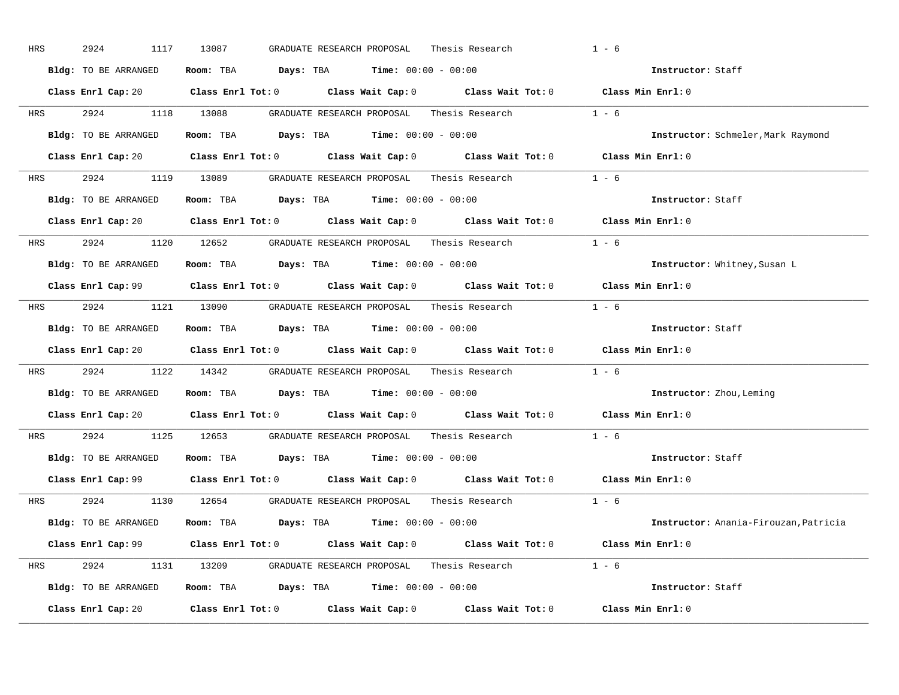| HRS        | 2924<br>1117         | 13087<br>GRADUATE RESEARCH PROPOSAL<br>Thesis Research                                     | $1 - 6$                               |
|------------|----------------------|--------------------------------------------------------------------------------------------|---------------------------------------|
|            | Bldg: TO BE ARRANGED | Room: TBA $Days:$ TBA $Time: 00:00 - 00:00$                                                | Instructor: Staff                     |
|            |                      | Class Enrl Cap: 20 Class Enrl Tot: 0 Class Wait Cap: 0 Class Wait Tot: 0 Class Min Enrl: 0 |                                       |
|            |                      | HRS 2924 1118 13088 GRADUATE RESEARCH PROPOSAL Thesis Research 1 - 6                       |                                       |
|            | Bldg: TO BE ARRANGED | Room: TBA Days: TBA Time: $00:00 - 00:00$                                                  | Instructor: Schmeler, Mark Raymond    |
|            |                      | Class Enrl Cap: 20 Class Enrl Tot: 0 Class Wait Cap: 0 Class Wait Tot: 0 Class Min Enrl: 0 |                                       |
|            |                      | HRS 2924 1119 13089 GRADUATE RESEARCH PROPOSAL Thesis Research 1 - 6                       |                                       |
|            |                      | Bldg: TO BE ARRANGED Room: TBA Days: TBA Time: 00:00 - 00:00                               | Instructor: Staff                     |
|            |                      | Class Enrl Cap: 20 Class Enrl Tot: 0 Class Wait Cap: 0 Class Wait Tot: 0 Class Min Enrl: 0 |                                       |
|            |                      | HRS 2924 1120 12652 GRADUATE RESEARCH PROPOSAL Thesis Research 1 - 6                       |                                       |
|            | Bldg: TO BE ARRANGED | Room: TBA $\rule{1em}{0.15mm}$ Days: TBA Time: $00:00 - 00:00$                             | Instructor: Whitney, Susan L          |
|            |                      | Class Enrl Cap: 99 Class Enrl Tot: 0 Class Wait Cap: 0 Class Wait Tot: 0 Class Min Enrl: 0 |                                       |
|            |                      | HRS 2924 1121 13090 GRADUATE RESEARCH PROPOSAL Thesis Research 1 - 6                       |                                       |
|            | Bldg: TO BE ARRANGED | Room: TBA $\rule{1em}{0.15mm}$ Days: TBA Time: $00:00 - 00:00$                             | Instructor: Staff                     |
|            |                      | Class Enrl Cap: 20 Class Enrl Tot: 0 Class Wait Cap: 0 Class Wait Tot: 0 Class Min Enrl: 0 |                                       |
| <b>HRS</b> |                      | 2924 1122 14342 GRADUATE RESEARCH PROPOSAL Thesis Research 1 - 6                           |                                       |
|            |                      | Bldg: TO BE ARRANGED Room: TBA Days: TBA Time: 00:00 - 00:00                               | Instructor: Zhou, Leming              |
|            |                      | Class Enrl Cap: 20 Class Enrl Tot: 0 Class Wait Cap: 0 Class Wait Tot: 0                   | Class Min Enrl: 0                     |
| <b>HRS</b> |                      | 2924 1125 12653 GRADUATE RESEARCH PROPOSAL Thesis Research                                 | $1 - 6$                               |
|            |                      | Bldg: TO BE ARRANGED Room: TBA Days: TBA Time: 00:00 - 00:00                               | Instructor: Staff                     |
|            |                      | Class Enrl Cap: 99 Class Enrl Tot: 0 Class Wait Cap: 0 Class Wait Tot: 0 Class Min Enrl: 0 |                                       |
|            |                      | HRS 2924 1130 12654 GRADUATE RESEARCH PROPOSAL Thesis Research 1 - 6                       |                                       |
|            | Bldg: TO BE ARRANGED | Room: TBA $\rule{1em}{0.15mm}$ Days: TBA Time: $00:00 - 00:00$                             | Instructor: Anania-Firouzan, Patricia |
|            |                      | Class Enrl Cap: 99 Class Enrl Tot: 0 Class Wait Cap: 0 Class Wait Tot: 0 Class Min Enrl: 0 |                                       |
|            |                      | HRS 2924 1131 13209 GRADUATE RESEARCH PROPOSAL Thesis Research 1 - 6                       |                                       |
|            |                      | Bldg: TO BE ARRANGED Room: TBA Days: TBA Time: 00:00 - 00:00                               | Instructor: Staff                     |
|            |                      | Class Enrl Cap: 20 Class Enrl Tot: 0 Class Wait Cap: 0 Class Wait Tot: 0 Class Min Enrl: 0 |                                       |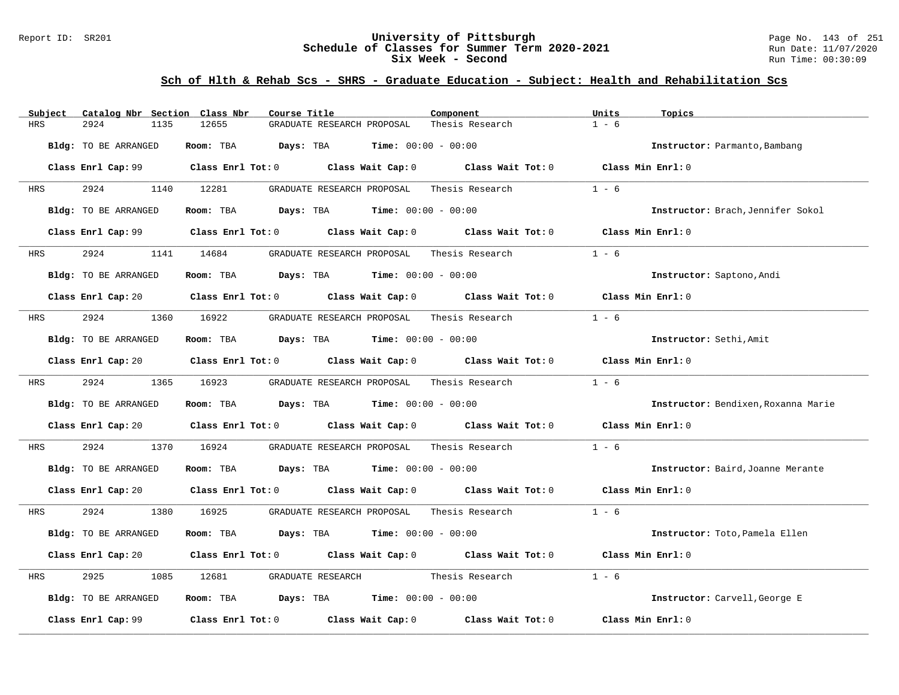### Report ID: SR201 **University of Pittsburgh** Page No. 143 of 251 **Schedule of Classes for Summer Term 2020-2021** Run Date: 11/07/2020 **Six Week - Second Run Time: 00:30:09**

| Subject                     | Catalog Nbr Section Class Nbr                                                                                                  | Course Title                                                 | Component                                  | Units<br>Topics                     |
|-----------------------------|--------------------------------------------------------------------------------------------------------------------------------|--------------------------------------------------------------|--------------------------------------------|-------------------------------------|
| 2924<br>HRS                 | 1135<br>12655                                                                                                                  | GRADUATE RESEARCH PROPOSAL                                   | Thesis Research                            | $1 - 6$                             |
| Bldg: TO BE ARRANGED        | Room: TBA                                                                                                                      | $\texttt{Davis:}$ TBA $\texttt{Time:}$ 00:00 - 00:00         |                                            | Instructor: Parmanto, Bambang       |
|                             | Class Enrl Cap: 99 $\qquad$ Class Enrl Tot: 0 $\qquad$ Class Wait Cap: 0 $\qquad$ Class Wait Tot: 0                            |                                                              |                                            | Class Min Enrl: 0                   |
| 2924<br>HRS                 | 1140 12281                                                                                                                     | GRADUATE RESEARCH PROPOSAL                                   | Thesis Research                            | $1 - 6$                             |
| Bldg: TO BE ARRANGED        |                                                                                                                                | Room: TBA $Days:$ TBA $Time:$ $00:00 - 00:00$                |                                            | Instructor: Brach, Jennifer Sokol   |
|                             | Class Enrl Cap: 99 $\qquad$ Class Enrl Tot: 0 $\qquad$ Class Wait Cap: 0 $\qquad$ Class Wait Tot: 0                            |                                                              |                                            | Class Min Enrl: 0                   |
| 2924<br>HRS                 | 1141 14684                                                                                                                     | GRADUATE RESEARCH PROPOSAL                                   | Thesis Research                            | $1 - 6$                             |
| <b>Bldg:</b> TO BE ARRANGED |                                                                                                                                | <b>Room:</b> TBA <b>Days:</b> TBA <b>Time:</b> 00:00 - 00:00 |                                            | Instructor: Saptono, Andi           |
|                             | Class Enrl Cap: 20 $\qquad$ Class Enrl Tot: 0 $\qquad$ Class Wait Cap: 0 $\qquad$ Class Wait Tot: 0                            |                                                              |                                            | Class Min Enrl: 0                   |
| 2924<br>HRS                 | 1360 16922                                                                                                                     | GRADUATE RESEARCH PROPOSAL                                   | Thesis Research                            | $1 - 6$                             |
| <b>Bldg:</b> TO BE ARRANGED |                                                                                                                                | Room: TBA $Days:$ TBA $Time: 00:00 - 00:00$                  |                                            | Instructor: Sethi, Amit             |
|                             | Class Enrl Cap: 20 $\qquad$ Class Enrl Tot: 0 $\qquad$ Class Wait Cap: 0 $\qquad$ Class Wait Tot: 0 $\qquad$ Class Min Enrl: 0 |                                                              |                                            |                                     |
| 2924<br>HRS                 | 1365 16923                                                                                                                     |                                                              | GRADUATE RESEARCH PROPOSAL Thesis Research | $1 - 6$                             |
| Bldg: TO BE ARRANGED        |                                                                                                                                | Room: TBA $Days:$ TBA $Time: 00:00 - 00:00$                  |                                            | Instructor: Bendixen, Roxanna Marie |
|                             | Class Enrl Cap: 20 Class Enrl Tot: 0 Class Wait Cap: 0 Class Wait Tot: 0 Class Min Enrl: 0                                     |                                                              |                                            |                                     |
| 2924<br>HRS                 | 1370<br>16924                                                                                                                  | GRADUATE RESEARCH PROPOSAL                                   | Thesis Research                            | $1 - 6$                             |
| Bldg: TO BE ARRANGED        |                                                                                                                                | Room: TBA $Days:$ TBA $Time: 00:00 - 00:00$                  |                                            | Instructor: Baird, Joanne Merante   |
|                             | Class Enrl Cap: 20 $\qquad$ Class Enrl Tot: 0 $\qquad$ Class Wait Cap: 0 $\qquad$ Class Wait Tot: 0 $\qquad$ Class Min Enrl: 0 |                                                              |                                            |                                     |
| 2924<br>HRS                 | 1380<br>16925                                                                                                                  |                                                              | GRADUATE RESEARCH PROPOSAL Thesis Research | $1 - 6$                             |
| Bldg: TO BE ARRANGED        |                                                                                                                                | Room: TBA $Days:$ TBA $Time: 00:00 - 00:00$                  |                                            | Instructor: Toto, Pamela Ellen      |
|                             | Class Enrl Cap: 20 Class Enrl Tot: 0 Class Wait Cap: 0 Class Wait Tot: 0                                                       |                                                              |                                            | Class Min Enrl: 0                   |
| 2925<br>HRS                 | 1085<br>12681                                                                                                                  | GRADUATE RESEARCH                                            | Thesis Research                            | $1 - 6$                             |
| Bldg: TO BE ARRANGED        |                                                                                                                                | Room: TBA $Days:$ TBA $Time: 00:00 - 00:00$                  |                                            | Instructor: Carvell, George E       |
| Class Enrl Cap: 99          | Class Enrl Tot: $0$ Class Wait Cap: $0$                                                                                        |                                                              | Class Wait Tot: 0                          | Class Min Enrl: 0                   |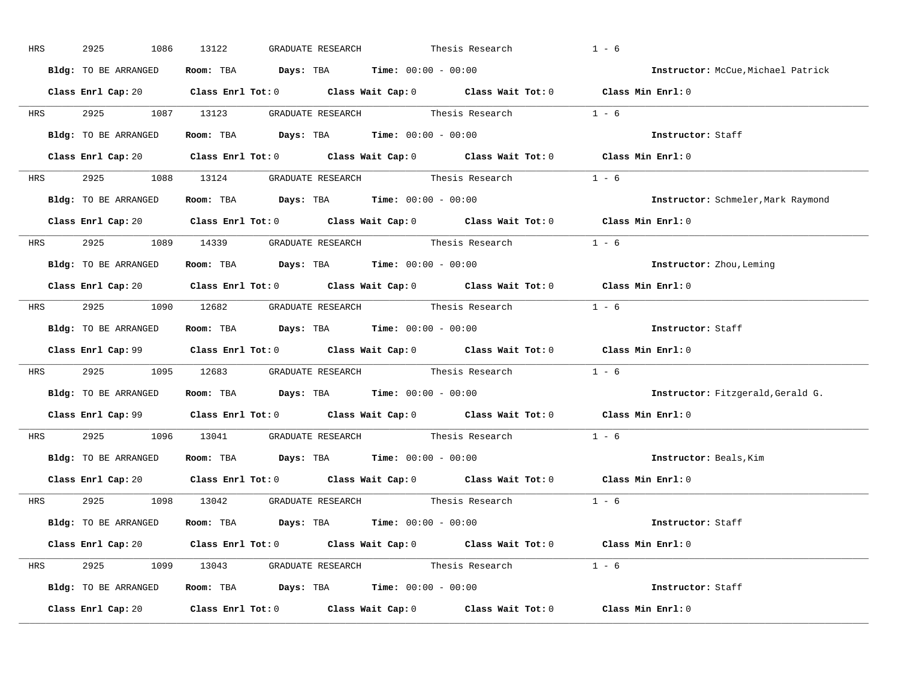| HRS        | 2925<br>1086         | 13122<br>GRADUATE RESEARCH                                                                 | Thesis Research | $1 - 6$                            |
|------------|----------------------|--------------------------------------------------------------------------------------------|-----------------|------------------------------------|
|            | Bldg: TO BE ARRANGED | Room: TBA $Days:$ TBA $Time: 00:00 - 00:00$                                                |                 | Instructor: McCue, Michael Patrick |
|            |                      | Class Enrl Cap: 20 Class Enrl Tot: 0 Class Wait Cap: 0 Class Wait Tot: 0 Class Min Enrl: 0 |                 |                                    |
|            |                      | HRS 2925 1087 13123 GRADUATE RESEARCH Thesis Research 1 - 6                                |                 |                                    |
|            | Bldg: TO BE ARRANGED | Room: TBA $Days:$ TBA Time: $00:00 - 00:00$                                                |                 | Instructor: Staff                  |
|            |                      | Class Enrl Cap: 20 Class Enrl Tot: 0 Class Wait Cap: 0 Class Wait Tot: 0 Class Min Enrl: 0 |                 |                                    |
|            |                      | HRS 2925 1088 13124 GRADUATE RESEARCH Thesis Research 1 - 6                                |                 |                                    |
|            |                      | <b>Bldg:</b> TO BE ARRANGED <b>Room:</b> TBA <b>Days:</b> TBA <b>Time:</b> $00:00 - 00:00$ |                 | Instructor: Schmeler, Mark Raymond |
|            |                      | Class Enrl Cap: 20 Class Enrl Tot: 0 Class Wait Cap: 0 Class Wait Tot: 0 Class Min Enrl: 0 |                 |                                    |
|            |                      | HRS 2925 1089 14339 GRADUATE RESEARCH Thesis Research 1 - 6                                |                 |                                    |
|            | Bldg: TO BE ARRANGED | Room: TBA $Days:$ TBA $Time: 00:00 - 00:00$                                                |                 | Instructor: Zhou, Leming           |
|            |                      | Class Enrl Cap: 20 Class Enrl Tot: 0 Class Wait Cap: 0 Class Wait Tot: 0 Class Min Enrl: 0 |                 |                                    |
|            |                      | HRS 2925 1090 12682 GRADUATE RESEARCH Thesis Research 1 - 6                                |                 |                                    |
|            | Bldg: TO BE ARRANGED | Room: TBA $Days:$ TBA $Time: 00:00 - 00:00$                                                |                 | Instructor: Staff                  |
|            |                      | Class Enrl Cap: 99 Class Enrl Tot: 0 Class Wait Cap: 0 Class Wait Tot: 0 Class Min Enrl: 0 |                 |                                    |
| <b>HRS</b> |                      | 2925 1095 12683 GRADUATE RESEARCH Thesis Research 1 - 6                                    |                 |                                    |
|            |                      | Bldg: TO BE ARRANGED Room: TBA Days: TBA Time: 00:00 - 00:00                               |                 | Instructor: Fitzgerald, Gerald G.  |
|            |                      | Class Enrl Cap: 99 Class Enrl Tot: 0 Class Wait Cap: 0 Class Wait Tot: 0 Class Min Enrl: 0 |                 |                                    |
| <b>HRS</b> |                      | 2925 1096 13041 GRADUATE RESEARCH Thesis Research                                          |                 | $1 - 6$                            |
|            |                      | Bldg: TO BE ARRANGED Room: TBA Days: TBA Time: 00:00 - 00:00                               |                 | Instructor: Beals, Kim             |
|            |                      | Class Enrl Cap: 20 Class Enrl Tot: 0 Class Wait Cap: 0 Class Wait Tot: 0 Class Min Enrl: 0 |                 |                                    |
|            |                      | HRS 2925 1098 13042 GRADUATE RESEARCH Thesis Research 1 - 6                                |                 |                                    |
|            |                      |                                                                                            |                 |                                    |
|            | Bldg: TO BE ARRANGED | Room: TBA $Days:$ TBA $Time: 00:00 - 00:00$                                                |                 | Instructor: Staff                  |
|            |                      | Class Enrl Cap: 20 Class Enrl Tot: 0 Class Wait Cap: 0 Class Wait Tot: 0 Class Min Enrl: 0 |                 |                                    |
|            |                      | HRS 2925 1099 13043 GRADUATE RESEARCH Thesis Research 1 - 6                                |                 |                                    |
|            |                      | Bldg: TO BE ARRANGED Room: TBA Days: TBA Time: 00:00 - 00:00                               |                 | Instructor: Staff                  |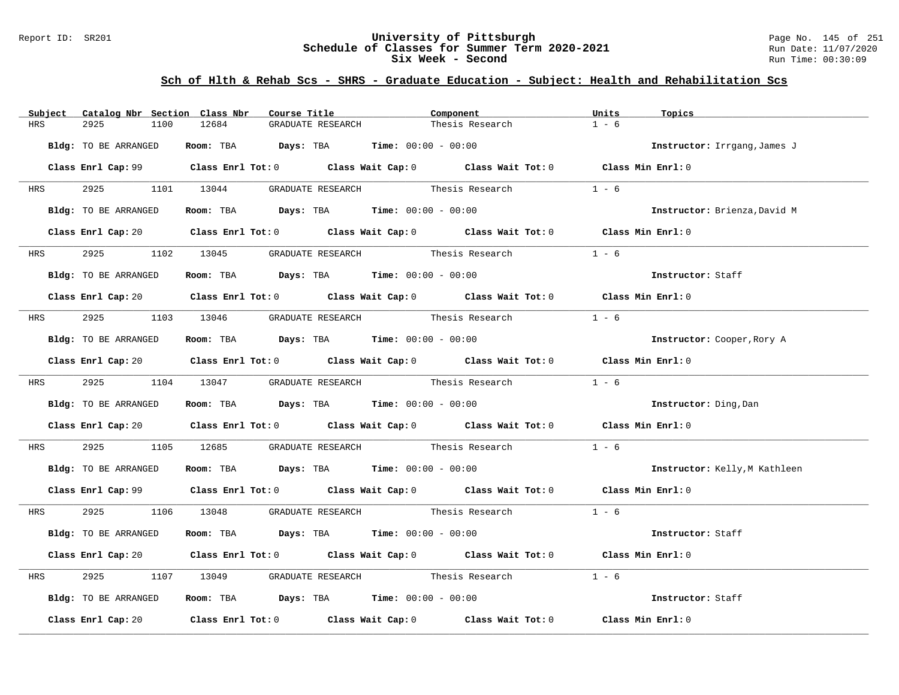### Report ID: SR201 **University of Pittsburgh** Page No. 145 of 251 **Schedule of Classes for Summer Term 2020-2021** Run Date: 11/07/2020 **Six Week - Second Run Time: 00:30:09**

| Subject              | Catalog Nbr Section Class Nbr | Course Title                                                                                        | Component       | Units<br>Topics               |
|----------------------|-------------------------------|-----------------------------------------------------------------------------------------------------|-----------------|-------------------------------|
| HRS<br>2925          | 12684<br>1100                 | GRADUATE RESEARCH                                                                                   | Thesis Research | $1 - 6$                       |
| Bldg: TO BE ARRANGED |                               | Room: TBA $Days:$ TBA $Time: 00:00 - 00:00$                                                         |                 | Instructor: Irrgang, James J  |
|                      |                               | Class Enrl Cap: 99 Class Enrl Tot: 0 Class Wait Cap: 0 Class Wait Tot: 0 Class Min Enrl: 0          |                 |                               |
|                      |                               | HRS 2925 1101 13044 GRADUATE RESEARCH Thesis Research                                               |                 | $1 - 6$                       |
| Bldg: TO BE ARRANGED |                               | Room: TBA $Days:$ TBA $Time: 00:00 - 00:00$                                                         |                 | Instructor: Brienza, David M  |
|                      |                               | Class Enrl Cap: 20 Class Enrl Tot: 0 Class Wait Cap: 0 Class Wait Tot: 0 Class Min Enrl: 0          |                 |                               |
|                      |                               | HRS 2925 1102 13045 GRADUATE RESEARCH Thesis Research                                               |                 | $1 - 6$                       |
| Bldg: TO BE ARRANGED |                               | Room: TBA $Days:$ TBA $Time: 00:00 - 00:00$                                                         |                 | Instructor: Staff             |
|                      |                               | Class Enrl Cap: 20 Class Enrl Tot: 0 Class Wait Cap: 0 Class Wait Tot: 0 Class Min Enrl: 0          |                 |                               |
|                      |                               | HRS 2925 1103 13046 GRADUATE RESEARCH Thesis Research                                               |                 | $1 - 6$                       |
| Bldg: TO BE ARRANGED |                               | Room: TBA $Days:$ TBA $Time: 00:00 - 00:00$                                                         |                 | Instructor: Cooper, Rory A    |
|                      |                               | Class Enrl Cap: 20 Class Enrl Tot: 0 Class Wait Cap: 0 Class Wait Tot: 0 Class Min Enrl: 0          |                 |                               |
|                      |                               | HRS 2925 1104 13047 GRADUATE RESEARCH Thesis Research                                               |                 | $1 - 6$                       |
| Bldg: TO BE ARRANGED |                               | Room: TBA $\rule{1em}{0.15mm}$ Days: TBA Time: $00:00 - 00:00$                                      |                 | Instructor: Ding, Dan         |
|                      |                               | Class Enrl Cap: 20 Class Enrl Tot: 0 Class Wait Cap: 0 Class Wait Tot: 0 Class Min Enrl: 0          |                 |                               |
| 2925<br><b>HRS</b>   |                               | 1105 12685 GRADUATE RESEARCH Thesis Research                                                        |                 | $1 - 6$                       |
| Bldg: TO BE ARRANGED |                               | Room: TBA $\rule{1em}{0.15mm}$ Days: TBA Time: $00:00 - 00:00$                                      |                 | Instructor: Kelly, M Kathleen |
|                      |                               | Class Enrl Cap: 99 Class Enrl Tot: 0 Class Wait Cap: 0 Class Wait Tot: 0 Class Min Enrl: 0          |                 |                               |
|                      |                               | HRS 2925 1106 13048 GRADUATE RESEARCH Thesis Research 1 - 6                                         |                 |                               |
| Bldg: TO BE ARRANGED |                               | Room: TBA $Days:$ TBA Time: $00:00 - 00:00$                                                         |                 | Instructor: Staff             |
|                      |                               | Class Enrl Cap: 20 Class Enrl Tot: 0 Class Wait Cap: 0 Class Wait Tot: 0 Class Min Enrl: 0          |                 |                               |
| 2925<br>HRS          |                               | 1107 13049 GRADUATE RESEARCH Thesis Research                                                        |                 | $1 - 6$                       |
| Bldg: TO BE ARRANGED |                               | Room: TBA $Days:$ TBA Time: $00:00 - 00:00$                                                         |                 | Instructor: Staff             |
|                      |                               | Class Enrl Cap: 20 $\qquad$ Class Enrl Tot: 0 $\qquad$ Class Wait Cap: 0 $\qquad$ Class Wait Tot: 0 |                 | Class Min Enrl: 0             |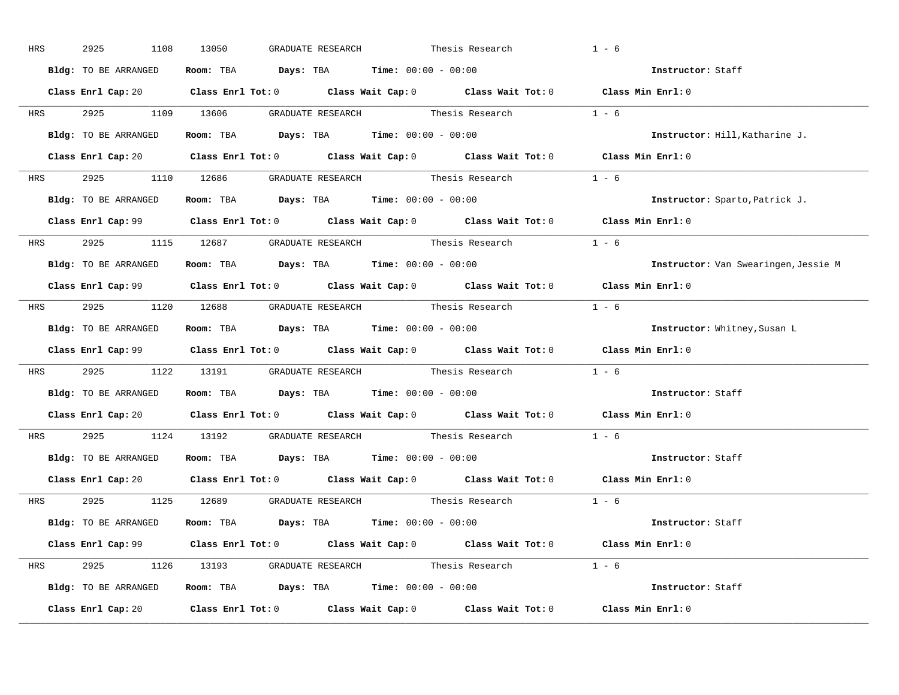| HRS        | 2925<br>1108         | 13050<br>GRADUATE RESEARCH                                                                 | Thesis Research | $1 - 6$                              |
|------------|----------------------|--------------------------------------------------------------------------------------------|-----------------|--------------------------------------|
|            | Bldg: TO BE ARRANGED | Room: TBA $Days:$ TBA $Time: 00:00 - 00:00$                                                |                 | Instructor: Staff                    |
|            |                      | Class Enrl Cap: 20 Class Enrl Tot: 0 Class Wait Cap: 0 Class Wait Tot: 0 Class Min Enrl: 0 |                 |                                      |
|            |                      | HRS 2925 1109 13606 GRADUATE RESEARCH Thesis Research 1 - 6                                |                 |                                      |
|            | Bldg: TO BE ARRANGED | Room: TBA $Days:$ TBA Time: $00:00 - 00:00$                                                |                 | Instructor: Hill, Katharine J.       |
|            |                      | Class Enrl Cap: 20 Class Enrl Tot: 0 Class Wait Cap: 0 Class Wait Tot: 0 Class Min Enrl: 0 |                 |                                      |
|            |                      | HRS 2925 1110 12686 GRADUATE RESEARCH Thesis Research 1 - 6                                |                 |                                      |
|            |                      | <b>Bldg:</b> TO BE ARRANGED <b>Room:</b> TBA <b>Days:</b> TBA <b>Time:</b> $00:00 - 00:00$ |                 | Instructor: Sparto, Patrick J.       |
|            |                      | Class Enrl Cap: 99 Class Enrl Tot: 0 Class Wait Cap: 0 Class Wait Tot: 0 Class Min Enrl: 0 |                 |                                      |
|            |                      | HRS $2925$ 1115 12687 GRADUATE RESEARCH Thesis Research 1 - 6                              |                 |                                      |
|            | Bldg: TO BE ARRANGED | Room: TBA $\rule{1em}{0.15mm}$ Days: TBA $\rule{1.5mm}{0.15mm}$ Time: $00:00 - 00:00$      |                 | Instructor: Van Swearingen, Jessie M |
|            |                      | Class Enrl Cap: 99 Class Enrl Tot: 0 Class Wait Cap: 0 Class Wait Tot: 0 Class Min Enrl: 0 |                 |                                      |
|            |                      | HRS 2925 1120 12688 GRADUATE RESEARCH Thesis Research 1 - 6                                |                 |                                      |
|            | Bldg: TO BE ARRANGED | Room: TBA $\rule{1em}{0.15mm}$ Days: TBA Time: $00:00 - 00:00$                             |                 | Instructor: Whitney, Susan L         |
|            |                      | Class Enrl Cap: 99 Class Enrl Tot: 0 Class Wait Cap: 0 Class Wait Tot: 0 Class Min Enrl: 0 |                 |                                      |
|            |                      | HRS 2925 1122 13191 GRADUATE RESEARCH Thesis Research 1 - 6                                |                 |                                      |
|            |                      | Bldg: TO BE ARRANGED Room: TBA Days: TBA Time: 00:00 - 00:00                               |                 | Instructor: Staff                    |
|            |                      | Class Enrl Cap: 20 Class Enrl Tot: 0 Class Wait Cap: 0 Class Wait Tot: 0 Class Min Enrl: 0 |                 |                                      |
| <b>HRS</b> |                      | 2925 1124 13192 GRADUATE RESEARCH Thesis Research                                          |                 | $1 - 6$                              |
|            |                      | Bldg: TO BE ARRANGED Room: TBA Days: TBA Time: 00:00 - 00:00                               |                 | Instructor: Staff                    |
|            |                      | Class Enrl Cap: 20 Class Enrl Tot: 0 Class Wait Cap: 0 Class Wait Tot: 0 Class Min Enrl: 0 |                 |                                      |
|            |                      | HRS 2925 1125 12689 GRADUATE_RESEARCH Thesis_Research 1 - 6                                |                 |                                      |
|            |                      | Bldg: TO BE ARRANGED Room: TBA Days: TBA Time: 00:00 - 00:00                               |                 | <b>Instructor:</b> Staff             |
|            |                      | Class Enrl Cap: 99 Class Enrl Tot: 0 Class Wait Cap: 0 Class Wait Tot: 0 Class Min Enrl: 0 |                 |                                      |
|            |                      | HRS 2925 1126 13193 GRADUATE RESEARCH Thesis Research 1 - 6                                |                 |                                      |
|            |                      | Bldg: TO BE ARRANGED Room: TBA Days: TBA Time: 00:00 - 00:00                               |                 | Instructor: Staff                    |
|            |                      | Class Enrl Cap: 20 Class Enrl Tot: 0 Class Wait Cap: 0 Class Wait Tot: 0 Class Min Enrl: 0 |                 |                                      |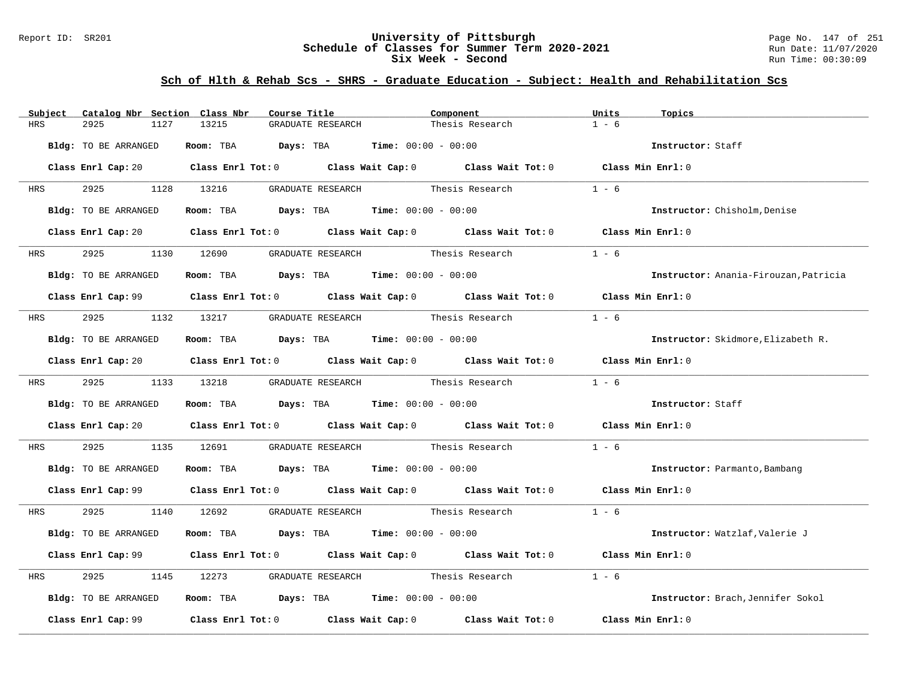### Report ID: SR201 **University of Pittsburgh** Page No. 147 of 251 **Schedule of Classes for Summer Term 2020-2021** Run Date: 11/07/2020 **Six Week - Second Run Time: 00:30:09**

| Subject    | Catalog Nbr Section Class Nbr | Course Title                                                                            | Component                                                                                                                      | Units<br>Topics                       |
|------------|-------------------------------|-----------------------------------------------------------------------------------------|--------------------------------------------------------------------------------------------------------------------------------|---------------------------------------|
| <b>HRS</b> | 2925<br>1127                  | 13215<br>GRADUATE RESEARCH                                                              | Thesis Research                                                                                                                | $1 - 6$                               |
|            | Bldg: TO BE ARRANGED          | Room: TBA $Days:$ TBA $Time: 00:00 - 00:00$                                             |                                                                                                                                | Instructor: Staff                     |
|            |                               |                                                                                         | Class Enrl Cap: 20 $\qquad$ Class Enrl Tot: 0 $\qquad$ Class Wait Cap: 0 $\qquad$ Class Wait Tot: 0 $\qquad$ Class Min Enrl: 0 |                                       |
| <b>HRS</b> |                               | 2925 1128 13216 GRADUATE RESEARCH Thesis Research                                       |                                                                                                                                | $1 - 6$                               |
|            | Bldg: TO BE ARRANGED          | Room: TBA $Days:$ TBA $Time: 00:00 - 00:00$                                             |                                                                                                                                | Instructor: Chisholm, Denise          |
|            |                               |                                                                                         | Class Enrl Cap: 20 Class Enrl Tot: 0 Class Wait Cap: 0 Class Wait Tot: 0 Class Min Enrl: 0                                     |                                       |
| <b>HRS</b> | 2925 1130 12690               |                                                                                         | GRADUATE RESEARCH Thesis Research                                                                                              | $1 - 6$                               |
|            | Bldg: TO BE ARRANGED          | Room: TBA $Days:$ TBA $Time: 00:00 - 00:00$                                             |                                                                                                                                | Instructor: Anania-Firouzan, Patricia |
|            |                               |                                                                                         | Class Enrl Cap: 99 Class Enrl Tot: 0 Class Wait Cap: 0 Class Wait Tot: 0 Class Min Enrl: 0                                     |                                       |
|            |                               | HRS 2925 1132 13217 GRADUATE RESEARCH Thesis Research                                   |                                                                                                                                | $1 - 6$                               |
|            | Bldg: TO BE ARRANGED          | Room: TBA $Days:$ TBA $Time:$ 00:00 - 00:00                                             |                                                                                                                                | Instructor: Skidmore, Elizabeth R.    |
|            |                               |                                                                                         | Class Enrl Cap: 20 Class Enrl Tot: 0 Class Wait Cap: 0 Class Wait Tot: 0 Class Min Enrl: 0                                     |                                       |
|            | HRS 2925 1133 13218           |                                                                                         | GRADUATE RESEARCH Thesis Research                                                                                              | $1 - 6$                               |
|            | Bldg: TO BE ARRANGED          | Room: TBA $Days:$ TBA $Time: 00:00 - 00:00$                                             |                                                                                                                                | Instructor: Staff                     |
|            |                               |                                                                                         | Class Enrl Cap: 20 		 Class Enrl Tot: 0 		 Class Wait Cap: 0 		 Class Wait Tot: 0 		 Class Min Enrl: 0                         |                                       |
| HRS        | 2925                          |                                                                                         | 1135 12691 GRADUATE RESEARCH Thesis Research                                                                                   | $1 - 6$                               |
|            | Bldg: TO BE ARRANGED          | Room: TBA $Days:$ TBA $Time: 00:00 - 00:00$                                             |                                                                                                                                | Instructor: Parmanto, Bambang         |
|            |                               |                                                                                         | Class Enrl Cap: 99 Class Enrl Tot: 0 Class Wait Cap: 0 Class Wait Tot: 0 Class Min Enrl: 0                                     |                                       |
|            |                               |                                                                                         | HRS 2925 1140 12692 GRADUATE_RESEARCH Thesis_Research 1 - 6                                                                    |                                       |
|            | Bldg: TO BE ARRANGED          | Room: TBA $Days:$ TBA $Time: 00:00 - 00:00$                                             |                                                                                                                                | Instructor: Watzlaf, Valerie J        |
|            |                               |                                                                                         | Class Enrl Cap: 99 Class Enrl Tot: 0 Class Wait Cap: 0 Class Wait Tot: 0 Class Min Enrl: 0                                     |                                       |
| HRS        | 2925                          |                                                                                         | 1145 12273 GRADUATE RESEARCH Thesis Research                                                                                   | $1 - 6$                               |
|            | Bldg: TO BE ARRANGED          | Room: TBA $\rule{1em}{0.15mm}$ Days: TBA $\rule{1.15mm}]{0.15mm}$ Time: $00:00 - 00:00$ |                                                                                                                                | Instructor: Brach, Jennifer Sokol     |
|            |                               |                                                                                         | Class Enrl Cap: 99 $\qquad$ Class Enrl Tot: 0 $\qquad$ Class Wait Cap: 0 $\qquad$ Class Wait Tot: 0                            | Class Min Enrl: 0                     |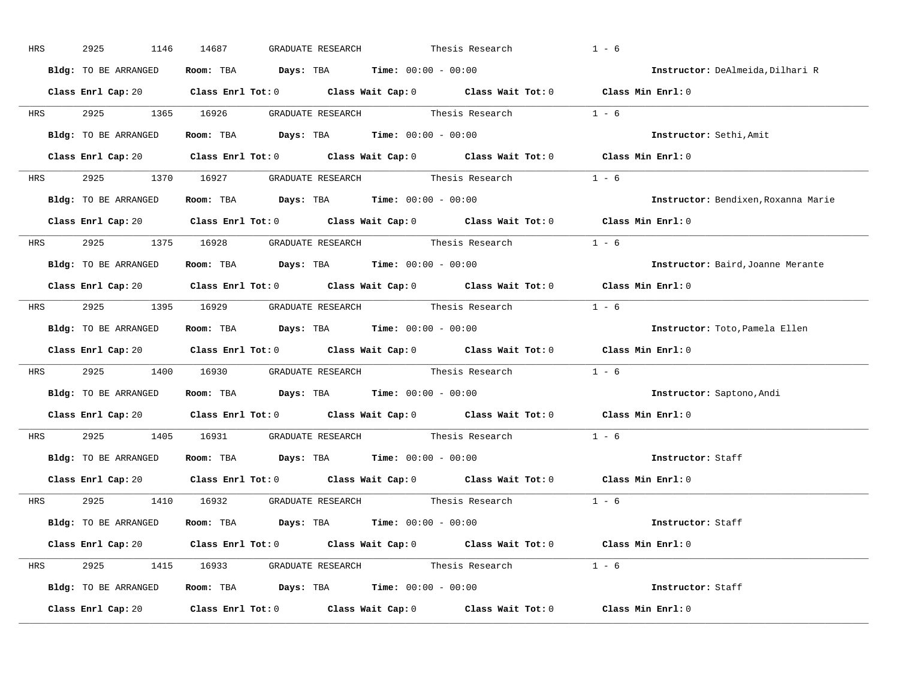| HRS        | 2925<br>1146         | 14687<br>GRADUATE RESEARCH<br>Thesis Research                                              | $1 - 6$                             |
|------------|----------------------|--------------------------------------------------------------------------------------------|-------------------------------------|
|            | Bldg: TO BE ARRANGED | Room: TBA $Days:$ TBA $Time: 00:00 - 00:00$                                                | Instructor: DeAlmeida, Dilhari R    |
|            |                      | Class Enrl Cap: 20 Class Enrl Tot: 0 Class Wait Cap: 0 Class Wait Tot: 0 Class Min Enrl: 0 |                                     |
|            |                      | HRS 2925 1365 16926 GRADUATE RESEARCH Thesis Research 1 - 6                                |                                     |
|            | Bldg: TO BE ARRANGED | Room: TBA $Days:$ TBA Time: $00:00 - 00:00$                                                | Instructor: Sethi, Amit             |
|            |                      | Class Enrl Cap: 20 Class Enrl Tot: 0 Class Wait Cap: 0 Class Wait Tot: 0 Class Min Enrl: 0 |                                     |
|            |                      | HRS 2925 1370 16927 GRADUATE RESEARCH Thesis Research 1 - 6                                |                                     |
|            |                      | Bldg: TO BE ARRANGED Room: TBA Days: TBA Time: 00:00 - 00:00                               | Instructor: Bendixen, Roxanna Marie |
|            |                      | Class Enrl Cap: 20 Class Enrl Tot: 0 Class Wait Cap: 0 Class Wait Tot: 0 Class Min Enrl: 0 |                                     |
|            |                      | HRS 2925 1375 16928 GRADUATE RESEARCH Thesis Research 1 - 6                                |                                     |
|            | Bldg: TO BE ARRANGED | Room: TBA $\rule{1em}{0.15mm}$ Days: TBA Time: $00:00 - 00:00$                             | Instructor: Baird, Joanne Merante   |
|            |                      | Class Enrl Cap: 20 Class Enrl Tot: 0 Class Wait Cap: 0 Class Wait Tot: 0 Class Min Enrl: 0 |                                     |
|            |                      | HRS 2925 1395 16929 GRADUATE RESEARCH Thesis Research 1 - 6                                |                                     |
|            | Bldg: TO BE ARRANGED | Room: TBA $Days:$ TBA $Time: 00:00 - 00:00$                                                | Instructor: Toto, Pamela Ellen      |
|            |                      | Class Enrl Cap: 20 Class Enrl Tot: 0 Class Wait Cap: 0 Class Wait Tot: 0 Class Min Enrl: 0 |                                     |
|            |                      | HRS 2925 1400 16930 GRADUATE RESEARCH Thesis Research 1 - 6                                |                                     |
|            |                      |                                                                                            |                                     |
|            |                      | Bldg: TO BE ARRANGED ROOM: TBA Days: TBA Time: 00:00 - 00:00                               | Instructor: Saptono, Andi           |
|            |                      | Class Enrl Cap: 20 Class Enrl Tot: 0 Class Wait Cap: 0 Class Wait Tot: 0 Class Min Enrl: 0 |                                     |
| <b>HRS</b> |                      | 2925 1405 16931 GRADUATE RESEARCH Thesis Research                                          | $1 - 6$                             |
|            |                      | <b>Bldg:</b> TO BE ARRANGED <b>Room:</b> TBA <b>Days:</b> TBA <b>Time:</b> $00:00 - 00:00$ | Instructor: Staff                   |
|            |                      | Class Enrl Cap: 20 Class Enrl Tot: 0 Class Wait Cap: 0 Class Wait Tot: 0 Class Min Enrl: 0 |                                     |
|            |                      | HRS 2925 1410 16932 GRADUATE RESEARCH Thesis Research 1 - 6                                |                                     |
|            | Bldg: TO BE ARRANGED | Room: TBA $\rule{1em}{0.15mm}$ Days: TBA $\rule{1.5mm}{0.15mm}$ Time: $00:00 - 00:00$      | Instructor: Staff                   |
|            |                      | Class Enrl Cap: 20 Class Enrl Tot: 0 Class Wait Cap: 0 Class Wait Tot: 0 Class Min Enrl: 0 |                                     |
|            |                      | HRS 2925 1415 16933 GRADUATE RESEARCH Thesis Research 1 - 6                                |                                     |
|            |                      | Bldg: TO BE ARRANGED Room: TBA Days: TBA Time: 00:00 - 00:00                               | Instructor: Staff                   |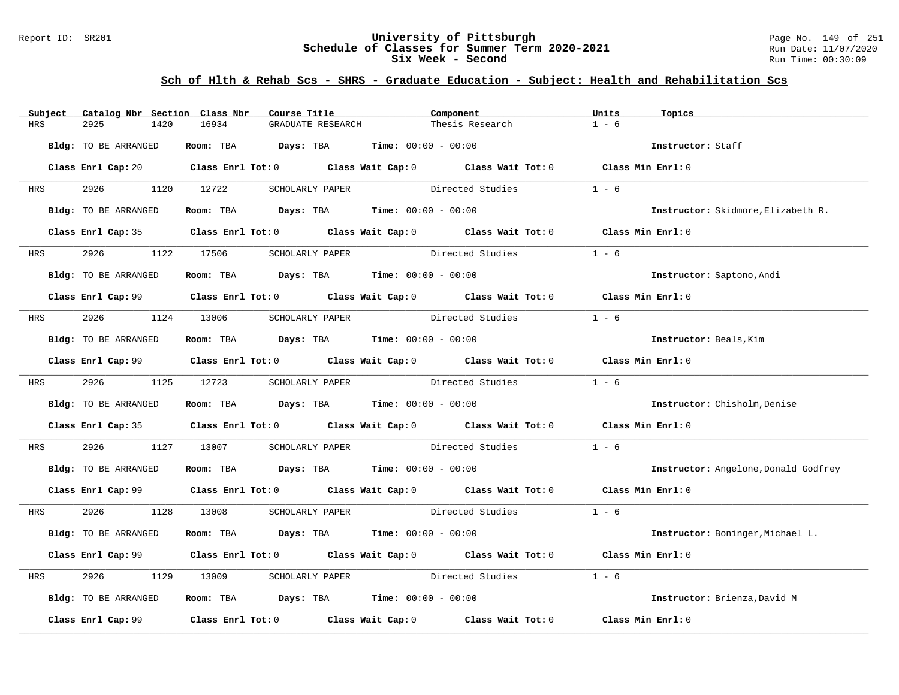### Report ID: SR201 **University of Pittsburgh** Page No. 149 of 251 **Schedule of Classes for Summer Term 2020-2021** Run Date: 11/07/2020 **Six Week - Second Run Time: 00:30:09**

| Subject    | Catalog Nbr Section Class Nbr | Course Title                                | Component                                                                                                                      | Units<br>Topics                      |
|------------|-------------------------------|---------------------------------------------|--------------------------------------------------------------------------------------------------------------------------------|--------------------------------------|
| <b>HRS</b> | 2925<br>1420                  | 16934<br>GRADUATE RESEARCH                  | Thesis Research                                                                                                                | $1 - 6$                              |
|            | Bldg: TO BE ARRANGED          | Room: TBA $Days:$ TBA $Time: 00:00 - 00:00$ |                                                                                                                                | Instructor: Staff                    |
|            |                               |                                             | Class Enrl Cap: 20 $\qquad$ Class Enrl Tot: 0 $\qquad$ Class Wait Cap: 0 $\qquad$ Class Wait Tot: 0 $\qquad$ Class Min Enrl: 0 |                                      |
| <b>HRS</b> | 2926 1120 12722               | SCHOLARLY PAPER                             | Directed Studies                                                                                                               | $1 - 6$                              |
|            | Bldg: TO BE ARRANGED          | Room: TBA $Days:$ TBA $Time: 00:00 - 00:00$ |                                                                                                                                | Instructor: Skidmore, Elizabeth R.   |
|            |                               |                                             | Class Enrl Cap: 35 Class Enrl Tot: 0 Class Wait Cap: 0 Class Wait Tot: 0 Class Min Enrl: 0                                     |                                      |
| <b>HRS</b> | 2926 7                        | 1122 17506<br>SCHOLARLY PAPER               | Directed Studies                                                                                                               | $1 - 6$                              |
|            | Bldg: TO BE ARRANGED          | Room: TBA $Days:$ TBA $Time: 00:00 - 00:00$ |                                                                                                                                | Instructor: Saptono, Andi            |
|            |                               |                                             | Class Enrl Cap: 99 Class Enrl Tot: 0 Class Wait Cap: 0 Class Wait Tot: 0 Class Min Enrl: 0                                     |                                      |
| <b>HRS</b> |                               |                                             | 2926 1124 13006 SCHOLARLY PAPER Directed Studies                                                                               | $1 - 6$                              |
|            | Bldg: TO BE ARRANGED          | Room: TBA $Days:$ TBA $Time:$ 00:00 - 00:00 |                                                                                                                                | Instructor: Beals, Kim               |
|            |                               |                                             | Class Enrl Cap: 99 Class Enrl Tot: 0 Class Wait Cap: 0 Class Wait Tot: 0 Class Min Enrl: 0                                     |                                      |
|            | HRS 2926 1125 12723           |                                             | SCHOLARLY PAPER Directed Studies                                                                                               | $1 - 6$                              |
|            | Bldg: TO BE ARRANGED          | Room: TBA $Days:$ TBA $Time: 00:00 - 00:00$ |                                                                                                                                | Instructor: Chisholm, Denise         |
|            |                               |                                             | Class Enrl Cap: 35 Class Enrl Tot: 0 Class Wait Cap: 0 Class Wait Tot: 0 Class Min Enrl: 0                                     |                                      |
| HRS        | 2926                          | 1127 13007                                  | SCHOLARLY PAPER Directed Studies                                                                                               | $1 - 6$                              |
|            | Bldg: TO BE ARRANGED          | Room: TBA $Days:$ TBA $Time: 00:00 - 00:00$ |                                                                                                                                | Instructor: Angelone, Donald Godfrey |
|            |                               |                                             | Class Enrl Cap: 99 Class Enrl Tot: 0 Class Wait Cap: 0 Class Wait Tot: 0 Class Min Enrl: 0                                     |                                      |
| HRS        | 2926 1128 13008               |                                             | SCHOLARLY PAPER Directed Studies 1 - 6                                                                                         |                                      |
|            | Bldg: TO BE ARRANGED          | Room: TBA $Days:$ TBA $Time: 00:00 - 00:00$ |                                                                                                                                | Instructor: Boninger, Michael L.     |
|            |                               |                                             | Class Enrl Cap: 99 Class Enrl Tot: 0 Class Wait Cap: 0 Class Wait Tot: 0 Class Min Enrl: 0                                     |                                      |
| HRS        | 2926<br>1129                  | 13009                                       | SCHOLARLY PAPER Directed Studies                                                                                               | $1 - 6$                              |
|            | Bldg: TO BE ARRANGED          | Room: TBA $Days: TBA$ Time: $00:00 - 00:00$ |                                                                                                                                | Instructor: Brienza, David M         |
|            | Class Enrl Cap: 99            |                                             | Class Enrl Tot: $0$ Class Wait Cap: $0$ Class Wait Tot: $0$                                                                    | Class Min Enrl: 0                    |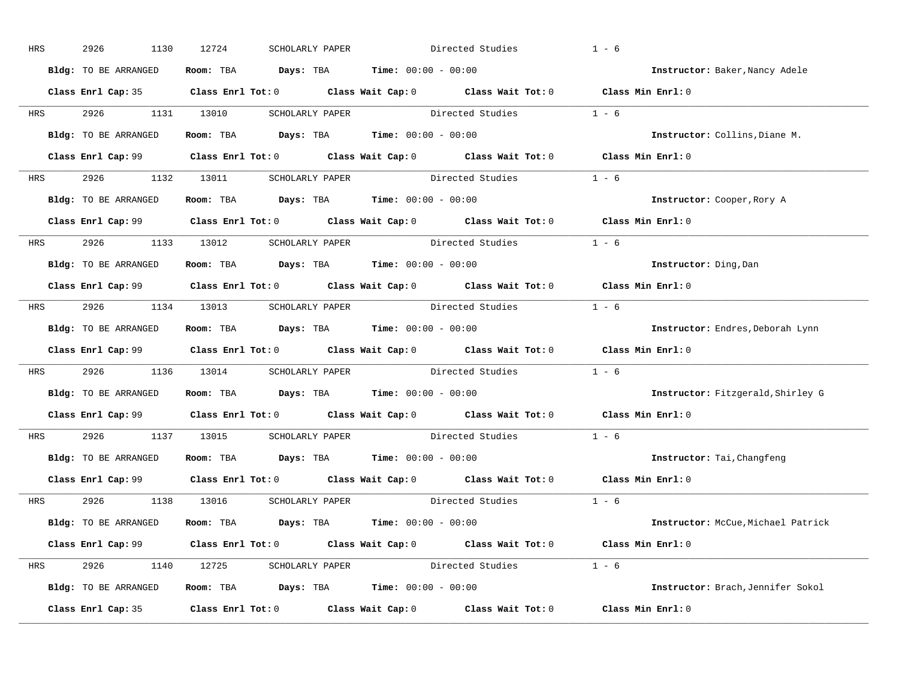| HRS        | 2926<br>1130         | 12724<br>SCHOLARLY PAPER                                                              | Directed Studies                                                                                    | $1 - 6$                                  |
|------------|----------------------|---------------------------------------------------------------------------------------|-----------------------------------------------------------------------------------------------------|------------------------------------------|
|            | Bldg: TO BE ARRANGED | Room: TBA $Days:$ TBA $Time: 00:00 - 00:00$                                           |                                                                                                     | Instructor: Baker, Nancy Adele           |
|            |                      |                                                                                       | Class Enrl Cap: 35 Class Enrl Tot: 0 Class Wait Cap: 0 Class Wait Tot: 0 Class Min Enrl: 0          |                                          |
| <b>HRS</b> | 2926 1131 13010      |                                                                                       | SCHOLARLY PAPER Directed Studies 1 - 6                                                              |                                          |
|            | Bldg: TO BE ARRANGED | Room: TBA Days: TBA Time: $00:00 - 00:00$                                             |                                                                                                     | Instructor: Collins, Diane M.            |
|            |                      |                                                                                       | Class Enrl Cap: 99 Class Enrl Tot: 0 Class Wait Cap: 0 Class Wait Tot: 0 Class Min Enrl: 0          |                                          |
|            |                      |                                                                                       | HRS 2926 1132 13011 SCHOLARLY PAPER Directed Studies 1 - 6                                          |                                          |
|            | Bldg: TO BE ARRANGED | Room: TBA Days: TBA Time: $00:00 - 00:00$                                             |                                                                                                     | Instructor: Cooper, Rory A               |
|            |                      |                                                                                       | Class Enrl Cap: 99 Class Enrl Tot: 0 Class Wait Cap: 0 Class Wait Tot: 0 Class Min Enrl: 0          |                                          |
|            |                      |                                                                                       | HRS 2926 1133 13012 SCHOLARLY PAPER Directed Studies 1 - 6                                          |                                          |
|            | Bldg: TO BE ARRANGED | Room: TBA $\rule{1em}{0.15mm}$ Days: TBA Time: $00:00 - 00:00$                        |                                                                                                     | Instructor: Ding, Dan                    |
|            |                      |                                                                                       | Class Enrl Cap: 99 Class Enrl Tot: 0 Class Wait Cap: 0 Class Wait Tot: 0 Class Min Enrl: 0          |                                          |
|            |                      |                                                                                       | HRS 2926 1134 13013 SCHOLARLY PAPER Directed Studies 1 - 6                                          |                                          |
|            | Bldg: TO BE ARRANGED | Room: TBA $\rule{1em}{0.15mm}$ Days: TBA Time: $00:00 - 00:00$                        |                                                                                                     | Instructor: Endres, Deborah Lynn         |
|            |                      |                                                                                       | Class Enrl Cap: 99 Class Enrl Tot: 0 Class Wait Cap: 0 Class Wait Tot: 0 Class Min Enrl: 0          |                                          |
| <b>HRS</b> |                      |                                                                                       | 2926 1136 13014 SCHOLARLY PAPER Directed Studies                                                    | $1 - 6$                                  |
|            |                      | Bldg: TO BE ARRANGED ROOM: TBA Days: TBA Time: 00:00 - 00:00                          |                                                                                                     | <b>Instructor:</b> Fitzgerald, Shirley G |
|            |                      |                                                                                       | Class Enrl Cap: 99 $\qquad$ Class Enrl Tot: 0 $\qquad$ Class Wait Cap: 0 $\qquad$ Class Wait Tot: 0 | Class Min Enrl: 0                        |
| <b>HRS</b> | 2926 1137 13015      |                                                                                       | SCHOLARLY PAPER Directed Studies                                                                    | $1 - 6$                                  |
|            | Bldg: TO BE ARRANGED | Room: TBA $\rule{1em}{0.15mm}$ Days: TBA $\rule{1.5mm}{0.15mm}$ Time: $00:00 - 00:00$ |                                                                                                     | Instructor: Tai, Changfeng               |
|            |                      |                                                                                       | Class Enrl Cap: 99 $\qquad$ Class Enrl Tot: 0 $\qquad$ Class Wait Cap: 0 $\qquad$ Class Wait Tot: 0 | Class Min Enrl: 0                        |
|            |                      | HRS 2926 1138 13016 SCHOLARLY PAPER                                                   | Directed Studies 1 - 6                                                                              |                                          |
|            | Bldg: TO BE ARRANGED | Room: TBA $\rule{1em}{0.15mm}$ Days: TBA Time: $00:00 - 00:00$                        |                                                                                                     | Instructor: McCue, Michael Patrick       |
|            |                      |                                                                                       | Class Enrl Cap: 99 Class Enrl Tot: 0 Class Wait Cap: 0 Class Wait Tot: 0 Class Min Enrl: 0          |                                          |
|            |                      |                                                                                       | HRS 2926 1140 12725 SCHOLARLY PAPER Directed Studies 1 - 6                                          |                                          |
|            | Bldg: TO BE ARRANGED | Room: TBA $Days: TBA$ Time: $00:00 - 00:00$                                           |                                                                                                     | Instructor: Brach, Jennifer Sokol        |
|            |                      |                                                                                       |                                                                                                     |                                          |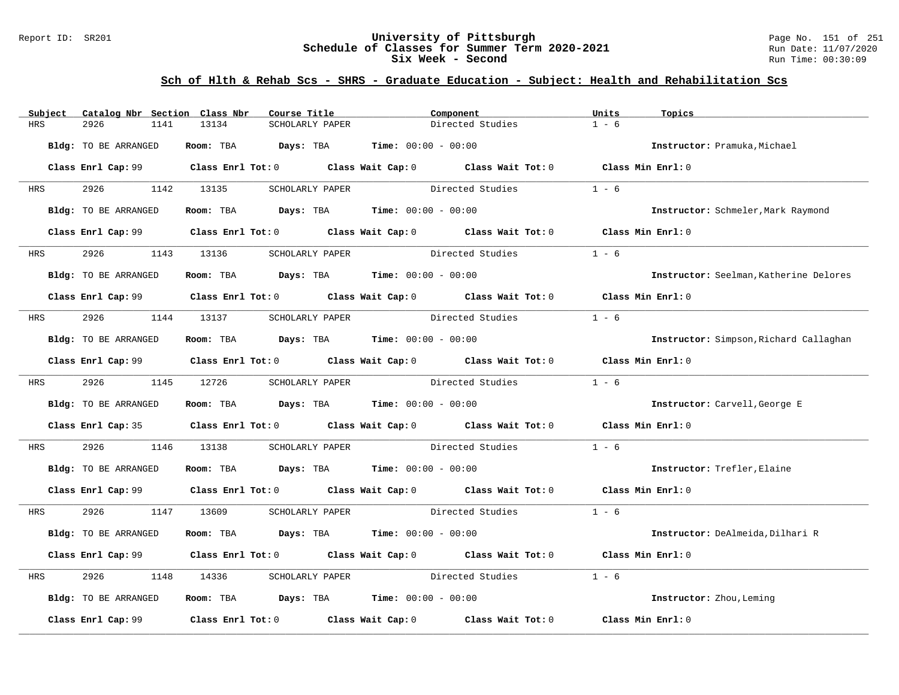### Report ID: SR201 **University of Pittsburgh** Page No. 151 of 251 **Schedule of Classes for Summer Term 2020-2021** Run Date: 11/07/2020 **Six Week - Second Run Time: 00:30:09**

| Subject    | Catalog Nbr Section Class Nbr | Course Title                                                                          | Component                                                                                  | Units<br>Topics                        |
|------------|-------------------------------|---------------------------------------------------------------------------------------|--------------------------------------------------------------------------------------------|----------------------------------------|
| <b>HRS</b> | 2926<br>1141                  | 13134<br>SCHOLARLY PAPER                                                              | Directed Studies                                                                           | $1 - 6$                                |
|            | Bldg: TO BE ARRANGED          | Room: TBA                                                                             | $Days: TBA$ $Time: 00:00 - 00:00$                                                          | Instructor: Pramuka, Michael           |
|            |                               |                                                                                       | Class Enrl Cap: 99 Class Enrl Tot: 0 Class Wait Cap: 0 Class Wait Tot: 0 Class Min Enrl: 0 |                                        |
| HRS        | 2926 200                      | 1142 13135<br>SCHOLARLY PAPER                                                         | Directed Studies                                                                           | $1 - 6$                                |
|            | Bldg: TO BE ARRANGED          | Room: TBA $Days:$ TBA $Time: 00:00 - 00:00$                                           |                                                                                            | Instructor: Schmeler, Mark Raymond     |
|            |                               |                                                                                       | Class Enrl Cap: 99 Class Enrl Tot: 0 Class Wait Cap: 0 Class Wait Tot: 0 Class Min Enrl: 0 |                                        |
| HRS        | 2926                          | 1143 13136<br>SCHOLARLY PAPER                                                         | Directed Studies                                                                           | $1 - 6$                                |
|            | Bldg: TO BE ARRANGED          | Room: TBA $Days:$ TBA $Time: 00:00 - 00:00$                                           |                                                                                            | Instructor: Seelman, Katherine Delores |
|            |                               |                                                                                       | Class Enrl Cap: 99 Class Enrl Tot: 0 Class Wait Cap: 0 Class Wait Tot: 0 Class Min Enrl: 0 |                                        |
| HRS        | 2926                          | 1144 13137                                                                            | SCHOLARLY PAPER Directed Studies                                                           | $1 - 6$                                |
|            | Bldg: TO BE ARRANGED          | Room: TBA $Days:$ TBA $Time: 00:00 - 00:00$                                           |                                                                                            | Instructor: Simpson, Richard Callaghan |
|            |                               |                                                                                       | Class Enrl Cap: 99 Class Enrl Tot: 0 Class Wait Cap: 0 Class Wait Tot: 0                   | Class Min Enrl: 0                      |
| <b>HRS</b> | 2926 7                        | 1145 12726                                                                            | SCHOLARLY PAPER Directed Studies                                                           | $1 - 6$                                |
|            | Bldg: TO BE ARRANGED          | Room: TBA $Days:$ TBA $Time: 00:00 - 00:00$                                           |                                                                                            | Instructor: Carvell, George E          |
|            |                               |                                                                                       | Class Enrl Cap: 35 Class Enrl Tot: 0 Class Wait Cap: 0 Class Wait Tot: 0 Class Min Enrl: 0 |                                        |
| HRS        | 2926<br>1146                  | 13138                                                                                 | SCHOLARLY PAPER Directed Studies                                                           | $1 - 6$                                |
|            | Bldg: TO BE ARRANGED          | Room: TBA $Days:$ TBA $Time: 00:00 - 00:00$                                           |                                                                                            | Instructor: Trefler, Elaine            |
|            |                               |                                                                                       | Class Enrl Cap: 99 Class Enrl Tot: 0 Class Wait Cap: 0 Class Wait Tot: 0 Class Min Enrl: 0 |                                        |
| HRS        | 2926 1147 13609               |                                                                                       | SCHOLARLY PAPER Directed Studies                                                           | $1 - 6$                                |
|            | Bldg: TO BE ARRANGED          | Room: TBA $Days:$ TBA $Time: 00:00 - 00:00$                                           |                                                                                            | Instructor: DeAlmeida, Dilhari R       |
|            |                               |                                                                                       | Class Enrl Cap: 99 Class Enrl Tot: 0 Class Wait Cap: 0 Class Wait Tot: 0                   | Class Min Enrl: 0                      |
| HRS        | 2926<br>1148                  | 14336<br>SCHOLARLY PAPER                                                              | Directed Studies                                                                           | $1 - 6$                                |
|            | Bldg: TO BE ARRANGED          | Room: TBA $\rule{1em}{0.15mm}$ Days: TBA $\rule{1.5mm}{0.15mm}$ Time: $00:00 - 00:00$ |                                                                                            | Instructor: Zhou, Leming               |
|            | Class Enrl Cap: 99            |                                                                                       | Class Enrl Tot: $0$ Class Wait Cap: $0$ Class Wait Tot: $0$                                | Class Min Enrl: 0                      |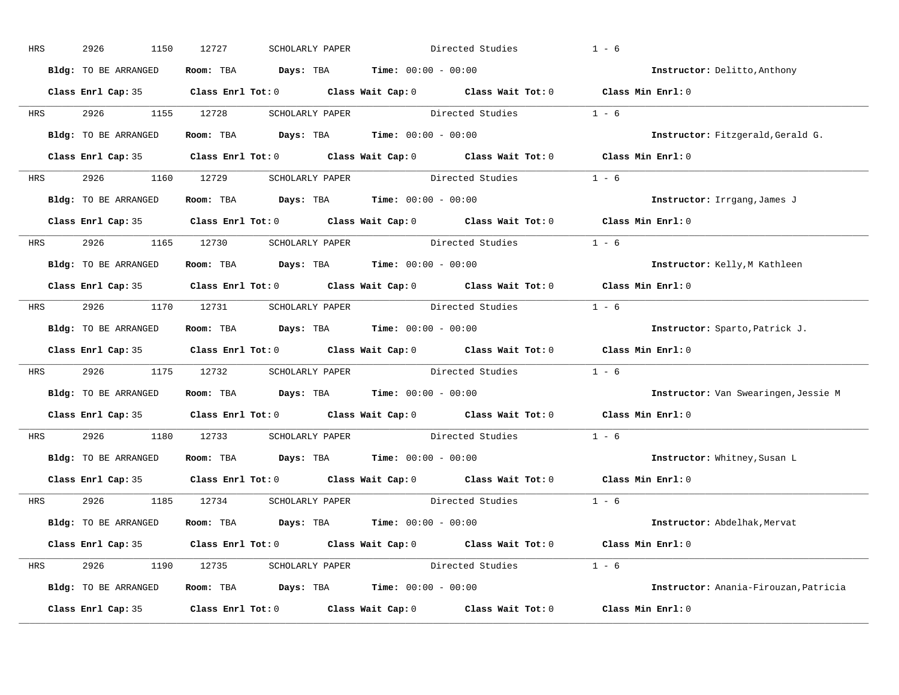| HRS        | 2926<br>1150         | 12727<br>SCHOLARLY PAPER                    | Directed Studies                                                                           | $1 - 6$                               |
|------------|----------------------|---------------------------------------------|--------------------------------------------------------------------------------------------|---------------------------------------|
|            | Bldg: TO BE ARRANGED | Room: TBA $Days:$ TBA $Time: 00:00 - 00:00$ |                                                                                            | Instructor: Delitto, Anthony          |
|            |                      |                                             | Class Enrl Cap: 35 Class Enrl Tot: 0 Class Wait Cap: 0 Class Wait Tot: 0 Class Min Enrl: 0 |                                       |
| <b>HRS</b> | 2926 1155 12728      |                                             | SCHOLARLY PAPER Directed Studies                                                           | $1 - 6$                               |
|            | Bldg: TO BE ARRANGED | Room: TBA $Days:$ TBA Time: $00:00 - 00:00$ |                                                                                            | Instructor: Fitzgerald, Gerald G.     |
|            |                      |                                             | Class Enrl Cap: 35 Class Enrl Tot: 0 Class Wait Cap: 0 Class Wait Tot: 0 Class Min Enrl: 0 |                                       |
|            |                      |                                             | HRS 2926 1160 12729 SCHOLARLY PAPER Directed Studies 1 - 6                                 |                                       |
|            | Bldg: TO BE ARRANGED | Room: TBA $Days:$ TBA $Time: 00:00 - 00:00$ |                                                                                            | Instructor: Irrgang, James J          |
|            |                      |                                             | Class Enrl Cap: 35 Class Enrl Tot: 0 Class Wait Cap: 0 Class Wait Tot: 0 Class Min Enrl: 0 |                                       |
|            |                      | HRS 2926 1165 12730 SCHOLARLY PAPER         | Directed Studies                                                                           | $1 - 6$                               |
|            | Bldg: TO BE ARRANGED | Room: TBA $Days:$ TBA $Time: 00:00 - 00:00$ |                                                                                            | Instructor: Kelly, M Kathleen         |
|            |                      |                                             | Class Enrl Cap: 35 Class Enrl Tot: 0 Class Wait Cap: 0 Class Wait Tot: 0 Class Min Enrl: 0 |                                       |
| HRS        |                      |                                             | 2926 1170 12731 SCHOLARLY PAPER Directed Studies 1 - 6                                     |                                       |
|            | Bldg: TO BE ARRANGED | Room: TBA $Days:$ TBA $Time: 00:00 - 00:00$ |                                                                                            | Instructor: Sparto, Patrick J.        |
|            |                      |                                             | Class Enrl Cap: 35 Class Enrl Tot: 0 Class Wait Cap: 0 Class Wait Tot: 0 Class Min Enrl: 0 |                                       |
| HRS        |                      |                                             | 2926 1175 12732 SCHOLARLY PAPER Directed Studies 1 - 6                                     |                                       |
|            | Bldg: TO BE ARRANGED | Room: TBA $Days:$ TBA $Time: 00:00 - 00:00$ |                                                                                            | Instructor: Van Swearingen, Jessie M  |
|            |                      |                                             | Class Enrl Cap: 35 Class Enrl Tot: 0 Class Wait Cap: 0 Class Wait Tot: 0                   | Class Min Enrl: 0                     |
| <b>HRS</b> | 2926 1180 12733      |                                             | SCHOLARLY PAPER Directed Studies                                                           | $1 - 6$                               |
|            | Bldg: TO BE ARRANGED | Room: TBA $Days:$ TBA $Time: 00:00 - 00:00$ |                                                                                            | Instructor: Whitney, Susan L          |
|            |                      |                                             | Class Enrl Cap: 35 Class Enrl Tot: 0 Class Wait Cap: 0 Class Wait Tot: 0                   | Class Min Enrl: 0                     |
|            |                      | HRS 2926 1185 12734 SCHOLARLY PAPER         | Directed Studies 1 - 6                                                                     |                                       |
|            | Bldg: TO BE ARRANGED | Room: TBA $Days:$ TBA $Time: 00:00 - 00:00$ |                                                                                            | Instructor: Abdelhak, Mervat          |
|            |                      |                                             | Class Enrl Cap: 35 Class Enrl Tot: 0 Class Wait Cap: 0 Class Wait Tot: 0 Class Min Enrl: 0 |                                       |
|            |                      |                                             | HRS 2926 1190 12735 SCHOLARLY PAPER Directed Studies 1 - 6                                 |                                       |
|            | Bldg: TO BE ARRANGED | Room: TBA $Days:$ TBA $Time: 00:00 - 00:00$ |                                                                                            | Instructor: Anania-Firouzan, Patricia |
|            | Class Enrl Cap: 35   |                                             | Class Enrl Tot: $0$ Class Wait Cap: $0$ Class Wait Tot: $0$                                | Class Min Enrl: 0                     |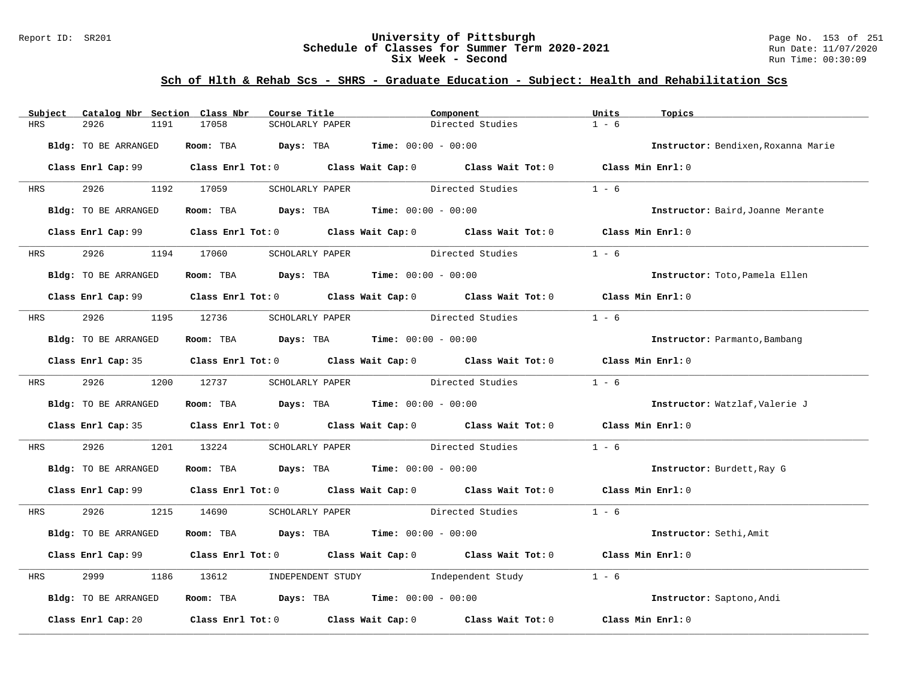### Report ID: SR201 **University of Pittsburgh** Page No. 153 of 251 **Schedule of Classes for Summer Term 2020-2021** Run Date: 11/07/2020 **Six Week - Second Run Time: 00:30:09**

| Subject    | Catalog Nbr Section Class Nbr | Course Title                                   | Component                                                                                  | Units<br>Topics                     |
|------------|-------------------------------|------------------------------------------------|--------------------------------------------------------------------------------------------|-------------------------------------|
| HRS        | 2926<br>1191                  | 17058<br>SCHOLARLY PAPER                       | Directed Studies                                                                           | $1 - 6$                             |
|            | Bldg: TO BE ARRANGED          | Room: TBA $Days:$ TBA $Time: 00:00 - 00:00$    |                                                                                            | Instructor: Bendixen, Roxanna Marie |
|            |                               |                                                | Class Enrl Cap: 99 Class Enrl Tot: 0 Class Wait Cap: 0 Class Wait Tot: 0 Class Min Enrl: 0 |                                     |
| <b>HRS</b> | 2926 1192 17059               | SCHOLARLY PAPER                                | Directed Studies                                                                           | $1 - 6$                             |
|            | Bldg: TO BE ARRANGED          | Room: TBA $Days:$ TBA $Time:$ $00:00 - 00:00$  |                                                                                            | Instructor: Baird, Joanne Merante   |
|            |                               |                                                | Class Enrl Cap: 99 Class Enrl Tot: 0 Class Wait Cap: 0 Class Wait Tot: 0 Class Min Enrl: 0 |                                     |
| <b>HRS</b> | 2926 1194 17060               | SCHOLARLY PAPER                                | Directed Studies                                                                           | $1 - 6$                             |
|            | Bldg: TO BE ARRANGED          | Room: TBA $Days:$ TBA $Time: 00:00 - 00:00$    |                                                                                            | Instructor: Toto, Pamela Ellen      |
|            |                               |                                                | Class Enrl Cap: 99 Class Enrl Tot: 0 Class Wait Cap: 0 Class Wait Tot: 0 Class Min Enrl: 0 |                                     |
|            |                               |                                                | HRS 2926 1195 12736 SCHOLARLY PAPER Directed Studies                                       | $1 - 6$                             |
|            | Bldg: TO BE ARRANGED          | Room: TBA $Days:$ TBA $Time: 00:00 - 00:00$    |                                                                                            | Instructor: Parmanto, Bambang       |
|            |                               |                                                | Class Enrl Cap: 35 Class Enrl Tot: 0 Class Wait Cap: 0 Class Wait Tot: 0 Class Min Enrl: 0 |                                     |
|            | HRS 2926 1200 12737           |                                                | SCHOLARLY PAPER Directed Studies                                                           | $1 - 6$                             |
|            | Bldg: TO BE ARRANGED          | Room: TBA $Days: TBA$ Time: $00:00 - 00:00$    |                                                                                            | Instructor: Watzlaf, Valerie J      |
|            |                               |                                                | Class Enrl Cap: 35 Class Enrl Tot: 0 Class Wait Cap: 0 Class Wait Tot: 0 Class Min Enrl: 0 |                                     |
| HRS        | 2926                          | 1201 13224                                     | SCHOLARLY PAPER Directed Studies                                                           | $1 - 6$                             |
|            | Bldg: TO BE ARRANGED          | Room: TBA $Days:$ TBA $Time: 00:00 - 00:00$    |                                                                                            | Instructor: Burdett, Ray G          |
|            |                               |                                                | Class Enrl Cap: 99 Class Enrl Tot: 0 Class Wait Cap: 0 Class Wait Tot: 0 Class Min Enrl: 0 |                                     |
|            | HRS 2926 1215 14690           |                                                | SCHOLARLY PAPER Directed Studies 1 - 6                                                     |                                     |
|            | Bldg: TO BE ARRANGED          | Room: TBA $Days:$ TBA $Time: 00:00 - 00:00$    |                                                                                            | Instructor: Sethi, Amit             |
|            |                               |                                                | Class Enrl Cap: 99 Class Enrl Tot: 0 Class Wait Cap: 0 Class Wait Tot: 0 Class Min Enrl: 0 |                                     |
| HRS        | 2999                          | 1186 13612 INDEPENDENT STUDY Independent Study |                                                                                            | $1 - 6$                             |
|            | Bldg: TO BE ARRANGED          | Room: TBA $Days:$ TBA Time: $00:00 - 00:00$    |                                                                                            | Instructor: Saptono, Andi           |
|            | Class Enrl Cap: 20            |                                                | Class Enrl Tot: $0$ Class Wait Cap: $0$ Class Wait Tot: $0$                                | Class Min Enrl: 0                   |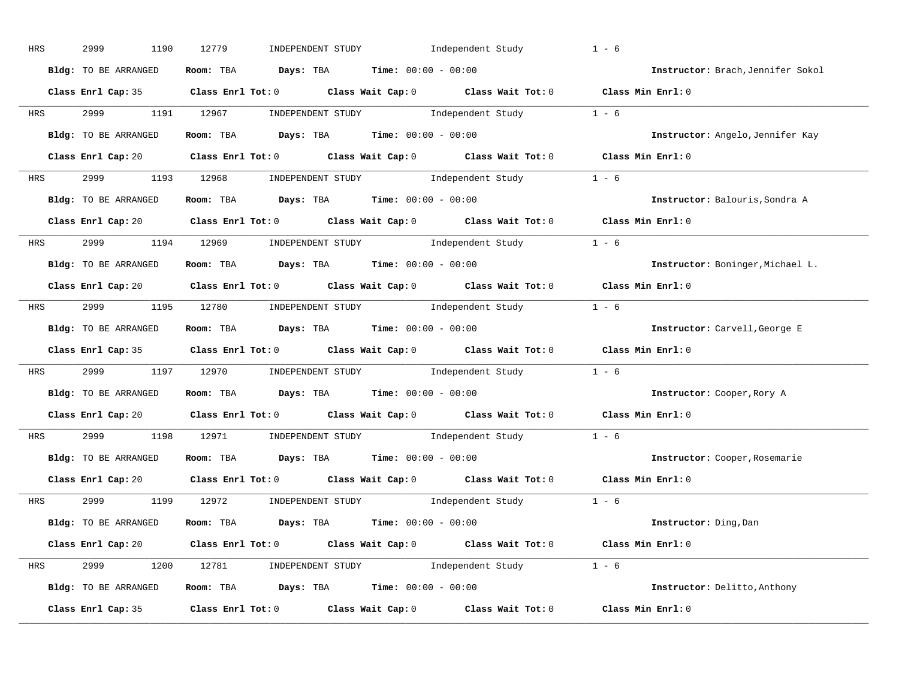| HRS        | 2999<br>1190         | 12779<br>INDEPENDENT STUDY Independent Study                                                        | $1 - 6$                           |
|------------|----------------------|-----------------------------------------------------------------------------------------------------|-----------------------------------|
|            | Bldg: TO BE ARRANGED | Room: TBA $Days:$ TBA $Time: 00:00 - 00:00$                                                         | Instructor: Brach, Jennifer Sokol |
|            |                      | Class Enrl Cap: 35 Class Enrl Tot: 0 Class Wait Cap: 0 Class Wait Tot: 0 Class Min Enrl: 0          |                                   |
| <b>HRS</b> |                      | 2999 1191 12967 INDEPENDENT STUDY Independent Study 1 - 6                                           |                                   |
|            | Bldg: TO BE ARRANGED | Room: TBA $\rule{1em}{0.15mm}$ Days: TBA Time: $00:00 - 00:00$                                      | Instructor: Angelo, Jennifer Kay  |
|            |                      | Class Enrl Cap: 20 Class Enrl Tot: 0 Class Wait Cap: 0 Class Wait Tot: 0 Class Min Enrl: 0          |                                   |
|            |                      | HRS 2999 1193 12968 INDEPENDENT STUDY Independent Study 1 - 6                                       |                                   |
|            | Bldg: TO BE ARRANGED | Room: TBA $Days:$ TBA $Time:$ 00:00 - 00:00                                                         | Instructor: Balouris, Sondra A    |
|            |                      | Class Enrl Cap: 20 Class Enrl Tot: 0 Class Wait Cap: 0 Class Wait Tot: 0 Class Min Enrl: 0          |                                   |
|            |                      | HRS 2999 1194 12969 INDEPENDENT STUDY Independent Study 1 - 6                                       |                                   |
|            | Bldg: TO BE ARRANGED | Room: TBA $\rule{1em}{0.15mm}$ Days: TBA $\rule{1.5mm}{0.15mm}$ Time: $00:00 - 00:00$               | Instructor: Boninger, Michael L.  |
|            |                      | Class Enrl Cap: 20 Class Enrl Tot: 0 Class Wait Cap: 0 Class Wait Tot: 0 Class Min Enrl: 0          |                                   |
|            |                      | HRS 2999 1195 12780 INDEPENDENT STUDY Independent Study 1 - 6                                       |                                   |
|            | Bldg: TO BE ARRANGED | Room: TBA $\rule{1em}{0.15mm}$ Days: TBA Time: $00:00 - 00:00$                                      | Instructor: Carvell, George E     |
|            |                      | Class Enrl Cap: 35 Class Enrl Tot: 0 Class Wait Cap: 0 Class Wait Tot: 0 Class Min Enrl: 0          |                                   |
| <b>HRS</b> |                      | 2999 1197 12970 INDEPENDENT STUDY Independent Study 1 - 6                                           |                                   |
|            | Bldg: TO BE ARRANGED | Room: TBA $Days:$ TBA Time: $00:00 - 00:00$                                                         | Instructor: Cooper, Rory A        |
|            |                      | Class Enrl Cap: 20 $\qquad$ Class Enrl Tot: 0 $\qquad$ Class Wait Cap: 0 $\qquad$ Class Wait Tot: 0 | Class Min Enrl: 0                 |
| <b>HRS</b> |                      | 2999 1198 12971 INDEPENDENT STUDY Independent Study 1 - 6                                           |                                   |
|            | Bldg: TO BE ARRANGED | Room: TBA $\rule{1em}{0.15mm}$ Days: TBA Time: $00:00 - 00:00$                                      | Instructor: Cooper, Rosemarie     |
|            | Class Enrl Cap: 20   | Class Enrl Tot: 0 $\qquad$ Class Wait Cap: 0 $\qquad$ Class Wait Tot: 0                             | Class Min Enrl: 0                 |
|            |                      | HRS 2999 1199 12972 INDEPENDENT STUDY Independent Study 1 - 6                                       |                                   |
|            | Bldg: TO BE ARRANGED | Room: TBA Days: TBA Time: $00:00 - 00:00$                                                           | Instructor: Ding, Dan             |
|            |                      | Class Enrl Cap: 20 Class Enrl Tot: 0 Class Wait Cap: 0 Class Wait Tot: 0 Class Min Enrl: 0          |                                   |
|            |                      | HRS 2999 1200 12781 INDEPENDENT STUDY Independent Study 1 - 6                                       |                                   |
|            | Bldg: TO BE ARRANGED | Room: TBA $\rule{1em}{0.15mm}$ Days: TBA $\qquad$ Time: $00:00 - 00:00$                             | Instructor: Delitto, Anthony      |
|            |                      | Class Enrl Cap: 35 $\qquad$ Class Enrl Tot: 0 $\qquad$ Class Wait Cap: 0 $\qquad$ Class Wait Tot: 0 | Class Min Enrl: 0                 |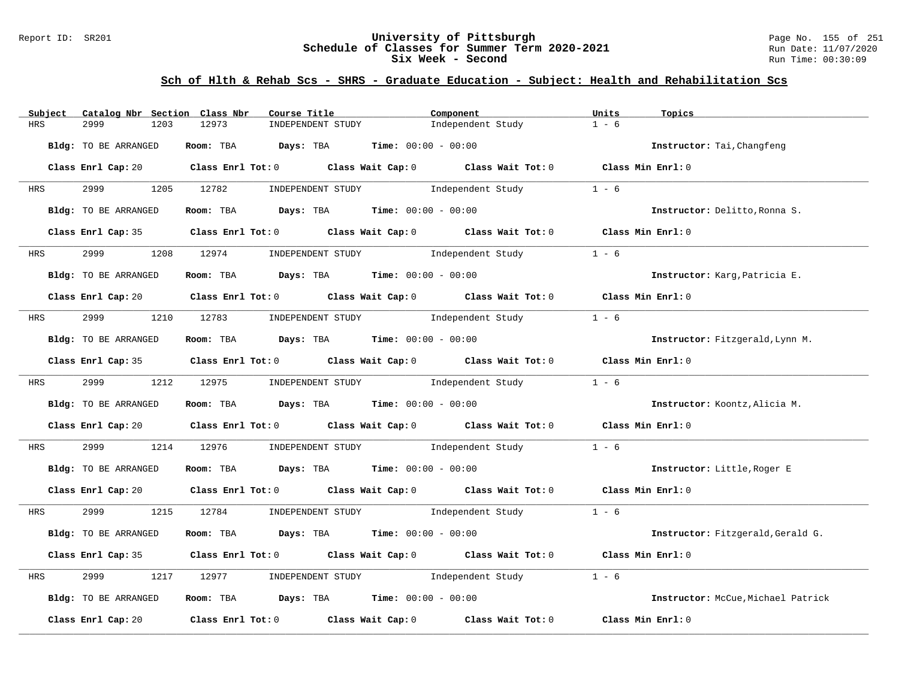### Report ID: SR201 **University of Pittsburgh** Page No. 155 of 251 **Schedule of Classes for Summer Term 2020-2021** Run Date: 11/07/2020 **Six Week - Second Run Time: 00:30:09**

| Subject<br>Catalog Nbr Section Class Nbr | Course Title                                                                                                                   | Component                           | Units<br>Topics                    |
|------------------------------------------|--------------------------------------------------------------------------------------------------------------------------------|-------------------------------------|------------------------------------|
| 2999<br><b>HRS</b><br>1203               | 12973<br>INDEPENDENT STUDY                                                                                                     | Independent Study                   | $1 - 6$                            |
| Bldg: TO BE ARRANGED                     | Room: TBA Days: TBA                                                                                                            | <b>Time:</b> $00:00 - 00:00$        | Instructor: Tai, Changfeng         |
|                                          | Class Enrl Cap: 20 $\qquad$ Class Enrl Tot: 0 $\qquad$ Class Wait Cap: 0 $\qquad$ Class Wait Tot: 0 $\qquad$ Class Min Enrl: 0 |                                     |                                    |
| 2999 72<br>HRS                           | 1205 12782<br>INDEPENDENT STUDY                                                                                                | Independent Study                   | $1 - 6$                            |
| Bldg: TO BE ARRANGED                     | Room: TBA $Days:$ TBA Time: $00:00 - 00:00$                                                                                    |                                     | Instructor: Delitto, Ronna S.      |
|                                          | Class Enrl Cap: 35 Class Enrl Tot: 0 Class Wait Cap: 0 Class Wait Tot: 0 Class Min Enrl: 0                                     |                                     |                                    |
| 2999<br><b>HRS</b>                       | 1208 12974 INDEPENDENT STUDY Independent Study                                                                                 |                                     | $1 - 6$                            |
| Bldg: TO BE ARRANGED                     | Room: TBA $Days:$ TBA $Time: 00:00 - 00:00$                                                                                    |                                     | Instructor: Karg, Patricia E.      |
|                                          | Class Enrl Cap: 20 $\qquad$ Class Enrl Tot: 0 $\qquad$ Class Wait Cap: 0 $\qquad$ Class Wait Tot: 0 $\qquad$ Class Min Enrl: 0 |                                     |                                    |
| <b>HRS</b>                               | 2999 1210 12783 INDEPENDENT STUDY Independent Study                                                                            |                                     | $1 - 6$                            |
| Bldg: TO BE ARRANGED                     | Room: TBA $Days:$ TBA $Time: 00:00 - 00:00$                                                                                    |                                     | Instructor: Fitzgerald, Lynn M.    |
|                                          | Class Enrl Cap: 35 Class Enrl Tot: 0 Class Wait Cap: 0 Class Wait Tot: 0 Class Min Enrl: 0                                     |                                     |                                    |
| 2999 1212 12975<br><b>HRS</b>            |                                                                                                                                | INDEPENDENT STUDY 1ndependent Study | $1 - 6$                            |
| Bldg: TO BE ARRANGED                     | Room: TBA $\rule{1em}{0.15mm}$ Days: TBA $\rule{1.5mm}{0.15mm}$ Time: $00:00 - 00:00$                                          |                                     | Instructor: Koontz, Alicia M.      |
|                                          | Class Enrl Cap: 20 $\qquad$ Class Enrl Tot: 0 $\qquad$ Class Wait Cap: 0 $\qquad$ Class Wait Tot: 0 $\qquad$ Class Min Enrl: 0 |                                     |                                    |
| 2999<br>HRS                              | 1214 12976                                                                                                                     | INDEPENDENT STUDY 1ndependent Study | $1 - 6$                            |
| Bldg: TO BE ARRANGED                     | Room: TBA $Days:$ TBA Time: $00:00 - 00:00$                                                                                    |                                     | Instructor: Little, Roger E        |
|                                          | Class Enrl Cap: 20 $\qquad$ Class Enrl Tot: 0 $\qquad$ Class Wait Cap: 0 $\qquad$ Class Wait Tot: 0 $\qquad$ Class Min Enrl: 0 |                                     |                                    |
| HRS                                      | 2999 1215 12784 INDEPENDENT STUDY Independent Study 1 - 6                                                                      |                                     |                                    |
| Bldg: TO BE ARRANGED                     | Room: TBA $Days:$ TBA $Time: 00:00 - 00:00$                                                                                    |                                     | Instructor: Fitzgerald, Gerald G.  |
|                                          | Class Enrl Cap: 35 Class Enrl Tot: 0 Class Wait Cap: 0 Class Wait Tot: 0                                                       |                                     | Class Min Enrl: 0                  |
| 2999<br>1217<br>HRS                      | 12977                                                                                                                          | INDEPENDENT STUDY 1ndependent Study | $1 - 6$                            |
| Bldg: TO BE ARRANGED                     | Room: TBA $Days: TBA$ Time: $00:00 - 00:00$                                                                                    |                                     | Instructor: McCue, Michael Patrick |
| Class Enrl Cap: 20                       | Class Enrl Tot: 0 $\qquad$ Class Wait Cap: 0 $\qquad$ Class Wait Tot: 0                                                        |                                     | Class Min Enrl: 0                  |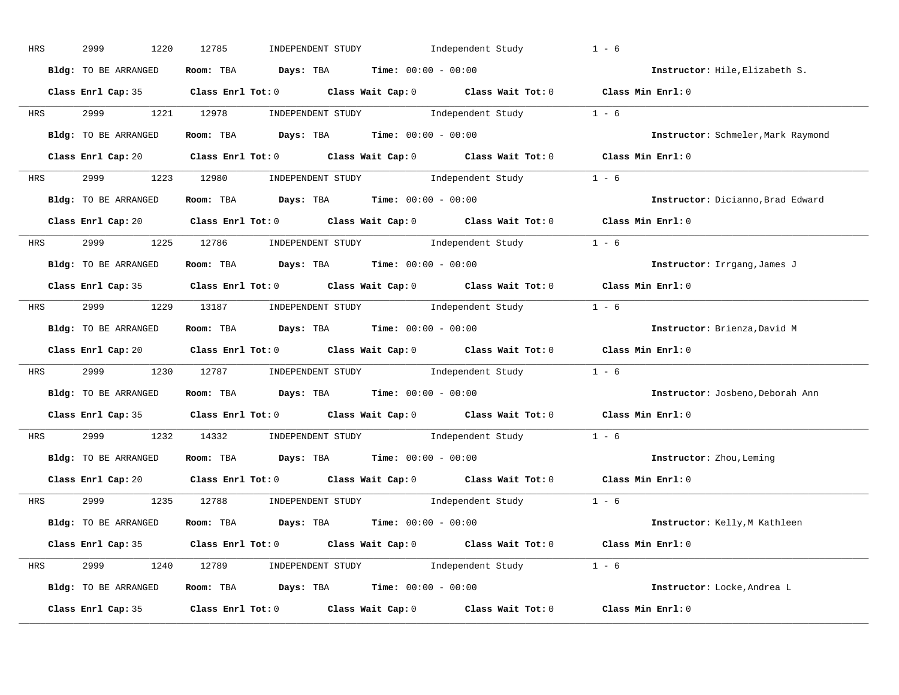| HRS        | 2999<br>1220         | 12785<br>INDEPENDENT STUDY Independent Study                                                        | $1 - 6$                            |
|------------|----------------------|-----------------------------------------------------------------------------------------------------|------------------------------------|
|            | Bldg: TO BE ARRANGED | Room: TBA $Days:$ TBA $Time: 00:00 - 00:00$                                                         | Instructor: Hile, Elizabeth S.     |
|            |                      | Class Enrl Cap: 35 Class Enrl Tot: 0 Class Wait Cap: 0 Class Wait Tot: 0 Class Min Enrl: 0          |                                    |
| <b>HRS</b> |                      | 2999 1221 12978 INDEPENDENT STUDY Independent Study 1 - 6                                           |                                    |
|            | Bldg: TO BE ARRANGED | Room: TBA $\rule{1em}{0.15mm}$ Days: TBA Time: $00:00 - 00:00$                                      | Instructor: Schmeler, Mark Raymond |
|            |                      | Class Enrl Cap: 20 Class Enrl Tot: 0 Class Wait Cap: 0 Class Wait Tot: 0 Class Min Enrl: 0          |                                    |
|            |                      | HRS 2999 1223 12980 INDEPENDENT STUDY Independent Study 1 - 6                                       |                                    |
|            | Bldg: TO BE ARRANGED | Room: TBA $Days:$ TBA $Time: 00:00 - 00:00$                                                         | Instructor: Dicianno, Brad Edward  |
|            |                      | Class Enrl Cap: 20 Class Enrl Tot: 0 Class Wait Cap: 0 Class Wait Tot: 0 Class Min Enrl: 0          |                                    |
|            |                      | HRS 2999 1225 12786 INDEPENDENT STUDY Independent Study 1 - 6                                       |                                    |
|            | Bldg: TO BE ARRANGED | Room: TBA $\rule{1em}{0.15mm}$ Days: TBA $\rule{1.5mm}{0.15mm}$ Time: $00:00 - 00:00$               | Instructor: Irrgang, James J       |
|            |                      | Class Enrl Cap: 35 Class Enrl Tot: 0 Class Wait Cap: 0 Class Wait Tot: 0 Class Min Enrl: 0          |                                    |
|            |                      | HRS 2999 1229 13187 INDEPENDENT STUDY Independent Study 1 - 6                                       |                                    |
|            | Bldg: TO BE ARRANGED | Room: TBA $\rule{1em}{0.15mm}$ Days: TBA $\rule{1.5mm}{0.15mm}$ Time: $00:00 - 00:00$               | Instructor: Brienza, David M       |
|            |                      | Class Enrl Cap: 20 Class Enrl Tot: 0 Class Wait Cap: 0 Class Wait Tot: 0 Class Min Enrl: 0          |                                    |
|            |                      | HRS 2999 1230 12787 INDEPENDENT STUDY Independent Study 1 - 6                                       |                                    |
|            | Bldg: TO BE ARRANGED | Room: TBA $Days:$ TBA Time: $00:00 - 00:00$                                                         | Instructor: Josbeno, Deborah Ann   |
|            |                      | Class Enrl Cap: 35 Class Enrl Tot: 0 Class Wait Cap: 0 Class Wait Tot: 0                            | Class Min Enrl: 0                  |
| <b>HRS</b> |                      | 2999 1232 14332 INDEPENDENT STUDY Independent Study 1 - 6                                           |                                    |
|            | Bldg: TO BE ARRANGED | Room: TBA $Days:$ TBA $Time: 00:00 - 00:00$                                                         | Instructor: Zhou, Leming           |
|            | Class Enrl Cap: 20   | Class Enrl Tot: $0$ Class Wait Cap: $0$ Class Wait Tot: $0$                                         | Class Min Enrl: 0                  |
|            |                      | HRS 2999 1235 12788 INDEPENDENT STUDY Independent Study 1 - 6                                       |                                    |
|            | Bldg: TO BE ARRANGED | Room: TBA $Days: TBA$ Time: $00:00 - 00:00$                                                         | Instructor: Kelly, M Kathleen      |
|            |                      | Class Enrl Cap: 35 Class Enrl Tot: 0 Class Wait Cap: 0 Class Wait Tot: 0 Class Min Enrl: 0          |                                    |
|            |                      | HRS 2999 1240 12789 INDEPENDENT STUDY Independent Study 1 - 6                                       |                                    |
|            | Bldg: TO BE ARRANGED | Room: TBA $Days:$ TBA $Time: 00:00 - 00:00$                                                         | Instructor: Locke, Andrea L        |
|            |                      | Class Enrl Cap: 35 $\qquad$ Class Enrl Tot: 0 $\qquad$ Class Wait Cap: 0 $\qquad$ Class Wait Tot: 0 | Class Min Enrl: 0                  |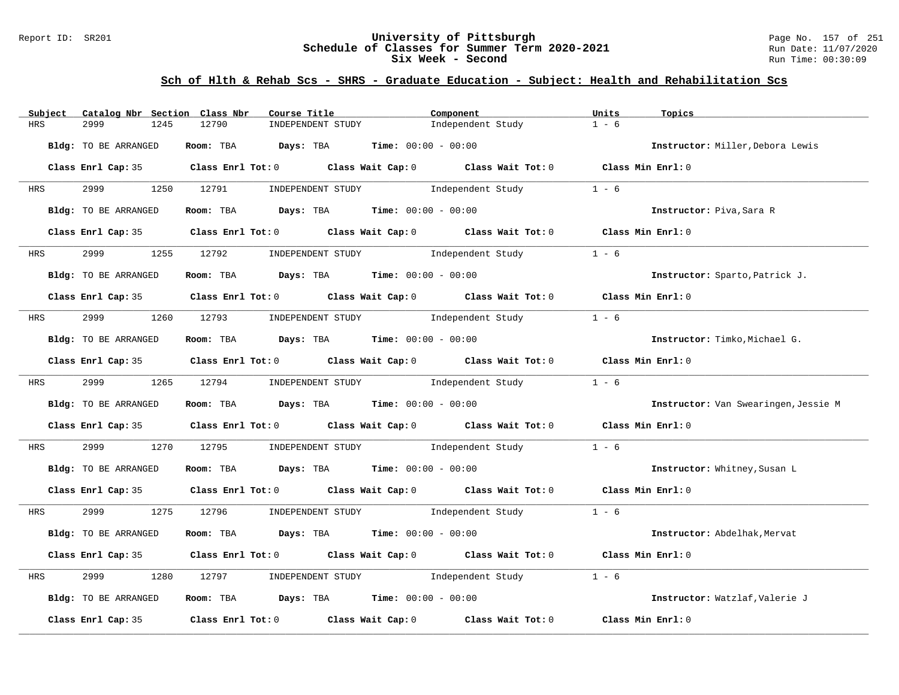### Report ID: SR201 **University of Pittsburgh** Page No. 157 of 251 **Schedule of Classes for Summer Term 2020-2021** Run Date: 11/07/2020 **Six Week - Second Run Time: 00:30:09**

| Catalog Nbr Section Class Nbr<br>Subject | Course Title                                                                                                        | Component         | Units<br>Topics                      |
|------------------------------------------|---------------------------------------------------------------------------------------------------------------------|-------------------|--------------------------------------|
| <b>HRS</b><br>2999<br>1245               | 12790<br>INDEPENDENT STUDY                                                                                          | Independent Study | $1 - 6$                              |
| Bldg: TO BE ARRANGED                     | Room: TBA $Days:$ TBA $Time: 00:00 - 00:00$                                                                         |                   | Instructor: Miller, Debora Lewis     |
|                                          | Class Enrl Cap: 35 Class Enrl Tot: 0 Class Wait Cap: 0 Class Wait Tot: 0 Class Min Enrl: 0                          |                   |                                      |
| 2999 — 200<br><b>HRS</b>                 | 1250 12791<br>INDEPENDENT STUDY 1ndependent Study                                                                   |                   | $1 - 6$                              |
| Bldg: TO BE ARRANGED                     | Room: TBA $Days:$ TBA $Time: 00:00 - 00:00$                                                                         |                   | Instructor: Piva, Sara R             |
|                                          | Class Enrl Cap: 35 Class Enrl Tot: 0 Class Wait Cap: 0 Class Wait Tot: 0 Class Min Enrl: 0                          |                   |                                      |
| HRS 2999                                 | 1255 12792 INDEPENDENT STUDY Independent Study                                                                      |                   | $1 - 6$                              |
| Bldg: TO BE ARRANGED                     | Room: TBA $\rule{1em}{0.15mm}$ Days: TBA Time: $00:00 - 00:00$                                                      |                   | Instructor: Sparto, Patrick J.       |
|                                          | Class Enrl Cap: 35 $\,$ Class Enrl Tot: 0 $\,$ Class Wait Cap: 0 $\,$ Class Wait Tot: 0 $\,$ Class Wait Tot: 0 $\,$ |                   | Class Min Enrl: 0                    |
| <b>HRS</b>                               | 2999 1260 12793 INDEPENDENT STUDY Independent Study                                                                 |                   | $1 - 6$                              |
| Bldg: TO BE ARRANGED                     | Room: TBA $\rule{1em}{0.15mm}$ Days: TBA $\rule{1.5mm}{0.15mm}$ Time: $00:00 - 00:00$                               |                   | Instructor: Timko, Michael G.        |
|                                          | Class Enrl Cap: 35 Class Enrl Tot: 0 Class Wait Cap: 0 Class Wait Tot: 0 Class Min Enrl: 0                          |                   |                                      |
|                                          | HRS 2999 1265 12794 INDEPENDENT STUDY Independent Study                                                             |                   | $1 - 6$                              |
| Bldg: TO BE ARRANGED                     | Room: TBA $Days:$ TBA $Time: 00:00 - 00:00$                                                                         |                   | Instructor: Van Swearingen, Jessie M |
|                                          | Class Enrl Cap: 35 Class Enrl Tot: 0 Class Wait Cap: 0 Class Wait Tot: 0 Class Min Enrl: 0                          |                   |                                      |
| 2999<br>HRS                              | 1270 12795 INDEPENDENT STUDY Independent Study                                                                      |                   | $1 - 6$                              |
| Bldg: TO BE ARRANGED                     | Room: TBA $Days:$ TBA $Time: 00:00 - 00:00$                                                                         |                   | Instructor: Whitney, Susan L         |
|                                          | Class Enrl Cap: 35 Class Enrl Tot: 0 Class Wait Cap: 0 Class Wait Tot: 0 Class Min Enrl: 0                          |                   |                                      |
| HRS                                      | 2999 1275 12796 INDEPENDENT STUDY Independent Study 1 - 6                                                           |                   |                                      |
| Bldg: TO BE ARRANGED                     | Room: TBA $Days:$ TBA $Time: 00:00 - 00:00$                                                                         |                   | Instructor: Abdelhak, Mervat         |
|                                          | Class Enrl Cap: 35 Class Enrl Tot: 0 Class Wait Cap: 0 Class Wait Tot: 0                                            |                   | Class Min Enrl: 0                    |
| 2999<br>1280<br>HRS                      | INDEPENDENT STUDY 1ndependent Study<br>12797                                                                        |                   | $1 - 6$                              |
| Bldg: TO BE ARRANGED                     | Room: TBA $Days: TBA$ Time: $00:00 - 00:00$                                                                         |                   | Instructor: Watzlaf, Valerie J       |
| Class Enrl Cap: 35                       | Class Enrl Tot: 0 $\qquad$ Class Wait Cap: 0 $\qquad$ Class Wait Tot: 0                                             |                   | Class Min Enrl: 0                    |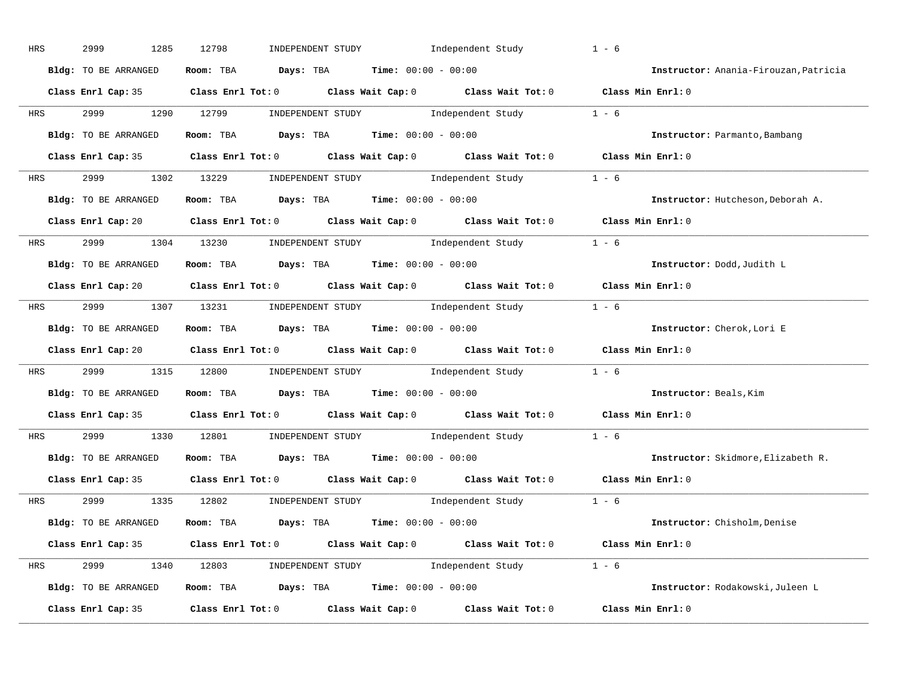| HRS        | 2999<br>1285         | 12798<br>INDEPENDENT STUDY                                                                 | Independent Study                                                                                                                                                                                                                                                                                                                                                                                         | $1 - 6$                               |
|------------|----------------------|--------------------------------------------------------------------------------------------|-----------------------------------------------------------------------------------------------------------------------------------------------------------------------------------------------------------------------------------------------------------------------------------------------------------------------------------------------------------------------------------------------------------|---------------------------------------|
|            | Bldg: TO BE ARRANGED | Room: TBA $Days:$ TBA $Time: 00:00 - 00:00$                                                |                                                                                                                                                                                                                                                                                                                                                                                                           | Instructor: Anania-Firouzan, Patricia |
|            |                      | Class Enrl Cap: 35 Class Enrl Tot: 0 Class Wait Cap: 0 Class Wait Tot: 0 Class Min Enrl: 0 |                                                                                                                                                                                                                                                                                                                                                                                                           |                                       |
| HRS        | 2999                 | 1290 12799                                                                                 | INDEPENDENT STUDY 1 - 6                                                                                                                                                                                                                                                                                                                                                                                   |                                       |
|            | Bldg: TO BE ARRANGED | Room: TBA $Days:$ TBA $Time: 00:00 - 00:00$                                                |                                                                                                                                                                                                                                                                                                                                                                                                           | Instructor: Parmanto, Bambang         |
|            |                      | Class Enrl Cap: 35 Class Enrl Tot: 0 Class Wait Cap: 0 Class Wait Tot: 0 Class Min Enrl: 0 |                                                                                                                                                                                                                                                                                                                                                                                                           |                                       |
| HRS        |                      | 2999 1302 13229 INDEPENDENT STUDY Independent Study 1 - 6                                  |                                                                                                                                                                                                                                                                                                                                                                                                           |                                       |
|            | Bldg: TO BE ARRANGED | Room: TBA $\rule{1em}{0.15mm}$ Days: TBA Time: $00:00 - 00:00$                             |                                                                                                                                                                                                                                                                                                                                                                                                           | Instructor: Hutcheson, Deborah A.     |
|            |                      | Class Enrl Cap: 20 Class Enrl Tot: 0 Class Wait Cap: 0 Class Wait Tot: 0 Class Min Enrl: 0 |                                                                                                                                                                                                                                                                                                                                                                                                           |                                       |
| <b>HRS</b> | 2999 1304 13230      |                                                                                            | INDEPENDENT STUDY 1 - 6                                                                                                                                                                                                                                                                                                                                                                                   |                                       |
|            | Bldg: TO BE ARRANGED | Room: TBA $\rule{1em}{0.5em}$ Days: TBA $\rule{1.5em}{0.5em}$ Time: $00:00 - 00:00$        |                                                                                                                                                                                                                                                                                                                                                                                                           | Instructor: Dodd, Judith L            |
|            |                      | Class Enrl Cap: 20 Class Enrl Tot: 0 Class Wait Cap: 0 Class Wait Tot: 0 Class Min Enrl: 0 |                                                                                                                                                                                                                                                                                                                                                                                                           |                                       |
|            |                      | HRS 2999 1307 13231 INDEPENDENT STUDY Independent Study 1 - 6                              |                                                                                                                                                                                                                                                                                                                                                                                                           |                                       |
|            | Bldg: TO BE ARRANGED | Room: TBA $Days:$ TBA $Time:$ 00:00 - 00:00                                                |                                                                                                                                                                                                                                                                                                                                                                                                           | Instructor: Cherok, Lori E            |
|            |                      | Class Enrl Cap: 20 Class Enrl Tot: 0 Class Wait Cap: 0 Class Wait Tot: 0 Class Min Enrl: 0 |                                                                                                                                                                                                                                                                                                                                                                                                           |                                       |
| HRS        |                      | 2999 1315 12800 INDEPENDENT STUDY Independent Study 1 - 6                                  |                                                                                                                                                                                                                                                                                                                                                                                                           |                                       |
|            | Bldg: TO BE ARRANGED | Room: TBA Days: TBA Time: $00:00 - 00:00$                                                  |                                                                                                                                                                                                                                                                                                                                                                                                           | Instructor: Beals, Kim                |
|            |                      | Class Enrl Cap: 35 Class Enrl Tot: 0 Class Wait Cap: 0 Class Wait Tot: 0 Class Min Enrl: 0 |                                                                                                                                                                                                                                                                                                                                                                                                           |                                       |
| HRS        | 2999 700<br>1330     | 12801                                                                                      | $\begin{minipage}[c]{0.9\linewidth} \textbf{INDEX} & \textbf{STUDY} \\ \textbf{1 - 6} & \textbf{1 - 6} \\ \textbf{2 - 1 - 6} & \textbf{1 - 6} \\ \textbf{3 - 1 - 6} & \textbf{1 - 6} \\ \textbf{4 - 1 - 6} & \textbf{1 - 6} \\ \textbf{5 - 1 - 6} & \textbf{1 - 6} \\ \textbf{6 - 1 - 6} & \textbf{1 - 6} \\ \textbf{7 - 1 - 6} & \textbf{1 - 6} \\ \textbf{8 - 1 - 6} & \textbf{1 - 6} \\ \textbf{1 - 6$ |                                       |
|            | Bldg: TO BE ARRANGED | Room: TBA $Days: TBA$ Time: $00:00 - 00:00$                                                |                                                                                                                                                                                                                                                                                                                                                                                                           | Instructor: Skidmore, Elizabeth R.    |
|            |                      | Class Enrl Cap: 35 Class Enrl Tot: 0 Class Wait Cap: 0 Class Wait Tot: 0                   |                                                                                                                                                                                                                                                                                                                                                                                                           | Class Min Enrl: 0                     |
| HRS        | 2999                 | 1335 12802                                                                                 | INDEPENDENT STUDY 1 - 6                                                                                                                                                                                                                                                                                                                                                                                   |                                       |
|            | Bldg: TO BE ARRANGED | Room: TBA $Days:$ TBA $Time:$ $00:00 - 00:00$                                              |                                                                                                                                                                                                                                                                                                                                                                                                           | Instructor: Chisholm, Denise          |
|            |                      | Class Enrl Cap: 35 Class Enrl Tot: 0 Class Wait Cap: 0 Class Wait Tot: 0 Class Min Enrl: 0 |                                                                                                                                                                                                                                                                                                                                                                                                           |                                       |
|            |                      | HRS 2999 1340 12803 INDEPENDENT STUDY Independent Study 1 - 6                              |                                                                                                                                                                                                                                                                                                                                                                                                           |                                       |
|            | Bldg: TO BE ARRANGED | Room: TBA $Days:$ TBA $Time:$ $00:00 - 00:00$                                              |                                                                                                                                                                                                                                                                                                                                                                                                           | Instructor: Rodakowski, Juleen L      |
|            | Class Enrl Cap: 35   |                                                                                            | Class Enrl Tot: 0 Class Wait Cap: 0 Class Wait Tot: 0                                                                                                                                                                                                                                                                                                                                                     | Class Min Enrl: 0                     |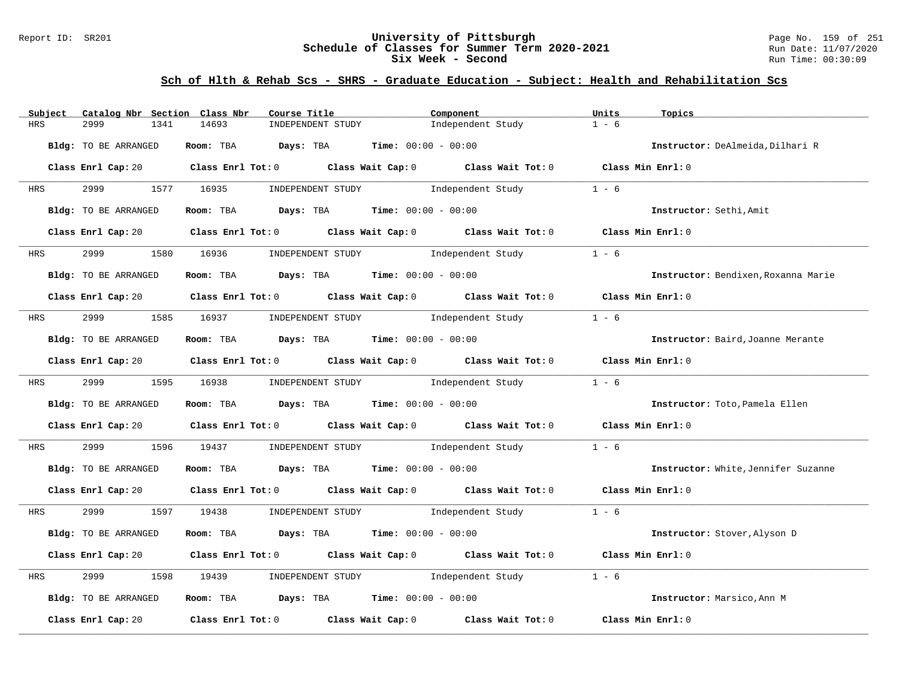### Report ID: SR201 **University of Pittsburgh** Page No. 159 of 251 **Schedule of Classes for Summer Term 2020-2021** Run Date: 11/07/2020 **Six Week - Second Run Time: 00:30:09**

| Catalog Nbr Section Class Nbr<br>Subject | Course Title                                                                                                                   | Component         | Units<br>Topics                     |
|------------------------------------------|--------------------------------------------------------------------------------------------------------------------------------|-------------------|-------------------------------------|
| <b>HRS</b><br>2999<br>1341               | 14693<br>INDEPENDENT STUDY                                                                                                     | Independent Study | $1 - 6$                             |
| Bldg: TO BE ARRANGED                     | Room: TBA $Days:$ TBA $Time: 00:00 - 00:00$                                                                                    |                   | Instructor: DeAlmeida, Dilhari R    |
|                                          | Class Enrl Cap: 20 Class Enrl Tot: 0 Class Wait Cap: 0 Class Wait Tot: 0 Class Min Enrl: 0                                     |                   |                                     |
| 2999 120<br><b>HRS</b>                   | 1577 16935<br>INDEPENDENT STUDY 1ndependent Study                                                                              |                   | $1 - 6$                             |
| Bldg: TO BE ARRANGED                     | Room: TBA $Days:$ TBA $Time: 00:00 - 00:00$                                                                                    |                   | Instructor: Sethi, Amit             |
|                                          | Class Enrl Cap: 20 Class Enrl Tot: 0 Class Wait Cap: 0 Class Wait Tot: 0 Class Min Enrl: 0                                     |                   |                                     |
|                                          |                                                                                                                                |                   | $1 - 6$                             |
| Bldg: TO BE ARRANGED                     | Room: TBA $\rule{1em}{0.15mm}$ Days: TBA Time: $00:00 - 00:00$                                                                 |                   | Instructor: Bendixen, Roxanna Marie |
|                                          | Class Enrl Cap: 20 Class Enrl Tot: 0 Class Wait Cap: 0 Class Wait Tot: 0 Class Min Enrl: 0                                     |                   |                                     |
|                                          | HRS 2999 1585 16937 INDEPENDENT STUDY Independent Study                                                                        |                   | $1 - 6$                             |
| Bldg: TO BE ARRANGED                     | Room: TBA $Days:$ TBA $Time: 00:00 - 00:00$                                                                                    |                   | Instructor: Baird, Joanne Merante   |
|                                          | Class Enrl Cap: 20 Class Enrl Tot: 0 Class Wait Cap: 0 Class Wait Tot: 0 Class Min Enrl: 0                                     |                   |                                     |
|                                          | HRS 2999 1595 16938 INDEPENDENT STUDY Independent Study                                                                        |                   | $1 - 6$                             |
| Bldg: TO BE ARRANGED                     | Room: TBA $Days:$ TBA $Time: 00:00 - 00:00$                                                                                    |                   | Instructor: Toto, Pamela Ellen      |
|                                          | Class Enrl Cap: 20 Class Enrl Tot: 0 Class Wait Cap: 0 Class Wait Tot: 0 Class Min Enrl: 0                                     |                   |                                     |
| 2999<br>HRS                              | 1596 19437 INDEPENDENT STUDY 1ndependent Study                                                                                 |                   | $1 - 6$                             |
| Bldg: TO BE ARRANGED                     | Room: TBA $Days:$ TBA $Time: 00:00 - 00:00$                                                                                    |                   | Instructor: White, Jennifer Suzanne |
|                                          | Class Enrl Cap: 20 $\qquad$ Class Enrl Tot: 0 $\qquad$ Class Wait Cap: 0 $\qquad$ Class Wait Tot: 0 $\qquad$ Class Min Enrl: 0 |                   |                                     |
| HRS                                      |                                                                                                                                |                   |                                     |
| Bldg: TO BE ARRANGED                     | Room: TBA $Days:$ TBA $Time: 00:00 - 00:00$                                                                                    |                   | Instructor: Stover, Alyson D        |
|                                          | Class Enrl Cap: 20 $\qquad$ Class Enrl Tot: 0 $\qquad$ Class Wait Cap: 0 $\qquad$ Class Wait Tot: 0                            |                   | Class Min Enrl: 0                   |
| 2999<br>HRS<br>1598                      | INDEPENDENT STUDY 1ndependent Study<br>19439                                                                                   |                   | $1 - 6$                             |
| Bldg: TO BE ARRANGED                     | Room: TBA $Days:$ TBA $Time: 00:00 - 00:00$                                                                                    |                   | Instructor: Marsico, Ann M          |
| Class Enrl Cap: 20                       | Class Enrl Tot: $0$ Class Wait Cap: $0$ Class Wait Tot: $0$                                                                    |                   | Class Min Enrl: 0                   |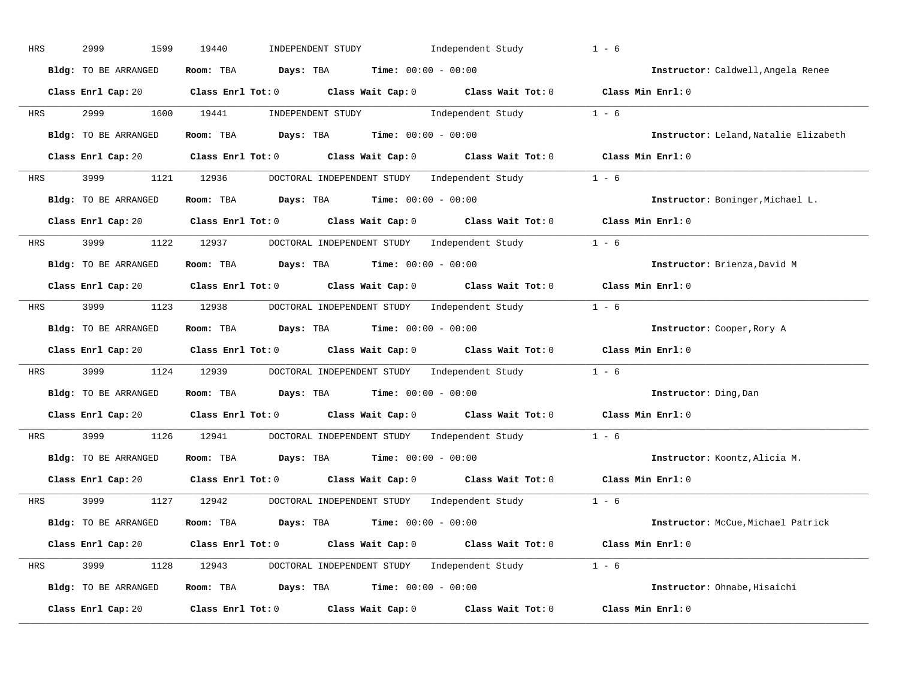| HRS | 2999<br>1599         | 19440<br>INDEPENDENT STUDY<br>Independent Study                                                                                                                                                                                                                                                                                                                                                                                                                                                                                                                               | $1 - 6$                               |
|-----|----------------------|-------------------------------------------------------------------------------------------------------------------------------------------------------------------------------------------------------------------------------------------------------------------------------------------------------------------------------------------------------------------------------------------------------------------------------------------------------------------------------------------------------------------------------------------------------------------------------|---------------------------------------|
|     | Bldg: TO BE ARRANGED | Room: TBA $Days:$ TBA $Time: 00:00 - 00:00$                                                                                                                                                                                                                                                                                                                                                                                                                                                                                                                                   | Instructor: Caldwell, Angela Renee    |
|     |                      | Class Enrl Cap: 20 Class Enrl Tot: 0 Class Wait Cap: 0 Class Wait Tot: 0 Class Min Enrl: 0                                                                                                                                                                                                                                                                                                                                                                                                                                                                                    |                                       |
| HRS |                      | $\begin{minipage}[c]{0.9\linewidth} \textbf{INDEX} & \textbf{STUDY} \\ \textbf{Index} & \textbf{Index} \\ \textbf{Index} & \textbf{Index} \\ \textbf{Index} & \textbf{Index} \\ \textbf{Index} & \textbf{Index} \\ \textbf{Index} & \textbf{Index} \\ \textbf{Index} & \textbf{Index} \\ \textbf{Index} & \textbf{Index} \\ \textbf{Index} & \textbf{Index} \\ \textbf{Index} & \textbf{Index} \\ \textbf{Index} & \textbf{Index} \\ \textbf{Index} & \textbf{Index} \\ \textbf{Index} & \textbf{Index} \\ \textbf{Index} & \textbf{Index} \\ \textbf{Index} &$<br>1600 19441 |                                       |
|     | Bldg: TO BE ARRANGED | Room: TBA $Days:$ TBA $Time: 00:00 - 00:00$                                                                                                                                                                                                                                                                                                                                                                                                                                                                                                                                   | Instructor: Leland, Natalie Elizabeth |
|     |                      | Class Enrl Cap: 20 Class Enrl Tot: 0 Class Wait Cap: 0 Class Wait Tot: 0 Class Min Enrl: 0                                                                                                                                                                                                                                                                                                                                                                                                                                                                                    |                                       |
| HRS |                      | 3999 1121 12936 DOCTORAL INDEPENDENT STUDY Independent Study 1 - 6                                                                                                                                                                                                                                                                                                                                                                                                                                                                                                            |                                       |
|     | Bldg: TO BE ARRANGED | Room: TBA $Days: TBA$ Time: $00:00 - 00:00$                                                                                                                                                                                                                                                                                                                                                                                                                                                                                                                                   | Instructor: Boninger, Michael L.      |
|     |                      | Class Enrl Cap: 20 Class Enrl Tot: 0 Class Wait Cap: 0 Class Wait Tot: 0 Class Min Enrl: 0                                                                                                                                                                                                                                                                                                                                                                                                                                                                                    |                                       |
| HRS | 3999 (1984)          | 1122 12937 DOCTORAL INDEPENDENT STUDY Independent Study 1 - 6                                                                                                                                                                                                                                                                                                                                                                                                                                                                                                                 |                                       |
|     | Bldg: TO BE ARRANGED | Room: TBA $Days:$ TBA $Time: 00:00 - 00:00$                                                                                                                                                                                                                                                                                                                                                                                                                                                                                                                                   | Instructor: Brienza, David M          |
|     |                      | Class Enrl Cap: 20 Class Enrl Tot: 0 Class Wait Cap: 0 Class Wait Tot: 0 Class Min Enrl: 0                                                                                                                                                                                                                                                                                                                                                                                                                                                                                    |                                       |
| HRS |                      | 3999 1123 12938 DOCTORAL INDEPENDENT STUDY Independent Study 1 - 6                                                                                                                                                                                                                                                                                                                                                                                                                                                                                                            |                                       |
|     | Bldg: TO BE ARRANGED | Room: TBA $Days:$ TBA $Time: 00:00 - 00:00$                                                                                                                                                                                                                                                                                                                                                                                                                                                                                                                                   | Instructor: Cooper, Rory A            |
|     |                      | Class Enrl Cap: 20 Class Enrl Tot: 0 Class Wait Cap: 0 Class Wait Tot: 0 Class Min Enrl: 0                                                                                                                                                                                                                                                                                                                                                                                                                                                                                    |                                       |
| HRS | 3999                 | 1124 12939 DOCTORAL INDEPENDENT STUDY Independent Study 1 - 6                                                                                                                                                                                                                                                                                                                                                                                                                                                                                                                 |                                       |
|     | Bldg: TO BE ARRANGED | Room: TBA $Days:$ TBA $Time: 00:00 - 00:00$                                                                                                                                                                                                                                                                                                                                                                                                                                                                                                                                   | Instructor: Ding, Dan                 |
|     |                      | Class Enrl Cap: 20 $\qquad$ Class Enrl Tot: 0 $\qquad$ Class Wait Cap: 0 $\qquad$ Class Wait Tot: 0                                                                                                                                                                                                                                                                                                                                                                                                                                                                           | Class Min Enrl: 0                     |
| HRS | 3999 700             | 1126 12941<br>DOCTORAL INDEPENDENT STUDY Independent Study 1 - 6                                                                                                                                                                                                                                                                                                                                                                                                                                                                                                              |                                       |
|     | Bldg: TO BE ARRANGED | Room: TBA $Days:$ TBA $Time: 00:00 - 00:00$                                                                                                                                                                                                                                                                                                                                                                                                                                                                                                                                   | Instructor: Koontz, Alicia M.         |
|     | Class Enrl Cap: 20   | Class Enrl Tot: $0$ $2$ Class Wait Cap: $0$ $2$ Class Wait Tot: $0$                                                                                                                                                                                                                                                                                                                                                                                                                                                                                                           | Class Min Enrl: 0                     |
| HRS | 3999                 | DOCTORAL INDEPENDENT STUDY Independent Study 1 - 6<br>1127 12942                                                                                                                                                                                                                                                                                                                                                                                                                                                                                                              |                                       |
|     | Bldg: TO BE ARRANGED | Room: TBA $\rule{1em}{0.15mm}$ Days: TBA $\rule{1.15mm}]{0.15mm}$ Time: $0.000 - 0.000$                                                                                                                                                                                                                                                                                                                                                                                                                                                                                       | Instructor: McCue, Michael Patrick    |
|     |                      | Class Enrl Cap: 20 Class Enrl Tot: 0 Class Wait Cap: 0 Class Wait Tot: 0 Class Min Enrl: 0                                                                                                                                                                                                                                                                                                                                                                                                                                                                                    |                                       |
| HRS |                      | 3999 1128 12943 DOCTORAL INDEPENDENT STUDY Independent Study 1 - 6                                                                                                                                                                                                                                                                                                                                                                                                                                                                                                            |                                       |
|     | Bldg: TO BE ARRANGED | Room: TBA $Days: TBA$ Time: $00:00 - 00:00$                                                                                                                                                                                                                                                                                                                                                                                                                                                                                                                                   | Instructor: Ohnabe, Hisaichi          |
|     | Class Enrl Cap: 20   | Class Enrl Tot: $0$ Class Wait Cap: $0$ Class Wait Tot: $0$                                                                                                                                                                                                                                                                                                                                                                                                                                                                                                                   | Class Min Enrl: 0                     |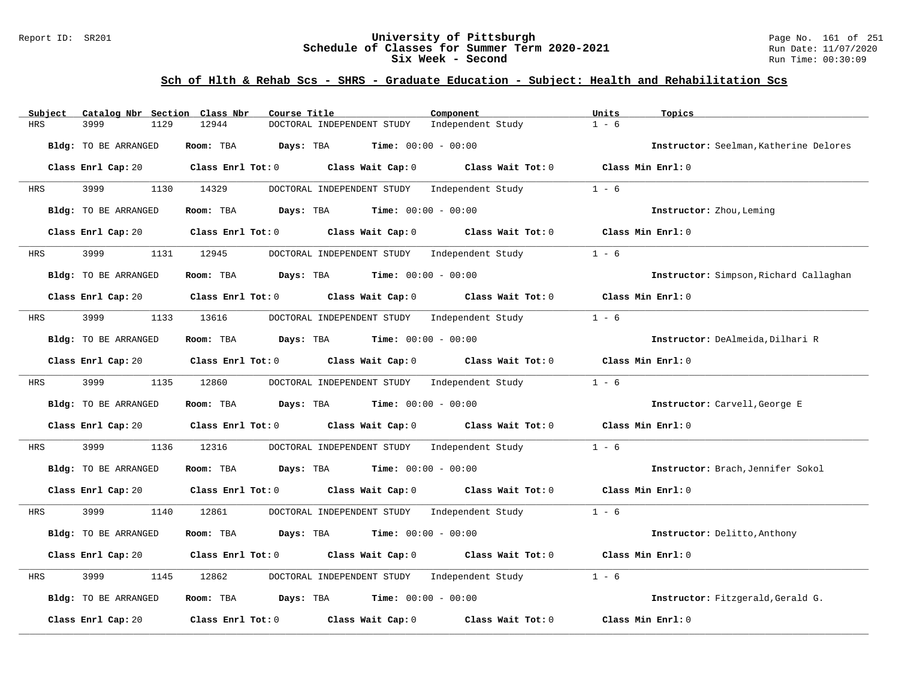### Report ID: SR201 **University of Pittsburgh** Page No. 161 of 251 **Schedule of Classes for Summer Term 2020-2021** Run Date: 11/07/2020 **Six Week - Second Run Time: 00:30:09**

| Catalog Nbr Section Class Nbr<br>Subject | Course Title                                                | Component                           | Units<br>Topics                        |
|------------------------------------------|-------------------------------------------------------------|-------------------------------------|----------------------------------------|
| <b>HRS</b><br>3999<br>1129               | 12944<br>DOCTORAL INDEPENDENT STUDY                         | Independent Study                   | $1 - 6$                                |
| Bldg: TO BE ARRANGED                     | Room: TBA<br>Days: TBA                                      | <b>Time:</b> $00:00 - 00:00$        | Instructor: Seelman, Katherine Delores |
| Class Enrl Cap: 20                       | Class Enrl Tot: $0$ Class Wait Cap: $0$ Class Wait Tot: $0$ |                                     | Class Min Enrl: 0                      |
| 3999<br>1130<br>HRS                      | 14329<br>DOCTORAL INDEPENDENT STUDY Independent Study       |                                     | $1 - 6$                                |
| Bldg: TO BE ARRANGED                     | <b>Days:</b> TBA <b>Time:</b> $00:00 - 00:00$<br>Room: TBA  |                                     | Instructor: Zhou, Leming               |
| Class Enrl Cap: 20                       | $Class$ $Enr1$ $Tot: 0$<br>Class Wait Cap: 0                | Class Wait Tot: 0                   | Class Min Enrl: 0                      |
| 3999<br>HRS                              | 1131 12945<br>DOCTORAL INDEPENDENT STUDY Independent Study  |                                     | $1 - 6$                                |
| Bldg: TO BE ARRANGED                     | Room: TBA<br>Days: TBA                                      | <b>Time:</b> $00:00 - 00:00$        | Instructor: Simpson, Richard Callaghan |
| Class Enrl Cap: 20                       | Class Enrl Tot: $0$ Class Wait Cap: $0$ Class Wait Tot: $0$ |                                     | Class Min Enrl: 0                      |
| 3999<br>1133<br>HRS                      | DOCTORAL INDEPENDENT STUDY Independent Study<br>13616       |                                     | $1 - 6$                                |
| Bldg: TO BE ARRANGED                     | <b>Days:</b> TBA <b>Time:</b> $00:00 - 00:00$<br>Room: TBA  |                                     | Instructor: DeAlmeida, Dilhari R       |
| Class Enrl Cap: 20                       | Class Enrl Tot: 0 Class Wait Cap: 0                         | Class Wait Tot: 0                   | Class Min Enrl: 0                      |
| 3999<br>1135<br>HRS                      | 12860<br>DOCTORAL INDEPENDENT STUDY Independent Study       |                                     | $1 - 6$                                |
| Bldg: TO BE ARRANGED                     | Room: TBA<br><b>Days:</b> TBA <b>Time:</b> $00:00 - 00:00$  |                                     | Instructor: Carvell, George E          |
| Class Enrl Cap: 20                       | $Class$ $Enr1$ $Tot: 0$                                     | Class Wait Cap: 0 Class Wait Tot: 0 | Class Min Enrl: 0                      |
| 3999<br>1136<br>HRS                      | DOCTORAL INDEPENDENT STUDY Independent Study<br>12316       |                                     | $1 - 6$                                |
| Bldg: TO BE ARRANGED                     | Room: TBA<br><b>Days:</b> TBA <b>Time:</b> $00:00 - 00:00$  |                                     | Instructor: Brach, Jennifer Sokol      |
| Class Enrl Cap: 20                       | Class Enrl Tot: $0$ Class Wait Cap: $0$ Class Wait Tot: $0$ |                                     | Class Min Enrl: 0                      |
| 3999<br>1140<br><b>HRS</b>               | 12861<br>DOCTORAL INDEPENDENT STUDY Independent Study       |                                     | $1 - 6$                                |
| Bldg: TO BE ARRANGED                     | Room: TBA<br>Days: TBA                                      | <b>Time:</b> $00:00 - 00:00$        | Instructor: Delitto, Anthony           |
| Class Enrl Cap: 20                       | Class Enrl Tot: 0 Class Wait Cap: 0 Class Wait Tot: 0       |                                     | Class Min Enrl: 0                      |
| 3999<br>HRS<br>1145                      | 12862<br>DOCTORAL INDEPENDENT STUDY                         | Independent Study                   | $1 - 6$                                |
| Bldg: TO BE ARRANGED                     | <b>Days:</b> TBA <b>Time:</b> $00:00 - 00:00$<br>Room: TBA  |                                     | Instructor: Fitzgerald, Gerald G.      |
| Class Enrl Cap: 20                       | Class Enrl Tot: 0 Class Wait Cap: 0                         | Class Wait Tot: 0                   | Class Min Enrl: 0                      |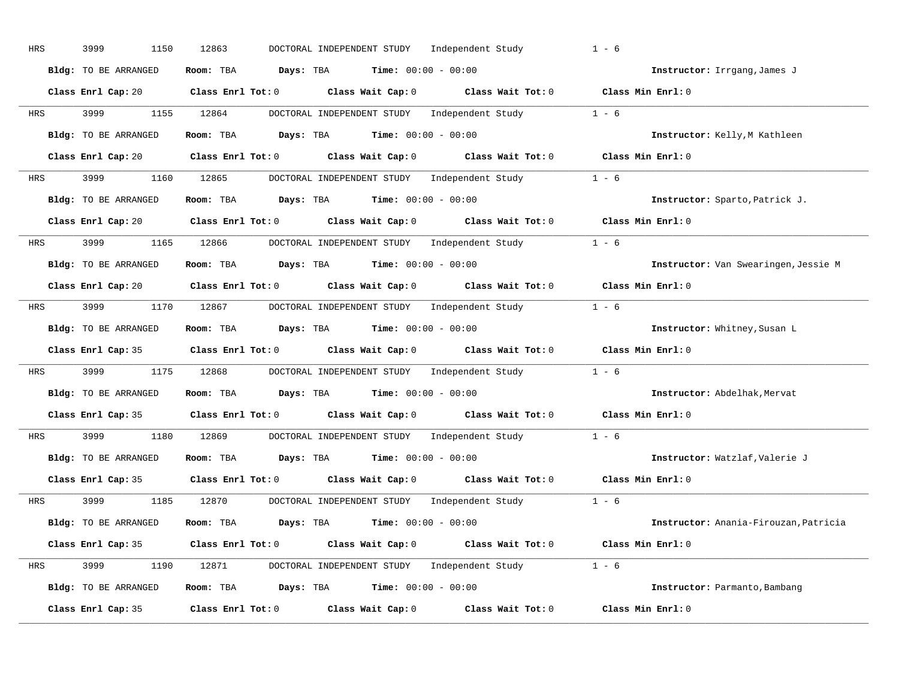| HRS | 3999<br>1150         | 12863<br>DOCTORAL INDEPENDENT STUDY<br>Independent Study                                           | $1 - 6$                               |
|-----|----------------------|----------------------------------------------------------------------------------------------------|---------------------------------------|
|     | Bldg: TO BE ARRANGED | Room: TBA $Days:$ TBA $Time: 00:00 - 00:00$                                                        | Instructor: Irrgang, James J          |
|     |                      | Class Enrl Cap: 20 Class Enrl Tot: 0 Class Wait Cap: 0 Class Wait Tot: 0 Class Min Enrl: 0         |                                       |
| HRS | 3999                 | DOCTORAL INDEPENDENT STUDY Independent Study 1 - 6<br>1155 12864                                   |                                       |
|     | Bldg: TO BE ARRANGED | Room: TBA $Days:$ TBA $Time: 00:00 - 00:00$                                                        | Instructor: Kelly, M Kathleen         |
|     | Class Enrl Cap: 20   | Class Enrl Tot: 0 $\qquad$ Class Wait Cap: 0 $\qquad$ Class Wait Tot: 0 $\qquad$ Class Min Enrl: 0 |                                       |
| HRS | 3999 1160 12865      | DOCTORAL INDEPENDENT STUDY Independent Study 1 - 6                                                 |                                       |
|     | Bldg: TO BE ARRANGED | Room: TBA $Days:$ TBA $Time: 00:00 - 00:00$                                                        | Instructor: Sparto, Patrick J.        |
|     |                      | Class Enrl Cap: 20 Class Enrl Tot: 0 Class Wait Cap: 0 Class Wait Tot: 0 Class Min Enrl: 0         |                                       |
| HRS | 3999 700             | 1165 12866<br>DOCTORAL INDEPENDENT STUDY Independent Study 1 - 6                                   |                                       |
|     | Bldg: TO BE ARRANGED | Room: TBA $Days:$ TBA $Time: 00:00 - 00:00$                                                        | Instructor: Van Swearingen, Jessie M  |
|     |                      | Class Enrl Cap: 20 Class Enrl Tot: 0 Class Wait Cap: 0 Class Wait Tot: 0 Class Min Enrl: 0         |                                       |
| HRS |                      | 3999 1170 12867 DOCTORAL INDEPENDENT STUDY Independent Study 1 - 6                                 |                                       |
|     | Bldg: TO BE ARRANGED | Room: TBA $Days:$ TBA $Time: 00:00 - 00:00$                                                        | Instructor: Whitney, Susan L          |
|     |                      | Class Enrl Cap: 35 Class Enrl Tot: 0 Class Wait Cap: 0 Class Wait Tot: 0 Class Min Enrl: 0         |                                       |
| HRS | 3999<br>1175         | 12868 DOCTORAL INDEPENDENT STUDY Independent Study                                                 | $1 - 6$                               |
|     | Bldg: TO BE ARRANGED | Room: TBA $Days:$ TBA $Time: 00:00 - 00:00$                                                        | Instructor: Abdelhak, Mervat          |
|     |                      | Class Enrl Cap: 35 Class Enrl Tot: 0 Class Wait Cap: 0 Class Wait Tot: 0                           | Class Min Enrl: 0                     |
| HRS | 3999<br>1180         | 12869<br>DOCTORAL INDEPENDENT STUDY Independent Study                                              | $1 - 6$                               |
|     | Bldg: TO BE ARRANGED | Room: TBA $Days:$ TBA $Time: 00:00 - 00:00$                                                        | Instructor: Watzlaf, Valerie J        |
|     | Class Enrl Cap: 35   | Class Enrl Tot: $0$ Class Wait Cap: $0$ Class Wait Tot: $0$                                        | Class Min Enrl: 0                     |
| HRS | 3999                 | DOCTORAL INDEPENDENT STUDY Independent Study 1 - 6<br>1185 12870                                   |                                       |
|     | Bldg: TO BE ARRANGED | Room: TBA $Days:$ TBA $Time: 00:00 - 00:00$                                                        | Instructor: Anania-Firouzan, Patricia |
|     |                      | Class Enrl Cap: 35 Class Enrl Tot: 0 Class Wait Cap: 0 Class Wait Tot: 0 Class Min Enrl: 0         |                                       |
| HRS |                      | 3999 1190 12871 DOCTORAL INDEPENDENT STUDY Independent Study 1 - 6                                 |                                       |
|     | Bldg: TO BE ARRANGED | Room: TBA $Days:$ TBA $Time: 00:00 - 00:00$                                                        | Instructor: Parmanto, Bambang         |
|     | Class Enrl Cap: 35   | Class Enrl Tot: 0 Class Wait Cap: 0<br>Class Wait Tot: 0                                           | Class Min Enrl: 0                     |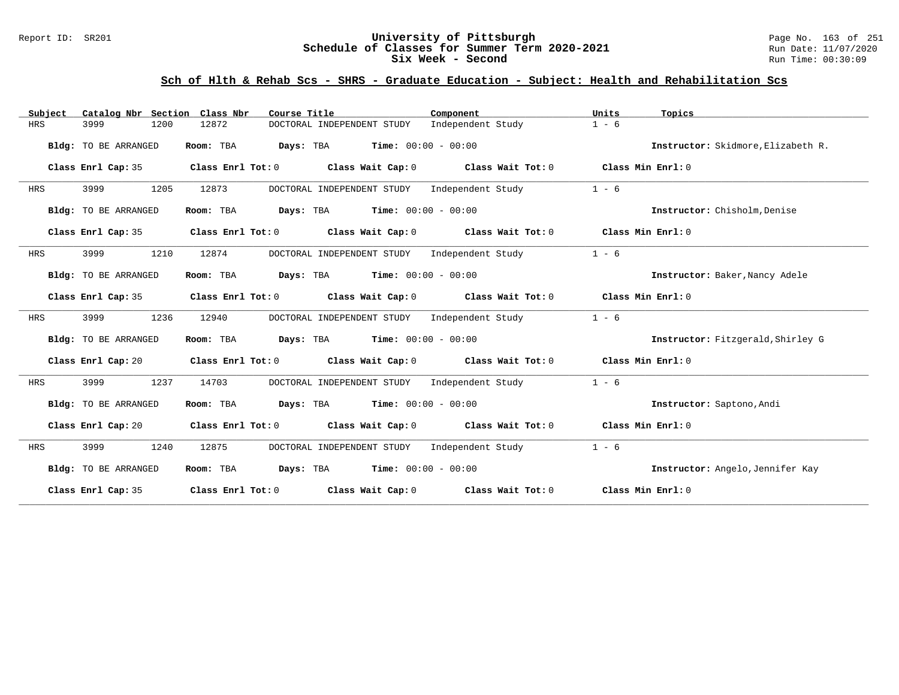### Report ID: SR201 **University of Pittsburgh** Page No. 163 of 251 **Schedule of Classes for Summer Term 2020-2021** Run Date: 11/07/2020 **Six Week - Second Run Time: 00:30:09**

| Catalog Nbr Section Class Nbr<br>Subject | Course Title                                                                                        | Component         | Units<br>Topics                    |
|------------------------------------------|-----------------------------------------------------------------------------------------------------|-------------------|------------------------------------|
| <b>HRS</b><br>3999<br>1200               | 12872<br>DOCTORAL INDEPENDENT STUDY                                                                 | Independent Study | $1 - 6$                            |
| Bldg: TO BE ARRANGED                     | <b>Days:</b> TBA <b>Time:</b> $00:00 - 00:00$<br>Room: TBA                                          |                   | Instructor: Skidmore, Elizabeth R. |
| Class Enrl Cap: 35                       | Class Enrl Tot: 0 $\qquad$ Class Wait Cap: 0 $\qquad$ Class Wait Tot: 0 $\qquad$ Class Min Enrl: 0  |                   |                                    |
| 3999<br>1205<br><b>HRS</b>               | 12873<br>DOCTORAL INDEPENDENT STUDY                                                                 | Independent Study | $1 - 6$                            |
| Bldg: TO BE ARRANGED                     | <b>Days:</b> TBA <b>Time:</b> $00:00 - 00:00$<br>Room: TBA                                          |                   | Instructor: Chisholm, Denise       |
| Class Enrl Cap: 35                       | Class Enrl Tot: $0$ Class Wait Cap: $0$ Class Wait Tot: $0$ Class Min Enrl: $0$                     |                   |                                    |
| 3999<br>1210<br>HRS                      | 12874<br>DOCTORAL INDEPENDENT STUDY                                                                 | Independent Study | $1 - 6$                            |
| Bldg: TO BE ARRANGED                     | <b>Days:</b> TBA <b>Time:</b> $00:00 - 00:00$<br>Room: TBA                                          |                   | Instructor: Baker, Nancy Adele     |
| Class Enrl Cap: 35                       | Class Enrl Tot: $0$ Class Wait Cap: $0$ Class Wait Tot: $0$ Class Min Enrl: $0$                     |                   |                                    |
| 3999<br>1236<br>HRS                      | 12940<br>DOCTORAL INDEPENDENT STUDY Independent Study                                               |                   | $1 - 6$                            |
| Bldg: TO BE ARRANGED                     | Room: TBA $Days:$ TBA $Time: 00:00 - 00:00$                                                         |                   | Instructor: Fitzgerald, Shirley G  |
| Class Enrl Cap: 20                       | Class Enrl Tot: $0$ Class Wait Cap: $0$ Class Wait Tot: $0$ Class Min Enrl: $0$                     |                   |                                    |
| 3999<br>1237<br>HRS                      | DOCTORAL INDEPENDENT STUDY Independent Study<br>14703                                               |                   | $1 - 6$                            |
| Bldg: TO BE ARRANGED                     | Room: TBA $Days:$ TBA $Time: 00:00 - 00:00$                                                         |                   | Instructor: Saptono, Andi          |
|                                          | Class Enrl Cap: 20 Class Enrl Tot: 0 Class Wait Cap: 0 Class Wait Tot: 0 Class Min Enrl: 0          |                   |                                    |
| 3999<br>1240<br>HRS                      | 12875<br>DOCTORAL INDEPENDENT STUDY Independent Study                                               |                   | $1 - 6$                            |
| Bldg: TO BE ARRANGED                     | Room: TBA $Days:$ TBA $Time: 00:00 - 00:00$                                                         |                   | Instructor: Angelo, Jennifer Kay   |
|                                          | Class Enrl Cap: 35 $\qquad$ Class Enrl Tot: 0 $\qquad$ Class Wait Cap: 0 $\qquad$ Class Wait Tot: 0 |                   | Class Min Enrl: 0                  |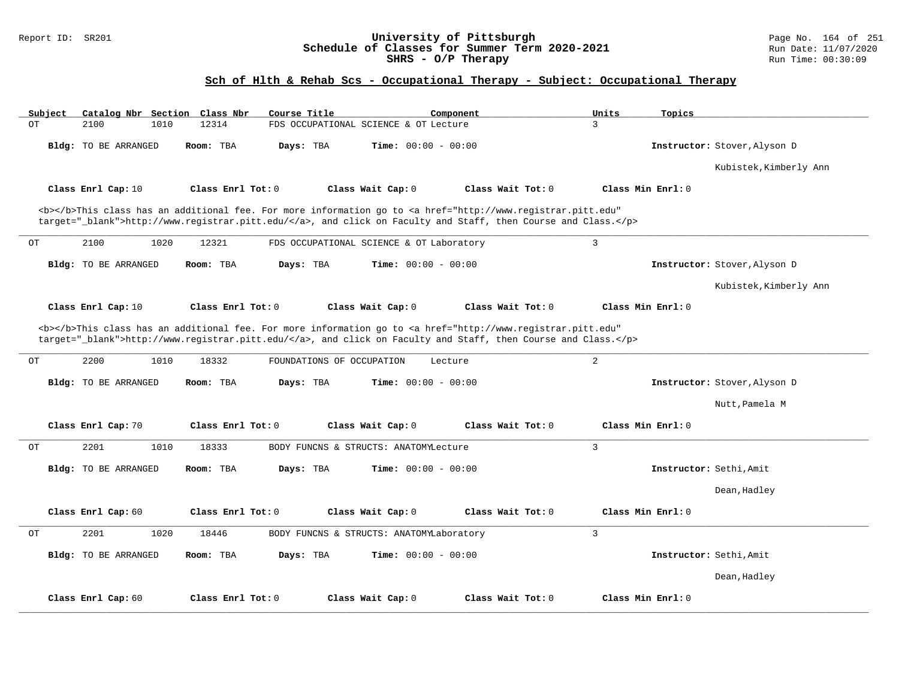#### Report ID: SR201 **University of Pittsburgh** Page No. 164 of 251 **Schedule of Classes for Summer Term 2020-2021** Run Date: 11/07/2020 **SHRS - O/P Therapy** Run Time: 00:30:09

# **Sch of Hlth & Rehab Scs - Occupational Therapy - Subject: Occupational Therapy**

| Subject<br>Catalog Nbr Section Class Nbr | Course Title                       | Component                                                                                                                                                                                                                          | Units<br>Topics         |                              |
|------------------------------------------|------------------------------------|------------------------------------------------------------------------------------------------------------------------------------------------------------------------------------------------------------------------------------|-------------------------|------------------------------|
| ОT<br>2100<br>1010                       | 12314                              | FDS OCCUPATIONAL SCIENCE & OT Lecture                                                                                                                                                                                              | $\mathbf{3}$            |                              |
| <b>Bldg:</b> TO BE ARRANGED              | Room: TBA<br>Days: TBA             | <b>Time:</b> $00:00 - 00:00$                                                                                                                                                                                                       |                         | Instructor: Stover, Alyson D |
|                                          |                                    |                                                                                                                                                                                                                                    |                         | Kubistek, Kimberly Ann       |
| Class Enrl Cap: 10                       | Class Enrl Tot: 0                  | Class Wait Cap: 0<br>Class Wait Tot: 0                                                                                                                                                                                             | Class Min Enrl: 0       |                              |
|                                          |                                    | <b></b> This class has an additional fee. For more information go to <a <br="" href="http://www.registrar.pitt.edu">target="_blank"&gt;http://www.registrar.pitt.edu/</a> , and click on Faculty and Staff, then Course and Class. |                         |                              |
| 2100<br>1020<br>OТ                       | 12321                              | FDS OCCUPATIONAL SCIENCE & OT Laboratory                                                                                                                                                                                           | $\mathbf{3}$            |                              |
| <b>Bldg:</b> TO BE ARRANGED              | Room: TBA<br>Days: TBA             | <b>Time:</b> $00:00 - 00:00$                                                                                                                                                                                                       |                         | Instructor: Stover, Alyson D |
|                                          |                                    |                                                                                                                                                                                                                                    |                         | Kubistek, Kimberly Ann       |
| Class Enrl Cap: 10                       | Class Enrl Tot: 0                  | Class Wait Cap: 0<br>Class Wait Tot: 0                                                                                                                                                                                             | Class Min Enrl: 0       |                              |
|                                          |                                    | <b></b> This class has an additional fee. For more information go to <a <br="" href="http://www.registrar.pitt.edu">target="_blank"&gt;http://www.registrar.pitt.edu/</a> , and click on Faculty and Staff, then Course and Class. |                         |                              |
| 2200<br>1010<br>OT                       | 18332<br>FOUNDATIONS OF OCCUPATION | Lecture                                                                                                                                                                                                                            | 2                       |                              |
| <b>Bldg:</b> TO BE ARRANGED              | Days: TBA<br>Room: TBA             | <b>Time:</b> $00:00 - 00:00$                                                                                                                                                                                                       |                         | Instructor: Stover, Alyson D |
|                                          |                                    |                                                                                                                                                                                                                                    |                         | Nutt, Pamela M               |
| Class Enrl Cap: 70                       | Class Enrl Tot: 0                  | Class Wait Cap: 0<br>Class Wait Tot: 0                                                                                                                                                                                             | Class Min Enrl: 0       |                              |
| 2201<br>1010<br>OТ                       | 18333                              | BODY FUNCNS & STRUCTS: ANATOMYLecture                                                                                                                                                                                              | 3                       |                              |
| <b>Bldg:</b> TO BE ARRANGED              | Days: TBA<br>Room: TBA             | <b>Time:</b> $00:00 - 00:00$                                                                                                                                                                                                       | Instructor: Sethi, Amit |                              |
|                                          |                                    |                                                                                                                                                                                                                                    |                         | Dean, Hadley                 |
| Class Enrl Cap: 60                       | Class Enrl Tot: 0                  | Class Wait Cap: 0<br>Class Wait Tot: 0                                                                                                                                                                                             | Class Min Enrl: 0       |                              |
| 2201<br>1020<br>OT                       | 18446                              | BODY FUNCNS & STRUCTS: ANATOMYLaboratory                                                                                                                                                                                           | $\overline{3}$          |                              |
| <b>Bldg:</b> TO BE ARRANGED              | Room: TBA<br>Days: TBA             | <b>Time:</b> $00:00 - 00:00$                                                                                                                                                                                                       | Instructor: Sethi, Amit |                              |
|                                          |                                    |                                                                                                                                                                                                                                    |                         | Dean, Hadley                 |
| Class Enrl Cap: 60                       | Class Enrl Tot: 0                  | Class Wait Tot: 0<br>Class Wait Cap: 0                                                                                                                                                                                             | Class Min Enrl: 0       |                              |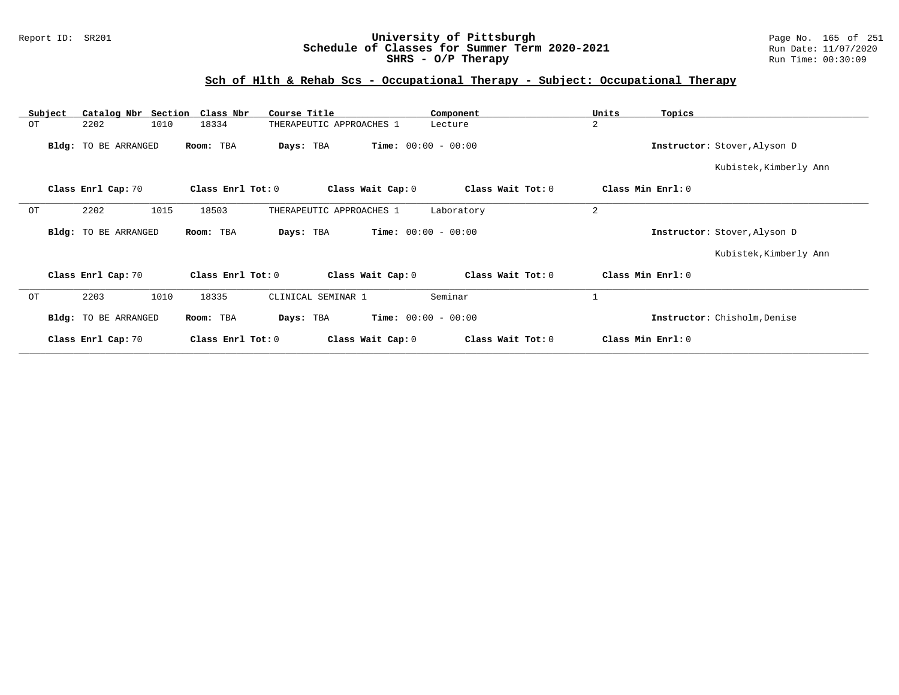### Report ID: SR201 **University of Pittsburgh** Page No. 165 of 251 **Schedule of Classes for Summer Term 2020-2021** Run Date: 11/07/2020 **SHRS - O/P Therapy Run Time:** 00:30:09

# **Sch of Hlth & Rehab Scs - Occupational Therapy - Subject: Occupational Therapy**

| Subject | Catalog Nbr Section  | Class Nbr<br>Course Title         | Component                              | Units<br>Topics              |  |
|---------|----------------------|-----------------------------------|----------------------------------------|------------------------------|--|
| ОT      | 2202<br>1010         | 18334<br>THERAPEUTIC APPROACHES 1 | Lecture                                | 2                            |  |
|         | Bldg: TO BE ARRANGED | Room: TBA<br>Days: TBA            | <b>Time:</b> $00:00 - 00:00$           | Instructor: Stover, Alyson D |  |
|         |                      |                                   |                                        | Kubistek, Kimberly Ann       |  |
|         | Class Enrl Cap: 70   | Class Enrl Tot: 0                 | Class Wait Tot: 0<br>Class Wait Cap: 0 | Class Min Enrl: 0            |  |
| ОT      | 1015<br>2202         | 18503<br>THERAPEUTIC APPROACHES 1 | Laboratory                             | 2                            |  |
|         | Bldg: TO BE ARRANGED | Room: TBA<br>Days: TBA            | <b>Time:</b> $00:00 - 00:00$           | Instructor: Stover, Alyson D |  |
|         |                      |                                   |                                        | Kubistek, Kimberly Ann       |  |
|         | Class Enrl Cap: 70   | Class Enrl Tot: 0                 | Class Wait Cap: 0<br>Class Wait Tot: 0 | Class Min Enrl: 0            |  |
| OT      | 2203<br>1010         | 18335<br>CLINICAL SEMINAR 1       | Seminar                                |                              |  |
|         | Bldg: TO BE ARRANGED | Room: TBA<br>Days: TBA            | <b>Time:</b> $00:00 - 00:00$           | Instructor: Chisholm, Denise |  |
|         | Class Enrl Cap: 70   | Class Enrl Tot: 0                 | Class Wait Cap: 0<br>Class Wait Tot: 0 | Class Min Enrl: 0            |  |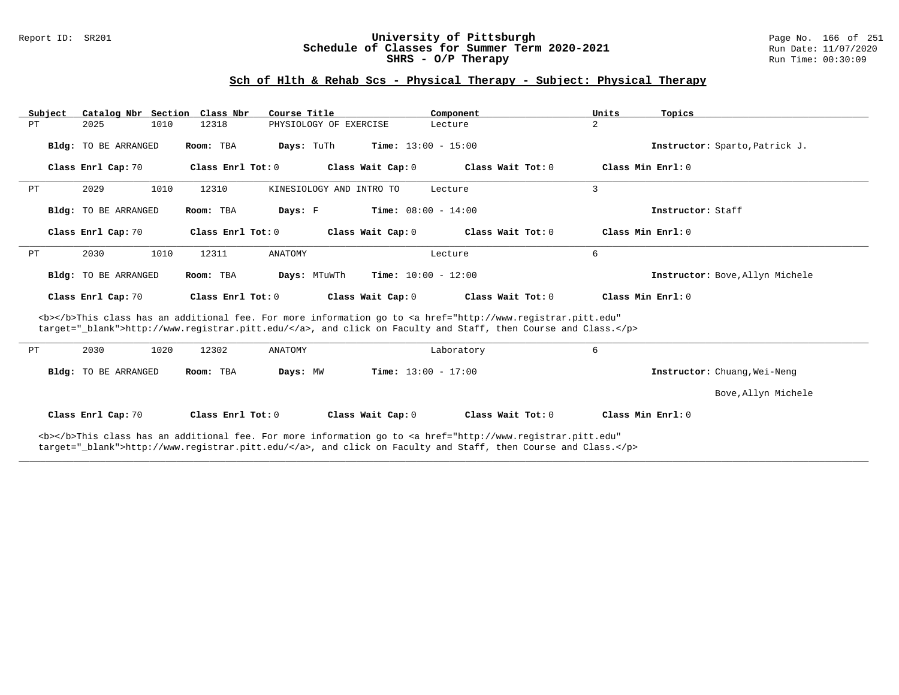#### Report ID: SR201 **1988 Manusia Contentiversity of Pittsburgh** Page No. 166 of 251 **University of Pittsburgh** Page No. 166 of 251 **Schedule of Classes for Summer Term 2020-2021** Run Date: 11/07/2020 **Schedule of Classes for Summer Term 2020-2021** Run Date: 11/07/2021<br>**SHRS - O/P Therapy** Run Time: 00:30:09 SHRS - O/P Therapy

### **Sch of Hlth & Rehab Scs - Physical Therapy - Subject: Physical Therapy**

| Subject | Catalog Nbr Section Class Nbr |                       | Course Title             | Component                    | Units<br>Topics                 |
|---------|-------------------------------|-----------------------|--------------------------|------------------------------|---------------------------------|
| PT      | 1010<br>2025                  | 12318                 | PHYSIOLOGY OF EXERCISE   | Lecture                      | 2                               |
|         | <b>Bldg:</b> TO BE ARRANGED   | Room: TBA             | Days: TuTh               | <b>Time:</b> $13:00 - 15:00$ | Instructor: Sparto, Patrick J.  |
|         | Class Enrl Cap: 70            | Class Enrl Tot: 0     | Class Wait Cap: 0        | Class Wait Tot: 0            | Class Min Enrl: 0               |
| PТ      | 2029<br>1010                  | 12310                 | KINESIOLOGY AND INTRO TO | Lecture                      | 3                               |
|         | <b>Bldg:</b> TO BE ARRANGED   | Room: TBA             | Days: F                  | <b>Time:</b> $08:00 - 14:00$ | Instructor: Staff               |
|         | Class Enrl Cap: 70            | Class Enrl Tot: 0     | Class Wait Cap: 0        | Class Wait Tot: 0            | Class Min Enrl: 0               |
| PT      | 2030<br>1010                  | 12311                 | ANATOMY                  | Lecture                      | 6                               |
|         | <b>Bldg:</b> TO BE ARRANGED   | Room: TBA             | Days: MTuWTh             | <b>Time:</b> $10:00 - 12:00$ | Instructor: Bove, Allyn Michele |
|         | Class Enrl Cap: 70            | Class $Enr1$ Tot: $0$ | Class Wait Cap: 0        | Class Wait Tot: 0            | Class Min Enrl: 0               |

<b></b>This class has an additional fee. For more information go to <a href="http://www.registrar.pitt.edu" target="\_blank">http://www.registrar.pitt.edu/</a>, and click on Faculty and Staff, then Course and Class.</p>

| PТ | 2030                 | 1020 | 12302             | ANATOMY  |                              | Laboratory        |                   |                              |
|----|----------------------|------|-------------------|----------|------------------------------|-------------------|-------------------|------------------------------|
|    | Bldg: TO BE ARRANGED |      | Room: TBA         | Days: MW | <b>Time:</b> $13:00 - 17:00$ |                   |                   | Instructor: Chuang, Wei-Neng |
|    |                      |      |                   |          |                              |                   |                   | Bove, Allyn Michele          |
|    | Class Enrl Cap: 70   |      | Class Enrl Tot: 0 |          | Class Wait Cap: 0            | Class Wait Tot: 0 | Class Min Enrl: 0 |                              |

**\_\_\_\_\_\_\_\_\_\_\_\_\_\_\_\_\_\_\_\_\_\_\_\_\_\_\_\_\_\_\_\_\_\_\_\_\_\_\_\_\_\_\_\_\_\_\_\_\_\_\_\_\_\_\_\_\_\_\_\_\_\_\_\_\_\_\_\_\_\_\_\_\_\_\_\_\_\_\_\_\_\_\_\_\_\_\_\_\_\_\_\_\_\_\_\_\_\_\_\_\_\_\_\_\_\_\_\_\_\_\_\_\_\_\_\_\_\_\_\_\_\_\_\_\_\_\_\_\_\_\_\_\_\_\_\_\_\_\_\_\_\_\_\_\_\_\_\_\_\_\_\_\_\_\_\_**

<b></b>This class has an additional fee. For more information go to <a href="http://www.registrar.pitt.edu" target="\_blank">http://www.registrar.pitt.edu/</a>, and click on Faculty and Staff, then Course and Class.</p>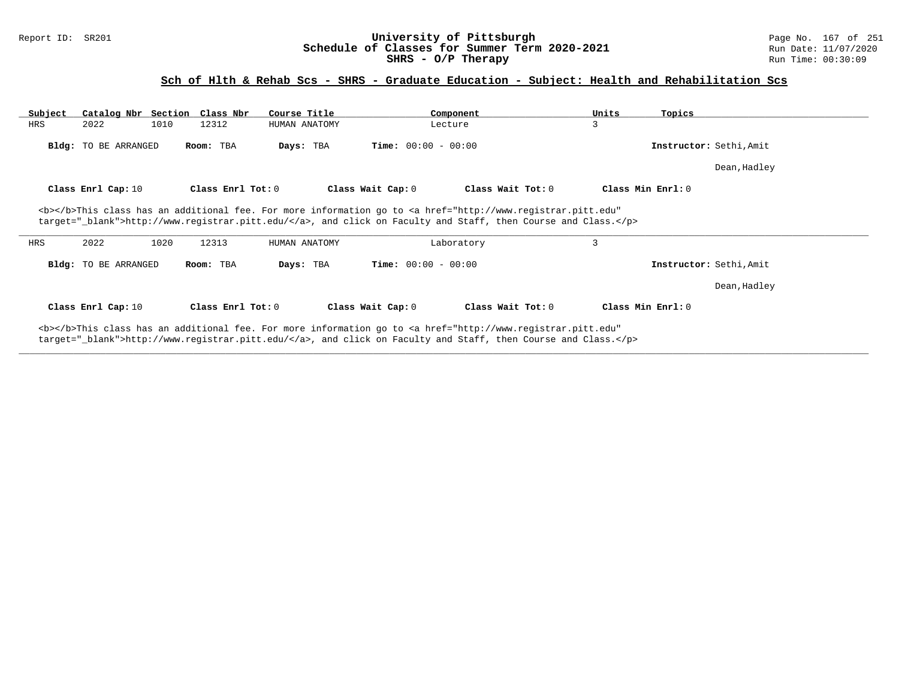#### Report ID: SR201 **1988 Chedule of Classes for Summer Term 2020-2021** Page No. 167 of 251 Chedule of Classes for Summer Term 2020-2021 Run Date: 11/07/2020 **Schedule of Classes for Summer Term 2020-2021** Run Date: 11/07/2020<br> **SHRS - O/P Therapy** Run Time: 00:30:09 SHRS - O/P Therapy

## **Sch of Hlth & Rehab Scs - SHRS - Graduate Education - Subject: Health and Rehabilitation Scs**

| Subject | Catalog Nbr Section Class Nbr |      |                   | Course Title  | Component                                                                                                                                               |                   | Units             | Topics                  |
|---------|-------------------------------|------|-------------------|---------------|---------------------------------------------------------------------------------------------------------------------------------------------------------|-------------------|-------------------|-------------------------|
| HRS     | 2022                          | 1010 | 12312             | HUMAN ANATOMY | Lecture                                                                                                                                                 |                   | 3                 |                         |
|         | Bldg: TO BE ARRANGED          |      | Room: TBA         | Days: TBA     | <b>Time:</b> $00:00 - 00:00$                                                                                                                            |                   |                   | Instructor: Sethi, Amit |
|         |                               |      |                   |               |                                                                                                                                                         |                   |                   | Dean, Hadley            |
|         | Class Enrl Cap: 10            |      | Class Enrl Tot: 0 |               | Class Wait Cap: 0                                                                                                                                       | Class Wait Tot: 0 | Class Min Enrl: 0 |                         |
|         |                               |      |                   |               | <b></b> This class has an additional fee. For more information go to <a <="" href="http://www.registrar.pitt.edu" td=""><td></td><td></td><td></td></a> |                   |                   |                         |
| HRS     | 2022                          | 1020 | 12313             | HUMAN ANATOMY | target=" blank">http://www.registrar.pitt.edu/, and click on Faculty and Staff, then Course and Class.<br>Laboratory                                    |                   | 3                 |                         |
|         | <b>Bldg:</b> TO BE ARRANGED   |      | Room: TBA         | Days: TBA     | <b>Time:</b> $00:00 - 00:00$                                                                                                                            |                   |                   | Instructor: Sethi, Amit |
|         |                               |      |                   |               |                                                                                                                                                         |                   |                   | Dean, Hadley            |
|         | Class Enrl Cap: 10            |      | Class Enrl Tot: 0 |               | Class Wait Cap: 0                                                                                                                                       | Class Wait Tot: 0 | Class Min Enrl: 0 |                         |

**\_\_\_\_\_\_\_\_\_\_\_\_\_\_\_\_\_\_\_\_\_\_\_\_\_\_\_\_\_\_\_\_\_\_\_\_\_\_\_\_\_\_\_\_\_\_\_\_\_\_\_\_\_\_\_\_\_\_\_\_\_\_\_\_\_\_\_\_\_\_\_\_\_\_\_\_\_\_\_\_\_\_\_\_\_\_\_\_\_\_\_\_\_\_\_\_\_\_\_\_\_\_\_\_\_\_\_\_\_\_\_\_\_\_\_\_\_\_\_\_\_\_\_\_\_\_\_\_\_\_\_\_\_\_\_\_\_\_\_\_\_\_\_\_\_\_\_\_\_\_\_\_\_\_\_\_**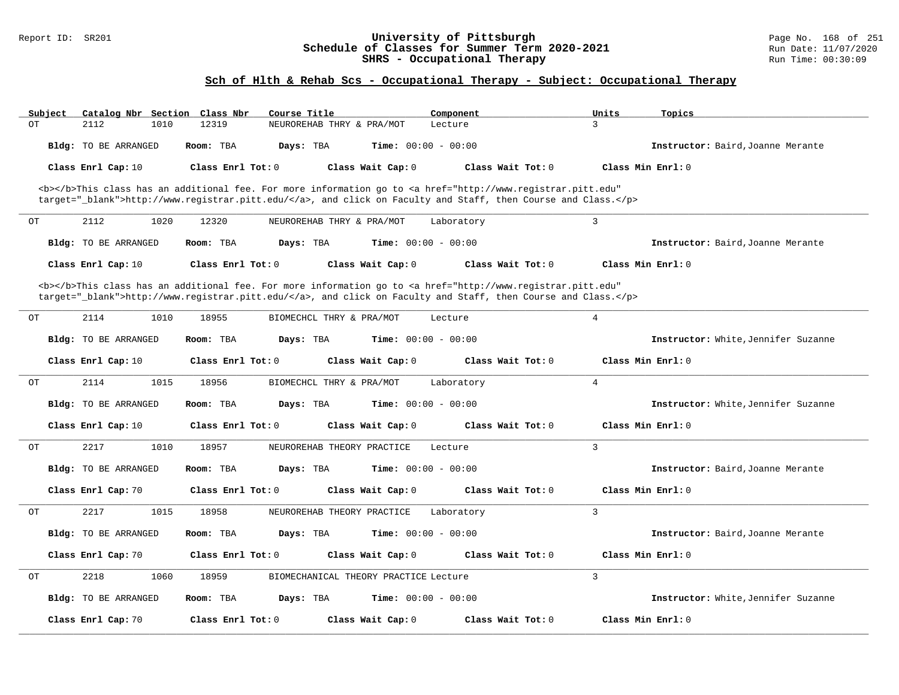#### Report ID: SR201 **University of Pittsburgh** Page No. 168 of 251 **Schedule of Classes for Summer Term 2020-2021** Run Date: 11/07/2020 **SHRS - Occupational Therapy Research SHRS - Occupational Therapy** Run Time: 00:30:09

## **Sch of Hlth & Rehab Scs - Occupational Therapy - Subject: Occupational Therapy**

| Subject | Catalog Nbr Section Class Nbr | Course Title                                                                                                                                   | Component                    | Units<br>Topics                     |
|---------|-------------------------------|------------------------------------------------------------------------------------------------------------------------------------------------|------------------------------|-------------------------------------|
| OT      | 2112<br>1010                  | 12319<br>NEUROREHAB THRY & PRA/MOT                                                                                                             | Lecture                      | 3                                   |
|         | Bldg: TO BE ARRANGED          | Room: TBA<br>Davs: TBA                                                                                                                         | <b>Time:</b> $00:00 - 00:00$ | Instructor: Baird, Joanne Merante   |
|         |                               | Class Enrl Tot: 0<br>Class Wait Cap: 0                                                                                                         | Class Wait Tot: 0            | Class Min Enrl: 0                   |
|         | Class Enrl Cap: 10            |                                                                                                                                                |                              |                                     |
|         |                               | <b></b> This class has an additional fee. For more information go to <a <="" href="http://www.registrar.pitt.edu" td=""><td></td><td></td></a> |                              |                                     |
|         |                               | target="_blank">http://www.registrar.pitt.edu/, and click on Faculty and Staff, then Course and Class.                                         |                              |                                     |
| ОT      | 2112<br>1020                  | 12320<br>NEUROREHAB THRY & PRA/MOT                                                                                                             | Laboratory                   | $\overline{3}$                      |
|         | Bldg: TO BE ARRANGED          | Room: TBA<br>Days: TBA                                                                                                                         | <b>Time:</b> $00:00 - 00:00$ | Instructor: Baird, Joanne Merante   |
|         | Class Enrl Cap: 10            | Class Enrl Tot: 0<br>Class Wait Cap: 0                                                                                                         | Class Wait Tot: 0            | Class Min Enrl: 0                   |
|         |                               | <b></b> This class has an additional fee. For more information go to <a <="" href="http://www.registrar.pitt.edu" td=""><td></td><td></td></a> |                              |                                     |
|         |                               | target="_blank">http://www.registrar.pitt.edu/, and click on Faculty and Staff, then Course and Class.                                         |                              |                                     |
| OТ      | 2114<br>1010                  | 18955<br>BIOMECHCL THRY & PRA/MOT                                                                                                              | Lecture                      | $\overline{4}$                      |
|         |                               |                                                                                                                                                |                              |                                     |
|         | Bldg: TO BE ARRANGED          | Room: TBA<br>Days: TBA                                                                                                                         | <b>Time:</b> $00:00 - 00:00$ | Instructor: White, Jennifer Suzanne |
|         | Class Enrl Cap: 10            | Class Enrl Tot: 0<br>Class Wait Cap: 0                                                                                                         | Class Wait Tot: 0            | Class Min Enrl: 0                   |
| OT      | 2114<br>1015                  | 18956<br>BIOMECHCL THRY & PRA/MOT                                                                                                              | Laboratory                   | $\overline{4}$                      |
|         | Bldg: TO BE ARRANGED          | Room: TBA<br>Days: TBA                                                                                                                         | Time: $00:00 - 00:00$        | Instructor: White, Jennifer Suzanne |
|         | Class Enrl Cap: 10            | Class Enrl Tot: 0<br>Class Wait Cap: 0                                                                                                         | Class Wait Tot: 0            | Class Min Enrl: 0                   |
| ОT      | 2217<br>1010                  | 18957<br>NEUROREHAB THEORY PRACTICE                                                                                                            | Lecture                      | 3                                   |
|         |                               |                                                                                                                                                |                              |                                     |
|         | Bldg: TO BE ARRANGED          | Room: TBA<br>Days: TBA                                                                                                                         | <b>Time:</b> $00:00 - 00:00$ | Instructor: Baird, Joanne Merante   |
|         | Class Enrl Cap: 70            | Class Enrl Tot: 0<br>Class Wait Cap: 0                                                                                                         | Class Wait Tot: 0            | Class Min Enrl: 0                   |
| ОT      | 2217<br>1015                  | 18958<br>NEUROREHAB THEORY PRACTICE                                                                                                            | Laboratory                   | 3                                   |
|         | Bldg: TO BE ARRANGED          | Room: TBA<br>Days: TBA                                                                                                                         | <b>Time:</b> $00:00 - 00:00$ | Instructor: Baird, Joanne Merante   |
|         | Class Enrl Cap: 70            | Class Enrl Tot: 0<br>Class Wait Cap: 0                                                                                                         | Class Wait Tot: 0            | Class Min Enrl: 0                   |
| OT      | 2218<br>1060                  | 18959<br>BIOMECHANICAL THEORY PRACTICE Lecture                                                                                                 |                              | 3                                   |
|         | Bldg: TO BE ARRANGED          | Room: TBA<br>Days: TBA                                                                                                                         | Time: $00:00 - 00:00$        | Instructor: White, Jennifer Suzanne |
|         |                               |                                                                                                                                                |                              |                                     |
|         | Class Enrl Cap: 70            | Class Enrl Tot: 0<br>Class Wait Cap: 0                                                                                                         | Class Wait Tot: 0            | Class Min Enrl: 0                   |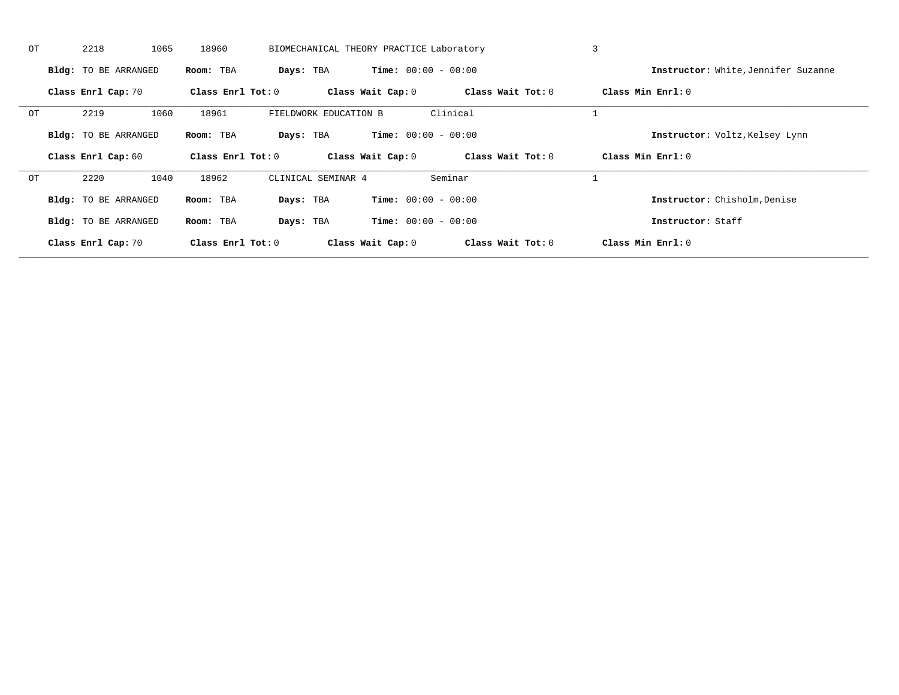| OT | 2218                        | 1065 | 18960             |                       | BIOMECHANICAL THEORY PRACTICE Laboratory |                   | $\overline{3}$                      |  |
|----|-----------------------------|------|-------------------|-----------------------|------------------------------------------|-------------------|-------------------------------------|--|
|    | <b>Bldg:</b> TO BE ARRANGED |      | Room: TBA         | Days: TBA             | <b>Time:</b> $00:00 - 00:00$             |                   | Instructor: White, Jennifer Suzanne |  |
|    | Class Enrl Cap: 70          |      | Class Enrl Tot: 0 |                       | Class Wait Cap: 0                        | Class Wait Tot: 0 | Class Min Enrl: 0                   |  |
| OT | 2219                        | 1060 | 18961             | FIELDWORK EDUCATION B |                                          | Clinical          |                                     |  |
|    | <b>Bldg:</b> TO BE ARRANGED |      | Room: TBA         | Days: TBA             | <b>Time:</b> $00:00 - 00:00$             |                   | Instructor: Voltz, Kelsey Lynn      |  |
|    | Class Enrl Cap: 60          |      | Class Enrl Tot: 0 |                       | Class Wait Cap: 0                        | Class Wait Tot: 0 | Class Min Enrl: 0                   |  |
| OТ | 2220                        | 1040 | 18962             | CLINICAL SEMINAR 4    |                                          | Seminar           |                                     |  |
|    | <b>Bldg:</b> TO BE ARRANGED |      | Room: TBA         | Days: TBA             | <b>Time:</b> $00:00 - 00:00$             |                   | Instructor: Chisholm, Denise        |  |
|    | <b>Bldg:</b> TO BE ARRANGED |      | Room: TBA         | Days: TBA             | <b>Time:</b> $00:00 - 00:00$             |                   | Instructor: Staff                   |  |
|    | Class Enrl Cap: 70          |      | Class Enrl Tot: 0 |                       | Class Wait Cap: 0                        | Class Wait Tot: 0 | Class Min Enrl: 0                   |  |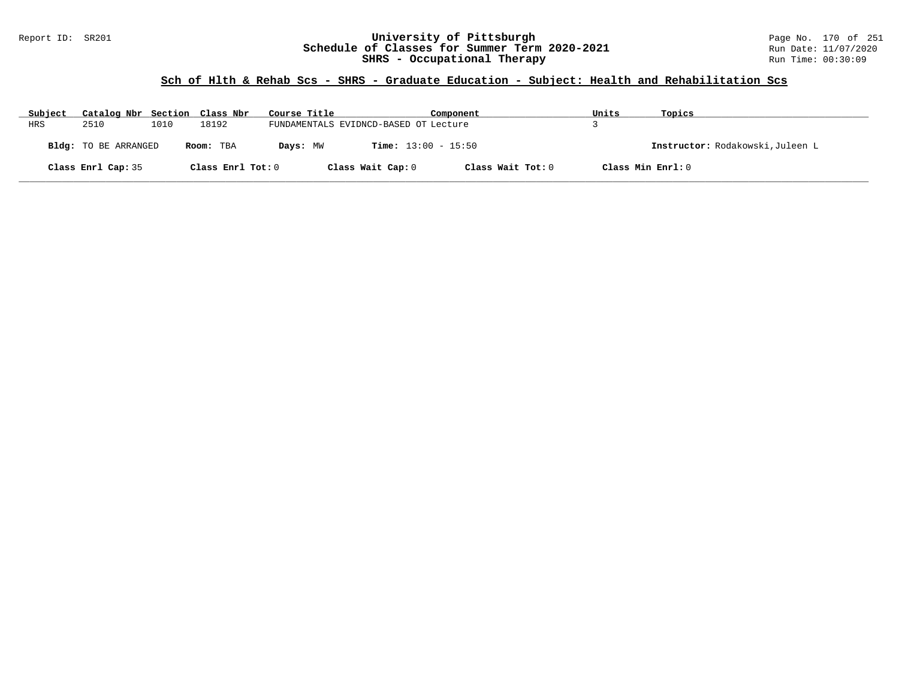### Report ID: SR201 **12: SR201 University of Pittsburgh University of Pittsburgh** Page No. 170 of 251 **Schedule of Classes for Summer Term 2020-2021** Run Date: 11/07/2020 **Schedule of Classes for Summer Term 2020-2021** Run Date: 11/07/2020<br>**SHRS - Occupational Therapy** Run Time: 00:30:09 **SHRS - Occupational Therapy**

| Subject | Catalog Nbr Section Class Nbr |      |                   | Course Title |                                       | Component         | Units             | Topics                           |
|---------|-------------------------------|------|-------------------|--------------|---------------------------------------|-------------------|-------------------|----------------------------------|
| HRS     | 2510                          | 1010 | 18192             |              | FUNDAMENTALS EVIDNCD-BASED OT Lecture |                   |                   |                                  |
|         | Bldg: TO BE ARRANGED          |      | Room: TBA         | Days: MW     | <b>Time:</b> $13:00 - 15:50$          |                   |                   | Instructor: Rodakowski, Juleen L |
|         | Class Enrl Cap: 35            |      | Class Enrl Tot: 0 |              | Class Wait Cap: 0                     | Class Wait Tot: 0 | Class Min Enrl: 0 |                                  |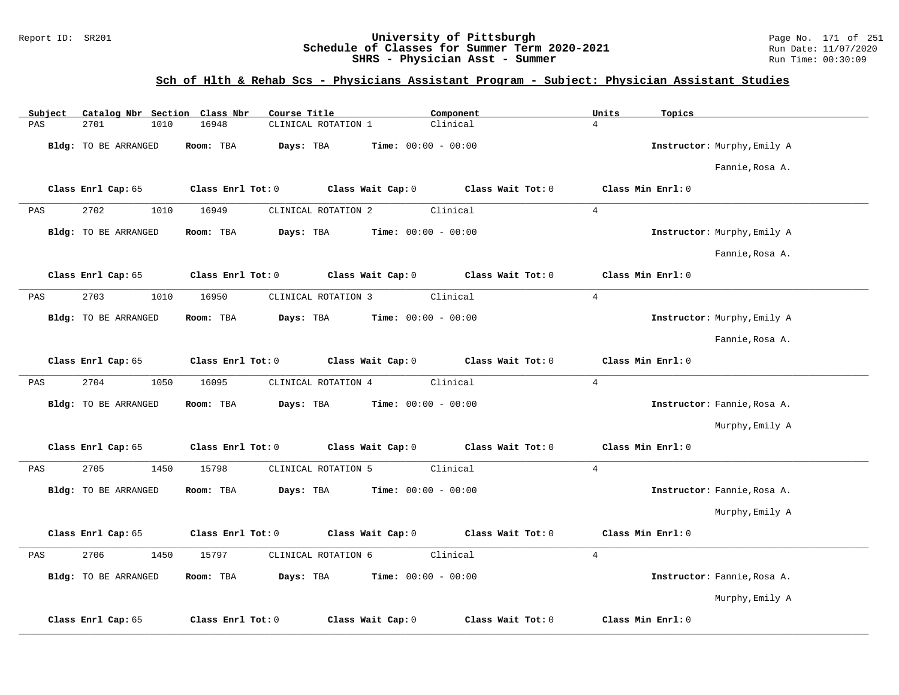### Report ID: SR201 **12: SR201 University of Pittsburgh University of Pittsburgh** Page No. 171 of 251 **Schedule of Classes for Summer Term 2020-2021** Run Date: 11/07/2020 **Schedule of Classes for Summer Term 2020-2021** Run Date: 11/07/2020 **SHRS - Physician Asst - Summer** Run Time: 00:30:09

## **Sch of Hlth & Rehab Scs - Physicians Assistant Program - Subject: Physician Assistant Studies**

| Subject | Catalog Nbr Section Class Nbr | Course Title                           | Component                               | Units<br>Topics             |
|---------|-------------------------------|----------------------------------------|-----------------------------------------|-----------------------------|
| PAS     | 2701<br>1010                  | 16948<br>CLINICAL ROTATION 1           | Clinical                                | $\overline{4}$              |
|         | Bldg: TO BE ARRANGED          | Days: TBA<br>Room: TBA                 | <b>Time:</b> $00:00 - 00:00$            | Instructor: Murphy, Emily A |
|         |                               |                                        |                                         | Fannie, Rosa A.             |
|         | Class Enrl Cap: 65            | Class Enrl Tot: 0                      | Class Wait Cap: $0$ Class Wait Tot: $0$ | Class Min Enrl: 0           |
| PAS     | 2702<br>1010                  | 16949<br>CLINICAL ROTATION 2           | Clinical                                | $\overline{4}$              |
|         | Bldg: TO BE ARRANGED          | Room: TBA<br>Days: TBA                 | <b>Time:</b> $00:00 - 00:00$            | Instructor: Murphy, Emily A |
|         |                               |                                        |                                         | Fannie, Rosa A.             |
|         | Class Enrl Cap: 65            | Class Enrl Tot: 0                      | Class Wait Cap: $0$ Class Wait Tot: $0$ | Class Min Enrl: 0           |
| PAS     | 2703<br>1010                  | CLINICAL ROTATION 3<br>16950           | Clinical                                | $\overline{4}$              |
|         | Bldg: TO BE ARRANGED          | Room: TBA<br>Days: TBA                 | <b>Time:</b> $00:00 - 00:00$            | Instructor: Murphy, Emily A |
|         |                               |                                        |                                         | Fannie, Rosa A.             |
|         | Class Enrl Cap: 65            | Class Enrl Tot: 0                      | Class Wait Cap: $0$ Class Wait Tot: $0$ | Class Min Enrl: 0           |
| PAS     | 2704<br>1050                  | 16095<br>CLINICAL ROTATION 4           | Clinical                                | $4\overline{ }$             |
|         | Bldg: TO BE ARRANGED          | Room: TBA<br>Days: TBA                 | <b>Time:</b> $00:00 - 00:00$            | Instructor: Fannie, Rosa A. |
|         |                               |                                        |                                         | Murphy, Emily A             |
|         | Class Enrl Cap: 65            | Class Enrl Tot: 0                      | Class Wait Cap: $0$ Class Wait Tot: $0$ | Class Min Enrl: 0           |
| PAS     | 2705<br>1450                  | 15798<br>CLINICAL ROTATION 5           | Clinical                                | $\overline{4}$              |
|         | Bldg: TO BE ARRANGED          | Room: TBA<br>Days: TBA                 | Time: $00:00 - 00:00$                   | Instructor: Fannie, Rosa A. |
|         |                               |                                        |                                         | Murphy, Emily A             |
|         | Class Enrl Cap: 65            | Class Enrl Tot: 0                      | Class Wait Cap: $0$ Class Wait Tot: $0$ | Class Min Enrl: 0           |
| PAS     | 2706<br>1450                  | 15797<br>CLINICAL ROTATION 6           | Clinical                                | $\overline{4}$              |
|         | Bldg: TO BE ARRANGED          | Room: TBA<br>Days: TBA                 | <b>Time:</b> $00:00 - 00:00$            | Instructor: Fannie, Rosa A. |
|         |                               |                                        |                                         | Murphy, Emily A             |
|         | Class Enrl Cap: 65            | Class Wait Cap: 0<br>Class Enrl Tot: 0 | Class Wait Tot: 0                       | Class Min Enrl: 0           |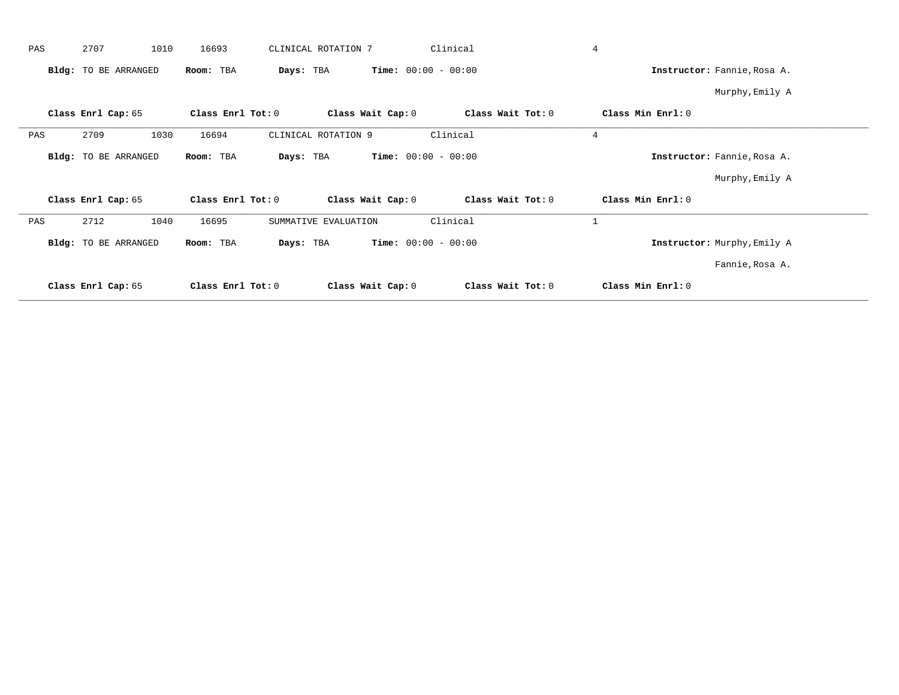| PAS | 2707                 | 1010 | 16693             | CLINICAL ROTATION 7  |                   | Clinical                     |                   | $\overline{4}$ |                             |  |
|-----|----------------------|------|-------------------|----------------------|-------------------|------------------------------|-------------------|----------------|-----------------------------|--|
|     | Bldg: TO BE ARRANGED |      | Room: TBA         | Days: TBA            |                   | <b>Time:</b> $00:00 - 00:00$ |                   |                | Instructor: Fannie, Rosa A. |  |
|     |                      |      |                   |                      |                   |                              |                   |                | Murphy, Emily A             |  |
|     | Class Enrl Cap: 65   |      | Class Enrl Tot: 0 |                      | Class Wait Cap: 0 |                              | Class Wait Tot: 0 |                | Class Min Enrl: 0           |  |
| PAS | 2709                 | 1030 | 16694             | CLINICAL ROTATION 9  |                   | Clinical                     |                   | $\overline{4}$ |                             |  |
|     | Bldg: TO BE ARRANGED |      | Room: TBA         | Days: TBA            |                   | <b>Time:</b> $00:00 - 00:00$ |                   |                | Instructor: Fannie, Rosa A. |  |
|     |                      |      |                   |                      |                   |                              |                   |                | Murphy, Emily A             |  |
|     | Class Enrl Cap: 65   |      | Class Enrl Tot: 0 |                      | Class Wait Cap: 0 |                              | Class Wait Tot: 0 |                | Class Min Enrl: 0           |  |
| PAS | 2712                 | 1040 | 16695             | SUMMATIVE EVALUATION |                   | Clinical                     |                   | $\mathbf{1}$   |                             |  |
|     | Bldg: TO BE ARRANGED |      | Room: TBA         | Days: TBA            |                   | <b>Time:</b> $00:00 - 00:00$ |                   |                | Instructor: Murphy, Emily A |  |
|     |                      |      |                   |                      |                   |                              |                   |                | Fannie, Rosa A.             |  |
|     | Class Enrl Cap: 65   |      | Class Enrl Tot: 0 |                      | Class Wait Cap: 0 |                              | Class Wait Tot: 0 |                | Class Min Enrl: 0           |  |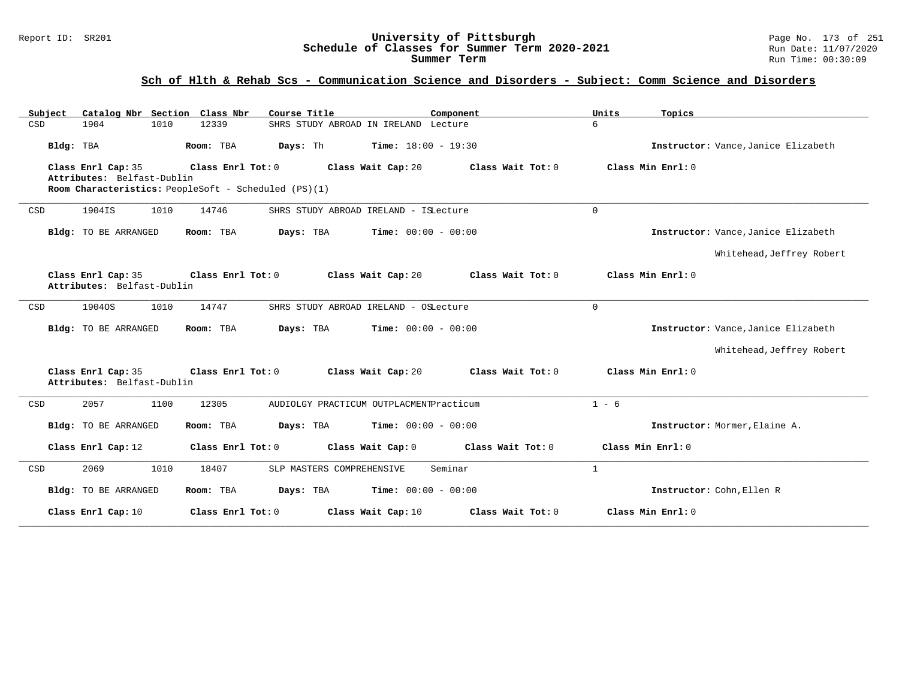#### Report ID: SR201 **University of Pittsburgh** Page No. 173 of 251 **Schedule of Classes for Summer Term 2020-2021** Run Date: 11/07/2020 **Summer Term** Run Time: 00:30:09

# **Sch of Hlth & Rehab Scs - Communication Science and Disorders - Subject: Comm Science and Disorders**

| Subject<br>Catalog Nbr Section Class Nbr         | Course Title                                          | Component                    | Units<br>Topics                     |
|--------------------------------------------------|-------------------------------------------------------|------------------------------|-------------------------------------|
| CSD<br>1904<br>1010                              | SHRS STUDY ABROAD IN IRELAND Lecture<br>12339         |                              | 6                                   |
| Bldg: TBA                                        | Room: TBA<br>Days: Th<br><b>Time:</b> $18:00 - 19:30$ |                              | Instructor: Vance, Janice Elizabeth |
| Class Enrl Cap: 35                               | Class Enrl Tot: 0<br>Class Wait Cap: 20               | Class Wait Tot: 0            | Class Min Enrl: 0                   |
| Attributes: Belfast-Dublin                       |                                                       |                              |                                     |
|                                                  | Room Characteristics: PeopleSoft - Scheduled (PS)(1)  |                              |                                     |
| 1904IS<br>1010<br>CSD                            | 14746<br>SHRS STUDY ABROAD IRELAND - ISLecture        | $\mathbf 0$                  |                                     |
| <b>Bldg:</b> TO BE ARRANGED                      | Room: TBA<br>Days: TBA                                | <b>Time:</b> $00:00 - 00:00$ | Instructor: Vance, Janice Elizabeth |
|                                                  |                                                       |                              | Whitehead, Jeffrey Robert           |
| Class Enrl Cap: 35<br>Attributes: Belfast-Dublin | Class Enrl Tot: 0<br>Class Wait Cap: 20               | Class Wait Tot: 0            | Class Min Enrl: 0                   |
| 1904OS<br>1010<br>CSD                            | 14747<br>SHRS STUDY ABROAD IRELAND - OSLecture        | $\Omega$                     |                                     |
| Bldg: TO BE ARRANGED                             | Days: TBA<br>Room: TBA                                | <b>Time:</b> $00:00 - 00:00$ | Instructor: Vance, Janice Elizabeth |
|                                                  |                                                       |                              | Whitehead, Jeffrey Robert           |
| Class Enrl Cap: 35<br>Attributes: Belfast-Dublin | Class Enrl Tot: 0<br>Class Wait Cap: 20               | Class Wait Tot: $0$          | Class Min Enrl: 0                   |
| 2057<br>1100<br>CSD                              | 12305<br>AUDIOLGY PRACTICUM OUTPLACMENTPracticum      |                              | $1 - 6$                             |
| Bldg: TO BE ARRANGED                             | Room: TBA<br>Days: TBA                                | <b>Time:</b> $00:00 - 00:00$ | Instructor: Mormer, Elaine A.       |
| Class Enrl Cap: 12                               | Class Wait Cap: 0<br>Class Enrl Tot: 0                | Class Wait Tot: 0            | Class Min Enrl: 0                   |
| 2069<br>1010<br>CSD                              | SLP MASTERS COMPREHENSIVE<br>18407                    | $\mathbf{1}$<br>Seminar      |                                     |
| Bldg: TO BE ARRANGED                             | Room: TBA<br>Days: TBA                                | <b>Time:</b> $00:00 - 00:00$ | Instructor: Cohn, Ellen R           |
| Class Enrl Cap: 10                               | Class Enrl Tot: 0<br>Class Wait Cap: 10               | Class Wait Tot: 0            | Class Min Enrl: 0                   |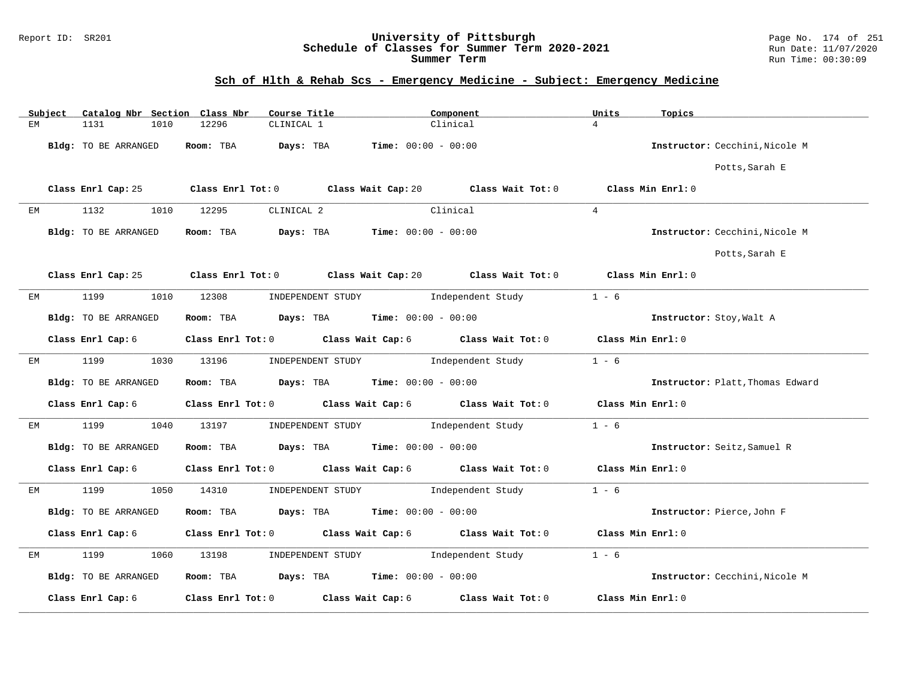#### Report ID: SR201 **University of Pittsburgh** Page No. 174 of 251 **Schedule of Classes for Summer Term 2020-2021** Run Date: 11/07/2020 **Summer Term** Run Time: 00:30:09

# **Sch of Hlth & Rehab Scs - Emergency Medicine - Subject: Emergency Medicine**

|    | Subject | Catalog Nbr Section Class Nbr | Course Title                                                                                | Component                                            |                   | Units<br>Topics                  |                |
|----|---------|-------------------------------|---------------------------------------------------------------------------------------------|------------------------------------------------------|-------------------|----------------------------------|----------------|
| ЕM |         | 1131<br>1010                  | 12296<br>CLINICAL 1                                                                         | Clinical                                             | $\overline{4}$    |                                  |                |
|    |         | Bldg: TO BE ARRANGED          | Room: TBA                                                                                   | <b>Days:</b> TBA <b>Time:</b> $00:00 - 00:00$        |                   | Instructor: Cecchini.Nicole M    |                |
|    |         |                               |                                                                                             |                                                      |                   |                                  | Potts, Sarah E |
|    |         | Class Enrl Cap: 25            | Class Enrl Tot: $0$ Class Wait Cap: $20$ Class Wait Tot: $0$                                |                                                      |                   | Class Min Enrl: 0                |                |
| EM |         | 1132<br>1010                  | 12295<br>CLINICAL 2                                                                         | Clinical                                             | 4                 |                                  |                |
|    |         | Bldg: TO BE ARRANGED          | Room: TBA                                                                                   | $\texttt{Davis:}$ TBA $\texttt{Time:}$ 00:00 - 00:00 |                   | Instructor: Cecchini, Nicole M   |                |
|    |         |                               |                                                                                             |                                                      |                   |                                  | Potts, Sarah E |
|    |         |                               | Class Enrl Cap: 25 Class Enrl Tot: 0 Class Wait Cap: 20 Class Wait Tot: 0 Class Min Enrl: 0 |                                                      |                   |                                  |                |
| ЕM |         | 1199<br>1010                  | 12308                                                                                       | INDEPENDENT STUDY 1ndependent Study                  |                   | $1 - 6$                          |                |
|    |         | Bldg: TO BE ARRANGED          | Room: TBA $Days:$ TBA $Time: 00:00 - 00:00$                                                 |                                                      |                   | Instructor: Stoy, Walt A         |                |
|    |         | Class Enrl Cap: 6             | Class Enrl Tot: 0 Class Wait Cap: 6 Class Wait Tot: 0 Class Min Enrl: 0                     |                                                      |                   |                                  |                |
| ЕM |         | 1199<br>1030                  | 13196                                                                                       | INDEPENDENT STUDY 1ndependent Study                  |                   | $1 - 6$                          |                |
|    |         | Bldg: TO BE ARRANGED          | Room: TBA $Days:$ TBA $Time: 00:00 - 00:00$                                                 |                                                      |                   | Instructor: Platt, Thomas Edward |                |
|    |         | Class Enrl Cap: 6             | Class Enrl Tot: 0 Class Wait Cap: 6 Class Wait Tot: 0                                       |                                                      |                   | Class Min Enrl: 0                |                |
| ЕM |         | 1199<br>1040                  | 13197                                                                                       | INDEPENDENT STUDY 1ndependent Study                  |                   | $1 - 6$                          |                |
|    |         | Bldg: TO BE ARRANGED          | Room: TBA $Days:$ TBA $Time: 00:00 - 00:00$                                                 |                                                      |                   | Instructor: Seitz, Samuel R      |                |
|    |         | Class Enrl Cap: 6             | Class Enrl Tot: 0 Class Wait Cap: 6 Class Wait Tot: 0                                       |                                                      |                   | Class Min Enrl: 0                |                |
| EМ |         | 1199<br>1050                  | 14310                                                                                       | INDEPENDENT STUDY                                    | Independent Study | $1 - 6$                          |                |
|    |         | Bldg: TO BE ARRANGED          | Room: TBA $Days:$ TBA $Time: 00:00 - 00:00$                                                 |                                                      |                   | Instructor: Pierce, John F       |                |
|    |         | Class Enrl Cap: 6             | Class Enrl Tot: 0 Class Wait Cap: 6 Class Wait Tot: 0                                       |                                                      |                   | Class Min Enrl: 0                |                |
| ЕM |         | 1199<br>1060                  | 13198                                                                                       | INDEPENDENT STUDY 1ndependent Study                  |                   | $1 - 6$                          |                |
|    |         | Bldg: TO BE ARRANGED          | Room: TBA $\rule{1em}{0.15mm}$ Days: TBA Time: $00:00 - 00:00$                              |                                                      |                   | Instructor: Cecchini, Nicole M   |                |
|    |         | Class Enrl Cap: 6             | Class Enrl Tot: 0 Class Wait Cap: 6                                                         |                                                      | Class Wait Tot: 0 | Class Min Enrl: 0                |                |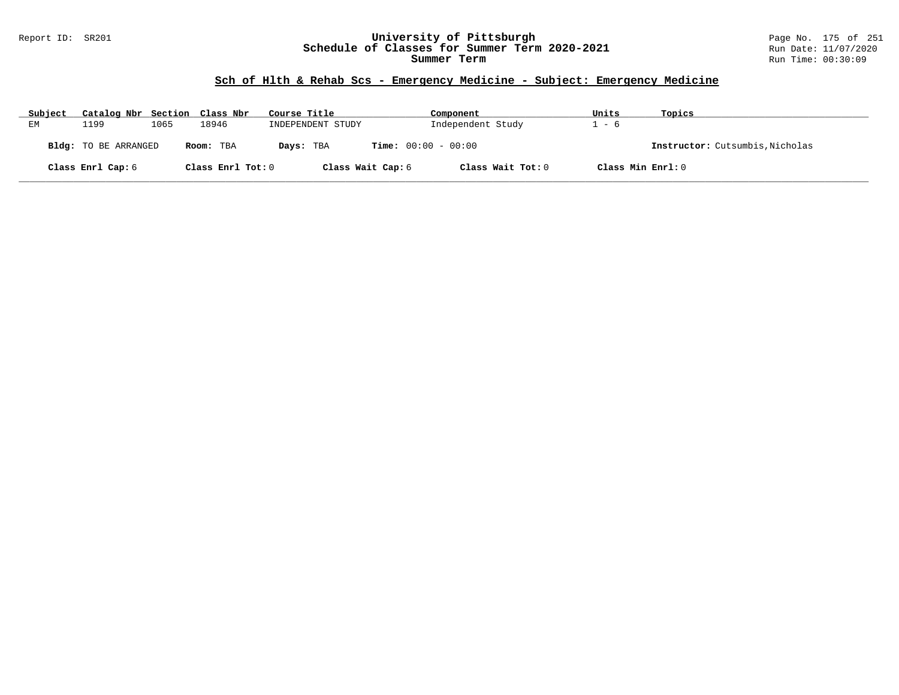#### Report ID: SR201 **University of Pittsburgh** Page No. 175 of 251 **Schedule of Classes for Summer Term 2020-2021** Run Date: 11/07/2020 **Summer Term** Run Time: 00:30:09

# **Sch of Hlth & Rehab Scs - Emergency Medicine - Subject: Emergency Medicine**

| Subject | Catalog Nbr Section Class Nbr |      |                   | Course Title      | Component                    | Units             | Topics                          |
|---------|-------------------------------|------|-------------------|-------------------|------------------------------|-------------------|---------------------------------|
| EМ      | 1199                          | 1065 | 18946             | INDEPENDENT STUDY | Independent Study            | . – 6             |                                 |
|         | Bldg: TO BE ARRANGED          |      | Room: TBA         | Days: TBA         | <b>Time:</b> $00:00 - 00:00$ |                   | Instructor: Cutsumbis, Nicholas |
|         | Class Enrl Cap: 6             |      | Class Enrl Tot: 0 | Class Wait Cap: 6 | Class Wait Tot: 0            | Class Min Enrl: 0 |                                 |

**\_\_\_\_\_\_\_\_\_\_\_\_\_\_\_\_\_\_\_\_\_\_\_\_\_\_\_\_\_\_\_\_\_\_\_\_\_\_\_\_\_\_\_\_\_\_\_\_\_\_\_\_\_\_\_\_\_\_\_\_\_\_\_\_\_\_\_\_\_\_\_\_\_\_\_\_\_\_\_\_\_\_\_\_\_\_\_\_\_\_\_\_\_\_\_\_\_\_\_\_\_\_\_\_\_\_\_\_\_\_\_\_\_\_\_\_\_\_\_\_\_\_\_\_\_\_\_\_\_\_\_\_\_\_\_\_\_\_\_\_\_\_\_\_\_\_\_\_\_\_\_\_\_\_\_\_**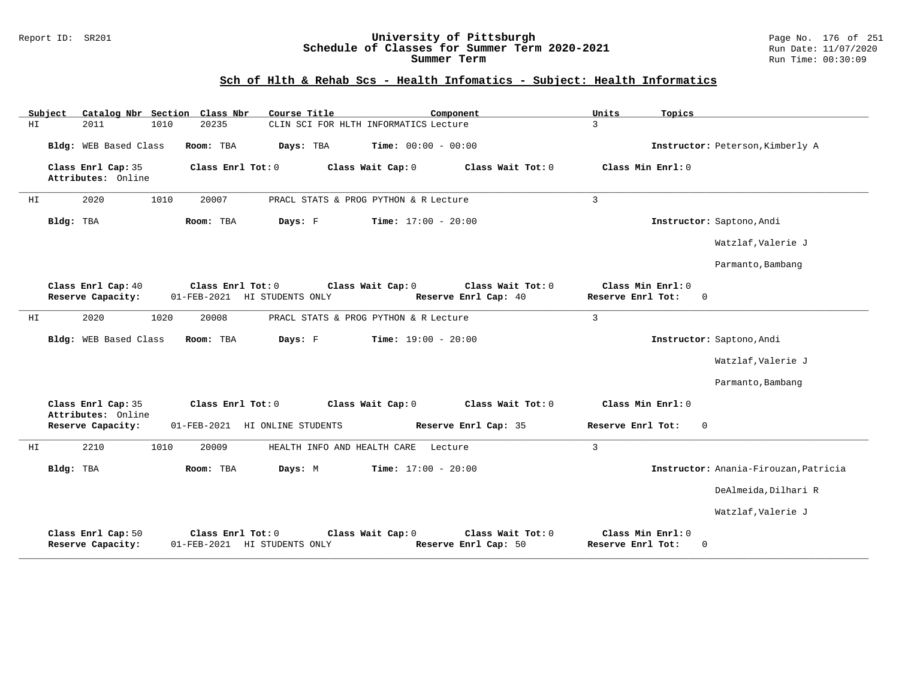#### Report ID: SR201 **University of Pittsburgh** Page No. 176 of 251 **Schedule of Classes for Summer Term 2020-2021** Run Date: 11/07/2020 **Summer Term** Run Time: 00:30:09

|     | Subject                                  |      | Catalog Nbr Section Class Nbr | Course Title                 |                                       | Component                                 | Units             | Topics                           |                                       |
|-----|------------------------------------------|------|-------------------------------|------------------------------|---------------------------------------|-------------------------------------------|-------------------|----------------------------------|---------------------------------------|
| HI. | 2011                                     | 1010 | 20235                         |                              | CLIN SCI FOR HLTH INFORMATICS Lecture |                                           | 3                 |                                  |                                       |
|     | Bldg: WEB Based Class                    |      | Room: TBA                     | Days: TBA                    | <b>Time:</b> $00:00 - 00:00$          |                                           |                   |                                  | Instructor: Peterson, Kimberly A      |
|     | Class Enrl Cap: 35<br>Attributes: Online |      | Class Enrl Tot: 0             |                              | Class Wait Cap: 0                     | Class Wait Tot: 0                         |                   | Class Min Enrl: 0                |                                       |
| HI  | 2020                                     | 1010 | 20007                         |                              | PRACL STATS & PROG PYTHON & R Lecture |                                           | $\overline{3}$    |                                  |                                       |
|     | Bldg: TBA                                |      | Room: TBA                     | Days: F                      | <b>Time:</b> $17:00 - 20:00$          |                                           |                   |                                  | Instructor: Saptono, Andi             |
|     |                                          |      |                               |                              |                                       |                                           |                   |                                  | Watzlaf, Valerie J                    |
|     |                                          |      |                               |                              |                                       |                                           |                   |                                  | Parmanto, Bambang                     |
|     | Class Enrl Cap: 40<br>Reserve Capacity:  |      | Class Enrl Tot: 0             | 01-FEB-2021 HI STUDENTS ONLY | Class Wait Cap: 0                     | Class Wait Tot: 0<br>Reserve Enrl Cap: 40 | Reserve Enrl Tot: | Class Min Enrl: 0<br>$\Omega$    |                                       |
| ΗI  | 2020                                     | 1020 | 20008                         |                              | PRACL STATS & PROG PYTHON & R Lecture |                                           | $\overline{3}$    |                                  |                                       |
|     | Bldg: WEB Based Class                    |      | Room: TBA                     | Days: F                      | <b>Time:</b> $19:00 - 20:00$          |                                           |                   |                                  | Instructor: Saptono, Andi             |
|     |                                          |      |                               |                              |                                       |                                           |                   |                                  | Watzlaf, Valerie J                    |
|     |                                          |      |                               |                              |                                       |                                           |                   |                                  | Parmanto, Bambang                     |
|     | Class Enrl Cap: 35<br>Attributes: Online |      | Class Enrl Tot: 0             |                              | Class Wait Cap: 0                     | Class Wait Tot: 0                         |                   | Class Min Enrl: 0                |                                       |
|     | Reserve Capacity:                        |      | $01 - FEB - 2021$             | HI ONLINE STUDENTS           |                                       | Reserve Enrl Cap: 35                      | Reserve Enrl Tot: | $\Omega$                         |                                       |
| ΗI  | 2210                                     | 1010 | 20009                         | HEALTH INFO AND HEALTH CARE  | Lecture                               |                                           | 3                 |                                  |                                       |
|     | Bldg: TBA                                |      | Room: TBA                     | Days: M                      | <b>Time:</b> $17:00 - 20:00$          |                                           |                   |                                  | Instructor: Anania-Firouzan, Patricia |
|     |                                          |      |                               |                              |                                       |                                           |                   |                                  | DeAlmeida, Dilhari R                  |
|     |                                          |      |                               |                              |                                       |                                           |                   |                                  | Watzlaf, Valerie J                    |
|     | Class Enrl Cap: 50<br>Reserve Capacity:  |      | Class Enrl Tot: 0             | 01-FEB-2021 HI STUDENTS ONLY | Class Wait Cap: 0                     | Class Wait Tot: 0<br>Reserve Enrl Cap: 50 | Reserve Enrl Tot: | Class Min Enrl: 0<br>$\mathbf 0$ |                                       |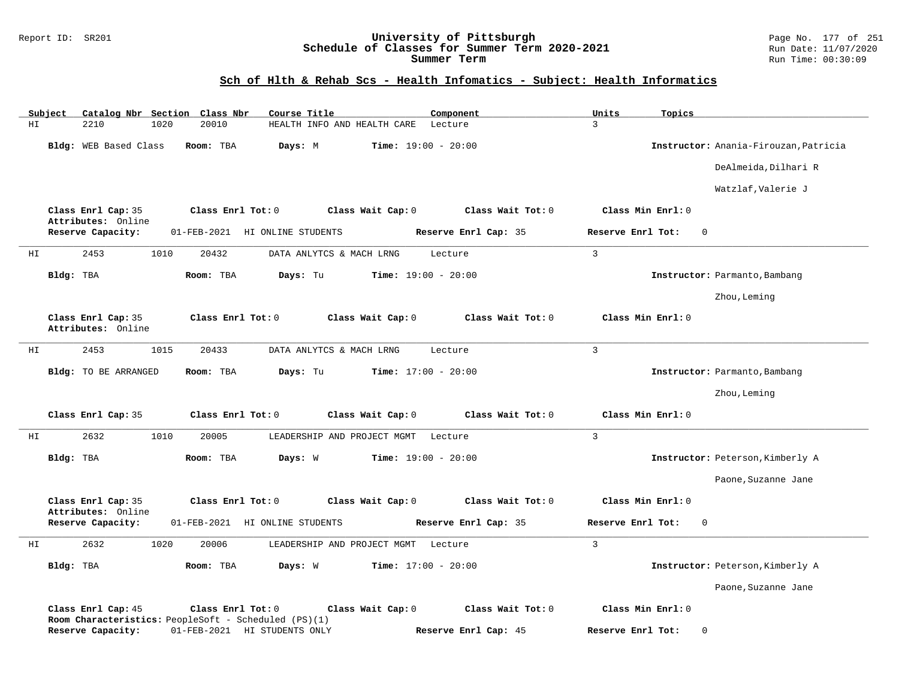#### Report ID: SR201 **University of Pittsburgh** Page No. 177 of 251 **Schedule of Classes for Summer Term 2020-2021** Run Date: 11/07/2020 **Summer Term** Run Time: 00:30:09

| Subject<br>Catalog Nbr Section Class Nbr | Course Title                                                                         | Component            | Units<br>Topics               |                                       |
|------------------------------------------|--------------------------------------------------------------------------------------|----------------------|-------------------------------|---------------------------------------|
| HI<br>2210<br>1020                       | 20010<br>HEALTH INFO AND HEALTH CARE                                                 | Lecture              | 3                             |                                       |
| Bldg: WEB Based Class                    | Room: TBA<br>Days: M<br><b>Time:</b> $19:00 - 20:00$                                 |                      |                               | Instructor: Anania-Firouzan, Patricia |
|                                          |                                                                                      |                      |                               | DeAlmeida, Dilhari R                  |
|                                          |                                                                                      |                      |                               | Watzlaf, Valerie J                    |
| Class Enrl Cap: 35<br>Attributes: Online | Class Enrl Tot: 0<br>Class Wait Cap: 0                                               | Class Wait Tot: 0    | Class Min Enrl: 0             |                                       |
| Reserve Capacity:                        | 01-FEB-2021 HI ONLINE STUDENTS                                                       | Reserve Enrl Cap: 35 | Reserve Enrl Tot:<br>$\Omega$ |                                       |
| 2453<br>1010<br>HI                       | 20432<br>DATA ANLYTCS & MACH LRNG                                                    | Lecture              | $\mathbf{3}$                  |                                       |
| Bldg: TBA                                | Room: TBA<br>Days: Tu<br><b>Time:</b> $19:00 - 20:00$                                |                      |                               | Instructor: Parmanto, Bambang         |
|                                          |                                                                                      |                      |                               | Zhou, Leming                          |
| Class Enrl Cap: 35<br>Attributes: Online | Class Enrl Tot: 0<br>Class Wait Cap: 0                                               | Class Wait Tot: 0    | Class Min Enrl: 0             |                                       |
| 2453<br>1015<br>ΗI                       | 20433<br>DATA ANLYTCS & MACH LRNG                                                    | Lecture              | $\mathbf{3}$                  |                                       |
| Bldg: TO BE ARRANGED                     | Days: Tu<br><b>Time:</b> $17:00 - 20:00$<br>Room: TBA                                |                      |                               | Instructor: Parmanto, Bambang         |
|                                          |                                                                                      |                      |                               | Zhou, Leming                          |
| Class Enrl Cap: 35                       | Class Enrl Tot: 0<br>Class Wait Cap: 0                                               | Class Wait Tot: 0    | Class Min Enrl: 0             |                                       |
| 2632<br>1010<br>ΗI                       | 20005<br>LEADERSHIP AND PROJECT MGMT                                                 | Lecture              | 3                             |                                       |
| Bldg: TBA                                | Room: TBA<br>Days: W<br><b>Time:</b> $19:00 - 20:00$                                 |                      |                               | Instructor: Peterson, Kimberly A      |
|                                          |                                                                                      |                      |                               | Paone, Suzanne Jane                   |
| Class Enrl Cap: 35<br>Attributes: Online | Class Enrl Tot: 0<br>Class Wait Cap: 0                                               | Class Wait Tot: 0    | Class Min Enrl: 0             |                                       |
| Reserve Capacity:                        | 01-FEB-2021 HI ONLINE STUDENTS                                                       | Reserve Enrl Cap: 35 | Reserve Enrl Tot:<br>$\Omega$ |                                       |
| 2632<br>ΗI<br>1020                       | 20006<br>LEADERSHIP AND PROJECT MGMT Lecture                                         |                      | $\mathbf{3}$                  |                                       |
| Bldg: TBA                                | <b>Time:</b> $17:00 - 20:00$<br>Room: TBA<br>Days: W                                 |                      |                               | Instructor: Peterson, Kimberly A      |
|                                          |                                                                                      |                      |                               | Paone, Suzanne Jane                   |
| Class Enrl Cap: 45                       | Class Enrl Tot: 0<br>Class Wait Cap: 0                                               | Class Wait Tot: 0    | Class Min Enrl: 0             |                                       |
| Reserve Capacity:                        | Room Characteristics: PeopleSoft - Scheduled (PS)(1)<br>01-FEB-2021 HI STUDENTS ONLY | Reserve Enrl Cap: 45 | Reserve Enrl Tot:<br>$\Omega$ |                                       |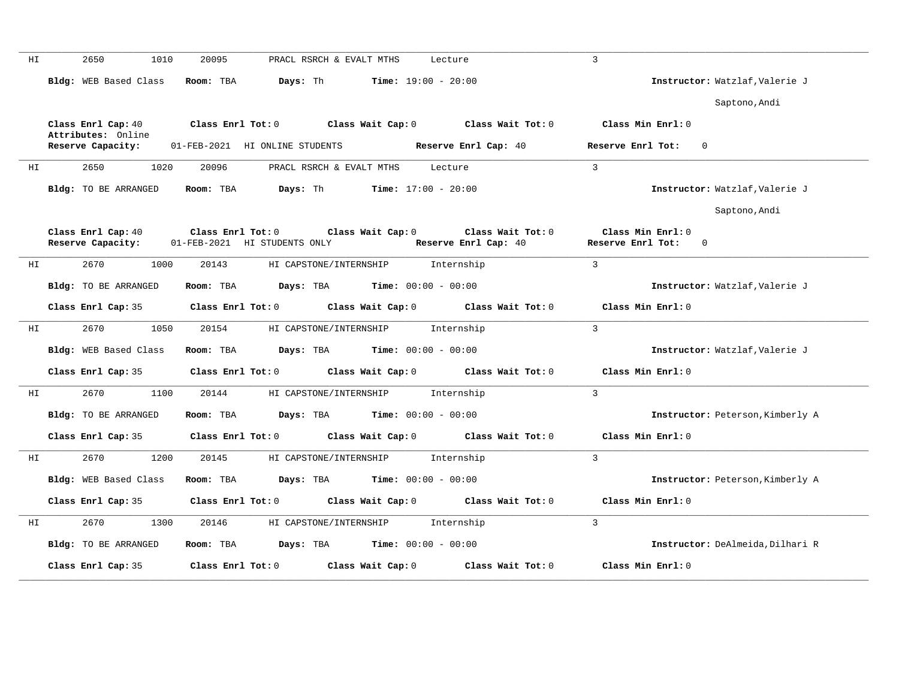| ΗI | 2650<br>1010                            | 20095<br>PRACL RSRCH & EVALT MTHS<br>Lecture                                                         | 3                                                             |                                  |
|----|-----------------------------------------|------------------------------------------------------------------------------------------------------|---------------------------------------------------------------|----------------------------------|
|    | Bldg: WEB Based Class                   | Days: Th<br>Time: $19:00 - 20:00$<br>Room: TBA                                                       |                                                               | Instructor: Watzlaf, Valerie J   |
|    |                                         |                                                                                                      |                                                               | Saptono, Andi                    |
|    |                                         | Class Enrl Cap: 40 $\qquad$ Class Enrl Tot: 0 $\qquad$ Class Wait Cap: 0 $\qquad$ Class Wait Tot: 0  | Class Min Enrl: 0                                             |                                  |
|    | Attributes: Online<br>Reserve Capacity: | 01-FEB-2021 HI ONLINE STUDENTS<br>Reserve Enrl Cap: 40                                               | Reserve Enrl Tot:                                             | $\overline{0}$                   |
| HI | 2650<br>1020                            | 20096<br>PRACL RSRCH & EVALT MTHS Lecture                                                            | $\mathbf{3}$                                                  |                                  |
|    | Bldg: TO BE ARRANGED                    | Days: Th<br><b>Time:</b> $17:00 - 20:00$<br>Room: TBA                                                |                                                               | Instructor: Watzlaf, Valerie J   |
|    |                                         |                                                                                                      |                                                               | Saptono, Andi                    |
|    | Class Enrl Cap: 40<br>Reserve Capacity: | $Class$ $Enr1$ $Tot: 0$<br>Class Wait Cap: 0<br>01-FEB-2021 HI STUDENTS ONLY<br>Reserve Enrl Cap: 40 | Class Wait Tot: 0<br>Class Min Enrl: 0<br>Reserve Enrl Tot: 0 |                                  |
| ΗI | 2670<br>1000                            | 20143<br>HI CAPSTONE/INTERNSHIP<br>Internship                                                        | $\mathbf{3}$                                                  |                                  |
|    | Bldg: TO BE ARRANGED                    | Room: TBA<br><b>Days:</b> TBA <b>Time:</b> $00:00 - 00:00$                                           |                                                               | Instructor: Watzlaf, Valerie J   |
|    | Class Enrl Cap: 35                      | Class Enrl Tot: 0 Class Wait Cap: 0 Class Wait Tot: 0                                                | Class Min Enrl: 0                                             |                                  |
| ΗI | 2670<br>1050                            | 20154<br>Internship<br>HI CAPSTONE/INTERNSHIP                                                        | $\mathbf{3}$                                                  |                                  |
|    | Bldg: WEB Based Class                   | Days: TBA<br><b>Time:</b> $00:00 - 00:00$<br>Room: TBA                                               |                                                               | Instructor: Watzlaf, Valerie J   |
|    | Class Enrl Cap: 35                      | Class Enrl Tot: 0 Class Wait Cap: 0 Class Wait Tot: 0                                                | Class Min Enrl: 0                                             |                                  |
| HI | 2670<br>1100                            | 20144<br>HI CAPSTONE/INTERNSHIP<br>Internship                                                        | $\overline{3}$                                                |                                  |
|    | Bldg: TO BE ARRANGED                    | Room: TBA<br><b>Days:</b> TBA <b>Time:</b> $00:00 - 00:00$                                           |                                                               | Instructor: Peterson, Kimberly A |
|    | Class Enrl Cap: 35                      | Class Enrl Tot: 0 Class Wait Cap: 0 Class Wait Tot: 0                                                | Class Min Enrl: 0                                             |                                  |
| HI | 2670<br>1200                            | 20145<br>Internship<br>HI CAPSTONE/INTERNSHIP                                                        | $\mathcal{L}$                                                 |                                  |
|    | Bldg: WEB Based Class                   | Days: TBA<br><b>Time:</b> $00:00 - 00:00$<br>Room: TBA                                               |                                                               | Instructor: Peterson, Kimberly A |
|    | Class Enrl Cap: 35                      | Class Enrl Tot: 0 Class Wait Cap: 0 Class Wait Tot: 0                                                | Class Min Enrl: 0                                             |                                  |
| HI | 2670<br>1300                            | 20146<br>HI CAPSTONE/INTERNSHIP<br>Internship                                                        | $\overline{3}$                                                |                                  |
|    | Bldg: TO BE ARRANGED                    | <b>Days:</b> TBA <b>Time:</b> $00:00 - 00:00$<br>Room: TBA                                           |                                                               | Instructor: DeAlmeida, Dilhari R |
|    | Class Enrl Cap: 35                      | $Class$ $Enr1$ $Tot: 0$<br>Class Wait Cap: 0                                                         | Class Wait Tot: 0<br>Class Min Enrl: 0                        |                                  |
|    |                                         |                                                                                                      |                                                               |                                  |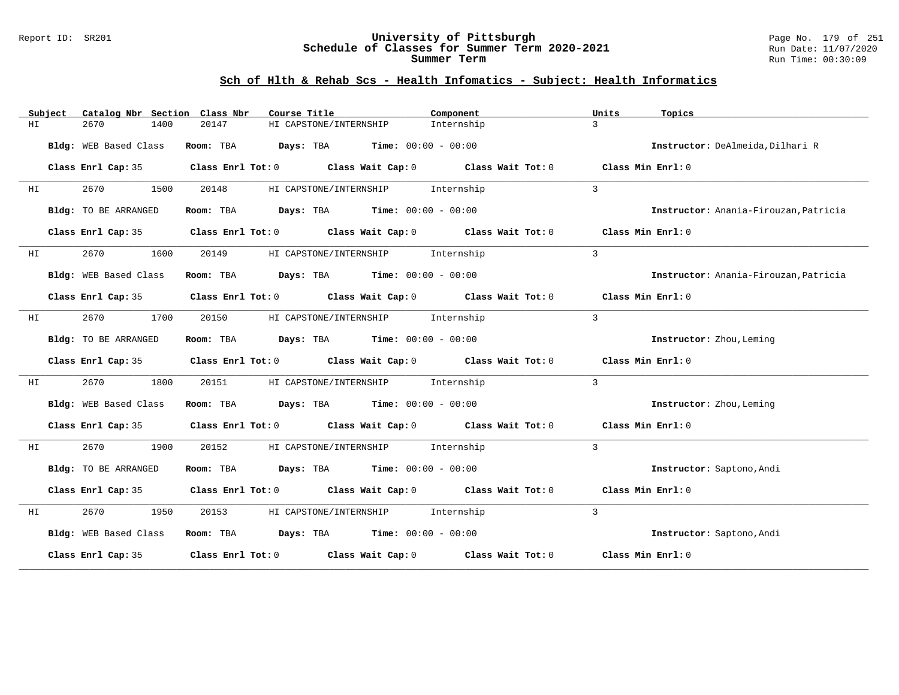#### Report ID: SR201 **University of Pittsburgh** Page No. 179 of 251 **Schedule of Classes for Summer Term 2020-2021** Run Date: 11/07/2020 **Summer Term** Run Time: 00:30:09

|     | Subject | Catalog Nbr Section Class Nbr | Course Title                                | Component                                                                                          | Units<br>Topics                       |
|-----|---------|-------------------------------|---------------------------------------------|----------------------------------------------------------------------------------------------------|---------------------------------------|
| ΗI  |         | 2670<br>1400                  | HI CAPSTONE/INTERNSHIP<br>20147             | Internship                                                                                         | $\mathcal{L}$                         |
|     |         | Bldg: WEB Based Class         | Room: TBA $Days:$ TBA $Time: 00:00 - 00:00$ |                                                                                                    | Instructor: DeAlmeida, Dilhari R      |
|     |         | Class Enrl Cap: 35            |                                             | Class Enrl Tot: 0 Class Wait Cap: 0 Class Wait Tot: 0 Class Min Enrl: 0                            |                                       |
| HI. |         | 2670<br>1500                  | 20148                                       | HI CAPSTONE/INTERNSHIP Internship                                                                  | $\mathcal{L}$                         |
|     |         | Bldg: TO BE ARRANGED          | Room: TBA $Days:$ TBA $Time: 00:00 - 00:00$ |                                                                                                    | Instructor: Anania-Firouzan, Patricia |
|     |         |                               |                                             | Class Enrl Cap: 35 Class Enrl Tot: 0 Class Wait Cap: 0 Class Wait Tot: 0 Class Min Enrl: 0         |                                       |
| HI  |         | 2670<br>1600                  | 20149                                       | HI CAPSTONE/INTERNSHIP Internship                                                                  | $\mathbf{3}$                          |
|     |         | Bldg: WEB Based Class         | Room: TBA $Days:$ TBA $Time: 00:00 - 00:00$ |                                                                                                    | Instructor: Anania-Firouzan, Patricia |
|     |         | Class Enrl Cap: 35            |                                             | Class Enrl Tot: 0 Class Wait Cap: 0 Class Wait Tot: 0 Class Min Enrl: 0                            |                                       |
| HI  |         | 2670<br>1700                  | 20150                                       | HI CAPSTONE/INTERNSHIP Internship                                                                  | $\mathbf{3}$                          |
|     |         | Bldg: TO BE ARRANGED          | Room: TBA $Days:$ TBA $Time: 00:00 - 00:00$ |                                                                                                    | Instructor: Zhou, Leming              |
|     |         |                               |                                             | Class Enrl Cap: 35 Class Enrl Tot: 0 Class Wait Cap: 0 Class Wait Tot: 0 Class Min Enrl: 0         |                                       |
| ΗI  |         | 2670<br>1800                  | 20151                                       | HI CAPSTONE/INTERNSHIP Internship                                                                  | 3                                     |
|     |         | Bldg: WEB Based Class         | Room: TBA $Days:$ TBA $Time: 00:00 - 00:00$ |                                                                                                    | Instructor: Zhou, Leming              |
|     |         | Class Enrl Cap: 35            |                                             | Class Enrl Tot: $0$ Class Wait Cap: $0$ Class Wait Tot: $0$                                        | Class Min Enrl: 0                     |
| ΗI  |         | 2670<br>1900                  | 20152                                       | HI CAPSTONE/INTERNSHIP Internship                                                                  | $\mathcal{L}$                         |
|     |         | Bldg: TO BE ARRANGED          | Room: TBA $Days:$ TBA $Time: 00:00 - 00:00$ |                                                                                                    | Instructor: Saptono, Andi             |
|     |         | Class Enrl Cap: 35            |                                             | Class Enrl Tot: 0 $\qquad$ Class Wait Cap: 0 $\qquad$ Class Wait Tot: 0 $\qquad$ Class Min Enrl: 0 |                                       |
| HI  |         | 1950                          | 20153                                       | HI CAPSTONE/INTERNSHIP Internship                                                                  | $\mathbf{3}$                          |
|     |         | Bldg: WEB Based Class         | Room: TBA $Days:$ TBA $Time: 00:00 - 00:00$ |                                                                                                    | Instructor: Saptono, Andi             |
|     |         |                               |                                             | Class Enrl Cap: 35 $\,$ Class Enrl Tot: 0 $\,$ Class Wait Cap: 0 $\,$ Class Wait Tot: 0 $\,$       | Class Min Enrl: 0                     |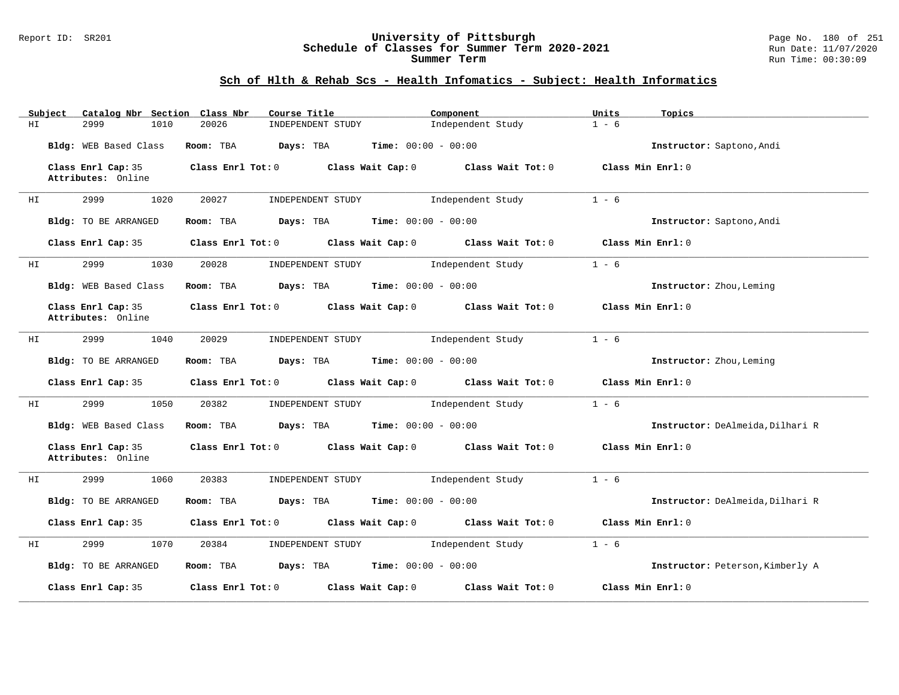#### Report ID: SR201 **University of Pittsburgh** Page No. 180 of 251 **Schedule of Classes for Summer Term 2020-2021** Run Date: 11/07/2020 **Summer Term** Run Time: 00:30:09

|    | Subject | Catalog Nbr Section Class Nbr            | Course Title                                                            | Component                           | Units<br>Topics                  |
|----|---------|------------------------------------------|-------------------------------------------------------------------------|-------------------------------------|----------------------------------|
| ΗI |         | 2999<br>1010                             | 20026<br>INDEPENDENT STUDY                                              | Independent Study                   | $1 - 6$                          |
|    |         | Bldg: WEB Based Class                    | Room: TBA<br>$Days: TBA$ Time: $00:00 - 00:00$                          |                                     | Instructor: Saptono, Andi        |
|    |         | Class Enrl Cap: 35<br>Attributes: Online | Class Enrl Tot: 0 Class Wait Cap: 0 Class Wait Tot: 0                   |                                     | Class Min Enrl: 0                |
| ΗI |         | 2999<br>1020                             | 20027<br>INDEPENDENT STUDY                                              | Independent Study                   | $1 - 6$                          |
|    |         | Bldg: TO BE ARRANGED                     | Room: TBA $Days:$ TBA $Time: 00:00 - 00:00$                             |                                     | Instructor: Saptono, Andi        |
|    |         | Class Enrl Cap: 35                       | Class Enrl Tot: 0 Class Wait Cap: 0 Class Wait Tot: 0 Class Min Enrl: 0 |                                     |                                  |
| ΗI |         | 2999<br>1030                             | 20028<br>INDEPENDENT STUDY                                              | Independent Study                   | $1 - 6$                          |
|    |         | Bldg: WEB Based Class                    | Room: TBA $Days:$ TBA $Time: 00:00 - 00:00$                             |                                     | Instructor: Zhou, Leming         |
|    |         | Class Enrl Cap: 35<br>Attributes: Online | Class Enrl Tot: 0 Class Wait Cap: 0 Class Wait Tot: 0 Class Min Enrl: 0 |                                     |                                  |
| HI |         | 2999<br>1040                             | 20029<br>INDEPENDENT STUDY                                              | Independent Study                   | $1 - 6$                          |
|    |         | Bldg: TO BE ARRANGED                     | Room: TBA $Days:$ TBA $Time: 00:00 - 00:00$                             |                                     | Instructor: Zhou, Leming         |
|    |         | Class Enrl Cap: 35                       | $Class$ $Enrl$ $Tot: 0$                                                 | Class Wait Cap: 0 Class Wait Tot: 0 | Class Min Enrl: 0                |
| HI |         | 2999<br>1050                             | 20382<br>INDEPENDENT STUDY                                              | Independent Study                   | $1 - 6$                          |
|    |         | Bldg: WEB Based Class                    | Room: TBA $Days: TBA$ Time: $00:00 - 00:00$                             |                                     | Instructor: DeAlmeida, Dilhari R |
|    |         | Class Enrl Cap: 35<br>Attributes: Online | Class Enrl Tot: 0 Class Wait Cap: 0 Class Wait Tot: 0                   |                                     | Class Min Enrl: 0                |
| ΗI |         | 2999<br>1060                             | 20383                                                                   | INDEPENDENT STUDY 1ndependent Study | $1 - 6$                          |
|    |         | Bldg: TO BE ARRANGED                     | Room: TBA $\rule{1em}{0.15mm}$ Days: TBA Time: $00:00 - 00:00$          |                                     | Instructor: DeAlmeida, Dilhari R |
|    |         | Class Enrl Cap: 35                       | Class Enrl Tot: 0 Class Wait Cap: 0 Class Wait Tot: 0 Class Min Enrl: 0 |                                     |                                  |
| ΗI |         | 2999<br>1070                             | 20384                                                                   | INDEPENDENT STUDY 1ndependent Study | $1 - 6$                          |
|    |         | Bldg: TO BE ARRANGED                     | Room: TBA $Days: TBA$ Time: $00:00 - 00:00$                             |                                     | Instructor: Peterson, Kimberly A |
|    |         | Class Enrl Cap: 35                       | Class Enrl Tot: 0 Class Wait Cap: 0                                     | Class Wait Tot: 0                   | Class Min Enrl: 0                |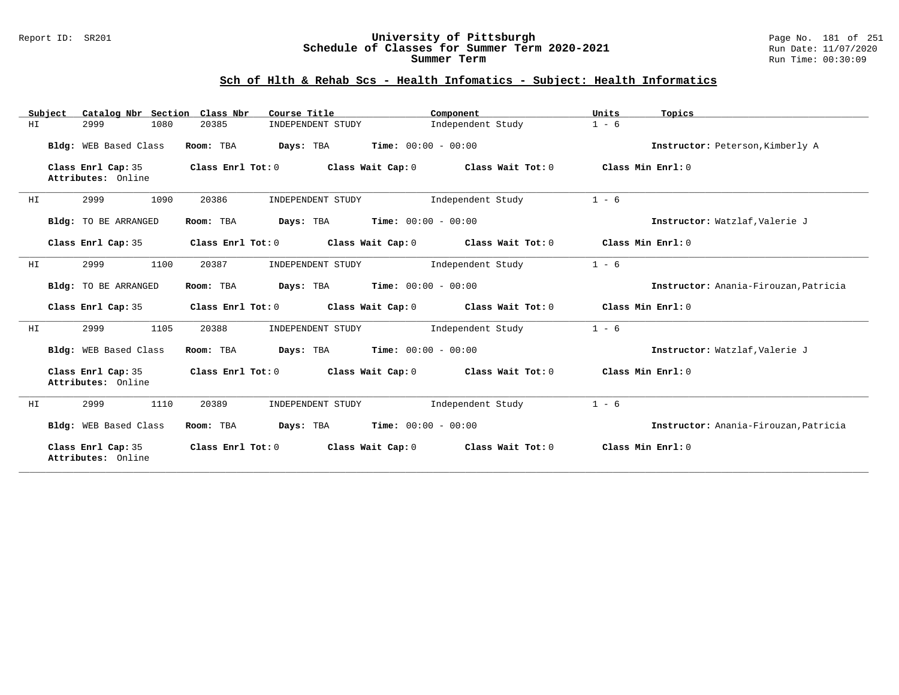#### Report ID: SR201 **University of Pittsburgh** Page No. 181 of 251 **Schedule of Classes for Summer Term 2020-2021** Run Date: 11/07/2020 **Summer Term** Run Time: 00:30:09

### **Sch of Hlth & Rehab Scs - Health Infomatics - Subject: Health Informatics**

|    | Subject |                                          |      | Catalog Nbr Section Class Nbr | Course Title                                  |                              | Component         | Units   | Topics                                |
|----|---------|------------------------------------------|------|-------------------------------|-----------------------------------------------|------------------------------|-------------------|---------|---------------------------------------|
| ΗI |         | 2999                                     | 1080 | 20385                         | INDEPENDENT STUDY                             |                              | Independent Study | $1 - 6$ |                                       |
|    |         | Bldg: WEB Based Class                    |      | Room: TBA                     | Days: TBA                                     | <b>Time:</b> $00:00 - 00:00$ |                   |         | Instructor: Peterson, Kimberly A      |
|    |         | Class Enrl Cap: 35<br>Attributes: Online |      | Class Enrl Tot: 0             | Class Wait Cap: 0                             |                              | Class Wait Tot: 0 |         | Class Min Enrl: 0                     |
| HI |         | 2999                                     | 1090 | 20386                         | INDEPENDENT STUDY                             |                              | Independent Study | $1 - 6$ |                                       |
|    |         | <b>Bldg:</b> TO BE ARRANGED              |      | Room: TBA                     | Days: TBA                                     | $Time: 00:00 - 00:00$        |                   |         | Instructor: Watzlaf, Valerie J        |
|    |         | Class Enrl Cap: 35                       |      |                               | Class Enrl Tot: 0 Class Wait Cap: 0           |                              | Class Wait Tot: 0 |         | Class Min Enrl: 0                     |
| HI |         | 2999                                     | 1100 | 20387                         | INDEPENDENT STUDY                             |                              | Independent Study | $1 - 6$ |                                       |
|    |         | Bldg: TO BE ARRANGED                     |      | Room: TBA                     | <b>Days:</b> TBA <b>Time:</b> $00:00 - 00:00$ |                              |                   |         | Instructor: Anania-Firouzan, Patricia |
|    |         | Class Enrl Cap: 35                       |      | Class Enrl Tot: 0             | Class Wait Cap: 0                             |                              | Class Wait Tot: 0 |         | Class Min $Err1:0$                    |
| ΗI |         | 2999                                     | 1105 | 20388                         | INDEPENDENT STUDY                             |                              | Independent Study | $1 - 6$ |                                       |
|    |         | Bldg: WEB Based Class                    |      | Room: TBA                     | <b>Days:</b> TBA <b>Time:</b> $00:00 - 00:00$ |                              |                   |         | Instructor: Watzlaf, Valerie J        |
|    |         | Class Enrl Cap: 35<br>Attributes: Online |      |                               | Class Enrl Tot: 0 Class Wait Cap: 0           |                              | Class Wait Tot: 0 |         | Class Min Enrl: 0                     |
| HI |         | 2999                                     | 1110 | 20389                         | INDEPENDENT STUDY                             |                              | Independent Study | $1 - 6$ |                                       |
|    |         | Bldg: WEB Based Class                    |      | Room: TBA                     | Days: TBA                                     | <b>Time:</b> $00:00 - 00:00$ |                   |         | Instructor: Anania-Firouzan, Patricia |
|    |         | Class Enrl Cap: 35<br>Attributes: Online |      | Class Enrl Tot: 0             | Class Wait Cap: 0                             |                              | Class Wait Tot: 0 |         | Class Min Enrl: 0                     |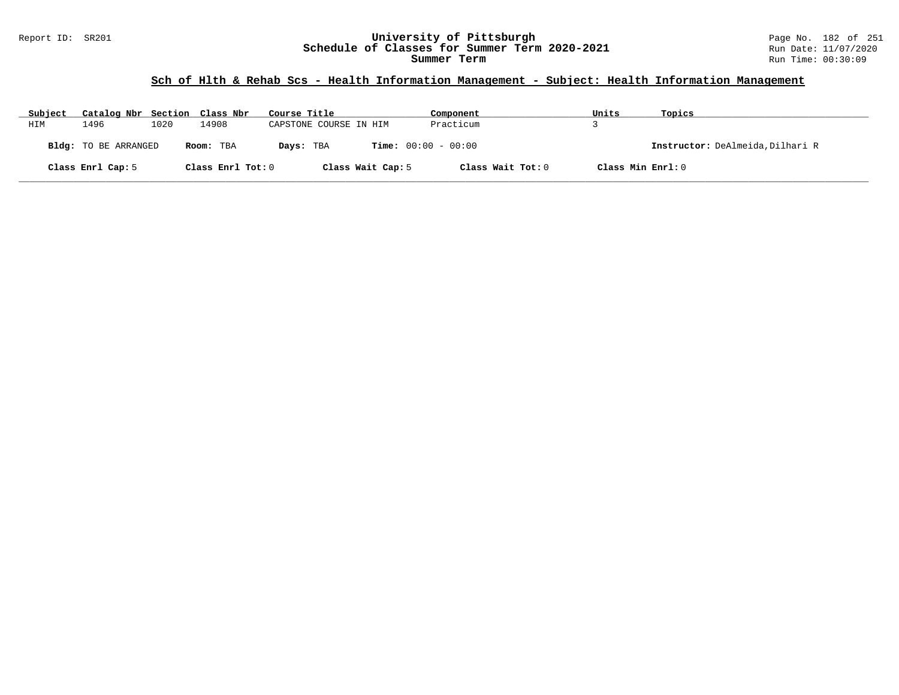# **Sch of Hlth & Rehab Scs - Health Information Management - Subject: Health Information Management**

| Subject | Catalog Nbr Section Class Nbr |      |                   | Course Title                              | Component         | Units             | Topics                           |
|---------|-------------------------------|------|-------------------|-------------------------------------------|-------------------|-------------------|----------------------------------|
| HIM     | 1496                          | 1020 | 14908             | CAPSTONE COURSE IN HIM                    | Practicum         |                   |                                  |
|         | <b>Bldg:</b> TO BE ARRANGED   |      | Room: TBA         | <b>Time:</b> $00:00 - 00:00$<br>Days: TBA |                   |                   | Instructor: DeAlmeida, Dilhari R |
|         | Class Enrl Cap: 5             |      | Class Enrl Tot: 0 | Class Wait Cap: 5                         | Class Wait Tot: 0 | Class Min Enrl: 0 |                                  |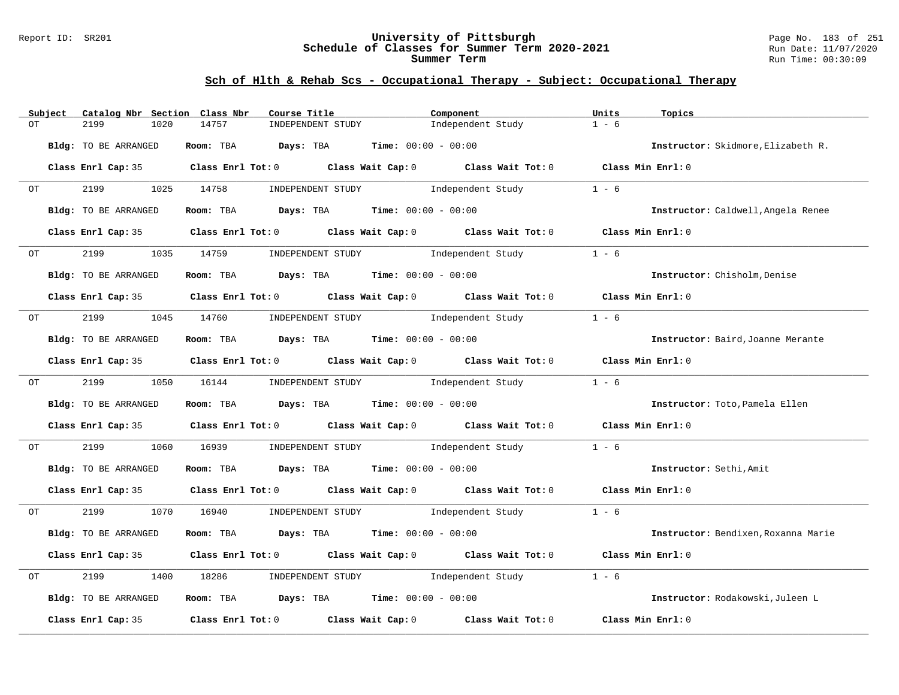#### Report ID: SR201 **University of Pittsburgh** Page No. 183 of 251 **Schedule of Classes for Summer Term 2020-2021** Run Date: 11/07/2020 **Summer Term** Run Time: 00:30:09

# **Sch of Hlth & Rehab Scs - Occupational Therapy - Subject: Occupational Therapy**

| Subject |       | Catalog Nbr Section Class Nbr | Course Title                                |                                     | Component                                                                                  | Units<br>Topics              |                                     |
|---------|-------|-------------------------------|---------------------------------------------|-------------------------------------|--------------------------------------------------------------------------------------------|------------------------------|-------------------------------------|
| OT      |       | 2199<br>1020                  | 14757                                       | INDEPENDENT STUDY                   | Independent Study                                                                          | $1 - 6$                      |                                     |
|         |       | Bldg: TO BE ARRANGED          | Room: TBA $Days:$ TBA $Time: 00:00 - 00:00$ |                                     |                                                                                            |                              | Instructor: Skidmore, Elizabeth R.  |
|         |       |                               |                                             |                                     | Class Enrl Cap: 35 Class Enrl Tot: 0 Class Wait Cap: 0 Class Wait Tot: 0 Class Min Enrl: 0 |                              |                                     |
| OT      |       | 2199                          | 1025 14758                                  |                                     | INDEPENDENT STUDY 1ndependent Study                                                        | $1 - 6$                      |                                     |
|         |       | Bldg: TO BE ARRANGED          | Room: TBA $Days:$ TBA $Time: 00:00 - 00:00$ |                                     |                                                                                            |                              | Instructor: Caldwell, Angela Renee  |
|         |       |                               |                                             |                                     | Class Enrl Cap: 35 Class Enrl Tot: 0 Class Wait Cap: 0 Class Wait Tot: 0 Class Min Enrl: 0 |                              |                                     |
|         | OT TO | 2199<br>1035                  | 14759                                       | INDEPENDENT STUDY 1ndependent Study |                                                                                            | $1 - 6$                      |                                     |
|         |       | Bldg: TO BE ARRANGED          | Room: TBA $Days:$ TBA $Time: 00:00 - 00:00$ |                                     |                                                                                            | Instructor: Chisholm, Denise |                                     |
|         |       |                               |                                             |                                     | Class Enrl Cap: 35 Class Enrl Tot: 0 Class Wait Cap: 0 Class Wait Tot: 0 Class Min Enrl: 0 |                              |                                     |
| ОT      |       | 2199 1045 14760               |                                             |                                     | INDEPENDENT STUDY 1ndependent Study                                                        | $1 - 6$                      |                                     |
|         |       | Bldg: TO BE ARRANGED          | Room: TBA $Days:$ TBA $Time: 00:00 - 00:00$ |                                     |                                                                                            |                              | Instructor: Baird, Joanne Merante   |
|         |       |                               |                                             |                                     | Class Enrl Cap: 35 Class Enrl Tot: 0 Class Wait Cap: 0 Class Wait Tot: 0 Class Min Enrl: 0 |                              |                                     |
|         | OT    | 2199                          | 1050 16144                                  |                                     | INDEPENDENT STUDY Thdependent Study                                                        | $1 - 6$                      |                                     |
|         |       | Bldg: TO BE ARRANGED          | Room: TBA $Days: TBA$ Time: $00:00 - 00:00$ |                                     |                                                                                            |                              | Instructor: Toto, Pamela Ellen      |
|         |       |                               |                                             |                                     | Class Enrl Cap: 35 Class Enrl Tot: 0 Class Wait Cap: 0 Class Wait Tot: 0 Class Min Enrl: 0 |                              |                                     |
| OT      |       | 2199<br>1060                  | 16939                                       |                                     | INDEPENDENT STUDY The Independent Study                                                    | $1 - 6$                      |                                     |
|         |       | Bldg: TO BE ARRANGED          | Room: TBA $Days:$ TBA $Time: 00:00 - 00:00$ |                                     |                                                                                            | Instructor: Sethi, Amit      |                                     |
|         |       |                               |                                             |                                     | Class Enrl Cap: 35 Class Enrl Tot: 0 Class Wait Cap: 0 Class Wait Tot: 0 Class Min Enrl: 0 |                              |                                     |
| ОT      |       | 2199                          | 1070 16940                                  |                                     | INDEPENDENT STUDY 1 - 6                                                                    |                              |                                     |
|         |       | Bldg: TO BE ARRANGED          | Room: TBA $Days:$ TBA $Time: 00:00 - 00:00$ |                                     |                                                                                            |                              | Instructor: Bendixen, Roxanna Marie |
|         |       |                               |                                             |                                     | Class Enrl Cap: 35 Class Enrl Tot: 0 Class Wait Cap: 0 Class Wait Tot: 0 Class Min Enrl: 0 |                              |                                     |
| OT      |       | 2199<br>1400                  | 18286                                       | INDEPENDENT STUDY 1ndependent Study |                                                                                            | $1 - 6$                      |                                     |
|         |       | Bldg: TO BE ARRANGED          | Room: TBA $Days:$ TBA $Time: 00:00 - 00:00$ |                                     |                                                                                            |                              | Instructor: Rodakowski, Juleen L    |
|         |       | Class Enrl Cap: 35            |                                             |                                     | Class Enrl Tot: 0 Class Wait Cap: 0 Class Wait Tot: 0                                      | Class Min Enrl: 0            |                                     |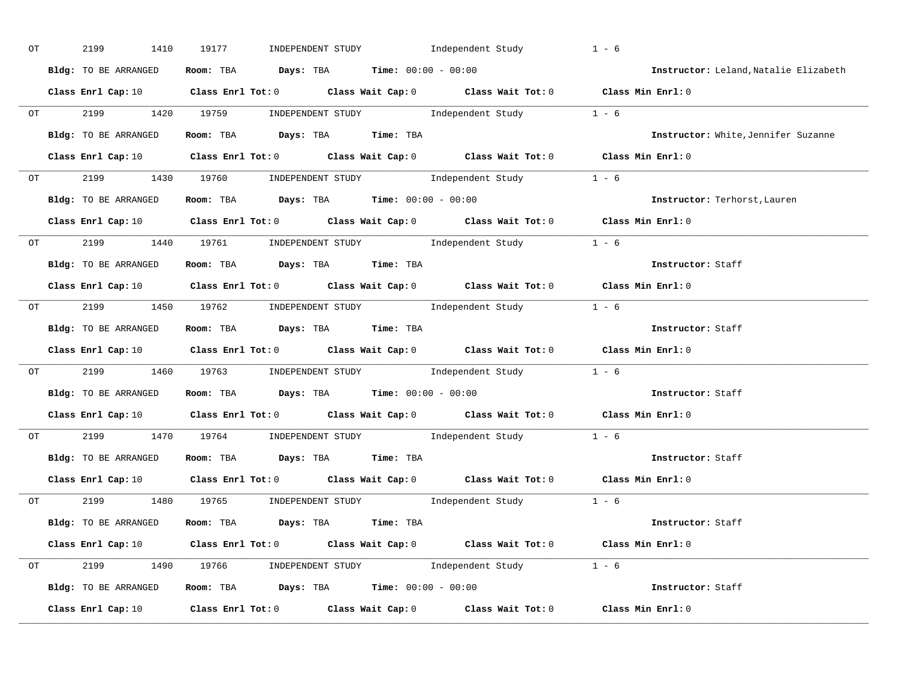| OT | 2199<br>1410         | INDEPENDENT STUDY 1ndependent Study<br>19177                                                                                   | $1 - 6$                               |
|----|----------------------|--------------------------------------------------------------------------------------------------------------------------------|---------------------------------------|
|    | Bldg: TO BE ARRANGED | Room: TBA $Days:$ TBA $Time: 00:00 - 00:00$                                                                                    | Instructor: Leland, Natalie Elizabeth |
|    |                      | Class Enrl Cap: 10 $\qquad$ Class Enrl Tot: 0 $\qquad$ Class Wait Cap: 0 $\qquad$ Class Wait Tot: 0 $\qquad$ Class Min Enrl: 0 |                                       |
|    |                      | OT 2199 1420 19759 INDEPENDENT STUDY Independent Study 1 - 6                                                                   |                                       |
|    | Bldg: TO BE ARRANGED | Room: TBA Days: TBA Time: TBA                                                                                                  | Instructor: White, Jennifer Suzanne   |
|    |                      | Class Enrl Cap: 10 Class Enrl Tot: 0 Class Wait Cap: 0 Class Wait Tot: 0 Class Min Enrl: 0                                     |                                       |
|    |                      | OT 2199 1430 19760 INDEPENDENT STUDY Independent Study 1 - 6                                                                   |                                       |
|    |                      | Bldg: TO BE ARRANGED Room: TBA Days: TBA Time: 00:00 - 00:00                                                                   | Instructor: Terhorst, Lauren          |
|    |                      | Class Enrl Cap: 10 $\qquad$ Class Enrl Tot: 0 $\qquad$ Class Wait Cap: 0 $\qquad$ Class Wait Tot: 0 $\qquad$ Class Min Enrl: 0 |                                       |
|    |                      | OT 2199 1440 19761 INDEPENDENT STUDY Independent Study 1 - 6                                                                   |                                       |
|    | Bldg: TO BE ARRANGED | Room: TBA Days: TBA Time: TBA                                                                                                  | Instructor: Staff                     |
|    |                      | Class Enrl Cap: 10 Class Enrl Tot: 0 Class Wait Cap: 0 Class Wait Tot: 0 Class Min Enrl: 0                                     |                                       |
|    |                      | OT 2199 1450 19762 INDEPENDENT STUDY Independent Study 1 - 6                                                                   |                                       |
|    | Bldg: TO BE ARRANGED | Room: TBA Days: TBA Time: TBA                                                                                                  | Instructor: Staff                     |
|    |                      | Class Enrl Cap: 10 $\qquad$ Class Enrl Tot: 0 $\qquad$ Class Wait Cap: 0 $\qquad$ Class Wait Tot: 0 $\qquad$ Class Min Enrl: 0 |                                       |
|    |                      | OT 2199 1460 19763 INDEPENDENT STUDY Independent Study 1 - 6                                                                   |                                       |
|    |                      | Bldg: TO BE ARRANGED Room: TBA Days: TBA Time: 00:00 - 00:00                                                                   | Instructor: Staff                     |
|    |                      | Class Enrl Cap: 10 $\qquad$ Class Enrl Tot: 0 $\qquad$ Class Wait Cap: 0 $\qquad$ Class Wait Tot: 0 $\qquad$ Class Min Enrl: 0 |                                       |
|    |                      | 0T 2199 1470 19764 INDEPENDENT STUDY Independent Study 1 - 6                                                                   |                                       |
|    | Bldg: TO BE ARRANGED | Room: TBA Days: TBA Time: TBA                                                                                                  | Instructor: Staff                     |
|    |                      | Class Enrl Cap: 10 $\qquad$ Class Enrl Tot: 0 $\qquad$ Class Wait Cap: 0 $\qquad$ Class Wait Tot: 0 $\qquad$ Class Min Enrl: 0 |                                       |
|    |                      | OT 2199 1480 19765 INDEPENDENT STUDY Independent Study 1 - 6                                                                   |                                       |
|    | Bldg: TO BE ARRANGED | Room: TBA Days: TBA Time: TBA                                                                                                  | Instructor: Staff                     |
|    |                      | Class Enrl Cap: 10 $\qquad$ Class Enrl Tot: 0 $\qquad$ Class Wait Cap: 0 $\qquad$ Class Wait Tot: 0 $\qquad$ Class Min Enrl: 0 |                                       |
|    |                      | OT 2199 1490 19766 INDEPENDENT STUDY Independent Study 1 - 6                                                                   |                                       |
|    |                      | Bldg: TO BE ARRANGED Room: TBA Days: TBA Time: 00:00 - 00:00                                                                   | Instructor: Staff                     |
|    |                      | Class Enrl Cap: 10 $\qquad$ Class Enrl Tot: 0 $\qquad$ Class Wait Cap: 0 $\qquad$ Class Wait Tot: 0 $\qquad$ Class Min Enrl: 0 |                                       |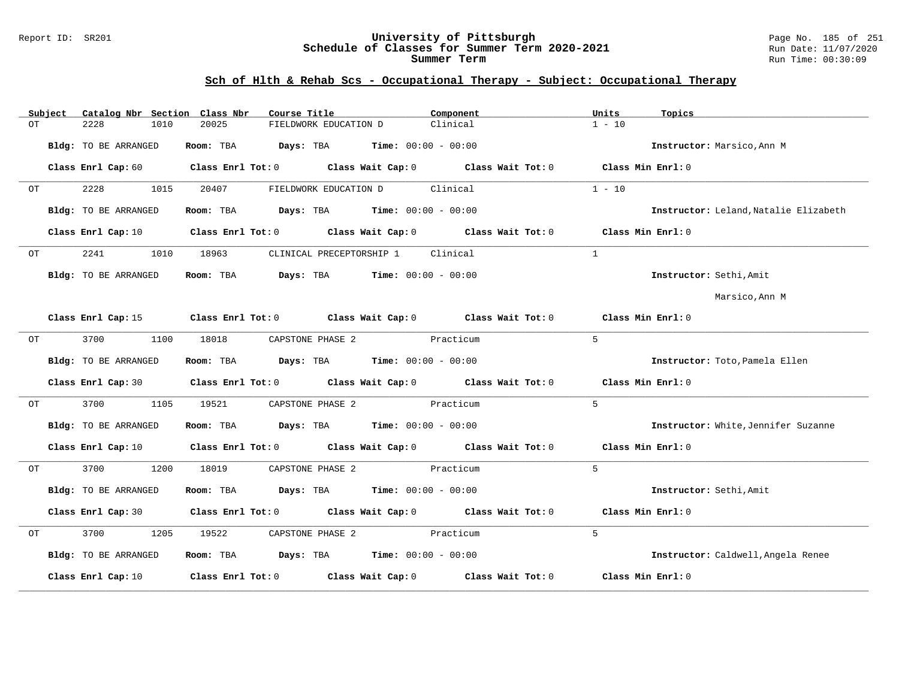#### Report ID: SR201 **University of Pittsburgh** Page No. 185 of 251 **Schedule of Classes for Summer Term 2020-2021** Run Date: 11/07/2020 **Summer Term** Run Time: 00:30:09

# **Sch of Hlth & Rehab Scs - Occupational Therapy - Subject: Occupational Therapy**

|     | Subject | Catalog Nbr Section Class Nbr |      |            | Course Title                                                                             |                                | Component |                                                                                                                                | Units        | Topics                                |
|-----|---------|-------------------------------|------|------------|------------------------------------------------------------------------------------------|--------------------------------|-----------|--------------------------------------------------------------------------------------------------------------------------------|--------------|---------------------------------------|
| OT. |         | 2228                          | 1010 | 20025      |                                                                                          | FIELDWORK EDUCATION D Clinical |           |                                                                                                                                | $1 - 10$     |                                       |
|     |         | Bldg: TO BE ARRANGED          |      |            | Room: TBA $Days: TBA$ Time: $00:00 - 00:00$                                              |                                |           |                                                                                                                                |              | Instructor: Marsico, Ann M            |
|     |         |                               |      |            |                                                                                          |                                |           | Class Enrl Cap: 60 $\qquad$ Class Enrl Tot: 0 $\qquad$ Class Wait Cap: 0 $\qquad$ Class Wait Tot: 0 $\qquad$ Class Min Enrl: 0 |              |                                       |
| OT  |         | 2228                          | 1015 | 20407      |                                                                                          | FIELDWORK EDUCATION D Clinical |           |                                                                                                                                | $1 - 10$     |                                       |
|     |         | Bldg: TO BE ARRANGED          |      |            | Room: TBA $\rule{1em}{0.15mm}$ Days: TBA $\rule{1.15mm}]{0.15mm}$ Time: $0.000 - 0.0000$ |                                |           |                                                                                                                                |              | Instructor: Leland, Natalie Elizabeth |
|     |         |                               |      |            |                                                                                          |                                |           | Class Enrl Cap: 10 $\qquad$ Class Enrl Tot: 0 $\qquad$ Class Wait Cap: 0 $\qquad$ Class Wait Tot: 0 $\qquad$ Class Min Enrl: 0 |              |                                       |
| OT  |         | 2241                          | 1010 |            | 18963 CLINICAL PRECEPTORSHIP 1 Clinical                                                  |                                |           |                                                                                                                                | $\mathbf{1}$ |                                       |
|     |         | Bldg: TO BE ARRANGED          |      |            | Room: TBA $Days:$ TBA Time: $00:00 - 00:00$                                              |                                |           |                                                                                                                                |              | Instructor: Sethi, Amit               |
|     |         |                               |      |            |                                                                                          |                                |           |                                                                                                                                |              | Marsico, Ann M                        |
|     |         |                               |      |            |                                                                                          |                                |           | Class Enrl Cap: 15 Class Enrl Tot: 0 Class Wait Cap: 0 Class Wait Tot: 0 Class Min Enrl: 0                                     |              |                                       |
| OT  |         | 3700 3700                     | 1100 | 18018      |                                                                                          | CAPSTONE PHASE 2 Practicum     |           |                                                                                                                                | $5^{\circ}$  |                                       |
|     |         | Bldg: TO BE ARRANGED          |      |            | Room: TBA $\rule{1em}{0.15mm}$ Days: TBA $\rule{1.5mm}{0.15mm}$ Time: $00:00 - 00:00$    |                                |           |                                                                                                                                |              | Instructor: Toto, Pamela Ellen        |
|     |         |                               |      |            |                                                                                          |                                |           | Class Enrl Cap: 30 Class Enrl Tot: 0 Class Wait Cap: 0 Class Wait Tot: 0 Class Min Enrl: 0                                     |              |                                       |
| ОT  |         | 3700 3700                     |      | 1105 19521 |                                                                                          | CAPSTONE PHASE 2 Practicum     |           |                                                                                                                                | $5^{\circ}$  |                                       |
|     |         | Bldg: TO BE ARRANGED          |      |            | Room: TBA $Days:$ TBA $Time: 00:00 - 00:00$                                              |                                |           |                                                                                                                                |              | Instructor: White, Jennifer Suzanne   |
|     |         |                               |      |            |                                                                                          |                                |           | Class Enrl Cap: 10 $\qquad$ Class Enrl Tot: 0 $\qquad$ Class Wait Cap: 0 $\qquad$ Class Wait Tot: 0 $\qquad$ Class Min Enrl: 0 |              |                                       |
| OT  |         | 3700 3700                     | 1200 |            | 18019 CAPSTONE PHASE 2 Practicum                                                         |                                |           |                                                                                                                                | $5^{\circ}$  |                                       |
|     |         | Bldg: TO BE ARRANGED          |      |            | Room: TBA $Days:$ TBA Time: $00:00 - 00:00$                                              |                                |           |                                                                                                                                |              | Instructor: Sethi, Amit               |
|     |         |                               |      |            |                                                                                          |                                |           | Class Enrl Cap: 30 Class Enrl Tot: 0 Class Wait Cap: 0 Class Wait Tot: 0 Class Min Enrl: 0                                     |              |                                       |
| OT  |         |                               |      |            | 3700 1205 19522 CAPSTONE PHASE 2 Practicum                                               |                                |           |                                                                                                                                | $5^{\circ}$  |                                       |
|     |         | Bldg: TO BE ARRANGED          |      |            | Room: TBA $Days:$ TBA Time: $00:00 - 00:00$                                              |                                |           |                                                                                                                                |              | Instructor: Caldwell, Angela Renee    |
|     |         | Class Enrl Cap: 10            |      |            |                                                                                          |                                |           | Class Enrl Tot: $0$ Class Wait Cap: $0$ Class Wait Tot: $0$                                                                    |              | Class Min Enrl: 0                     |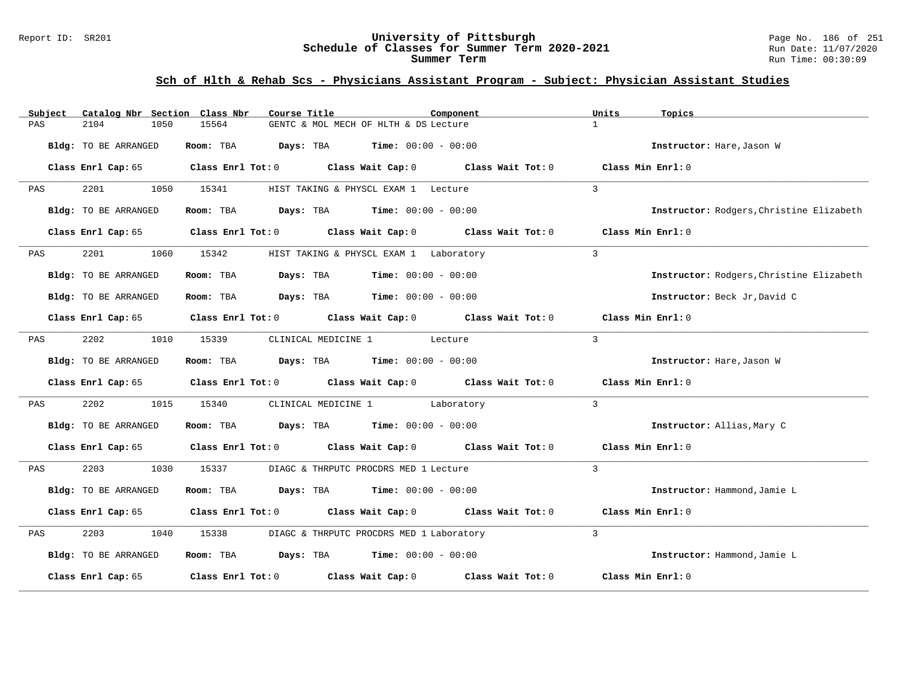#### Report ID: SR201 **University of Pittsburgh** Page No. 186 of 251 **Schedule of Classes for Summer Term 2020-2021** Run Date: 11/07/2020 **Summer Term** Run Time: 00:30:09

# **Sch of Hlth & Rehab Scs - Physicians Assistant Program - Subject: Physician Assistant Studies**

| Subject | Catalog Nbr Section Class Nbr | Course Title | Component                                                                                                           | Units<br>Topics                          |
|---------|-------------------------------|--------------|---------------------------------------------------------------------------------------------------------------------|------------------------------------------|
| PAS     | 2104<br>1050                  | 15564        | GENTC & MOL MECH OF HLTH & DS Lecture                                                                               | $\mathbf{1}$                             |
|         | Bldg: TO BE ARRANGED          | Room: TBA    | <b>Days:</b> TBA <b>Time:</b> $00:00 - 00:00$                                                                       | Instructor: Hare, Jason W                |
|         | Class Enrl Cap: 65            |              | Class Enrl Tot: $0$ Class Wait Cap: $0$ Class Wait Tot: $0$                                                         | Class Min Enrl: 0                        |
| PAS     | 2201<br>1050                  | 15341        | HIST TAKING & PHYSCL EXAM 1 Lecture                                                                                 | $\mathbf{3}$                             |
|         | Bldg: TO BE ARRANGED          |              | Room: TBA $Days:$ TBA $Time: 00:00 - 00:00$                                                                         | Instructor: Rodgers, Christine Elizabeth |
|         | Class Enrl Cap: 65            |              | Class Enrl Tot: $0$ Class Wait Cap: $0$ Class Wait Tot: $0$                                                         | Class Min Enrl: 0                        |
| PAS     | 2201<br>1060                  | 15342        | HIST TAKING & PHYSCL EXAM 1 Laboratory                                                                              | $\mathbf{3}$                             |
|         | Bldg: TO BE ARRANGED          | Room: TBA    | $\texttt{DayS:}$ TBA $\texttt{Time:}$ 00:00 - 00:00                                                                 | Instructor: Rodgers, Christine Elizabeth |
|         | Bldg: TO BE ARRANGED          |              | Room: TBA $Days:$ TBA $Time: 00:00 - 00:00$                                                                         | Instructor: Beck Jr, David C             |
|         |                               |              | Class Enrl Cap: 65 Class Enrl Tot: 0 Class Wait Cap: 0 Class Wait Tot: 0                                            | Class Min Enrl: 0                        |
| PAS     | 2202<br>1010                  | 15339        | CLINICAL MEDICINE 1 Lecture                                                                                         | $\mathbf{3}$                             |
|         | Bldg: TO BE ARRANGED          |              | Room: TBA $Days:$ TBA $Time: 00:00 - 00:00$                                                                         | Instructor: Hare, Jason W                |
|         |                               |              | Class Enrl Cap: 65 $\qquad$ Class Enrl Tot: 0 $\qquad$ Class Wait Cap: 0 $\qquad$ Class Wait Tot: 0                 | Class Min Enrl: 0                        |
| PAS     | 2202<br>1015                  | 15340        | CLINICAL MEDICINE 1 Laboratory                                                                                      | $\mathbf{3}$                             |
|         | Bldg: TO BE ARRANGED          |              | <b>Room:</b> TBA <b>Days:</b> TBA <b>Time:</b> 00:00 - 00:00                                                        | Instructor: Allias, Mary C               |
|         | Class Enrl Cap: 65            |              | Class Enrl Tot: $0$ Class Wait Cap: $0$ Class Wait Tot: $0$                                                         | Class Min Enrl: 0                        |
| PAS     | 2203<br>1030                  | 15337        | DIAGC & THRPUTC PROCDRS MED 1 Lecture                                                                               | 3                                        |
|         | Bldg: TO BE ARRANGED          |              | Room: TBA $Days:$ TBA $Time: 00:00 - 00:00$                                                                         | Instructor: Hammond, Jamie L             |
|         |                               |              | Class Enrl Cap: 65 $\,$ Class Enrl Tot: 0 $\,$ Class Wait Cap: 0 $\,$ Class Wait Tot: 0 $\,$ Class Wait Tot: 0 $\,$ | Class Min Enrl: 0                        |
| PAS     | 2203<br>1040                  | 15338        | DIAGC & THRPUTC PROCDRS MED 1 Laboratory                                                                            | $\mathcal{L}$                            |
|         | Bldg: TO BE ARRANGED          |              | Room: TBA $Days:$ TBA $Time: 00:00 - 00:00$                                                                         | Instructor: Hammond, Jamie L             |
|         | Class Enrl Cap: 65            |              | Class Enrl Tot: $0$ Class Wait Cap: $0$ Class Wait Tot: $0$                                                         | Class Min Enrl: 0                        |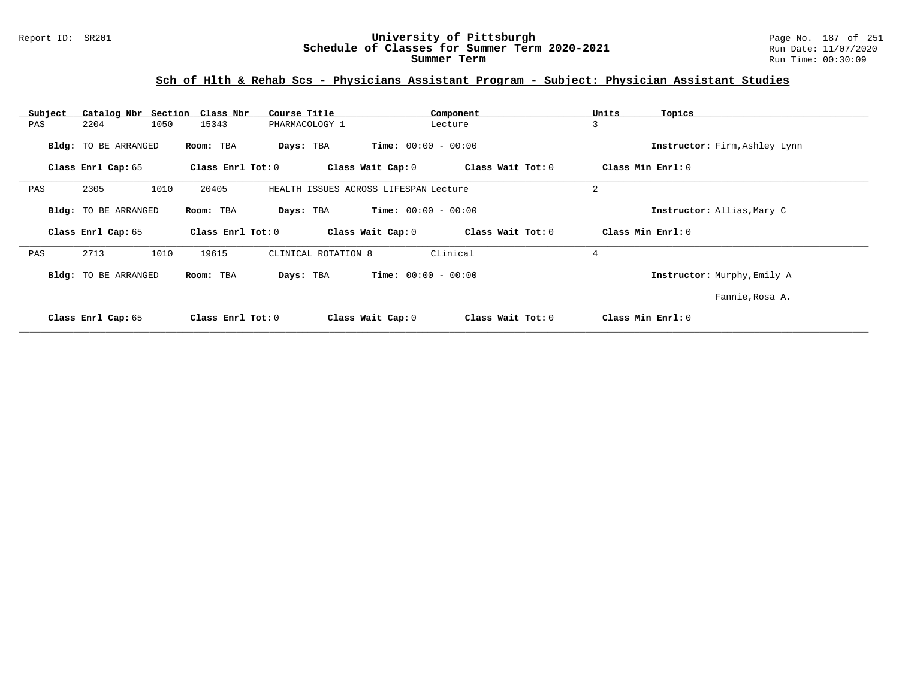# **Sch of Hlth & Rehab Scs - Physicians Assistant Program - Subject: Physician Assistant Studies**

| Subject | Catalog Nbr Section  | Class Nbr           | Course Title                          |                              | Component         | Units<br>Topics               |  |
|---------|----------------------|---------------------|---------------------------------------|------------------------------|-------------------|-------------------------------|--|
| PAS     | 2204<br>1050         | 15343               | PHARMACOLOGY 1                        | Lecture                      |                   | 3                             |  |
|         | Bldg: TO BE ARRANGED | Room: TBA           | Days: TBA                             | <b>Time:</b> $00:00 - 00:00$ |                   | Instructor: Firm, Ashley Lynn |  |
|         | Class Enrl Cap: 65   | Class Enrl Tot: $0$ |                                       | Class Wait Cap: 0            | Class Wait Tot: 0 | Class Min Enrl: 0             |  |
| PAS     | 2305<br>1010         | 20405               | HEALTH ISSUES ACROSS LIFESPAN Lecture |                              |                   | 2                             |  |
|         | Bldg: TO BE ARRANGED | Room: TBA           | Days: TBA                             | <b>Time:</b> $00:00 - 00:00$ |                   | Instructor: Allias, Mary C    |  |
|         | Class Enrl Cap: 65   | Class Enrl Tot: 0   |                                       | Class Wait Cap: 0            | Class Wait Tot: 0 | Class Min Enrl: 0             |  |
| PAS     | 2713<br>1010         | 19615               | CLINICAL ROTATION 8                   | Clinical                     |                   | $\overline{4}$                |  |
|         | Bldg: TO BE ARRANGED | Room: TBA           | Days: TBA                             | <b>Time:</b> $00:00 - 00:00$ |                   | Instructor: Murphy, Emily A   |  |
|         |                      |                     |                                       |                              |                   | Fannie, Rosa A.               |  |
|         | Class Enrl Cap: 65   | Class Enrl Tot: $0$ |                                       | Class Wait Cap: 0            | Class Wait Tot: 0 | Class Min Enrl: 0             |  |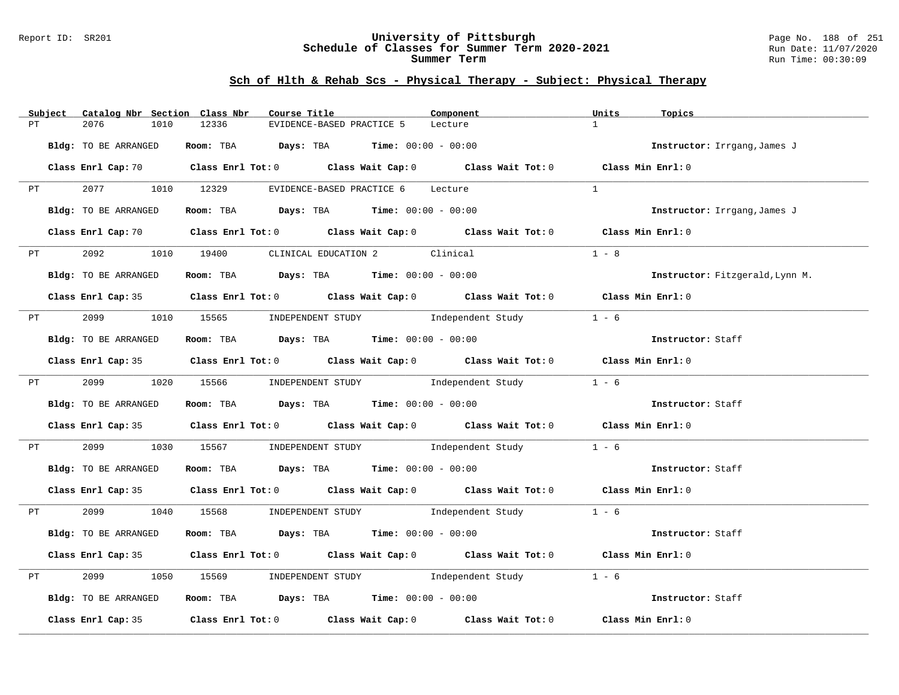#### Report ID: SR201 **University of Pittsburgh** Page No. 188 of 251 **Schedule of Classes for Summer Term 2020-2021** Run Date: 11/07/2020 **Summer Term** Run Time: 00:30:09

# **Sch of Hlth & Rehab Scs - Physical Therapy - Subject: Physical Therapy**

|    | Subject                                                                                                                                                                                                                        | Catalog Nbr Section Class Nbr | Course Title                                                   |                           | Component                                                                                                                      | Units<br>Topics                 |  |
|----|--------------------------------------------------------------------------------------------------------------------------------------------------------------------------------------------------------------------------------|-------------------------------|----------------------------------------------------------------|---------------------------|--------------------------------------------------------------------------------------------------------------------------------|---------------------------------|--|
| PT |                                                                                                                                                                                                                                | 2076<br>1010                  | 12336                                                          | EVIDENCE-BASED PRACTICE 5 | Lecture                                                                                                                        | $\mathbf{1}$                    |  |
|    |                                                                                                                                                                                                                                | Bldg: TO BE ARRANGED          | Room: TBA $Days:$ TBA $Time: 00:00 - 00:00$                    |                           |                                                                                                                                | Instructor: Irrgang, James J    |  |
|    |                                                                                                                                                                                                                                |                               |                                                                |                           | Class Enrl Cap: 70 $\qquad$ Class Enrl Tot: 0 $\qquad$ Class Wait Cap: 0 $\qquad$ Class Wait Tot: 0 $\qquad$ Class Min Enrl: 0 |                                 |  |
|    | PT and the set of the set of the set of the set of the set of the set of the set of the set of the set of the set of the set of the set of the set of the set of the set of the set of the set of the set of the set of the se |                               | 2077 1010 12329 EVIDENCE-BASED PRACTICE 6 Lecture              |                           |                                                                                                                                | $\mathbf{1}$                    |  |
|    |                                                                                                                                                                                                                                | Bldg: TO BE ARRANGED          | Room: TBA $\rule{1em}{0.15mm}$ Days: TBA Time: $00:00 - 00:00$ |                           |                                                                                                                                | Instructor: Irrgang, James J    |  |
|    |                                                                                                                                                                                                                                |                               |                                                                |                           | Class Enrl Cap: 70 Class Enrl Tot: 0 Class Wait Cap: 0 Class Wait Tot: 0 Class Min Enrl: 0                                     |                                 |  |
|    |                                                                                                                                                                                                                                |                               | PT 2092 1010 19400 CLINICAL EDUCATION 2 Clinical               |                           |                                                                                                                                | $1 - 8$                         |  |
|    |                                                                                                                                                                                                                                | Bldg: TO BE ARRANGED          | Room: TBA $\rule{1em}{0.15mm}$ Days: TBA Time: $00:00 - 00:00$ |                           |                                                                                                                                | Instructor: Fitzgerald, Lynn M. |  |
|    |                                                                                                                                                                                                                                |                               |                                                                |                           | Class Enrl Cap: 35 Class Enrl Tot: 0 Class Wait Cap: 0 Class Wait Tot: 0 Class Min Enrl: 0                                     |                                 |  |
|    |                                                                                                                                                                                                                                |                               | PT 2099 1010 15565 INDEPENDENT STUDY Independent Study         |                           |                                                                                                                                | $1 - 6$                         |  |
|    |                                                                                                                                                                                                                                | Bldg: TO BE ARRANGED          | Room: TBA $Days:$ TBA $Time: 00:00 - 00:00$                    |                           |                                                                                                                                | Instructor: Staff               |  |
|    |                                                                                                                                                                                                                                |                               |                                                                |                           | Class Enrl Cap: 35 Class Enrl Tot: 0 Class Wait Cap: 0 Class Wait Tot: 0 Class Min Enrl: 0                                     |                                 |  |
|    |                                                                                                                                                                                                                                |                               |                                                                |                           | PT 2099 1020 15566 INDEPENDENT STUDY Independent Study 1 - 6                                                                   |                                 |  |
|    |                                                                                                                                                                                                                                | Bldg: TO BE ARRANGED          | Room: TBA Days: TBA Time: $00:00 - 00:00$                      |                           |                                                                                                                                | Instructor: Staff               |  |
|    |                                                                                                                                                                                                                                |                               |                                                                |                           | Class Enrl Cap: 35 Class Enrl Tot: 0 Class Wait Cap: 0 Class Wait Tot: 0 Class Min Enrl: 0                                     |                                 |  |
|    | PT FOR THE STATE OF THE STATE STATE STATE STATE STATE STATE STATE STATE STATE STATE STATE STATE STATE STATE STATE STATE STATE STATE STATE STATE STATE STATE STATE STATE STATE STATE STATE STATE STATE STATE STATE STATE STATE  | 2099 70                       |                                                                |                           | 1030 15567 INDEPENDENT STUDY 1ndependent Study 1 - 6                                                                           |                                 |  |
|    |                                                                                                                                                                                                                                | Bldg: TO BE ARRANGED          | Room: TBA $\rule{1em}{0.15mm}$ Days: TBA Time: $00:00 - 00:00$ |                           |                                                                                                                                | Instructor: Staff               |  |
|    |                                                                                                                                                                                                                                |                               |                                                                |                           | Class Enrl Cap: 35 Class Enrl Tot: 0 Class Wait Cap: 0 Class Wait Tot: 0 Class Min Enrl: 0                                     |                                 |  |
|    |                                                                                                                                                                                                                                |                               |                                                                |                           | PT 2099 1040 15568 INDEPENDENT STUDY Independent Study 1 - 6                                                                   |                                 |  |
|    |                                                                                                                                                                                                                                | Bldg: TO BE ARRANGED          |                                                                |                           | <b>Room:</b> TBA <b>Days:</b> TBA <b>Time:</b> 00:00 - 00:00                                                                   | Instructor: Staff               |  |
|    |                                                                                                                                                                                                                                |                               |                                                                |                           | Class Enrl Cap: 35 Class Enrl Tot: 0 Class Wait Cap: 0 Class Wait Tot: 0 Class Min Enrl: 0                                     |                                 |  |
| PT |                                                                                                                                                                                                                                | 2099                          |                                                                |                           | 1050 15569 INDEPENDENT STUDY Independent Study                                                                                 | $1 - 6$                         |  |
|    |                                                                                                                                                                                                                                | Bldg: TO BE ARRANGED          |                                                                |                           | Room: TBA $\rule{1em}{0.15mm}$ Days: TBA $\rule{1.15mm}{}$ Time: $00:00 - 00:00$                                               | Instructor: Staff               |  |
|    |                                                                                                                                                                                                                                |                               |                                                                |                           | Class Enrl Cap: 35 Class Enrl Tot: 0 Class Wait Cap: 0 Class Wait Tot: 0 Class Min Enrl: 0                                     |                                 |  |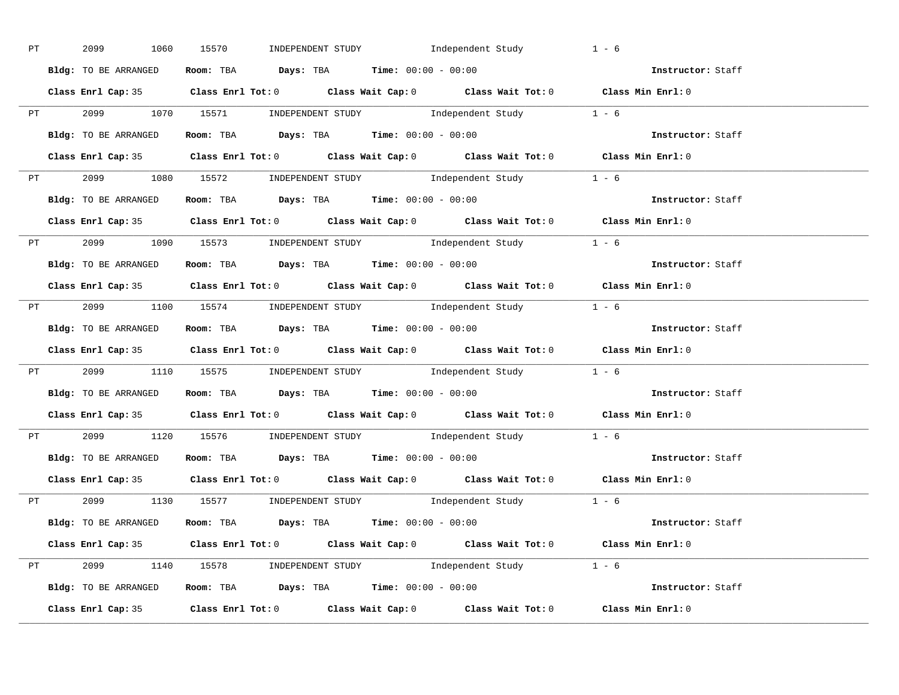| <b>PT</b> | 2099 1060 15570      | INDEPENDENT STUDY 1ndependent Study                                                         | $1 - 6$           |
|-----------|----------------------|---------------------------------------------------------------------------------------------|-------------------|
|           | Bldg: TO BE ARRANGED | Room: TBA $Days:$ TBA $Time: 00:00 - 00:00$                                                 | Instructor: Staff |
|           |                      | Class Enrl Cap: 35 Class Enrl Tot: 0 Class Wait Cap: 0 Class Wait Tot: 0 Class Min Enrl: 0  |                   |
|           |                      | PT 2099 1070 15571 INDEPENDENT STUDY Independent Study 1 - 6                                |                   |
|           | Bldg: TO BE ARRANGED | Room: TBA $Days:$ TBA Time: $00:00 - 00:00$                                                 | Instructor: Staff |
|           |                      | Class Enrl Cap: 35 Class Enrl Tot: 0 Class Wait Cap: 0 Class Wait Tot: 0 Class Min Enrl: 0  |                   |
|           |                      | PT 2099 1080 15572 INDEPENDENT STUDY Independent Study 1 - 6                                |                   |
|           |                      | Bldg: TO BE ARRANGED Room: TBA Days: TBA Time: 00:00 - 00:00                                | Instructor: Staff |
|           |                      | Class Enrl Cap: 35 Class Enrl Tot: 0 Class Wait Cap: 0 Class Wait Tot: 0 Class Min Enrl: 0  |                   |
|           |                      | PT 2099 1090 15573 INDEPENDENT STUDY Independent Study 1 - 6                                |                   |
|           | Bldg: TO BE ARRANGED | Room: TBA $\rule{1em}{0.15mm}$ Days: TBA Time: $00:00 - 00:00$                              | Instructor: Staff |
|           |                      | Class Enrl Cap: 35 Class Enrl Tot: 0 Class Wait Cap: 0 Class Wait Tot: 0 Class Min Enrl: 0  |                   |
|           |                      | PT 2099 1100 15574 INDEPENDENT STUDY Independent Study 1 - 6                                |                   |
|           |                      | Bldg: TO BE ARRANGED Room: TBA Days: TBA Time: 00:00 - 00:00                                | Instructor: Staff |
|           |                      | Class Enrl Cap: 35 Class Enrl Tot: 0 Class Wait Cap: 0 Class Wait Tot: 0 Class Min Enrl: 0  |                   |
|           |                      | PT 2099 1110 15575 INDEPENDENT STUDY Independent Study 1 - 6                                |                   |
|           |                      | <b>Bldg:</b> TO BE ARRANGED <b>ROOM:</b> TBA <b>Days:</b> TBA <b>Time:</b> $00:00 - 00:00$  | Instructor: Staff |
|           |                      | Class Enrl Cap: 35 Class Enrl Tot: 0 Class Wait Cap: 0 Class Wait Tot: 0 Class Min Enrl: 0  |                   |
|           |                      | PT 2099 1120 15576 INDEPENDENT STUDY Independent Study 1 - 6                                |                   |
|           |                      | <b>Bldg:</b> TO BE ARRANGED <b>ROOM:</b> TBA <b>Days:</b> TBA <b>Time:</b> $00:00 - 00:00$  | Instructor: Staff |
|           |                      | Class Enrl Cap: 35 Class Enrl Tot: 0 Class Wait Cap: 0 Class Wait Tot: 0 Class Min Enrl: 0  |                   |
|           |                      | PT 2099 1130 15577 INDEPENDENT STUDY Independent Study 1 - 6                                |                   |
|           |                      | <b>Bldg:</b> TO BE ARRANGED <b>ROOM:</b> TBA <b>Days:</b> TBA <b>Time:</b> $00:00 - 00:00$  | Instructor: Staff |
|           |                      | Class Enrl Cap: 35 Class Enrl Tot: 0 Class Wait Cap: 0 Class Wait Tot: 0 Class Min Enrl: 0  |                   |
|           |                      | PT 2099 1140 15578 INDEPENDENT STUDY Independent Study 1 - 6                                |                   |
|           |                      | Bldg: TO BE ARRANGED Room: TBA Days: TBA Time: 00:00 - 00:00 000 000 1000 1nstructor: Staff |                   |
|           |                      | Class Enrl Cap: 35 Class Enrl Tot: 0 Class Wait Cap: 0 Class Wait Tot: 0 Class Min Enrl: 0  |                   |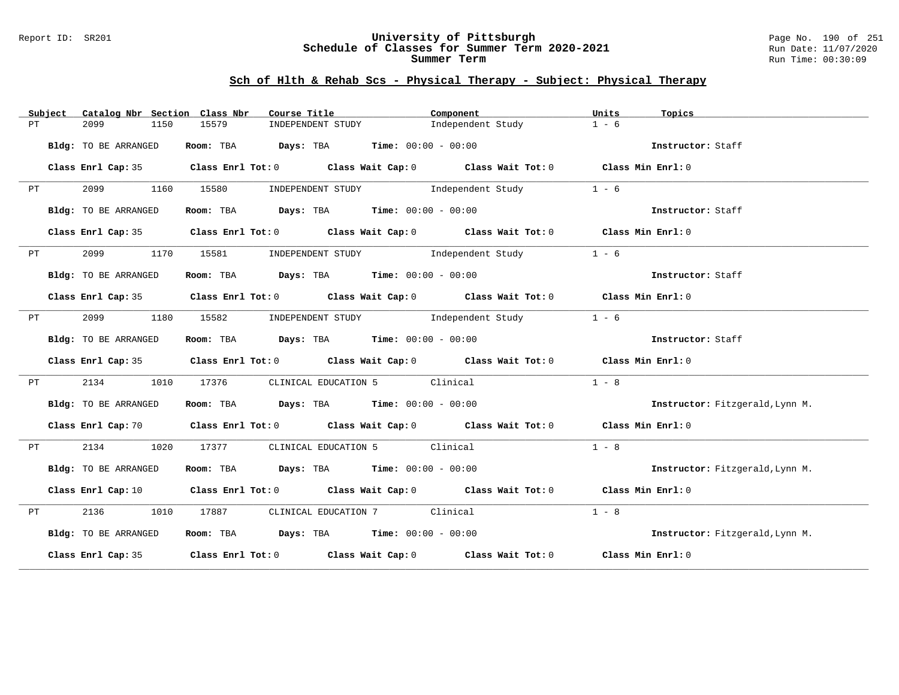#### Report ID: SR201 **University of Pittsburgh** Page No. 190 of 251 **Schedule of Classes for Summer Term 2020-2021** Run Date: 11/07/2020 **Summer Term** Run Time: 00:30:09

# **Sch of Hlth & Rehab Scs - Physical Therapy - Subject: Physical Therapy**

|    | Subject           | Catalog Nbr Section Class Nbr | Course Title                                                   | Component                                                                                                                      | Units<br>Topics                 |
|----|-------------------|-------------------------------|----------------------------------------------------------------|--------------------------------------------------------------------------------------------------------------------------------|---------------------------------|
| PT |                   | 2099<br>1150                  | 15579<br>INDEPENDENT STUDY                                     | Independent Study                                                                                                              | $1 - 6$                         |
|    |                   | Bldg: TO BE ARRANGED          | Room: TBA $\rule{1em}{0.15mm}$ Days: TBA Time: $00:00 - 00:00$ |                                                                                                                                | Instructor: Staff               |
|    |                   |                               |                                                                | Class Enrl Cap: 35 Class Enrl Tot: 0 Class Wait Cap: 0 Class Wait Tot: 0 Class Min Enrl: 0                                     |                                 |
|    | PT                | 2099 1160                     | 15580                                                          | INDEPENDENT STUDY 1ndependent Study                                                                                            | $1 - 6$                         |
|    |                   | Bldg: TO BE ARRANGED          | Room: TBA $Days:$ TBA $Time: 00:00 - 00:00$                    |                                                                                                                                | Instructor: Staff               |
|    |                   |                               |                                                                | Class Enrl Cap: 35 Class Enrl Tot: 0 Class Wait Cap: 0 Class Wait Tot: 0 Class Min Enrl: 0                                     |                                 |
| PT |                   |                               |                                                                | 2099 1170 15581 INDEPENDENT STUDY Independent Study                                                                            | $1 - 6$                         |
|    |                   | Bldg: TO BE ARRANGED          | Room: TBA $Days:$ TBA $Time: 00:00 - 00:00$                    |                                                                                                                                | Instructor: Staff               |
|    |                   |                               |                                                                | Class Enrl Cap: 35 Class Enrl Tot: 0 Class Wait Cap: 0 Class Wait Tot: 0 Class Min Enrl: 0                                     |                                 |
|    | PT FOR THE STREET | 2099                          |                                                                | 1180 15582 INDEPENDENT STUDY Independent Study                                                                                 | $1 - 6$                         |
|    |                   | Bldg: TO BE ARRANGED          | Room: TBA $Days:$ TBA $Time: 00:00 - 00:00$                    |                                                                                                                                | Instructor: Staff               |
|    |                   |                               |                                                                | Class Enrl Cap: 35 Class Enrl Tot: 0 Class Wait Cap: 0 Class Wait Tot: 0 Class Min Enrl: 0                                     |                                 |
| PT |                   | 2134<br>1010                  | 17376                                                          | CLINICAL EDUCATION 5 Clinical                                                                                                  | $1 - 8$                         |
|    |                   | Bldg: TO BE ARRANGED          | Room: TBA $Days:$ TBA $Time: 00:00 - 00:00$                    |                                                                                                                                | Instructor: Fitzgerald, Lynn M. |
|    |                   |                               |                                                                | Class Enrl Cap: 70 $\qquad$ Class Enrl Tot: 0 $\qquad$ Class Wait Cap: 0 $\qquad$ Class Wait Tot: 0 $\qquad$ Class Min Enrl: 0 |                                 |
| PT |                   | 2134 1020                     | 17377 CLINICAL EDUCATION 5 Clinical                            |                                                                                                                                | $1 - 8$                         |
|    |                   | Bldg: TO BE ARRANGED          | Room: TBA $Days:$ TBA $Time: 00:00 - 00:00$                    |                                                                                                                                | Instructor: Fitzgerald, Lynn M. |
|    |                   |                               |                                                                | Class Enrl Cap: 10 $\qquad$ Class Enrl Tot: 0 $\qquad$ Class Wait Cap: 0 $\qquad$ Class Wait Tot: 0 $\qquad$ Class Min Enrl: 0 |                                 |
| PT |                   |                               | 2136 1010 17887 CLINICAL EDUCATION 7 Clinical                  |                                                                                                                                | $1 - 8$                         |
|    |                   | Bldg: TO BE ARRANGED          | Room: TBA $Days:$ TBA $Time: 00:00 - 00:00$                    |                                                                                                                                | Instructor: Fitzgerald, Lynn M. |
|    |                   |                               |                                                                | Class Enrl Cap: 35 Class Enrl Tot: 0 Class Wait Cap: 0 Class Wait Tot: 0 Class Min Enrl: 0                                     |                                 |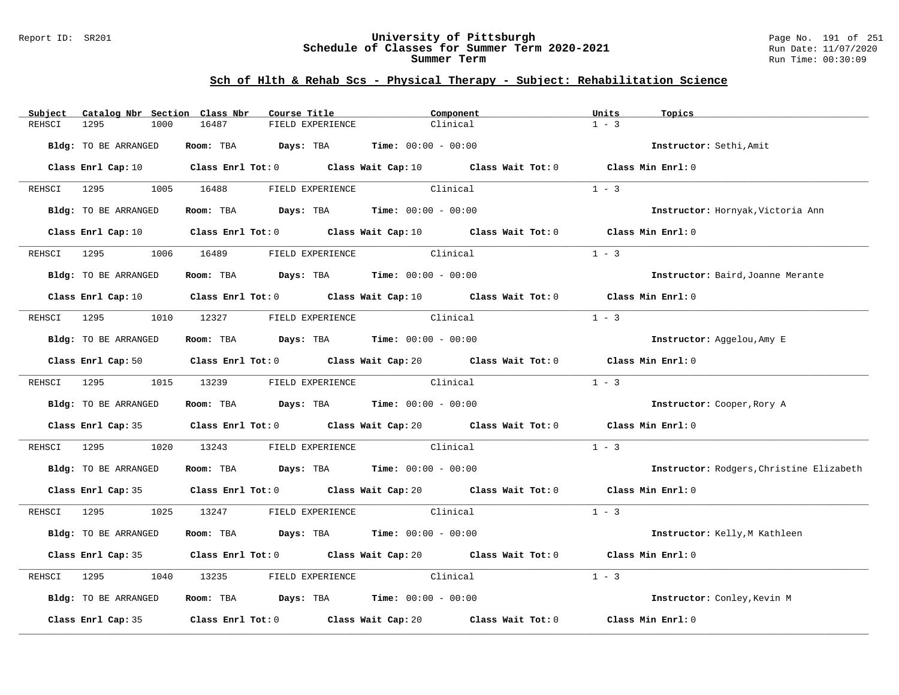#### Report ID: SR201 **University of Pittsburgh** Page No. 191 of 251 **Schedule of Classes for Summer Term 2020-2021** Run Date: 11/07/2020 **Summer Term** Run Time: 00:30:09

| Subject     | Catalog Nbr Section Class Nbr | Course Title                                                                                                                    |                           | Component | Units<br>Topics               |                                          |
|-------------|-------------------------------|---------------------------------------------------------------------------------------------------------------------------------|---------------------------|-----------|-------------------------------|------------------------------------------|
| REHSCI      | 1295<br>1000                  | 16487<br>FIELD EXPERIENCE                                                                                                       |                           | Clinical  | $1 - 3$                       |                                          |
|             | Bldg: TO BE ARRANGED          | Room: TBA $Days:$ TBA $Time: 00:00 - 00:00$                                                                                     |                           |           | Instructor: Sethi, Amit       |                                          |
|             |                               | Class Enrl Cap: 10 Class Enrl Tot: 0 Class Wait Cap: 10 Class Wait Tot: 0 Class Min Enrl: 0                                     |                           |           |                               |                                          |
|             |                               | REHSCI 1295 1005 16488 FIELD EXPERIENCE                                                                                         | Clinical                  |           | $1 - 3$                       |                                          |
|             | Bldg: TO BE ARRANGED          | Room: TBA $Days:$ TBA $Time: 00:00 - 00:00$                                                                                     |                           |           |                               | Instructor: Hornyak, Victoria Ann        |
|             |                               | Class Enrl Cap: 10 $\qquad$ Class Enrl Tot: 0 $\qquad$ Class Wait Cap: 10 $\qquad$ Class Wait Tot: 0 $\qquad$ Class Min Enrl: 0 |                           |           |                               |                                          |
|             |                               | REHSCI 1295 1006 16489 FIELD EXPERIENCE                                                                                         | Clinical                  |           | $1 - 3$                       |                                          |
|             | Bldg: TO BE ARRANGED          | Room: TBA $Days:$ TBA Time: $00:00 - 00:00$                                                                                     |                           |           |                               | Instructor: Baird, Joanne Merante        |
|             |                               | Class Enrl Cap: 10 $\qquad$ Class Enrl Tot: 0 $\qquad$ Class Wait Cap: 10 $\qquad$ Class Wait Tot: 0 $\qquad$ Class Min Enrl: 0 |                           |           |                               |                                          |
|             |                               | REHSCI 1295 1010 12327 FIELD EXPERIENCE Clinical                                                                                |                           |           | $1 - 3$                       |                                          |
|             | Bldg: TO BE ARRANGED          | Room: TBA $Days:$ TBA $Time: 00:00 - 00:00$                                                                                     |                           |           | Instructor: Aggelou, Amy E    |                                          |
|             |                               | Class Enrl Cap: 50 Class Enrl Tot: 0 Class Wait Cap: 20 Class Wait Tot: 0 Class Min Enrl: 0                                     |                           |           |                               |                                          |
|             | REHSCI 1295 1015 13239        |                                                                                                                                 | FIELD EXPERIENCE Clinical |           | $1 - 3$                       |                                          |
|             | Bldg: TO BE ARRANGED          | Room: TBA $Days:$ TBA Time: $00:00 - 00:00$                                                                                     |                           |           | Instructor: Cooper, Rory A    |                                          |
|             |                               | Class Enrl Cap: 35 Class Enrl Tot: 0 Class Wait Cap: 20 Class Wait Tot: 0 Class Min Enrl: 0                                     |                           |           |                               |                                          |
| REHSCI      | 1295<br>1020                  | 13243                                                                                                                           | FIELD EXPERIENCE Clinical |           | $1 - 3$                       |                                          |
|             | Bldg: TO BE ARRANGED          | Room: TBA $Days:$ TBA $Time: 00:00 - 00:00$                                                                                     |                           |           |                               | Instructor: Rodgers, Christine Elizabeth |
|             |                               | Class Enrl Cap: 35 Class Enrl Tot: 0 Class Wait Cap: 20 Class Wait Tot: 0 Class Min Enrl: 0                                     |                           |           |                               |                                          |
|             |                               | REHSCI 1295 1025 13247 FIELD EXPERIENCE Clinical                                                                                |                           |           | $1 - 3$                       |                                          |
|             | Bldg: TO BE ARRANGED          | Room: TBA $Days:$ TBA $Time: 00:00 - 00:00$                                                                                     |                           |           | Instructor: Kelly, M Kathleen |                                          |
|             |                               | Class Enrl Cap: 35 Class Enrl Tot: 0 Class Wait Cap: 20 Class Wait Tot: 0                                                       |                           |           | Class Min Enrl: 0             |                                          |
| REHSCI 1295 | 1040                          | 13235                                                                                                                           | FIELD EXPERIENCE Clinical |           | $1 - 3$                       |                                          |
|             | Bldg: TO BE ARRANGED          | Room: TBA $Days:$ TBA Time: $00:00 - 00:00$                                                                                     |                           |           | Instructor: Conley, Kevin M   |                                          |
|             | Class Enrl Cap: 35            | Class Enrl Tot: $0$ Class Wait Cap: $20$ Class Wait Tot: $0$                                                                    |                           |           | Class Min Enrl: 0             |                                          |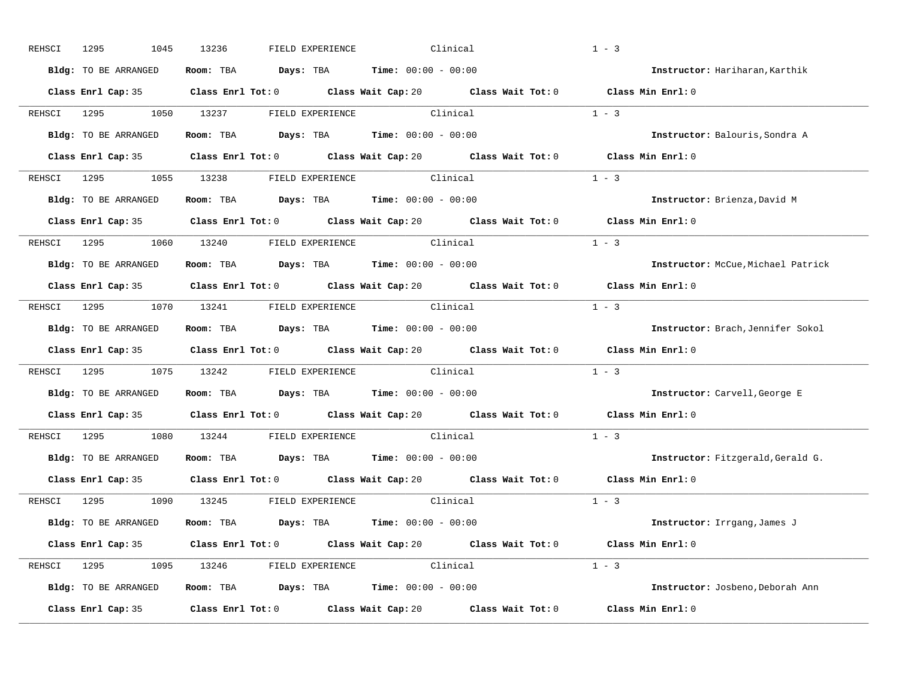| REHSCI | 1295<br>1045         | 13236                                                                            | FIELD EXPERIENCE          | Clinical |                                                                           | $1 - 3$                                                                                     |
|--------|----------------------|----------------------------------------------------------------------------------|---------------------------|----------|---------------------------------------------------------------------------|---------------------------------------------------------------------------------------------|
|        | Bldg: TO BE ARRANGED | Room: TBA $Days: TBA$ Time: $00:00 - 00:00$                                      |                           |          |                                                                           | Instructor: Hariharan, Karthik                                                              |
|        |                      |                                                                                  |                           |          |                                                                           | Class Enrl Cap: 35 Class Enrl Tot: 0 Class Wait Cap: 20 Class Wait Tot: 0 Class Min Enrl: 0 |
| REHSCI | 1295                 | 1050 13237                                                                       | FIELD EXPERIENCE Clinical |          |                                                                           | $1 - 3$                                                                                     |
|        | Bldg: TO BE ARRANGED | <b>Room:</b> TBA $\qquad \qquad$ Days: TBA $\qquad \qquad$ Time: $00:00 - 00:00$ |                           |          |                                                                           | Instructor: Balouris, Sondra A                                                              |
|        |                      |                                                                                  |                           |          |                                                                           | Class Enrl Cap: 35 Class Enrl Tot: 0 Class Wait Cap: 20 Class Wait Tot: 0 Class Min Enrl: 0 |
|        |                      | REHSCI 1295 1055 13238 FIELD EXPERIENCE Clinical                                 |                           |          |                                                                           | $1 - 3$                                                                                     |
|        |                      | Bldg: TO BE ARRANGED Room: TBA Days: TBA Time: 00:00 - 00:00                     |                           |          |                                                                           | Instructor: Brienza, David M                                                                |
|        |                      |                                                                                  |                           |          | Class Enrl Cap: 35 Class Enrl Tot: 0 Class Wait Cap: 20 Class Wait Tot: 0 | Class Min Enrl: 0                                                                           |
|        |                      |                                                                                  |                           |          |                                                                           | $1 - 3$                                                                                     |
|        | Bldg: TO BE ARRANGED | Room: TBA $Days: TBA$ Time: $00:00 - 00:00$                                      |                           |          |                                                                           | Instructor: McCue, Michael Patrick                                                          |
|        |                      |                                                                                  |                           |          |                                                                           | Class Enrl Cap: 35 Class Enrl Tot: 0 Class Wait Cap: 20 Class Wait Tot: 0 Class Min Enrl: 0 |
|        |                      | REHSCI 1295 1070 13241 FIELD EXPERIENCE Clinical                                 |                           |          |                                                                           | $1 - 3$                                                                                     |
|        | Bldg: TO BE ARRANGED | <b>Room:</b> TBA $Days: TBA$ <b>Time:</b> $00:00 - 00:00$                        |                           |          |                                                                           | Instructor: Brach, Jennifer Sokol                                                           |
|        |                      |                                                                                  |                           |          |                                                                           | Class Enrl Cap: 35 Class Enrl Tot: 0 Class Wait Cap: 20 Class Wait Tot: 0 Class Min Enrl: 0 |
|        |                      | REHSCI 1295 1075 13242 FIELD EXPERIENCE Clinical                                 |                           |          |                                                                           | $1 - 3$                                                                                     |
|        |                      | Bldg: TO BE ARRANGED Room: TBA Days: TBA Time: 00:00 - 00:00                     |                           |          |                                                                           | Instructor: Carvell, George E                                                               |
|        |                      |                                                                                  |                           |          | Class Enrl Cap: 35 Class Enrl Tot: 0 Class Wait Cap: 20 Class Wait Tot: 0 | Class Min Enrl: 0                                                                           |
|        | REHSCI 1295          | 1080 13244                                                                       | FIELD EXPERIENCE Clinical |          |                                                                           | $1 - 3$                                                                                     |
|        | Bldg: TO BE ARRANGED | <b>Room:</b> TBA $\qquad \qquad$ Days: TBA $\qquad \qquad$ Time: $00:00 - 00:00$ |                           |          |                                                                           | Instructor: Fitzgerald, Gerald G.                                                           |
|        |                      |                                                                                  |                           |          | Class Enrl Cap: 35 Class Enrl Tot: 0 Class Wait Cap: 20 Class Wait Tot: 0 | Class Min Enrl: 0                                                                           |
|        |                      | REHSCI 1295 1090 13245 FIELD EXPERIENCE Clinical                                 |                           |          |                                                                           | $1 - 3$                                                                                     |
|        | Bldg: TO BE ARRANGED | <b>Room:</b> TBA $Days:$ TBA $Time: 00:00 - 00:00$                               |                           |          |                                                                           | Instructor: Irrgang, James J                                                                |
|        |                      |                                                                                  |                           |          |                                                                           | Class Enrl Cap: 35 Class Enrl Tot: 0 Class Wait Cap: 20 Class Wait Tot: 0 Class Min Enrl: 0 |
|        |                      | REHSCI 1295 1095 13246 FIELD EXPERIENCE Clinical                                 |                           |          |                                                                           | $1 - 3$                                                                                     |
|        | Bldg: TO BE ARRANGED | <b>Room:</b> TBA $Days:$ TBA $Time: 00:00 - 00:00$                               |                           |          |                                                                           | Instructor: Josbeno, Deborah Ann                                                            |
|        |                      |                                                                                  |                           |          |                                                                           |                                                                                             |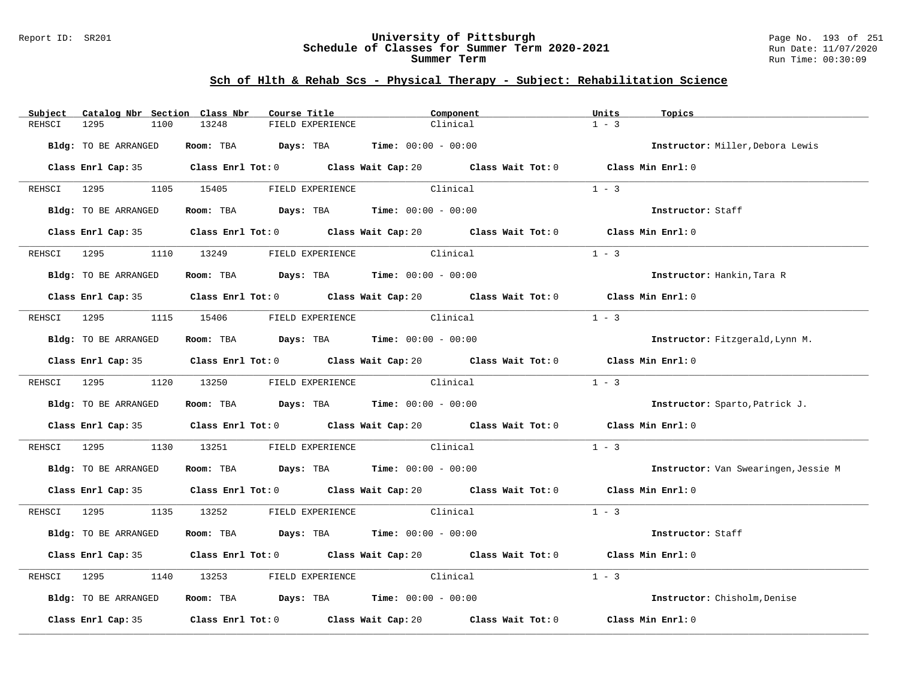#### Report ID: SR201 **University of Pittsburgh** Page No. 193 of 251 **Schedule of Classes for Summer Term 2020-2021** Run Date: 11/07/2020 **Summer Term** Run Time: 00:30:09

| Subject     | Catalog Nbr Section Class Nbr | Course Title                                                                                   | Component                 | Units<br>Topics                      |
|-------------|-------------------------------|------------------------------------------------------------------------------------------------|---------------------------|--------------------------------------|
| REHSCI      | 1295<br>1100                  | 13248<br>FIELD EXPERIENCE                                                                      | Clinical                  | $1 - 3$                              |
|             | Bldg: TO BE ARRANGED          | Room: TBA $Days: TBA$ Time: $00:00 - 00:00$                                                    |                           | Instructor: Miller, Debora Lewis     |
|             |                               | Class Enrl Cap: 35 Class Enrl Tot: 0 Class Wait Cap: 20 Class Wait Tot: 0 Class Min Enrl: 0    |                           |                                      |
|             |                               | REHSCI 1295 1105 15405 FIELD EXPERIENCE                                                        | Clinical                  | $1 - 3$                              |
|             | Bldg: TO BE ARRANGED          | Room: TBA $Days:$ TBA $Time: 00:00 - 00:00$                                                    |                           | Instructor: Staff                    |
|             |                               | Class Enrl Cap: 35 Class Enrl Tot: 0 Class Wait Cap: 20 Class Wait Tot: 0 Class Min Enrl: 0    |                           |                                      |
|             |                               | REHSCI 1295         1110      13249           FIELD EXPERIENCE                        Clinical |                           | $1 - 3$                              |
|             | Bldg: TO BE ARRANGED          | Room: TBA $Days:$ TBA Time: $00:00 - 00:00$                                                    |                           | Instructor: Hankin, Tara R           |
|             |                               | Class Enrl Cap: 35 Class Enrl Tot: 0 Class Wait Cap: 20 Class Wait Tot: 0 Class Min Enrl: 0    |                           |                                      |
|             |                               | REHSCI 1295 1115 15406 FIELD EXPERIENCE Clinical                                               |                           | $1 - 3$                              |
|             | Bldg: TO BE ARRANGED          | Room: TBA $Days:$ TBA $Time:$ 00:00 - 00:00                                                    |                           | Instructor: Fitzgerald, Lynn M.      |
|             |                               | Class Enrl Cap: 35 Class Enrl Tot: 0 Class Wait Cap: 20 Class Wait Tot: 0 Class Min Enrl: 0    |                           |                                      |
|             | REHSCI 1295 1120 13250        |                                                                                                | FIELD EXPERIENCE Clinical | $1 - 3$                              |
|             | Bldg: TO BE ARRANGED          | Room: TBA $Days:$ TBA Time: $00:00 - 00:00$                                                    |                           | Instructor: Sparto, Patrick J.       |
|             |                               | Class Enrl Cap: 35 Class Enrl Tot: 0 Class Wait Cap: 20 Class Wait Tot: 0 Class Min Enrl: 0    |                           |                                      |
|             | REHSCI 1295                   | 1130 13251                                                                                     | FIELD EXPERIENCE Clinical | $1 - 3$                              |
|             | Bldg: TO BE ARRANGED          | Room: TBA $Days:$ TBA $Time: 00:00 - 00:00$                                                    |                           | Instructor: Van Swearingen, Jessie M |
|             |                               | Class Enrl Cap: 35 Class Enrl Tot: 0 Class Wait Cap: 20 Class Wait Tot: 0 Class Min Enrl: 0    |                           |                                      |
|             |                               | REHSCI 1295 1135 13252 FIELD EXPERIENCE Clinical                                               |                           | $1 - 3$                              |
|             | Bldg: TO BE ARRANGED          | Room: TBA $Days:$ TBA $Time: 00:00 - 00:00$                                                    |                           | Instructor: Staff                    |
|             |                               | Class Enrl Cap: 35 Class Enrl Tot: 0 Class Wait Cap: 20 Class Wait Tot: 0 Class Min Enrl: 0    |                           |                                      |
| REHSCI 1295 |                               | 1140 13253 FIELD EXPERIENCE Clinical                                                           |                           | $1 - 3$                              |
|             | Bldg: TO BE ARRANGED          | Room: TBA $Days:$ TBA Time: $00:00 - 00:00$                                                    |                           | Instructor: Chisholm, Denise         |
|             |                               | Class Enrl Cap: 35 Class Enrl Tot: 0 Class Wait Cap: 20 Class Wait Tot: 0 Class Min Enrl: 0    |                           |                                      |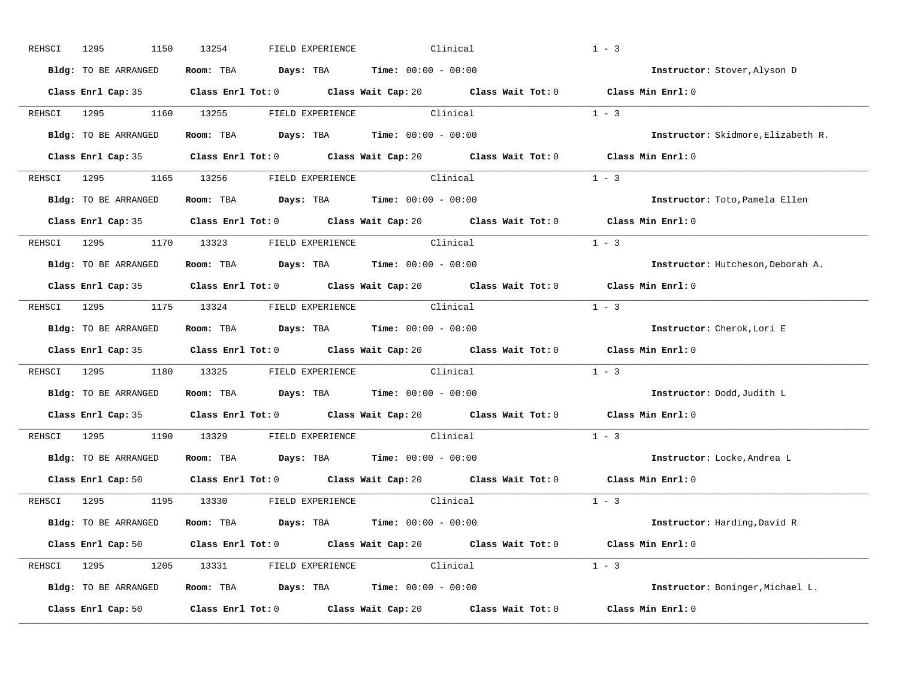| REHSCI      | 1295<br>1150                                                 | 13254      | FIELD EXPERIENCE                                                                         | Clinical                                                                                    | $1 - 3$                             |
|-------------|--------------------------------------------------------------|------------|------------------------------------------------------------------------------------------|---------------------------------------------------------------------------------------------|-------------------------------------|
|             | Bldg: TO BE ARRANGED                                         |            | Room: TBA $Days:$ TBA $Time: 00:00 - 00:00$                                              |                                                                                             | Instructor: Stover, Alyson D        |
|             |                                                              |            |                                                                                          | Class Enrl Cap: 35 Class Enrl Tot: 0 Class Wait Cap: 20 Class Wait Tot: 0 Class Min Enrl: 0 |                                     |
|             | REHSCI 1295                                                  | 1160 13255 | FIELD EXPERIENCE Clinical                                                                |                                                                                             | $1 - 3$                             |
|             | Bldg: TO BE ARRANGED                                         |            | Room: TBA $Days:$ TBA $Time: 00:00 - 00:00$                                              |                                                                                             | Instructor: Skidmore, Elizabeth R.  |
|             |                                                              |            |                                                                                          | Class Enrl Cap: 35 Class Enrl Tot: 0 Class Wait Cap: 20 Class Wait Tot: 0 Class Min Enrl: 0 |                                     |
|             | REHSCI 1295 1165 13256 FIELDEXPERIENCE Clinical              |            |                                                                                          | $1 - 3$                                                                                     |                                     |
|             | Bldg: TO BE ARRANGED ROOM: TBA Days: TBA Time: 00:00 - 00:00 |            |                                                                                          |                                                                                             | Instructor: Toto, Pamela Ellen      |
|             |                                                              |            |                                                                                          | Class Enrl Cap: 35 Class Enrl Tot: 0 Class Wait Cap: 20 Class Wait Tot: 0                   | Class Min Enrl: 0                   |
|             | REHSCI 1295 1170 13323 FIELD EXPERIENCE Clinical             |            |                                                                                          |                                                                                             | $1 - 3$                             |
|             | Bldg: TO BE ARRANGED                                         |            | Room: TBA $Days:$ TBA $Time: 00:00 - 00:00$                                              |                                                                                             | Instructor: Hutcheson, Deborah A.   |
|             |                                                              |            |                                                                                          | Class Enrl Cap: 35 Class Enrl Tot: 0 Class Wait Cap: 20 Class Wait Tot: 0 Class Min Enrl: 0 |                                     |
|             | REHSCI 1295 1175 13324 FIELD EXPERIENCE Clinical             |            |                                                                                          |                                                                                             | $1 - 3$                             |
|             | Bldg: TO BE ARRANGED                                         |            | Room: TBA $Days:$ TBA $Time: 00:00 - 00:00$                                              |                                                                                             | Instructor: Cherok, Lori E          |
|             |                                                              |            |                                                                                          | Class Enrl Cap: 35 Class Enrl Tot: 0 Class Wait Cap: 20 Class Wait Tot: 0 Class Min Enrl: 0 |                                     |
| REHSCI 1295 | 1180                                                         |            | 13325 FIELD EXPERIENCE Clinical                                                          |                                                                                             | $1 - 3$                             |
|             | Bldg: TO BE ARRANGED                                         |            | Room: TBA $\rule{1em}{0.15mm}$ Days: TBA $\rule{1.15mm}]{0.15mm}$ Time: $0.000 - 0.0000$ |                                                                                             | Instructor: Dodd, Judith L          |
|             |                                                              |            |                                                                                          | Class Enrl Cap: 35 Class Enrl Tot: 0 Class Wait Cap: 20 Class Wait Tot: 0                   | Class Min Enrl: 0                   |
|             | REHSCI 1295<br>1190                                          | 13329      | FIELD EXPERIENCE Clinical                                                                |                                                                                             | $1 - 3$                             |
|             | Bldg: TO BE ARRANGED                                         |            | Room: TBA $Days:$ TBA $Time: 00:00 - 00:00$                                              |                                                                                             | Instructor: Locke, Andrea L         |
|             |                                                              |            |                                                                                          | Class Enrl Cap: 50 Class Enrl Tot: 0 Class Wait Cap: 20 Class Wait Tot: 0 Class Min Enrl: 0 |                                     |
|             | REHSCI 1295 1195 13330 FIELD EXPERIENCE Clinical             |            |                                                                                          |                                                                                             | $1 - 3$                             |
|             | Bldg: TO BE ARRANGED                                         |            | Room: TBA $Days:$ TBA $Time: 00:00 - 00:00$                                              |                                                                                             | <b>Instructor:</b> Harding, David R |
|             |                                                              |            |                                                                                          | Class Enrl Cap: 50 Class Enrl Tot: 0 Class Wait Cap: 20 Class Wait Tot: 0 Class Min Enrl: 0 |                                     |
|             | REHSCI 1295 1205 13331 FIELD EXPERIENCE Clinical             |            |                                                                                          |                                                                                             | $1 - 3$                             |
|             | Bldg: TO BE ARRANGED                                         |            | <b>Room:</b> TBA $\qquad \qquad$ Days: TBA $\qquad \qquad$ Time: $00:00 - 00:00$         |                                                                                             | Instructor: Boninger, Michael L.    |
|             | Class Enrl Cap: 50                                           |            |                                                                                          | Class Enrl Tot: $0$ Class Wait Cap: $20$ Class Wait Tot: $0$                                | Class Min Enrl: 0                   |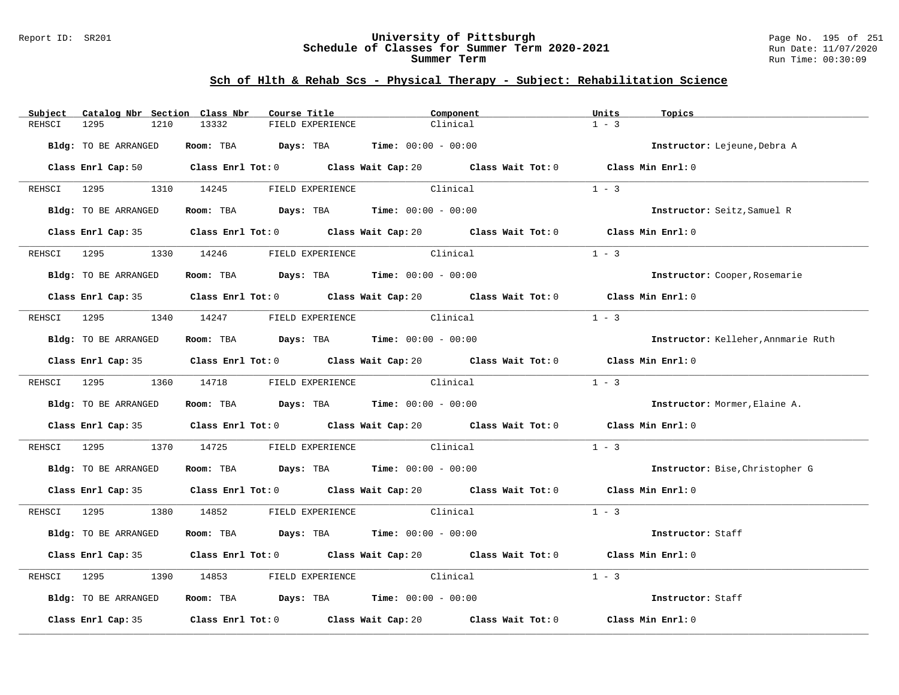#### Report ID: SR201 **University of Pittsburgh** Page No. 195 of 251 **Schedule of Classes for Summer Term 2020-2021** Run Date: 11/07/2020 **Summer Term** Run Time: 00:30:09

| Subject     | Catalog Nbr Section Class Nbr | Course Title                                                                                       | Component | Units<br>Topics                 |                                     |
|-------------|-------------------------------|----------------------------------------------------------------------------------------------------|-----------|---------------------------------|-------------------------------------|
| REHSCI      | 1295<br>1210                  | 13332<br>FIELD EXPERIENCE                                                                          | Clinical  | $1 - 3$                         |                                     |
|             | Bldg: TO BE ARRANGED          | Room: TBA $Days:$ TBA $Time: 00:00 - 00:00$                                                        |           | Instructor: Lejeune, Debra A    |                                     |
|             |                               | Class Enrl Cap: 50 Class Enrl Tot: 0 Class Wait Cap: 20 Class Wait Tot: 0 Class Min Enrl: 0        |           |                                 |                                     |
|             |                               | REHSCI 1295 1310 14245 FIELD EXPERIENCE                                                            | Clinical  | $1 - 3$                         |                                     |
|             | Bldg: TO BE ARRANGED          | Room: TBA $\rule{1em}{0.15mm}$ Days: TBA Time: $00:00 - 00:00$                                     |           | Instructor: Seitz, Samuel R     |                                     |
|             |                               | Class Enrl Cap: 35 Class Enrl Tot: 0 Class Wait Cap: 20 Class Wait Tot: 0 Class Min Enrl: 0        |           |                                 |                                     |
|             |                               | REHSCI 1295         1330      14246             FIELD EXPERIENCE                          Clinical |           | $1 - 3$                         |                                     |
|             | Bldg: TO BE ARRANGED          | Room: TBA $Days:$ TBA Time: $00:00 - 00:00$                                                        |           | Instructor: Cooper, Rosemarie   |                                     |
|             |                               | Class Enrl Cap: 35 Class Enrl Tot: 0 Class Wait Cap: 20 Class Wait Tot: 0 Class Min Enrl: 0        |           |                                 |                                     |
|             |                               | REHSCI 1295 1340 14247 FIELD EXPERIENCE Clinical                                                   |           | $1 - 3$                         |                                     |
|             | Bldg: TO BE ARRANGED          | Room: TBA $\rule{1em}{0.15mm}$ Days: TBA Time: $00:00 - 00:00$                                     |           |                                 | Instructor: Kelleher, Annmarie Ruth |
|             |                               | Class Enrl Cap: 35 Class Enrl Tot: 0 Class Wait Cap: 20 Class Wait Tot: 0 Class Min Enrl: 0        |           |                                 |                                     |
|             |                               | REHSCI 1295 1360 14718 FIELD EXPERIENCE Clinical                                                   |           | $1 - 3$                         |                                     |
|             | Bldg: TO BE ARRANGED          | Room: TBA $Days:$ TBA Time: $00:00 - 00:00$                                                        |           | Instructor: Mormer, Elaine A.   |                                     |
|             |                               | Class Enrl Cap: 35 Class Enrl Tot: 0 Class Wait Cap: 20 Class Wait Tot: 0 Class Min Enrl: 0        |           |                                 |                                     |
|             |                               | REHSCI 1295 1370 14725 FIELD EXPERIENCE Clinical                                                   |           | $1 - 3$                         |                                     |
|             | Bldg: TO BE ARRANGED          | Room: TBA $Days:$ TBA $Time: 00:00 - 00:00$                                                        |           | Instructor: Bise, Christopher G |                                     |
|             |                               | Class Enrl Cap: 35 Class Enrl Tot: 0 Class Wait Cap: 20 Class Wait Tot: 0 Class Min Enrl: 0        |           |                                 |                                     |
|             |                               | REHSCI 1295 1380 14852 FIELD EXPERIENCE Clinical                                                   |           | $1 - 3$                         |                                     |
|             | Bldg: TO BE ARRANGED          | Room: TBA $Days:$ TBA $Time: 00:00 - 00:00$                                                        |           | Instructor: Staff               |                                     |
|             |                               | Class Enrl Cap: 35 Class Enrl Tot: 0 Class Wait Cap: 20 Class Wait Tot: 0 Class Min Enrl: 0        |           |                                 |                                     |
| REHSCI 1295 |                               | 1390 14853 FIELD EXPERIENCE Clinical                                                               |           | $1 - 3$                         |                                     |
|             | Bldg: TO BE ARRANGED          | Room: TBA $Days:$ TBA Time: $00:00 - 00:00$                                                        |           | Instructor: Staff               |                                     |
|             |                               | Class Enrl Cap: 35 Class Enrl Tot: 0 Class Wait Cap: 20 Class Wait Tot: 0 Class Min Enrl: 0        |           |                                 |                                     |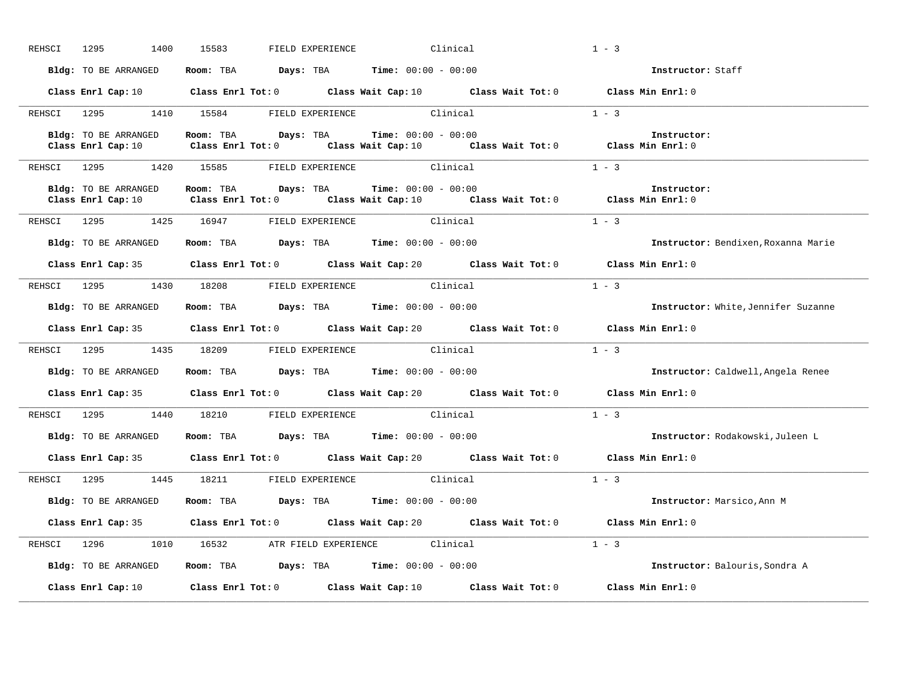| REHSCI | 1400<br>1295         | 15583<br>FIELD EXPERIENCE | Clinical                                                                                                                        | $1 - 3$                             |
|--------|----------------------|---------------------------|---------------------------------------------------------------------------------------------------------------------------------|-------------------------------------|
|        | Bldg: TO BE ARRANGED |                           | Room: TBA $Days: TBA$ Time: $00:00 - 00:00$                                                                                     | Instructor: Staff                   |
|        |                      |                           | Class Enrl Cap: 10 Class Enrl Tot: 0 Class Wait Cap: 10 Class Wait Tot: 0 Class Min Enrl: 0                                     |                                     |
|        |                      |                           | REHSCI 1295 1410 15584 FIELD EXPERIENCE Clinical                                                                                | $1 - 3$                             |
|        | Bldg: TO BE ARRANGED |                           | <b>Room:</b> TBA $Days:$ TBA $Time: 00:00 - 00:00$<br>Class Enrl Tot: 0 Class Wait Cap: 10 Class Wait Tot: 0 Class Min Enrl: 0  | Instructor:                         |
|        | Class Enrl Cap: 10   |                           |                                                                                                                                 |                                     |
|        |                      |                           | REHSCI 1295 1420 15585 FIELD EXPERIENCE Clinical                                                                                | $1 - 3$                             |
|        | Bldg: TO BE ARRANGED | Room: TBA Days: TBA       | <b>Time:</b> $00:00 - 00:00$                                                                                                    | Instructor:                         |
|        |                      |                           | Class Enrl Cap: 10 $\qquad$ Class Enrl Tot: 0 $\qquad$ Class Wait Cap: 10 $\qquad$ Class Wait Tot: 0 $\qquad$ Class Min Enrl: 0 |                                     |
|        |                      |                           | REHSCI 1295 1425 16947 FIELD EXPERIENCE Clinical                                                                                | $1 - 3$                             |
|        | Bldg: TO BE ARRANGED |                           | Room: TBA $\rule{1em}{0.15mm}$ Days: TBA $\rule{1.15mm}]{0.15mm}$ Time: $0.0100 - 0.0100$                                       | Instructor: Bendixen, Roxanna Marie |
|        |                      |                           | Class Enrl Cap: 35 Class Enrl Tot: 0 Class Wait Cap: 20 Class Wait Tot: 0 Class Min Enrl: 0                                     |                                     |
|        |                      |                           | REHSCI 1295 1430 18208 FIELD EXPERIENCE Clinical                                                                                | $1 - 3$                             |
|        |                      |                           | Bldg: TO BE ARRANGED ROOM: TBA Days: TBA Time: 00:00 - 00:00                                                                    | Instructor: White, Jennifer Suzanne |
|        |                      |                           | Class Enrl Cap: 35 Class Enrl Tot: 0 Class Wait Cap: 20 Class Wait Tot: 0 Class Min Enrl: 0                                     |                                     |
|        |                      |                           | REHSCI 1295 1435 18209 FIELD EXPERIENCE Clinical                                                                                | $1 - 3$                             |
|        | Bldg: TO BE ARRANGED |                           | Room: TBA $Days:$ TBA $Time: 00:00 - 00:00$                                                                                     | Instructor: Caldwell, Angela Renee  |
|        |                      |                           | Class Enrl Cap: 35 Class Enrl Tot: 0 Class Wait Cap: 20 Class Wait Tot: 0 Class Min Enrl: 0                                     |                                     |
|        |                      |                           | REHSCI 1295 1440 18210 FIELD EXPERIENCE Clinical                                                                                | $1 - 3$                             |
|        | Bldg: TO BE ARRANGED |                           | Room: TBA $Days:$ TBA $Time: 00:00 - 00:00$                                                                                     | Instructor: Rodakowski, Juleen L    |
|        |                      |                           | Class Enrl Cap: 35 Class Enrl Tot: 0 Class Wait Cap: 20 Class Wait Tot: 0                                                       | Class Min Enrl: 0                   |
|        |                      |                           | REHSCI 1295 1445 18211 FIELD EXPERIENCE Clinical                                                                                | $1 - 3$                             |
|        |                      |                           | Bldg: TO BE ARRANGED Room: TBA Days: TBA Time: 00:00 - 00:00                                                                    | Instructor: Marsico, Ann M          |
|        |                      |                           | Class Enrl Cap: 35 Class Enrl Tot: 0 Class Wait Cap: 20 Class Wait Tot: 0 Class Min Enrl: 0                                     |                                     |
|        |                      |                           | REHSCI 1296 1010 16532 ATR FIELD EXPERIENCE Clinical                                                                            | $1 - 3$                             |
|        |                      |                           | Bldg: TO BE ARRANGED ROOM: TBA Days: TBA Time: 00:00 - 00:00                                                                    | Instructor: Balouris, Sondra A      |
|        | Class Enrl Cap: 10   |                           | Class Enrl Tot: $0$ Class Wait Cap: $10$ Class Wait Tot: $0$                                                                    | Class Min $Enr1:0$                  |
|        |                      |                           |                                                                                                                                 |                                     |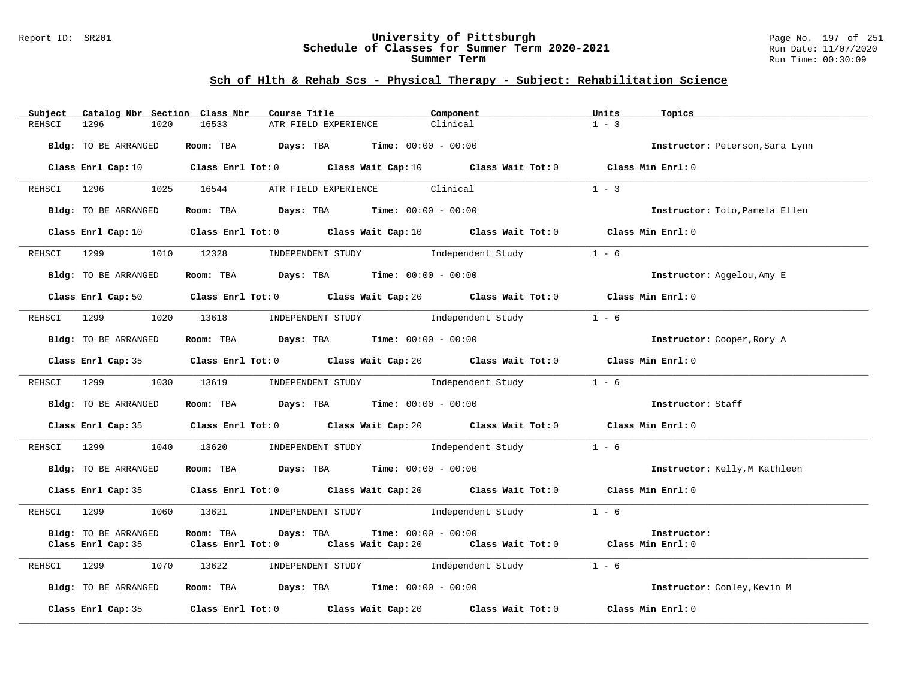#### Report ID: SR201 **University of Pittsburgh** Page No. 197 of 251 **Schedule of Classes for Summer Term 2020-2021** Run Date: 11/07/2020 **Summer Term** Run Time: 00:30:09

| Catalog Nbr Section Class Nbr<br>Subject | Course Title                                                                                                                    | Component                                                                                                                    | Units<br>Topics                 |
|------------------------------------------|---------------------------------------------------------------------------------------------------------------------------------|------------------------------------------------------------------------------------------------------------------------------|---------------------------------|
| REHSCI<br>1296<br>1020                   | 16533<br>ATR FIELD EXPERIENCE                                                                                                   | Clinical                                                                                                                     | $1 - 3$                         |
| Bldg: TO BE ARRANGED                     | Room: TBA $Days:$ TBA $Time: 00:00 - 00:00$                                                                                     |                                                                                                                              | Instructor: Peterson, Sara Lynn |
|                                          | Class Enrl Cap: 10 Class Enrl Tot: 0 Class Wait Cap: 10 Class Wait Tot: 0 Class Min Enrl: 0                                     |                                                                                                                              |                                 |
|                                          | REHSCI 1296 1025 16544 ATR FIELD EXPERIENCE Clinical                                                                            |                                                                                                                              | $1 - 3$                         |
| Bldg: TO BE ARRANGED                     | Room: TBA $Days:$ TBA $Time: 00:00 - 00:00$                                                                                     |                                                                                                                              | Instructor: Toto, Pamela Ellen  |
|                                          | Class Enrl Cap: 10 Class Enrl Tot: 0 Class Wait Cap: 10 Class Wait Tot: 0 Class Min Enrl: 0                                     |                                                                                                                              |                                 |
| REHSCI 1299 1010 12328                   |                                                                                                                                 | $\begin{minipage}[c]{0.9\linewidth} \textbf{INDEX} & \textbf{STUDY} \\ \textbf{Independent Study} & 1 - 6 \\ \end{minipage}$ |                                 |
| Bldg: TO BE ARRANGED                     | Room: TBA $Days:$ TBA $Time:$ $00:00 - 00:00$                                                                                   |                                                                                                                              | Instructor: Aggelou, Amy E      |
|                                          | Class Enrl Cap: 50 $\qquad$ Class Enrl Tot: 0 $\qquad$ Class Wait Cap: 20 $\qquad$ Class Wait Tot: 0 $\qquad$ Class Min Enrl: 0 |                                                                                                                              |                                 |
| REHSCI 1299<br>1020                      | 13618 INDEPENDENT STUDY Independent Study                                                                                       |                                                                                                                              | $1 - 6$                         |
| Bldg: TO BE ARRANGED                     | Room: TBA $Days:$ TBA $Time: 00:00 - 00:00$                                                                                     |                                                                                                                              | Instructor: Cooper, Rory A      |
|                                          | Class Enrl Cap: 35 Class Enrl Tot: 0 Class Wait Cap: 20 Class Wait Tot: 0 Class Min Enrl: 0                                     |                                                                                                                              |                                 |
|                                          | REHSCI 1299 1030 13619 INDEPENDENT STUDY Independent Study                                                                      |                                                                                                                              | $1 - 6$                         |
| Bldg: TO BE ARRANGED                     | Room: TBA $Days:$ TBA $Time: 00:00 - 00:00$                                                                                     |                                                                                                                              | Instructor: Staff               |
|                                          | Class Enrl Cap: 35 Class Enrl Tot: 0 Class Wait Cap: 20 Class Wait Tot: 0 Class Min Enrl: 0                                     |                                                                                                                              |                                 |
|                                          | REHSCI 1299 1040 13620 INDEPENDENT STUDY Independent Study                                                                      |                                                                                                                              | $1 - 6$                         |
| Bldg: TO BE ARRANGED                     | Room: TBA $Days:$ TBA $Time:$ $00:00 - 00:00$                                                                                   |                                                                                                                              | Instructor: Kelly, M Kathleen   |
|                                          | Class Enrl Cap: 35 Class Enrl Tot: 0 Class Wait Cap: 20 Class Wait Tot: 0 Class Min Enrl: 0                                     |                                                                                                                              |                                 |
| 1060<br>REHSCI<br>1299                   | 13621 INDEPENDENT STUDY 1ndependent Study                                                                                       |                                                                                                                              | $1 - 6$                         |
| Bldg: TO BE ARRANGED                     | Room: TBA<br>Days: TBA                                                                                                          | <b>Time:</b> $00:00 - 00:00$                                                                                                 | Instructor:                     |
|                                          | Class Enrl Cap: 35 Class Enrl Tot: 0 Class Wait Cap: 20 Class Wait Tot: 0 Class Min Enrl: 0                                     |                                                                                                                              |                                 |
| 1299 120<br>REHSCI                       | 1070 13622                                                                                                                      | INDEPENDENT STUDY The Independent Study                                                                                      | $1 - 6$                         |
| Bldg: TO BE ARRANGED                     | Room: TBA $Days:$ TBA $Time:$ 00:00 - 00:00                                                                                     |                                                                                                                              | Instructor: Conley, Kevin M     |
|                                          | Class Enrl Cap: 35 $\qquad$ Class Enrl Tot: 0 $\qquad$ Class Wait Cap: 20 $\qquad$ Class Wait Tot: 0                            |                                                                                                                              | Class Min Enrl: 0               |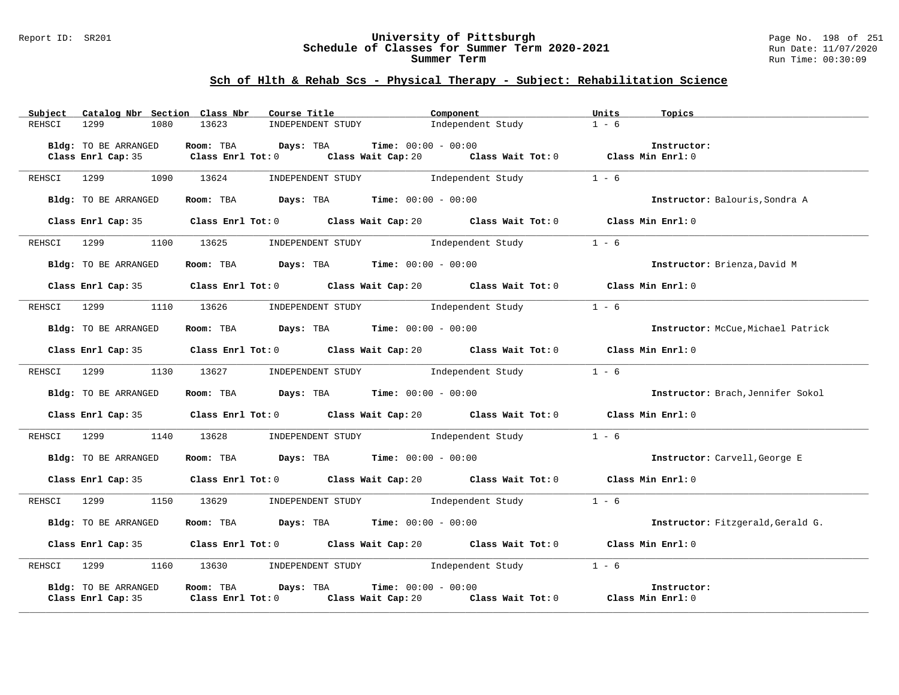#### Report ID: SR201 **University of Pittsburgh** Page No. 198 of 251 **Schedule of Classes for Summer Term 2020-2021** Run Date: 11/07/2020 **Summer Term** Run Time: 00:30:09

| Catalog Nbr Section Class Nbr<br>Subject   | Course Title                                                                                                                            | Component                                              | Units<br>Topics                    |
|--------------------------------------------|-----------------------------------------------------------------------------------------------------------------------------------------|--------------------------------------------------------|------------------------------------|
| REHSCI<br>1299<br>1080                     | INDEPENDENT STUDY<br>13623                                                                                                              | Independent Study                                      | $1 - 6$                            |
| Bldg: TO BE ARRANGED<br>Class Enrl Cap: 35 | Room: TBA Days: TBA<br><b>Time:</b> $00:00 - 00:00$<br>Class Enrl Tot: $0$ Class Wait Cap: $20$ Class Wait Tot: $0$ Class Min Enrl: $0$ |                                                        | Instructor:                        |
| 1090<br>REHSCI<br>1299                     | 13624<br>INDEPENDENT STUDY 1ndependent Study                                                                                            |                                                        | $1 - 6$                            |
| Bldg: TO BE ARRANGED                       | Room: TBA $Days:$ TBA $Time: 00:00 - 00:00$                                                                                             |                                                        | Instructor: Balouris, Sondra A     |
|                                            | Class Enrl Cap: 35 Class Enrl Tot: 0 Class Wait Cap: 20 Class Wait Tot: 0                                                               |                                                        | Class Min Enrl: 0                  |
| REHSCI 1299                                | 1100 13625<br>INDEPENDENT STUDY 1ndependent Study                                                                                       |                                                        | $1 - 6$                            |
| Bldg: TO BE ARRANGED                       | Room: TBA $Days:$ TBA $Time: 00:00 - 00:00$                                                                                             |                                                        | Instructor: Brienza, David M       |
|                                            | Class Enrl Cap: 35 Class Enrl Tot: 0 Class Wait Cap: 20 Class Wait Tot: 0 Class Min Enrl: 0                                             |                                                        |                                    |
| REHSCI 1299 1110 13626                     | INDEPENDENT STUDY 1 - 6                                                                                                                 |                                                        |                                    |
| Bldg: TO BE ARRANGED                       | Room: TBA $\rule{1em}{0.15mm}$ Days: TBA Time: $00:00 - 00:00$                                                                          |                                                        | Instructor: McCue, Michael Patrick |
|                                            | Class Enrl Cap: 35 Class Enrl Tot: 0 Class Wait Cap: 20 Class Wait Tot: 0 Class Min Enrl: 0                                             |                                                        |                                    |
| REHSCI 1299 1130 13627                     | INDEPENDENT STUDY 1ndependent Study                                                                                                     |                                                        | $1 - 6$                            |
| Bldg: TO BE ARRANGED                       | Room: TBA $Days:$ TBA $Time: 00:00 - 00:00$                                                                                             |                                                        | Instructor: Brach, Jennifer Sokol  |
|                                            | Class Enrl Cap: 35 Class Enrl Tot: 0 Class Wait Cap: 20 Class Wait Tot: 0 Class Min Enrl: 0                                             |                                                        |                                    |
| REHSCI 1299<br>1140                        | INDEPENDENT STUDY 1ndependent Study<br>13628                                                                                            |                                                        | $1 - 6$                            |
| Bldg: TO BE ARRANGED                       | Room: TBA Days: TBA Time: $00:00 - 00:00$                                                                                               |                                                        | Instructor: Carvell, George E      |
|                                            | Class Enrl Cap: 35 Class Enrl Tot: 0 Class Wait Cap: 20 Class Wait Tot: 0                                                               |                                                        | Class Min Enrl: 0                  |
| 1150<br>REHSCI 1299                        | 13629 INDEPENDENT STUDY 1ndependent Study                                                                                               |                                                        | $1 - 6$                            |
| Bldg: TO BE ARRANGED                       | Room: TBA $\rule{1em}{0.15mm}$ Days: TBA Time: $00:00 - 00:00$                                                                          |                                                        | Instructor: Fitzgerald, Gerald G.  |
|                                            | Class Enrl Cap: 35 Class Enrl Tot: 0 Class Wait Cap: 20 Class Wait Tot: 0 Class Min Enrl: 0                                             |                                                        |                                    |
|                                            | REHSCI 1299 1160 13630 INDEPENDENT STUDY Independent Study 1 - 6                                                                        |                                                        |                                    |
| Bldg: TO BE ARRANGED<br>Class Enrl Cap: 35 | Days: TBA<br>$Time: 00:00 - 00:00$<br>Room: TBA<br>$Class$ $Enr1$ $Tot: 0$                                                              | Class Wait Cap: 20 Class Wait Tot: 0 Class Min Enrl: 0 | Instructor:                        |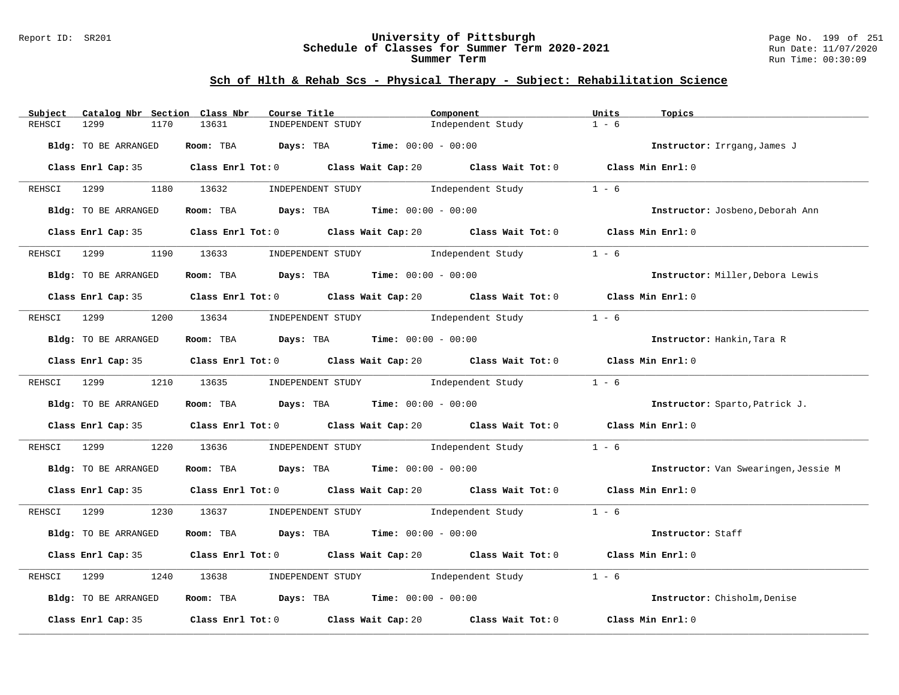#### Report ID: SR201 **University of Pittsburgh** Page No. 199 of 251 **Schedule of Classes for Summer Term 2020-2021** Run Date: 11/07/2020 **Summer Term** Run Time: 00:30:09

| Catalog Nbr Section Class Nbr<br>Subject | Course Title                                                                           | Component                                                                                   | Units<br>Topics                      |
|------------------------------------------|----------------------------------------------------------------------------------------|---------------------------------------------------------------------------------------------|--------------------------------------|
| 1299<br>1170<br>REHSCI                   | 13631<br>INDEPENDENT STUDY                                                             | Independent Study                                                                           | $1 - 6$                              |
| Bldg: TO BE ARRANGED                     | Room: TBA $Days:$ TBA $Time: 00:00 - 00:00$                                            |                                                                                             | Instructor: Irrgang, James J         |
|                                          |                                                                                        | Class Enrl Cap: 35 Class Enrl Tot: 0 Class Wait Cap: 20 Class Wait Tot: 0 Class Min Enrl: 0 |                                      |
|                                          |                                                                                        | REHSCI 1299 1180 13632 INDEPENDENT STUDY Independent Study                                  | $1 - 6$                              |
| Bldg: TO BE ARRANGED                     | Room: TBA $Days:$ TBA $Time: 00:00 - 00:00$                                            |                                                                                             | Instructor: Josbeno, Deborah Ann     |
|                                          |                                                                                        | Class Enrl Cap: 35 Class Enrl Tot: 0 Class Wait Cap: 20 Class Wait Tot: 0 Class Min Enrl: 0 |                                      |
| REHSCI 1299                              | 1190 13633 INDEPENDENT STUDY 1ndependent Study                                         |                                                                                             | $1 - 6$                              |
| Bldg: TO BE ARRANGED                     | Room: TBA $Days:$ TBA $Time: 00:00 - 00:00$                                            |                                                                                             | Instructor: Miller, Debora Lewis     |
|                                          |                                                                                        | Class Enrl Cap: 35 Class Enrl Tot: 0 Class Wait Cap: 20 Class Wait Tot: 0 Class Min Enrl: 0 |                                      |
|                                          | REHSCI 1299 1200 13634 INDEPENDENT STUDY Independent Study                             |                                                                                             | $1 - 6$                              |
| Bldg: TO BE ARRANGED                     | Room: TBA $Days:$ TBA Time: $00:00 - 00:00$                                            |                                                                                             | Instructor: Hankin, Tara R           |
|                                          |                                                                                        | Class Enrl Cap: 35 Class Enrl Tot: 0 Class Wait Cap: 20 Class Wait Tot: 0 Class Min Enrl: 0 |                                      |
|                                          |                                                                                        | REHSCI 1299 1210 13635 INDEPENDENT STUDY Independent Study                                  | $1 - 6$                              |
| Bldg: TO BE ARRANGED                     | Room: TBA $\rule{1em}{0.15mm}$ Days: TBA Time: $00:00 - 00:00$                         |                                                                                             | Instructor: Sparto, Patrick J.       |
|                                          |                                                                                        | Class Enrl Cap: 35 Class Enrl Tot: 0 Class Wait Cap: 20 Class Wait Tot: 0 Class Min Enrl: 0 |                                      |
| REHSCI 1299                              |                                                                                        | 1220 13636 INDEPENDENT STUDY 1ndependent Study                                              | $1 - 6$                              |
| Bldg: TO BE ARRANGED                     | Room: TBA $Days:$ TBA $Time:$ 00:00 - 00:00                                            |                                                                                             | Instructor: Van Swearingen, Jessie M |
|                                          |                                                                                        | Class Enrl Cap: 35 Class Enrl Tot: 0 Class Wait Cap: 20 Class Wait Tot: 0 Class Min Enrl: 0 |                                      |
|                                          |                                                                                        | REHSCI 1299 1230 13637 INDEPENDENT STUDY Independent Study 1 - 6                            |                                      |
| Bldg: TO BE ARRANGED                     | Room: TBA $Days:$ TBA $Time: 00:00 - 00:00$                                            |                                                                                             | Instructor: Staff                    |
|                                          |                                                                                        | Class Enrl Cap: 35 Class Enrl Tot: 0 Class Wait Cap: 20 Class Wait Tot: 0 Class Min Enrl: 0 |                                      |
| REHSCI 1299<br>1240                      |                                                                                        | 13638 INDEPENDENT STUDY Independent Study                                                   | $1 - 6$                              |
| Bldg: TO BE ARRANGED                     | Room: TBA $\rule{1em}{0.15mm}$ Days: TBA $\rule{1.15mm}{0.15mm}$ Time: $00:00 - 00:00$ |                                                                                             | Instructor: Chisholm, Denise         |
|                                          |                                                                                        | Class Enrl Cap: 35 Class Enrl Tot: 0 Class Wait Cap: 20 Class Wait Tot: 0 Class Min Enrl: 0 |                                      |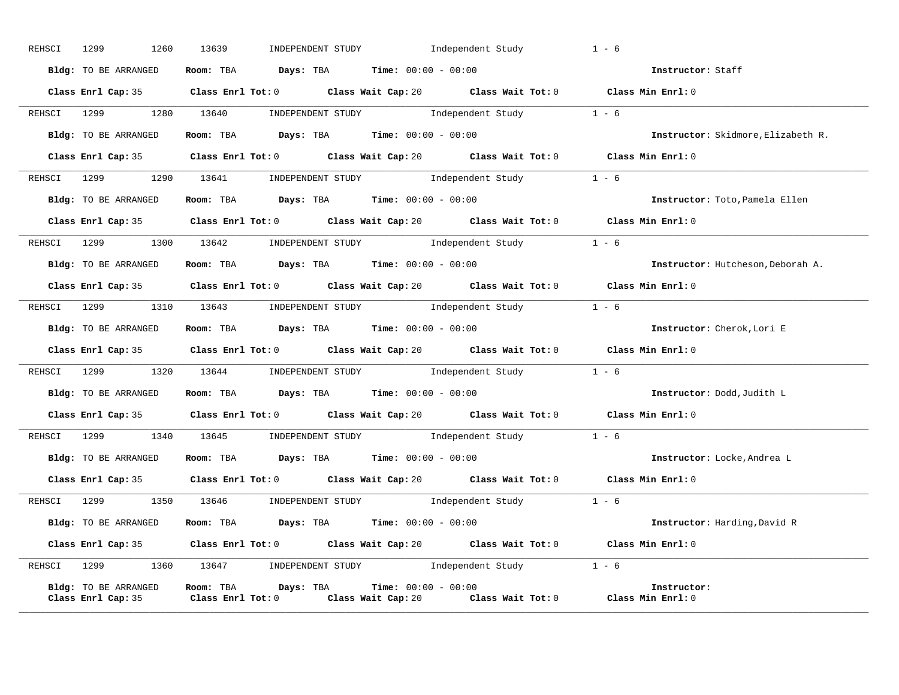| Room: TBA $Days:$ TBA $Time: 00:00 - 00:00$<br>Bldg: TO BE ARRANGED<br>Instructor: Staff<br>Class Enrl Cap: 35 Class Enrl Tot: 0 Class Wait Cap: 20 Class Wait Tot: 0 Class Min Enrl: 0<br>REHSCI 1299 1280 13640 INDEPENDENT STUDY Independent Study 1 - 6<br>Bldg: TO BE ARRANGED Room: TBA Days: TBA Time: 00:00 - 00:00<br>Instructor: Skidmore, Elizabeth R.<br>Class Enrl Cap: 35 Class Enrl Tot: 0 Class Wait Cap: 20 Class Wait Tot: 0 Class Min Enrl: 0<br>REHSCI 1299 1290 13641 INDEPENDENT STUDY Independent Study 1 - 6<br>Room: TBA $\rule{1em}{0.15mm}$ Days: TBA $\rule{1.15mm}]{0.15mm}$ Time: $0.000 - 0.000$<br>Bldg: TO BE ARRANGED<br>Instructor: Toto, Pamela Ellen<br>Class Enrl Cap: 35 Class Enrl Tot: 0 Class Wait Cap: 20 Class Wait Tot: 0 Class Min Enrl: 0<br>REHSCI 1299 1300 13642 INDEPENDENT STUDY Independent Study 1 - 6<br>Bldg: TO BE ARRANGED ROOM: TBA Days: TBA Time: 00:00 - 00:00<br>Instructor: Hutcheson, Deborah A.<br>Class Enrl Cap: 35 Class Enrl Tot: 0 Class Wait Cap: 20 Class Wait Tot: 0 Class Min Enrl: 0<br>REHSCI 1299 1310 13643 INDEPENDENT STUDY Independent Study 1 - 6<br>Bldg: TO BE ARRANGED Room: TBA Days: TBA Time: 00:00 - 00:00<br>Instructor: Cherok, Lori E<br>Class Enrl Cap: 35 Class Enrl Tot: 0 Class Wait Cap: 20 Class Wait Tot: 0 Class Min Enrl: 0<br>REHSCI 1299 1320 13644 INDEPENDENT STUDY Independent Study 1 - 6<br>Bldg: TO BE ARRANGED Room: TBA Days: TBA Time: 00:00 - 00:00<br>Instructor: Dodd, Judith L<br>Class Enrl Cap: 35 Class Enrl Tot: 0 Class Wait Cap: 20 Class Wait Tot: 0 Class Min Enrl: 0<br>REHSCI 1299 1340 13645 INDEPENDENT STUDY Independent Study 1 - 6<br>Bldg: TO BE ARRANGED Room: TBA Days: TBA Time: 00:00 - 00:00<br>Instructor: Locke, Andrea L<br>Class Enrl Cap: 35 Class Enrl Tot: 0 Class Wait Cap: 20 Class Wait Tot: 0 Class Min Enrl: 0<br>REHSCI 1299 1350 13646 INDEPENDENT STUDY Independent Study 1 - 6<br>Bldg: TO BE ARRANGED Room: TBA Days: TBA Time: 00:00 - 00:00<br>Instructor: Harding, David R<br>Class Enrl Cap: 35 Class Enrl Tot: 0 Class Wait Cap: 20 Class Wait Tot: 0 Class Min Enrl: 0<br>REHSCI 1299 1360 13647 INDEPENDENT STUDY Independent Study 1 - 6<br>Room: TBA $Days:$ TBA $Time: 00:00 - 00:00$<br>Bldg: TO BE ARRANGED<br>Instructor:<br>Class Enrl Cap: 35 Class Enrl Tot: 0 Class Wait Cap: 20 Class Wait Tot: 0 Class Min Enrl: 0 | REHSCI | 1299<br>1260 | INDEPENDENT STUDY 1ndependent Study<br>13639 | $1 - 6$ |
|--------------------------------------------------------------------------------------------------------------------------------------------------------------------------------------------------------------------------------------------------------------------------------------------------------------------------------------------------------------------------------------------------------------------------------------------------------------------------------------------------------------------------------------------------------------------------------------------------------------------------------------------------------------------------------------------------------------------------------------------------------------------------------------------------------------------------------------------------------------------------------------------------------------------------------------------------------------------------------------------------------------------------------------------------------------------------------------------------------------------------------------------------------------------------------------------------------------------------------------------------------------------------------------------------------------------------------------------------------------------------------------------------------------------------------------------------------------------------------------------------------------------------------------------------------------------------------------------------------------------------------------------------------------------------------------------------------------------------------------------------------------------------------------------------------------------------------------------------------------------------------------------------------------------------------------------------------------------------------------------------------------------------------------------------------------------------------------------------------------------------------------------------------------------------------------------------------------------------------------------------------------------------------------------------------------------------------------------------------------------------------------------------|--------|--------------|----------------------------------------------|---------|
|                                                                                                                                                                                                                                                                                                                                                                                                                                                                                                                                                                                                                                                                                                                                                                                                                                                                                                                                                                                                                                                                                                                                                                                                                                                                                                                                                                                                                                                                                                                                                                                                                                                                                                                                                                                                                                                                                                                                                                                                                                                                                                                                                                                                                                                                                                                                                                                                  |        |              |                                              |         |
|                                                                                                                                                                                                                                                                                                                                                                                                                                                                                                                                                                                                                                                                                                                                                                                                                                                                                                                                                                                                                                                                                                                                                                                                                                                                                                                                                                                                                                                                                                                                                                                                                                                                                                                                                                                                                                                                                                                                                                                                                                                                                                                                                                                                                                                                                                                                                                                                  |        |              |                                              |         |
|                                                                                                                                                                                                                                                                                                                                                                                                                                                                                                                                                                                                                                                                                                                                                                                                                                                                                                                                                                                                                                                                                                                                                                                                                                                                                                                                                                                                                                                                                                                                                                                                                                                                                                                                                                                                                                                                                                                                                                                                                                                                                                                                                                                                                                                                                                                                                                                                  |        |              |                                              |         |
|                                                                                                                                                                                                                                                                                                                                                                                                                                                                                                                                                                                                                                                                                                                                                                                                                                                                                                                                                                                                                                                                                                                                                                                                                                                                                                                                                                                                                                                                                                                                                                                                                                                                                                                                                                                                                                                                                                                                                                                                                                                                                                                                                                                                                                                                                                                                                                                                  |        |              |                                              |         |
|                                                                                                                                                                                                                                                                                                                                                                                                                                                                                                                                                                                                                                                                                                                                                                                                                                                                                                                                                                                                                                                                                                                                                                                                                                                                                                                                                                                                                                                                                                                                                                                                                                                                                                                                                                                                                                                                                                                                                                                                                                                                                                                                                                                                                                                                                                                                                                                                  |        |              |                                              |         |
|                                                                                                                                                                                                                                                                                                                                                                                                                                                                                                                                                                                                                                                                                                                                                                                                                                                                                                                                                                                                                                                                                                                                                                                                                                                                                                                                                                                                                                                                                                                                                                                                                                                                                                                                                                                                                                                                                                                                                                                                                                                                                                                                                                                                                                                                                                                                                                                                  |        |              |                                              |         |
|                                                                                                                                                                                                                                                                                                                                                                                                                                                                                                                                                                                                                                                                                                                                                                                                                                                                                                                                                                                                                                                                                                                                                                                                                                                                                                                                                                                                                                                                                                                                                                                                                                                                                                                                                                                                                                                                                                                                                                                                                                                                                                                                                                                                                                                                                                                                                                                                  |        |              |                                              |         |
|                                                                                                                                                                                                                                                                                                                                                                                                                                                                                                                                                                                                                                                                                                                                                                                                                                                                                                                                                                                                                                                                                                                                                                                                                                                                                                                                                                                                                                                                                                                                                                                                                                                                                                                                                                                                                                                                                                                                                                                                                                                                                                                                                                                                                                                                                                                                                                                                  |        |              |                                              |         |
|                                                                                                                                                                                                                                                                                                                                                                                                                                                                                                                                                                                                                                                                                                                                                                                                                                                                                                                                                                                                                                                                                                                                                                                                                                                                                                                                                                                                                                                                                                                                                                                                                                                                                                                                                                                                                                                                                                                                                                                                                                                                                                                                                                                                                                                                                                                                                                                                  |        |              |                                              |         |
|                                                                                                                                                                                                                                                                                                                                                                                                                                                                                                                                                                                                                                                                                                                                                                                                                                                                                                                                                                                                                                                                                                                                                                                                                                                                                                                                                                                                                                                                                                                                                                                                                                                                                                                                                                                                                                                                                                                                                                                                                                                                                                                                                                                                                                                                                                                                                                                                  |        |              |                                              |         |
|                                                                                                                                                                                                                                                                                                                                                                                                                                                                                                                                                                                                                                                                                                                                                                                                                                                                                                                                                                                                                                                                                                                                                                                                                                                                                                                                                                                                                                                                                                                                                                                                                                                                                                                                                                                                                                                                                                                                                                                                                                                                                                                                                                                                                                                                                                                                                                                                  |        |              |                                              |         |
|                                                                                                                                                                                                                                                                                                                                                                                                                                                                                                                                                                                                                                                                                                                                                                                                                                                                                                                                                                                                                                                                                                                                                                                                                                                                                                                                                                                                                                                                                                                                                                                                                                                                                                                                                                                                                                                                                                                                                                                                                                                                                                                                                                                                                                                                                                                                                                                                  |        |              |                                              |         |
|                                                                                                                                                                                                                                                                                                                                                                                                                                                                                                                                                                                                                                                                                                                                                                                                                                                                                                                                                                                                                                                                                                                                                                                                                                                                                                                                                                                                                                                                                                                                                                                                                                                                                                                                                                                                                                                                                                                                                                                                                                                                                                                                                                                                                                                                                                                                                                                                  |        |              |                                              |         |
|                                                                                                                                                                                                                                                                                                                                                                                                                                                                                                                                                                                                                                                                                                                                                                                                                                                                                                                                                                                                                                                                                                                                                                                                                                                                                                                                                                                                                                                                                                                                                                                                                                                                                                                                                                                                                                                                                                                                                                                                                                                                                                                                                                                                                                                                                                                                                                                                  |        |              |                                              |         |
|                                                                                                                                                                                                                                                                                                                                                                                                                                                                                                                                                                                                                                                                                                                                                                                                                                                                                                                                                                                                                                                                                                                                                                                                                                                                                                                                                                                                                                                                                                                                                                                                                                                                                                                                                                                                                                                                                                                                                                                                                                                                                                                                                                                                                                                                                                                                                                                                  |        |              |                                              |         |
|                                                                                                                                                                                                                                                                                                                                                                                                                                                                                                                                                                                                                                                                                                                                                                                                                                                                                                                                                                                                                                                                                                                                                                                                                                                                                                                                                                                                                                                                                                                                                                                                                                                                                                                                                                                                                                                                                                                                                                                                                                                                                                                                                                                                                                                                                                                                                                                                  |        |              |                                              |         |
|                                                                                                                                                                                                                                                                                                                                                                                                                                                                                                                                                                                                                                                                                                                                                                                                                                                                                                                                                                                                                                                                                                                                                                                                                                                                                                                                                                                                                                                                                                                                                                                                                                                                                                                                                                                                                                                                                                                                                                                                                                                                                                                                                                                                                                                                                                                                                                                                  |        |              |                                              |         |
|                                                                                                                                                                                                                                                                                                                                                                                                                                                                                                                                                                                                                                                                                                                                                                                                                                                                                                                                                                                                                                                                                                                                                                                                                                                                                                                                                                                                                                                                                                                                                                                                                                                                                                                                                                                                                                                                                                                                                                                                                                                                                                                                                                                                                                                                                                                                                                                                  |        |              |                                              |         |
|                                                                                                                                                                                                                                                                                                                                                                                                                                                                                                                                                                                                                                                                                                                                                                                                                                                                                                                                                                                                                                                                                                                                                                                                                                                                                                                                                                                                                                                                                                                                                                                                                                                                                                                                                                                                                                                                                                                                                                                                                                                                                                                                                                                                                                                                                                                                                                                                  |        |              |                                              |         |
|                                                                                                                                                                                                                                                                                                                                                                                                                                                                                                                                                                                                                                                                                                                                                                                                                                                                                                                                                                                                                                                                                                                                                                                                                                                                                                                                                                                                                                                                                                                                                                                                                                                                                                                                                                                                                                                                                                                                                                                                                                                                                                                                                                                                                                                                                                                                                                                                  |        |              |                                              |         |
|                                                                                                                                                                                                                                                                                                                                                                                                                                                                                                                                                                                                                                                                                                                                                                                                                                                                                                                                                                                                                                                                                                                                                                                                                                                                                                                                                                                                                                                                                                                                                                                                                                                                                                                                                                                                                                                                                                                                                                                                                                                                                                                                                                                                                                                                                                                                                                                                  |        |              |                                              |         |
|                                                                                                                                                                                                                                                                                                                                                                                                                                                                                                                                                                                                                                                                                                                                                                                                                                                                                                                                                                                                                                                                                                                                                                                                                                                                                                                                                                                                                                                                                                                                                                                                                                                                                                                                                                                                                                                                                                                                                                                                                                                                                                                                                                                                                                                                                                                                                                                                  |        |              |                                              |         |
|                                                                                                                                                                                                                                                                                                                                                                                                                                                                                                                                                                                                                                                                                                                                                                                                                                                                                                                                                                                                                                                                                                                                                                                                                                                                                                                                                                                                                                                                                                                                                                                                                                                                                                                                                                                                                                                                                                                                                                                                                                                                                                                                                                                                                                                                                                                                                                                                  |        |              |                                              |         |
|                                                                                                                                                                                                                                                                                                                                                                                                                                                                                                                                                                                                                                                                                                                                                                                                                                                                                                                                                                                                                                                                                                                                                                                                                                                                                                                                                                                                                                                                                                                                                                                                                                                                                                                                                                                                                                                                                                                                                                                                                                                                                                                                                                                                                                                                                                                                                                                                  |        |              |                                              |         |
|                                                                                                                                                                                                                                                                                                                                                                                                                                                                                                                                                                                                                                                                                                                                                                                                                                                                                                                                                                                                                                                                                                                                                                                                                                                                                                                                                                                                                                                                                                                                                                                                                                                                                                                                                                                                                                                                                                                                                                                                                                                                                                                                                                                                                                                                                                                                                                                                  |        |              |                                              |         |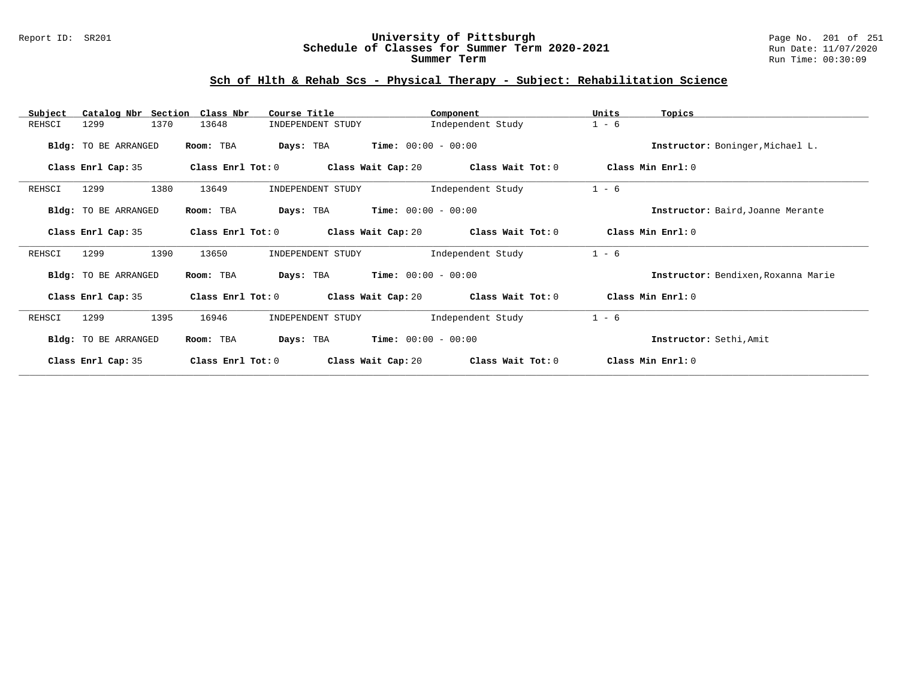#### Report ID: SR201 **University of Pittsburgh** Page No. 201 of 251 **Schedule of Classes for Summer Term 2020-2021** Run Date: 11/07/2020 **Summer Term** Run Time: 00:30:09

| Subject<br>Catalog Nbr Section | Class Nbr<br>Course Title  | Component                               | Units<br>Topics                     |
|--------------------------------|----------------------------|-----------------------------------------|-------------------------------------|
| 1370<br>1299<br>REHSCI         | 13648<br>INDEPENDENT STUDY | Independent Study                       | $1 - 6$                             |
| Bldg: TO BE ARRANGED           | Room: TBA<br>Days: TBA     | $Time: 00:00 - 00:00$                   | Instructor: Boninger, Michael L.    |
| Class Enrl Cap: 35             | Class Enrl Tot: 0          | Class Wait Cap: 20<br>Class Wait Tot: 0 | Class Min Enrl: 0                   |
| 1299<br>1380<br>REHSCI         | 13649<br>INDEPENDENT STUDY | Independent Study                       | $1 - 6$                             |
| Bldg: TO BE ARRANGED           | Room: TBA<br>Days: TBA     | $Time: 00:00 - 00:00$                   | Instructor: Baird, Joanne Merante   |
| Class Enrl Cap: 35             | Class Enrl Tot: 0          | Class Wait Cap: 20<br>Class Wait Tot: 0 | Class Min Enrl: 0                   |
| 1299<br>1390<br>REHSCI         | 13650<br>INDEPENDENT STUDY | Independent Study                       | $1 - 6$                             |
| Bldg: TO BE ARRANGED           | Room: TBA<br>Days: TBA     | $Time: 00:00 - 00:00$                   | Instructor: Bendixen, Roxanna Marie |
| Class Enrl Cap: 35             | Class Enrl Tot: 0          | Class Wait Cap: 20<br>Class Wait Tot: 0 | Class Min Enrl: 0                   |
| REHSCI<br>1299<br>1395         | 16946<br>INDEPENDENT STUDY | Independent Study                       | $1 - 6$                             |
| Bldg: TO BE ARRANGED           | Room: TBA<br>Days: TBA     | $Time: 00:00 - 00:00$                   | Instructor: Sethi, Amit             |
| Class Enrl Cap: 35             | Class Enrl Tot: 0          | Class Wait Cap: 20<br>Class Wait Tot: 0 | Class Min Enrl: 0                   |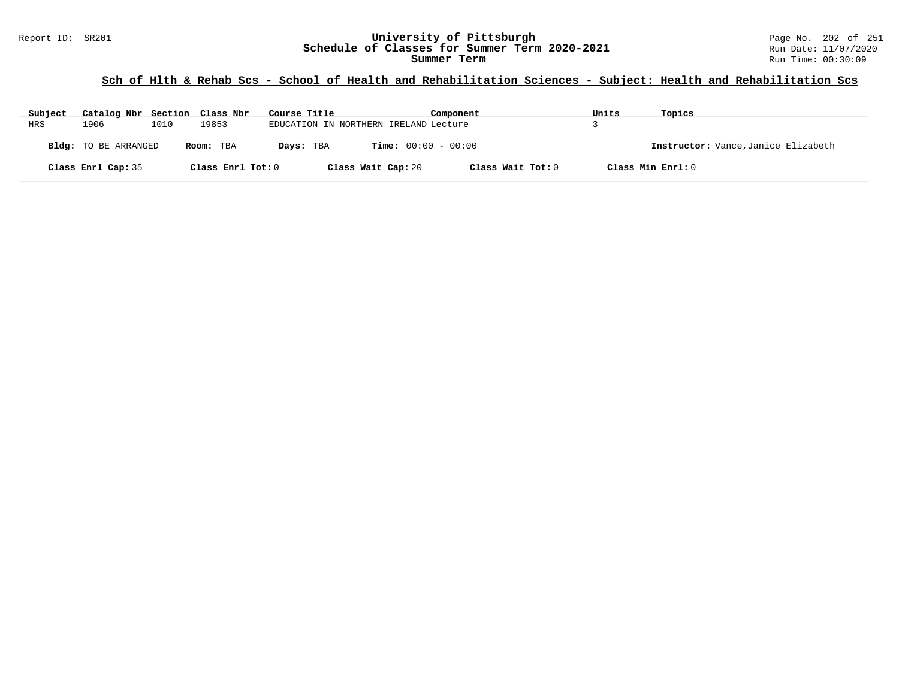# **Sch of Hlth & Rehab Scs - School of Health and Rehabilitation Sciences - Subject: Health and Rehabilitation Scs**

| Subject | Catalog Nbr Section Class Nbr |      |                   | Course Title |                                       | Component         | Units | Topics                              |
|---------|-------------------------------|------|-------------------|--------------|---------------------------------------|-------------------|-------|-------------------------------------|
| HRS     | 1906                          | 1010 | 19853             |              | EDUCATION IN NORTHERN IRELAND Lecture |                   |       |                                     |
|         | Bldg: TO BE ARRANGED          |      | Room: TBA         | Days: TBA    | <b>Time:</b> $00:00 - 00:00$          |                   |       | Instructor: Vance, Janice Elizabeth |
|         | Class Enrl Cap: 35            |      | Class Enrl Tot: 0 |              | Class Wait Cap: 20                    | Class Wait Tot: 0 |       | Class Min Enrl: 0                   |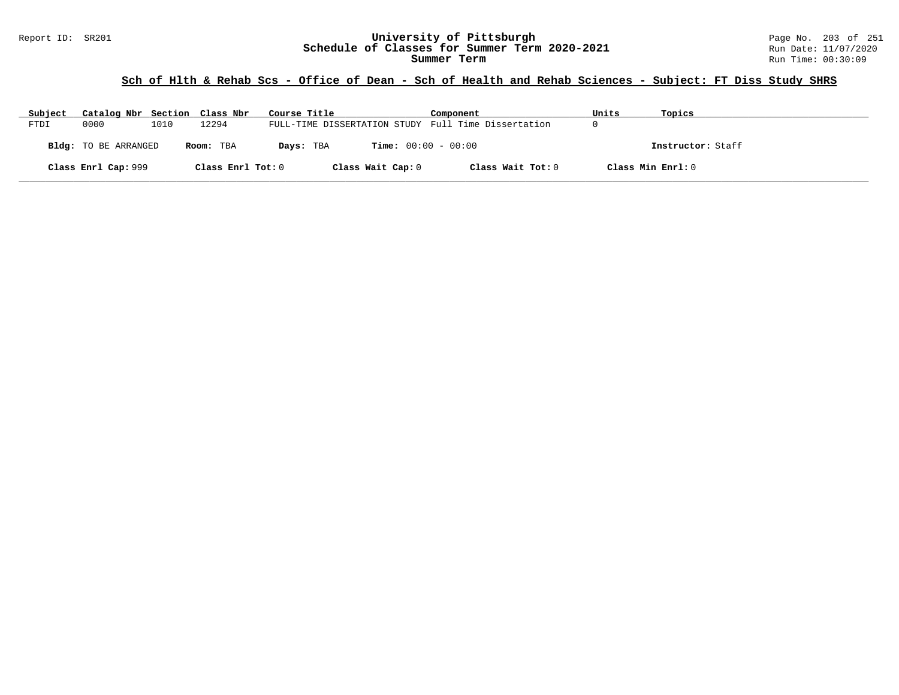# **Sch of Hlth & Rehab Scs - Office of Dean - Sch of Health and Rehab Sciences - Subject: FT Diss Study SHRS**

| Subject | Catalog Nbr Section Class Nbr |      |                   | Course Title                                        | Component                    | Units | Topics            |
|---------|-------------------------------|------|-------------------|-----------------------------------------------------|------------------------------|-------|-------------------|
| FTDI    | 0000                          | 1010 | 12294             | FULL-TIME DISSERTATION STUDY Full Time Dissertation |                              | U     |                   |
|         | Bldg: TO BE ARRANGED          |      | Room: TBA         | Days: TBA                                           | <b>Time:</b> $00:00 - 00:00$ |       | Instructor: Staff |
|         | Class Enrl Cap: 999           |      | Class Enrl Tot: 0 | Class Wait Cap: 0                                   | Class Wait Tot: 0            |       | Class Min Enrl: 0 |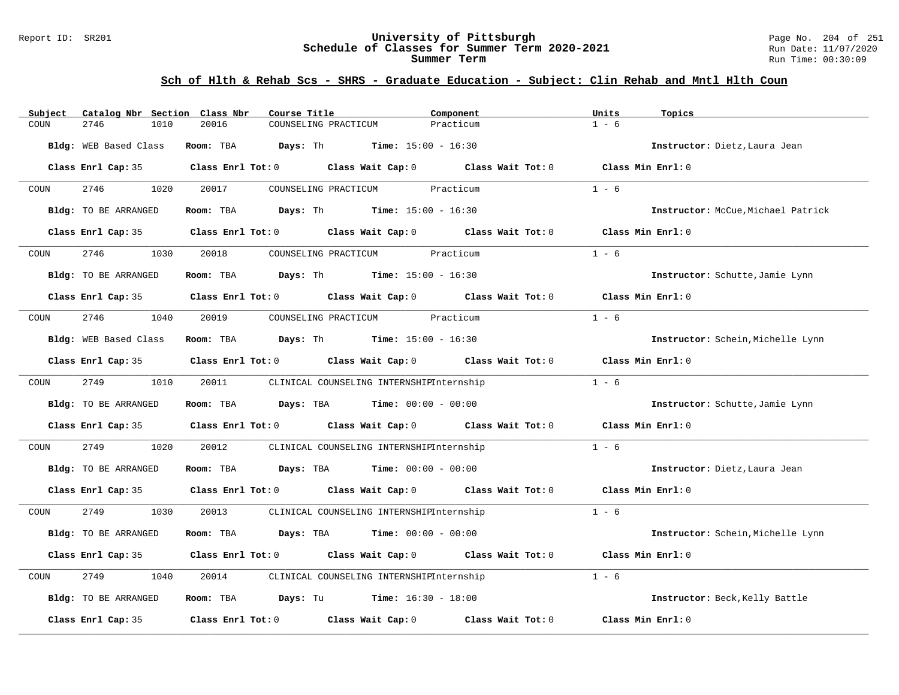#### Report ID: SR201 **University of Pittsburgh** Page No. 204 of 251 **Schedule of Classes for Summer Term 2020-2021** Run Date: 11/07/2020 **Summer Term** Run Time: 00:30:09

### **Sch of Hlth & Rehab Scs - SHRS - Graduate Education - Subject: Clin Rehab and Mntl Hlth Coun**

| Catalog Nbr Section Class Nbr<br>Subject     | Course Title                                                                                        | Component<br>Units   | Topics                             |
|----------------------------------------------|-----------------------------------------------------------------------------------------------------|----------------------|------------------------------------|
| 2746<br>1010<br>COUN                         | 20016<br>COUNSELING PRACTICUM                                                                       | $1 - 6$<br>Practicum |                                    |
| Bldg: WEB Based Class                        | Room: TBA<br>Days: Th<br><b>Time:</b> $15:00 - 16:30$                                               |                      | Instructor: Dietz, Laura Jean      |
|                                              | Class Enrl Cap: 35 $\qquad$ Class Enrl Tot: 0 $\qquad$ Class Wait Cap: 0 $\qquad$ Class Wait Tot: 0 |                      | Class Min Enrl: 0                  |
| 2746<br>1020<br>COUN                         | 20017<br>COUNSELING PRACTICUM                                                                       | Practicum<br>$1 - 6$ |                                    |
| Bldg: TO BE ARRANGED                         | Room: TBA $Days: Th$ Time: $15:00 - 16:30$                                                          |                      | Instructor: McCue, Michael Patrick |
| Class Enrl Cap: 35                           | Class Enrl Tot: 0 Class Wait Cap: 0 Class Wait Tot: 0                                               |                      | Class Min Enrl: 0                  |
| 2746<br>1030<br>COUN                         | COUNSELING PRACTICUM Practicum<br>20018                                                             | $1 - 6$              |                                    |
| Bldg: TO BE ARRANGED                         | Room: TBA $Days: Th$ Time: $15:00 - 16:30$                                                          |                      | Instructor: Schutte, Jamie Lynn    |
|                                              | Class Enrl Cap: 35 $\qquad$ Class Enrl Tot: 0 $\qquad$ Class Wait Cap: 0 $\qquad$ Class Wait Tot: 0 |                      | Class Min Enrl: 0                  |
| 2746<br>1040<br>COUN                         | 20019<br>COUNSELING PRACTICUM Practicum                                                             | $1 - 6$              |                                    |
| Bldg: WEB Based Class                        | <b>Room:</b> TBA <b>Days:</b> Th <b>Time:</b> $15:00 - 16:30$                                       |                      | Instructor: Schein, Michelle Lynn  |
| Class Enrl Cap: 35                           | Class Enrl Tot: 0 Class Wait Cap: 0 Class Wait Tot: 0                                               |                      | Class Min Enrl: 0                  |
| 2749<br>1010<br>COUN                         | 20011<br>CLINICAL COUNSELING INTERNSHIPInternship                                                   | $1 - 6$              |                                    |
| Bldg: TO BE ARRANGED                         | Room: TBA<br><b>Days:</b> TBA <b>Time:</b> $00:00 - 00:00$                                          |                      | Instructor: Schutte, Jamie Lynn    |
|                                              | Class Enrl Cap: 35 Class Enrl Tot: 0 Class Wait Cap: 0 Class Wait Tot: 0                            |                      | Class Min Enrl: 0                  |
| 2749<br>$\mathop{\rm COUN}\nolimits$<br>1020 | 20012<br>CLINICAL COUNSELING INTERNSHIPInternship                                                   | $1 - 6$              |                                    |
| Bldg: TO BE ARRANGED                         | Room: TBA $Days:$ TBA $Time: 00:00 - 00:00$                                                         |                      | Instructor: Dietz, Laura Jean      |
|                                              | Class Enrl Cap: 35 $\qquad$ Class Enrl Tot: 0 $\qquad$ Class Wait Cap: 0 $\qquad$ Class Wait Tot: 0 |                      | Class Min Enrl: 0                  |
| 2749<br>1030<br>COUN                         | 20013<br>CLINICAL COUNSELING INTERNSHIPInternship                                                   | $1 - 6$              |                                    |
| Bldg: TO BE ARRANGED                         | Room: TBA<br>Days: TBA<br><b>Time:</b> $00:00 - 00:00$                                              |                      | Instructor: Schein, Michelle Lynn  |
|                                              | Class Enrl Cap: 35 Class Enrl Tot: 0 Class Wait Cap: 0 Class Wait Tot: 0                            |                      | Class Min Enrl: 0                  |
| 2749<br>1040<br>COUN                         | 20014<br>CLINICAL COUNSELING INTERNSHIPInternship                                                   | $1 - 6$              |                                    |
| Bldg: TO BE ARRANGED                         | Room: TBA $Days: Tu$ Time: $16:30 - 18:00$                                                          |                      | Instructor: Beck, Kelly Battle     |
| Class Enrl Cap: 35                           | Class Enrl Tot: 0 Class Wait Cap: 0                                                                 | Class Wait Tot: 0    | Class Min Enrl: 0                  |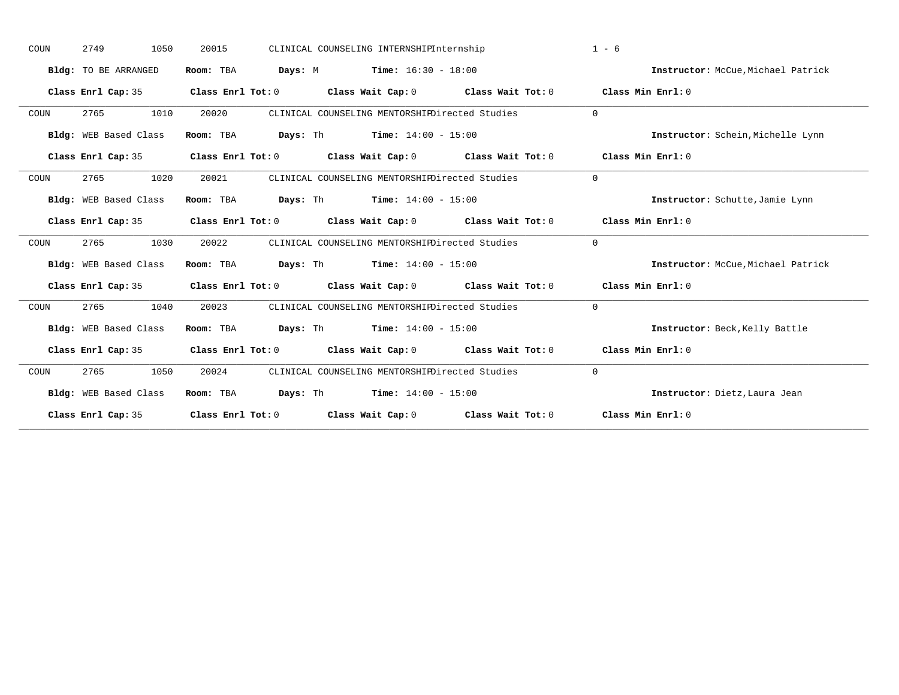| Instructor: McCue, Michael Patrick |
|------------------------------------|
|                                    |
|                                    |
|                                    |
| Instructor: Schein, Michelle Lynn  |
|                                    |
|                                    |
| Instructor: Schutte, Jamie Lynn    |
|                                    |
|                                    |
| Instructor: McCue, Michael Patrick |
|                                    |
|                                    |
| Instructor: Beck, Kelly Battle     |
|                                    |
|                                    |
| Instructor: Dietz, Laura Jean      |
|                                    |
|                                    |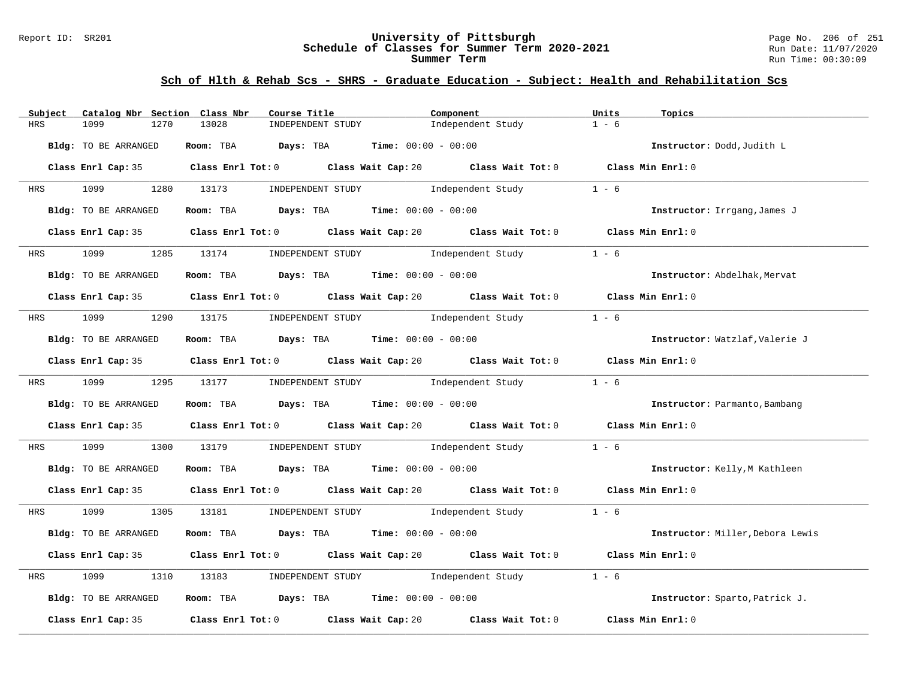#### Report ID: SR201 **University of Pittsburgh** Page No. 206 of 251 **Schedule of Classes for Summer Term 2020-2021** Run Date: 11/07/2020 **Summer Term** Run Time: 00:30:09

| Subject    | Catalog Nbr Section Class Nbr | Course Title                                                 | Component                                                                                   | Units<br>Topics                  |
|------------|-------------------------------|--------------------------------------------------------------|---------------------------------------------------------------------------------------------|----------------------------------|
| <b>HRS</b> | 1099<br>1270                  | 13028<br>INDEPENDENT STUDY                                   | Independent Study                                                                           | $1 - 6$                          |
|            | Bldg: TO BE ARRANGED          | Room: TBA Days: TBA                                          | <b>Time:</b> $00:00 - 00:00$                                                                | Instructor: Dodd, Judith L       |
|            |                               |                                                              | Class Enrl Cap: 35 Class Enrl Tot: 0 Class Wait Cap: 20 Class Wait Tot: 0 Class Min Enrl: 0 |                                  |
|            | HRS 1099                      | 1280 13173<br>INDEPENDENT STUDY                              | Independent Study                                                                           | $1 - 6$                          |
|            | Bldg: TO BE ARRANGED          | Room: TBA $Days:$ TBA $Time: 00:00 - 00:00$                  |                                                                                             | Instructor: Irrgang, James J     |
|            |                               |                                                              | Class Enrl Cap: 35 Class Enrl Tot: 0 Class Wait Cap: 20 Class Wait Tot: 0 Class Min Enrl: 0 |                                  |
| <b>HRS</b> | 1099 700                      | 1285 13174 INDEPENDENT STUDY Independent Study               |                                                                                             | $1 - 6$                          |
|            | Bldg: TO BE ARRANGED          | Room: TBA $Days:$ TBA $Time: 00:00 - 00:00$                  |                                                                                             | Instructor: Abdelhak, Mervat     |
|            |                               |                                                              | Class Enrl Cap: 35 Class Enrl Tot: 0 Class Wait Cap: 20 Class Wait Tot: 0 Class Min Enrl: 0 |                                  |
|            |                               |                                                              | HRS 1099 1290 13175 INDEPENDENT STUDY Independent Study                                     | $1 - 6$                          |
|            | Bldg: TO BE ARRANGED          | Room: TBA $Days:$ TBA $Time: 00:00 - 00:00$                  |                                                                                             | Instructor: Watzlaf, Valerie J   |
|            |                               |                                                              | Class Enrl Cap: 35 Class Enrl Tot: 0 Class Wait Cap: 20 Class Wait Tot: 0 Class Min Enrl: 0 |                                  |
|            |                               |                                                              | HRS 1099 1295 13177 INDEPENDENT STUDY Independent Study 1 - 6                               |                                  |
|            | Bldg: TO BE ARRANGED          | Room: TBA Days: TBA Time: $00:00 - 00:00$                    |                                                                                             | Instructor: Parmanto, Bambang    |
|            |                               |                                                              | Class Enrl Cap: 35 Class Enrl Tot: 0 Class Wait Cap: 20 Class Wait Tot: 0 Class Min Enrl: 0 |                                  |
| HRS        | 1099                          |                                                              | 1300 13179 INDEPENDENT STUDY Independent Study                                              | $1 - 6$                          |
|            | Bldg: TO BE ARRANGED          | <b>Room:</b> TBA <b>Days:</b> TBA <b>Time:</b> 00:00 - 00:00 |                                                                                             | Instructor: Kelly, M Kathleen    |
|            |                               |                                                              | Class Enrl Cap: 35 Class Enrl Tot: 0 Class Wait Cap: 20 Class Wait Tot: 0 Class Min Enrl: 0 |                                  |
|            |                               |                                                              | HRS 1099 1305 13181 INDEPENDENT STUDY Independent Study 1 - 6                               |                                  |
|            | Bldg: TO BE ARRANGED          | Room: TBA $Days:$ TBA $Time: 00:00 - 00:00$                  |                                                                                             | Instructor: Miller, Debora Lewis |
|            |                               |                                                              | Class Enrl Cap: 35 Class Enrl Tot: 0 Class Wait Cap: 20 Class Wait Tot: 0 Class Min Enrl: 0 |                                  |
| HRS        | 1099                          | 1310 13183                                                   | INDEPENDENT STUDY 1ndependent Study                                                         | $1 - 6$                          |
|            | Bldg: TO BE ARRANGED          | Room: TBA $Days:$ TBA $Time: 00:00 - 00:00$                  |                                                                                             | Instructor: Sparto, Patrick J.   |
|            |                               | Class Enrl Cap: 35 Class Enrl Tot: 0 Class Wait Cap: 20      | Class Wait Tot: 0                                                                           | Class Min Enrl: 0                |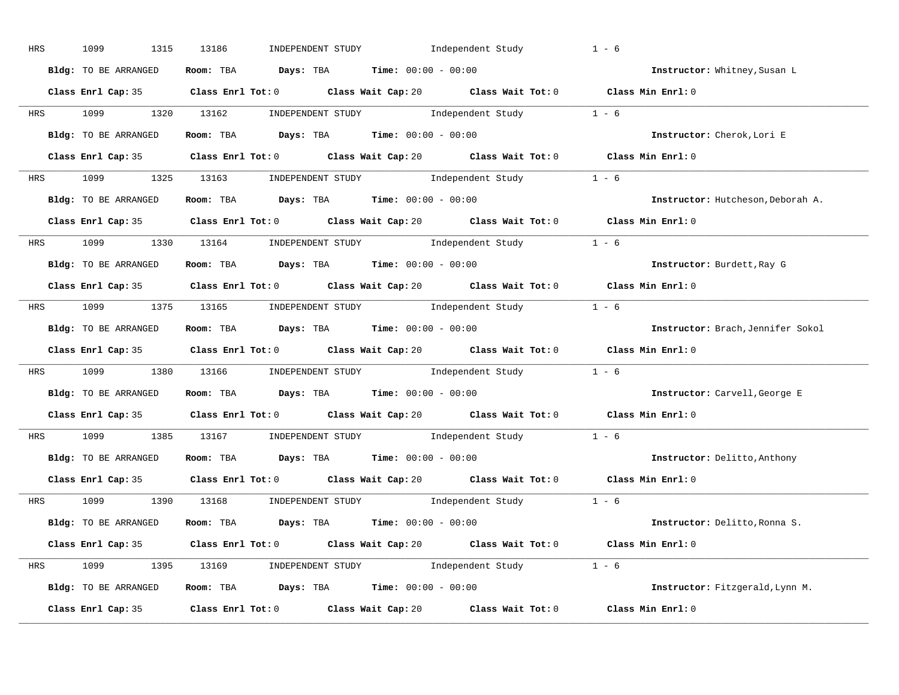| HRS | 1099<br>1315         | INDEPENDENT STUDY 1ndependent Study<br>13186                                                | $1 - 6$                           |
|-----|----------------------|---------------------------------------------------------------------------------------------|-----------------------------------|
|     | Bldg: TO BE ARRANGED | Room: TBA $Days:$ TBA $Time: 00:00 - 00:00$                                                 | Instructor: Whitney, Susan L      |
|     |                      | Class Enrl Cap: 35 Class Enrl Tot: 0 Class Wait Cap: 20 Class Wait Tot: 0 Class Min Enrl: 0 |                                   |
|     |                      | HRS 1099 1320 13162 INDEPENDENT STUDY Independent Study 1 - 6                               |                                   |
|     | Bldg: TO BE ARRANGED | Room: TBA $Days:$ TBA $Time: 00:00 - 00:00$                                                 | Instructor: Cherok, Lori E        |
|     |                      | Class Enrl Cap: 35 Class Enrl Tot: 0 Class Wait Cap: 20 Class Wait Tot: 0 Class Min Enrl: 0 |                                   |
|     |                      | HRS 1099 1325 13163 INDEPENDENT STUDY Independent Study 1 - 6                               |                                   |
|     |                      | <b>Bldg:</b> TO BE ARRANGED <b>ROOM:</b> TBA <b>Days:</b> TBA <b>Time:</b> $00:00 - 00:00$  | Instructor: Hutcheson, Deborah A. |
|     |                      | Class Enrl Cap: 35 Class Enrl Tot: 0 Class Wait Cap: 20 Class Wait Tot: 0 Class Min Enrl: 0 |                                   |
|     |                      | HRS 1099 1330 13164 INDEPENDENT STUDY Independent Study 1 - 6                               |                                   |
|     | Bldg: TO BE ARRANGED | Room: TBA $Days:$ TBA $Time: 00:00 - 00:00$                                                 | Instructor: Burdett, Ray G        |
|     |                      | Class Enrl Cap: 35 Class Enrl Tot: 0 Class Wait Cap: 20 Class Wait Tot: 0 Class Min Enrl: 0 |                                   |
|     |                      | HRS 1099 1375 13165 INDEPENDENT STUDY Independent Study 1 - 6                               |                                   |
|     | Bldg: TO BE ARRANGED | Room: TBA $Days:$ TBA $Time: 00:00 - 00:00$                                                 | Instructor: Brach, Jennifer Sokol |
|     |                      | Class Enrl Cap: 35 Class Enrl Tot: 0 Class Wait Cap: 20 Class Wait Tot: 0 Class Min Enrl: 0 |                                   |
|     |                      | HRS 1099 1380 13166 INDEPENDENT STUDY Independent Study 1 - 6                               |                                   |
|     | Bldg: TO BE ARRANGED | Room: TBA $Days:$ TBA $Time: 00:00 - 00:00$                                                 | Instructor: Carvell, George E     |
|     |                      | Class Enrl Cap: 35 Class Enrl Tot: 0 Class Wait Cap: 20 Class Wait Tot: 0 Class Min Enrl: 0 |                                   |
|     |                      | HRS 1099 1385 13167 INDEPENDENT STUDY Independent Study 1 - 6                               |                                   |
|     |                      | Bldg: TO BE ARRANGED Room: TBA Days: TBA Time: 00:00 - 00:00                                | Instructor: Delitto, Anthony      |
|     |                      | Class Enrl Cap: 35 Class Enrl Tot: 0 Class Wait Cap: 20 Class Wait Tot: 0 Class Min Enrl: 0 |                                   |
|     |                      | HRS 1099 1390 13168 INDEPENDENT STUDY Independent Study 1 - 6                               |                                   |
|     | Bldg: TO BE ARRANGED | Room: TBA $Days: TBA$ Time: $00:00 - 00:00$                                                 | Instructor: Delitto, Ronna S.     |
|     |                      | Class Enrl Cap: 35 Class Enrl Tot: 0 Class Wait Cap: 20 Class Wait Tot: 0 Class Min Enrl: 0 |                                   |
|     |                      | HRS 1099 1395 13169 INDEPENDENT STUDY Independent Study 1 - 6                               |                                   |
|     |                      | Bldg: TO BE ARRANGED Room: TBA Days: TBA Time: 00:00 - 00:00                                | Instructor: Fitzgerald, Lynn M.   |
|     |                      | Class Enrl Cap: 35 Class Enrl Tot: 0 Class Wait Cap: 20 Class Wait Tot: 0                   | Class Min Enrl: 0                 |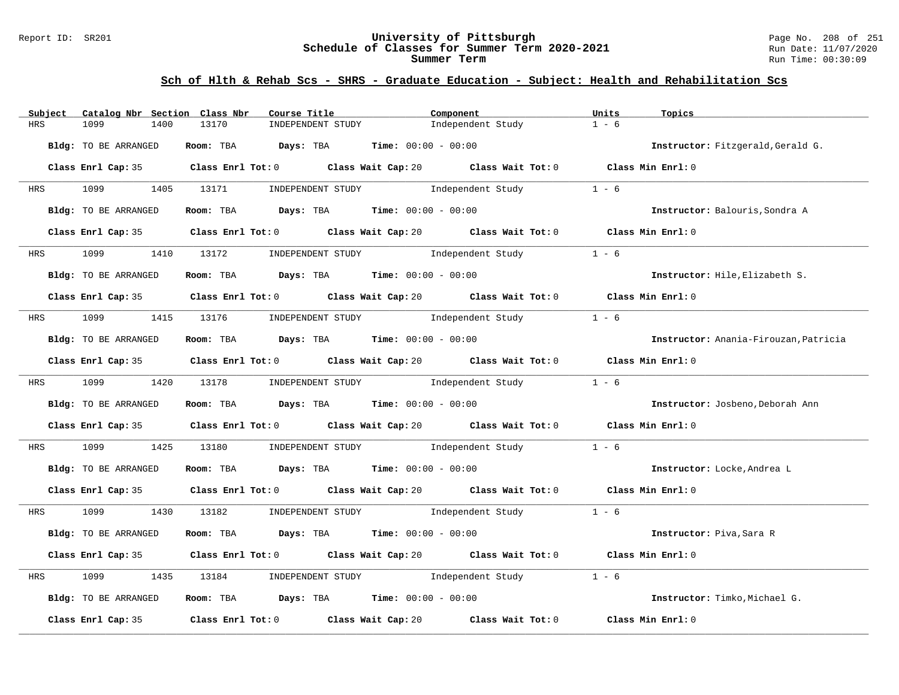#### Report ID: SR201 **University of Pittsburgh** Page No. 208 of 251 **Schedule of Classes for Summer Term 2020-2021** Run Date: 11/07/2020 **Summer Term** Run Time: 00:30:09

| Subject    | Catalog Nbr Section Class Nbr | Course Title                                   | Component                                                                                   | Units<br>Topics                       |
|------------|-------------------------------|------------------------------------------------|---------------------------------------------------------------------------------------------|---------------------------------------|
| <b>HRS</b> | 1099<br>1400                  | 13170<br>INDEPENDENT STUDY                     | Independent Study                                                                           | $1 - 6$                               |
|            | Bldg: TO BE ARRANGED          | Room: TBA Days: TBA                            | <b>Time:</b> $00:00 - 00:00$                                                                | Instructor: Fitzgerald, Gerald G.     |
|            |                               |                                                | Class Enrl Cap: 35 Class Enrl Tot: 0 Class Wait Cap: 20 Class Wait Tot: 0 Class Min Enrl: 0 |                                       |
|            | HRS 1099 1405 13171           |                                                | INDEPENDENT STUDY 1ndependent Study                                                         | $1 - 6$                               |
|            | Bldg: TO BE ARRANGED          | Room: TBA $Days:$ TBA $Time: 00:00 - 00:00$    |                                                                                             | Instructor: Balouris, Sondra A        |
|            |                               |                                                | Class Enrl Cap: 35 Class Enrl Tot: 0 Class Wait Cap: 20 Class Wait Tot: 0 Class Min Enrl: 0 |                                       |
| <b>HRS</b> | 1099                          | 1410 13172 INDEPENDENT STUDY Independent Study |                                                                                             | $1 - 6$                               |
|            | Bldg: TO BE ARRANGED          | Room: TBA $Days:$ TBA $Time: 00:00 - 00:00$    |                                                                                             | Instructor: Hile, Elizabeth S.        |
|            |                               |                                                | Class Enrl Cap: 35 Class Enrl Tot: 0 Class Wait Cap: 20 Class Wait Tot: 0 Class Min Enrl: 0 |                                       |
|            |                               |                                                | HRS 1099 1415 13176 INDEPENDENT STUDY Independent Study                                     | $1 - 6$                               |
|            | Bldg: TO BE ARRANGED          | Room: TBA $Days:$ TBA $Time: 00:00 - 00:00$    |                                                                                             | Instructor: Anania-Firouzan, Patricia |
|            |                               |                                                | Class Enrl Cap: 35 Class Enrl Tot: 0 Class Wait Cap: 20 Class Wait Tot: 0 Class Min Enrl: 0 |                                       |
|            |                               |                                                | HRS 1099 1420 13178 INDEPENDENT STUDY Independent Study 1 - 6                               |                                       |
|            | Bldg: TO BE ARRANGED          | Room: TBA $Days: TBA$ Time: $00:00 - 00:00$    |                                                                                             | Instructor: Josbeno, Deborah Ann      |
|            |                               |                                                | Class Enrl Cap: 35 Class Enrl Tot: 0 Class Wait Cap: 20 Class Wait Tot: 0 Class Min Enrl: 0 |                                       |
| HRS        | 1099                          |                                                | 1425 13180 INDEPENDENT STUDY Independent Study                                              | $1 - 6$                               |
|            | Bldg: TO BE ARRANGED          | Room: TBA $Days:$ TBA $Time: 00:00 - 00:00$    |                                                                                             | Instructor: Locke, Andrea L           |
|            |                               |                                                | Class Enrl Cap: 35 Class Enrl Tot: 0 Class Wait Cap: 20 Class Wait Tot: 0 Class Min Enrl: 0 |                                       |
|            |                               |                                                | HRS 1099 1430 13182 INDEPENDENT STUDY Independent Study 1 - 6                               |                                       |
|            | Bldg: TO BE ARRANGED          | Room: TBA $Days:$ TBA $Time: 00:00 - 00:00$    |                                                                                             | Instructor: Piva, Sara R              |
|            |                               |                                                | Class Enrl Cap: 35 Class Enrl Tot: 0 Class Wait Cap: 20 Class Wait Tot: 0 Class Min Enrl: 0 |                                       |
| HRS        | 1099                          | 1435 13184                                     | INDEPENDENT STUDY 1ndependent Study                                                         | $1 - 6$                               |
|            | Bldg: TO BE ARRANGED          | Room: TBA $Days: TBA$ Time: $00:00 - 00:00$    |                                                                                             | Instructor: Timko, Michael G.         |
|            | Class Enrl Cap: 35            | Class Enrl Tot: 0 Class Wait Cap: 20           | Class Wait Tot: 0                                                                           | Class Min Enrl: 0                     |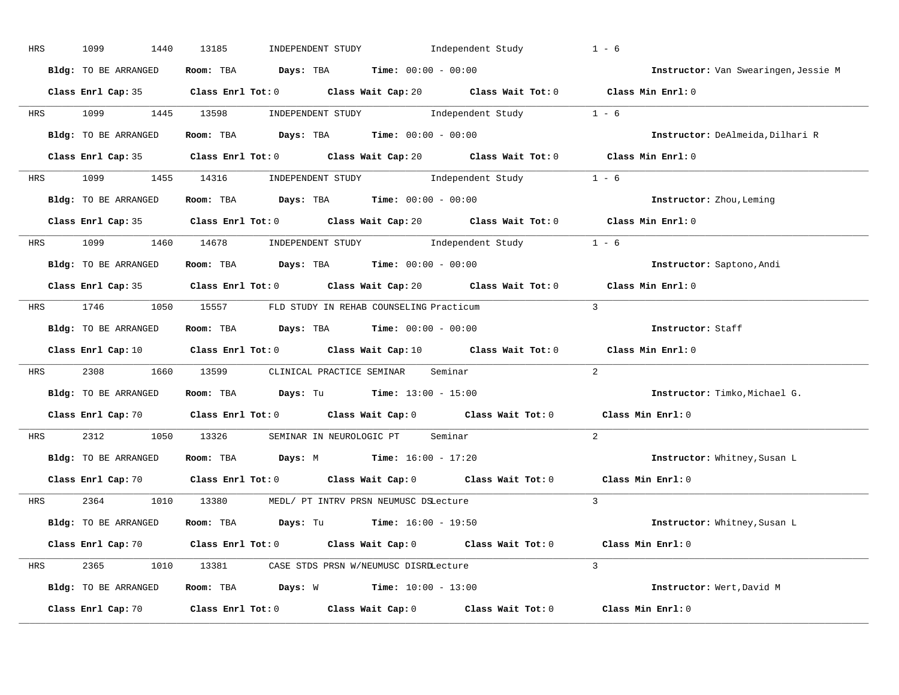| HRS        | 1099<br>1440         | Independent Study<br>13185<br>INDEPENDENT STUDY                                                                                | $1 - 6$        |                                      |
|------------|----------------------|--------------------------------------------------------------------------------------------------------------------------------|----------------|--------------------------------------|
|            | Bldg: TO BE ARRANGED | Room: TBA $Days:$ TBA $Time: 00:00 - 00:00$                                                                                    |                | Instructor: Van Swearingen, Jessie M |
|            |                      | Class Enrl Cap: 35 Class Enrl Tot: 0 Class Wait Cap: 20 Class Wait Tot: 0 Class Min Enrl: 0                                    |                |                                      |
|            |                      | HRS 1099 1445 13598 INDEPENDENT STUDY Independent Study 1 - 6                                                                  |                |                                      |
|            | Bldg: TO BE ARRANGED | Room: TBA $Days:$ TBA $Time: 00:00 - 00:00$                                                                                    |                | Instructor: DeAlmeida, Dilhari R     |
|            |                      | Class Enrl Cap: 35 Class Enrl Tot: 0 Class Wait Cap: 20 Class Wait Tot: 0 Class Min Enrl: 0                                    |                |                                      |
|            |                      | HRS 1099 1455 14316 INDEPENDENT STUDY Independent Study 1 - 6                                                                  |                |                                      |
|            |                      | <b>Bldg:</b> TO BE ARRANGED <b>ROOM:</b> TBA <b>Days:</b> TBA <b>Time:</b> $00:00 - 00:00$                                     |                | Instructor: Zhou, Leming             |
|            |                      | Class Enrl Cap: 35 Class Enrl Tot: 0 Class Wait Cap: 20 Class Wait Tot: 0 Class Min Enrl: 0                                    |                |                                      |
|            |                      | HRS 1099 1460 14678 INDEPENDENT STUDY Independent Study 1 - 6                                                                  |                |                                      |
|            | Bldg: TO BE ARRANGED | Room: TBA $Days:$ TBA $Time: 00:00 - 00:00$                                                                                    |                | Instructor: Saptono, Andi            |
|            |                      | Class Enrl Cap: 35 Class Enrl Tot: 0 Class Wait Cap: 20 Class Wait Tot: 0                                                      |                | Class Min Enrl: 0                    |
|            |                      | HRS 1746 1050 15557 FLD STUDY IN REHAB COUNSELING Practicum                                                                    |                |                                      |
|            | Bldg: TO BE ARRANGED | Room: TBA $Days:$ TBA $Time: 00:00 - 00:00$                                                                                    |                | Instructor: Staff                    |
|            |                      | Class Enrl Cap: 10 $\qquad$ Class Enrl Tot: 0 $\qquad$ Class Wait Cap: 10 $\qquad$ Class Wait Tot: 0                           |                | Class Min Enrl: 0                    |
| <b>HRS</b> |                      | 2308 1660 13599 CLINICAL PRACTICE SEMINAR Seminar                                                                              | 2              |                                      |
|            | Bldg: TO BE ARRANGED | Room: TBA $Days: Tu$ Time: $13:00 - 15:00$                                                                                     |                | Instructor: Timko, Michael G.        |
|            |                      | Class Enrl Cap: 70 Class Enrl Tot: 0 Class Wait Cap: 0 Class Wait Tot: 0                                                       |                | Class Min Enrl: 0                    |
| <b>HRS</b> |                      | 2312 1050 13326 SEMINAR IN NEUROLOGIC PT<br>Seminar                                                                            | $\overline{a}$ |                                      |
|            | Bldg: TO BE ARRANGED | <b>Room:</b> TBA <b>Days:</b> M <b>Time:</b> 16:00 - 17:20                                                                     |                | Instructor: Whitney, Susan L         |
|            |                      | Class Enrl Cap: 70 $\qquad$ Class Enrl Tot: 0 $\qquad$ Class Wait Cap: 0 $\qquad$ Class Wait Tot: 0                            |                | Class Min Enrl: 0                    |
|            |                      | HRS 2364 1010 13380 MEDL/ PT INTRV PRSN NEUMUSC DSLecture                                                                      | $\mathcal{L}$  |                                      |
|            | Bldg: TO BE ARRANGED | Room: TBA $Days: Tu$ Time: $16:00 - 19:50$                                                                                     |                | Instructor: Whitney, Susan L         |
|            |                      | Class Enrl Cap: 70 $\qquad$ Class Enrl Tot: 0 $\qquad$ Class Wait Cap: 0 $\qquad$ Class Wait Tot: 0 $\qquad$ Class Min Enrl: 0 |                |                                      |
|            |                      | HRS 2365 1010 13381 CASE STDS PRSN W/NEUMUSC DISRILecture                                                                      | $\mathcal{L}$  |                                      |
|            |                      | Bldg: TO BE ARRANGED Room: TBA Days: W Time: 10:00 - 13:00                                                                     |                | Instructor: Wert, David M            |
|            | Class Enrl Cap: 70   | Class Enrl Tot: $0$ Class Wait Cap: $0$ Class Wait Tot: $0$ Class Min Enrl: $0$                                                |                |                                      |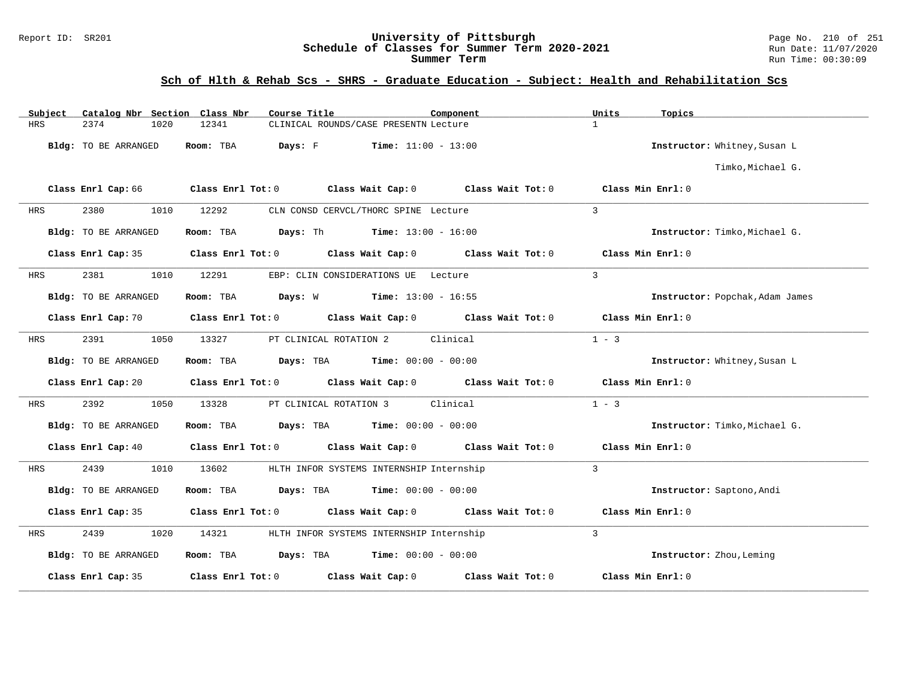# Report ID: SR201 **University of Pittsburgh University of Pittsburgh** Page No. 210 of 251 **Schedule of Classes for Summer Term 2020-2021** Page No. 210 of 251 **Run Date:** 11/07/2020 Schedule of Classes for Summer Term 2020-2021

**Summer Term** Run Time: 00:30:09

| Subject    | Catalog Nbr Section Class Nbr | Course Title                                                            | Component                                                   |                   | Units<br>Topics                 |
|------------|-------------------------------|-------------------------------------------------------------------------|-------------------------------------------------------------|-------------------|---------------------------------|
| <b>HRS</b> | 2374<br>1020                  | 12341                                                                   | CLINICAL ROUNDS/CASE PRESENTN Lecture                       |                   | $\mathbf{1}$                    |
|            | Bldg: TO BE ARRANGED          | Room: TBA<br>Days: F                                                    | <b>Time:</b> $11:00 - 13:00$                                |                   | Instructor: Whitney, Susan L    |
|            |                               |                                                                         |                                                             |                   | Timko, Michael G.               |
|            | Class Enrl Cap: 66            | Class Enrl Tot: 0 Class Wait Cap: 0 Class Wait Tot: 0 Class Min Enrl: 0 |                                                             |                   |                                 |
| HRS        | 2380<br>1010                  | 12292                                                                   | CLN CONSD CERVCL/THORC SPINE Lecture                        |                   | $\overline{3}$                  |
|            | Bldg: TO BE ARRANGED          | Room: TBA                                                               | <b>Days:</b> Th <b>Time:</b> $13:00 - 16:00$                |                   | Instructor: Timko, Michael G.   |
|            | Class Enrl Cap: 35            | Class Enrl Tot: 0 Class Wait Cap: 0                                     |                                                             | Class Wait Tot: 0 | Class Min Enrl: 0               |
| HRS        | 2381<br>1010                  | 12291                                                                   | EBP: CLIN CONSIDERATIONS UE Lecture                         |                   | $\mathcal{E}$                   |
|            | Bldg: TO BE ARRANGED          | Room: TBA                                                               | <b>Days:</b> W <b>Time:</b> $13:00 - 16:55$                 |                   | Instructor: Popchak, Adam James |
|            | Class Enrl Cap: 70            |                                                                         | Class Enrl Tot: $0$ Class Wait Cap: $0$ Class Wait Tot: $0$ |                   | Class Min Enrl: 0               |
| HRS        | 2391<br>1050                  | 13327                                                                   | PT CLINICAL ROTATION 2 Clinical                             |                   | $1 - 3$                         |
|            | Bldg: TO BE ARRANGED          | Room: TBA                                                               | <b>Days:</b> TBA <b>Time:</b> $00:00 - 00:00$               |                   | Instructor: Whitney, Susan L    |
|            | Class Enrl Cap: 20            | Class Enrl Tot: 0 Class Wait Cap: 0 Class Wait Tot: 0 Class Min Enrl: 0 |                                                             |                   |                                 |
| HRS        | 2392<br>1050                  | 13328                                                                   | PT CLINICAL ROTATION 3<br>Clinical                          |                   | $1 - 3$                         |
|            | Bldg: TO BE ARRANGED          | Room: TBA $Days:$ TBA $Time: 00:00 - 00:00$                             |                                                             |                   | Instructor: Timko, Michael G.   |
|            | Class Enrl Cap: 40            |                                                                         | Class Enrl Tot: $0$ Class Wait Cap: $0$ Class Wait Tot: $0$ |                   | Class Min Enrl: 0               |
| <b>HRS</b> | 2439<br>1010                  | 13602                                                                   | HLTH INFOR SYSTEMS INTERNSHIP Internship                    |                   | $\overline{3}$                  |
|            | Bldg: TO BE ARRANGED          | Room: TBA $Days:$ TBA $Time: 00:00 - 00:00$                             |                                                             |                   | Instructor: Saptono, Andi       |
|            | Class Enrl Cap: 35            |                                                                         | Class Enrl Tot: 0 class Wait Cap: 0 class Wait Tot: 0       |                   | Class Min Enrl: 0               |
| HRS        | 2439<br>1020                  | 14321                                                                   | HLTH INFOR SYSTEMS INTERNSHIP Internship                    |                   | 3                               |
|            | Bldg: TO BE ARRANGED          | <b>Room:</b> TBA <b>Days:</b> TBA <b>Time:</b> 00:00 - 00:00            |                                                             |                   | Instructor: Zhou, Leming        |
|            | Class Enrl Cap: 35            | Class Enrl Tot: 0 Class Wait Cap: 0                                     |                                                             | Class Wait Tot: 0 | Class Min Enrl: 0               |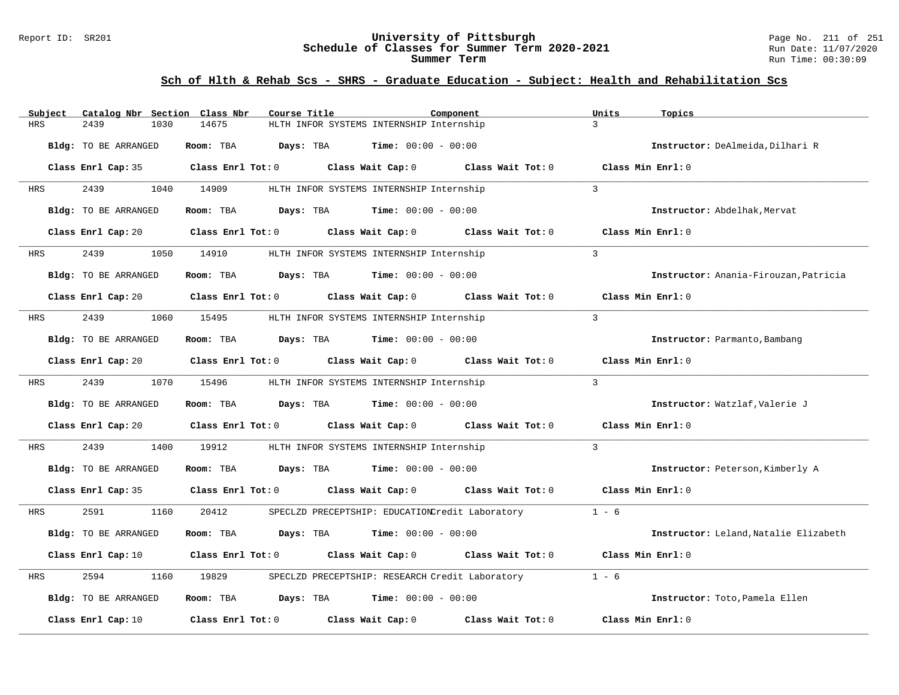#### Report ID: SR201 **University of Pittsburgh** Page No. 211 of 251 **Schedule of Classes for Summer Term 2020-2021** Run Date: 11/07/2020 **Summer Term** Run Time: 00:30:09

| Subject    | Catalog Nbr Section Class Nbr | Course Title                                                                                        | Component                                       | Units<br>Topics                       |
|------------|-------------------------------|-----------------------------------------------------------------------------------------------------|-------------------------------------------------|---------------------------------------|
| <b>HRS</b> | 2439<br>1030                  | HLTH INFOR SYSTEMS INTERNSHIP Internship<br>14675                                                   |                                                 | $\mathcal{L}$                         |
|            | Bldg: TO BE ARRANGED          | Room: TBA<br><b>Days:</b> TBA <b>Time:</b> $00:00 - 00:00$                                          |                                                 | Instructor: DeAlmeida, Dilhari R      |
|            |                               | Class Enrl Cap: 35 $\qquad$ Class Enrl Tot: 0 $\qquad$ Class Wait Cap: 0 $\qquad$ Class Wait Tot: 0 |                                                 | Class Min Enrl: 0                     |
| HRS        | 2439                          | 1040 14909<br>HLTH INFOR SYSTEMS INTERNSHIP Internship                                              |                                                 | $\mathcal{L}$                         |
|            | Bldg: TO BE ARRANGED          | Room: TBA $Days:$ TBA $Time: 00:00 - 00:00$                                                         |                                                 | Instructor: Abdelhak. Mervat          |
|            | Class Enrl Cap: 20            | Class Enrl Tot: 0 Class Wait Cap: 0 Class Wait Tot: 0                                               |                                                 | Class Min Enrl: 0                     |
| HRS        | 2439                          | 1050 14910<br>HLTH INFOR SYSTEMS INTERNSHIP Internship                                              |                                                 | $\overline{3}$                        |
|            | Bldg: TO BE ARRANGED          | Room: TBA $Days:$ TBA $Time: 00:00 - 00:00$                                                         |                                                 | Instructor: Anania-Firouzan, Patricia |
|            |                               | Class Enrl Cap: 20 $\qquad$ Class Enrl Tot: 0 $\qquad$ Class Wait Cap: 0 $\qquad$ Class Wait Tot: 0 |                                                 | Class Min Enrl: 0                     |
| HRS        | 2439<br>1060                  | 15495<br>HLTH INFOR SYSTEMS INTERNSHIP Internship                                                   |                                                 | $\overline{3}$                        |
|            | Bldg: TO BE ARRANGED          | Room: TBA $Days:$ TBA $Time: 00:00 - 00:00$                                                         |                                                 | Instructor: Parmanto, Bambang         |
|            | Class Enrl Cap: 20            | Class Enrl Tot: $0$ Class Wait Cap: $0$ Class Wait Tot: $0$                                         |                                                 | Class Min Enrl: 0                     |
| HRS        | 2439                          | 1070 15496<br>HLTH INFOR SYSTEMS INTERNSHIP Internship                                              |                                                 | $\mathbf{3}$                          |
|            | Bldg: TO BE ARRANGED          | Room: TBA<br><b>Days:</b> TBA <b>Time:</b> $00:00 - 00:00$                                          |                                                 | Instructor: Watzlaf, Valerie J        |
|            |                               | Class Enrl Cap: 20 Class Enrl Tot: 0 Class Wait Cap: 0 Class Wait Tot: 0                            |                                                 | Class Min Enrl: 0                     |
| HRS        | 2439<br>1400                  | 19912<br>HLTH INFOR SYSTEMS INTERNSHIP Internship                                                   |                                                 | $\overline{3}$                        |
|            | Bldg: TO BE ARRANGED          | Room: TBA $Days:$ TBA $Time: 00:00 - 00:00$                                                         |                                                 | Instructor: Peterson, Kimberly A      |
|            | Class Enrl Cap: 35            | Class Enrl Tot: $0$ Class Wait Cap: $0$ Class Wait Tot: $0$                                         |                                                 | Class Min Enrl: 0                     |
| <b>HRS</b> | 2591<br>1160                  | 20412                                                                                               | SPECLZD PRECEPTSHIP: EDUCATIONCredit Laboratory | $1 - 6$                               |
|            | Bldg: TO BE ARRANGED          | Room: TBA<br>Days: TBA                                                                              | <b>Time:</b> $00:00 - 00:00$                    | Instructor: Leland, Natalie Elizabeth |
|            |                               | Class Enrl Cap: 10 $\qquad$ Class Enrl Tot: 0 $\qquad$ Class Wait Cap: 0 $\qquad$ Class Wait Tot: 0 |                                                 | Class Min Enrl: 0                     |
| HRS        | 2594<br>1160                  | 19829<br>SPECLZD PRECEPTSHIP: RESEARCH Credit Laboratory                                            |                                                 | $1 - 6$                               |
|            | Bldg: TO BE ARRANGED          | Room: TBA $\rule{1em}{0.15mm}$ Days: TBA $\rule{1.15mm}]{0.15mm}$ Time: $0.000 - 0.0000$            |                                                 | Instructor: Toto, Pamela Ellen        |
|            | Class Enrl Cap: 10            | Class Enrl Tot: 0 Class Wait Cap: 0                                                                 | Class Wait Tot: 0                               | Class Min Enrl: 0                     |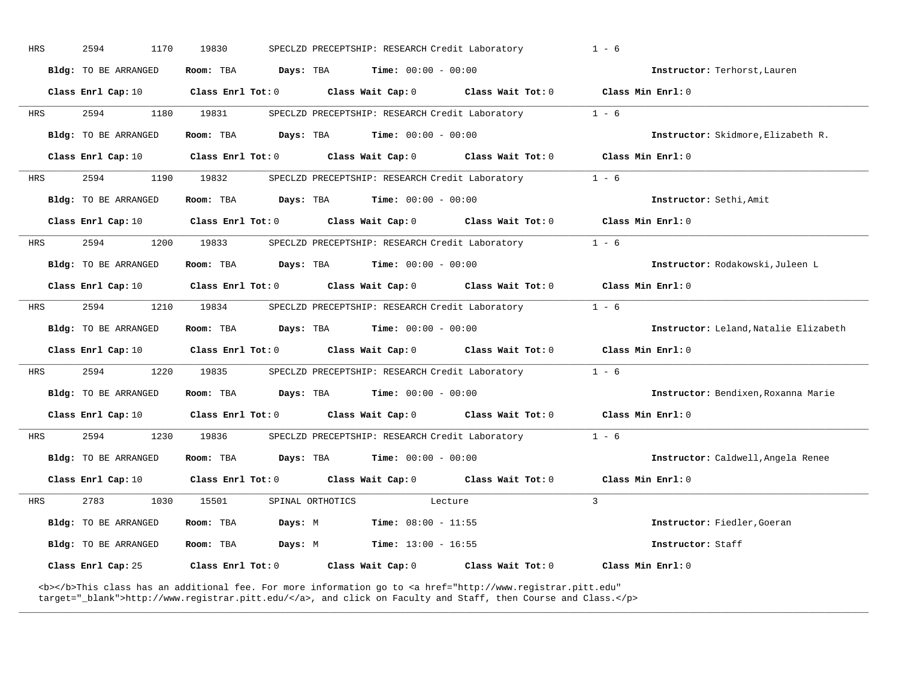| <b>HRS</b> | 2594                        | 1170<br>19830           |           |                  | SPECLZD PRECEPTSHIP: RESEARCH Credit Laboratory |                                                                                                                                                                                                                                    | $1 - 6$       |                                      |
|------------|-----------------------------|-------------------------|-----------|------------------|-------------------------------------------------|------------------------------------------------------------------------------------------------------------------------------------------------------------------------------------------------------------------------------------|---------------|--------------------------------------|
|            | Bldg: TO BE ARRANGED        | Room: TBA               | Days: TBA |                  | <b>Time:</b> $00:00 - 00:00$                    |                                                                                                                                                                                                                                    |               | Instructor: Terhorst, Lauren         |
|            | Class Enrl Cap: 10          | Class Enrl Tot: 0       |           |                  | Class Wait Cap: 0                               | Class Wait Tot: 0                                                                                                                                                                                                                  |               | Class Min Enrl: 0                    |
| HRS        | 2594                        | 1180<br>19831           |           |                  | SPECLZD PRECEPTSHIP: RESEARCH Credit Laboratory |                                                                                                                                                                                                                                    | $1 - 6$       |                                      |
|            | Bldg: TO BE ARRANGED        | Room: TBA               | Days: TBA |                  | <b>Time:</b> $00:00 - 00:00$                    |                                                                                                                                                                                                                                    |               | Instructor: Skidmore, Elizabeth R.   |
|            | Class Enrl Cap: 10          | Class Enrl Tot: 0       |           |                  |                                                 | Class Wait Cap: 0 Class Wait Tot: 0                                                                                                                                                                                                |               | Class Min Enrl: 0                    |
| HRS        | 2594                        | 1190<br>19832           |           |                  | SPECLZD PRECEPTSHIP: RESEARCH Credit Laboratory |                                                                                                                                                                                                                                    | $1 - 6$       |                                      |
|            | Bldg: TO BE ARRANGED        | Room: TBA               |           |                  | <b>Days:</b> TBA <b>Time:</b> $00:00 - 00:00$   |                                                                                                                                                                                                                                    |               | Instructor: Sethi, Amit              |
|            | Class Enrl Cap: 10          | Class Enrl Tot: 0       |           |                  | Class Wait Cap: 0                               | Class Wait Tot: 0                                                                                                                                                                                                                  |               | Class Min Enrl: 0                    |
| HRS        | 2594                        | 1200<br>19833           |           |                  | SPECLZD PRECEPTSHIP: RESEARCH Credit Laboratory |                                                                                                                                                                                                                                    | $1 - 6$       |                                      |
|            | <b>Bldg:</b> TO BE ARRANGED | Room: TBA               | Days: TBA |                  | <b>Time:</b> $00:00 - 00:00$                    |                                                                                                                                                                                                                                    |               | Instructor: Rodakowski, Juleen L     |
|            | Class Enrl Cap: 10          | Class Enrl Tot: 0       |           |                  | Class Wait Cap: 0                               | Class Wait Tot: 0                                                                                                                                                                                                                  |               | Class Min Enrl: 0                    |
| HRS        | 2594                        | 1210<br>19834           |           |                  | SPECLZD PRECEPTSHIP: RESEARCH Credit Laboratory |                                                                                                                                                                                                                                    | $1 - 6$       |                                      |
|            | <b>Bldg:</b> TO BE ARRANGED | Room: TBA               | Days: TBA |                  | $Time: 00:00 - 00:00$                           |                                                                                                                                                                                                                                    |               | Instructor: Leland Natalie Elizabeth |
|            | Class Enrl Cap: 10          | Class Enrl Tot: 0       |           |                  |                                                 | Class Wait Cap: 0 Class Wait Tot: 0                                                                                                                                                                                                |               | Class Min Enrl: 0                    |
| <b>HRS</b> | 2594                        | 1220<br>19835           |           |                  | SPECLZD PRECEPTSHIP: RESEARCH Credit Laboratory |                                                                                                                                                                                                                                    | $1 - 6$       |                                      |
|            | <b>Bldg:</b> TO BE ARRANGED | Room: TBA               |           |                  | <b>Days:</b> TBA <b>Time:</b> $00:00 - 00:00$   |                                                                                                                                                                                                                                    |               | Instructor: Bendixen, Roxanna Marie  |
|            | Class Enrl Cap: 10          | Class Enrl Tot: 0       |           |                  | Class Wait Cap: 0                               | Class Wait Tot: 0                                                                                                                                                                                                                  |               | Class Min Enrl: 0                    |
| HRS        | 2594                        | 1230<br>19836           |           |                  | SPECLZD PRECEPTSHIP: RESEARCH Credit Laboratory |                                                                                                                                                                                                                                    | $1 - 6$       |                                      |
|            | <b>Bldg:</b> TO BE ARRANGED | Room: TBA               |           | Days: TBA        | $Time: 00:00 - 00:00$                           |                                                                                                                                                                                                                                    |               | Instructor: Caldwell, Angela Renee   |
|            | Class Enrl Cap: 10          | Class Enrl Tot: 0       |           |                  | Class Wait Cap: 0                               | Class Wait Tot: 0                                                                                                                                                                                                                  |               | Class Min Enrl: 0                    |
| HRS        | 2783                        | 1030<br>15501           |           | SPINAL ORTHOTICS |                                                 | Lecture                                                                                                                                                                                                                            | $\mathcal{L}$ |                                      |
|            | <b>Bldg:</b> TO BE ARRANGED | Room: TBA               | Days: M   |                  | <b>Time:</b> $08:00 - 11:55$                    |                                                                                                                                                                                                                                    |               | Instructor: Fiedler, Goeran          |
|            | <b>Bldg:</b> TO BE ARRANGED | Room: TBA               | Days: M   |                  | <b>Time:</b> $13:00 - 16:55$                    |                                                                                                                                                                                                                                    |               | Instructor: Staff                    |
|            | Class Enrl Cap: 25          | $Class$ $Enr1$ $Tot: 0$ |           |                  | Class Wait Cap: 0                               | Class Wait Tot: 0                                                                                                                                                                                                                  |               | Class Min Enrl: 0                    |
|            |                             |                         |           |                  |                                                 | <b></b> This class has an additional fee. For more information go to <a <br="" href="http://www.registrar.pitt.edu">target="_blank"&gt;http://www.registrar.pitt.edu/</a> , and click on Faculty and Staff, then Course and Class. |               |                                      |

**\_\_\_\_\_\_\_\_\_\_\_\_\_\_\_\_\_\_\_\_\_\_\_\_\_\_\_\_\_\_\_\_\_\_\_\_\_\_\_\_\_\_\_\_\_\_\_\_\_\_\_\_\_\_\_\_\_\_\_\_\_\_\_\_\_\_\_\_\_\_\_\_\_\_\_\_\_\_\_\_\_\_\_\_\_\_\_\_\_\_\_\_\_\_\_\_\_\_\_\_\_\_\_\_\_\_\_\_\_\_\_\_\_\_\_\_\_\_\_\_\_\_\_\_\_\_\_\_\_\_\_\_\_\_\_\_\_\_\_\_\_\_\_\_\_\_\_\_\_\_\_\_\_\_\_\_**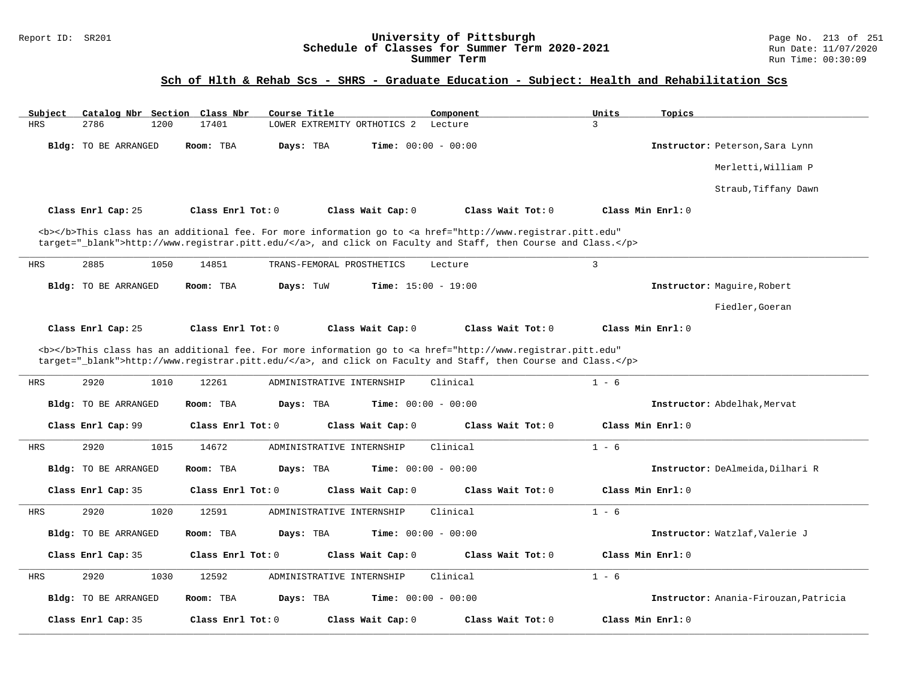#### Report ID: SR201 **University of Pittsburgh** Page No. 213 of 251 **Schedule of Classes for Summer Term 2020-2021** Run Date: 11/07/2020 **Summer Term** Run Time: 00:30:09

| Subject    | Catalog Nbr Section Class Nbr |                   | Course Title                                                                                                                                                                                                                       | Component                    | Units<br>Topics   |                                       |
|------------|-------------------------------|-------------------|------------------------------------------------------------------------------------------------------------------------------------------------------------------------------------------------------------------------------------|------------------------------|-------------------|---------------------------------------|
| <b>HRS</b> | 2786<br>1200                  | 17401             | LOWER EXTREMITY ORTHOTICS 2                                                                                                                                                                                                        | Lecture                      | 3                 |                                       |
|            | Bldg: TO BE ARRANGED          | Room: TBA         | Davs: TBA                                                                                                                                                                                                                          | Time: $00:00 - 00:00$        |                   | Instructor: Peterson, Sara Lynn       |
|            |                               |                   |                                                                                                                                                                                                                                    |                              |                   | Merletti, William P                   |
|            |                               |                   |                                                                                                                                                                                                                                    |                              |                   | Straub, Tiffany Dawn                  |
|            | Class Enrl Cap: 25            | Class Enrl Tot: 0 | Class Wait Cap: 0                                                                                                                                                                                                                  | Class Wait Tot: 0            | Class Min Enrl: 0 |                                       |
|            |                               |                   | <b></b> This class has an additional fee. For more information go to <a <br="" href="http://www.registrar.pitt.edu">target="_blank"&gt;http://www.registrar.pitt.edu/</a> , and click on Faculty and Staff, then Course and Class. |                              |                   |                                       |
| <b>HRS</b> | 2885<br>1050                  | 14851             | TRANS-FEMORAL PROSTHETICS                                                                                                                                                                                                          | Lecture                      | $\overline{3}$    |                                       |
|            | Bldg: TO BE ARRANGED          | Room: TBA         | Days: TuW                                                                                                                                                                                                                          | <b>Time:</b> $15:00 - 19:00$ |                   | Instructor: Maquire, Robert           |
|            |                               |                   |                                                                                                                                                                                                                                    |                              |                   | Fiedler, Goeran                       |
|            | Class Enrl Cap: 25            | Class Enrl Tot: 0 | Class Wait Cap: 0                                                                                                                                                                                                                  | Class Wait Tot: 0            | Class Min Enrl: 0 |                                       |
|            |                               |                   | <b></b> This class has an additional fee. For more information go to <a <br="" href="http://www.registrar.pitt.edu">target="_blank"&gt;http://www.registrar.pitt.edu/</a> , and click on Faculty and Staff, then Course and Class. |                              |                   |                                       |
| HRS        | 2920<br>1010                  | 12261             | ADMINISTRATIVE INTERNSHIP                                                                                                                                                                                                          | Clinical                     | $1 - 6$           |                                       |
|            | Bldg: TO BE ARRANGED          | Room: TBA         | Days: TBA                                                                                                                                                                                                                          | <b>Time:</b> $00:00 - 00:00$ |                   | Instructor: Abdelhak. Mervat          |
|            | Class Enrl Cap: 99            | Class Enrl Tot: 0 | Class Wait Cap: 0                                                                                                                                                                                                                  | Class Wait $Tot: 0$          | Class Min Enrl: 0 |                                       |
| HRS        | 2920<br>1015                  | 14672             | ADMINISTRATIVE INTERNSHIP                                                                                                                                                                                                          | Clinical                     | $1 - 6$           |                                       |
|            | <b>Bldg:</b> TO BE ARRANGED   | Room: TBA         | Days: TBA                                                                                                                                                                                                                          | Time: $00:00 - 00:00$        |                   | Instructor: DeAlmeida, Dilhari R      |
|            | Class Enrl Cap: 35            | Class Enrl Tot: 0 | Class Wait Cap: 0                                                                                                                                                                                                                  | Class Wait Tot: 0            | Class Min Enrl: 0 |                                       |
| <b>HRS</b> | 2920<br>1020                  | 12591             | ADMINISTRATIVE INTERNSHIP                                                                                                                                                                                                          | Clinical                     | $1 - 6$           |                                       |
|            | Bldg: TO BE ARRANGED          | Room: TBA         | Days: TBA                                                                                                                                                                                                                          | <b>Time:</b> $00:00 - 00:00$ |                   | Instructor: Watzlaf, Valerie J        |
|            | Class Enrl Cap: 35            | Class Enrl Tot: 0 | Class Wait Cap: 0                                                                                                                                                                                                                  | Class Wait $Tot: 0$          | Class Min Enrl: 0 |                                       |
| <b>HRS</b> | 2920<br>1030                  | 12592             | ADMINISTRATIVE INTERNSHIP                                                                                                                                                                                                          | Clinical                     | $1 - 6$           |                                       |
|            | Bldg: TO BE ARRANGED          | Room: TBA         | Days: TBA                                                                                                                                                                                                                          | Time: $00:00 - 00:00$        |                   | Instructor: Anania-Firouzan, Patricia |
|            | Class Enrl Cap: 35            | Class Enrl Tot: 0 | Class Wait Cap: 0                                                                                                                                                                                                                  | Class Wait Tot: 0            | Class Min Enrl: 0 |                                       |
|            |                               |                   |                                                                                                                                                                                                                                    |                              |                   |                                       |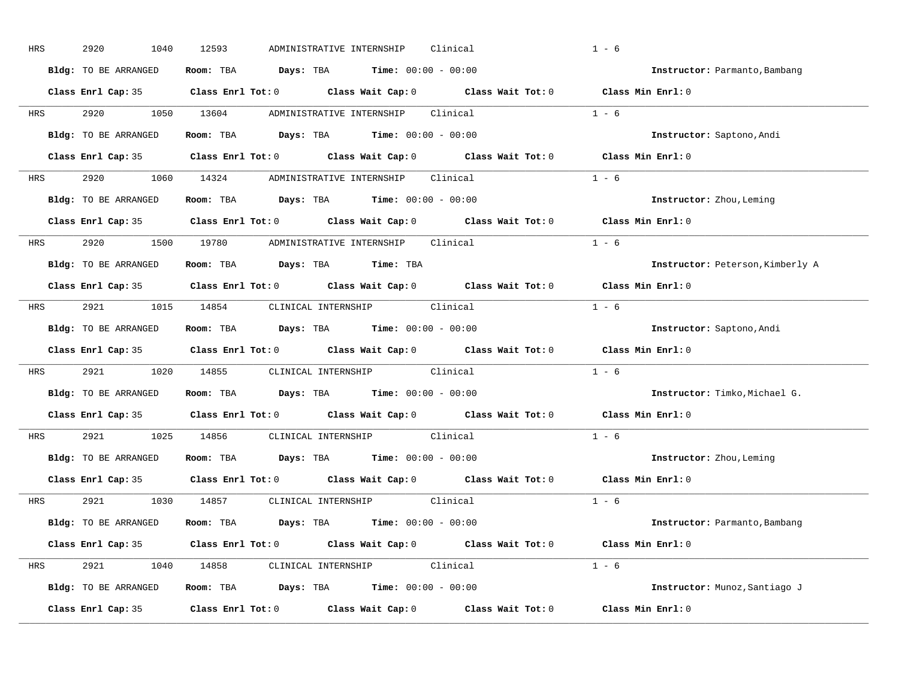| HRS        | 2920<br>1040         | 12593<br>ADMINISTRATIVE INTERNSHIP<br>Clinical                                             | $1 - 6$                          |
|------------|----------------------|--------------------------------------------------------------------------------------------|----------------------------------|
|            | Bldg: TO BE ARRANGED | Room: TBA $Days: TBA$ Time: $00:00 - 00:00$                                                | Instructor: Parmanto, Bambang    |
|            |                      | Class Enrl Cap: 35 Class Enrl Tot: 0 Class Wait Cap: 0 Class Wait Tot: 0 Class Min Enrl: 0 |                                  |
| <b>HRS</b> |                      | 2920 1050 13604 ADMINISTRATIVE INTERNSHIP Clinical                                         | $1 - 6$                          |
|            | Bldg: TO BE ARRANGED | Room: TBA Days: TBA Time: $00:00 - 00:00$                                                  | Instructor: Saptono, Andi        |
|            |                      | Class Enrl Cap: 35 Class Enrl Tot: 0 Class Wait Cap: 0 Class Wait Tot: 0 Class Min Enrl: 0 |                                  |
|            |                      | HRS 2920 1060 14324 ADMINISTRATIVE INTERNSHIP Clinical                                     | $1 - 6$                          |
|            | Bldg: TO BE ARRANGED | Room: TBA Days: TBA Time: $00:00 - 00:00$                                                  | Instructor: Zhou, Leming         |
|            |                      | Class Enrl Cap: 35 Class Enrl Tot: 0 Class Wait Cap: 0 Class Wait Tot: 0                   | Class Min Enrl: 0                |
|            |                      | HRS 2920 1500 19780 ADMINISTRATIVE INTERNSHIP Clinical                                     | $1 - 6$                          |
|            | Bldg: TO BE ARRANGED | Room: TBA Days: TBA Time: TBA                                                              | Instructor: Peterson, Kimberly A |
|            |                      | Class Enrl Cap: 35 Class Enrl Tot: 0 Class Wait Cap: 0 Class Wait Tot: 0                   | Class Min Enrl: 0                |
|            |                      | HRS 2921 1015 14854 CLINICAL INTERNSHIP Clinical                                           | $1 - 6$                          |
|            | Bldg: TO BE ARRANGED | Room: TBA $\rule{1em}{0.15mm}$ Days: TBA Time: $00:00 - 00:00$                             | Instructor: Saptono, Andi        |
|            |                      | Class Enrl Cap: 35 Class Enrl Tot: 0 Class Wait Cap: 0 Class Wait Tot: 0                   | Class Min Enrl: 0                |
| <b>HRS</b> |                      | 2921 1020 14855 CLINICAL INTERNSHIP Clinical                                               | $1 - 6$                          |
|            | Bldg: TO BE ARRANGED | Room: TBA $Days:$ TBA Time: $00:00 - 00:00$                                                | Instructor: Timko, Michael G.    |
|            |                      | Class Enrl Cap: 35 Class Enrl Tot: 0 Class Wait Cap: 0 Class Wait Tot: 0                   | Class Min Enrl: 0                |
| <b>HRS</b> |                      | 2921 1025 14856 CLINICAL INTERNSHIP Clinical                                               | $1 - 6$                          |
|            | Bldg: TO BE ARRANGED | Room: TBA $Days:$ TBA $Time: 00:00 - 00:00$                                                | Instructor: Zhou, Leming         |
|            |                      | Class Enrl Cap: 35 Class Enrl Tot: 0 Class Wait Cap: 0 Class Wait Tot: 0                   | Class Min Enrl: 0                |
|            |                      | HRS 2921 1030 14857 CLINICAL_INTERNSHIP Clinical                                           | $1 - 6$                          |
|            | Bldg: TO BE ARRANGED | Room: TBA $Days:$ TBA $Time: 00:00 - 00:00$                                                | Instructor: Parmanto, Bambang    |
|            |                      | Class Enrl Cap: 35 Class Enrl Tot: 0 Class Wait Cap: 0 Class Wait Tot: 0 Class Min Enrl: 0 |                                  |
|            |                      | HRS 2921 1040 14858 CLINICAL INTERNSHIP Clinical                                           | $1 - 6$                          |
|            | Bldg: TO BE ARRANGED | <b>Room:</b> TBA $\qquad \qquad$ Days: TBA $\qquad \qquad$ Time: $00:00 - 00:00$           | Instructor: Munoz, Santiago J    |
|            | Class Enrl Cap: 35   | Class Enrl Tot: $0$ Class Wait Cap: $0$ Class Wait Tot: $0$                                | Class Min Enrl: 0                |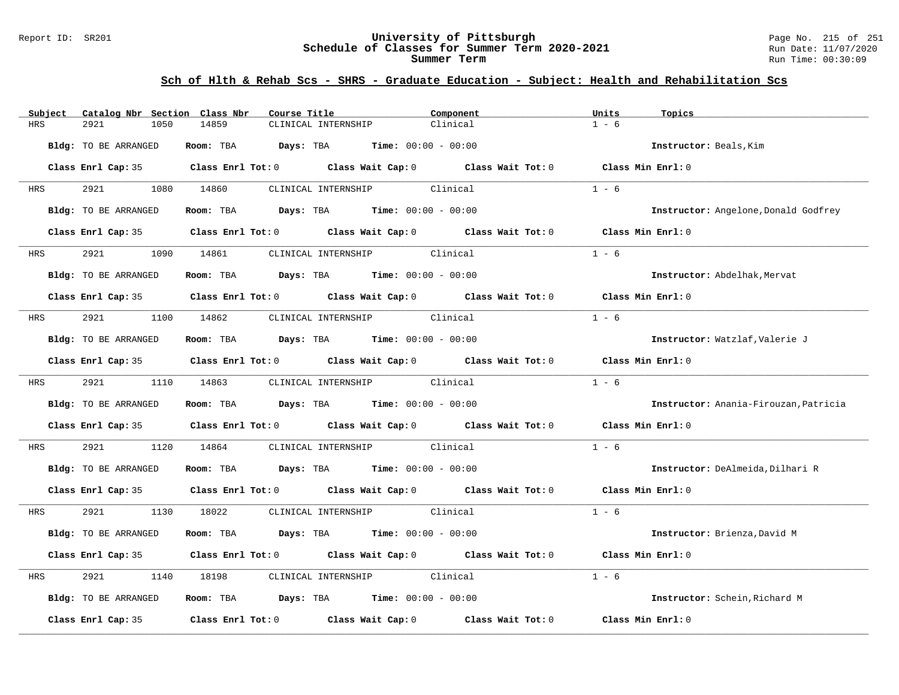#### Report ID: SR201 **University of Pittsburgh** Page No. 215 of 251 **Schedule of Classes for Summer Term 2020-2021** Run Date: 11/07/2020 **Summer Term** Run Time: 00:30:09

| Catalog Nbr Section Class Nbr<br>Subject | Course Title                                                                               | Component | Units<br>Topics                       |
|------------------------------------------|--------------------------------------------------------------------------------------------|-----------|---------------------------------------|
| <b>HRS</b><br>2921<br>1050               | 14859<br>CLINICAL INTERNSHIP                                                               | Clinical  | $1 - 6$                               |
| Bldg: TO BE ARRANGED                     | Room: TBA $Days:$ TBA $Time: 00:00 - 00:00$                                                |           | Instructor: Beals, Kim                |
|                                          | Class Enrl Cap: 35 Class Enrl Tot: 0 Class Wait Cap: 0 Class Wait Tot: 0 Class Min Enrl: 0 |           |                                       |
| 2921 2022<br><b>HRS</b>                  | 1080 14860<br>CLINICAL INTERNSHIP Clinical                                                 |           | $1 - 6$                               |
| Bldg: TO BE ARRANGED                     | Room: TBA $Days:$ TBA $Time: 00:00 - 00:00$                                                |           | Instructor: Angelone, Donald Godfrey  |
|                                          | Class Enrl Cap: 35 Class Enrl Tot: 0 Class Wait Cap: 0 Class Wait Tot: 0                   |           | Class Min Enrl: 0                     |
| 2921 200<br><b>HRS</b>                   | 1090 14861 CLINICAL INTERNSHIP Clinical                                                    |           | $1 - 6$                               |
| Bldg: TO BE ARRANGED                     | Room: TBA $Days:$ TBA $Time: 00:00 - 00:00$                                                |           | Instructor: Abdelhak, Mervat          |
|                                          | Class Enrl Cap: 35 Class Enrl Tot: 0 Class Wait Cap: 0 Class Wait Tot: 0                   |           | Class Min Enrl: 0                     |
| 2921 200<br>HRS                          | 1100 14862 CLINICAL INTERNSHIP Clinical                                                    |           | $1 - 6$                               |
| Bldg: TO BE ARRANGED                     | Room: TBA $Days:$ TBA $Time: 00:00 - 00:00$                                                |           | Instructor: Watzlaf, Valerie J        |
|                                          | Class Enrl Cap: 35 Class Enrl Tot: 0 Class Wait Cap: 0 Class Wait Tot: 0 Class Min Enrl: 0 |           |                                       |
| 2921<br><b>HRS</b>                       | 1110 14863<br>CLINICAL INTERNSHIP Clinical                                                 |           | $1 - 6$                               |
| Bldg: TO BE ARRANGED                     | Room: TBA $Days:$ TBA $Time: 00:00 - 00:00$                                                |           | Instructor: Anania-Firouzan, Patricia |
|                                          | Class Enrl Cap: 35 Class Enrl Tot: 0 Class Wait Cap: 0 Class Wait Tot: 0                   |           | Class Min Enrl: 0                     |
| 2921<br>HRS                              | CLINICAL INTERNSHIP Clinical<br>1120 14864                                                 |           | $1 - 6$                               |
| Bldg: TO BE ARRANGED                     | Room: TBA $Days:$ TBA $Time: 00:00 - 00:00$                                                |           | Instructor: DeAlmeida, Dilhari R      |
|                                          | Class Enrl Cap: 35 Class Enrl Tot: 0 Class Wait Cap: 0 Class Wait Tot: 0 Class Min Enrl: 0 |           |                                       |
| 2921<br><b>HRS</b>                       | 1130 18022 CLINICAL INTERNSHIP Clinical                                                    |           | $1 - 6$                               |
| Bldg: TO BE ARRANGED                     | Room: TBA Days: TBA Time: $00:00 - 00:00$                                                  |           | Instructor: Brienza, David M          |
|                                          | Class Enrl Cap: 35 Class Enrl Tot: 0 Class Wait Cap: 0 Class Wait Tot: 0                   |           | Class Min Enrl: 0                     |
| 2921<br>HRS                              | CLINICAL INTERNSHIP Clinical<br>1140 18198                                                 |           | $1 - 6$                               |
| Bldg: TO BE ARRANGED                     | Room: TBA $Days:$ TBA $Time: 00:00 - 00:00$                                                |           | Instructor: Schein, Richard M         |
| Class Enrl Cap: 35                       | Class Enrl Tot: $0$ Class Wait Cap: $0$ Class Wait Tot: $0$                                |           | Class Min Enrl: 0                     |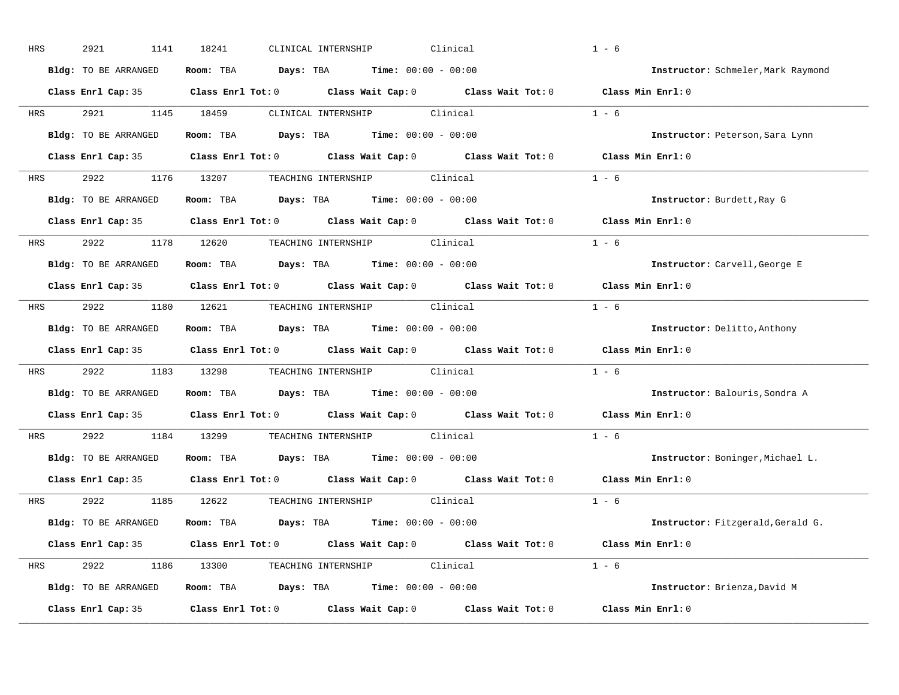| HRS        | 2921<br>1141         | 18241<br>CLINICAL INTERNSHIP                                                               | Clinical | $1 - 6$                            |
|------------|----------------------|--------------------------------------------------------------------------------------------|----------|------------------------------------|
|            | Bldg: TO BE ARRANGED | Room: TBA $\rule{1em}{0.15mm}$ Days: TBA Time: $00:00 - 00:00$                             |          | Instructor: Schmeler, Mark Raymond |
|            |                      | Class Enrl Cap: 35 Class Enrl Tot: 0 Class Wait Cap: 0 Class Wait Tot: 0 Class Min Enrl: 0 |          |                                    |
| HRS        | 2921                 | CLINICAL INTERNSHIP Clinical<br>1145 18459                                                 |          | $1 - 6$                            |
|            | Bldg: TO BE ARRANGED | Room: TBA $Days:$ TBA $Time: 00:00 - 00:00$                                                |          | Instructor: Peterson, Sara Lynn    |
|            |                      | Class Enrl Cap: 35 Class Enrl Tot: 0 Class Wait Cap: 0 Class Wait Tot: 0 Class Min Enrl: 0 |          |                                    |
| HRS        | 2922                 | 1176 13207 TEACHING INTERNSHIP Clinical                                                    |          | $1 - 6$                            |
|            | Bldg: TO BE ARRANGED | Room: TBA $Days:$ TBA $Time: 00:00 - 00:00$                                                |          | Instructor: Burdett, Ray G         |
|            |                      | Class Enrl Cap: 35 Class Enrl Tot: 0 Class Wait Cap: 0 Class Wait Tot: 0                   |          | Class Min Enrl: 0                  |
| <b>HRS</b> | 2922 1178 12620      | TEACHING INTERNSHIP Clinical                                                               |          | $1 - 6$                            |
|            | Bldg: TO BE ARRANGED | Room: TBA $Days:$ TBA $Time: 00:00 - 00:00$                                                |          | Instructor: Carvell, George E      |
|            |                      | Class Enrl Cap: 35 Class Enrl Tot: 0 Class Wait Cap: 0 Class Wait Tot: 0                   |          | Class Min Enrl: 0                  |
|            |                      | HRS 2922 1180 12621 TEACHING INTERNSHIP Clinical                                           |          | $1 - 6$                            |
|            | Bldg: TO BE ARRANGED | <b>Days:</b> TBA <b>Time:</b> $00:00 - 00:00$<br>Room: TBA                                 |          | Instructor: Delitto, Anthony       |
|            |                      | Class Enrl Cap: 35 Class Enrl Tot: 0 Class Wait Cap: 0 Class Wait Tot: 0                   |          | Class Min Enrl: 0                  |
| HRS        | 2922                 | 1183 13298 TEACHING INTERNSHIP Clinical                                                    |          | $1 - 6$                            |
|            | Bldg: TO BE ARRANGED | Room: TBA $Days:$ TBA $Time: 00:00 - 00:00$                                                |          | Instructor: Balouris, Sondra A     |
|            |                      | Class Enrl Cap: 35 Class Enrl Tot: 0 Class Wait Cap: 0 Class Wait Tot: 0                   |          | Class Min Enrl: 0                  |
| HRS        | 2922                 | TEACHING INTERNSHIP<br>1184 13299                                                          | Clinical | $1 - 6$                            |
|            | Bldg: TO BE ARRANGED | Room: TBA $Days:$ TBA $Time: 00:00 - 00:00$                                                |          | Instructor: Boninger, Michael L.   |
|            |                      | Class Enrl Cap: 35 Class Enrl Tot: 0 Class Wait Cap: 0 Class Wait Tot: 0                   |          | Class Min Enrl: 0                  |
| HRS        | 2922                 | 1185 12622<br>TEACHING INTERNSHIP Clinical                                                 |          | $1 - 6$                            |
|            | Bldg: TO BE ARRANGED | Room: TBA $Days:$ TBA $Time: 00:00 - 00:00$                                                |          | Instructor: Fitzgerald, Gerald G.  |
|            |                      | Class Enrl Cap: 35 Class Enrl Tot: 0 Class Wait Cap: 0 Class Wait Tot: 0 Class Min Enrl: 0 |          |                                    |
| HRS        |                      | 2922 1186 13300 TEACHING INTERNSHIP Clinical                                               |          | $1 - 6$                            |
|            | Bldg: TO BE ARRANGED | Room: TBA $Days:$ TBA $Time: 00:00 - 00:00$                                                |          | Instructor: Brienza, David M       |
|            | Class Enrl Cap: 35   | Class Enrl Tot: 0 Class Wait Cap: 0 Class Wait Tot: 0                                      |          | Class Min Enrl: 0                  |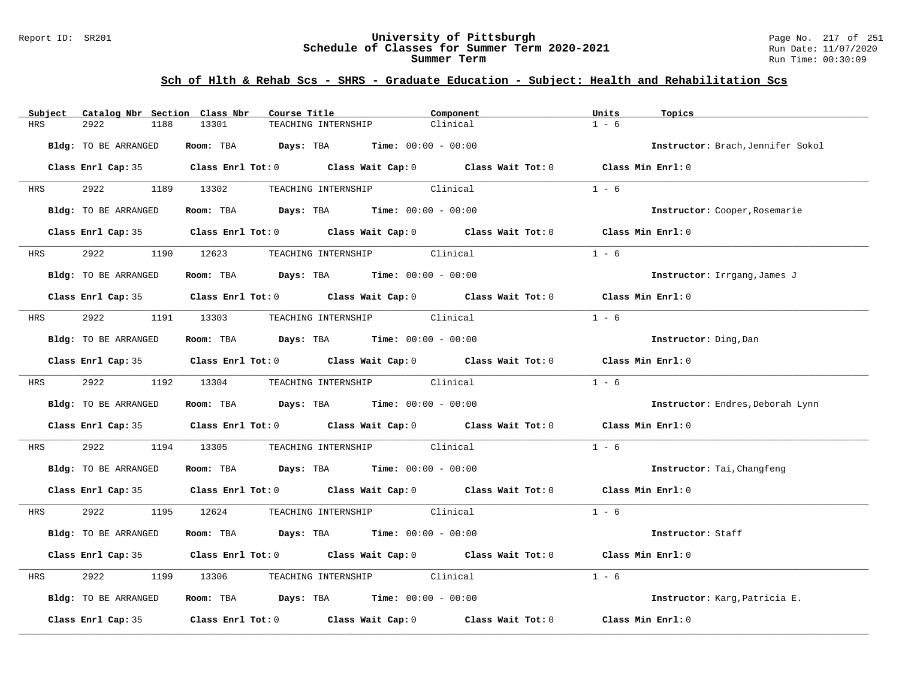#### Report ID: SR201 **University of Pittsburgh** Page No. 217 of 251 **Schedule of Classes for Summer Term 2020-2021** Run Date: 11/07/2020 **Summer Term** Run Time: 00:30:09

| Subject    | Catalog Nbr Section Class Nbr | Course Title                                                                                        | Component | Units<br>Topics                   |
|------------|-------------------------------|-----------------------------------------------------------------------------------------------------|-----------|-----------------------------------|
| HRS        | 2922<br>1188                  | 13301<br>TEACHING INTERNSHIP                                                                        | Clinical  | $1 - 6$                           |
|            | Bldg: TO BE ARRANGED          | Room: TBA $Days:$ TBA $Time: 00:00 - 00:00$                                                         |           | Instructor: Brach, Jennifer Sokol |
|            |                               | Class Enrl Cap: 35 $\qquad$ Class Enrl Tot: 0 $\qquad$ Class Wait Cap: 0 $\qquad$ Class Wait Tot: 0 |           | Class Min Enrl: 0                 |
| <b>HRS</b> | 2922 2022                     | 1189 13302<br>TEACHING INTERNSHIP Clinical                                                          |           | $1 - 6$                           |
|            | Bldg: TO BE ARRANGED          | <b>Room:</b> TBA <b>Days:</b> TBA <b>Time:</b> 00:00 - 00:00                                        |           | Instructor: Cooper, Rosemarie     |
|            |                               | Class Enrl Cap: 35 Class Enrl Tot: 0 Class Wait Cap: 0 Class Wait Tot: 0                            |           | Class Min Enrl: 0                 |
| <b>HRS</b> | 2922                          | TEACHING INTERNSHIP Clinical<br>1190 12623                                                          |           | $1 - 6$                           |
|            | Bldg: TO BE ARRANGED          | Room: TBA $\rule{1em}{0.15mm}$ Days: TBA $\rule{1.5mm}{0.15mm}$ Time: $00:00 - 00:00$               |           | Instructor: Irrgang, James J      |
|            |                               | Class Enrl Cap: 35 Class Enrl Tot: 0 Class Wait Cap: 0 Class Wait Tot: 0 Class Min Enrl: 0          |           |                                   |
| <b>HRS</b> | 2922                          | 1191 13303 TEACHING INTERNSHIP Clinical                                                             |           | $1 - 6$                           |
|            | Bldg: TO BE ARRANGED          | Room: TBA $\rule{1em}{0.15mm}$ Days: TBA Time: $00:00 - 00:00$                                      |           | Instructor: Ding, Dan             |
|            |                               | Class Enrl Cap: 35 Class Enrl Tot: 0 Class Wait Cap: 0 Class Wait Tot: 0 Class Min Enrl: 0          |           |                                   |
| <b>HRS</b> | 2922 1192 13304               | TEACHING INTERNSHIP Clinical                                                                        |           | $1 - 6$                           |
|            | Bldg: TO BE ARRANGED          | Room: TBA $Days:$ TBA $Time: 00:00 - 00:00$                                                         |           | Instructor: Endres, Deborah Lynn  |
|            |                               | Class Enrl Cap: 35 Class Enrl Tot: 0 Class Wait Cap: 0 Class Wait Tot: 0 Class Min Enrl: 0          |           |                                   |
| HRS        | 2922                          | 1194 13305 TEACHING INTERNSHIP Clinical                                                             |           | $1 - 6$                           |
|            | Bldg: TO BE ARRANGED          | Room: TBA $Days:$ TBA $Time: 00:00 - 00:00$                                                         |           | Instructor: Tai, Changfeng        |
|            |                               | Class Enrl Cap: 35 Class Enrl Tot: 0 Class Wait Cap: 0 Class Wait Tot: 0 Class Min Enrl: 0          |           |                                   |
| HRS        | 2922                          | TEACHING INTERNSHIP Clinical<br>1195 12624                                                          |           | $1 - 6$                           |
|            | Bldg: TO BE ARRANGED          | Room: TBA $Days:$ TBA $Time: 00:00 - 00:00$                                                         |           | Instructor: Staff                 |
|            |                               | Class Enrl Cap: 35 Class Enrl Tot: 0 Class Wait Cap: 0 Class Wait Tot: 0                            |           | Class Min Enrl: 0                 |
| HRS        | 2922<br>1199                  | TEACHING INTERNSHIP Clinical<br>13306                                                               |           | $1 - 6$                           |
|            | Bldg: TO BE ARRANGED          | Room: TBA $Days:$ TBA $Time: 00:00 - 00:00$                                                         |           | Instructor: Karg, Patricia E.     |
|            | Class Enrl Cap: 35            | Class Enrl Tot: $0$ Class Wait Cap: $0$ Class Wait Tot: $0$                                         |           | Class Min Enrl: 0                 |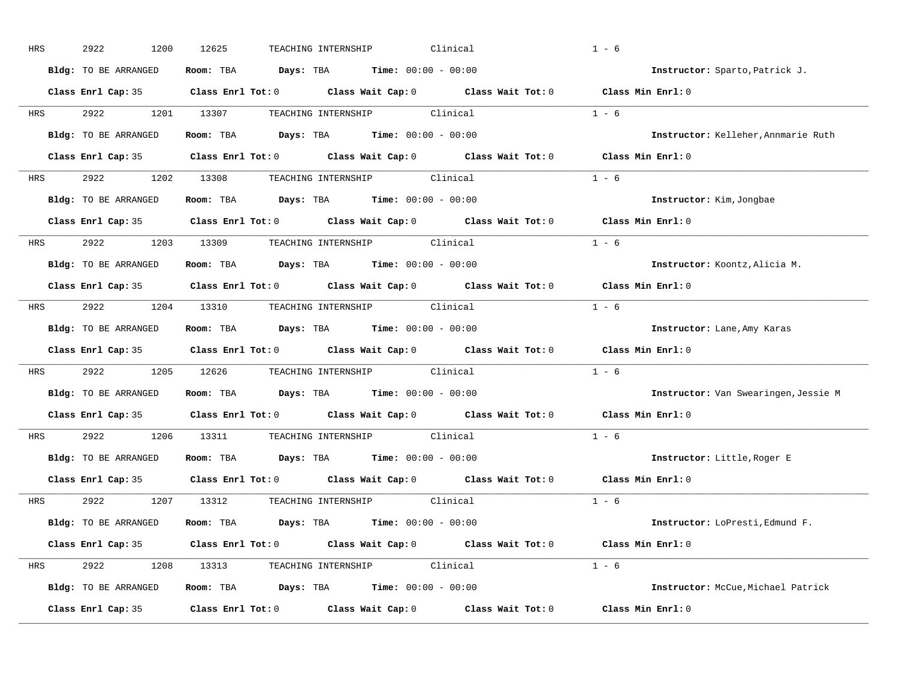| HRS        | 2922<br>1200         | Clinical<br>12625<br>TEACHING INTERNSHIP                                                               | $1 - 6$                              |
|------------|----------------------|--------------------------------------------------------------------------------------------------------|--------------------------------------|
|            | Bldg: TO BE ARRANGED | Room: TBA $\rule{1em}{0.15mm}$ Days: TBA $\rule{1.15mm}]{0.15mm}$ Time: $0.000 - 0.0000$               | Instructor: Sparto, Patrick J.       |
|            |                      | Class Enrl Cap: 35 Class Enrl Tot: 0 Class Wait Cap: 0 Class Wait Tot: 0 Class Min Enrl: 0             |                                      |
| HRS        | 2922                 | 1201 13307<br>TEACHING INTERNSHIP Clinical                                                             | $1 - 6$                              |
|            | Bldg: TO BE ARRANGED | Room: TBA $Days:$ TBA $Time: 00:00 - 00:00$                                                            | Instructor: Kelleher, Annmarie Ruth  |
|            |                      | Class Enrl Cap: 35 Class Enrl Tot: 0 Class Wait Cap: 0 Class Wait Tot: 0 Class Min Enrl: 0             |                                      |
| HRS        | 2922                 | 1202 13308 TEACHING INTERNSHIP Clinical                                                                | $1 - 6$                              |
|            | Bldg: TO BE ARRANGED | <b>Room:</b> TBA $Days: TBA$ <b>Time:</b> $00:00 - 00:00$                                              | Instructor: Kim, Jongbae             |
|            |                      | Class Enrl Cap: 35 $\hbox{Class Enrl Tot: 0}$ Class Wait Cap: 0 $\hbox{Class Naile}$ Class Wait Tot: 0 | Class Min Enrl: 0                    |
| <b>HRS</b> | 2922 1203 13309      | TEACHING INTERNSHIP Clinical                                                                           | $1 - 6$                              |
|            | Bldg: TO BE ARRANGED | Room: TBA $Days:$ TBA $Time: 00:00 - 00:00$                                                            | Instructor: Koontz, Alicia M.        |
|            |                      | Class Enrl Cap: 35 Class Enrl Tot: 0 Class Wait Cap: 0 Class Wait Tot: 0                               | Class Min Enrl: 0                    |
|            |                      | HRS 2922 1204 13310 TEACHING INTERNSHIP Clinical                                                       | $1 - 6$                              |
|            | Bldg: TO BE ARRANGED | <b>Days:</b> TBA <b>Time:</b> $00:00 - 00:00$<br>Room: TBA                                             | Instructor: Lane, Amy Karas          |
|            |                      | Class Enrl Cap: 35 Class Enrl Tot: 0 Class Wait Cap: 0 Class Wait Tot: 0                               | Class Min Enrl: 0                    |
| HRS        | 2922<br>1205         | 12626 TEACHING INTERNSHIP Clinical                                                                     | $1 - 6$                              |
|            | Bldg: TO BE ARRANGED | Room: TBA $Days:$ TBA $Time: 00:00 - 00:00$                                                            | Instructor: Van Swearingen, Jessie M |
|            |                      | Class Enrl Cap: 35 Class Enrl Tot: 0 Class Wait Cap: 0 Class Wait Tot: 0                               | Class Min Enrl: 0                    |
| HRS        | 2922<br>1206         | 13311<br>TEACHING INTERNSHIP<br>Clinical                                                               | $1 - 6$                              |
|            | Bldg: TO BE ARRANGED | Room: TBA $Days:$ TBA $Time: 00:00 - 00:00$                                                            | Instructor: Little, Roger E          |
|            |                      | Class Enrl Cap: 35 Class Enrl Tot: 0 Class Wait Cap: 0 Class Wait Tot: 0                               | Class Min Enrl: 0                    |
| HRS        | 2922                 | 1207 13312<br>TEACHING INTERNSHIP Clinical                                                             | $1 - 6$                              |
|            | Bldg: TO BE ARRANGED | Room: TBA $\rule{1em}{0.15mm}$ Days: TBA $\rule{1.5mm}{0.15mm}$ Time: $00:00 - 00:00$                  | Instructor: LoPresti, Edmund F.      |
|            |                      | Class Enrl Cap: 35 Class Enrl Tot: 0 Class Wait Cap: 0 Class Wait Tot: 0 Class Min Enrl: 0             |                                      |
| HRS        | 2922<br>1208         | 13313 TEACHING INTERNSHIP Clinical                                                                     | $1 - 6$                              |
|            | Bldg: TO BE ARRANGED | Room: TBA $Days: TBA$ Time: $00:00 - 00:00$                                                            | Instructor: McCue, Michael Patrick   |
|            | Class Enrl Cap: 35   | Class Wait Cap: 0 Class Wait Tot: 0<br>Class Enrl Tot: 0                                               | Class Min Enrl: 0                    |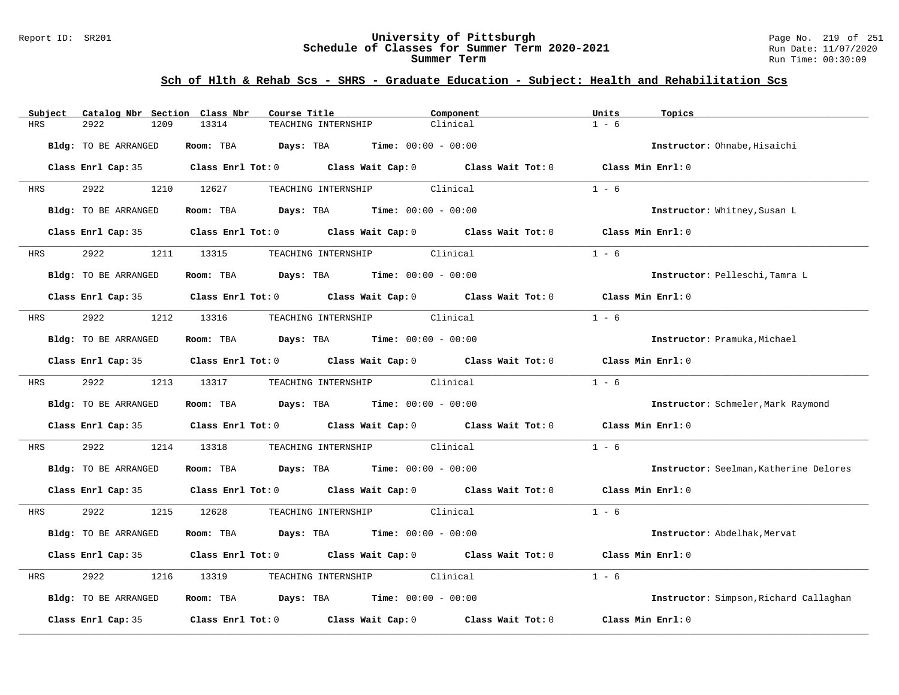#### Report ID: SR201 **University of Pittsburgh** Page No. 219 of 251 **Schedule of Classes for Summer Term 2020-2021** Run Date: 11/07/2020 **Summer Term** Run Time: 00:30:09

| Catalog Nbr Section Class Nbr<br>Subject | Course Title                                                                                        | Component                    | Units<br>Topics                        |
|------------------------------------------|-----------------------------------------------------------------------------------------------------|------------------------------|----------------------------------------|
| <b>HRS</b><br>2922<br>1209               | 13314<br>TEACHING INTERNSHIP                                                                        | Clinical                     | $1 - 6$                                |
| Bldg: TO BE ARRANGED                     | Days: TBA<br>Room: TBA                                                                              | <b>Time:</b> $00:00 - 00:00$ | Instructor: Ohnabe, Hisaichi           |
|                                          | Class Enrl Cap: 35 Class Enrl Tot: 0 Class Wait Cap: 0 Class Wait Tot: 0 Class Min Enrl: 0          |                              |                                        |
| 2922<br>HRS                              | 1210 12627<br>TEACHING INTERNSHIP Clinical                                                          |                              | $1 - 6$                                |
| Bldg: TO BE ARRANGED                     | Room: TBA $Days:$ TBA $Time: 00:00 - 00:00$                                                         |                              | Instructor: Whitney, Susan L           |
|                                          | Class Enrl Cap: 35 Class Enrl Tot: 0 Class Wait Cap: 0 Class Wait Tot: 0                            |                              | Class Min Enrl: 0                      |
| 2922<br>HRS                              | 1211 13315<br>TEACHING INTERNSHIP Clinical                                                          |                              | $1 - 6$                                |
| Bldg: TO BE ARRANGED                     | Room: TBA $Days:$ TBA $Time: 00:00 - 00:00$                                                         |                              | Instructor: Pelleschi, Tamra L         |
|                                          | Class Enrl Cap: 35 $\qquad$ Class Enrl Tot: 0 $\qquad$ Class Wait Cap: 0 $\qquad$ Class Wait Tot: 0 |                              | Class Min Enrl: 0                      |
| 2922<br>HRS                              | 1212 13316 TEACHING INTERNSHIP Clinical                                                             |                              | $1 - 6$                                |
| Bldg: TO BE ARRANGED                     | Room: TBA $Days:$ TBA Time: $00:00 - 00:00$                                                         |                              | Instructor: Pramuka, Michael           |
|                                          | Class Enrl Cap: 35 Class Enrl Tot: 0 Class Wait Cap: 0 Class Wait Tot: 0                            |                              | Class Min Enrl: 0                      |
| 2922<br><b>HRS</b>                       | 1213 13317<br>TEACHING INTERNSHIP Clinical                                                          |                              | $1 - 6$                                |
| Bldg: TO BE ARRANGED                     | Room: TBA $Days:$ TBA Time: $00:00 - 00:00$                                                         |                              | Instructor: Schmeler, Mark Raymond     |
|                                          | Class Enrl Cap: 35 Class Enrl Tot: 0 Class Wait Cap: 0 Class Wait Tot: 0                            |                              | Class Min Enrl: 0                      |
| 2922<br>1214<br>HRS                      | 13318<br>TEACHING INTERNSHIP Clinical                                                               |                              | $1 - 6$                                |
| Bldg: TO BE ARRANGED                     | Room: TBA $Days:$ TBA $Time: 00:00 - 00:00$                                                         |                              | Instructor: Seelman, Katherine Delores |
|                                          | Class Enrl Cap: 35 $\qquad$ Class Enrl Tot: 0 $\qquad$ Class Wait Cap: 0 $\qquad$ Class Wait Tot: 0 |                              | Class Min Enrl: 0                      |
| 2922<br>HRS                              | 1215 12628<br>TEACHING INTERNSHIP Clinical                                                          |                              | $1 - 6$                                |
| Bldg: TO BE ARRANGED                     | Room: TBA $Days:$ TBA $Time: 00:00 - 00:00$                                                         |                              | Instructor: Abdelhak, Mervat           |
|                                          | Class Enrl Cap: 35 Class Enrl Tot: 0 Class Wait Cap: 0 Class Wait Tot: 0                            |                              | Class Min Enrl: 0                      |
| 2922<br>1216<br>HRS                      | TEACHING INTERNSHIP Clinical<br>13319                                                               |                              | $1 - 6$                                |
| Bldg: TO BE ARRANGED                     | Room: TBA $\rule{1em}{0.15mm}$ Days: TBA $\rule{1.15mm}]{0.15mm}$ Time: $0.000 - 0.0000$            |                              | Instructor: Simpson, Richard Callaghan |
| Class Enrl Cap: 35                       | Class Enrl Tot: $0$ Class Wait Cap: $0$ Class Wait Tot: $0$                                         |                              | Class Min Enrl: 0                      |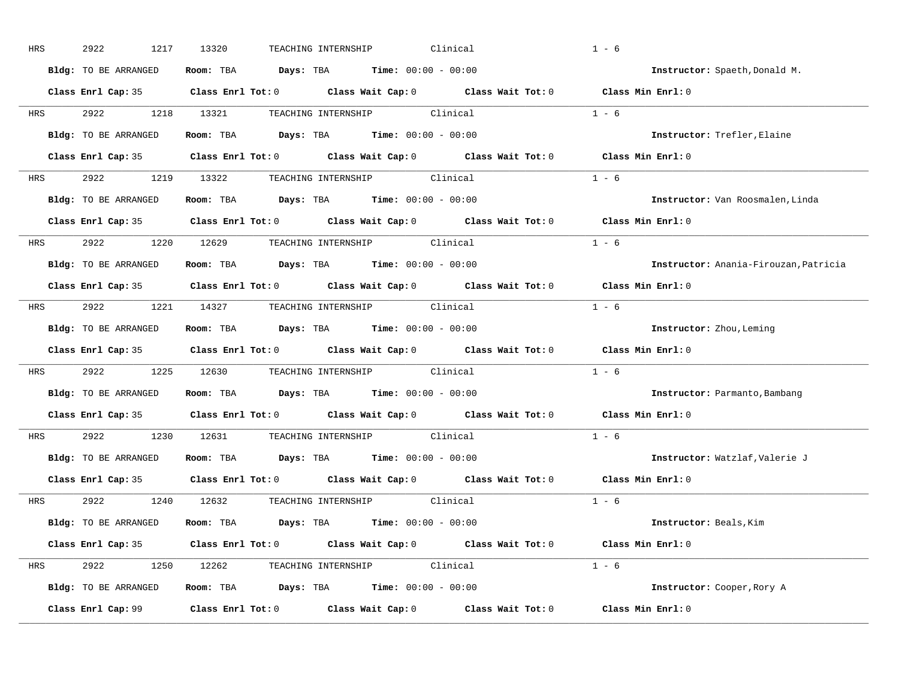| HRS        | 2922<br>1217         | 13320<br>Clinical<br>TEACHING INTERNSHIP                                                   | $1 - 6$                               |
|------------|----------------------|--------------------------------------------------------------------------------------------|---------------------------------------|
|            | Bldg: TO BE ARRANGED | Room: TBA $Days:$ TBA $Time: 00:00 - 00:00$                                                | Instructor: Spaeth, Donald M.         |
|            |                      | Class Enrl Cap: 35 Class Enrl Tot: 0 Class Wait Cap: 0 Class Wait Tot: 0 Class Min Enrl: 0 |                                       |
| <b>HRS</b> |                      | 2922 1218 13321 TEACHING INTERNSHIP Clinical                                               | $1 - 6$                               |
|            | Bldg: TO BE ARRANGED | Room: TBA Days: TBA Time: $00:00 - 00:00$                                                  | Instructor: Trefler, Elaine           |
|            |                      | Class Enrl Cap: 35 Class Enrl Tot: 0 Class Wait Cap: 0 Class Wait Tot: 0 Class Min Enrl: 0 |                                       |
|            |                      | HRS 2922 1219 13322 TEACHING INTERNSHIP Clinical                                           | $1 - 6$                               |
|            |                      | Bldg: TO BE ARRANGED Room: TBA Days: TBA Time: 00:00 - 00:00                               | Instructor: Van Roosmalen, Linda      |
|            |                      | Class Enrl Cap: 35 Class Enrl Tot: 0 Class Wait Cap: 0 Class Wait Tot: 0                   | Class Min $Enrl: 0$                   |
|            |                      | HRS 2922 1220 12629 TEACHING INTERNSHIP Clinical                                           | $1 - 6$                               |
|            | Bldg: TO BE ARRANGED | Room: TBA $Days:$ TBA $Time: 00:00 - 00:00$                                                | Instructor: Anania-Firouzan, Patricia |
|            |                      | Class Enrl Cap: 35 Class Enrl Tot: 0 Class Wait Cap: 0 Class Wait Tot: 0                   | Class Min Enrl: 0                     |
|            |                      | HRS 2922 1221 14327 TEACHING INTERNSHIP Clinical                                           | $1 - 6$                               |
|            | Bldg: TO BE ARRANGED | Room: TBA $\rule{1em}{0.15mm}$ Days: TBA Time: $00:00 - 00:00$                             | Instructor: Zhou, Leming              |
|            |                      | Class Enrl Cap: 35 Class Enrl Tot: 0 Class Wait Cap: 0 Class Wait Tot: 0                   | Class Min Enrl: 0                     |
| <b>HRS</b> |                      | 2922 1225 12630 TEACHING INTERNSHIP Clinical                                               | $1 - 6$                               |
|            | Bldg: TO BE ARRANGED | Room: TBA $Days:$ TBA Time: $00:00 - 00:00$                                                | Instructor: Parmanto, Bambang         |
|            |                      | Class Enrl Cap: 35 Class Enrl Tot: 0 Class Wait Cap: 0 Class Wait Tot: 0                   | Class Min Enrl: 0                     |
| <b>HRS</b> |                      | 2922 1230 12631 TEACHING INTERNSHIP Clinical                                               | $1 - 6$                               |
|            | Bldg: TO BE ARRANGED | Room: TBA $Days:$ TBA $Time: 00:00 - 00:00$                                                | Instructor: Watzlaf, Valerie J        |
|            |                      | Class Enrl Cap: 35 Class Enrl Tot: 0 Class Wait Cap: 0 Class Wait Tot: 0                   | Class Min Enrl: 0                     |
|            |                      | HRS 2922 1240 12632 TEACHING INTERNSHIP Clinical                                           | $1 - 6$                               |
|            | Bldg: TO BE ARRANGED | Room: TBA $Days:$ TBA $Time: 00:00 - 00:00$                                                | Instructor: Beals, Kim                |
|            |                      | Class Enrl Cap: 35 Class Enrl Tot: 0 Class Wait Cap: 0 Class Wait Tot: 0 Class Min Enrl: 0 |                                       |
|            |                      | HRS 2922 1250 12262 TEACHING INTERNSHIP Clinical                                           | $1 - 6$                               |
|            | Bldg: TO BE ARRANGED | <b>Room:</b> TBA $\qquad \qquad$ Days: TBA $\qquad \qquad$ Time: $00:00 - 00:00$           | Instructor: Cooper, Rory A            |
|            | Class Enrl Cap: 99   | Class Enrl Tot: $0$ Class Wait Cap: $0$ Class Wait Tot: $0$ Class Min Enrl: $0$            |                                       |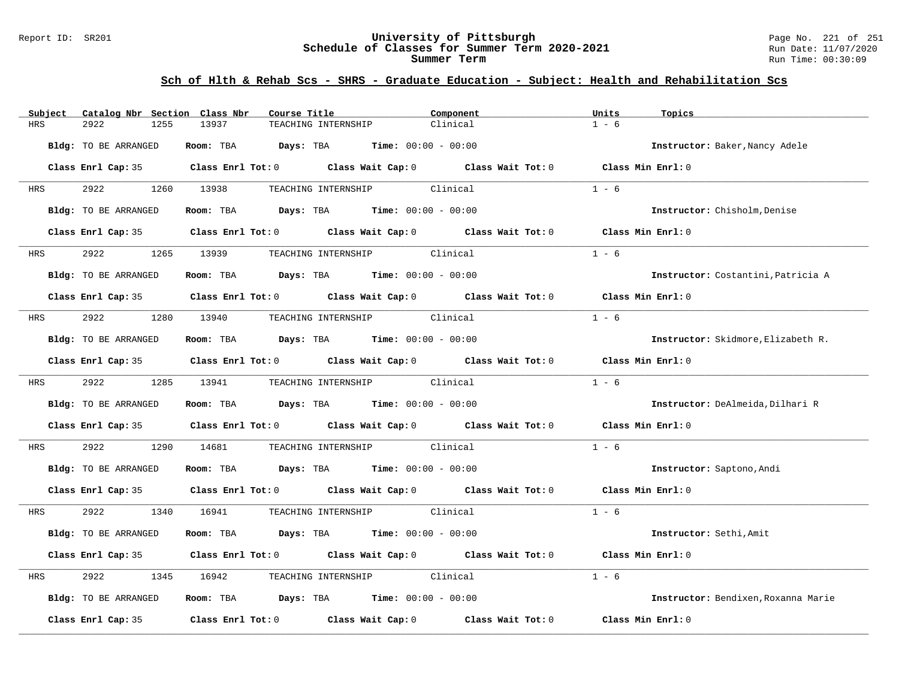#### Report ID: SR201 **University of Pittsburgh** Page No. 221 of 251 **Schedule of Classes for Summer Term 2020-2021** Run Date: 11/07/2020 **Summer Term** Run Time: 00:30:09

| Subject    | Catalog Nbr Section Class Nbr | Course Title                                                   | Component                                                                                  | Units<br>Topics                     |
|------------|-------------------------------|----------------------------------------------------------------|--------------------------------------------------------------------------------------------|-------------------------------------|
| HRS        | 2922<br>1255                  | 13937<br>TEACHING INTERNSHIP                                   | Clinical                                                                                   | $1 - 6$                             |
|            | Bldg: TO BE ARRANGED          | Room: TBA $Days:$ TBA $Time: 00:00 - 00:00$                    |                                                                                            | Instructor: Baker, Nancy Adele      |
|            |                               |                                                                | Class Enrl Cap: 35 Class Enrl Tot: 0 Class Wait Cap: 0 Class Wait Tot: 0                   | Class Min Enrl: 0                   |
| HRS        | 2922 2022                     | 1260 13938                                                     | TEACHING INTERNSHIP Clinical                                                               | $1 - 6$                             |
|            | Bldg: TO BE ARRANGED          |                                                                | <b>Room:</b> TBA <b>Days:</b> TBA <b>Time:</b> 00:00 - 00:00                               | Instructor: Chisholm, Denise        |
|            |                               |                                                                | Class Enrl Cap: 35 Class Enrl Tot: 0 Class Wait Cap: 0 Class Wait Tot: 0                   | Class Min Enrl: 0                   |
| <b>HRS</b> | 2922                          | 1265 13939 TEACHING INTERNSHIP Clinical                        |                                                                                            | $1 - 6$                             |
|            | Bldg: TO BE ARRANGED          | Room: TBA $Days:$ TBA $Time: 00:00 - 00:00$                    |                                                                                            | Instructor: Costantini, Patricia A  |
|            |                               |                                                                | Class Enrl Cap: 35 Class Enrl Tot: 0 Class Wait Cap: 0 Class Wait Tot: 0                   | Class Min $Enr1:0$                  |
| HRS        | 2922                          | 1280 13940                                                     | TEACHING INTERNSHIP Clinical                                                               | $1 - 6$                             |
|            | Bldg: TO BE ARRANGED          | Room: TBA $Days:$ TBA $Time: 00:00 - 00:00$                    |                                                                                            | Instructor: Skidmore, Elizabeth R.  |
|            |                               |                                                                | Class Enrl Cap: 35 Class Enrl Tot: 0 Class Wait Cap: 0 Class Wait Tot: 0                   | Class Min Enrl: 0                   |
| <b>HRS</b> | 2922                          | 1285 13941                                                     | TEACHING INTERNSHIP Clinical                                                               | $1 - 6$                             |
|            | Bldg: TO BE ARRANGED          | Room: TBA $Days: TBA$ Time: $00:00 - 00:00$                    |                                                                                            | Instructor: DeAlmeida, Dilhari R    |
|            |                               |                                                                | Class Enrl Cap: 35 Class Enrl Tot: 0 Class Wait Cap: 0 Class Wait Tot: 0 Class Min Enrl: 0 |                                     |
| HRS        | 2922<br>1290                  | 14681                                                          | TEACHING INTERNSHIP Clinical                                                               | $1 - 6$                             |
|            | Bldg: TO BE ARRANGED          | Room: TBA $Days:$ TBA $Time: 00:00 - 00:00$                    |                                                                                            | Instructor: Saptono, Andi           |
|            |                               |                                                                | Class Enrl Cap: 35 Class Enrl Tot: 0 Class Wait Cap: 0 Class Wait Tot: 0 Class Min Enrl: 0 |                                     |
| HRS        | 2922 2022                     | 1340 16941                                                     | TEACHING INTERNSHIP Clinical                                                               | $1 - 6$                             |
|            | Bldg: TO BE ARRANGED          | Room: TBA $\rule{1em}{0.15mm}$ Days: TBA Time: $00:00 - 00:00$ |                                                                                            | Instructor: Sethi, Amit             |
|            |                               |                                                                | Class Enrl Cap: 35 Class Enrl Tot: 0 Class Wait Cap: 0 Class Wait Tot: 0                   | Class Min Enrl: 0                   |
| HRS        | 2922<br>1345                  | 16942                                                          | TEACHING INTERNSHIP Clinical                                                               | $1 - 6$                             |
|            | Bldg: TO BE ARRANGED          | Room: TBA $Days:$ TBA $Time: 00:00 - 00:00$                    |                                                                                            | Instructor: Bendixen, Roxanna Marie |
|            | Class Enrl Cap: 35            |                                                                | Class Enrl Tot: $0$ Class Wait Cap: $0$ Class Wait Tot: $0$                                | Class Min Enrl: 0                   |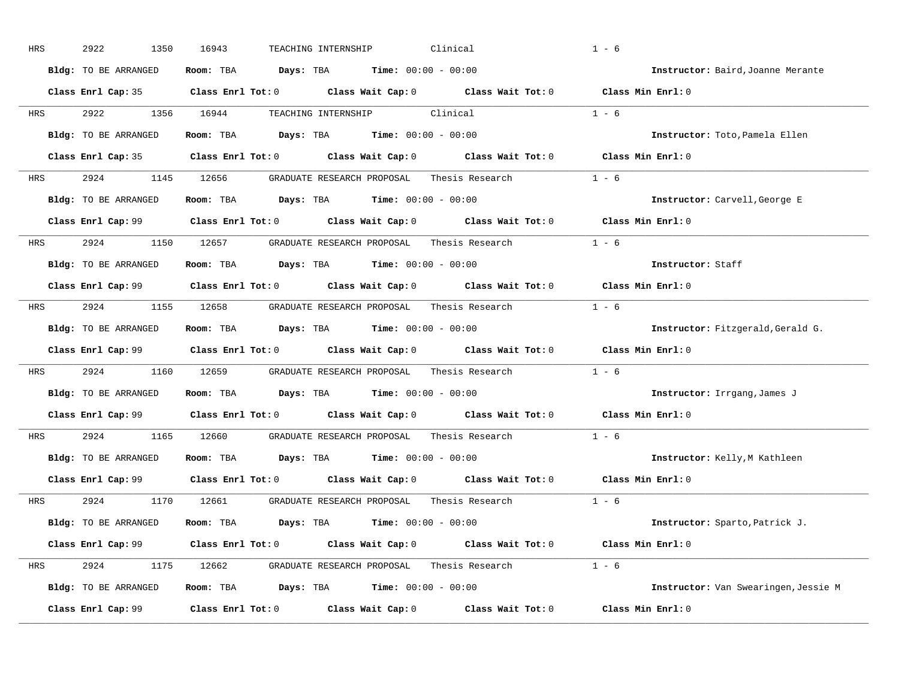| HRS        | 2922<br>1350         | 16943<br>Clinical<br>TEACHING INTERNSHIP                                                            | $1 - 6$                              |
|------------|----------------------|-----------------------------------------------------------------------------------------------------|--------------------------------------|
|            | Bldg: TO BE ARRANGED | Room: TBA $Days:$ TBA $Time: 00:00 - 00:00$                                                         | Instructor: Baird, Joanne Merante    |
|            |                      | Class Enrl Cap: 35 Class Enrl Tot: 0 Class Wait Cap: 0 Class Wait Tot: 0 Class Min Enrl: 0          |                                      |
| HRS        | 2922 2022            | 1356 16944<br>TEACHING INTERNSHIP Clinical                                                          | $1 - 6$                              |
|            | Bldg: TO BE ARRANGED | Room: TBA $Days:$ TBA $Time: 00:00 - 00:00$                                                         | Instructor: Toto, Pamela Ellen       |
|            |                      | Class Enrl Cap: 35 Class Enrl Tot: 0 Class Wait Cap: 0 Class Wait Tot: 0 Class Min Enrl: 0          |                                      |
| HRS        |                      | 2924 1145 12656 GRADUATE RESEARCH PROPOSAL Thesis Research 1 - 6                                    |                                      |
|            | Bldg: TO BE ARRANGED | Room: TBA $Days:$ TBA $Time: 00:00 - 00:00$                                                         | Instructor: Carvell, George E        |
|            |                      | Class Enrl Cap: 99 $\qquad$ Class Enrl Tot: 0 $\qquad$ Class Wait Cap: 0 $\qquad$ Class Wait Tot: 0 | Class Min Enrl: 0                    |
| <b>HRS</b> |                      | 2924 1150 12657 GRADUATE RESEARCH PROPOSAL Thesis Research                                          | $1 - 6$                              |
|            | Bldg: TO BE ARRANGED | Room: TBA $Days:$ TBA $Time: 00:00 - 00:00$                                                         | Instructor: Staff                    |
|            |                      | Class Enrl Cap: 99 Class Enrl Tot: 0 Class Wait Cap: 0 Class Wait Tot: 0                            | Class Min Enrl: 0                    |
| HRS        |                      | 2924 1155 12658 GRADUATE RESEARCH PROPOSAL Thesis Research 1 - 6                                    |                                      |
|            | Bldg: TO BE ARRANGED | Room: TBA $Days: TBA$ Time: $00:00 - 00:00$                                                         | Instructor: Fitzgerald, Gerald G.    |
|            |                      | Class Enrl Cap: 99 Class Enrl Tot: 0 Class Wait Cap: 0 Class Wait Tot: 0 Class Min Enrl: 0          |                                      |
| HRS        |                      | 2924 1160 12659 GRADUATE RESEARCH PROPOSAL Thesis Research                                          | $1 - 6$                              |
|            | Bldg: TO BE ARRANGED | Room: TBA $Days:$ TBA $Time: 00:00 - 00:00$                                                         | Instructor: Irrgang, James J         |
|            |                      | Class Enrl Cap: 99 (class Enrl Tot: 0 (class Wait Cap: 0 (class Wait Tot: 0 $\sim$                  | Class Min Enrl: 0                    |
| <b>HRS</b> | 2924                 | 1165 12660<br>GRADUATE RESEARCH PROPOSAL<br>Thesis Research                                         | $1 - 6$                              |
|            | Bldg: TO BE ARRANGED | Room: TBA $Days:$ TBA $Time: 00:00 - 00:00$                                                         | Instructor: Kelly, M Kathleen        |
|            |                      | Class Enrl Cap: 99 Class Enrl Tot: 0 Class Wait Cap: 0 Class Wait Tot: 0                            | Class Min Enrl: 0                    |
| HRS        |                      | Thesis Research $1 - 6$<br>2924 1170 12661 GRADUATE RESEARCH PROPOSAL                               |                                      |
|            | Bldg: TO BE ARRANGED | Room: TBA $Days:$ TBA $Time: 00:00 - 00:00$                                                         | Instructor: Sparto, Patrick J.       |
|            |                      | Class Enrl Cap: 99 Class Enrl Tot: 0 Class Wait Cap: 0 Class Wait Tot: 0 Class Min Enrl: 0          |                                      |
| HRS        |                      | 2924 1175 12662 GRADUATE RESEARCH PROPOSAL Thesis Research 1 - 6                                    |                                      |
|            | Bldg: TO BE ARRANGED | Room: TBA $Days: TBA$ Time: $00:00 - 00:00$                                                         | Instructor: Van Swearingen, Jessie M |
|            | Class Enrl Cap: 99   | $Class$ $Enrl$ $Tot: 0$ $Class$ $Wait$ $Cap: 0$ $Class$ $Wait$ $Tot: 0$                             | Class Min Enrl: 0                    |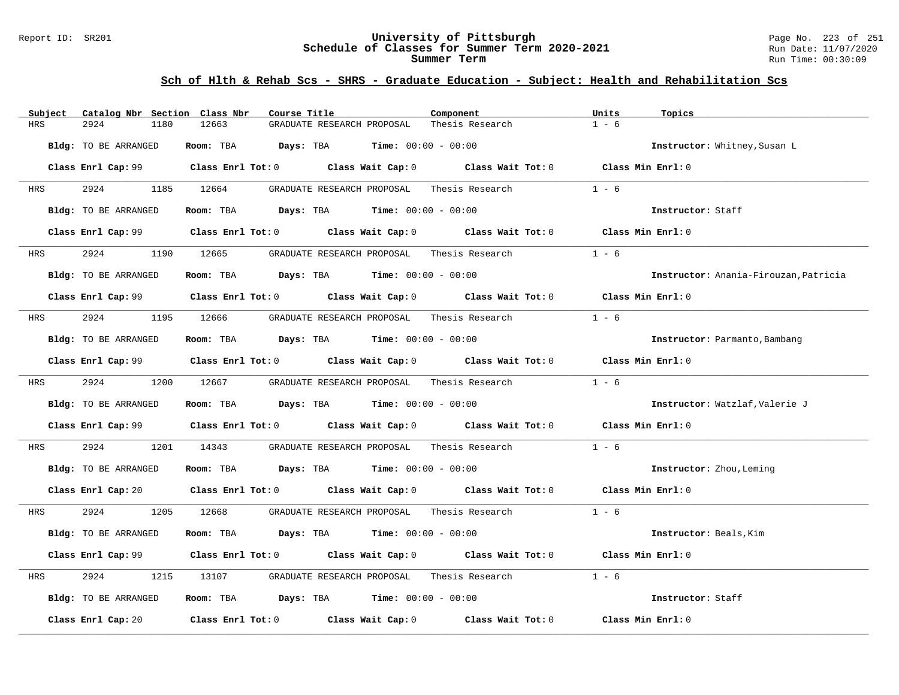#### Report ID: SR201 **University of Pittsburgh** Page No. 223 of 251 **Schedule of Classes for Summer Term 2020-2021** Run Date: 11/07/2020 **Summer Term** Run Time: 00:30:09

| Catalog Nbr Section Class Nbr<br>Subject | Course Title                                                                               | Component                                          | Units<br>Topics                       |
|------------------------------------------|--------------------------------------------------------------------------------------------|----------------------------------------------------|---------------------------------------|
| <b>HRS</b><br>2924<br>1180               | 12663<br>GRADUATE RESEARCH PROPOSAL                                                        | Thesis Research                                    | $1 - 6$                               |
| Bldg: TO BE ARRANGED                     | Room: TBA Days: TBA<br><b>Time:</b> $00:00 - 00:00$                                        |                                                    | Instructor: Whitney, Susan L          |
|                                          | Class Enrl Cap: 99 Class Enrl Tot: 0 Class Wait Cap: 0 Class Wait Tot: 0 Class Min Enrl: 0 |                                                    |                                       |
| 2924<br>HRS                              | 1185 12664<br>GRADUATE RESEARCH PROPOSAL Thesis Research                                   |                                                    | $1 - 6$                               |
| Bldg: TO BE ARRANGED                     | Room: TBA $Days:$ TBA $Time: 00:00 - 00:00$                                                |                                                    | Instructor: Staff                     |
|                                          | Class Enrl Cap: 99 Class Enrl Tot: 0 Class Wait Cap: 0 Class Wait Tot: 0 Class Min Enrl: 0 |                                                    |                                       |
| 2924<br><b>HRS</b>                       | 1190 12665<br>GRADUATE RESEARCH PROPOSAL Thesis Research                                   |                                                    | $1 - 6$                               |
| Bldg: TO BE ARRANGED                     | Room: TBA $Days:$ TBA Time: $00:00 - 00:00$                                                |                                                    | Instructor: Anania-Firouzan, Patricia |
|                                          | Class Enrl Cap: 99 Class Enrl Tot: 0 Class Wait Cap: 0 Class Wait Tot: 0 Class Min Enrl: 0 |                                                    |                                       |
| 2924<br>HRS                              | 1195 12666 GRADUATE RESEARCH PROPOSAL Thesis Research                                      |                                                    | $1 - 6$                               |
| Bldg: TO BE ARRANGED                     | Room: TBA $Days:$ TBA $Time: 00:00 - 00:00$                                                |                                                    | Instructor: Parmanto, Bambang         |
|                                          | Class Enrl Cap: 99 Class Enrl Tot: 0 Class Wait Cap: 0 Class Wait Tot: 0 Class Min Enrl: 0 |                                                    |                                       |
| 2924<br><b>HRS</b>                       | 1200 12667<br>GRADUATE RESEARCH PROPOSAL Thesis Research                                   |                                                    | $1 - 6$                               |
| Bldg: TO BE ARRANGED                     | Room: TBA $Days:$ TBA $Time: 00:00 - 00:00$                                                |                                                    | Instructor: Watzlaf, Valerie J        |
|                                          | Class Enrl Cap: 99 Class Enrl Tot: 0 Class Wait Cap: 0 Class Wait Tot: 0 Class Min Enrl: 0 |                                                    |                                       |
| 2924<br>1201<br>HRS                      | 14343 GRADUATE RESEARCH PROPOSAL                                                           | Thesis Research                                    | $1 - 6$                               |
| Bldg: TO BE ARRANGED                     | Room: TBA $Days:$ TBA $Time: 00:00 - 00:00$                                                |                                                    | Instructor: Zhou, Leming              |
|                                          | Class Enrl Cap: 20 Class Enrl Tot: 0 Class Wait Cap: 0 Class Wait Tot: 0 Class Min Enrl: 0 |                                                    |                                       |
| 2924<br>HRS                              | 1205 12668                                                                                 | GRADUATE RESEARCH PROPOSAL Thesis Research $1 - 6$ |                                       |
| Bldg: TO BE ARRANGED                     | Room: TBA $Days:$ TBA $Time: 00:00 - 00:00$                                                |                                                    | Instructor: Beals, Kim                |
|                                          | Class Enrl Cap: 99 Class Enrl Tot: 0 Class Wait Cap: 0 Class Wait Tot: 0 Class Min Enrl: 0 |                                                    |                                       |
| 2924<br>HRS<br>1215                      |                                                                                            |                                                    | $1 - 6$                               |
| Bldg: TO BE ARRANGED                     | Room: TBA $Days:$ TBA $Time: 00:00 - 00:00$                                                |                                                    | Instructor: Staff                     |
| Class Enrl Cap: 20                       | Class Enrl Tot: $0$ Class Wait Cap: $0$ Class Wait Tot: $0$                                |                                                    | Class Min Enrl: 0                     |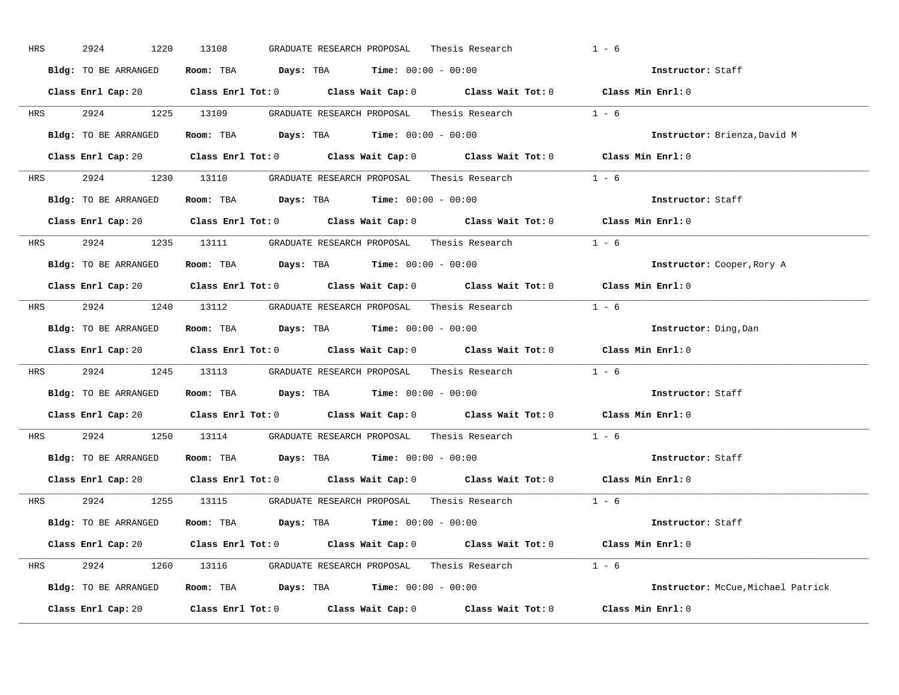| HRS        | 2924<br>1220         | 13108<br>GRADUATE RESEARCH PROPOSAL<br>Thesis Research                                              | $1 - 6$                            |
|------------|----------------------|-----------------------------------------------------------------------------------------------------|------------------------------------|
|            | Bldg: TO BE ARRANGED | Room: TBA $Days:$ TBA $Time: 00:00 - 00:00$                                                         | Instructor: Staff                  |
|            |                      | Class Enrl Cap: 20 Class Enrl Tot: 0 Class Wait Cap: 0 Class Wait Tot: 0 Class Min Enrl: 0          |                                    |
|            |                      | HRS 2924 1225 13109 GRADUATE RESEARCH PROPOSAL Thesis Research 1 - 6                                |                                    |
|            | Bldg: TO BE ARRANGED | Room: TBA $Days:$ TBA Time: $00:00 - 00:00$                                                         | Instructor: Brienza, David M       |
|            |                      | Class Enrl Cap: 20 Class Enrl Tot: 0 Class Wait Cap: 0 Class Wait Tot: 0 Class Min Enrl: 0          |                                    |
|            |                      | HRS 2924 1230 13110 GRADUATE RESEARCH PROPOSAL Thesis Research 1 - 6                                |                                    |
|            |                      | Bldg: TO BE ARRANGED Room: TBA Days: TBA Time: 00:00 - 00:00                                        | Instructor: Staff                  |
|            |                      | Class Enrl Cap: 20 Class Enrl Tot: 0 Class Wait Cap: 0 Class Wait Tot: 0 Class Min Enrl: 0          |                                    |
|            |                      | HRS 2924 1235 13111 GRADUATE RESEARCH PROPOSAL Thesis Research 1 - 6                                |                                    |
|            | Bldg: TO BE ARRANGED | Room: TBA $\rule{1em}{0.15mm}$ Days: TBA Time: $00:00 - 00:00$                                      | Instructor: Cooper, Rory A         |
|            |                      | Class Enrl Cap: 20 Class Enrl Tot: 0 Class Wait Cap: 0 Class Wait Tot: 0 Class Min Enrl: 0          |                                    |
|            |                      | HRS 2924 1240 13112 GRADUATE RESEARCH PROPOSAL Thesis Research 1 - 6                                |                                    |
|            | Bldg: TO BE ARRANGED | Room: TBA $\rule{1em}{0.15mm}$ Days: TBA $\rule{1.5mm}{0.15mm}$ Time: $00:00 - 00:00$               | Instructor: Ding, Dan              |
|            |                      | Class Enrl Cap: 20 Class Enrl Tot: 0 Class Wait Cap: 0 Class Wait Tot: 0 Class Min Enrl: 0          |                                    |
|            |                      | HRS 2924 1245 13113 GRADUATE RESEARCH PROPOSAL Thesis Research 1 - 6                                |                                    |
|            |                      | Bldg: TO BE ARRANGED Room: TBA Days: TBA Time: 00:00 - 00:00                                        | <b>Instructor:</b> Staff           |
|            |                      | Class Enrl Cap: 20 $\qquad$ Class Enrl Tot: 0 $\qquad$ Class Wait Cap: 0 $\qquad$ Class Wait Tot: 0 | Class Min $Enr1:0$                 |
| <b>HRS</b> |                      | 2924 1250 13114 GRADUATE RESEARCH PROPOSAL Thesis Research                                          | $1 - 6$                            |
|            |                      | <b>Bldg:</b> TO BE ARRANGED <b>Room:</b> TBA <b>Days:</b> TBA <b>Time:</b> $00:00 - 00:00$          | Instructor: Staff                  |
|            |                      | Class Enrl Cap: 20 Class Enrl Tot: 0 Class Wait Cap: 0 Class Wait Tot: 0 Class Min Enrl: 0          |                                    |
|            |                      | HRS 2924 1255 13115 GRADUATE RESEARCH PROPOSAL Thesis Research 1 - 6                                |                                    |
|            |                      | Bldg: TO BE ARRANGED Room: TBA Days: TBA Time: 00:00 - 00:00                                        | Instructor: Staff                  |
|            |                      | Class Enrl Cap: 20 Class Enrl Tot: 0 Class Wait Cap: 0 Class Wait Tot: 0 Class Min Enrl: 0          |                                    |
|            |                      |                                                                                                     |                                    |
|            |                      | HRS 2924 1260 13116 GRADUATE RESEARCH PROPOSAL Thesis Research 1 - 6                                |                                    |
|            |                      | Bldg: TO BE ARRANGED Room: TBA Days: TBA Time: 00:00 - 00:00                                        | Instructor: McCue, Michael Patrick |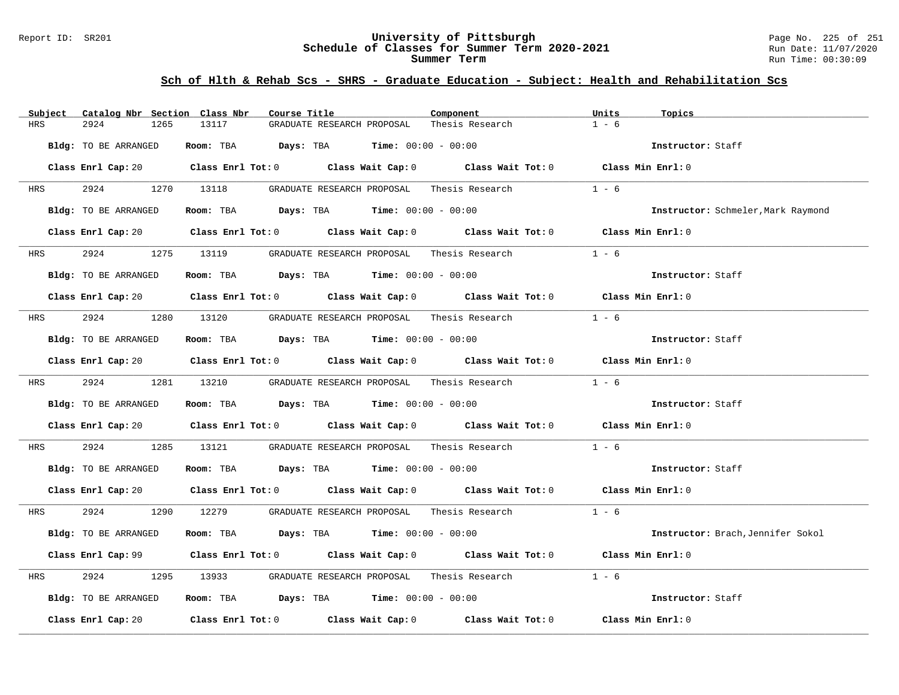#### Report ID: SR201 **University of Pittsburgh** Page No. 225 of 251 **Schedule of Classes for Summer Term 2020-2021** Run Date: 11/07/2020 **Summer Term** Run Time: 00:30:09

| Subject     | Catalog Nbr Section Class Nbr | Course Title |                                                                                                | Component                                                                                                                      | Units<br>Topics                    |  |
|-------------|-------------------------------|--------------|------------------------------------------------------------------------------------------------|--------------------------------------------------------------------------------------------------------------------------------|------------------------------------|--|
| 2924<br>HRS | 1265                          | 13117        | GRADUATE RESEARCH PROPOSAL                                                                     | Thesis Research                                                                                                                | $1 - 6$                            |  |
|             | Bldg: TO BE ARRANGED          |              | Room: TBA $Days:$ TBA $Time: 00:00 - 00:00$                                                    |                                                                                                                                | Instructor: Staff                  |  |
|             |                               |              |                                                                                                | Class Enrl Cap: 20 $\qquad$ Class Enrl Tot: 0 $\qquad$ Class Wait Cap: 0 $\qquad$ Class Wait Tot: 0 $\qquad$ Class Min Enrl: 0 |                                    |  |
| <b>HRS</b>  | 2924 1270 13118               |              | GRADUATE RESEARCH PROPOSAL Thesis Research                                                     |                                                                                                                                | $1 - 6$                            |  |
|             | Bldg: TO BE ARRANGED          |              | Room: TBA $Days:$ TBA $Time: 00:00 - 00:00$                                                    |                                                                                                                                | Instructor: Schmeler, Mark Raymond |  |
|             |                               |              |                                                                                                | Class Enrl Cap: 20 Class Enrl Tot: 0 Class Wait Cap: 0 Class Wait Tot: 0 Class Min Enrl: 0                                     |                                    |  |
| <b>HRS</b>  | 2924 1275 13119               |              | GRADUATE RESEARCH PROPOSAL Thesis Research                                                     |                                                                                                                                | $1 - 6$                            |  |
|             | Bldg: TO BE ARRANGED          |              | Room: TBA $Days:$ TBA $Time: 00:00 - 00:00$                                                    |                                                                                                                                | Instructor: Staff                  |  |
|             |                               |              |                                                                                                | Class Enrl Cap: 20 $\qquad$ Class Enrl Tot: 0 $\qquad$ Class Wait Cap: 0 $\qquad$ Class Wait Tot: 0 $\qquad$ Class Min Enrl: 0 |                                    |  |
|             |                               |              |                                                                                                |                                                                                                                                | $1 - 6$                            |  |
|             | Bldg: TO BE ARRANGED          |              | Room: TBA $Days:$ TBA $Time: 00:00 - 00:00$                                                    |                                                                                                                                | Instructor: Staff                  |  |
|             |                               |              |                                                                                                | Class Enrl Cap: 20 Class Enrl Tot: 0 Class Wait Cap: 0 Class Wait Tot: 0 Class Min Enrl: 0                                     |                                    |  |
|             | HRS 2924 1281 13210           |              |                                                                                                | GRADUATE RESEARCH PROPOSAL Thesis Research 1 - 6                                                                               |                                    |  |
|             | Bldg: TO BE ARRANGED          |              | Room: TBA $Days:$ TBA $Time: 00:00 - 00:00$                                                    |                                                                                                                                | Instructor: Staff                  |  |
|             |                               |              |                                                                                                | Class Enrl Cap: 20 Class Enrl Tot: 0 Class Wait Cap: 0 Class Wait Tot: 0 Class Min Enrl: 0                                     |                                    |  |
| HRS         | 2924                          | 1285 13121   |                                                                                                | GRADUATE RESEARCH PROPOSAL Thesis Research                                                                                     | $1 - 6$                            |  |
|             | Bldg: TO BE ARRANGED          |              | Room: TBA $\rule{1em}{0.15mm}$ Days: TBA Time: $00:00 - 00:00$                                 |                                                                                                                                | Instructor: Staff                  |  |
|             |                               |              |                                                                                                | Class Enrl Cap: 20 Class Enrl Tot: 0 Class Wait Cap: 0 Class Wait Tot: 0 Class Min Enrl: 0                                     |                                    |  |
|             |                               |              |                                                                                                | HRS 2924 1290 12279 GRADUATE RESEARCH PROPOSAL Thesis Research 1 - 6                                                           |                                    |  |
|             | Bldg: TO BE ARRANGED          |              | Room: TBA $Days:$ TBA $Time: 00:00 - 00:00$                                                    |                                                                                                                                | Instructor: Brach, Jennifer Sokol  |  |
|             |                               |              |                                                                                                | Class Enrl Cap: 99 Class Enrl Tot: 0 Class Wait Cap: 0 Class Wait Tot: 0 Class Min Enrl: 0                                     |                                    |  |
| HRS         | 2924                          |              |                                                                                                | 1295 13933 GRADUATE RESEARCH PROPOSAL Thesis Research                                                                          | $1 - 6$                            |  |
|             | Bldg: TO BE ARRANGED          |              | <b>Room:</b> TBA $\qquad \qquad$ <b>Days:</b> TBA $\qquad \qquad$ <b>Time:</b> $00:00 - 00:00$ |                                                                                                                                | Instructor: Staff                  |  |
|             |                               |              |                                                                                                | Class Enrl Cap: 20 Class Enrl Tot: 0 Class Wait Cap: 0 Class Wait Tot: 0 Class Min Enrl: 0                                     |                                    |  |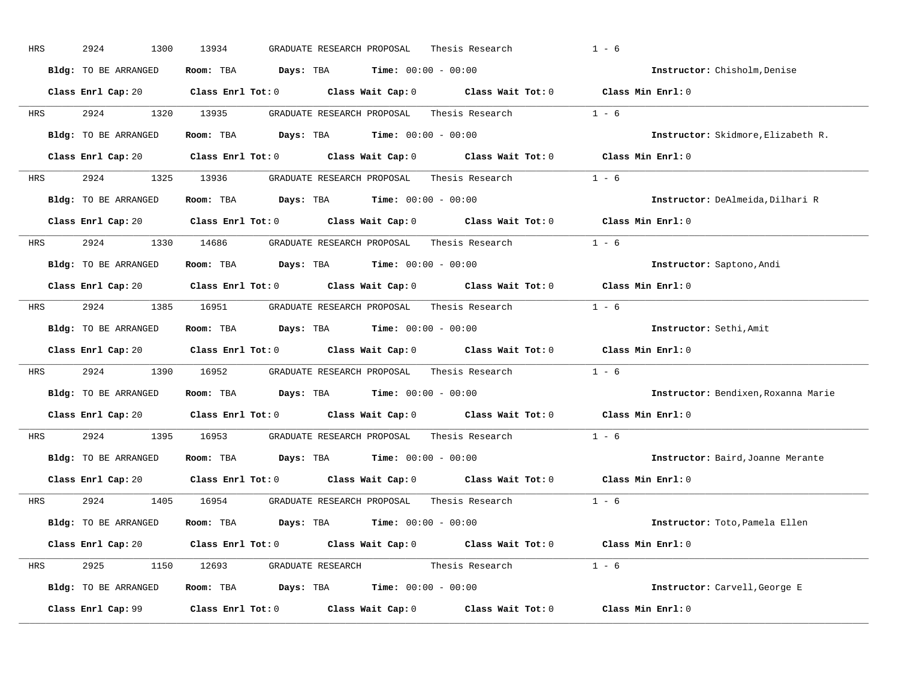| HRS | 2924<br>1300         | 13934<br>Thesis Research<br>GRADUATE RESEARCH PROPOSAL                                             | $1 - 6$                                               |
|-----|----------------------|----------------------------------------------------------------------------------------------------|-------------------------------------------------------|
|     | Bldg: TO BE ARRANGED | <b>Time:</b> $00:00 - 00:00$<br>Room: TBA<br>Days: TBA                                             | Instructor: Chisholm, Denise                          |
|     | Class Enrl Cap: 20   | Class Enrl Tot: 0<br>Class Wait Cap: 0                                                             | Class Wait Tot: 0 Class Min Enrl: 0                   |
| HRS | 2924<br>1320         | 13935<br>GRADUATE RESEARCH PROPOSAL                                                                | $1 - 6$<br>Thesis Research                            |
|     | Bldg: TO BE ARRANGED | <b>Days:</b> TBA <b>Time:</b> $00:00 - 00:00$<br>Room: TBA                                         | Instructor: Skidmore, Elizabeth R.                    |
|     | Class Enrl Cap: 20   | Class Enrl Tot: 0 Class Wait Cap: 0 Class Wait Tot: 0 Class Min Enrl: 0                            |                                                       |
| HRS | 2924<br>1325         | 13936<br>GRADUATE RESEARCH PROPOSAL Thesis Research 1 - 6                                          |                                                       |
|     | Bldg: TO BE ARRANGED | Room: TBA<br><b>Days:</b> TBA <b>Time:</b> $00:00 - 00:00$                                         | Instructor: DeAlmeida, Dilhari R                      |
|     |                      | Class Enrl Cap: 20 Class Enrl Tot: 0                                                               | Class Wait Cap: 0 Class Wait Tot: 0 Class Min Enrl: 0 |
| HRS | 2924<br>1330         | 14686<br>GRADUATE RESEARCH PROPOSAL                                                                | $1 - 6$<br>Thesis Research                            |
|     | Bldg: TO BE ARRANGED | <b>Days:</b> TBA <b>Time:</b> $00:00 - 00:00$<br>Room: TBA                                         | Instructor: Saptono, Andi                             |
|     | Class Enrl Cap: 20   | Class Enrl Tot: 0<br>Class Wait Cap: 0 Class Wait Tot: 0                                           | Class Min Enrl: 0                                     |
| HRS | 2924<br>1385         | 16951<br>GRADUATE RESEARCH PROPOSAL     Thesis Research                                            | $1 - 6$                                               |
|     | Bldg: TO BE ARRANGED | <b>Days:</b> TBA <b>Time:</b> $00:00 - 00:00$<br>Room: TBA                                         | Instructor: Sethi, Amit                               |
|     | Class Enrl Cap: 20   | Class Enrl Tot: 0 Class Wait Cap: 0 Class Wait Tot: 0                                              | Class Min Enrl: 0                                     |
| HRS | 2924<br>1390         | 16952<br>GRADUATE RESEARCH PROPOSAL Thesis Research                                                | $1 - 6$                                               |
|     | Bldg: TO BE ARRANGED | Room: TBA<br><b>Days:</b> TBA <b>Time:</b> $00:00 - 00:00$                                         | Instructor: Bendixen, Roxanna Marie                   |
|     |                      | Class Enrl Cap: 20 Class Enrl Tot: 0 Class Wait Cap: 0                                             | Class Min Enrl: 0<br>Class Wait Tot: 0                |
| HRS | 2924<br>1395         | 16953<br>GRADUATE RESEARCH PROPOSAL                                                                | $1 - 6$<br>Thesis Research                            |
|     | Bldg: TO BE ARRANGED | <b>Days:</b> TBA <b>Time:</b> $00:00 - 00:00$<br>Room: TBA                                         | Instructor: Baird, Joanne Merante                     |
|     |                      | Class Enrl Cap: 20 Class Enrl Tot: 0 Class Wait Cap: 0 Class Wait Tot: 0                           | Class Min Enrl: 0                                     |
| HRS | 2924<br>1405         | 16954<br>GRADUATE RESEARCH PROPOSAL Thesis Research                                                | $1 - 6$                                               |
|     | Bldg: TO BE ARRANGED | <b>Days:</b> TBA <b>Time:</b> $00:00 - 00:00$<br>Room: TBA                                         | Instructor: Toto, Pamela Ellen                        |
|     | Class Enrl Cap: 20   | Class Enrl Tot: 0 $\qquad$ Class Wait Cap: 0 $\qquad$ Class Wait Tot: 0 $\qquad$ Class Min Enrl: 0 |                                                       |
| HRS | 2925<br>1150         | GRADUATE RESEARCH Thesis Research 1 - 6<br>12693                                                   |                                                       |
|     | Bldg: TO BE ARRANGED | <b>Days:</b> TBA <b>Time:</b> $00:00 - 00:00$<br>Room: TBA                                         | Instructor: Carvell, George E                         |
|     |                      |                                                                                                    |                                                       |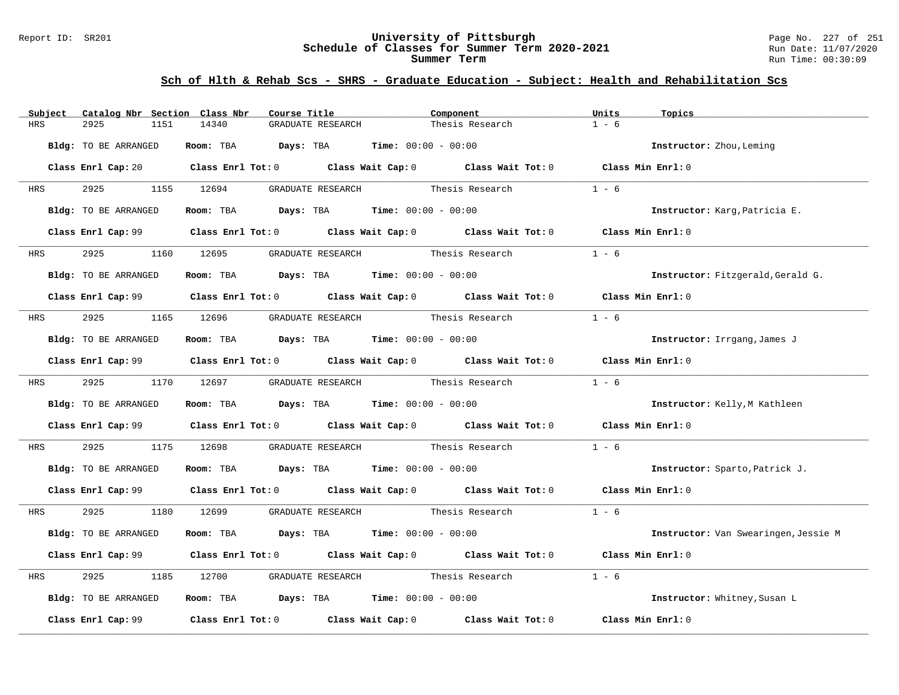#### Report ID: SR201 **University of Pittsburgh** Page No. 227 of 251 **Schedule of Classes for Summer Term 2020-2021** Run Date: 11/07/2020 **Summer Term** Run Time: 00:30:09

| Subject Catalog Nbr Section Class Nbr | Course Title                                                                                        | Component                         | Units<br>Topics                      |
|---------------------------------------|-----------------------------------------------------------------------------------------------------|-----------------------------------|--------------------------------------|
| 2925<br>HRS<br>1151                   | 14340<br>GRADUATE RESEARCH                                                                          | Thesis Research                   | $1 - 6$                              |
| Bldg: TO BE ARRANGED                  | Room: TBA $Days:$ TBA $Time: 00:00 - 00:00$                                                         |                                   | Instructor: Zhou, Leming             |
|                                       | Class Enrl Cap: 20 Class Enrl Tot: 0 Class Wait Cap: 0 Class Wait Tot: 0 Class Min Enrl: 0          |                                   |                                      |
| 2925<br><b>HRS</b>                    | 1155 12694                                                                                          | GRADUATE RESEARCH Thesis Research | $1 - 6$                              |
| Bldg: TO BE ARRANGED                  | Room: TBA $Days:$ TBA $Time: 00:00 - 00:00$                                                         |                                   | Instructor: Karg, Patricia E.        |
|                                       | Class Enrl Cap: 99 Class Enrl Tot: 0 Class Wait Cap: 0 Class Wait Tot: 0 Class Min Enrl: 0          |                                   |                                      |
| 2925<br>HRS                           | GRADUATE RESEARCH<br>1160 12695                                                                     | Thesis Research                   | $1 - 6$                              |
| Bldg: TO BE ARRANGED                  | Room: TBA $Days:$ TBA $Time: 00:00 - 00:00$                                                         |                                   | Instructor: Fitzgerald, Gerald G.    |
|                                       | Class Enrl Cap: 99 Class Enrl Tot: 0 Class Wait Cap: 0 Class Wait Tot: 0 Class Min Enrl: 0          |                                   |                                      |
| HRS                                   | 1165 12696<br>GRADUATE RESEARCH Thesis Research                                                     |                                   | $1 - 6$                              |
| Bldg: TO BE ARRANGED                  | Room: TBA $Days:$ TBA $Time: 00:00 - 00:00$                                                         |                                   | Instructor: Irrgang, James J         |
|                                       | Class Enrl Cap: 99 Class Enrl Tot: 0 Class Wait Cap: 0 Class Wait Tot: 0 Class Min Enrl: 0          |                                   |                                      |
| 2925<br><b>HRS</b>                    | 1170 12697 GRADUATE RESEARCH Thesis Research                                                        |                                   | $1 - 6$                              |
| Bldg: TO BE ARRANGED                  | Room: TBA $\rule{1em}{0.15mm}$ Days: TBA Time: $00:00 - 00:00$                                      |                                   | Instructor: Kelly, M Kathleen        |
|                                       | Class Enrl Cap: 99 Class Enrl Tot: 0 Class Wait Cap: 0 Class Wait Tot: 0 Class Min Enrl: 0          |                                   |                                      |
| 2925<br>HRS                           | 1175 12698                                                                                          | GRADUATE RESEARCH Thesis Research | $1 - 6$                              |
| Bldg: TO BE ARRANGED                  | <b>Room:</b> TBA $Days: TBA$ <b>Time:</b> $00:00 - 00:00$                                           |                                   | Instructor: Sparto, Patrick J.       |
|                                       | Class Enrl Cap: 99 Class Enrl Tot: 0 Class Wait Cap: 0 Class Wait Tot: 0 Class Min Enrl: 0          |                                   |                                      |
| 2925<br>HRS                           | 1180 12699 GRADUATE RESEARCH Thesis Research                                                        |                                   | $1 - 6$                              |
| Bldg: TO BE ARRANGED                  | Room: TBA $\rule{1em}{0.15mm}$ Days: TBA $\qquad$ Time: $00:00 - 00:00$                             |                                   | Instructor: Van Swearingen, Jessie M |
|                                       | Class Enrl Cap: 99 Class Enrl Tot: 0 Class Wait Cap: 0 Class Wait Tot: 0 Class Min Enrl: 0          |                                   |                                      |
| 2925<br>1185<br>HRS                   | GRADUATE RESEARCH Thesis Research<br>12700                                                          |                                   | $1 - 6$                              |
| Bldg: TO BE ARRANGED                  | Room: TBA $Days:$ TBA $Time: 00:00 - 00:00$                                                         |                                   | Instructor: Whitney, Susan L         |
|                                       | Class Enrl Cap: 99 $\qquad$ Class Enrl Tot: 0 $\qquad$ Class Wait Cap: 0 $\qquad$ Class Wait Tot: 0 |                                   | Class Min Enrl: 0                    |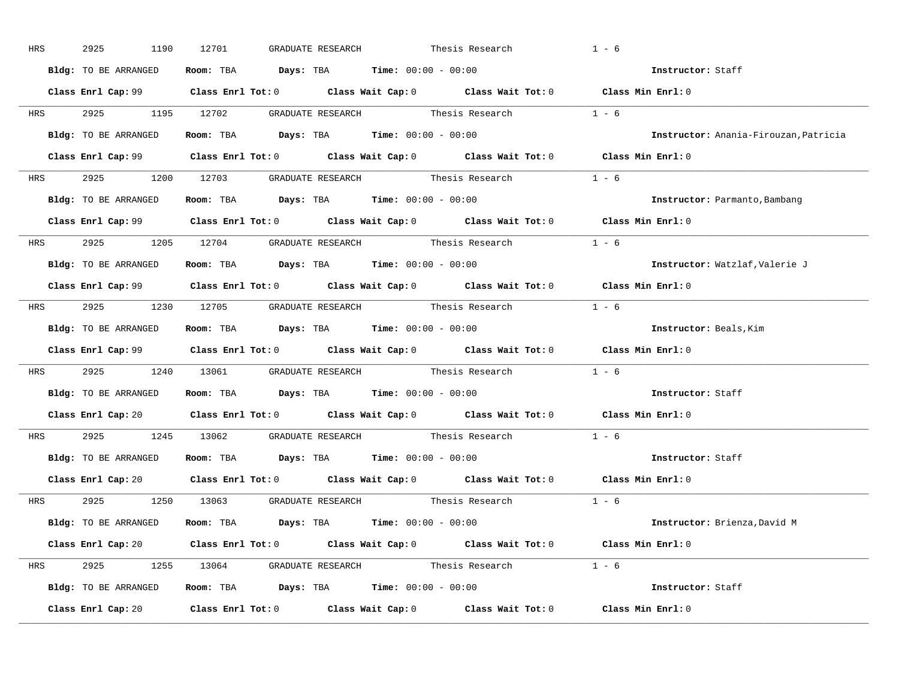| HRS        | 2925<br>1190         | 12701<br>GRADUATE RESEARCH                                                                 | Thesis Research | $1 - 6$                               |
|------------|----------------------|--------------------------------------------------------------------------------------------|-----------------|---------------------------------------|
|            | Bldg: TO BE ARRANGED | Room: TBA $Days:$ TBA $Time: 00:00 - 00:00$                                                |                 | Instructor: Staff                     |
|            |                      | Class Enrl Cap: 99 Class Enrl Tot: 0 Class Wait Cap: 0 Class Wait Tot: 0 Class Min Enrl: 0 |                 |                                       |
|            |                      | HRS 2925 1195 12702 GRADUATE RESEARCH Thesis Research 1 - 6                                |                 |                                       |
|            | Bldg: TO BE ARRANGED | Room: TBA $Days:$ TBA Time: $00:00 - 00:00$                                                |                 | Instructor: Anania-Firouzan, Patricia |
|            |                      | Class Enrl Cap: 99 Class Enrl Tot: 0 Class Wait Cap: 0 Class Wait Tot: 0 Class Min Enrl: 0 |                 |                                       |
|            |                      | HRS 2925 1200 12703 GRADUATE RESEARCH Thesis Research 1 - 6                                |                 |                                       |
|            |                      | Bldg: TO BE ARRANGED Room: TBA Days: TBA Time: 00:00 - 00:00                               |                 | Instructor: Parmanto, Bambang         |
|            |                      | Class Enrl Cap: 99 Class Enrl Tot: 0 Class Wait Cap: 0 Class Wait Tot: 0 Class Min Enrl: 0 |                 |                                       |
|            |                      | HRS $2925$ 1205 12704 GRADUATE RESEARCH Thesis Research 1 - 6                              |                 |                                       |
|            | Bldg: TO BE ARRANGED | Room: TBA $\rule{1em}{0.15mm}$ Days: TBA $\rule{1.5mm}{0.15mm}$ Time: $00:00 - 00:00$      |                 | Instructor: Watzlaf, Valerie J        |
|            |                      | Class Enrl Cap: 99 Class Enrl Tot: 0 Class Wait Cap: 0 Class Wait Tot: 0 Class Min Enrl: 0 |                 |                                       |
|            |                      | HRS 2925 1230 12705 GRADUATE RESEARCH Thesis Research 1 - 6                                |                 |                                       |
|            | Bldg: TO BE ARRANGED | Room: TBA $Days:$ TBA $Time: 00:00 - 00:00$                                                |                 | Instructor: Beals, Kim                |
|            |                      | Class Enrl Cap: 99 Class Enrl Tot: 0 Class Wait Cap: 0 Class Wait Tot: 0 Class Min Enrl: 0 |                 |                                       |
|            |                      | HRS 2925 1240 13061 GRADUATE RESEARCH Thesis Research 1 - 6                                |                 |                                       |
|            |                      | Bldg: TO BE ARRANGED ROOM: TBA Days: TBA Time: 00:00 - 00:00                               |                 | Instructor: Staff                     |
|            |                      | Class Enrl Cap: 20 Class Enrl Tot: 0 Class Wait Cap: 0 Class Wait Tot: 0 Class Min Enrl: 0 |                 |                                       |
| <b>HRS</b> |                      | 2925 1245 13062 GRADUATE RESEARCH Thesis Research                                          |                 | $1 - 6$                               |
|            |                      | <b>Bldg:</b> TO BE ARRANGED <b>Room:</b> TBA <b>Days:</b> TBA <b>Time:</b> $00:00 - 00:00$ |                 | Instructor: Staff                     |
|            |                      | Class Enrl Cap: 20 Class Enrl Tot: 0 Class Wait Cap: 0 Class Wait Tot: 0 Class Min Enrl: 0 |                 |                                       |
|            |                      | HRS 2925 1250 13063 GRADUATE RESEARCH Thesis Research                                      |                 | $1 - 6$                               |
|            |                      | Bldg: TO BE ARRANGED Room: TBA Days: TBA Time: 00:00 - 00:00                               |                 | Instructor: Brienza, David M          |
|            |                      | Class Enrl Cap: 20 Class Enrl Tot: 0 Class Wait Cap: 0 Class Wait Tot: 0 Class Min Enrl: 0 |                 |                                       |
|            |                      | HRS 2925 1255 13064 GRADUATE RESEARCH Thesis Research 1 - 6                                |                 |                                       |
|            |                      | Bldg: TO BE ARRANGED Room: TBA Days: TBA Time: 00:00 - 00:00                               |                 | Instructor: Staff                     |
|            |                      | Class Enrl Cap: 20 Class Enrl Tot: 0 Class Wait Cap: 0 Class Wait Tot: 0 Class Min Enrl: 0 |                 |                                       |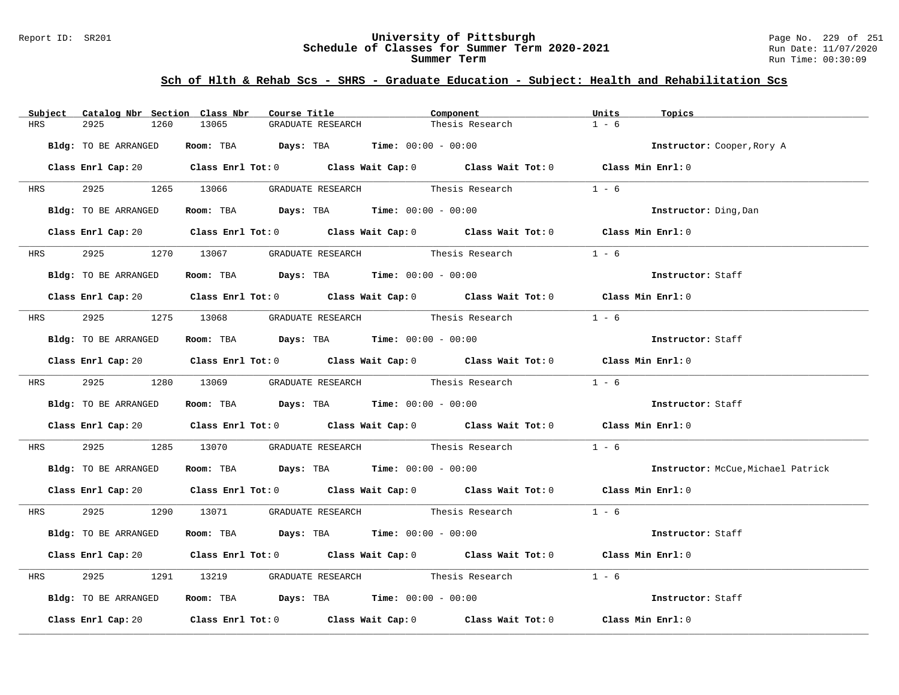#### Report ID: SR201 **University of Pittsburgh** Page No. 229 of 251 **Schedule of Classes for Summer Term 2020-2021** Run Date: 11/07/2020 **Summer Term** Run Time: 00:30:09

|            | Subject Catalog Nbr Section Class Nbr | Course Title                                                                            |                   | Component                                                                                                                      | Units<br>Topics                    |
|------------|---------------------------------------|-----------------------------------------------------------------------------------------|-------------------|--------------------------------------------------------------------------------------------------------------------------------|------------------------------------|
| HRS        | 2925<br>1260                          | 13065                                                                                   | GRADUATE RESEARCH | Thesis Research                                                                                                                | $1 - 6$                            |
|            | Bldg: TO BE ARRANGED                  | Room: TBA $\rule{1em}{0.15mm}$ Days: TBA Time: $00:00 - 00:00$                          |                   |                                                                                                                                | Instructor: Cooper, Rory A         |
|            |                                       |                                                                                         |                   | Class Enrl Cap: 20 Class Enrl Tot: 0 Class Wait Cap: 0 Class Wait Tot: 0 Class Min Enrl: 0                                     |                                    |
|            | HRS 2925 1265 13066                   |                                                                                         |                   | GRADUATE RESEARCH Thesis Research                                                                                              | $1 - 6$                            |
|            | Bldg: TO BE ARRANGED                  | Room: TBA $Days: TBA$ Time: $00:00 - 00:00$                                             |                   |                                                                                                                                | Instructor: Ding, Dan              |
|            |                                       |                                                                                         |                   | Class Enrl Cap: 20 Class Enrl Tot: 0 Class Wait Cap: 0 Class Wait Tot: 0 Class Min Enrl: 0                                     |                                    |
| <b>HRS</b> | 2925                                  | 1270 13067 GRADUATE RESEARCH Thesis Research                                            |                   |                                                                                                                                | $1 - 6$                            |
|            | Bldg: TO BE ARRANGED                  | Room: TBA $Days:$ TBA $Time: 00:00 - 00:00$                                             |                   |                                                                                                                                | Instructor: Staff                  |
|            |                                       |                                                                                         |                   | Class Enrl Cap: 20 $\qquad$ Class Enrl Tot: 0 $\qquad$ Class Wait Cap: 0 $\qquad$ Class Wait Tot: 0 $\qquad$ Class Min Enrl: 0 |                                    |
|            |                                       | HRS 2925 1275 13068 GRADUATE RESEARCH Thesis Research                                   |                   |                                                                                                                                | $1 - 6$                            |
|            | Bldg: TO BE ARRANGED                  | Room: TBA $Days: TBA$ Time: $00:00 - 00:00$                                             |                   |                                                                                                                                | Instructor: Staff                  |
|            |                                       |                                                                                         |                   | Class Enrl Cap: 20 Class Enrl Tot: 0 Class Wait Cap: 0 Class Wait Tot: 0 Class Min Enrl: 0                                     |                                    |
|            |                                       |                                                                                         |                   | HRS 2925 1280 13069 GRADUATE RESEARCH Thesis Research 1 - 6                                                                    |                                    |
|            | Bldg: TO BE ARRANGED                  | Room: TBA $Days:$ TBA $Time:$ 00:00 - 00:00                                             |                   |                                                                                                                                | Instructor: Staff                  |
|            |                                       |                                                                                         |                   | Class Enrl Cap: 20 Class Enrl Tot: 0 Class Wait Cap: 0 Class Wait Tot: 0 Class Min Enrl: 0                                     |                                    |
| <b>HRS</b> |                                       |                                                                                         |                   | 2925 1285 13070 GRADUATE RESEARCH Thesis Research                                                                              | $1 - 6$                            |
|            |                                       | Bldg: TO BE ARRANGED ROOM: TBA Days: TBA Time: 00:00 - 00:00                            |                   |                                                                                                                                | Instructor: McCue, Michael Patrick |
|            |                                       |                                                                                         |                   | Class Enrl Cap: 20 $\qquad$ Class Enrl Tot: 0 $\qquad$ Class Wait Cap: 0 $\qquad$ Class Wait Tot: 0 $\qquad$ Class Min Enrl: 0 |                                    |
|            |                                       |                                                                                         |                   | HRS 2925 1290 13071 GRADUATE RESEARCH Thesis Research 1 - 6                                                                    |                                    |
|            | Bldg: TO BE ARRANGED                  | Room: TBA $\rule{1em}{0.15mm}$ Days: TBA $\rule{1.15mm}]{0.15mm}$ Time: $00:00 - 00:00$ |                   |                                                                                                                                | Instructor: Staff                  |
|            |                                       |                                                                                         |                   | Class Enrl Cap: 20 Class Enrl Tot: 0 Class Wait Cap: 0 Class Wait Tot: 0 Class Min Enrl: 0                                     |                                    |
| HRS        | 2925                                  |                                                                                         |                   | 1291 13219 GRADUATE RESEARCH Thesis Research                                                                                   | $1 - 6$                            |
|            | Bldg: TO BE ARRANGED                  | Room: TBA $Days:$ TBA $Time: 00:00 - 00:00$                                             |                   |                                                                                                                                | Instructor: Staff                  |
|            |                                       |                                                                                         |                   | Class Enrl Cap: 20 		 Class Enrl Tot: 0 		 Class Wait Cap: 0 		 Class Wait Tot: 0 		 Class Min Enrl: 0                         |                                    |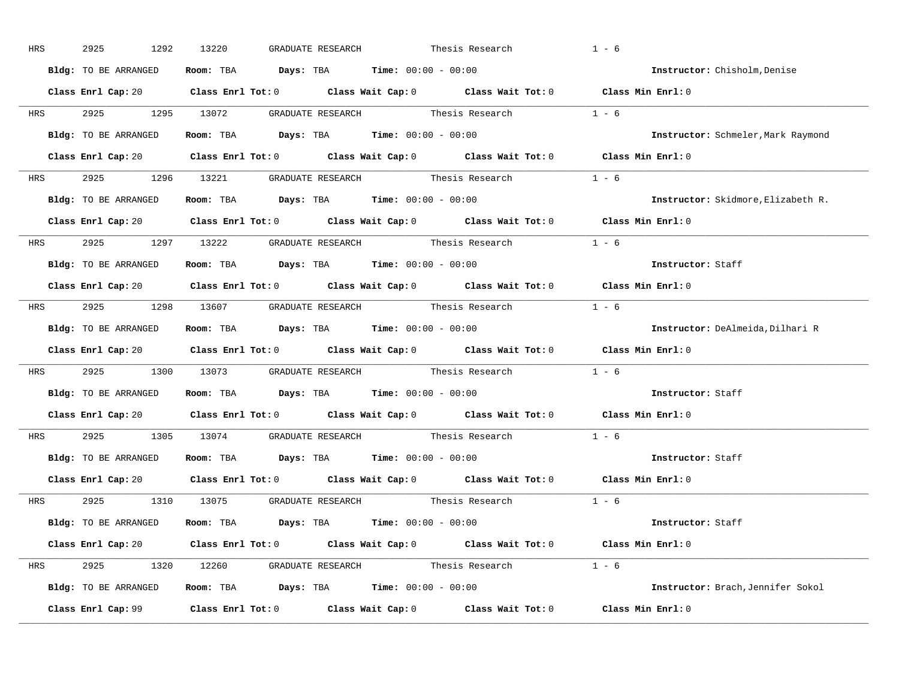| HRS        | 2925<br>1292         | 13220<br>GRADUATE RESEARCH                                                                 | Thesis Research | $1 - 6$                            |
|------------|----------------------|--------------------------------------------------------------------------------------------|-----------------|------------------------------------|
|            | Bldg: TO BE ARRANGED | Room: TBA $Days:$ TBA $Time: 00:00 - 00:00$                                                |                 | Instructor: Chisholm, Denise       |
|            |                      | Class Enrl Cap: 20 Class Enrl Tot: 0 Class Wait Cap: 0 Class Wait Tot: 0 Class Min Enrl: 0 |                 |                                    |
|            |                      | HRS 2925 1295 13072 GRADUATE RESEARCH Thesis Research 1 - 6                                |                 |                                    |
|            | Bldg: TO BE ARRANGED | Room: TBA $Days:$ TBA Time: $00:00 - 00:00$                                                |                 | Instructor: Schmeler, Mark Raymond |
|            |                      | Class Enrl Cap: 20 Class Enrl Tot: 0 Class Wait Cap: 0 Class Wait Tot: 0 Class Min Enrl: 0 |                 |                                    |
|            |                      | HRS 2925 1296 13221 GRADUATE RESEARCH Thesis Research 1 - 6                                |                 |                                    |
|            |                      | Bldg: TO BE ARRANGED Room: TBA Days: TBA Time: 00:00 - 00:00                               |                 | Instructor: Skidmore, Elizabeth R. |
|            |                      | Class Enrl Cap: 20 Class Enrl Tot: 0 Class Wait Cap: 0 Class Wait Tot: 0 Class Min Enrl: 0 |                 |                                    |
|            |                      | HRS $2925$ 1297 13222 GRADUATE RESEARCH Thesis Research 1 - 6                              |                 |                                    |
|            | Bldg: TO BE ARRANGED | Room: TBA $\rule{1em}{0.15mm}$ Days: TBA Time: $00:00 - 00:00$                             |                 | Instructor: Staff                  |
|            |                      | Class Enrl Cap: 20 Class Enrl Tot: 0 Class Wait Cap: 0 Class Wait Tot: 0 Class Min Enrl: 0 |                 |                                    |
|            |                      | HRS 2925 1298 13607 GRADUATE RESEARCH Thesis Research 1 - 6                                |                 |                                    |
|            | Bldg: TO BE ARRANGED | Room: TBA $Days:$ TBA $Time: 00:00 - 00:00$                                                |                 | Instructor: DeAlmeida,Dilhari R    |
|            |                      | Class Enrl Cap: 20 Class Enrl Tot: 0 Class Wait Cap: 0 Class Wait Tot: 0 Class Min Enrl: 0 |                 |                                    |
|            |                      | HRS 2925 1300 13073 GRADUATE RESEARCH Thesis Research 1 - 6                                |                 |                                    |
|            |                      | Bldg: TO BE ARRANGED ROOM: TBA Days: TBA Time: 00:00 - 00:00                               |                 | Instructor: Staff                  |
|            |                      | Class Enrl Cap: 20 Class Enrl Tot: 0 Class Wait Cap: 0 Class Wait Tot: 0 Class Min Enrl: 0 |                 |                                    |
| <b>HRS</b> |                      | 2925 1305 13074 GRADUATE RESEARCH Thesis Research 1 - 6                                    |                 |                                    |
|            |                      | <b>Bldg:</b> TO BE ARRANGED <b>Room:</b> TBA <b>Days:</b> TBA <b>Time:</b> $00:00 - 00:00$ |                 | Instructor: Staff                  |
|            |                      | Class Enrl Cap: 20 Class Enrl Tot: 0 Class Wait Cap: 0 Class Wait Tot: 0 Class Min Enrl: 0 |                 |                                    |
|            |                      | HRS 2925 1310 13075 GRADUATE RESEARCH Thesis Research 1 - 6                                |                 |                                    |
|            |                      | Bldg: TO BE ARRANGED Room: TBA Days: TBA Time: 00:00 - 00:00                               |                 | Instructor: Staff                  |
|            |                      | Class Enrl Cap: 20 Class Enrl Tot: 0 Class Wait Cap: 0 Class Wait Tot: 0 Class Min Enrl: 0 |                 |                                    |
|            |                      | HRS 2925 1320 12260 GRADUATE RESEARCH Thesis Research 1 - 6                                |                 |                                    |
|            |                      | Bldg: TO BE ARRANGED Room: TBA Days: TBA Time: 00:00 - 00:00                               |                 | Instructor: Brach, Jennifer Sokol  |
|            |                      | Class Enrl Cap: 99 Class Enrl Tot: 0 Class Wait Cap: 0 Class Wait Tot: 0 Class Min Enrl: 0 |                 |                                    |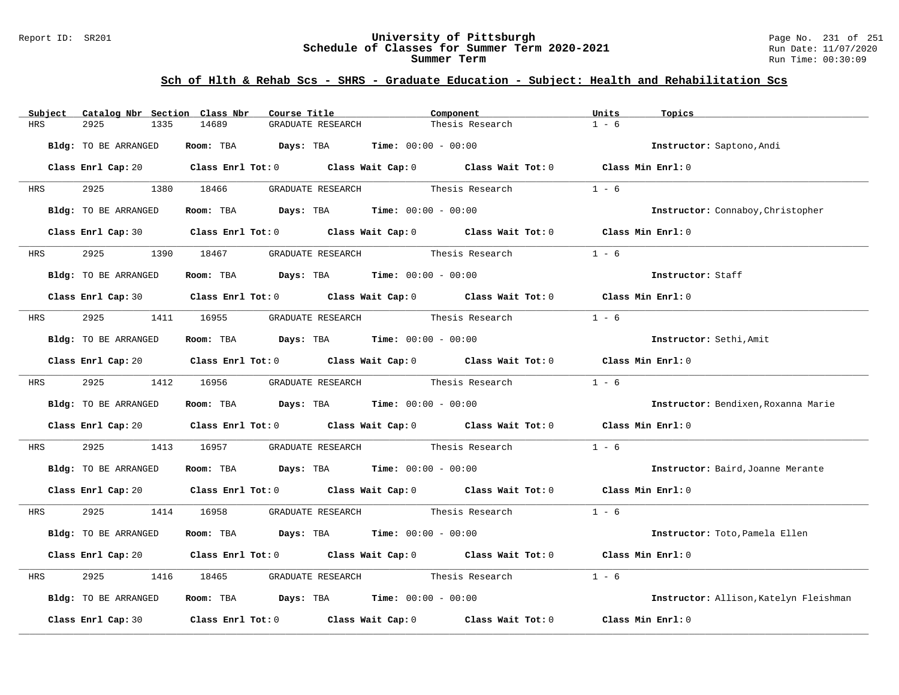#### Report ID: SR201 **University of Pittsburgh** Page No. 231 of 251 **Schedule of Classes for Summer Term 2020-2021** Run Date: 11/07/2020 **Summer Term** Run Time: 00:30:09

| Catalog Nbr Section Class Nbr<br>Subject | Course Title                                                                                                                   | Component                         | Units<br>Topics                        |
|------------------------------------------|--------------------------------------------------------------------------------------------------------------------------------|-----------------------------------|----------------------------------------|
| <b>HRS</b><br>2925<br>1335               | 14689<br>GRADUATE RESEARCH                                                                                                     | Thesis Research                   | $1 - 6$                                |
| Bldg: TO BE ARRANGED                     | Room: TBA $Days:$ TBA $Time: 00:00 - 00:00$                                                                                    |                                   | Instructor: Saptono, Andi              |
|                                          | Class Enrl Cap: 20 $\qquad$ Class Enrl Tot: 0 $\qquad$ Class Wait Cap: 0 $\qquad$ Class Wait Tot: 0 $\qquad$ Class Min Enrl: 0 |                                   |                                        |
| 2925<br><b>HRS</b>                       | 1380 18466                                                                                                                     | GRADUATE RESEARCH Thesis Research | $1 - 6$                                |
| Bldg: TO BE ARRANGED                     | Room: TBA $Days:$ TBA $Time: 00:00 - 00:00$                                                                                    |                                   | Instructor: Connaboy, Christopher      |
|                                          | Class Enrl Cap: 30 Class Enrl Tot: 0 Class Wait Cap: 0 Class Wait Tot: 0 Class Min Enrl: 0                                     |                                   |                                        |
| HRS 2925                                 | 1390 18467 GRADUATE RESEARCH Thesis Research                                                                                   |                                   | $1 - 6$                                |
| Bldg: TO BE ARRANGED                     | Room: TBA $Days:$ TBA $Time: 00:00 - 00:00$                                                                                    |                                   | Instructor: Staff                      |
|                                          | Class Enrl Cap: 30 Class Enrl Tot: 0 Class Wait Cap: 0 Class Wait Tot: 0 Class Min Enrl: 0                                     |                                   |                                        |
| <b>HRS</b>                               | 2925 1411 16955 GRADUATE RESEARCH Thesis Research                                                                              |                                   | $1 - 6$                                |
| Bldg: TO BE ARRANGED                     | Room: TBA $Days:$ TBA $Time: 00:00 - 00:00$                                                                                    |                                   | Instructor: Sethi, Amit                |
|                                          | Class Enrl Cap: 20 Class Enrl Tot: 0 Class Wait Cap: 0 Class Wait Tot: 0 Class Min Enrl: 0                                     |                                   |                                        |
| HRS 2925 1412 16956                      |                                                                                                                                |                                   | $1 - 6$                                |
| Bldg: TO BE ARRANGED                     | Room: TBA $\rule{1em}{0.15mm}$ Days: TBA Time: $00:00 - 00:00$                                                                 |                                   | Instructor: Bendixen, Roxanna Marie    |
|                                          | Class Enrl Cap: 20 Class Enrl Tot: 0 Class Wait Cap: 0 Class Wait Tot: 0 Class Min Enrl: 0                                     |                                   |                                        |
| 2925<br>HRS                              | 1413 16957                                                                                                                     | GRADUATE RESEARCH Thesis Research | $1 - 6$                                |
| Bldg: TO BE ARRANGED                     | Room: TBA $Days:$ TBA $Time: 00:00 - 00:00$                                                                                    |                                   | Instructor: Baird, Joanne Merante      |
|                                          | Class Enrl Cap: 20 $\qquad$ Class Enrl Tot: 0 $\qquad$ Class Wait Cap: 0 $\qquad$ Class Wait Tot: 0 $\qquad$ Class Min Enrl: 0 |                                   |                                        |
| HRS                                      | 2925 1414 16958 GRADUATE RESEARCH Thesis Research                                                                              |                                   | $1 - 6$                                |
| Bldg: TO BE ARRANGED                     | Room: TBA $\rule{1em}{0.15mm}$ Days: TBA Time: $00:00 - 00:00$                                                                 |                                   | Instructor: Toto, Pamela Ellen         |
|                                          | Class Enrl Cap: 20 Class Enrl Tot: 0 Class Wait Cap: 0 Class Wait Tot: 0 Class Min Enrl: 0                                     |                                   |                                        |
| 2925<br>HRS<br>1416                      | 18465                                                                                                                          | GRADUATE RESEARCH Thesis Research | $1 - 6$                                |
| Bldg: TO BE ARRANGED                     | Room: TBA $Days:$ TBA $Time:$ 00:00 - 00:00                                                                                    |                                   | Instructor: Allison, Katelyn Fleishman |
| Class Enrl Cap: 30                       | Class Enrl Tot: $0$ Class Wait Cap: $0$ Class Wait Tot: $0$                                                                    |                                   | Class Min Enrl: 0                      |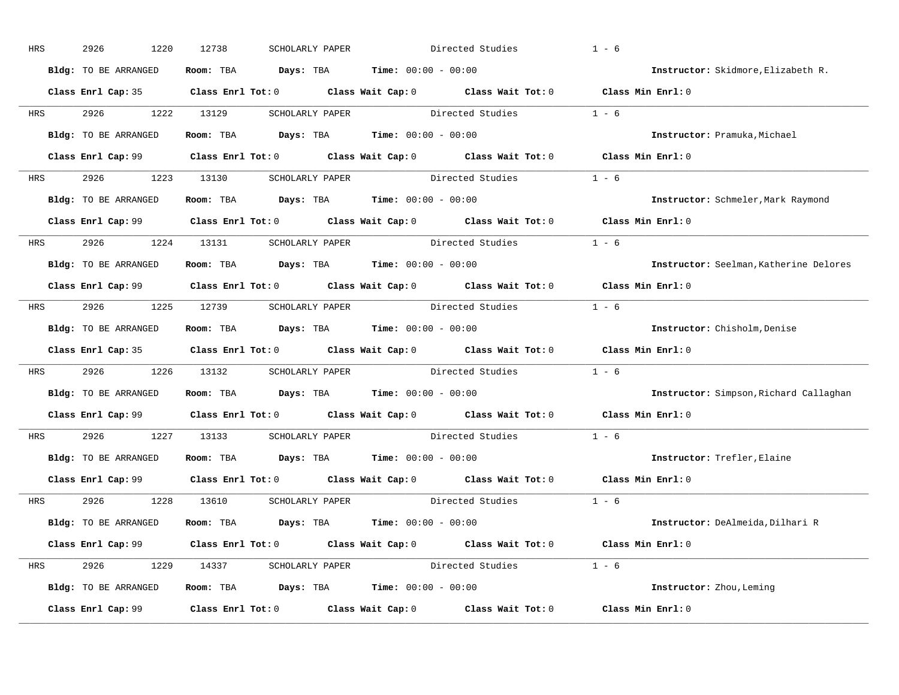| HRS        | 2926<br>1220         | 12738             | SCHOLARLY PAPER                                                                                     | Directed Studies                                                                           | $1 - 6$                                |
|------------|----------------------|-------------------|-----------------------------------------------------------------------------------------------------|--------------------------------------------------------------------------------------------|----------------------------------------|
|            | Bldg: TO BE ARRANGED | Room: TBA         | $Days: TBA$ Time: $00:00 - 00:00$                                                                   |                                                                                            | Instructor: Skidmore, Elizabeth R.     |
|            |                      |                   |                                                                                                     | Class Enrl Cap: 35 Class Enrl Tot: 0 Class Wait Cap: 0 Class Wait Tot: 0 Class Min Enrl: 0 |                                        |
| HRS        | 2926<br>1222         | 13129             | SCHOLARLY PAPER                                                                                     | Directed Studies                                                                           | $1 - 6$                                |
|            | Bldg: TO BE ARRANGED | Room: TBA         | <b>Days:</b> TBA <b>Time:</b> $00:00 - 00:00$                                                       |                                                                                            | Instructor: Pramuka, Michael           |
|            |                      |                   |                                                                                                     | Class Enrl Cap: 99 Class Enrl Tot: 0 Class Wait Cap: 0 Class Wait Tot: 0 Class Min Enrl: 0 |                                        |
| HRS        | 2926                 | 1223 13130        |                                                                                                     | SCHOLARLY PAPER Directed Studies 1 - 6                                                     |                                        |
|            | Bldg: TO BE ARRANGED |                   | Room: TBA $Days:$ TBA $Time: 00:00 - 00:00$                                                         |                                                                                            | Instructor: Schmeler, Mark Raymond     |
|            |                      |                   |                                                                                                     | Class Enrl Cap: 99 Class Enrl Tot: 0 Class Wait Cap: 0 Class Wait Tot: 0 Class Min Enrl: 0 |                                        |
| HRS        | 2926                 | 1224 13131        | SCHOLARLY PAPER                                                                                     | Directed Studies 1 - 6                                                                     |                                        |
|            | Bldg: TO BE ARRANGED |                   | Room: TBA $\rule{1em}{0.15mm}$ Days: TBA $\rule{1.5mm}{0.15mm}$ Time: $00:00 - 00:00$               |                                                                                            | Instructor: Seelman, Katherine Delores |
|            |                      |                   | Class Enrl Cap: 99 Class Enrl Tot: 0 Class Wait Cap: 0 Class Wait Tot: 0                            |                                                                                            | Class Min Enrl: 0                      |
| <b>HRS</b> | 2926<br>1225         | 12739             |                                                                                                     | SCHOLARLY PAPER Directed Studies                                                           | $1 - 6$                                |
|            | Bldg: TO BE ARRANGED | Room: TBA         | <b>Days:</b> TBA <b>Time:</b> $00:00 - 00:00$                                                       |                                                                                            | Instructor: Chisholm, Denise           |
|            |                      |                   |                                                                                                     | Class Enrl Cap: 35 Class Enrl Tot: 0 Class Wait Cap: 0 Class Wait Tot: 0 Class Min Enrl: 0 |                                        |
| HRS        | 2926<br>1226         | 13132             | SCHOLARLY PAPER Directed Studies                                                                    |                                                                                            | $1 - 6$                                |
|            | Bldg: TO BE ARRANGED | Room: TBA         | $\texttt{Days:}$ TBA Time: $00:00 - 00:00$                                                          |                                                                                            | Instructor: Simpson, Richard Callaghan |
|            |                      |                   | Class Enrl Cap: 99 $\qquad$ Class Enrl Tot: 0 $\qquad$ Class Wait Cap: 0 $\qquad$ Class Wait Tot: 0 |                                                                                            | Class Min Enrl: 0                      |
| HRS        | 2926<br>1227         | 13133             |                                                                                                     | SCHOLARLY PAPER Directed Studies 1 - 6                                                     |                                        |
|            | Bldg: TO BE ARRANGED |                   | <b>Room:</b> TBA <b>Days:</b> TBA <b>Time:</b> 00:00 - 00:00                                        |                                                                                            | Instructor: Trefler, Elaine            |
|            |                      |                   |                                                                                                     | Class Enrl Cap: 99 Class Enrl Tot: 0 Class Wait Cap: 0 Class Wait Tot: 0 Class Min Enrl: 0 |                                        |
| HRS        | 2926<br>1228         | 13610             | SCHOLARLY PAPER                                                                                     | Directed Studies 1 - 6                                                                     |                                        |
|            | Bldg: TO BE ARRANGED |                   | Room: TBA $Days: TBA$ Time: $00:00 - 00:00$                                                         |                                                                                            | Instructor: DeAlmeida, Dilhari R       |
|            |                      |                   |                                                                                                     | Class Enrl Cap: 99 Class Enrl Tot: 0 Class Wait Cap: 0 Class Wait Tot: 0 Class Min Enrl: 0 |                                        |
| HRS        | 2926<br>1229         | 14337             |                                                                                                     | SCHOLARLY PAPER Directed Studies 1 - 6                                                     |                                        |
|            | Bldg: TO BE ARRANGED |                   | Room: TBA $Days:$ TBA $Time: 00:00 - 00:00$                                                         |                                                                                            | Instructor: Zhou, Leming               |
|            | Class Enrl Cap: 99   | Class Enrl Tot: 0 | Class Wait Cap: 0                                                                                   | Class Wait Tot: 0                                                                          | Class Min Enrl: 0                      |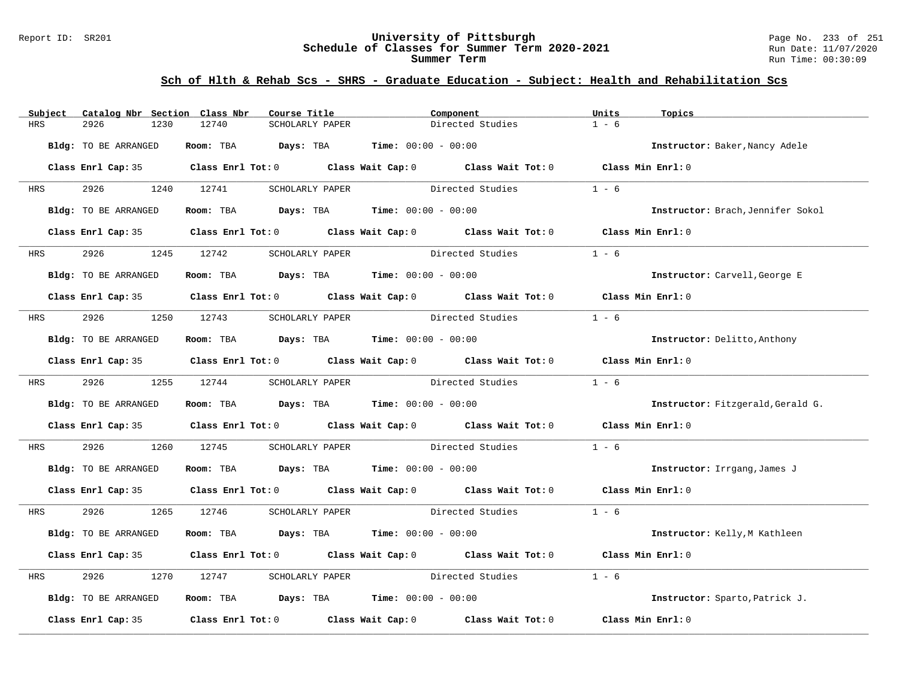#### Report ID: SR201 **University of Pittsburgh** Page No. 233 of 251 **Schedule of Classes for Summer Term 2020-2021** Run Date: 11/07/2020 **Summer Term** Run Time: 00:30:09

| Subject    | Catalog Nbr Section Class Nbr | Course Title                                | Component                                                                                  | Units<br>Topics                   |
|------------|-------------------------------|---------------------------------------------|--------------------------------------------------------------------------------------------|-----------------------------------|
| <b>HRS</b> | 2926<br>1230                  | 12740<br>SCHOLARLY PAPER                    | Directed Studies                                                                           | $1 - 6$                           |
|            | Bldg: TO BE ARRANGED          | Room: TBA Days: TBA                         | <b>Time:</b> $00:00 - 00:00$                                                               | Instructor: Baker, Nancy Adele    |
|            |                               |                                             | Class Enrl Cap: 35 Class Enrl Tot: 0 Class Wait Cap: 0 Class Wait Tot: 0 Class Min Enrl: 0 |                                   |
| HRS        | 2926                          | 1240 12741<br>SCHOLARLY PAPER               | Directed Studies                                                                           | $1 - 6$                           |
|            | Bldg: TO BE ARRANGED          | Room: TBA $Days:$ TBA $Time: 00:00 - 00:00$ |                                                                                            | Instructor: Brach, Jennifer Sokol |
|            |                               |                                             | Class Enrl Cap: 35 Class Enrl Tot: 0 Class Wait Cap: 0 Class Wait Tot: 0                   | Class Min Enrl: 0                 |
| HRS        | 2926                          | 1245 12742<br>SCHOLARLY PAPER               | Directed Studies                                                                           | $1 - 6$                           |
|            | Bldg: TO BE ARRANGED          | Room: TBA $Days:$ TBA $Time: 00:00 - 00:00$ |                                                                                            | Instructor: Carvell, George E     |
|            |                               |                                             | Class Enrl Cap: 35 Class Enrl Tot: 0 Class Wait Cap: 0 Class Wait Tot: 0 Class Min Enrl: 0 |                                   |
| HRS        | 2926                          | 1250 12743<br>SCHOLARLY PAPER               | Directed Studies                                                                           | $1 - 6$                           |
|            | Bldg: TO BE ARRANGED          | Room: TBA $Days:$ TBA $Time: 00:00 - 00:00$ |                                                                                            | Instructor: Delitto, Anthony      |
|            |                               |                                             | Class Enrl Cap: 35 Class Enrl Tot: 0 Class Wait Cap: 0 Class Wait Tot: 0                   | Class Min Enrl: 0                 |
|            | HRS 2926                      | 1255 12744                                  | SCHOLARLY PAPER Directed Studies                                                           | $1 - 6$                           |
|            | Bldg: TO BE ARRANGED          | Room: TBA $Days:$ TBA $Time: 00:00 - 00:00$ |                                                                                            | Instructor: Fitzgerald, Gerald G. |
|            |                               |                                             | Class Enrl Cap: 35 Class Enrl Tot: 0 Class Wait Cap: 0 Class Wait Tot: 0 Class Min Enrl: 0 |                                   |
| HRS        | 2926<br>1260                  | 12745                                       | SCHOLARLY PAPER Directed Studies                                                           | $1 - 6$                           |
|            | Bldg: TO BE ARRANGED          | Room: TBA $Days:$ TBA $Time: 00:00 - 00:00$ |                                                                                            | Instructor: Irrgang, James J      |
|            |                               |                                             | Class Enrl Cap: 35 Class Enrl Tot: 0 Class Wait Cap: 0 Class Wait Tot: 0 Class Min Enrl: 0 |                                   |
| HRS        | 2926 200                      | 1265 12746                                  | SCHOLARLY PAPER Directed Studies                                                           | $1 - 6$                           |
|            | Bldg: TO BE ARRANGED          | Room: TBA $Days:$ TBA $Time: 00:00 - 00:00$ |                                                                                            | Instructor: Kelly, M Kathleen     |
|            |                               |                                             | Class Enrl Cap: 35 Class Enrl Tot: 0 Class Wait Cap: 0 Class Wait Tot: 0                   | Class Min Enrl: 0                 |
| HRS        | 2926<br>1270                  | 12747<br>SCHOLARLY PAPER                    | Directed Studies                                                                           | $1 - 6$                           |
|            | Bldg: TO BE ARRANGED          | Room: TBA $Days:$ TBA $Time: 00:00 - 00:00$ |                                                                                            | Instructor: Sparto, Patrick J.    |
|            | Class Enrl Cap: 35            |                                             | Class Enrl Tot: $0$ Class Wait Cap: $0$ Class Wait Tot: $0$                                | Class Min Enrl: 0                 |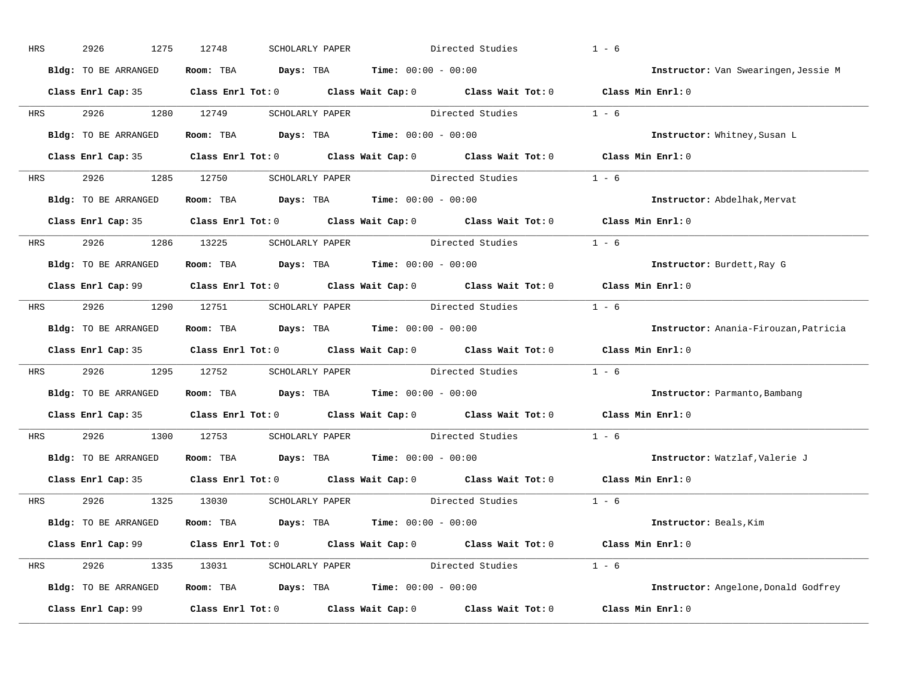| HRS        | 2926<br>1275         | 12748<br>SCHOLARLY PAPER                    | Directed Studies                                                                           | $1 - 6$                               |
|------------|----------------------|---------------------------------------------|--------------------------------------------------------------------------------------------|---------------------------------------|
|            | Bldg: TO BE ARRANGED | Room: TBA $Days:$ TBA $Time: 00:00 - 00:00$ |                                                                                            | Instructor: Van Swearingen, Jessie M  |
|            |                      |                                             | Class Enrl Cap: 35 Class Enrl Tot: 0 Class Wait Cap: 0 Class Wait Tot: 0 Class Min Enrl: 0 |                                       |
| <b>HRS</b> | 2926 1280 12749      |                                             | SCHOLARLY PAPER Directed Studies                                                           | $1 - 6$                               |
|            | Bldg: TO BE ARRANGED | Room: TBA $Days:$ TBA Time: $00:00 - 00:00$ |                                                                                            | Instructor: Whitney, Susan L          |
|            |                      |                                             | Class Enrl Cap: 35 Class Enrl Tot: 0 Class Wait Cap: 0 Class Wait Tot: 0 Class Min Enrl: 0 |                                       |
|            |                      |                                             | HRS 2926 1285 12750 SCHOLARLY PAPER Directed Studies 1 - 6                                 |                                       |
|            | Bldg: TO BE ARRANGED | Room: TBA $Days:$ TBA $Time: 00:00 - 00:00$ |                                                                                            | Instructor: Abdelhak, Mervat          |
|            |                      |                                             | Class Enrl Cap: 35 Class Enrl Tot: 0 Class Wait Cap: 0 Class Wait Tot: 0 Class Min Enrl: 0 |                                       |
|            |                      | HRS 2926 1286 13225 SCHOLARLY PAPER         | Directed Studies                                                                           | $1 - 6$                               |
|            | Bldg: TO BE ARRANGED | Room: TBA $Days:$ TBA $Time: 00:00 - 00:00$ |                                                                                            | Instructor: Burdett, Ray G            |
|            |                      |                                             | Class Enrl Cap: 99 Class Enrl Tot: 0 Class Wait Cap: 0 Class Wait Tot: 0 Class Min Enrl: 0 |                                       |
| HRS        |                      |                                             | 2926 1290 12751 SCHOLARLY PAPER Directed Studies 1 - 6                                     |                                       |
|            | Bldg: TO BE ARRANGED | Room: TBA $Days:$ TBA $Time: 00:00 - 00:00$ |                                                                                            | Instructor: Anania-Firouzan, Patricia |
|            |                      |                                             | Class Enrl Cap: 35 Class Enrl Tot: 0 Class Wait Cap: 0 Class Wait Tot: 0 Class Min Enrl: 0 |                                       |
| <b>HRS</b> |                      |                                             | 2926 1295 12752 SCHOLARLY PAPER Directed Studies 1 - 6                                     |                                       |
|            | Bldg: TO BE ARRANGED | Room: TBA $Days:$ TBA $Time: 00:00 - 00:00$ |                                                                                            | Instructor: Parmanto, Bambang         |
|            |                      |                                             | Class Enrl Cap: 35 Class Enrl Tot: 0 Class Wait Cap: 0 Class Wait Tot: 0                   | Class Min Enrl: 0                     |
| <b>HRS</b> | 2926 1300 12753      |                                             | SCHOLARLY PAPER Directed Studies                                                           | $1 - 6$                               |
|            | Bldg: TO BE ARRANGED | Room: TBA $Days:$ TBA $Time: 00:00 - 00:00$ |                                                                                            | Instructor: Watzlaf, Valerie J        |
|            |                      |                                             | Class Enrl Cap: 35 Class Enrl Tot: 0 Class Wait Cap: 0 Class Wait Tot: 0                   | Class Min Enrl: 0                     |
|            |                      | HRS 2926 1325 13030 SCHOLARLY PAPER         | Directed Studies 1 - 6                                                                     |                                       |
|            | Bldg: TO BE ARRANGED | Room: TBA $Days:$ TBA $Time: 00:00 - 00:00$ |                                                                                            | Instructor: Beals, Kim                |
|            |                      |                                             | Class Enrl Cap: 99 Class Enrl Tot: 0 Class Wait Cap: 0 Class Wait Tot: 0 Class Min Enrl: 0 |                                       |
|            |                      |                                             | HRS 2926 1335 13031 SCHOLARLY PAPER Directed Studies 1 - 6                                 |                                       |
|            | Bldg: TO BE ARRANGED | Room: TBA $Days:$ TBA $Time: 00:00 - 00:00$ |                                                                                            | Instructor: Angelone, Donald Godfrey  |
|            |                      |                                             | Class Enrl Cap: 99 Class Enrl Tot: 0 Class Wait Cap: 0 Class Wait Tot: 0 Class Min Enrl: 0 |                                       |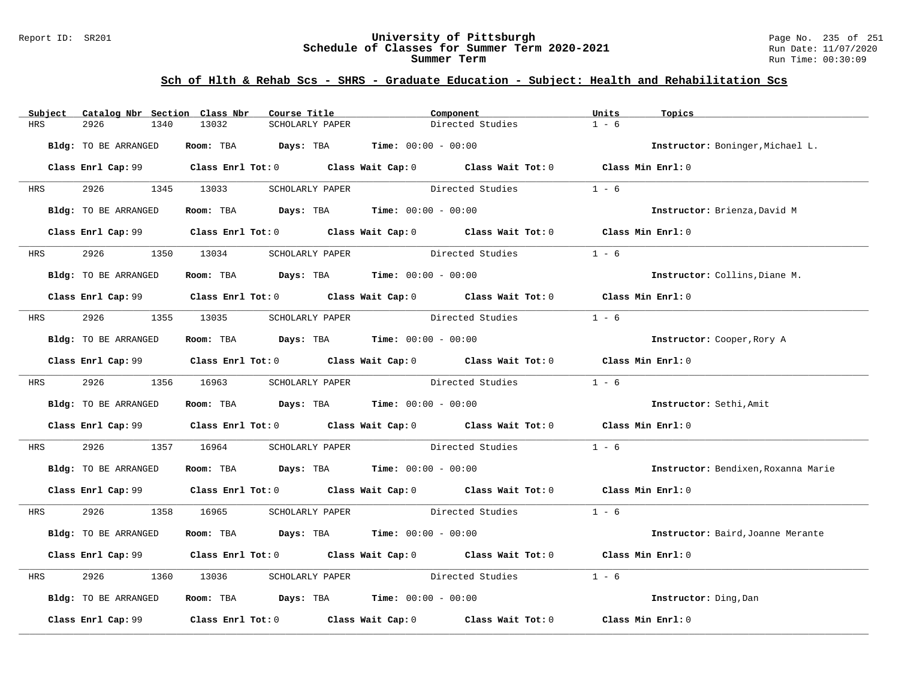#### Report ID: SR201 **University of Pittsburgh** Page No. 235 of 251 **Schedule of Classes for Summer Term 2020-2021** Run Date: 11/07/2020 **Summer Term** Run Time: 00:30:09

| Subject    | Catalog Nbr Section Class Nbr | Course Title                                                                          | Component                                                                                  | Units<br>Topics                     |
|------------|-------------------------------|---------------------------------------------------------------------------------------|--------------------------------------------------------------------------------------------|-------------------------------------|
| <b>HRS</b> | 2926<br>1340                  | 13032<br>SCHOLARLY PAPER                                                              | Directed Studies                                                                           | $1 - 6$                             |
|            | Bldg: TO BE ARRANGED          | Room: TBA $Days:$ TBA $Time: 00:00 - 00:00$                                           |                                                                                            | Instructor: Boninger, Michael L.    |
|            |                               |                                                                                       | Class Enrl Cap: 99 Class Enrl Tot: 0 Class Wait Cap: 0 Class Wait Tot: 0 Class Min Enrl: 0 |                                     |
| <b>HRS</b> | 2926                          | 1345 13033<br>SCHOLARLY PAPER                                                         | Directed Studies                                                                           | $1 - 6$                             |
|            | Bldg: TO BE ARRANGED          | Room: TBA $\rule{1em}{0.15mm}$ Days: TBA $\rule{1.5mm}{0.15mm}$ Time: $00:00 - 00:00$ |                                                                                            | Instructor: Brienza, David M        |
|            |                               |                                                                                       | Class Enrl Cap: 99 Class Enrl Tot: 0 Class Wait Cap: 0 Class Wait Tot: 0 Class Min Enrl: 0 |                                     |
|            | HRS 2926 1350 13034           | SCHOLARLY PAPER                                                                       | Directed Studies                                                                           | $1 - 6$                             |
|            | Bldg: TO BE ARRANGED          | Room: TBA $Days:$ TBA $Time: 00:00 - 00:00$                                           |                                                                                            | Instructor: Collins, Diane M.       |
|            |                               |                                                                                       | Class Enrl Cap: 99 Class Enrl Tot: 0 Class Wait Cap: 0 Class Wait Tot: 0 Class Min Enrl: 0 |                                     |
| <b>HRS</b> | 2926 1355 13035               |                                                                                       | SCHOLARLY PAPER Directed Studies                                                           | $1 - 6$                             |
|            | Bldg: TO BE ARRANGED          | Room: TBA $Days:$ TBA $Time: 00:00 - 00:00$                                           |                                                                                            | Instructor: Cooper, Rory A          |
|            |                               |                                                                                       | Class Enrl Cap: 99 Class Enrl Tot: 0 Class Wait Cap: 0 Class Wait Tot: 0 Class Min Enrl: 0 |                                     |
|            | HRS 2926 1356 16963           |                                                                                       | SCHOLARLY PAPER Directed Studies                                                           | $1 - 6$                             |
|            | Bldg: TO BE ARRANGED          | Room: TBA $Days:$ TBA $Time: 00:00 - 00:00$                                           |                                                                                            | Instructor: Sethi, Amit             |
|            |                               |                                                                                       | Class Enrl Cap: 99 Class Enrl Tot: 0 Class Wait Cap: 0 Class Wait Tot: 0 Class Min Enrl: 0 |                                     |
| HRS        | 2926                          | 1357 16964                                                                            | SCHOLARLY PAPER Directed Studies                                                           | $1 - 6$                             |
|            | Bldg: TO BE ARRANGED          | Room: TBA $Days$ : TBA Time: $00:00 - 00:00$                                          |                                                                                            | Instructor: Bendixen, Roxanna Marie |
|            |                               |                                                                                       | Class Enrl Cap: 99 Class Enrl Tot: 0 Class Wait Cap: 0 Class Wait Tot: 0 Class Min Enrl: 0 |                                     |
| HRS        | 2926 1358 16965               |                                                                                       | SCHOLARLY PAPER Directed Studies                                                           | $1 - 6$                             |
|            | Bldg: TO BE ARRANGED          | Room: TBA $Days:$ TBA $Time: 00:00 - 00:00$                                           |                                                                                            | Instructor: Baird, Joanne Merante   |
|            |                               |                                                                                       | Class Enrl Cap: 99 Class Enrl Tot: 0 Class Wait Cap: 0 Class Wait Tot: 0 Class Min Enrl: 0 |                                     |
| HRS        | 2926<br>1360                  | 13036                                                                                 | SCHOLARLY PAPER Directed Studies                                                           | $1 - 6$                             |
|            | Bldg: TO BE ARRANGED          | Room: TBA $Days:$ TBA Time: $00:00 - 00:00$                                           |                                                                                            | Instructor: Ding, Dan               |
|            | Class Enrl Cap: 99            |                                                                                       | Class Enrl Tot: $0$ Class Wait Cap: $0$ Class Wait Tot: $0$                                | Class Min Enrl: 0                   |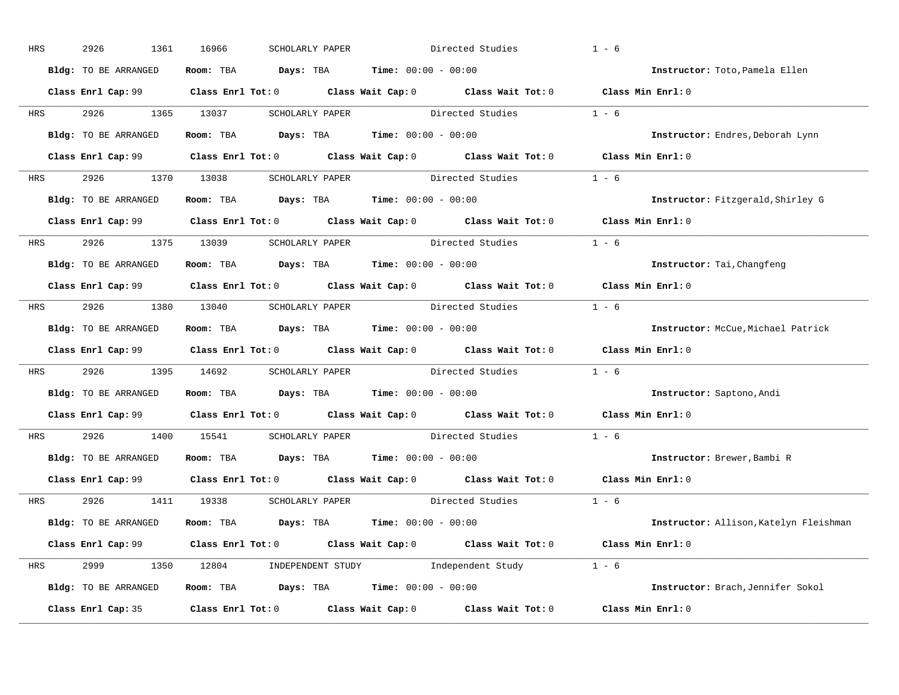| HRS        | 2926<br>1361         | 16966<br>SCHOLARLY PAPER                                       | Directed Studies                                                                           | $1 - 6$                                |
|------------|----------------------|----------------------------------------------------------------|--------------------------------------------------------------------------------------------|----------------------------------------|
|            | Bldg: TO BE ARRANGED | Room: TBA $Days:$ TBA $Time: 00:00 - 00:00$                    |                                                                                            | Instructor: Toto, Pamela Ellen         |
|            |                      |                                                                | Class Enrl Cap: 99 Class Enrl Tot: 0 Class Wait Cap: 0 Class Wait Tot: 0 Class Min Enrl: 0 |                                        |
|            | HRS 2926 1365 13037  |                                                                | SCHOLARLY PAPER Directed Studies                                                           | $1 - 6$                                |
|            | Bldg: TO BE ARRANGED | Room: TBA $Days:$ TBA Time: $00:00 - 00:00$                    |                                                                                            | Instructor: Endres, Deborah Lynn       |
|            |                      |                                                                | Class Enrl Cap: 99 Class Enrl Tot: 0 Class Wait Cap: 0 Class Wait Tot: 0 Class Min Enrl: 0 |                                        |
|            |                      |                                                                | HRS 2926 1370 13038 SCHOLARLY PAPER Directed Studies 1 - 6                                 |                                        |
|            | Bldg: TO BE ARRANGED | Room: TBA $Days:$ TBA $Time: 00:00 - 00:00$                    |                                                                                            | Instructor: Fitzgerald, Shirley G      |
|            |                      |                                                                | Class Enrl Cap: 99 Class Enrl Tot: 0 Class Wait Cap: 0 Class Wait Tot: 0 Class Min Enrl: 0 |                                        |
|            |                      | HRS 2926 1375 13039 SCHOLARLY PAPER                            | Directed Studies                                                                           | $1 - 6$                                |
|            | Bldg: TO BE ARRANGED | Room: TBA $Days:$ TBA $Time: 00:00 - 00:00$                    |                                                                                            | Instructor: Tai, Changfeng             |
|            |                      |                                                                | Class Enrl Cap: 99 Class Enrl Tot: 0 Class Wait Cap: 0 Class Wait Tot: 0 Class Min Enrl: 0 |                                        |
| HRS        |                      |                                                                | 2926 1380 13040 SCHOLARLY PAPER Directed Studies 1 - 6                                     |                                        |
|            | Bldg: TO BE ARRANGED | Room: TBA $Days:$ TBA $Time: 00:00 - 00:00$                    |                                                                                            | Instructor: McCue, Michael Patrick     |
|            |                      |                                                                | Class Enrl Cap: 99 Class Enrl Tot: 0 Class Wait Cap: 0 Class Wait Tot: 0 Class Min Enrl: 0 |                                        |
| <b>HRS</b> |                      |                                                                | 2926 1395 14692 SCHOLARLY PAPER Directed Studies 1 - 6                                     |                                        |
|            | Bldg: TO BE ARRANGED | Room: TBA $Days:$ TBA $Time: 00:00 - 00:00$                    |                                                                                            | Instructor: Saptono, Andi              |
|            |                      |                                                                | Class Enrl Cap: $99$ Class Enrl Tot: 0 Class Wait Cap: 0 Class Wait Tot: 0                 | Class Min Enrl: 0                      |
| <b>HRS</b> | 2926 1400 15541      |                                                                | SCHOLARLY PAPER Directed Studies                                                           | $1 - 6$                                |
|            | Bldg: TO BE ARRANGED | Room: TBA $Days:$ TBA $Time: 00:00 - 00:00$                    |                                                                                            | Instructor: Brewer, Bambi R            |
|            |                      |                                                                | Class Enrl Cap: 99 Class Enrl Tot: 0 Class Wait Cap: 0 Class Wait Tot: 0                   | Class Min Enrl: 0                      |
|            |                      | HRS 2926 1411 19338 SCHOLARLY PAPER                            | Directed Studies 1 - 6                                                                     |                                        |
|            | Bldg: TO BE ARRANGED | Room: TBA $Days:$ TBA $Time: 00:00 - 00:00$                    |                                                                                            | Instructor: Allison, Katelyn Fleishman |
|            |                      |                                                                | Class Enrl Cap: 99 Class Enrl Tot: 0 Class Wait Cap: 0 Class Wait Tot: 0 Class Min Enrl: 0 |                                        |
|            |                      |                                                                | HRS 2999 1350 12804 INDEPENDENT STUDY Independent Study 1 - 6                              |                                        |
|            | Bldg: TO BE ARRANGED | Room: TBA $\rule{1em}{0.15mm}$ Days: TBA Time: $00:00 - 00:00$ |                                                                                            | Instructor: Brach, Jennifer Sokol      |
|            | Class Enrl Cap: 35   |                                                                | Class Enrl Tot: $0$ Class Wait Cap: $0$ Class Wait Tot: $0$                                | Class Min Enrl: 0                      |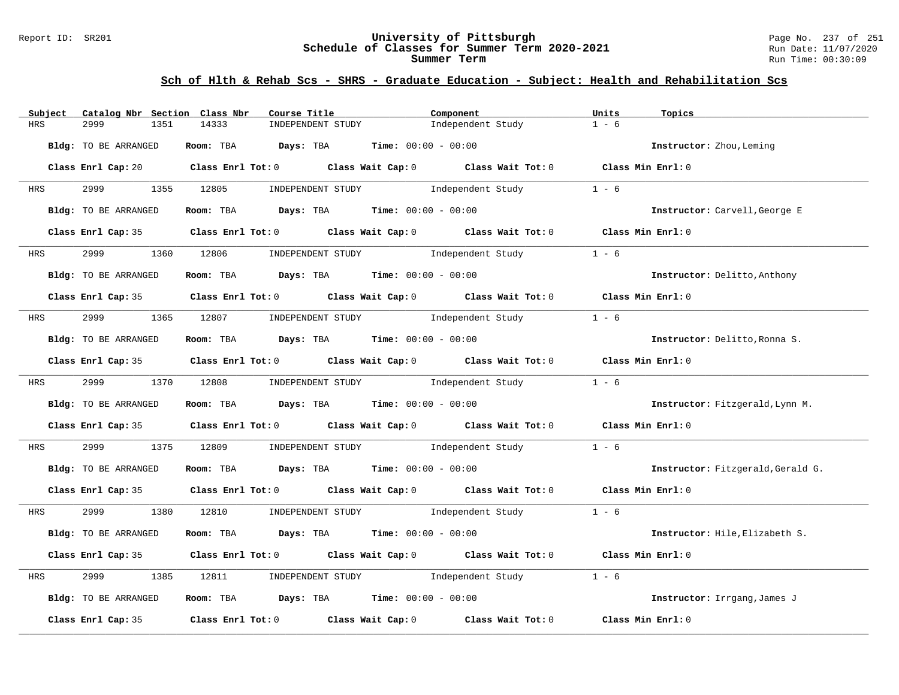#### Report ID: SR201 **University of Pittsburgh** Page No. 237 of 251 **Schedule of Classes for Summer Term 2020-2021** Run Date: 11/07/2020 **Summer Term** Run Time: 00:30:09

| Subject              | Catalog Nbr Section Class Nbr<br>Course Title                                                | Component                           | Units<br>Topics                   |
|----------------------|----------------------------------------------------------------------------------------------|-------------------------------------|-----------------------------------|
| <b>HRS</b><br>2999   | 1351<br>14333<br>INDEPENDENT STUDY                                                           | Independent Study                   | $1 - 6$                           |
| Bldg: TO BE ARRANGED | Room: TBA $Days:$ TBA $Time: 00:00 - 00:00$                                                  |                                     | Instructor: Zhou, Leming          |
|                      | Class Enrl Cap: 20 Class Enrl Tot: 0 Class Wait Cap: 0 Class Wait Tot: 0 Class Min Enrl: 0   |                                     |                                   |
| 2999<br><b>HRS</b>   | 1355 12805                                                                                   | INDEPENDENT STUDY 1ndependent Study | $1 - 6$                           |
| Bldg: TO BE ARRANGED | Room: TBA $Days:$ TBA $Time: 00:00 - 00:00$                                                  |                                     | Instructor: Carvell, George E     |
|                      | Class Enrl Cap: 35 Class Enrl Tot: 0 Class Wait Cap: 0 Class Wait Tot: 0 Class Min Enrl: 0   |                                     |                                   |
| 2999<br><b>HRS</b>   | INDEPENDENT STUDY<br>1360 12806                                                              | Independent Study                   | $1 - 6$                           |
| Bldg: TO BE ARRANGED | Room: TBA $Days: TBA$ Time: $00:00 - 00:00$                                                  |                                     | Instructor: Delitto, Anthony      |
|                      | Class Enrl Cap: 35 Class Enrl Tot: 0 Class Wait Cap: 0 Class Wait Tot: 0 Class Min Enrl: 0   |                                     |                                   |
| <b>HRS</b>           | 2999 1365 12807 INDEPENDENT STUDY Independent Study                                          |                                     | $1 - 6$                           |
| Bldg: TO BE ARRANGED | Room: TBA $Days:$ TBA Time: $00:00 - 00:00$                                                  |                                     | Instructor: Delitto, Ronna S.     |
|                      | Class Enrl Cap: 35 Class Enrl Tot: 0 Class Wait Cap: 0 Class Wait Tot: 0 Class Min Enrl: 0   |                                     |                                   |
| <b>HRS</b>           | 2999 1370 12808 INDEPENDENT STUDY Independent Study                                          |                                     | $1 - 6$                           |
| Bldg: TO BE ARRANGED | Room: TBA $\rule{1em}{0.15mm}$ Days: TBA Time: $00:00 - 00:00$                               |                                     | Instructor: Fitzgerald, Lynn M.   |
|                      | Class Enrl Cap: 35 Class Enrl Tot: 0 Class Wait Cap: 0 Class Wait Tot: 0 Class Min Enrl: 0   |                                     |                                   |
| 2999<br>HRS          | 1375 12809                                                                                   | INDEPENDENT STUDY 1ndependent Study | $1 - 6$                           |
| Bldg: TO BE ARRANGED | Room: TBA $Days:$ TBA Time: $00:00 - 00:00$                                                  |                                     | Instructor: Fitzgerald, Gerald G. |
|                      | Class Enrl Cap: 35 Class Enrl Tot: 0 Class Wait Cap: 0 Class Wait Tot: 0 Class Min Enrl: 0   |                                     |                                   |
| <b>HRS</b>           | 2999 1380 12810 INDEPENDENT STUDY Independent Study 1 - 6                                    |                                     |                                   |
| Bldg: TO BE ARRANGED | Room: TBA $Days:$ TBA $Time: 00:00 - 00:00$                                                  |                                     | Instructor: Hile, Elizabeth S.    |
|                      | Class Enrl Cap: 35 Class Enrl Tot: 0 Class Wait Cap: 0 Class Wait Tot: 0 Class Min Enrl: 0   |                                     |                                   |
| 2999<br>HRS          | 1385<br>12811                                                                                | INDEPENDENT STUDY 1ndependent Study | $1 - 6$                           |
| Bldg: TO BE ARRANGED | Room: TBA $Days:$ TBA $Time: 00:00 - 00:00$                                                  |                                     | Instructor: Irrgang, James J      |
|                      | Class Enrl Cap: 35 $\,$ Class Enrl Tot: 0 $\,$ Class Wait Cap: 0 $\,$ Class Wait Tot: 0 $\,$ |                                     | Class Min Enrl: 0                 |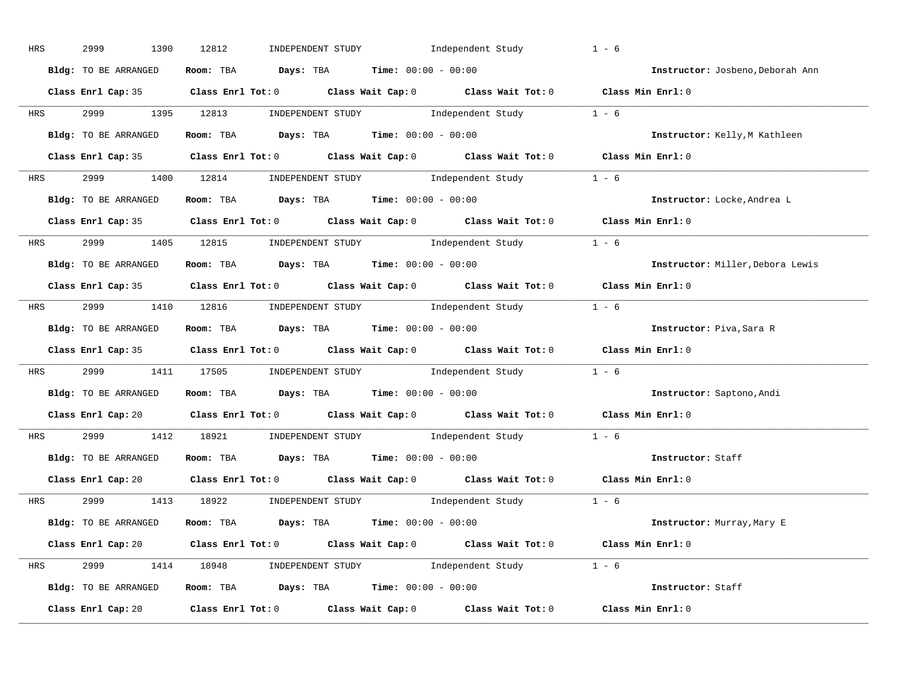| HRS        | 2999<br>1390         | INDEPENDENT STUDY 1ndependent Study<br>12812                                                       | $1 - 6$                          |
|------------|----------------------|----------------------------------------------------------------------------------------------------|----------------------------------|
|            | Bldg: TO BE ARRANGED | Room: TBA $Days:$ TBA $Time: 00:00 - 00:00$                                                        | Instructor: Josbeno, Deborah Ann |
|            |                      | Class Enrl Cap: 35 Class Enrl Tot: 0 Class Wait Cap: 0 Class Wait Tot: 0 Class Min Enrl: 0         |                                  |
|            |                      | HRS 2999 1395 12813 INDEPENDENT STUDY Independent Study 1 - 6                                      |                                  |
|            | Bldg: TO BE ARRANGED | Room: TBA $Days:$ TBA $Time: 00:00 - 00:00$                                                        | Instructor: Kelly, M Kathleen    |
|            |                      | Class Enrl Cap: 35 Class Enrl Tot: 0 Class Wait Cap: 0 Class Wait Tot: 0 Class Min Enrl: 0         |                                  |
|            |                      | HRS 2999 1400 12814 INDEPENDENT STUDY Independent Study 1 - 6                                      |                                  |
|            |                      | Bldg: TO BE ARRANGED ROOM: TBA Days: TBA Time: 00:00 - 00:00                                       | Instructor: Locke, Andrea L      |
|            |                      | Class Enrl Cap: 35 Class Enrl Tot: 0 Class Wait Cap: 0 Class Wait Tot: 0 Class Min Enrl: 0         |                                  |
|            |                      | HRS 2999 1405 12815 INDEPENDENT STUDY Independent Study 1 - 6                                      |                                  |
|            | Bldg: TO BE ARRANGED | Room: TBA $Days:$ TBA Time: $00:00 - 00:00$                                                        | Instructor: Miller, Debora Lewis |
|            |                      | Class Enrl Cap: 35 Class Enrl Tot: 0 Class Wait Cap: 0 Class Wait Tot: 0 Class Min Enrl: 0         |                                  |
|            |                      | HRS 2999 1410 12816 INDEPENDENT STUDY Independent Study 1 - 6                                      |                                  |
|            | Bldg: TO BE ARRANGED | Room: TBA $\rule{1em}{0.15mm}$ Days: TBA Time: $00:00 - 00:00$                                     | Instructor: Piva, Sara R         |
|            |                      | Class Enrl Cap: 35 Class Enrl Tot: 0 Class Wait Cap: 0 Class Wait Tot: 0 Class Min Enrl: 0         |                                  |
|            |                      | HRS 2999 1411 17505 INDEPENDENT STUDY Independent Study 1 - 6                                      |                                  |
|            |                      | Bldg: TO BE ARRANGED ROOM: TBA Days: TBA Time: 00:00 - 00:00                                       | Instructor: Saptono, Andi        |
|            |                      | Class Enrl Cap: 20 Class Enrl Tot: 0 Class Wait Cap: 0 Class Wait Tot: 0 Class Min Enrl: 0         |                                  |
| <b>HRS</b> |                      | 2999 1412 18921 INDEPENDENT STUDY Independent Study 1 - 6                                          |                                  |
|            | Bldg: TO BE ARRANGED | Room: TBA $Days:$ TBA $Time:$ 00:00 - 00:00                                                        | Instructor: Staff                |
|            | Class Enrl Cap: 20   | Class Enrl Tot: 0 $\qquad$ Class Wait Cap: 0 $\qquad$ Class Wait Tot: 0 $\qquad$ Class Min Enrl: 0 |                                  |
|            |                      | HRS 2999 1413 18922 INDEPENDENT STUDY Independent Study 1 - 6                                      |                                  |
|            |                      | Bldg: TO BE ARRANGED Room: TBA Days: TBA Time: 00:00 - 00:00                                       | Instructor: Murray, Mary E       |
|            |                      | Class Enrl Cap: 20 Class Enrl Tot: 0 Class Wait Cap: 0 Class Wait Tot: 0 Class Min Enrl: 0         |                                  |
|            |                      | HRS 2999 1414 18948 INDEPENDENT STUDY Independent Study 1 - 6                                      |                                  |
|            |                      | Bldg: TO BE ARRANGED Room: TBA Days: TBA Time: 00:00 - 00:00                                       | Instructor: Staff                |
|            |                      | Class Enrl Cap: 20 Class Enrl Tot: 0 Class Wait Cap: 0 Class Wait Tot: 0 Class Min Enrl: 0         |                                  |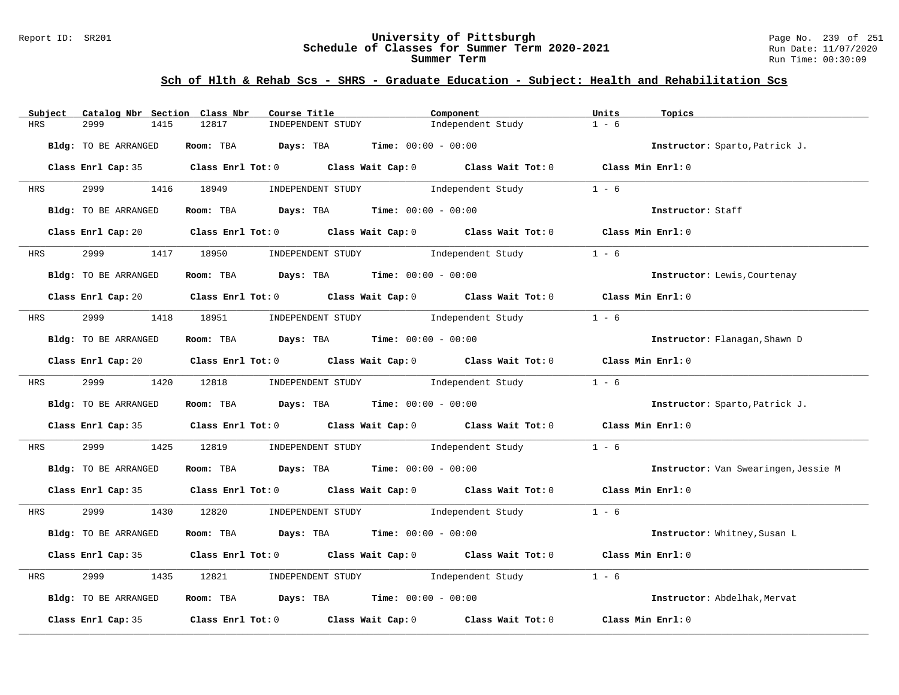#### Report ID: SR201 **University of Pittsburgh** Page No. 239 of 251 **Schedule of Classes for Summer Term 2020-2021** Run Date: 11/07/2020 **Summer Term** Run Time: 00:30:09

| Subject    | Catalog Nbr Section Class Nbr | Course Title                                                   | Component                                                                                                                    | Units<br>Topics                      |
|------------|-------------------------------|----------------------------------------------------------------|------------------------------------------------------------------------------------------------------------------------------|--------------------------------------|
| <b>HRS</b> | 2999<br>1415                  | 12817<br>INDEPENDENT STUDY                                     | Independent Study                                                                                                            | $1 - 6$                              |
|            | Bldg: TO BE ARRANGED          | Room: TBA Days: TBA                                            | <b>Time:</b> $00:00 - 00:00$                                                                                                 | Instructor: Sparto, Patrick J.       |
|            |                               |                                                                | Class Enrl Cap: 35 Class Enrl Tot: 0 Class Wait Cap: 0 Class Wait Tot: 0 Class Min Enrl: 0                                   |                                      |
| <b>HRS</b> | 2999 1416 18949               | INDEPENDENT STUDY                                              | Independent Study                                                                                                            | $1 - 6$                              |
|            | Bldg: TO BE ARRANGED          | Room: TBA $Days:$ TBA Time: $00:00 - 00:00$                    |                                                                                                                              | Instructor: Staff                    |
|            |                               |                                                                | Class Enrl Cap: 20 Class Enrl Tot: 0 Class Wait Cap: 0 Class Wait Tot: 0 Class Min Enrl: 0                                   |                                      |
| <b>HRS</b> | 2999 — 200                    | 1417 18950 INDEPENDENT STUDY Independent Study                 |                                                                                                                              | $1 - 6$                              |
|            | Bldg: TO BE ARRANGED          | Room: TBA $Days:$ TBA $Time: 00:00 - 00:00$                    |                                                                                                                              | Instructor: Lewis, Courtenay         |
|            |                               |                                                                | Class Enrl Cap: 20 Class Enrl Tot: 0 Class Wait Cap: 0 Class Wait Tot: 0 Class Min Enrl: 0                                   |                                      |
|            |                               |                                                                | HRS 2999 1418 18951 INDEPENDENT STUDY Independent Study                                                                      | $1 - 6$                              |
|            | Bldg: TO BE ARRANGED          | Room: TBA $Days:$ TBA $Time: 00:00 - 00:00$                    |                                                                                                                              | Instructor: Flanagan, Shawn D        |
|            |                               |                                                                | Class Enrl Cap: 20 Class Enrl Tot: 0 Class Wait Cap: 0 Class Wait Tot: 0 Class Min Enrl: 0                                   |                                      |
|            | HRS 2999 1420 12818           |                                                                | $\begin{minipage}[c]{0.9\linewidth} \textbf{INDEX} & \textbf{STUDY} \\ \textbf{Independent Study} & 1 - 6 \\ \end{minipage}$ |                                      |
|            | Bldg: TO BE ARRANGED          | Room: TBA $\rule{1em}{0.15mm}$ Days: TBA Time: $00:00 - 00:00$ |                                                                                                                              | Instructor: Sparto, Patrick J.       |
|            |                               |                                                                | Class Enrl Cap: 35 Class Enrl Tot: 0 Class Wait Cap: 0 Class Wait Tot: 0 Class Min Enrl: 0                                   |                                      |
| HRS        | 2999                          |                                                                | 1425 12819 INDEPENDENT STUDY Independent Study                                                                               | $1 - 6$                              |
|            | Bldg: TO BE ARRANGED          | Room: TBA $Days:$ TBA Time: $00:00 - 00:00$                    |                                                                                                                              | Instructor: Van Swearingen, Jessie M |
|            |                               |                                                                | Class Enrl Cap: 35 Class Enrl Tot: 0 Class Wait Cap: 0 Class Wait Tot: 0 Class Min Enrl: 0                                   |                                      |
| <b>HRS</b> |                               |                                                                | 2999 1430 12820 INDEPENDENT STUDY Independent Study 1 - 6                                                                    |                                      |
|            | Bldg: TO BE ARRANGED          | Room: TBA $Days:$ TBA $Time: 00:00 - 00:00$                    |                                                                                                                              | Instructor: Whitney, Susan L         |
|            |                               |                                                                | Class Enrl Cap: 35 Class Enrl Tot: 0 Class Wait Cap: 0 Class Wait Tot: 0 Class Min Enrl: 0                                   |                                      |
| HRS        | 2999<br>1435                  | 12821 INDEPENDENT STUDY Independent Study                      |                                                                                                                              | $1 - 6$                              |
|            | Bldg: TO BE ARRANGED          | Room: TBA $Days:$ TBA $Time: 00:00 - 00:00$                    |                                                                                                                              | Instructor: Abdelhak, Mervat         |
|            | Class Enrl Cap: 35            |                                                                | Class Enrl Tot: $0$ Class Wait Cap: $0$ Class Wait Tot: $0$                                                                  | Class Min Enrl: 0                    |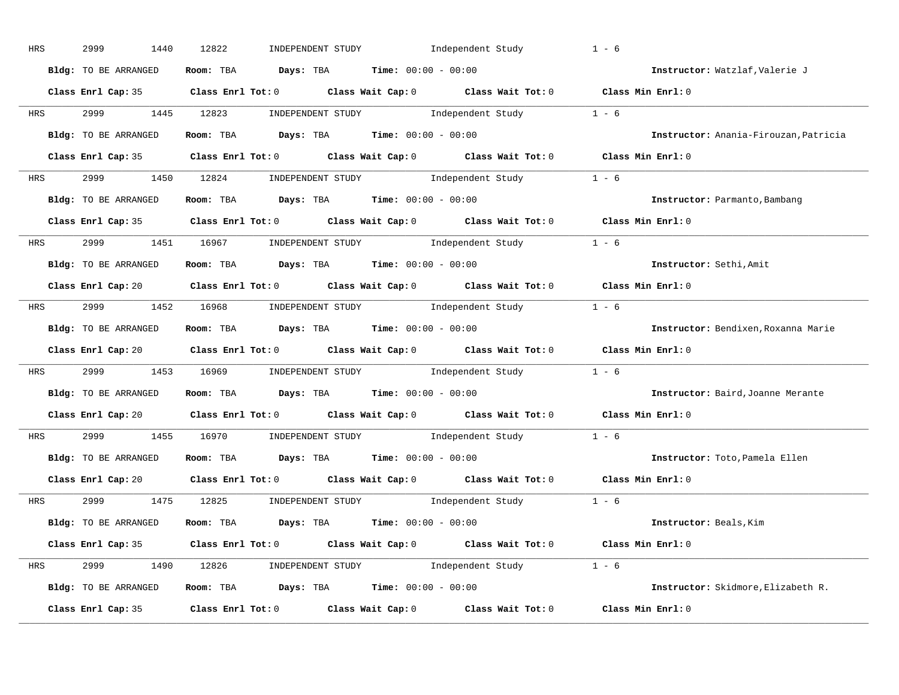| HRS        | 2999<br>1440         | 12822<br>INDEPENDENT STUDY Independent Study                                               | $1 - 6$                               |
|------------|----------------------|--------------------------------------------------------------------------------------------|---------------------------------------|
|            | Bldg: TO BE ARRANGED | Room: TBA $Days:$ TBA $Time: 00:00 - 00:00$                                                | Instructor: Watzlaf, Valerie J        |
|            |                      | Class Enrl Cap: 35 Class Enrl Tot: 0 Class Wait Cap: 0 Class Wait Tot: 0 Class Min Enrl: 0 |                                       |
|            |                      | HRS 2999 1445 12823 INDEPENDENT STUDY Independent Study 1 - 6                              |                                       |
|            | Bldg: TO BE ARRANGED | Room: TBA $\rule{1em}{0.15mm}$ Days: TBA Time: $00:00 - 00:00$                             | Instructor: Anania-Firouzan, Patricia |
|            |                      | Class Enrl Cap: 35 Class Enrl Tot: 0 Class Wait Cap: 0 Class Wait Tot: 0 Class Min Enrl: 0 |                                       |
|            |                      | HRS 2999 1450 12824 INDEPENDENT STUDY Independent Study 1 - 6                              |                                       |
|            |                      | <b>Bldg:</b> TO BE ARRANGED <b>ROOM:</b> TBA <b>Days:</b> TBA <b>Time:</b> $00:00 - 00:00$ | Instructor: Parmanto, Bambang         |
|            |                      | Class Enrl Cap: 35 Class Enrl Tot: 0 Class Wait Cap: 0 Class Wait Tot: 0 Class Min Enrl: 0 |                                       |
|            |                      | HRS 2999 1451 16967 INDEPENDENT STUDY Independent Study 1 - 6                              |                                       |
|            | Bldg: TO BE ARRANGED | Room: TBA $\rule{1em}{0.15mm}$ Days: TBA $\rule{1.5mm}{0.15mm}$ Time: $00:00 - 00:00$      | Instructor: Sethi, Amit               |
|            |                      | Class Enrl Cap: 20 Class Enrl Tot: 0 Class Wait Cap: 0 Class Wait Tot: 0 Class Min Enrl: 0 |                                       |
|            |                      | HRS 2999 1452 16968 INDEPENDENT STUDY Independent Study 1 - 6                              |                                       |
|            | Bldg: TO BE ARRANGED | Room: TBA $\rule{1em}{0.15mm}$ Days: TBA Time: $00:00 - 00:00$                             | Instructor: Bendixen, Roxanna Marie   |
|            |                      | Class Enrl Cap: 20 Class Enrl Tot: 0 Class Wait Cap: 0 Class Wait Tot: 0 Class Min Enrl: 0 |                                       |
|            |                      | HRS 2999 1453 16969 INDEPENDENT STUDY Independent Study 1 - 6                              |                                       |
|            | Bldg: TO BE ARRANGED | Room: TBA $Days:$ TBA $Time:$ 00:00 - 00:00                                                | Instructor: Baird, Joanne Merante     |
|            |                      | Class Enrl Cap: 20 Class Enrl Tot: 0 Class Wait Cap: 0 Class Wait Tot: 0                   | Class Min Enrl: 0                     |
| <b>HRS</b> |                      | 2999 1455 16970 INDEPENDENT STUDY Independent Study 1 - 6                                  |                                       |
|            | Bldg: TO BE ARRANGED | Room: TBA $\rule{1em}{0.15mm}$ Days: TBA $\rule{1.5mm}{0.15mm}$ Time: $00:00 - 00:00$      | Instructor: Toto, Pamela Ellen        |
|            | Class Enrl Cap: 20   | Class Enrl Tot: $0$ Class Wait Cap: $0$ Class Wait Tot: $0$                                | Class Min Enrl: 0                     |
|            |                      | HRS 2999 1475 12825 INDEPENDENT STUDY Independent Study 1 - 6                              |                                       |
|            |                      | Bldg: TO BE ARRANGED Room: TBA Days: TBA Time: 00:00 - 00:00                               | Instructor: Beals, Kim                |
|            |                      | Class Enrl Cap: 35 Class Enrl Tot: 0 Class Wait Cap: 0 Class Wait Tot: 0 Class Min Enrl: 0 |                                       |
|            |                      | HRS 2999 1490 12826 INDEPENDENT STUDY Independent Study 1 - 6                              |                                       |
|            | Bldg: TO BE ARRANGED | Room: TBA $Days:$ TBA $Time:$ 00:00 - 00:00                                                | Instructor: Skidmore, Elizabeth R.    |
|            |                      | Class Enrl Cap: 35 Class Enrl Tot: 0 Class Wait Cap: 0 Class Wait Tot: 0 Class Min Enrl: 0 |                                       |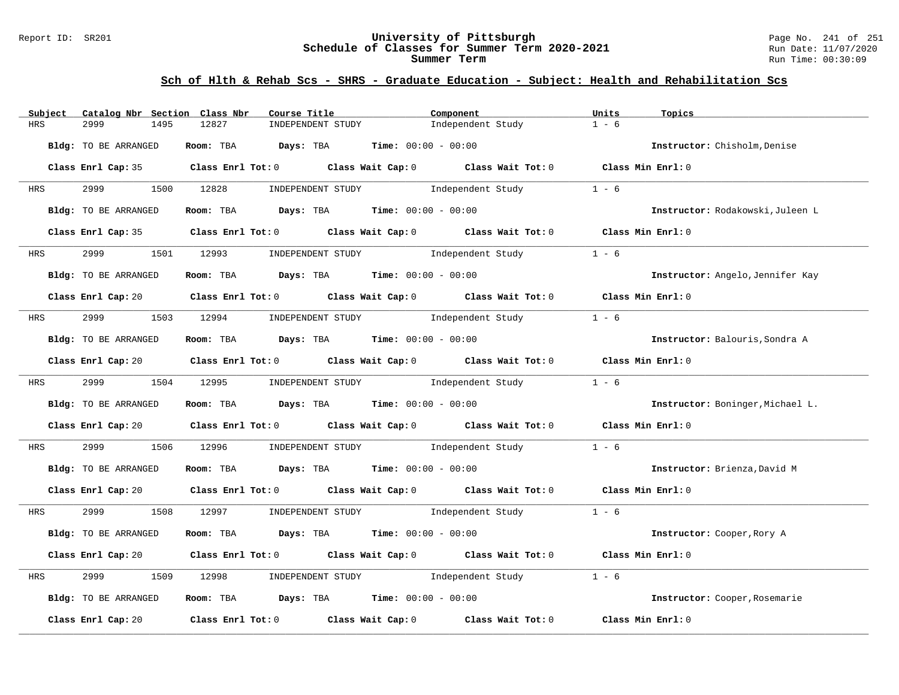#### Report ID: SR201 **University of Pittsburgh** Page No. 241 of 251 **Schedule of Classes for Summer Term 2020-2021** Run Date: 11/07/2020 **Summer Term** Run Time: 00:30:09

| Subject    | Catalog Nbr Section Class Nbr |            | Course Title                                                   | Component                                                                                              | Units<br>Topics                  |
|------------|-------------------------------|------------|----------------------------------------------------------------|--------------------------------------------------------------------------------------------------------|----------------------------------|
| HRS        | 2999<br>1495                  | 12827      | INDEPENDENT STUDY                                              | Independent Study                                                                                      | $1 - 6$                          |
|            | Bldg: TO BE ARRANGED          |            | Room: TBA $Days:$ TBA $Time: 00:00 - 00:00$                    |                                                                                                        | Instructor: Chisholm, Denise     |
|            |                               |            |                                                                | Class Enrl Cap: 35 Class Enrl Tot: 0 Class Wait Cap: 0 Class Wait Tot: 0 Class Min Enrl: 0             |                                  |
| <b>HRS</b> | 2999 1500 12828               |            |                                                                | INDEPENDENT STUDY 1ndependent Study                                                                    | $1 - 6$                          |
|            | Bldg: TO BE ARRANGED          |            | Room: TBA $Days:$ TBA $Time: 00:00 - 00:00$                    |                                                                                                        | Instructor: Rodakowski, Juleen L |
|            |                               |            |                                                                | Class Enrl Cap: 35 Class Enrl Tot: 0 Class Wait Cap: 0 Class Wait Tot: 0 Class Min Enrl: 0             |                                  |
| <b>HRS</b> | 2999                          |            | 1501 12993 INDEPENDENT STUDY                                   | Independent Study                                                                                      | $1 - 6$                          |
|            | Bldg: TO BE ARRANGED          |            | Room: TBA $Days:$ TBA $Time:$ $00:00 - 00:00$                  |                                                                                                        | Instructor: Angelo, Jennifer Kay |
|            |                               |            |                                                                | Class Enrl Cap: 20 Class Enrl Tot: 0 Class Wait Cap: 0 Class Wait Tot: 0 Class Min Enrl: 0             |                                  |
|            | HRS 2999 1503 12994           |            | INDEPENDENT STUDY 1ndependent Study                            |                                                                                                        | $1 - 6$                          |
|            | Bldg: TO BE ARRANGED          |            | Room: TBA $Days:$ TBA $Time: 00:00 - 00:00$                    |                                                                                                        | Instructor: Balouris, Sondra A   |
|            |                               |            |                                                                | Class Enrl Cap: 20 Class Enrl Tot: 0 Class Wait Cap: 0 Class Wait Tot: 0 Class Min Enrl: 0             |                                  |
|            |                               |            | HRS 2999 1504 12995 INDEPENDENT STUDY Independent Study        |                                                                                                        | $1 - 6$                          |
|            | Bldg: TO BE ARRANGED          |            | Room: TBA $\rule{1em}{0.15mm}$ Days: TBA Time: $00:00 - 00:00$ |                                                                                                        | Instructor: Boninger, Michael L. |
|            |                               |            |                                                                | Class Enrl Cap: 20 Class Enrl Tot: 0 Class Wait Cap: 0 Class Wait Tot: 0 Class Min Enrl: 0             |                                  |
| HRS        | 2999                          | 1506 12996 |                                                                | INDEPENDENT STUDY 1ndependent Study                                                                    | $1 - 6$                          |
|            | Bldg: TO BE ARRANGED          |            | Room: TBA $Days:$ TBA $Time: 00:00 - 00:00$                    |                                                                                                        | Instructor: Brienza, David M     |
|            |                               |            |                                                                | Class Enrl Cap: 20 Class Enrl Tot: 0 Class Wait Cap: 0 Class Wait Tot: 0 Class Min Enrl: 0             |                                  |
| <b>HRS</b> |                               |            |                                                                | 2999 1508 12997 INDEPENDENT STUDY Independent Study 1 - 6                                              |                                  |
|            | Bldg: TO BE ARRANGED          |            | Room: TBA $Days:$ TBA $Time: 00:00 - 00:00$                    |                                                                                                        | Instructor: Cooper, Rory A       |
|            |                               |            |                                                                | Class Enrl Cap: 20 		 Class Enrl Tot: 0 		 Class Wait Cap: 0 		 Class Wait Tot: 0 		 Class Min Enrl: 0 |                                  |
| HRS        | 2999<br>1509                  | 12998      | INDEPENDENT STUDY 1ndependent Study                            |                                                                                                        | $1 - 6$                          |
|            | Bldg: TO BE ARRANGED          |            | Room: TBA $Days:$ TBA $Time: 00:00 - 00:00$                    |                                                                                                        | Instructor: Cooper, Rosemarie    |
|            |                               |            |                                                                | Class Enrl Cap: 20 $\qquad$ Class Enrl Tot: 0 $\qquad$ Class Wait Cap: 0 $\qquad$ Class Wait Tot: 0    | Class Min Enrl: 0                |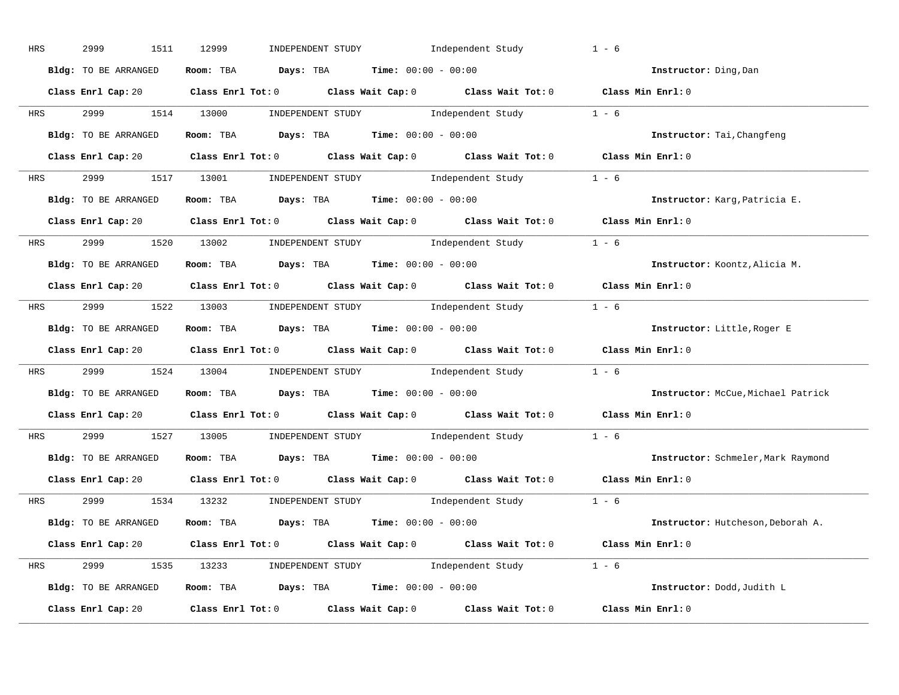| HRS        | 2999<br>1511         | Independent Study<br>12999<br>INDEPENDENT STUDY                                            | $1 - 6$           |                                    |
|------------|----------------------|--------------------------------------------------------------------------------------------|-------------------|------------------------------------|
|            | Bldg: TO BE ARRANGED | Room: TBA $Days:$ TBA $Time: 00:00 - 00:00$                                                |                   | Instructor: Ding, Dan              |
|            |                      | Class Enrl Cap: 20 Class Enrl Tot: 0 Class Wait Cap: 0 Class Wait Tot: 0 Class Min Enrl: 0 |                   |                                    |
|            |                      | HRS 2999 1514 13000 INDEPENDENT STUDY Independent Study 1 - 6                              |                   |                                    |
|            | Bldg: TO BE ARRANGED | Room: TBA $Days:$ TBA $Time: 00:00 - 00:00$                                                |                   | Instructor: Tai, Changfeng         |
|            |                      | Class Enrl Cap: 20 Class Enrl Tot: 0 Class Wait Cap: 0 Class Wait Tot: 0 Class Min Enrl: 0 |                   |                                    |
|            |                      | HRS 2999 1517 13001 INDEPENDENT STUDY Independent Study 1 - 6                              |                   |                                    |
|            |                      | Bldg: TO BE ARRANGED Room: TBA Days: TBA Time: 00:00 - 00:00                               |                   | Instructor: Karg, Patricia E.      |
|            |                      | Class Enrl Cap: 20 Class Enrl Tot: 0 Class Wait Cap: 0 Class Wait Tot: 0 Class Min Enrl: 0 |                   |                                    |
|            |                      | HRS 2999 1520 13002 INDEPENDENT STUDY Independent Study 1 - 6                              |                   |                                    |
|            | Bldg: TO BE ARRANGED | Room: TBA $Days:$ TBA $Time: 00:00 - 00:00$                                                |                   | Instructor: Koontz, Alicia M.      |
|            |                      | Class Enrl Cap: 20 Class Enrl Tot: 0 Class Wait Cap: 0 Class Wait Tot: 0 Class Min Enrl: 0 |                   |                                    |
|            |                      | HRS 2999 1522 13003 INDEPENDENT STUDY Independent Study 1 - 6                              |                   |                                    |
|            | Bldg: TO BE ARRANGED | Room: TBA $Days:$ TBA $Time:$ $00:00 - 00:00$                                              |                   | Instructor: Little, Roger E        |
|            |                      | Class Enrl Cap: 20 Class Enrl Tot: 0 Class Wait Cap: 0 Class Wait Tot: 0 Class Min Enrl: 0 |                   |                                    |
|            |                      | HRS 2999 1524 13004 INDEPENDENT STUDY Independent Study 1 - 6                              |                   |                                    |
|            | Bldg: TO BE ARRANGED | Room: TBA $Days:$ TBA $Time: 00:00 - 00:00$                                                |                   | Instructor: McCue, Michael Patrick |
|            |                      | Class Enrl Cap: 20 Class Enrl Tot: 0 Class Wait Cap: 0 Class Wait Tot: 0 Class Min Enrl: 0 |                   |                                    |
| <b>HRS</b> |                      | 2999 1527 13005 INDEPENDENT STUDY Independent Study 1 - 6                                  |                   |                                    |
|            |                      | Bldg: TO BE ARRANGED ROOM: TBA Days: TBA Time: 00:00 - 00:00                               |                   | Instructor: Schmeler, Mark Raymond |
|            |                      | Class Enrl Cap: 20 		 Class Enrl Tot: 0 		 Class Wait Cap: 0 		 Class Wait Tot: 0          | Class Min Enrl: 0 |                                    |
|            |                      | HRS 2999 1534 13232 INDEPENDENT STUDY Independent Study 1 - 6                              |                   |                                    |
|            | Bldg: TO BE ARRANGED | Room: TBA $Days:$ TBA $Time: 00:00 - 00:00$                                                |                   | Instructor: Hutcheson, Deborah A.  |
|            |                      | Class Enrl Cap: 20 Class Enrl Tot: 0 Class Wait Cap: 0 Class Wait Tot: 0 Class Min Enrl: 0 |                   |                                    |
|            |                      | HRS 2999 1535 13233 INDEPENDENT STUDY Independent Study 1 - 6                              |                   |                                    |
|            |                      | Bldg: TO BE ARRANGED Room: TBA Days: TBA Time: 00:00 - 00:00                               |                   | Instructor: Dodd, Judith L         |
|            | Class Enrl Cap: 20   | Class Enrl Tot: $0$ Class Wait Cap: $0$ Class Wait Tot: $0$ Class Min Enrl: $0$            |                   |                                    |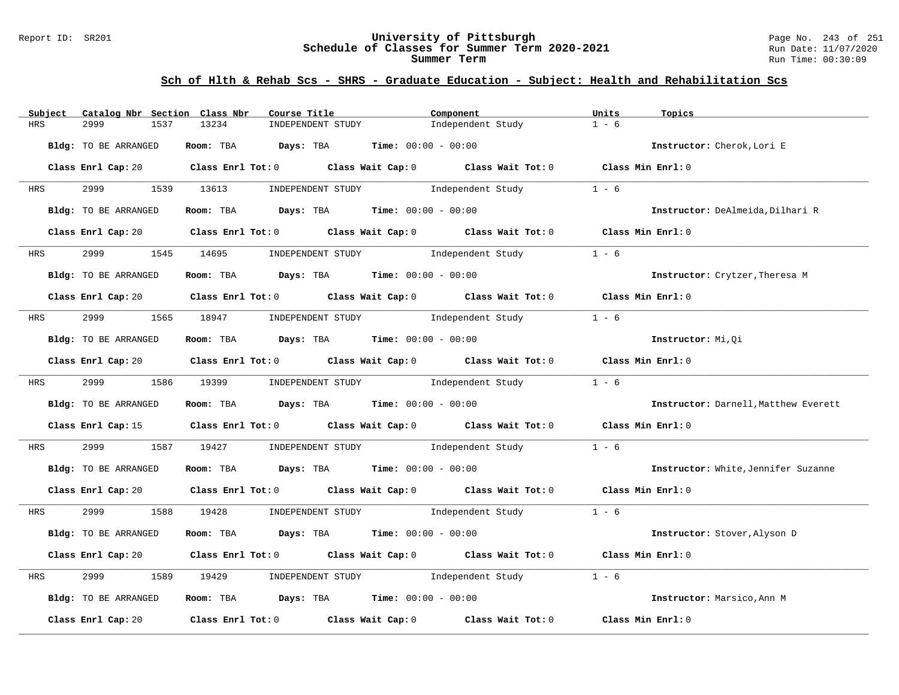#### Report ID: SR201 **University of Pittsburgh** Page No. 243 of 251 **Schedule of Classes for Summer Term 2020-2021** Run Date: 11/07/2020 **Summer Term** Run Time: 00:30:09

| Catalog Nbr Section Class Nbr<br>Subject | Course Title                                                                                                                   | Component                           | Units<br>Topics                      |
|------------------------------------------|--------------------------------------------------------------------------------------------------------------------------------|-------------------------------------|--------------------------------------|
| HRS<br>2999<br>1537                      | 13234<br>INDEPENDENT STUDY                                                                                                     | Independent Study                   | $1 - 6$                              |
| Bldg: TO BE ARRANGED                     | Room: TBA $Days:$ TBA $Time: 00:00 - 00:00$                                                                                    |                                     | Instructor: Cherok, Lori E           |
|                                          | Class Enrl Cap: 20 $\qquad$ Class Enrl Tot: 0 $\qquad$ Class Wait Cap: 0 $\qquad$ Class Wait Tot: 0 $\qquad$ Class Min Enrl: 0 |                                     |                                      |
| 2999 1539 13613<br><b>HRS</b>            |                                                                                                                                | INDEPENDENT STUDY 1ndependent Study | $1 - 6$                              |
| Bldg: TO BE ARRANGED                     | Room: TBA $Days:$ TBA $Time: 00:00 - 00:00$                                                                                    |                                     | Instructor: DeAlmeida, Dilhari R     |
|                                          | Class Enrl Cap: 20 $\qquad$ Class Enrl Tot: 0 $\qquad$ Class Wait Cap: 0 $\qquad$ Class Wait Tot: 0                            |                                     | Class Min Enrl: 0                    |
| 2999<br><b>HRS</b>                       | 1545 14695 INDEPENDENT STUDY 1ndependent Study                                                                                 |                                     | $1 - 6$                              |
| Bldg: TO BE ARRANGED                     | Room: TBA $Days:$ TBA $Time: 00:00 - 00:00$                                                                                    |                                     | Instructor: Crytzer, Theresa M       |
|                                          | Class Enrl Cap: 20 Class Enrl Tot: 0 Class Wait Cap: 0 Class Wait Tot: 0 Class Min Enrl: 0                                     |                                     |                                      |
|                                          | HRS 2999 1565 18947 INDEPENDENT STUDY Independent Study                                                                        |                                     | $1 - 6$                              |
| Bldg: TO BE ARRANGED                     | Room: TBA $\rule{1em}{0.15mm}$ Days: TBA Time: $00:00 - 00:00$                                                                 |                                     | Instructor: Mi, Oi                   |
|                                          | Class Enrl Cap: 20 Class Enrl Tot: 0 Class Wait Cap: 0 Class Wait Tot: 0 Class Min Enrl: 0                                     |                                     |                                      |
| HRS 2999 1586 19399                      |                                                                                                                                | INDEPENDENT STUDY 1ndependent Study | $1 - 6$                              |
| Bldg: TO BE ARRANGED                     | Room: TBA $Days:$ TBA $Time: 00:00 - 00:00$                                                                                    |                                     | Instructor: Darnell, Matthew Everett |
|                                          | Class Enrl Cap: 15 Class Enrl Tot: 0 Class Wait Cap: 0 Class Wait Tot: 0 Class Min Enrl: 0                                     |                                     |                                      |
| 2999<br>HRS                              | 1587 19427                                                                                                                     | INDEPENDENT STUDY 1ndependent Study | $1 - 6$                              |
| Bldg: TO BE ARRANGED                     | Room: TBA $Days:$ TBA $Time: 00:00 - 00:00$                                                                                    |                                     | Instructor: White, Jennifer Suzanne  |
|                                          | Class Enrl Cap: 20 Class Enrl Tot: 0 Class Wait Cap: 0 Class Wait Tot: 0 Class Min Enrl: 0                                     |                                     |                                      |
| <b>HRS</b>                               | 2999 1588 19428 INDEPENDENT STUDY Independent Study 1 - 6                                                                      |                                     |                                      |
| Bldg: TO BE ARRANGED                     | Room: TBA $Days:$ TBA $Time: 00:00 - 00:00$                                                                                    |                                     | Instructor: Stover, Alyson D         |
|                                          | Class Enrl Cap: 20 Class Enrl Tot: 0 Class Wait Cap: 0 Class Wait Tot: 0                                                       |                                     | Class Min Enrl: 0                    |
| 2999<br>1589<br>HRS                      | 19429                                                                                                                          | INDEPENDENT STUDY 1ndependent Study | $1 - 6$                              |
| Bldg: TO BE ARRANGED                     | Room: TBA $Days:$ TBA $Time: 00:00 - 00:00$                                                                                    |                                     | Instructor: Marsico, Ann M           |
| Class Enrl Cap: 20                       | Class Enrl Tot: $0$ $Class$ Wait Cap: $0$ $Class$ Wait Tot: $0$                                                                |                                     | Class Min Enrl: 0                    |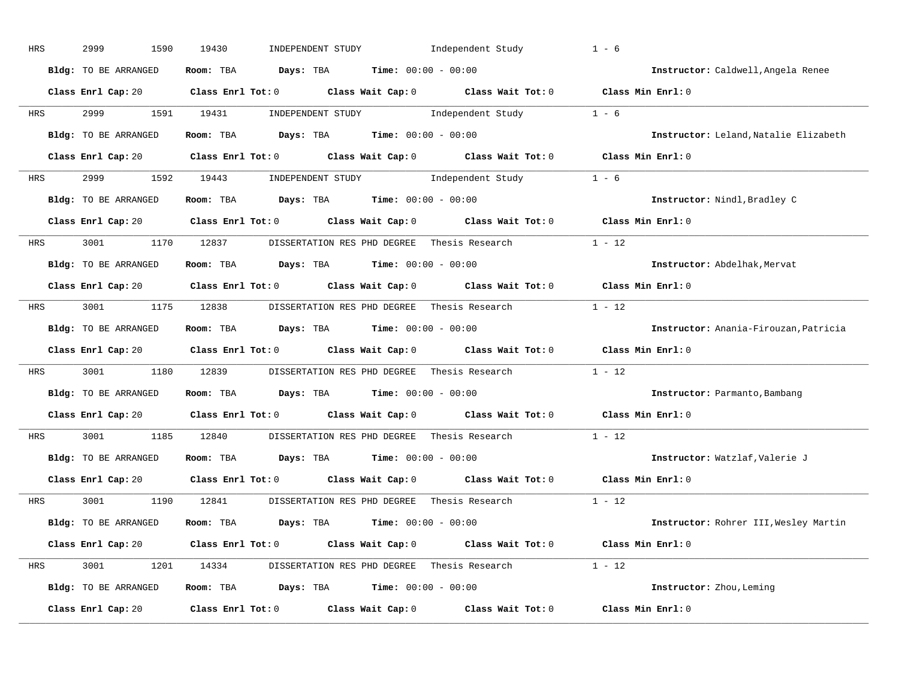| HRS        | 2999<br>1590         | 19430<br>INDEPENDENT STUDY<br>Independent Study                                                                                                                                                                                                                                                                                                                                                                                                                                                                                                                               | $1 - 6$                               |
|------------|----------------------|-------------------------------------------------------------------------------------------------------------------------------------------------------------------------------------------------------------------------------------------------------------------------------------------------------------------------------------------------------------------------------------------------------------------------------------------------------------------------------------------------------------------------------------------------------------------------------|---------------------------------------|
|            | Bldg: TO BE ARRANGED | Room: TBA $Days:$ TBA $Time: 00:00 - 00:00$                                                                                                                                                                                                                                                                                                                                                                                                                                                                                                                                   | Instructor: Caldwell, Angela Renee    |
|            |                      | Class Enrl Cap: 20 Class Enrl Tot: 0 Class Wait Cap: 0 Class Wait Tot: 0 Class Min Enrl: 0                                                                                                                                                                                                                                                                                                                                                                                                                                                                                    |                                       |
| HRS        | 2999 — 200           | $\begin{minipage}[c]{0.9\linewidth} \textbf{INDEX} & \textbf{STUDY} \\ \textbf{Index} & \textbf{Index} \\ \textbf{Index} & \textbf{Index} \\ \textbf{Index} & \textbf{Index} \\ \textbf{Index} & \textbf{Index} \\ \textbf{Index} & \textbf{Index} \\ \textbf{Index} & \textbf{Index} \\ \textbf{Index} & \textbf{Index} \\ \textbf{Index} & \textbf{Index} \\ \textbf{Index} & \textbf{Index} \\ \textbf{Index} & \textbf{Index} \\ \textbf{Index} & \textbf{Index} \\ \textbf{Index} & \textbf{Index} \\ \textbf{Index} & \textbf{Index} \\ \textbf{Index} &$<br>1591 19431 |                                       |
|            | Bldg: TO BE ARRANGED | Room: TBA $\rule{1em}{0.15mm}$ Days: TBA Time: $00:00 - 00:00$                                                                                                                                                                                                                                                                                                                                                                                                                                                                                                                | Instructor: Leland, Natalie Elizabeth |
|            |                      | Class Enrl Cap: 20 Class Enrl Tot: 0 Class Wait Cap: 0 Class Wait Tot: 0 Class Min Enrl: 0                                                                                                                                                                                                                                                                                                                                                                                                                                                                                    |                                       |
| HRS        |                      | 2999 1592 19443 INDEPENDENT STUDY Independent Study 1 - 6                                                                                                                                                                                                                                                                                                                                                                                                                                                                                                                     |                                       |
|            | Bldg: TO BE ARRANGED | Room: TBA $\rule{1em}{0.15mm}$ Days: TBA Time: $00:00 - 00:00$                                                                                                                                                                                                                                                                                                                                                                                                                                                                                                                | Instructor: Nindl, Bradley C          |
|            |                      | Class Enrl Cap: 20 Class Enrl Tot: 0 Class Wait Cap: 0 Class Wait Tot: 0 Class Min Enrl: 0                                                                                                                                                                                                                                                                                                                                                                                                                                                                                    |                                       |
| HRS        |                      | 3001 1170 12837 DISSERTATION RES PHD DEGREE Thesis Research                                                                                                                                                                                                                                                                                                                                                                                                                                                                                                                   | $1 - 12$                              |
|            | Bldg: TO BE ARRANGED | Room: TBA Days: TBA Time: $00:00 - 00:00$                                                                                                                                                                                                                                                                                                                                                                                                                                                                                                                                     | Instructor: Abdelhak, Mervat          |
|            |                      | Class Enrl Cap: 20 $\qquad$ Class Enrl Tot: 0 $\qquad$ Class Wait Cap: 0 $\qquad$ Class Wait Tot: 0                                                                                                                                                                                                                                                                                                                                                                                                                                                                           | Class Min $Enr1:0$                    |
| HRS        |                      | 3001 1175 12838 DISSERTATION RES PHD DEGREE Thesis Research 1 - 12                                                                                                                                                                                                                                                                                                                                                                                                                                                                                                            |                                       |
|            | Bldg: TO BE ARRANGED | Room: TBA $\rule{1em}{0.15mm}$ Days: TBA Time: $00:00 - 00:00$                                                                                                                                                                                                                                                                                                                                                                                                                                                                                                                | Instructor: Anania-Firouzan, Patricia |
|            |                      | Class Enrl Cap: 20 $\qquad$ Class Enrl Tot: 0 $\qquad$ Class Wait Cap: 0 $\qquad$ Class Wait Tot: 0                                                                                                                                                                                                                                                                                                                                                                                                                                                                           | Class Min Enrl: 0                     |
| HRS        | 3001                 | 1180 12839 DISSERTATION RES PHD DEGREE Thesis Research                                                                                                                                                                                                                                                                                                                                                                                                                                                                                                                        | $1 - 12$                              |
|            | Bldg: TO BE ARRANGED | Room: TBA $Days:$ TBA $Time: 00:00 - 00:00$                                                                                                                                                                                                                                                                                                                                                                                                                                                                                                                                   | Instructor: Parmanto, Bambang         |
|            |                      | Class Enrl Cap: 20 Class Enrl Tot: 0 Class Wait Cap: 0 Class Wait Tot: 0                                                                                                                                                                                                                                                                                                                                                                                                                                                                                                      | Class Min Enrl: 0                     |
| <b>HRS</b> | 3001 000             | 1185 12840<br>DISSERTATION RES PHD DEGREE Thesis Research                                                                                                                                                                                                                                                                                                                                                                                                                                                                                                                     | $1 - 12$                              |
|            | Bldg: TO BE ARRANGED | Room: TBA $Days:$ TBA $Time: 00:00 - 00:00$                                                                                                                                                                                                                                                                                                                                                                                                                                                                                                                                   | Instructor: Watzlaf, Valerie J        |
|            | Class Enrl Cap: 20   | Class Enrl Tot: $0$ Class Wait Cap: $0$ Class Wait Tot: $0$                                                                                                                                                                                                                                                                                                                                                                                                                                                                                                                   | Class Min Enrl: 0                     |
| HRS        | 3001                 | 1190 12841<br>DISSERTATION RES PHD DEGREE<br>Thesis Research                                                                                                                                                                                                                                                                                                                                                                                                                                                                                                                  | $1 - 12$                              |
|            | Bldg: TO BE ARRANGED | Room: TBA $Days: TBA$ Time: $00:00 - 00:00$                                                                                                                                                                                                                                                                                                                                                                                                                                                                                                                                   | Instructor: Rohrer III, Wesley Martin |
|            |                      | Class Enrl Cap: 20 Class Enrl Tot: 0 Class Wait Cap: 0 Class Wait Tot: 0 Class Min Enrl: 0                                                                                                                                                                                                                                                                                                                                                                                                                                                                                    |                                       |
| HRS        |                      | 3001 1201 14334 DISSERTATION RES PHD DEGREE Thesis Research 1 - 12                                                                                                                                                                                                                                                                                                                                                                                                                                                                                                            |                                       |
|            | Bldg: TO BE ARRANGED | Room: TBA $Days: TBA$ Time: $00:00 - 00:00$                                                                                                                                                                                                                                                                                                                                                                                                                                                                                                                                   | Instructor: Zhou, Leming              |
|            | Class Enrl Cap: 20   | Class Enrl Tot: $0$ Class Wait Cap: $0$ Class Wait Tot: $0$                                                                                                                                                                                                                                                                                                                                                                                                                                                                                                                   | Class Min Enrl: 0                     |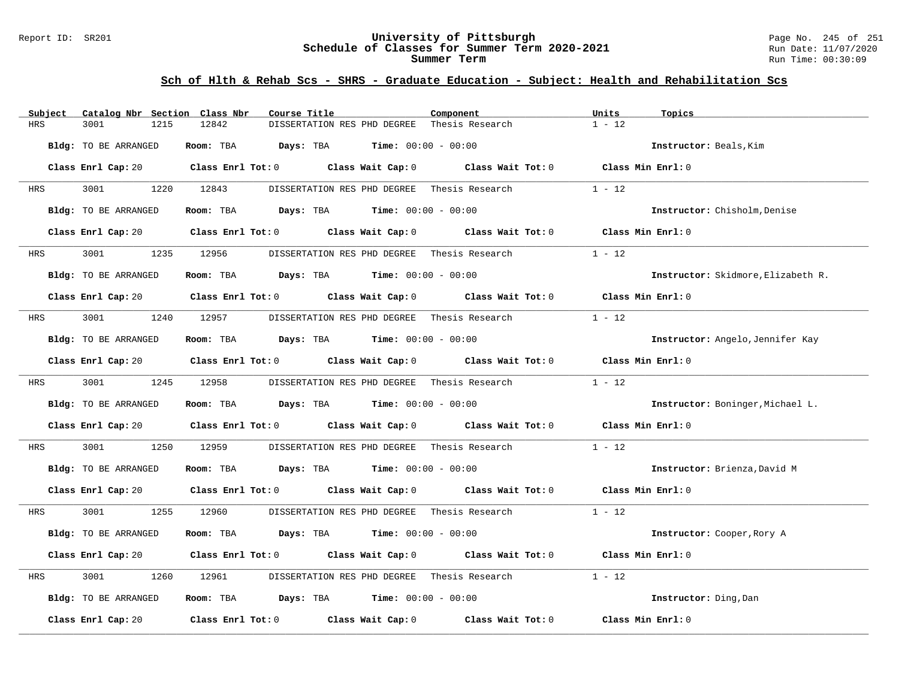#### Report ID: SR201 **University of Pittsburgh** Page No. 245 of 251 **Schedule of Classes for Summer Term 2020-2021** Run Date: 11/07/2020 **Summer Term** Run Time: 00:30:09

| Subject              | Catalog Nbr Section Class Nbr |            | Course Title                                                                             | Component                                                                                                                      | Units<br>Topics                    |  |
|----------------------|-------------------------------|------------|------------------------------------------------------------------------------------------|--------------------------------------------------------------------------------------------------------------------------------|------------------------------------|--|
| <b>HRS</b><br>3001   | 1215                          | 12842      | DISSERTATION RES PHD DEGREE                                                              | Thesis Research                                                                                                                | $1 - 12$                           |  |
| Bldg: TO BE ARRANGED |                               | Room: TBA  | <b>Time:</b> $00:00 - 00:00$<br>Days: TBA                                                |                                                                                                                                | Instructor: Beals, Kim             |  |
|                      |                               |            |                                                                                          | Class Enrl Cap: 20 Class Enrl Tot: 0 Class Wait Cap: 0 Class Wait Tot: 0 Class Min Enrl: 0                                     |                                    |  |
| 3001<br>HRS          | 1220 12843                    |            | DISSERTATION RES PHD DEGREE Thesis Research                                              |                                                                                                                                | $1 - 12$                           |  |
| Bldg: TO BE ARRANGED |                               |            | Room: TBA $Days:$ TBA $Time: 00:00 - 00:00$                                              |                                                                                                                                | Instructor: Chisholm, Denise       |  |
|                      |                               |            | Class Enrl Cap: 20 Class Enrl Tot: 0 Class Wait Cap: 0                                   | Class Wait Tot: 0                                                                                                              | Class Min Enrl: 0                  |  |
| 3001<br>HRS          |                               | 1235 12956 | DISSERTATION RES PHD DEGREE Thesis Research                                              |                                                                                                                                | $1 - 12$                           |  |
| Bldg: TO BE ARRANGED |                               |            | Room: TBA $Days:$ TBA $Time: 00:00 - 00:00$                                              |                                                                                                                                | Instructor: Skidmore, Elizabeth R. |  |
|                      |                               |            |                                                                                          | Class Enrl Cap: 20 Class Enrl Tot: 0 Class Wait Cap: 0 Class Wait Tot: 0                                                       | Class Min $Enr1:0$                 |  |
| 3001<br>HRS          |                               | 1240 12957 | DISSERTATION RES PHD DEGREE Thesis Research                                              |                                                                                                                                | $1 - 12$                           |  |
| Bldg: TO BE ARRANGED |                               |            | Room: TBA $Days:$ TBA $Time: 00:00 - 00:00$                                              |                                                                                                                                | Instructor: Angelo, Jennifer Kay   |  |
|                      |                               |            |                                                                                          | Class Enrl Cap: 20 $\qquad$ Class Enrl Tot: 0 $\qquad$ Class Wait Cap: 0 $\qquad$ Class Wait Tot: 0                            | Class Min Enrl: 0                  |  |
| HRS                  | 3001 2002<br>1245 12958       |            |                                                                                          | DISSERTATION RES PHD DEGREE Thesis Research                                                                                    | $1 - 12$                           |  |
| Bldg: TO BE ARRANGED |                               |            | Room: TBA $Days: TBA$ Time: $00:00 - 00:00$                                              |                                                                                                                                | Instructor: Boninger, Michael L.   |  |
|                      |                               |            |                                                                                          | Class Enrl Cap: 20 $\qquad$ Class Enrl Tot: 0 $\qquad$ Class Wait Cap: 0 $\qquad$ Class Wait Tot: 0 $\qquad$ Class Min Enrl: 0 |                                    |  |
| 3001<br>HRS          | 1250                          | 12959      | DISSERTATION RES PHD DEGREE                                                              | Thesis Research                                                                                                                | $1 - 12$                           |  |
| Bldg: TO BE ARRANGED |                               |            | Room: TBA $Days: TBA$ Time: $00:00 - 00:00$                                              |                                                                                                                                | Instructor: Brienza, David M       |  |
|                      |                               |            |                                                                                          | Class Enrl Cap: 20 $\qquad$ Class Enrl Tot: 0 $\qquad$ Class Wait Cap: 0 $\qquad$ Class Wait Tot: 0 $\qquad$ Class Min Enrl: 0 |                                    |  |
| 3001<br>HRS          | 1255                          | 12960      |                                                                                          | DISSERTATION RES PHD DEGREE Thesis Research                                                                                    | $1 - 12$                           |  |
| Bldg: TO BE ARRANGED |                               | Room: TBA  | <b>Days:</b> TBA <b>Time:</b> $00:00 - 00:00$                                            |                                                                                                                                | Instructor: Cooper, Rory A         |  |
|                      |                               |            |                                                                                          | Class Enrl Cap: 20 Class Enrl Tot: 0 Class Wait Cap: 0 Class Wait Tot: 0                                                       | Class Min Enrl: 0                  |  |
| 3001<br>HRS          | 1260                          | 12961      | DISSERTATION RES PHD DEGREE Thesis Research                                              |                                                                                                                                | $1 - 12$                           |  |
| Bldg: TO BE ARRANGED |                               |            | Room: TBA $\rule{1em}{0.15mm}$ Days: TBA $\rule{1.15mm}]{0.15mm}$ Time: $0.000 - 0.0000$ |                                                                                                                                | Instructor: Ding, Dan              |  |
| Class Enrl Cap: 20   |                               |            | Class Enrl Tot: 0 Class Wait Cap: 0                                                      | Class Wait Tot: 0                                                                                                              | Class Min Enrl: 0                  |  |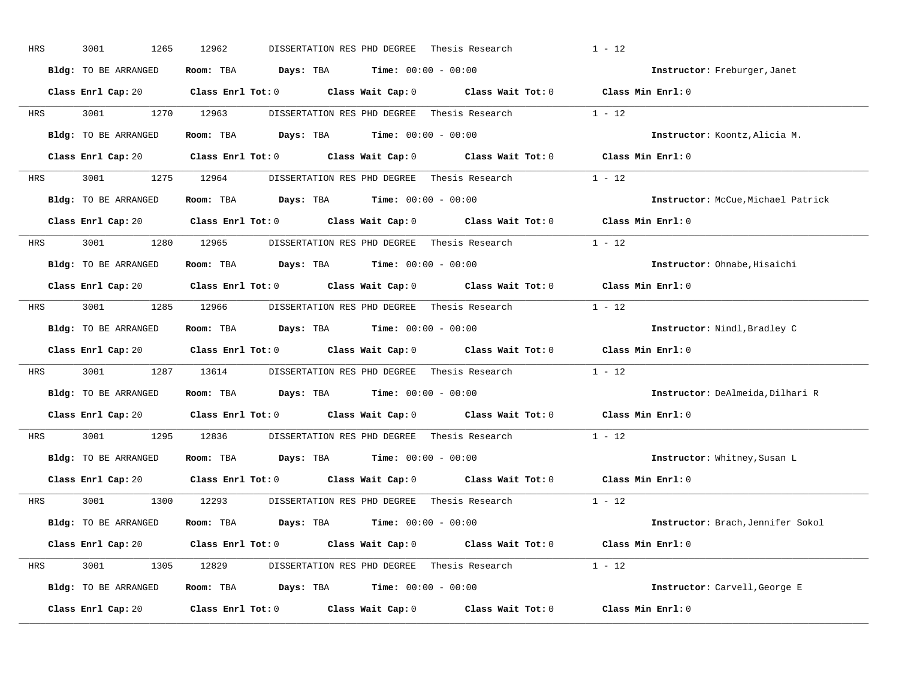| HRS        | 3001<br>1265         | 12962<br>DISSERTATION RES PHD DEGREE                                                                | Thesis Research | $1 - 12$                           |
|------------|----------------------|-----------------------------------------------------------------------------------------------------|-----------------|------------------------------------|
|            | Bldg: TO BE ARRANGED | Room: TBA $\rule{1em}{0.15mm}$ Days: TBA $\rule{1.15mm}]{0.15mm}$ Time: $0.000 - 0.0000$            |                 | Instructor: Freburger, Janet       |
|            |                      | Class Enrl Cap: 20 Class Enrl Tot: 0 Class Wait Cap: 0 Class Wait Tot: 0 Class Min Enrl: 0          |                 |                                    |
| HRS        | 3001 000             | 1270 12963<br>DISSERTATION RES PHD DEGREE Thesis Research                                           |                 | $1 - 12$                           |
|            | Bldg: TO BE ARRANGED | Room: TBA $Days: TBA$ Time: $00:00 - 00:00$                                                         |                 | Instructor: Koontz, Alicia M.      |
|            |                      | Class Enrl Cap: 20 Class Enrl Tot: 0 Class Wait Cap: 0 Class Wait Tot: 0 Class Min Enrl: 0          |                 |                                    |
| HRS        |                      | 3001 1275 12964 DISSERTATION RES PHD DEGREE Thesis Research 1 - 12                                  |                 |                                    |
|            | Bldg: TO BE ARRANGED | Room: TBA $Days:$ TBA $Time:$ $00:00 - 00:00$                                                       |                 | Instructor: McCue, Michael Patrick |
|            |                      | Class Enrl Cap: 20 $\qquad$ Class Enrl Tot: 0 $\qquad$ Class Wait Cap: 0 $\qquad$ Class Wait Tot: 0 |                 | Class Min Enrl: 0                  |
| <b>HRS</b> | 3001 1280 12965      | DISSERTATION RES PHD DEGREE - Thesis Research                                                       |                 | $1 - 12$                           |
|            | Bldg: TO BE ARRANGED | Room: TBA $Days: TBA$ Time: $00:00 - 00:00$                                                         |                 | Instructor: Ohnabe, Hisaichi       |
|            |                      | Class Enrl Cap: 20 $\qquad$ Class Enrl Tot: 0 $\qquad$ Class Wait Cap: 0 $\qquad$ Class Wait Tot: 0 |                 | Class Min Enrl: 0                  |
| HRS        |                      | 3001 1285 12966 DISSERTATION RES PHD DEGREE Thesis Research 1 - 12                                  |                 |                                    |
|            | Bldg: TO BE ARRANGED | Room: TBA $Days: TBA$ Time: $00:00 - 00:00$                                                         |                 | Instructor: Nindl, Bradley C       |
|            |                      | Class Enrl Cap: 20 $\qquad$ Class Enrl Tot: 0 $\qquad$ Class Wait Cap: 0 $\qquad$ Class Wait Tot: 0 |                 | Class Min Enrl: 0                  |
| HRS        |                      | 3001 1287 13614 DISSERTATION RES PHD DEGREE Thesis Research                                         |                 | $1 - 12$                           |
|            | Bldg: TO BE ARRANGED | Room: TBA $Days:$ TBA $Time: 00:00 - 00:00$                                                         |                 | Instructor: DeAlmeida, Dilhari R   |
|            |                      | Class Enrl Cap: 20 Class Enrl Tot: 0 Class Wait Cap: 0 Class Wait Tot: 0                            |                 | Class Min Enrl: 0                  |
| <b>HRS</b> | 3001 000             | 1295 12836<br>DISSERTATION RES PHD DEGREE Thesis Research                                           |                 | $1 - 12$                           |
|            | Bldg: TO BE ARRANGED | Room: TBA $Days:$ TBA $Time: 00:00 - 00:00$                                                         |                 | Instructor: Whitney, Susan L       |
|            |                      | Class Enrl Cap: 20 Class Enrl Tot: 0 Class Wait Cap: 0 Class Wait Tot: 0                            |                 | Class Min Enrl: 0                  |
| HRS        | 3001 1300 12293      | DISSERTATION RES PHD DEGREE                                                                         | Thesis Research | $1 - 12$                           |
|            | Bldg: TO BE ARRANGED | Room: TBA $Days: TBA$ Time: $00:00 - 00:00$                                                         |                 | Instructor: Brach, Jennifer Sokol  |
|            |                      | Class Enrl Cap: 20 Class Enrl Tot: 0 Class Wait Cap: 0 Class Wait Tot: 0 Class Min Enrl: 0          |                 |                                    |
| HRS        |                      | 3001 1305 12829 DISSERTATION RES PHD DEGREE Thesis Research 1 - 12                                  |                 |                                    |
|            | Bldg: TO BE ARRANGED | Room: TBA $Days: TBA$ Time: $00:00 - 00:00$                                                         |                 | Instructor: Carvell, George E      |
|            | Class Enrl Cap: 20   | Class Enrl Tot: $0$ Class Wait Cap: $0$ Class Wait Tot: $0$                                         |                 | Class Min Enrl: 0                  |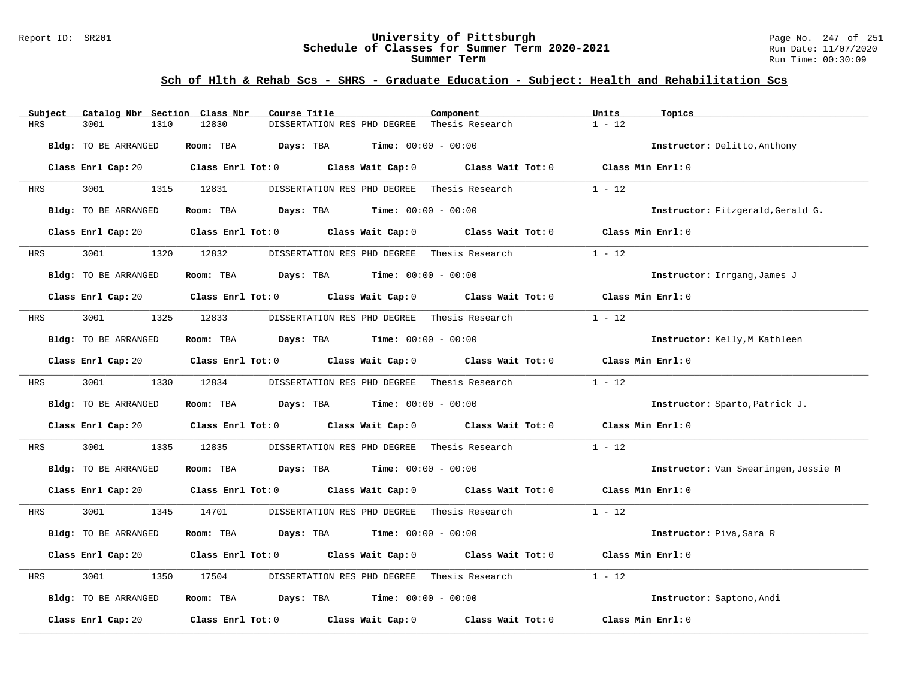#### Report ID: SR201 **University of Pittsburgh** Page No. 247 of 251 **Schedule of Classes for Summer Term 2020-2021** Run Date: 11/07/2020 **Summer Term** Run Time: 00:30:09

| Catalog Nbr Section Class Nbr<br>Subject | Course Title                                                                                                                   | Component                    | Units<br>Topics                      |
|------------------------------------------|--------------------------------------------------------------------------------------------------------------------------------|------------------------------|--------------------------------------|
| <b>HRS</b><br>3001<br>1310               | 12830<br>DISSERTATION RES PHD DEGREE                                                                                           | Thesis Research              | $1 - 12$                             |
| Bldg: TO BE ARRANGED                     | Room: TBA<br>Days: TBA                                                                                                         | <b>Time:</b> $00:00 - 00:00$ | Instructor: Delitto, Anthony         |
|                                          | Class Enrl Cap: 20 $\qquad$ Class Enrl Tot: 0 $\qquad$ Class Wait Cap: 0 $\qquad$ Class Wait Tot: 0 $\qquad$ Class Min Enrl: 0 |                              |                                      |
| 3001<br>HRS                              | 1315 12831<br>DISSERTATION RES PHD DEGREE                                                                                      | Thesis Research              | $1 - 12$                             |
| Bldg: TO BE ARRANGED                     | Room: TBA $Days:$ TBA $Time: 00:00 - 00:00$                                                                                    |                              | Instructor: Fitzgerald, Gerald G.    |
| Class Enrl Cap: 20                       | Class Enrl Tot: 0 Class Wait Cap: 0                                                                                            | Class Wait Tot: 0            | Class Min Enrl: 0                    |
| 3001<br>HRS                              | 1320 12832<br>DISSERTATION RES PHD DEGREE Thesis Research                                                                      |                              | $1 - 12$                             |
| Bldg: TO BE ARRANGED                     | Room: TBA $Days:$ TBA $Time: 00:00 - 00:00$                                                                                    |                              | Instructor: Irrgang, James J         |
|                                          | Class Enrl Cap: 20 $\qquad$ Class Enrl Tot: 0 $\qquad$ Class Wait Cap: 0 $\qquad$ Class Wait Tot: 0                            |                              | Class Min Enrl: 0                    |
| 3001<br>1325<br>HRS                      | 12833<br>DISSERTATION RES PHD DEGREE Thesis Research                                                                           |                              | $1 - 12$                             |
| Bldg: TO BE ARRANGED                     | Room: TBA $\rule{1em}{0.15mm}$ Days: TBA $\qquad$ Time: $00:00 - 00:00$                                                        |                              | Instructor: Kelly, M Kathleen        |
|                                          | Class Enrl Cap: 20 Class Enrl Tot: 0 Class Wait Cap: 0                                                                         | Class Wait Tot: 0            | Class Min Enrl: 0                    |
| 3001 300<br>HRS                          | 1330 12834<br>DISSERTATION RES PHD DEGREE Thesis Research                                                                      |                              | $1 - 12$                             |
| Bldg: TO BE ARRANGED                     | Room: TBA $Days:$ TBA $Time: 00:00 - 00:00$                                                                                    |                              | Instructor: Sparto, Patrick J.       |
|                                          | Class Enrl Cap: 20 Class Enrl Tot: 0 Class Wait Cap: 0 Class Wait Tot: 0                                                       |                              | Class Min Enrl: 0                    |
| 3001<br>1335<br>HRS                      | 12835<br>DISSERTATION RES PHD DEGREE                                                                                           | Thesis Research              | $1 - 12$                             |
| Bldg: TO BE ARRANGED                     | Room: TBA $Days:$ TBA $Time: 00:00 - 00:00$                                                                                    |                              | Instructor: Van Swearingen, Jessie M |
|                                          | Class Enrl Cap: 20 $\qquad$ Class Enrl Tot: 0 $\qquad$ Class Wait Cap: 0 $\qquad$ Class Wait Tot: 0 $\qquad$ Class Min Enrl: 0 |                              |                                      |
| 3001<br>1345<br>HRS                      | 14701<br>DISSERTATION RES PHD DEGREE Thesis Research                                                                           |                              | $1 - 12$                             |
| Bldg: TO BE ARRANGED                     | <b>Days:</b> TBA <b>Time:</b> $00:00 - 00:00$<br>Room: TBA                                                                     |                              | Instructor: Piva, Sara R             |
|                                          | Class Enrl Cap: 20 Class Enrl Tot: 0 Class Wait Cap: 0 Class Wait Tot: 0                                                       |                              | Class Min Enrl: 0                    |
| 3001<br>HRS<br>1350                      | DISSERTATION RES PHD DEGREE Thesis Research<br>17504                                                                           |                              | $1 - 12$                             |
| Bldg: TO BE ARRANGED                     | Room: TBA $\rule{1em}{0.15mm}$ Days: TBA $\rule{1.15mm}]{0.15mm}$ Time: $0.000 - 0.0000$                                       |                              | Instructor: Saptono, Andi            |
| Class Enrl Cap: 20                       | Class Enrl Tot: $0$ Class Wait Cap: $0$ Class Wait Tot: $0$                                                                    |                              | Class Min Enrl: 0                    |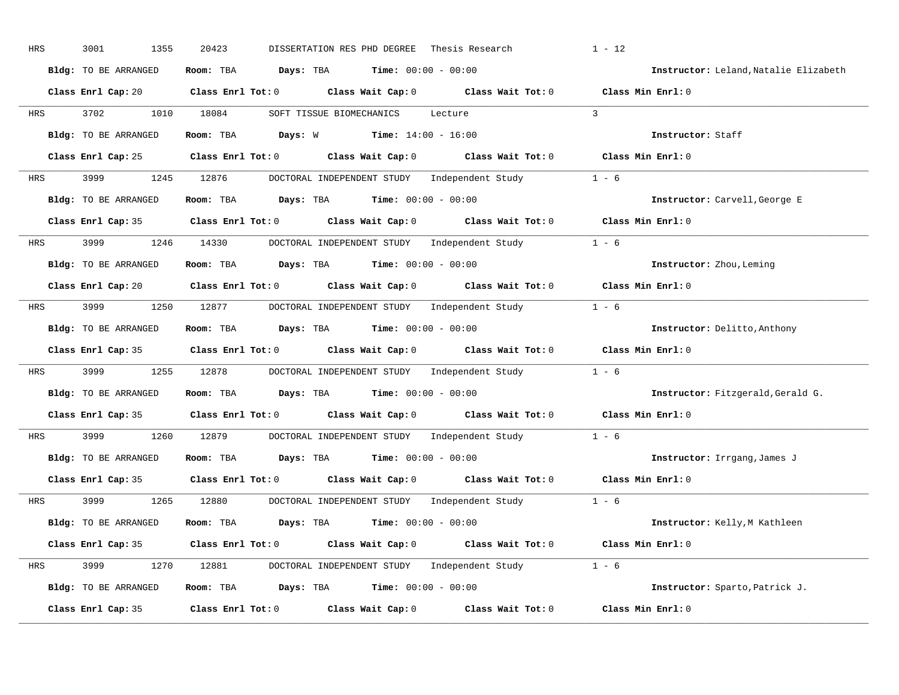| HRS        | 3001<br>1355         | 20423<br>DISSERTATION RES PHD DEGREE<br>Thesis Research                                             | $1 - 12$                              |
|------------|----------------------|-----------------------------------------------------------------------------------------------------|---------------------------------------|
|            | Bldg: TO BE ARRANGED | Room: TBA $Days:$ TBA $Time: 00:00 - 00:00$                                                         | Instructor: Leland, Natalie Elizabeth |
|            |                      | Class Enrl Cap: 20 Class Enrl Tot: 0 Class Wait Cap: 0 Class Wait Tot: 0 Class Min Enrl: 0          |                                       |
| HRS        | 3702 3702            | 1010 18084<br>SOFT TISSUE BIOMECHANICS Lecture                                                      | $\mathcal{R}$                         |
|            | Bldg: TO BE ARRANGED | Room: TBA $Days: W$ Time: $14:00 - 16:00$                                                           | Instructor: Staff                     |
|            |                      | Class Enrl Cap: 25 Class Enrl Tot: 0 Class Wait Cap: 0 Class Wait Tot: 0 Class Min Enrl: 0          |                                       |
| HRS        |                      | 3999 1245 12876 DOCTORAL INDEPENDENT STUDY Independent Study 1 - 6                                  |                                       |
|            | Bldg: TO BE ARRANGED | Room: TBA $Days:$ TBA $Time: 00:00 - 00:00$                                                         | Instructor: Carvell, George E         |
|            |                      | Class Enrl Cap: 35 Class Enrl Tot: 0 Class Wait Cap: 0 Class Wait Tot: 0 Class Min Enrl: 0          |                                       |
| HRS        |                      | 3999 1246 14330 DOCTORAL INDEPENDENT STUDY Independent Study 1 - 6                                  |                                       |
|            | Bldg: TO BE ARRANGED | Room: TBA $Days:$ TBA $Time: 00:00 - 00:00$                                                         | Instructor: Zhou, Leming              |
|            |                      | Class Enrl Cap: 20 Class Enrl Tot: 0 Class Wait Cap: 0 Class Wait Tot: 0 Class Min Enrl: 0          |                                       |
| HRS        |                      | 3999 1250 12877 DOCTORAL INDEPENDENT STUDY Independent Study 1 - 6                                  |                                       |
|            | Bldg: TO BE ARRANGED | Room: TBA $\rule{1em}{0.15mm}$ Days: TBA Time: $00:00 - 00:00$                                      | Instructor: Delitto, Anthony          |
|            |                      | Class Enrl Cap: 35 Class Enrl Tot: 0 Class Wait Cap: 0 Class Wait Tot: 0 Class Min Enrl: 0          |                                       |
| HRS        | 3999 (1988)          | 1255 12878 DOCTORAL INDEPENDENT STUDY Independent Study 1 - 6                                       |                                       |
|            | Bldg: TO BE ARRANGED | Room: TBA $Days:$ TBA $Time: 00:00 - 00:00$                                                         | Instructor: Fitzgerald, Gerald G.     |
|            |                      | Class Enrl Cap: 35 $\qquad$ Class Enrl Tot: 0 $\qquad$ Class Wait Cap: 0 $\qquad$ Class Wait Tot: 0 | Class Min Enrl: 0                     |
| <b>HRS</b> | 3999 700             | 1260 12879<br>DOCTORAL INDEPENDENT STUDY Independent Study 1 - 6                                    |                                       |
|            | Bldg: TO BE ARRANGED | Room: TBA $Days:$ TBA $Time: 00:00 - 00:00$                                                         | Instructor: Irrgang, James J          |
|            |                      | Class Enrl Cap: 35 $\qquad$ Class Enrl Tot: 0 $\qquad$ Class Wait Cap: 0 $\qquad$ Class Wait Tot: 0 | Class Min Enrl: 0                     |
| HRS        | 3999                 | 1265 12880 DOCTORAL INDEPENDENT STUDY Independent Study 1 - 6                                       |                                       |
|            | Bldg: TO BE ARRANGED | Room: TBA $Days:$ TBA $Time: 00:00 - 00:00$                                                         | Instructor: Kelly, M Kathleen         |
|            |                      | Class Enrl Cap: 35 Class Enrl Tot: 0 Class Wait Cap: 0 Class Wait Tot: 0 Class Min Enrl: 0          |                                       |
| HRS        |                      | 3999 1270 12881 DOCTORAL INDEPENDENT STUDY Independent Study 1 - 6                                  |                                       |
|            | Bldg: TO BE ARRANGED | Room: TBA $Days:$ TBA $Time: 00:00 - 00:00$                                                         | Instructor: Sparto, Patrick J.        |
|            | Class Enrl Cap: 35   | Class Enrl Tot: $0$ Class Wait Cap: $0$ Class Wait Tot: $0$                                         | Class Min Enrl: 0                     |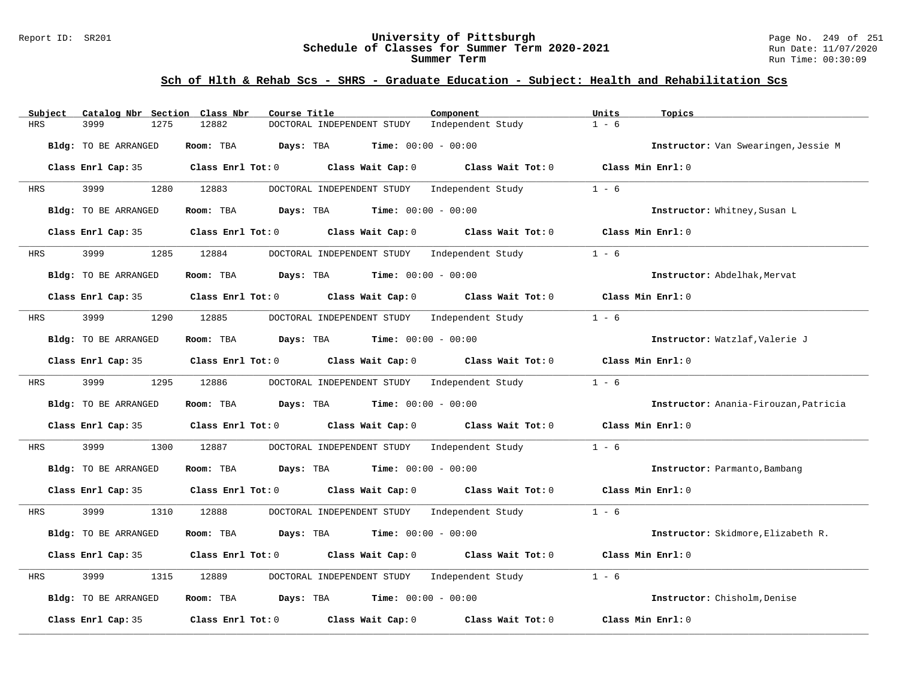#### Report ID: SR201 **University of Pittsburgh** Page No. 249 of 251 **Schedule of Classes for Summer Term 2020-2021** Run Date: 11/07/2020 **Summer Term** Run Time: 00:30:09

| Subject    | Catalog Nbr Section Class Nbr | Course Title                                                             | Component                           | Units<br>Topics                       |
|------------|-------------------------------|--------------------------------------------------------------------------|-------------------------------------|---------------------------------------|
| <b>HRS</b> | 3999<br>1275                  | 12882<br>DOCTORAL INDEPENDENT STUDY                                      | Independent Study                   | $1 - 6$                               |
|            | Bldg: TO BE ARRANGED          | Room: TBA<br>Days: TBA<br><b>Time:</b> $00:00 - 00:00$                   |                                     | Instructor: Van Swearingen, Jessie M  |
|            | Class Enrl Cap: 35            | Class Enrl Tot: 0 Class Wait Cap: 0                                      | Class Wait Tot: 0 Class Min Enrl: 0 |                                       |
| HRS        | 3999<br>1280                  | 12883<br>DOCTORAL INDEPENDENT STUDY                                      | Independent Study                   | $1 - 6$                               |
|            | Bldg: TO BE ARRANGED          | Room: TBA<br><b>Days:</b> TBA <b>Time:</b> $00:00 - 00:00$               |                                     | Instructor: Whitney, Susan L          |
|            | Class Enrl Cap: 35            | Class Enrl Tot: 0 Class Wait Cap: 0                                      | Class Wait Tot: 0                   | Class Min Enrl: 0                     |
| HRS        | 3999<br>1285                  | 12884<br>DOCTORAL INDEPENDENT STUDY Independent Study                    |                                     | $1 - 6$                               |
|            | Bldg: TO BE ARRANGED          | Time: $00:00 - 00:00$<br>Room: TBA Days: TBA                             |                                     | Instructor: Abdelhak, Mervat          |
|            |                               | Class Enrl Cap: 35 Class Enrl Tot: 0 Class Wait Cap: 0 Class Wait Tot: 0 |                                     | Class Min Enrl: 0                     |
| HRS        | 3999<br>1290                  | DOCTORAL INDEPENDENT STUDY Independent Study<br>12885                    |                                     | $1 - 6$                               |
|            | Bldg: TO BE ARRANGED          | Room: TBA<br><b>Days:</b> TBA <b>Time:</b> $00:00 - 00:00$               |                                     | Instructor: Watzlaf, Valerie J        |
|            | Class Enrl Cap: 35            | Class Enrl Tot: 0 Class Wait Cap: 0                                      | Class Wait Tot: 0                   | Class Min Enrl: 0                     |
| HRS        | 3999<br>1295                  | 12886<br>DOCTORAL INDEPENDENT STUDY Independent Study                    |                                     | $1 - 6$                               |
|            | Bldg: TO BE ARRANGED          | <b>Time:</b> $00:00 - 00:00$<br>Room: TBA<br>Days: TBA                   |                                     | Instructor: Anania-Firouzan, Patricia |
|            | Class Enrl Cap: 35            | Class Enrl Tot: 0 Class Wait Cap: 0 Class Wait Tot: 0                    |                                     | Class Min Enrl: 0                     |
| HRS        | 3999<br>1300                  | 12887<br>DOCTORAL INDEPENDENT STUDY Independent Study                    |                                     | $1 - 6$                               |
|            | Bldg: TO BE ARRANGED          | Room: TBA<br>$Days: TBA$ $Time: 00:00 - 00:00$                           |                                     | Instructor: Parmanto, Bambang         |
|            | Class Enrl Cap: 35            | Class Enrl Tot: $0$ Class Wait Cap: $0$ Class Wait Tot: $0$              |                                     | Class Min Enrl: 0                     |
| HRS        | 3999<br>1310                  | 12888<br>DOCTORAL INDEPENDENT STUDY Independent Study                    |                                     | $1 - 6$                               |
|            | Bldg: TO BE ARRANGED          | Room: TBA<br>Days: TBA<br><b>Time:</b> $00:00 - 00:00$                   |                                     | Instructor: Skidmore, Elizabeth R.    |
|            | Class Enrl Cap: 35            | Class Enrl Tot: 0<br>Class Wait Cap: 0 Class Wait Tot: 0                 |                                     | Class Min Enrl: 0                     |
| HRS        | 3999<br>1315                  | 12889<br>DOCTORAL INDEPENDENT STUDY                                      | Independent Study                   | $1 - 6$                               |
|            | Bldg: TO BE ARRANGED          | <b>Time:</b> $00:00 - 00:00$<br>Room: TBA<br>Days: TBA                   |                                     | Instructor: Chisholm, Denise          |
|            | Class Enrl Cap: 35            | Class Enrl Tot: 0<br>Class Wait Cap: 0                                   | Class Wait Tot: 0                   | Class Min Enrl: 0                     |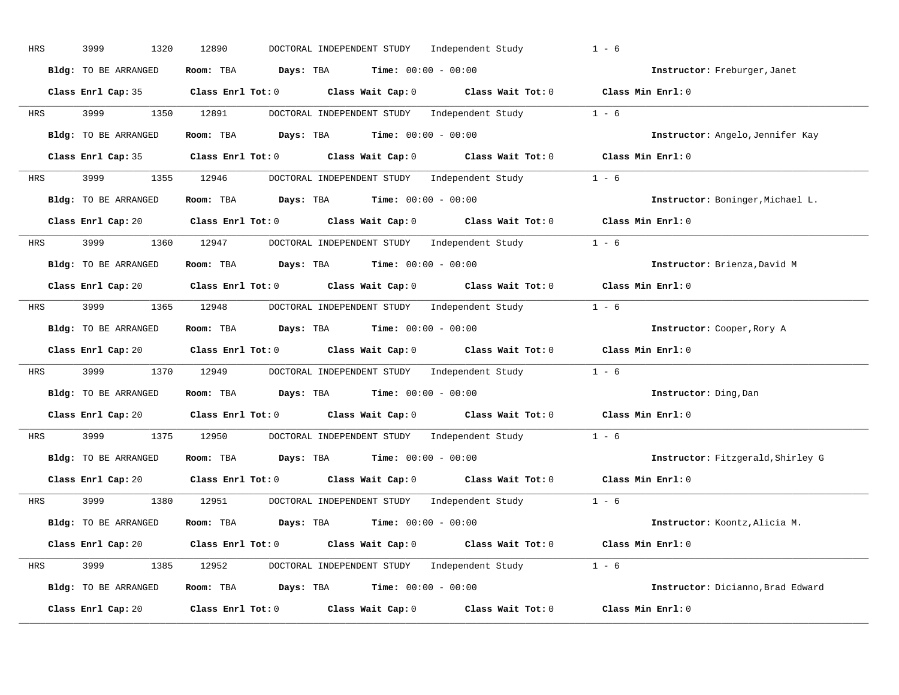| HRS | 3999<br>1320         | 12890<br>DOCTORAL INDEPENDENT STUDY Independent Study                                               | $1 - 6$                           |
|-----|----------------------|-----------------------------------------------------------------------------------------------------|-----------------------------------|
|     | Bldg: TO BE ARRANGED | Room: TBA $Days: TBA$ Time: $00:00 - 00:00$                                                         | Instructor: Freburger, Janet      |
|     |                      | Class Enrl Cap: 35 Class Enrl Tot: 0 Class Wait Cap: 0 Class Wait Tot: 0 Class Min Enrl: 0          |                                   |
| HRS | 3999                 | DOCTORAL INDEPENDENT STUDY Independent Study 1 - 6<br>1350 12891                                    |                                   |
|     | Bldg: TO BE ARRANGED | Room: TBA $Days:$ TBA $Time: 00:00 - 00:00$                                                         | Instructor: Angelo, Jennifer Kay  |
|     | Class Enrl Cap: 35   | Class Enrl Tot: 0 $\qquad$ Class Wait Cap: 0 $\qquad$ Class Wait Tot: 0 $\qquad$ Class Min Enrl: 0  |                                   |
| HRS |                      | 3999 1355 12946 DOCTORAL INDEPENDENT STUDY Independent Study 1 - 6                                  |                                   |
|     | Bldg: TO BE ARRANGED | Room: TBA $Days:$ TBA $Time: 00:00 - 00:00$                                                         | Instructor: Boninger, Michael L.  |
|     |                      | Class Enrl Cap: 20 Class Enrl Tot: 0 Class Wait Cap: 0 Class Wait Tot: 0 Class Min Enrl: 0          |                                   |
| HRS | 3999 (1989)          | DOCTORAL INDEPENDENT STUDY Independent Study 1 - 6<br>1360 12947                                    |                                   |
|     | Bldg: TO BE ARRANGED | Room: TBA $Days:$ TBA $Time: 00:00 - 00:00$                                                         | Instructor: Brienza, David M      |
|     |                      | Class Enrl Cap: 20 Class Enrl Tot: 0 Class Wait Cap: 0 Class Wait Tot: 0 Class Min Enrl: 0          |                                   |
| HRS |                      | 3999 1365 12948 DOCTORAL INDEPENDENT STUDY Independent Study 1 - 6                                  |                                   |
|     | Bldg: TO BE ARRANGED | Room: TBA $Days: TBA$ Time: $00:00 - 00:00$                                                         | Instructor: Cooper, Rory A        |
|     |                      | Class Enrl Cap: 20 Class Enrl Tot: 0 Class Wait Cap: 0 Class Wait Tot: 0 Class Min Enrl: 0          |                                   |
| HRS | 3999                 | 1370 12949 DOCTORAL INDEPENDENT STUDY Independent Study                                             | $1 - 6$                           |
|     | Bldg: TO BE ARRANGED | Room: TBA $\rule{1em}{0.15mm}$ Days: TBA $\rule{1.5mm}{0.15mm}$ Time: $00:00 - 00:00$               | Instructor: Ding, Dan             |
|     |                      | Class Enrl Cap: 20 $\qquad$ Class Enrl Tot: 0 $\qquad$ Class Wait Cap: 0 $\qquad$ Class Wait Tot: 0 | Class Min Enrl: 0                 |
| HRS | 3999                 | 1375 12950<br>DOCTORAL INDEPENDENT STUDY Independent Study                                          | $1 - 6$                           |
|     | Bldg: TO BE ARRANGED | Room: TBA $Days:$ TBA $Time: 00:00 - 00:00$                                                         | Instructor: Fitzgerald, Shirley G |
|     | Class Enrl Cap: 20   | Class Enrl Tot: $0$ Class Wait Cap: $0$ Class Wait Tot: $0$                                         | Class Min Enrl: 0                 |
| HRS | 3999                 | 1380 12951<br>DOCTORAL INDEPENDENT STUDY Independent Study 1 - 6                                    |                                   |
|     | Bldg: TO BE ARRANGED | Room: TBA $Days:$ TBA $Time: 00:00 - 00:00$                                                         | Instructor: Koontz, Alicia M.     |
|     |                      | Class Enrl Cap: 20 Class Enrl Tot: 0 Class Wait Cap: 0 Class Wait Tot: 0 Class Min Enrl: 0          |                                   |
| HRS |                      | 3999 1385 12952 DOCTORAL INDEPENDENT STUDY Independent Study 1 - 6                                  |                                   |
|     | Bldg: TO BE ARRANGED | Room: TBA $Days:$ TBA $Time: 00:00 - 00:00$                                                         | Instructor: Dicianno, Brad Edward |
|     | Class Enrl Cap: 20   | Class Enrl Tot: 0 Class Wait Cap: 0<br>Class Wait Tot: 0                                            | Class Min Enrl: 0                 |